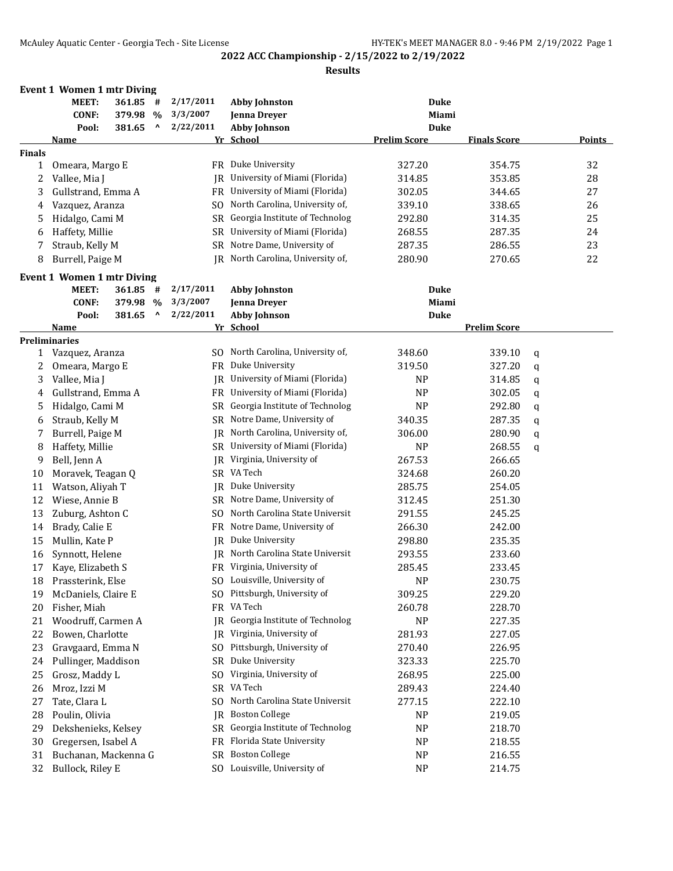|               | <b>Event 1 Women 1 mtr Diving</b> |            |                                 |           |                                                            |                     |                     |   |               |
|---------------|-----------------------------------|------------|---------------------------------|-----------|------------------------------------------------------------|---------------------|---------------------|---|---------------|
|               | MEET:                             | $361.85$ # |                                 | 2/17/2011 | <b>Abby Johnston</b>                                       | <b>Duke</b>         |                     |   |               |
|               | <b>CONF:</b>                      | 379.98 %   |                                 | 3/3/2007  | Jenna Dreyer                                               | Miami               |                     |   |               |
|               | Pool:                             | 381.65     | $\boldsymbol{\mathsf{\Lambda}}$ | 2/22/2011 | <b>Abby Johnson</b>                                        | <b>Duke</b>         |                     |   |               |
|               | <u>Name</u>                       |            |                                 |           | Yr School                                                  | <b>Prelim Score</b> | <b>Finals Score</b> |   | <b>Points</b> |
| <b>Finals</b> |                                   |            |                                 |           |                                                            |                     |                     |   |               |
| 1             | Omeara, Margo E                   |            |                                 |           | FR Duke University                                         | 327.20              | 354.75              |   | 32            |
| 2             | Vallee, Mia J                     |            |                                 | IR        | University of Miami (Florida)                              | 314.85              | 353.85              |   | 28            |
| 3             | Gullstrand, Emma A                |            |                                 |           | FR University of Miami (Florida)                           | 302.05              | 344.65              |   | 27            |
| 4             | Vazquez, Aranza                   |            |                                 | SO.       | North Carolina, University of,                             | 339.10              | 338.65              |   | 26            |
| 5             | Hidalgo, Cami M                   |            |                                 | SR        | Georgia Institute of Technolog                             | 292.80              | 314.35              |   | 25            |
| 6             | Haffety, Millie                   |            |                                 | SR        | University of Miami (Florida)                              | 268.55              | 287.35              |   | 24            |
| 7             | Straub, Kelly M                   |            |                                 | SR        | Notre Dame, University of                                  | 287.35              | 286.55              |   | 23            |
| 8             | Burrell, Paige M                  |            |                                 | IR        | North Carolina, University of,                             | 280.90              | 270.65              |   | 22            |
|               | <b>Event 1 Women 1 mtr Diving</b> |            |                                 |           |                                                            |                     |                     |   |               |
|               | MEET:                             | $361.85$ # |                                 | 2/17/2011 | <b>Abby Johnston</b>                                       | <b>Duke</b>         |                     |   |               |
|               | <b>CONF:</b>                      | 379.98 %   |                                 | 3/3/2007  | Jenna Dreyer                                               | Miami               |                     |   |               |
|               | Pool:                             | 381.65     | $\lambda$                       | 2/22/2011 | <b>Abby Johnson</b>                                        | <b>Duke</b>         |                     |   |               |
|               | Name                              |            |                                 |           | Yr School                                                  |                     | <b>Prelim Score</b> |   |               |
|               | <b>Preliminaries</b>              |            |                                 |           |                                                            |                     |                     |   |               |
| $\mathbf{1}$  | Vazquez, Aranza                   |            |                                 |           | SO North Carolina, University of,                          | 348.60              | 339.10              | q |               |
| 2             | Omeara, Margo E                   |            |                                 |           | FR Duke University                                         | 319.50              | 327.20              | q |               |
| 3             | Vallee, Mia J                     |            |                                 | IR        | University of Miami (Florida)                              | <b>NP</b>           | 314.85              | q |               |
| 4             | Gullstrand, Emma A                |            |                                 |           | FR University of Miami (Florida)                           | NP                  | 302.05              | q |               |
| 5             | Hidalgo, Cami M                   |            |                                 | SR        | Georgia Institute of Technolog                             | <b>NP</b>           | 292.80              | q |               |
| 6             | Straub, Kelly M                   |            |                                 |           | SR Notre Dame, University of                               | 340.35              | 287.35              | q |               |
| 7             | Burrell, Paige M                  |            |                                 |           | JR North Carolina, University of,                          | 306.00              | 280.90              | q |               |
| 8             | Haffety, Millie                   |            |                                 |           | SR University of Miami (Florida)                           | <b>NP</b>           | 268.55              | q |               |
| 9             | Bell, Jenn A                      |            |                                 |           | JR Virginia, University of                                 | 267.53              | 266.65              |   |               |
| 10            | Moravek, Teagan Q                 |            |                                 |           | SR VA Tech                                                 | 324.68              | 260.20              |   |               |
| 11            | Watson, Aliyah T                  |            |                                 |           | JR Duke University                                         | 285.75              | 254.05              |   |               |
| 12            | Wiese, Annie B                    |            |                                 |           | SR Notre Dame, University of                               | 312.45              | 251.30              |   |               |
| 13            | Zuburg, Ashton C                  |            |                                 |           | SO North Carolina State Universit                          | 291.55              | 245.25              |   |               |
| 14            | Brady, Calie E                    |            |                                 |           | FR Notre Dame, University of                               | 266.30              | 242.00              |   |               |
| 15            | Mullin, Kate P                    |            |                                 |           | IR Duke University                                         | 298.80              | 235.35              |   |               |
|               |                                   |            |                                 |           | IR North Carolina State Universit                          |                     |                     |   |               |
| 16            | Synnott, Helene                   |            |                                 |           |                                                            | 293.55              | 233.60              |   |               |
| 17            | Kaye, Elizabeth S                 |            |                                 |           | FR Virginia, University of<br>SO Louisville, University of | 285.45              | 233.45              |   |               |
| 18            | Prassterink, Else                 |            |                                 |           |                                                            | NP                  | 230.75              |   |               |
| 19            | McDaniels, Claire E               |            |                                 |           | SO Pittsburgh, University of                               | 309.25              | 229.20              |   |               |
| 20            | Fisher, Miah                      |            |                                 |           | FR VA Tech                                                 | 260.78              | 228.70              |   |               |
| 21            | Woodruff, Carmen A                |            |                                 | IR        | Georgia Institute of Technolog                             | NP                  | 227.35              |   |               |
| 22            | Bowen, Charlotte                  |            |                                 |           | JR Virginia, University of                                 | 281.93              | 227.05              |   |               |
| 23            | Gravgaard, Emma N                 |            |                                 |           | SO Pittsburgh, University of                               | 270.40              | 226.95              |   |               |
| 24            | Pullinger, Maddison               |            |                                 |           | SR Duke University                                         | 323.33              | 225.70              |   |               |
| 25            | Grosz, Maddy L                    |            |                                 | SO.       | Virginia, University of                                    | 268.95              | 225.00              |   |               |
| 26            | Mroz, Izzi M                      |            |                                 |           | SR VA Tech                                                 | 289.43              | 224.40              |   |               |
| 27            | Tate, Clara L                     |            |                                 | SO.       | North Carolina State Universit                             | 277.15              | 222.10              |   |               |
| 28            | Poulin, Olivia                    |            |                                 | IR        | <b>Boston College</b>                                      | NP                  | 219.05              |   |               |
| 29            | Dekshenieks, Kelsey               |            |                                 |           | SR Georgia Institute of Technolog                          | NP                  | 218.70              |   |               |
| 30            | Gregersen, Isabel A               |            |                                 |           | FR Florida State University                                | NP                  | 218.55              |   |               |
| 31            | Buchanan, Mackenna G              |            |                                 |           | SR Boston College                                          | NP                  | 216.55              |   |               |
| 32            | Bullock, Riley E                  |            |                                 |           | SO Louisville, University of                               | <b>NP</b>           | 214.75              |   |               |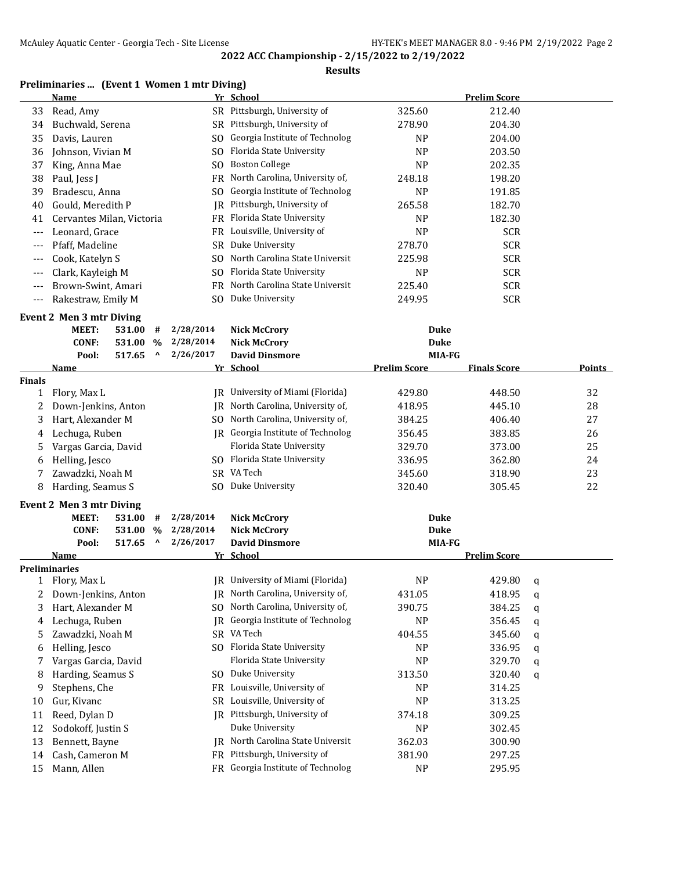#### **Results**

# **Preliminaries ... (Event 1 Women 1 mtr Diving)**

|               | <b>Name</b>                      |        |                                   |                                  | Yr School                         |                     | <b>Prelim Score</b> |    |        |  |  |
|---------------|----------------------------------|--------|-----------------------------------|----------------------------------|-----------------------------------|---------------------|---------------------|----|--------|--|--|
| 33            | Read, Amy                        |        |                                   |                                  | SR Pittsburgh, University of      | 325.60              | 212.40              |    |        |  |  |
| 34            | Buchwald, Serena                 |        |                                   |                                  | SR Pittsburgh, University of      | 278.90              | 204.30              |    |        |  |  |
| 35            | Davis, Lauren                    |        |                                   |                                  | SO Georgia Institute of Technolog | <b>NP</b>           | 204.00              |    |        |  |  |
| 36            | Johnson, Vivian M                |        |                                   | SO.                              | Florida State University          | N <sub>P</sub>      | 203.50              |    |        |  |  |
| 37            | King, Anna Mae<br>S <sub>O</sub> |        | <b>Boston College</b>             | <b>NP</b>                        | 202.35                            |                     |                     |    |        |  |  |
| 38            | Paul, Jess J<br>FR               |        | North Carolina, University of,    | 248.18                           | 198.20                            |                     |                     |    |        |  |  |
| 39            | Bradescu, Anna                   |        |                                   | SO.                              | Georgia Institute of Technolog    | NP                  | 191.85              |    |        |  |  |
| 40            | Gould, Meredith P                |        |                                   | IR                               | Pittsburgh, University of         | 265.58              | 182.70              |    |        |  |  |
| 41            | Cervantes Milan, Victoria        |        |                                   |                                  | FR Florida State University       | N <sub>P</sub>      | 182.30              |    |        |  |  |
| $---$         | Leonard, Grace                   |        |                                   |                                  | FR Louisville, University of      | <b>NP</b>           | <b>SCR</b>          |    |        |  |  |
| ---           | Pfaff, Madeline                  |        |                                   |                                  | SR Duke University                | 278.70              | <b>SCR</b>          |    |        |  |  |
| ---           | Cook, Katelyn S                  |        |                                   | SO.                              | North Carolina State Universit    | 225.98              | <b>SCR</b>          |    |        |  |  |
| ---           | Clark, Kayleigh M                |        |                                   | SO.                              | Florida State University          | N <sub>P</sub>      | <b>SCR</b>          |    |        |  |  |
| ---           | Brown-Swint, Amari               |        |                                   | FR.                              | North Carolina State Universit    | 225.40              | <b>SCR</b>          |    |        |  |  |
| $---$         | Rakestraw, Emily M               |        |                                   | SO.                              | Duke University                   | 249.95              | <b>SCR</b>          |    |        |  |  |
|               | Event 2 Men 3 mtr Diving         |        |                                   |                                  |                                   |                     |                     |    |        |  |  |
|               | MEET:                            | 531.00 | #                                 | 2/28/2014                        | <b>Nick McCrory</b>               | <b>Duke</b>         |                     |    |        |  |  |
|               | <b>CONF:</b>                     | 531.00 | $\%$                              | 2/28/2014                        | <b>Nick McCrory</b>               | <b>Duke</b>         |                     |    |        |  |  |
|               | Pool:                            | 517.65 | ۸                                 | 2/26/2017                        | <b>David Dinsmore</b>             | MIA-FG              |                     |    |        |  |  |
|               | <b>Name</b>                      |        |                                   |                                  | Yr School                         | <b>Prelim Score</b> | <b>Finals Score</b> |    | Points |  |  |
| <b>Finals</b> |                                  |        |                                   |                                  |                                   |                     |                     |    |        |  |  |
| 1             | Flory, Max L                     |        |                                   | JR University of Miami (Florida) | 429.80                            | 448.50              |                     | 32 |        |  |  |
| 2             | Down-Jenkins, Anton<br>IR        |        | North Carolina, University of,    | 418.95                           | 445.10                            |                     | 28                  |    |        |  |  |
| 3             | Hart, Alexander M                |        | SO North Carolina, University of, | 384.25                           | 406.40                            |                     | 27                  |    |        |  |  |
| 4             | Lechuga, Ruben                   |        | JR Georgia Institute of Technolog | 356.45                           | 383.85                            |                     | 26                  |    |        |  |  |
| 5             | Vargas Garcia, David             |        |                                   |                                  | Florida State University          | 329.70              | 373.00              |    | 25     |  |  |
| 6             | Helling, Jesco                   |        |                                   |                                  | SO Florida State University       | 336.95              | 362.80              |    | 24     |  |  |
| 7             | Zawadzki, Noah M                 |        |                                   |                                  | SR VA Tech                        | 345.60              | 318.90              |    | 23     |  |  |
| 8             | Harding, Seamus S                |        |                                   |                                  | SO Duke University                | 320.40              | 305.45              |    | 22     |  |  |
|               | Event 2 Men 3 mtr Diving         |        |                                   |                                  |                                   |                     |                     |    |        |  |  |
|               | MEET:                            | 531.00 | #                                 | 2/28/2014                        | <b>Nick McCrory</b>               | <b>Duke</b>         |                     |    |        |  |  |
|               | <b>CONF:</b>                     | 531.00 | $\%$                              | 2/28/2014                        | <b>Nick McCrory</b>               | <b>Duke</b>         |                     |    |        |  |  |
|               | Pool:                            | 517.65 | Λ                                 | 2/26/2017                        | <b>David Dinsmore</b>             | MIA-FG              |                     |    |        |  |  |
|               | Name                             |        |                                   |                                  | Yr School                         |                     | <b>Prelim Score</b> |    |        |  |  |
|               | <b>Preliminaries</b>             |        |                                   |                                  |                                   |                     |                     |    |        |  |  |
| 1             | Flory, Max L                     |        |                                   |                                  | JR University of Miami (Florida)  | <b>NP</b>           | 429.80              | q  |        |  |  |
| 2             | Down-Jenkins, Anton              |        |                                   | IR                               | North Carolina, University of,    | 431.05              | 418.95              | q  |        |  |  |
| 3             | Hart, Alexander M                |        |                                   | SO.                              | North Carolina, University of,    | 390.75              | 384.25              | q  |        |  |  |
| 4             | Lechuga, Ruben                   |        |                                   | <b>IR</b>                        | Georgia Institute of Technolog    | <b>NP</b>           | 356.45              | q  |        |  |  |
| 5             | Zawadzki, Noah M                 |        |                                   | SR                               | VA Tech                           | 404.55              | 345.60              | q  |        |  |  |
| 6             | Helling, Jesco                   |        |                                   |                                  | SO Florida State University       | NP                  | 336.95              | q  |        |  |  |
| 7             | Vargas Garcia, David             |        |                                   |                                  | Florida State University          | <b>NP</b>           | 329.70              | q  |        |  |  |
| 8             | Harding, Seamus S                |        |                                   |                                  | SO Duke University                | 313.50              | 320.40              | q  |        |  |  |
| 9             | Stephens, Che                    |        |                                   | FR                               | Louisville, University of         | N <sub>P</sub>      | 314.25              |    |        |  |  |
| 10            | Gur, Kivanc                      |        |                                   | SR                               | Louisville, University of         | NP                  | 313.25              |    |        |  |  |
| 11            | Reed, Dylan D                    |        |                                   | IR                               | Pittsburgh, University of         | 374.18              | 309.25              |    |        |  |  |
| 12            | Sodokoff, Justin S               |        |                                   |                                  | Duke University                   | NP                  | 302.45              |    |        |  |  |
| 13            | Bennett, Bayne                   |        |                                   |                                  | JR North Carolina State Universit | 362.03              | 300.90              |    |        |  |  |
| 14            | Cash, Cameron M                  |        |                                   |                                  | FR Pittsburgh, University of      | 381.90              | 297.25              |    |        |  |  |
| 15            | Mann, Allen                      |        |                                   |                                  | FR Georgia Institute of Technolog | NP                  | 295.95              |    |        |  |  |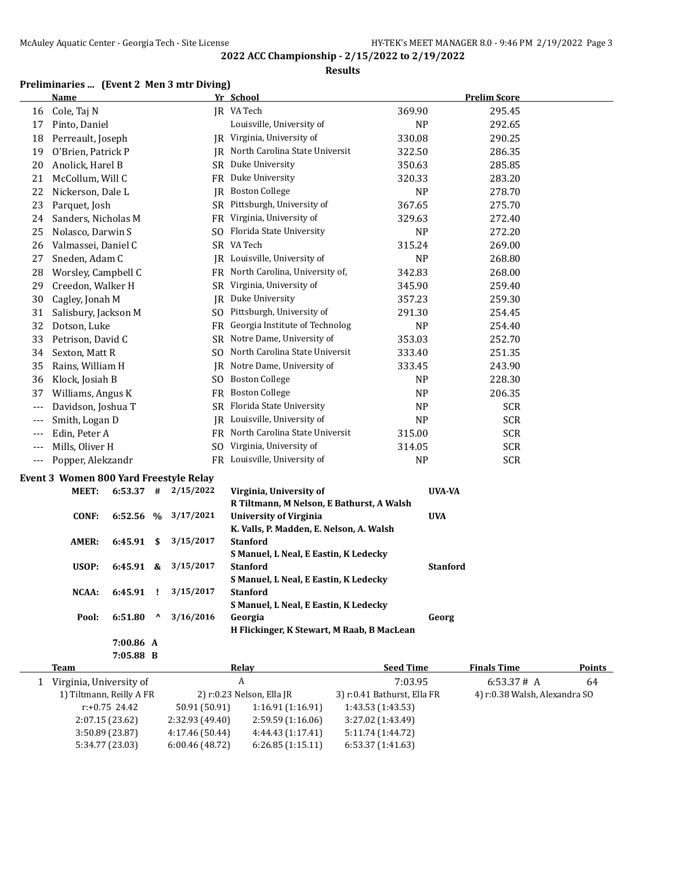#### **Results**

# **Preliminaries ... (Event 2 Men 3 mtr Diving)**

| <b>Name</b>  |                                |                                                                                                                                                                                                                                                                                                                                                                                                                                                                                                                                                   |                                                                                                  |                                                                                            |                                                                                                                                                                                                                                                                                                                                                                                                                                                                                                                                                                                                                                                                                                                                                                                                                                        | <b>Prelim Score</b>                                                                                                                                                                                                                                            |                                                         |
|--------------|--------------------------------|---------------------------------------------------------------------------------------------------------------------------------------------------------------------------------------------------------------------------------------------------------------------------------------------------------------------------------------------------------------------------------------------------------------------------------------------------------------------------------------------------------------------------------------------------|--------------------------------------------------------------------------------------------------|--------------------------------------------------------------------------------------------|----------------------------------------------------------------------------------------------------------------------------------------------------------------------------------------------------------------------------------------------------------------------------------------------------------------------------------------------------------------------------------------------------------------------------------------------------------------------------------------------------------------------------------------------------------------------------------------------------------------------------------------------------------------------------------------------------------------------------------------------------------------------------------------------------------------------------------------|----------------------------------------------------------------------------------------------------------------------------------------------------------------------------------------------------------------------------------------------------------------|---------------------------------------------------------|
| Cole, Taj N  |                                |                                                                                                                                                                                                                                                                                                                                                                                                                                                                                                                                                   |                                                                                                  |                                                                                            | 369.90                                                                                                                                                                                                                                                                                                                                                                                                                                                                                                                                                                                                                                                                                                                                                                                                                                 | 295.45                                                                                                                                                                                                                                                         |                                                         |
|              |                                |                                                                                                                                                                                                                                                                                                                                                                                                                                                                                                                                                   |                                                                                                  | Louisville, University of                                                                  | NP                                                                                                                                                                                                                                                                                                                                                                                                                                                                                                                                                                                                                                                                                                                                                                                                                                     | 292.65                                                                                                                                                                                                                                                         |                                                         |
|              |                                |                                                                                                                                                                                                                                                                                                                                                                                                                                                                                                                                                   |                                                                                                  |                                                                                            | 330.08                                                                                                                                                                                                                                                                                                                                                                                                                                                                                                                                                                                                                                                                                                                                                                                                                                 | 290.25                                                                                                                                                                                                                                                         |                                                         |
|              |                                |                                                                                                                                                                                                                                                                                                                                                                                                                                                                                                                                                   |                                                                                                  |                                                                                            | 322.50                                                                                                                                                                                                                                                                                                                                                                                                                                                                                                                                                                                                                                                                                                                                                                                                                                 | 286.35                                                                                                                                                                                                                                                         |                                                         |
|              |                                |                                                                                                                                                                                                                                                                                                                                                                                                                                                                                                                                                   |                                                                                                  |                                                                                            | 350.63                                                                                                                                                                                                                                                                                                                                                                                                                                                                                                                                                                                                                                                                                                                                                                                                                                 | 285.85                                                                                                                                                                                                                                                         |                                                         |
|              |                                |                                                                                                                                                                                                                                                                                                                                                                                                                                                                                                                                                   |                                                                                                  |                                                                                            | 320.33                                                                                                                                                                                                                                                                                                                                                                                                                                                                                                                                                                                                                                                                                                                                                                                                                                 | 283.20                                                                                                                                                                                                                                                         |                                                         |
|              |                                |                                                                                                                                                                                                                                                                                                                                                                                                                                                                                                                                                   |                                                                                                  |                                                                                            | NP                                                                                                                                                                                                                                                                                                                                                                                                                                                                                                                                                                                                                                                                                                                                                                                                                                     | 278.70                                                                                                                                                                                                                                                         |                                                         |
|              |                                |                                                                                                                                                                                                                                                                                                                                                                                                                                                                                                                                                   |                                                                                                  |                                                                                            | 367.65                                                                                                                                                                                                                                                                                                                                                                                                                                                                                                                                                                                                                                                                                                                                                                                                                                 | 275.70                                                                                                                                                                                                                                                         |                                                         |
|              |                                |                                                                                                                                                                                                                                                                                                                                                                                                                                                                                                                                                   |                                                                                                  |                                                                                            | 329.63                                                                                                                                                                                                                                                                                                                                                                                                                                                                                                                                                                                                                                                                                                                                                                                                                                 | 272.40                                                                                                                                                                                                                                                         |                                                         |
|              |                                |                                                                                                                                                                                                                                                                                                                                                                                                                                                                                                                                                   |                                                                                                  |                                                                                            | <b>NP</b>                                                                                                                                                                                                                                                                                                                                                                                                                                                                                                                                                                                                                                                                                                                                                                                                                              | 272.20                                                                                                                                                                                                                                                         |                                                         |
|              |                                |                                                                                                                                                                                                                                                                                                                                                                                                                                                                                                                                                   |                                                                                                  |                                                                                            | 315.24                                                                                                                                                                                                                                                                                                                                                                                                                                                                                                                                                                                                                                                                                                                                                                                                                                 | 269.00                                                                                                                                                                                                                                                         |                                                         |
|              |                                |                                                                                                                                                                                                                                                                                                                                                                                                                                                                                                                                                   |                                                                                                  |                                                                                            | NP                                                                                                                                                                                                                                                                                                                                                                                                                                                                                                                                                                                                                                                                                                                                                                                                                                     | 268.80                                                                                                                                                                                                                                                         |                                                         |
|              |                                |                                                                                                                                                                                                                                                                                                                                                                                                                                                                                                                                                   |                                                                                                  |                                                                                            | 342.83                                                                                                                                                                                                                                                                                                                                                                                                                                                                                                                                                                                                                                                                                                                                                                                                                                 | 268.00                                                                                                                                                                                                                                                         |                                                         |
|              |                                |                                                                                                                                                                                                                                                                                                                                                                                                                                                                                                                                                   |                                                                                                  |                                                                                            | 345.90                                                                                                                                                                                                                                                                                                                                                                                                                                                                                                                                                                                                                                                                                                                                                                                                                                 | 259.40                                                                                                                                                                                                                                                         |                                                         |
|              |                                |                                                                                                                                                                                                                                                                                                                                                                                                                                                                                                                                                   |                                                                                                  |                                                                                            | 357.23                                                                                                                                                                                                                                                                                                                                                                                                                                                                                                                                                                                                                                                                                                                                                                                                                                 | 259.30                                                                                                                                                                                                                                                         |                                                         |
|              |                                |                                                                                                                                                                                                                                                                                                                                                                                                                                                                                                                                                   |                                                                                                  |                                                                                            | 291.30                                                                                                                                                                                                                                                                                                                                                                                                                                                                                                                                                                                                                                                                                                                                                                                                                                 | 254.45                                                                                                                                                                                                                                                         |                                                         |
|              |                                |                                                                                                                                                                                                                                                                                                                                                                                                                                                                                                                                                   |                                                                                                  |                                                                                            | <b>NP</b>                                                                                                                                                                                                                                                                                                                                                                                                                                                                                                                                                                                                                                                                                                                                                                                                                              | 254.40                                                                                                                                                                                                                                                         |                                                         |
|              |                                |                                                                                                                                                                                                                                                                                                                                                                                                                                                                                                                                                   |                                                                                                  |                                                                                            | 353.03                                                                                                                                                                                                                                                                                                                                                                                                                                                                                                                                                                                                                                                                                                                                                                                                                                 | 252.70                                                                                                                                                                                                                                                         |                                                         |
|              |                                |                                                                                                                                                                                                                                                                                                                                                                                                                                                                                                                                                   |                                                                                                  |                                                                                            | 333.40                                                                                                                                                                                                                                                                                                                                                                                                                                                                                                                                                                                                                                                                                                                                                                                                                                 | 251.35                                                                                                                                                                                                                                                         |                                                         |
|              |                                |                                                                                                                                                                                                                                                                                                                                                                                                                                                                                                                                                   |                                                                                                  |                                                                                            | 333.45                                                                                                                                                                                                                                                                                                                                                                                                                                                                                                                                                                                                                                                                                                                                                                                                                                 | 243.90                                                                                                                                                                                                                                                         |                                                         |
|              |                                |                                                                                                                                                                                                                                                                                                                                                                                                                                                                                                                                                   |                                                                                                  |                                                                                            | <b>NP</b>                                                                                                                                                                                                                                                                                                                                                                                                                                                                                                                                                                                                                                                                                                                                                                                                                              | 228.30                                                                                                                                                                                                                                                         |                                                         |
|              |                                |                                                                                                                                                                                                                                                                                                                                                                                                                                                                                                                                                   |                                                                                                  |                                                                                            | <b>NP</b>                                                                                                                                                                                                                                                                                                                                                                                                                                                                                                                                                                                                                                                                                                                                                                                                                              | 206.35                                                                                                                                                                                                                                                         |                                                         |
|              |                                |                                                                                                                                                                                                                                                                                                                                                                                                                                                                                                                                                   |                                                                                                  |                                                                                            | <b>NP</b>                                                                                                                                                                                                                                                                                                                                                                                                                                                                                                                                                                                                                                                                                                                                                                                                                              | <b>SCR</b>                                                                                                                                                                                                                                                     |                                                         |
|              |                                |                                                                                                                                                                                                                                                                                                                                                                                                                                                                                                                                                   |                                                                                                  |                                                                                            | <b>NP</b>                                                                                                                                                                                                                                                                                                                                                                                                                                                                                                                                                                                                                                                                                                                                                                                                                              | <b>SCR</b>                                                                                                                                                                                                                                                     |                                                         |
|              |                                |                                                                                                                                                                                                                                                                                                                                                                                                                                                                                                                                                   |                                                                                                  |                                                                                            | 315.00                                                                                                                                                                                                                                                                                                                                                                                                                                                                                                                                                                                                                                                                                                                                                                                                                                 | <b>SCR</b>                                                                                                                                                                                                                                                     |                                                         |
|              |                                |                                                                                                                                                                                                                                                                                                                                                                                                                                                                                                                                                   |                                                                                                  |                                                                                            | 314.05                                                                                                                                                                                                                                                                                                                                                                                                                                                                                                                                                                                                                                                                                                                                                                                                                                 | <b>SCR</b>                                                                                                                                                                                                                                                     |                                                         |
|              |                                |                                                                                                                                                                                                                                                                                                                                                                                                                                                                                                                                                   |                                                                                                  |                                                                                            | NP                                                                                                                                                                                                                                                                                                                                                                                                                                                                                                                                                                                                                                                                                                                                                                                                                                     | <b>SCR</b>                                                                                                                                                                                                                                                     |                                                         |
|              |                                |                                                                                                                                                                                                                                                                                                                                                                                                                                                                                                                                                   |                                                                                                  |                                                                                            |                                                                                                                                                                                                                                                                                                                                                                                                                                                                                                                                                                                                                                                                                                                                                                                                                                        |                                                                                                                                                                                                                                                                |                                                         |
| <b>MEET:</b> |                                |                                                                                                                                                                                                                                                                                                                                                                                                                                                                                                                                                   |                                                                                                  | Virginia, University of                                                                    |                                                                                                                                                                                                                                                                                                                                                                                                                                                                                                                                                                                                                                                                                                                                                                                                                                        |                                                                                                                                                                                                                                                                |                                                         |
|              |                                |                                                                                                                                                                                                                                                                                                                                                                                                                                                                                                                                                   |                                                                                                  |                                                                                            |                                                                                                                                                                                                                                                                                                                                                                                                                                                                                                                                                                                                                                                                                                                                                                                                                                        |                                                                                                                                                                                                                                                                |                                                         |
| <b>CONF:</b> |                                |                                                                                                                                                                                                                                                                                                                                                                                                                                                                                                                                                   | 3/17/2021                                                                                        | <b>University of Virginia</b>                                                              |                                                                                                                                                                                                                                                                                                                                                                                                                                                                                                                                                                                                                                                                                                                                                                                                                                        |                                                                                                                                                                                                                                                                |                                                         |
|              |                                |                                                                                                                                                                                                                                                                                                                                                                                                                                                                                                                                                   |                                                                                                  |                                                                                            |                                                                                                                                                                                                                                                                                                                                                                                                                                                                                                                                                                                                                                                                                                                                                                                                                                        |                                                                                                                                                                                                                                                                |                                                         |
| <b>AMER:</b> |                                | \$                                                                                                                                                                                                                                                                                                                                                                                                                                                                                                                                                | 3/15/2017                                                                                        | <b>Stanford</b>                                                                            |                                                                                                                                                                                                                                                                                                                                                                                                                                                                                                                                                                                                                                                                                                                                                                                                                                        |                                                                                                                                                                                                                                                                |                                                         |
|              |                                |                                                                                                                                                                                                                                                                                                                                                                                                                                                                                                                                                   |                                                                                                  |                                                                                            |                                                                                                                                                                                                                                                                                                                                                                                                                                                                                                                                                                                                                                                                                                                                                                                                                                        |                                                                                                                                                                                                                                                                |                                                         |
|              |                                |                                                                                                                                                                                                                                                                                                                                                                                                                                                                                                                                                   |                                                                                                  |                                                                                            |                                                                                                                                                                                                                                                                                                                                                                                                                                                                                                                                                                                                                                                                                                                                                                                                                                        |                                                                                                                                                                                                                                                                |                                                         |
|              |                                |                                                                                                                                                                                                                                                                                                                                                                                                                                                                                                                                                   |                                                                                                  |                                                                                            |                                                                                                                                                                                                                                                                                                                                                                                                                                                                                                                                                                                                                                                                                                                                                                                                                                        |                                                                                                                                                                                                                                                                |                                                         |
|              |                                |                                                                                                                                                                                                                                                                                                                                                                                                                                                                                                                                                   |                                                                                                  |                                                                                            |                                                                                                                                                                                                                                                                                                                                                                                                                                                                                                                                                                                                                                                                                                                                                                                                                                        |                                                                                                                                                                                                                                                                |                                                         |
|              |                                |                                                                                                                                                                                                                                                                                                                                                                                                                                                                                                                                                   |                                                                                                  |                                                                                            |                                                                                                                                                                                                                                                                                                                                                                                                                                                                                                                                                                                                                                                                                                                                                                                                                                        |                                                                                                                                                                                                                                                                |                                                         |
|              |                                |                                                                                                                                                                                                                                                                                                                                                                                                                                                                                                                                                   |                                                                                                  |                                                                                            |                                                                                                                                                                                                                                                                                                                                                                                                                                                                                                                                                                                                                                                                                                                                                                                                                                        |                                                                                                                                                                                                                                                                |                                                         |
|              |                                |                                                                                                                                                                                                                                                                                                                                                                                                                                                                                                                                                   |                                                                                                  |                                                                                            |                                                                                                                                                                                                                                                                                                                                                                                                                                                                                                                                                                                                                                                                                                                                                                                                                                        |                                                                                                                                                                                                                                                                |                                                         |
|              | USOP:<br><b>NCAA:</b><br>Pool: | Pinto, Daniel<br>Perreault, Joseph<br>O'Brien, Patrick P<br>Anolick, Harel B<br>McCollum, Will C<br>Nickerson, Dale L<br>Parquet, Josh<br>Sanders, Nicholas M<br>Nolasco, Darwin S<br>Valmassei, Daniel C<br>Sneden, Adam C<br>Worsley, Campbell C<br>Creedon, Walker H<br>Cagley, Jonah M<br>Salisbury, Jackson M<br>Dotson, Luke<br>Petrison, David C<br>Sexton, Matt R<br>Rains, William H<br>Klock, Josiah B<br>Williams, Angus K<br>Davidson, Joshua T<br>Smith, Logan D<br>Edin, Peter A<br>Mills, Oliver H<br>Popper, Alekzandr<br>6:51.80 | $6:53.37$ #<br>6:52.56 %<br>6:45.91<br>6:45.91<br>&<br>6:45.91<br>Ţ<br>$\mathbf{v}$<br>7:00.86 A | Event 3 Women 800 Yard Freestyle Relay<br>2/15/2022<br>3/15/2017<br>3/15/2017<br>3/16/2016 | Yr School<br>IR VA Tech<br>JR Virginia, University of<br>IR North Carolina State Universit<br>SR Duke University<br>FR Duke University<br>JR Boston College<br>SR Pittsburgh, University of<br>FR Virginia, University of<br>SO Florida State University<br>SR VA Tech<br>IR Louisville, University of<br>FR North Carolina, University of,<br>SR Virginia, University of<br>JR Duke University<br>SO Pittsburgh, University of<br>FR Georgia Institute of Technolog<br>SR Notre Dame, University of<br>SO North Carolina State Universit<br>JR Notre Dame, University of<br>SO Boston College<br>FR Boston College<br>SR Florida State University<br>IR Louisville, University of<br>FR North Carolina State Universit<br>SO Virginia, University of<br>FR Louisville, University of<br><b>Stanford</b><br><b>Stanford</b><br>Georgia | R Tiltmann, M Nelson, E Bathurst, A Walsh<br>K. Valls, P. Madden, E. Nelson, A. Walsh<br>S Manuel, L Neal, E Eastin, K Ledecky<br>S Manuel, L Neal, E Eastin, K Ledecky<br>S Manuel, L Neal, E Eastin, K Ledecky<br>H Flickinger, K Stewart, M Raab, B MacLean | <b>UVA-VA</b><br><b>UVA</b><br><b>Stanford</b><br>Georg |

| 7:05.88 B                |                 |                           |                             |                               |        |
|--------------------------|-----------------|---------------------------|-----------------------------|-------------------------------|--------|
| Team                     |                 | Relav                     | <b>Seed Time</b>            | <b>Finals Time</b>            | Points |
| Virginia, University of  |                 | A                         | 7:03.95                     | 6:53.37# A                    | 64     |
| 1) Tiltmann, Reilly A FR |                 | 2) r:0.23 Nelson, Ella JR | 3) r:0.41 Bathurst, Ella FR | 4) r:0.38 Walsh, Alexandra SO |        |
| $r: +0.75$ 24.42         | 50.91 (50.91)   | 1:16.91(1:16.91)          | 1:43.53(1:43.53)            |                               |        |
| 2:07.15(23.62)           | 2:32.93 (49.40) | 2:59.59(1:16.06)          | 3:27.02 (1:43.49)           |                               |        |
| 3:50.89(23.87)           | 4:17.46 (50.44) | 4:44.43(1:17.41)          | 5:11.74 (1:44.72)           |                               |        |
| 5:34.77 (23.03)          | 6:00.46(48.72)  | 6:26.85(1:15.11)          | 6:53.37(1:41.63)            |                               |        |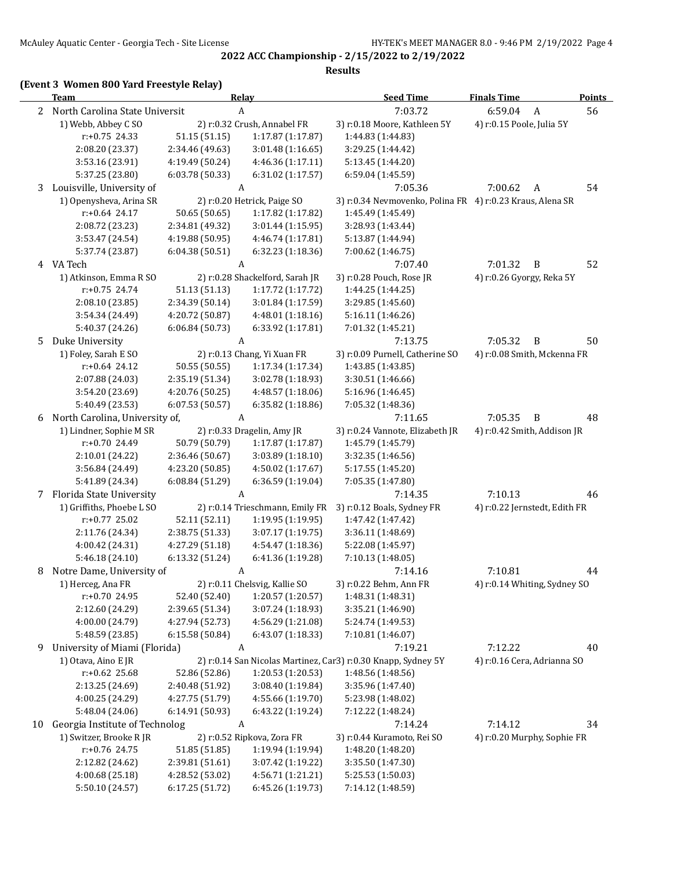# **(Event 3 Women 800 Yard Freestyle Relay)**

|    | <b>Team</b>                        |                                    | Relay                                              | <b>Seed Time</b>                                              | <b>Finals Time</b>            | Points |
|----|------------------------------------|------------------------------------|----------------------------------------------------|---------------------------------------------------------------|-------------------------------|--------|
|    | 2 North Carolina State Universit   |                                    | A                                                  | 7:03.72                                                       | 6:59.04<br>$\boldsymbol{A}$   | 56     |
|    | 1) Webb, Abbey C SO                |                                    | 2) r:0.32 Crush, Annabel FR                        | 3) r:0.18 Moore, Kathleen 5Y                                  | 4) r:0.15 Poole, Julia 5Y     |        |
|    | $r: +0.75$ 24.33                   | 51.15 (51.15)                      | 1:17.87 (1:17.87)                                  | 1:44.83 (1:44.83)                                             |                               |        |
|    | 2:08.20 (23.37)                    | 2:34.46 (49.63)                    | 3:01.48 (1:16.65)                                  | 3:29.25 (1:44.42)                                             |                               |        |
|    | 3:53.16 (23.91)                    | 4:19.49 (50.24)                    | 4:46.36 (1:17.11)                                  | 5:13.45 (1:44.20)                                             |                               |        |
|    | 5:37.25 (23.80)                    | 6:03.78 (50.33)                    | 6:31.02 (1:17.57)                                  | 6:59.04 (1:45.59)                                             |                               |        |
| 3  | Louisville, University of          |                                    | A                                                  | 7:05.36                                                       | 7:00.62<br>A                  | 54     |
|    | 1) Openysheva, Arina SR            |                                    | 2) r:0.20 Hetrick, Paige SO                        | 3) r:0.34 Nevmovenko, Polina FR 4) r:0.23 Kraus, Alena SR     |                               |        |
|    | $r: +0.64$ 24.17                   | 50.65 (50.65)                      | 1:17.82 (1:17.82)                                  | 1:45.49 (1:45.49)                                             |                               |        |
|    | 2:08.72 (23.23)                    | 2:34.81 (49.32)                    | 3:01.44 (1:15.95)                                  | 3:28.93 (1:43.44)                                             |                               |        |
|    | 3:53.47 (24.54)                    | 4:19.88 (50.95)                    | 4:46.74 (1:17.81)                                  | 5:13.87 (1:44.94)                                             |                               |        |
|    | 5:37.74 (23.87)                    | 6:04.38 (50.51)                    | 6:32.23 (1:18.36)                                  | 7:00.62 (1:46.75)                                             |                               |        |
|    | 4 VA Tech                          |                                    | A                                                  | 7:07.40                                                       | 7:01.32<br>B                  | 52     |
|    | 1) Atkinson, Emma R SO             |                                    | 2) r:0.28 Shackelford, Sarah JR                    | 3) r:0.28 Pouch, Rose JR                                      | 4) r:0.26 Gyorgy, Reka 5Y     |        |
|    | r:+0.75 24.74                      | 51.13 (51.13)                      | 1:17.72 (1:17.72)                                  | 1:44.25 (1:44.25)                                             |                               |        |
|    | 2:08.10 (23.85)                    | 2:34.39 (50.14)                    | 3:01.84 (1:17.59)                                  | 3:29.85 (1:45.60)                                             |                               |        |
|    | 3:54.34 (24.49)                    | 4:20.72 (50.87)                    | 4:48.01 (1:18.16)                                  | 5:16.11 (1:46.26)                                             |                               |        |
|    | 5:40.37 (24.26)                    | 6:06.84(50.73)                     | 6:33.92 (1:17.81)                                  | 7:01.32 (1:45.21)                                             |                               |        |
| 5. | Duke University                    |                                    | A                                                  | 7:13.75                                                       | 7:05.32<br>B                  | 50     |
|    | 1) Foley, Sarah E SO               |                                    | 2) r:0.13 Chang, Yi Xuan FR                        | 3) r:0.09 Purnell, Catherine SO                               | 4) r:0.08 Smith, Mckenna FR   |        |
|    | $r: +0.64$ 24.12                   | 50.55 (50.55)                      | 1:17.34 (1:17.34)                                  | 1:43.85 (1:43.85)                                             |                               |        |
|    | 2:07.88 (24.03)                    | 2:35.19 (51.34)                    | 3:02.78 (1:18.93)                                  | 3:30.51 (1:46.66)                                             |                               |        |
|    | 3:54.20 (23.69)                    | 4:20.76 (50.25)                    | 4:48.57 (1:18.06)                                  | 5:16.96 (1:46.45)                                             |                               |        |
|    | 5:40.49 (23.53)                    | 6:07.53 (50.57)                    | 6:35.82 (1:18.86)                                  | 7:05.32 (1:48.36)                                             |                               |        |
| 6  | North Carolina, University of,     |                                    | A                                                  | 7:11.65                                                       | 7:05.35<br>B                  | 48     |
|    | 1) Lindner, Sophie M SR            |                                    | 2) r:0.33 Dragelin, Amy JR                         | 3) r:0.24 Vannote, Elizabeth JR                               | 4) r:0.42 Smith, Addison JR   |        |
|    | r:+0.70 24.49                      | 50.79 (50.79)                      | 1:17.87 (1:17.87)                                  | 1:45.79 (1:45.79)                                             |                               |        |
|    | 2:10.01 (24.22)                    | 2:36.46 (50.67)                    | 3:03.89 (1:18.10)                                  | 3:32.35 (1:46.56)                                             |                               |        |
|    | 3:56.84 (24.49)                    | 4:23.20 (50.85)                    | 4:50.02 (1:17.67)                                  | 5:17.55 (1:45.20)                                             |                               |        |
|    | 5:41.89 (24.34)                    | 6:08.84 (51.29)                    | 6:36.59 (1:19.04)                                  | 7:05.35 (1:47.80)                                             |                               |        |
|    | Florida State University           |                                    | A                                                  | 7:14.35                                                       | 7:10.13                       | 46     |
| 7  | 1) Griffiths, Phoebe L SO          |                                    | 2) r:0.14 Trieschmann, Emily FR                    | 3) r:0.12 Boals, Sydney FR                                    | 4) r:0.22 Jernstedt, Edith FR |        |
|    | $r: +0.77$ 25.02                   | 52.11 (52.11)                      | 1:19.95 (1:19.95)                                  | 1:47.42 (1:47.42)                                             |                               |        |
|    | 2:11.76 (24.34)                    | 2:38.75 (51.33)                    | 3:07.17 (1:19.75)                                  | 3:36.11 (1:48.69)                                             |                               |        |
|    | 4:00.42 (24.31)                    | 4:27.29 (51.18)                    | 4:54.47 (1:18.36)                                  | 5:22.08 (1:45.97)                                             |                               |        |
|    | 5:46.18 (24.10)                    | 6:13.32 (51.24)                    | 6:41.36 (1:19.28)                                  | 7:10.13 (1:48.05)                                             |                               |        |
|    | Notre Dame, University of          |                                    | A                                                  |                                                               |                               |        |
| 8  |                                    |                                    |                                                    | 7:14.16                                                       | 7:10.81                       | 44     |
|    | 1) Herceg, Ana FR                  | 52.40 (52.40)                      | 2) r:0.11 Chelsvig, Kallie SO<br>1:20.57 (1:20.57) | 3) r:0.22 Behm, Ann FR<br>1:48.31 (1:48.31)                   | 4) r:0.14 Whiting, Sydney SO  |        |
|    | r:+0.70 24.95<br>2:12.60 (24.29)   | 2:39.65 (51.34)                    | 3:07.24 (1:18.93)                                  | 3:35.21 (1:46.90)                                             |                               |        |
|    |                                    |                                    | 4:56.29 (1:21.08)                                  | 5:24.74 (1:49.53)                                             |                               |        |
|    | 4:00.00 (24.79)<br>5:48.59 (23.85) | 4:27.94 (52.73)<br>6:15.58 (50.84) | 6:43.07 (1:18.33)                                  | 7:10.81 (1:46.07)                                             |                               |        |
|    |                                    |                                    |                                                    |                                                               |                               |        |
| 9  | University of Miami (Florida)      |                                    | A                                                  | 7:19.21                                                       | 7:12.22                       | 40     |
|    | 1) Otava, Aino E JR                |                                    |                                                    | 2) r:0.14 San Nicolas Martinez, Car3) r:0.30 Knapp, Sydney 5Y | 4) r:0.16 Cera, Adrianna SO   |        |
|    | r:+0.62 25.68                      | 52.86 (52.86)                      | 1:20.53 (1:20.53)                                  | 1:48.56 (1:48.56)                                             |                               |        |
|    | 2:13.25 (24.69)                    | 2:40.48 (51.92)                    | 3:08.40 (1:19.84)                                  | 3:35.96 (1:47.40)                                             |                               |        |
|    | 4:00.25 (24.29)                    | 4:27.75 (51.79)                    | 4:55.66 (1:19.70)                                  | 5:23.98 (1:48.02)                                             |                               |        |
|    | 5:48.04 (24.06)                    | 6:14.91 (50.93)                    | 6:43.22 (1:19.24)                                  | 7:12.22 (1:48.24)                                             |                               |        |
| 10 | Georgia Institute of Technolog     |                                    | A                                                  | 7:14.24                                                       | 7:14.12                       | 34     |
|    | 1) Switzer, Brooke R JR            |                                    | 2) r:0.52 Ripkova, Zora FR                         | 3) r:0.44 Kuramoto, Rei SO                                    | 4) r:0.20 Murphy, Sophie FR   |        |
|    | r:+0.76 24.75                      | 51.85 (51.85)                      | 1:19.94 (1:19.94)                                  | 1:48.20 (1:48.20)                                             |                               |        |
|    | 2:12.82 (24.62)                    | 2:39.81 (51.61)                    | 3:07.42 (1:19.22)                                  | 3:35.50 (1:47.30)                                             |                               |        |
|    | 4:00.68 (25.18)                    | 4:28.52 (53.02)                    | 4:56.71 (1:21.21)                                  | 5:25.53 (1:50.03)                                             |                               |        |
|    | 5:50.10 (24.57)                    | 6:17.25 (51.72)                    | 6:45.26 (1:19.73)                                  | 7:14.12 (1:48.59)                                             |                               |        |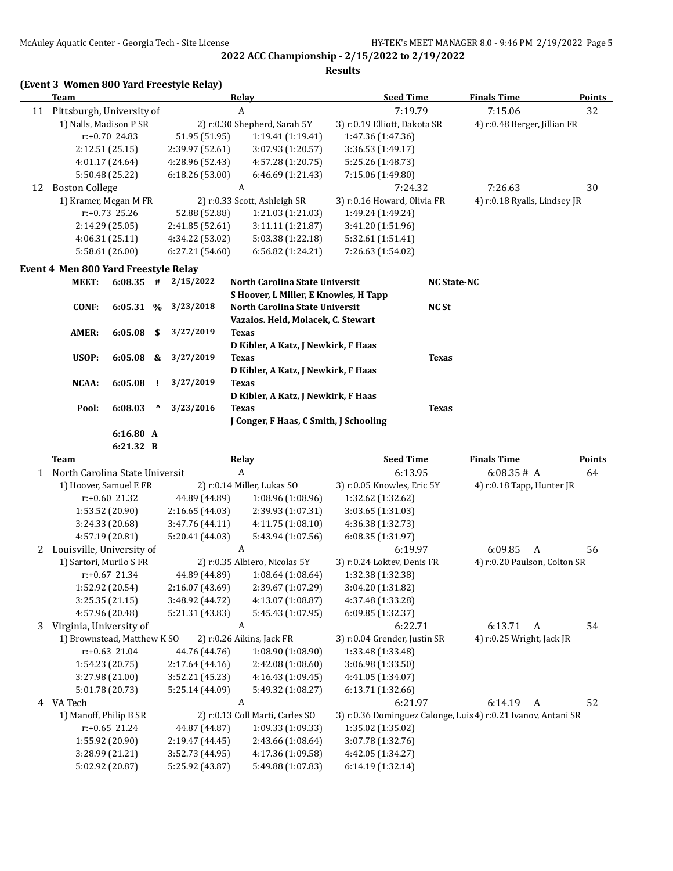**Results**

|  |  |  |  | (Event 3 Women 800 Yard Freestyle Relay) |  |
|--|--|--|--|------------------------------------------|--|
|--|--|--|--|------------------------------------------|--|

| A<br>11 Pittsburgh, University of<br>7:19.79<br>7:15.06<br>32<br>1) Nalls, Madison P SR<br>2) r:0.30 Shepherd, Sarah 5Y<br>4) r:0.48 Berger, Jillian FR<br>3) r:0.19 Elliott, Dakota SR<br>r:+0.70 24.83<br>51.95 (51.95)<br>1:19.41 (1:19.41)<br>1:47.36 (1:47.36)<br>3:07.93 (1:20.57)<br>2:12.51 (25.15)<br>2:39.97 (52.61)<br>3:36.53 (1:49.17)<br>4:57.28 (1:20.75)<br>4:01.17 (24.64)<br>4:28.96 (52.43)<br>5:25.26 (1:48.73)<br>5:50.48 (25.22)<br>6:18.26 (53.00)<br>6:46.69 (1:21.43)<br>7:15.06 (1:49.80)<br><b>Boston College</b><br>7:26.63<br>A<br>7:24.32<br>30<br>12<br>1) Kramer, Megan M FR<br>2) r:0.33 Scott, Ashleigh SR<br>3) r:0.16 Howard, Olivia FR<br>4) r:0.18 Ryalls, Lindsey JR<br>r:+0.73 25.26<br>52.88 (52.88)<br>1:21.03 (1:21.03)<br>1:49.24 (1:49.24)<br>2:14.29 (25.05)<br>2:41.85 (52.61)<br>3:11.11 (1:21.87)<br>3:41.20 (1:51.96)<br>4:06.31 (25.11)<br>4:34.22 (53.02)<br>5:03.38 (1:22.18)<br>5:32.61 (1:51.41)<br>5:58.61 (26.00)<br>6:27.21 (54.60)<br>6:56.82 (1:24.21)<br>7:26.63 (1:54.02)<br>Event 4 Men 800 Yard Freestyle Relay<br>2/15/2022<br><b>MEET:</b><br>$6:08.35$ #<br>North Carolina State Universit<br><b>NC State-NC</b><br>S Hoover, L Miller, E Knowles, H Tapp<br>3/23/2018<br>6:05.31 %<br><b>CONF:</b><br>North Carolina State Universit<br><b>NC St</b><br>Vazaios. Held, Molacek, C. Stewart<br>6:05.08<br>3/27/2019<br>AMER:<br>\$<br><b>Texas</b><br>D Kibler, A Katz, J Newkirk, F Haas<br>3/27/2019<br>USOP:<br>6:05.08<br>&<br><b>Texas</b><br><b>Texas</b><br>D Kibler, A Katz, J Newkirk, F Haas<br>3/27/2019<br>NCAA:<br>6:05.08<br><b>Texas</b><br>Ι.<br>D Kibler, A Katz, J Newkirk, F Haas<br>Pool:<br>6:08.03<br>3/23/2016<br><b>Texas</b><br>Λ<br><b>Texas</b><br>J Conger, F Haas, C Smith, J Schooling<br>6:16.80 A<br>6:21.32 B<br>Relay<br><b>Seed Time</b><br><b>Finals Time</b><br><b>Team</b><br>1 North Carolina State Universit<br>A<br>6:13.95<br>6:08.35# A<br>64<br>1) Hoover, Samuel E FR<br>2) r:0.14 Miller, Lukas SO<br>3) r:0.05 Knowles, Eric 5Y<br>4) r:0.18 Tapp, Hunter JR<br>$r: +0.60$ 21.32<br>44.89 (44.89)<br>1:08.96 (1:08.96)<br>1:32.62 (1:32.62)<br>1:53.52 (20.90)<br>2:16.65 (44.03)<br>2:39.93 (1:07.31)<br>3:03.65 (1:31.03)<br>3:24.33 (20.68)<br>3:47.76 (44.11)<br>4:11.75 (1:08.10)<br>4:36.38 (1:32.73)<br>4:57.19 (20.81)<br>5:20.41 (44.03)<br>5:43.94 (1:07.56)<br>6:08.35 (1:31.97)<br>2 Louisville, University of<br>A<br>6:19.97<br>6:09.85<br>A<br>56<br>1) Sartori, Murilo S FR<br>3) r:0.24 Loktev, Denis FR<br>4) r:0.20 Paulson, Colton SR<br>2) r:0.35 Albiero, Nicolas 5Y<br>r:+0.67 21.34<br>1:32.38 (1:32.38)<br>44.89 (44.89)<br>1:08.64(1:08.64)<br>1:52.92 (20.54)<br>2:16.07 (43.69)<br>2:39.67 (1:07.29)<br>3:04.20 (1:31.82)<br>3:25.35 (21.15)<br>3:48.92 (44.72)<br>4:13.07 (1:08.87)<br>4:37.48 (1:33.28)<br>4:57.96 (20.48)<br>5:21.31 (43.83)<br>5:45.43 (1:07.95)<br>6:09.85 (1:32.37)<br>Virginia, University of<br>$\boldsymbol{A}$<br>6:22.71<br>6:13.71<br>54<br>$\boldsymbol{A}$<br>3<br>1) Brownstead, Matthew K SO<br>2) r:0.26 Aikins, Jack FR<br>3) r:0.04 Grender, Justin SR<br>4) r:0.25 Wright, Jack JR<br>$r: +0.63$ 21.04<br>44.76 (44.76)<br>1:08.90 (1:08.90)<br>1:33.48 (1:33.48)<br>1:54.23(20.75)<br>2:17.64(44.16)<br>2:42.08 (1:08.60)<br>3:06.98 (1:33.50)<br>3:27.98 (21.00)<br>4:16.43 (1:09.45)<br>4:41.05 (1:34.07)<br>3:52.21 (45.23)<br>5:01.78 (20.73)<br>5:49.32 (1:08.27)<br>6:13.71 (1:32.66)<br>5:25.14 (44.09)<br>4 VA Tech<br>6:14.19<br>52<br>A<br>6:21.97<br>A<br>1) Manoff, Philip B SR<br>2) r:0.13 Coll Marti, Carles SO<br>3) r:0.36 Dominguez Calonge, Luis 4) r:0.21 Ivanov, Antani SR<br>r:+0.65 21.24<br>44.87 (44.87)<br>1:09.33 (1:09.33)<br>1:35.02 (1:35.02)<br>1:55.92 (20.90)<br>2:43.66 (1:08.64)<br>3:07.78 (1:32.76)<br>2:19.47 (44.45)<br>3:28.99 (21.21)<br>3:52.73 (44.95)<br>4:17.36 (1:09.58)<br>4:42.05 (1:34.27)<br>5:02.92 (20.87)<br>5:25.92 (43.87)<br>5:49.88 (1:07.83)<br>6:14.19 (1:32.14) | Team | <b>Relay</b> | <b>Seed Time</b> | <b>Finals Time</b> | Points        |
|----------------------------------------------------------------------------------------------------------------------------------------------------------------------------------------------------------------------------------------------------------------------------------------------------------------------------------------------------------------------------------------------------------------------------------------------------------------------------------------------------------------------------------------------------------------------------------------------------------------------------------------------------------------------------------------------------------------------------------------------------------------------------------------------------------------------------------------------------------------------------------------------------------------------------------------------------------------------------------------------------------------------------------------------------------------------------------------------------------------------------------------------------------------------------------------------------------------------------------------------------------------------------------------------------------------------------------------------------------------------------------------------------------------------------------------------------------------------------------------------------------------------------------------------------------------------------------------------------------------------------------------------------------------------------------------------------------------------------------------------------------------------------------------------------------------------------------------------------------------------------------------------------------------------------------------------------------------------------------------------------------------------------------------------------------------------------------------------------------------------------------------------------------------------------------------------------------------------------------------------------------------------------------------------------------------------------------------------------------------------------------------------------------------------------------------------------------------------------------------------------------------------------------------------------------------------------------------------------------------------------------------------------------------------------------------------------------------------------------------------------------------------------------------------------------------------------------------------------------------------------------------------------------------------------------------------------------------------------------------------------------------------------------------------------------------------------------------------------------------------------------------------------------------------------------------------------------------------------------------------------------------------------------------------------------------------------------------------------------------------------------------------------------------------------------------------------------------------------------------------------------------------------------------------------------------------------------------------------------------------------------------------------------------------------------------------------------------------------------------------------------------------------------------------------------------------------------------------------------------------------------------------------------------------------------------------------------------------------------------------------------------|------|--------------|------------------|--------------------|---------------|
|                                                                                                                                                                                                                                                                                                                                                                                                                                                                                                                                                                                                                                                                                                                                                                                                                                                                                                                                                                                                                                                                                                                                                                                                                                                                                                                                                                                                                                                                                                                                                                                                                                                                                                                                                                                                                                                                                                                                                                                                                                                                                                                                                                                                                                                                                                                                                                                                                                                                                                                                                                                                                                                                                                                                                                                                                                                                                                                                                                                                                                                                                                                                                                                                                                                                                                                                                                                                                                                                                                                                                                                                                                                                                                                                                                                                                                                                                                                                                                                                                |      |              |                  |                    |               |
|                                                                                                                                                                                                                                                                                                                                                                                                                                                                                                                                                                                                                                                                                                                                                                                                                                                                                                                                                                                                                                                                                                                                                                                                                                                                                                                                                                                                                                                                                                                                                                                                                                                                                                                                                                                                                                                                                                                                                                                                                                                                                                                                                                                                                                                                                                                                                                                                                                                                                                                                                                                                                                                                                                                                                                                                                                                                                                                                                                                                                                                                                                                                                                                                                                                                                                                                                                                                                                                                                                                                                                                                                                                                                                                                                                                                                                                                                                                                                                                                                |      |              |                  |                    |               |
|                                                                                                                                                                                                                                                                                                                                                                                                                                                                                                                                                                                                                                                                                                                                                                                                                                                                                                                                                                                                                                                                                                                                                                                                                                                                                                                                                                                                                                                                                                                                                                                                                                                                                                                                                                                                                                                                                                                                                                                                                                                                                                                                                                                                                                                                                                                                                                                                                                                                                                                                                                                                                                                                                                                                                                                                                                                                                                                                                                                                                                                                                                                                                                                                                                                                                                                                                                                                                                                                                                                                                                                                                                                                                                                                                                                                                                                                                                                                                                                                                |      |              |                  |                    |               |
|                                                                                                                                                                                                                                                                                                                                                                                                                                                                                                                                                                                                                                                                                                                                                                                                                                                                                                                                                                                                                                                                                                                                                                                                                                                                                                                                                                                                                                                                                                                                                                                                                                                                                                                                                                                                                                                                                                                                                                                                                                                                                                                                                                                                                                                                                                                                                                                                                                                                                                                                                                                                                                                                                                                                                                                                                                                                                                                                                                                                                                                                                                                                                                                                                                                                                                                                                                                                                                                                                                                                                                                                                                                                                                                                                                                                                                                                                                                                                                                                                |      |              |                  |                    |               |
|                                                                                                                                                                                                                                                                                                                                                                                                                                                                                                                                                                                                                                                                                                                                                                                                                                                                                                                                                                                                                                                                                                                                                                                                                                                                                                                                                                                                                                                                                                                                                                                                                                                                                                                                                                                                                                                                                                                                                                                                                                                                                                                                                                                                                                                                                                                                                                                                                                                                                                                                                                                                                                                                                                                                                                                                                                                                                                                                                                                                                                                                                                                                                                                                                                                                                                                                                                                                                                                                                                                                                                                                                                                                                                                                                                                                                                                                                                                                                                                                                |      |              |                  |                    |               |
|                                                                                                                                                                                                                                                                                                                                                                                                                                                                                                                                                                                                                                                                                                                                                                                                                                                                                                                                                                                                                                                                                                                                                                                                                                                                                                                                                                                                                                                                                                                                                                                                                                                                                                                                                                                                                                                                                                                                                                                                                                                                                                                                                                                                                                                                                                                                                                                                                                                                                                                                                                                                                                                                                                                                                                                                                                                                                                                                                                                                                                                                                                                                                                                                                                                                                                                                                                                                                                                                                                                                                                                                                                                                                                                                                                                                                                                                                                                                                                                                                |      |              |                  |                    |               |
|                                                                                                                                                                                                                                                                                                                                                                                                                                                                                                                                                                                                                                                                                                                                                                                                                                                                                                                                                                                                                                                                                                                                                                                                                                                                                                                                                                                                                                                                                                                                                                                                                                                                                                                                                                                                                                                                                                                                                                                                                                                                                                                                                                                                                                                                                                                                                                                                                                                                                                                                                                                                                                                                                                                                                                                                                                                                                                                                                                                                                                                                                                                                                                                                                                                                                                                                                                                                                                                                                                                                                                                                                                                                                                                                                                                                                                                                                                                                                                                                                |      |              |                  |                    |               |
|                                                                                                                                                                                                                                                                                                                                                                                                                                                                                                                                                                                                                                                                                                                                                                                                                                                                                                                                                                                                                                                                                                                                                                                                                                                                                                                                                                                                                                                                                                                                                                                                                                                                                                                                                                                                                                                                                                                                                                                                                                                                                                                                                                                                                                                                                                                                                                                                                                                                                                                                                                                                                                                                                                                                                                                                                                                                                                                                                                                                                                                                                                                                                                                                                                                                                                                                                                                                                                                                                                                                                                                                                                                                                                                                                                                                                                                                                                                                                                                                                |      |              |                  |                    |               |
|                                                                                                                                                                                                                                                                                                                                                                                                                                                                                                                                                                                                                                                                                                                                                                                                                                                                                                                                                                                                                                                                                                                                                                                                                                                                                                                                                                                                                                                                                                                                                                                                                                                                                                                                                                                                                                                                                                                                                                                                                                                                                                                                                                                                                                                                                                                                                                                                                                                                                                                                                                                                                                                                                                                                                                                                                                                                                                                                                                                                                                                                                                                                                                                                                                                                                                                                                                                                                                                                                                                                                                                                                                                                                                                                                                                                                                                                                                                                                                                                                |      |              |                  |                    |               |
|                                                                                                                                                                                                                                                                                                                                                                                                                                                                                                                                                                                                                                                                                                                                                                                                                                                                                                                                                                                                                                                                                                                                                                                                                                                                                                                                                                                                                                                                                                                                                                                                                                                                                                                                                                                                                                                                                                                                                                                                                                                                                                                                                                                                                                                                                                                                                                                                                                                                                                                                                                                                                                                                                                                                                                                                                                                                                                                                                                                                                                                                                                                                                                                                                                                                                                                                                                                                                                                                                                                                                                                                                                                                                                                                                                                                                                                                                                                                                                                                                |      |              |                  |                    |               |
|                                                                                                                                                                                                                                                                                                                                                                                                                                                                                                                                                                                                                                                                                                                                                                                                                                                                                                                                                                                                                                                                                                                                                                                                                                                                                                                                                                                                                                                                                                                                                                                                                                                                                                                                                                                                                                                                                                                                                                                                                                                                                                                                                                                                                                                                                                                                                                                                                                                                                                                                                                                                                                                                                                                                                                                                                                                                                                                                                                                                                                                                                                                                                                                                                                                                                                                                                                                                                                                                                                                                                                                                                                                                                                                                                                                                                                                                                                                                                                                                                |      |              |                  |                    |               |
|                                                                                                                                                                                                                                                                                                                                                                                                                                                                                                                                                                                                                                                                                                                                                                                                                                                                                                                                                                                                                                                                                                                                                                                                                                                                                                                                                                                                                                                                                                                                                                                                                                                                                                                                                                                                                                                                                                                                                                                                                                                                                                                                                                                                                                                                                                                                                                                                                                                                                                                                                                                                                                                                                                                                                                                                                                                                                                                                                                                                                                                                                                                                                                                                                                                                                                                                                                                                                                                                                                                                                                                                                                                                                                                                                                                                                                                                                                                                                                                                                |      |              |                  |                    |               |
|                                                                                                                                                                                                                                                                                                                                                                                                                                                                                                                                                                                                                                                                                                                                                                                                                                                                                                                                                                                                                                                                                                                                                                                                                                                                                                                                                                                                                                                                                                                                                                                                                                                                                                                                                                                                                                                                                                                                                                                                                                                                                                                                                                                                                                                                                                                                                                                                                                                                                                                                                                                                                                                                                                                                                                                                                                                                                                                                                                                                                                                                                                                                                                                                                                                                                                                                                                                                                                                                                                                                                                                                                                                                                                                                                                                                                                                                                                                                                                                                                |      |              |                  |                    |               |
|                                                                                                                                                                                                                                                                                                                                                                                                                                                                                                                                                                                                                                                                                                                                                                                                                                                                                                                                                                                                                                                                                                                                                                                                                                                                                                                                                                                                                                                                                                                                                                                                                                                                                                                                                                                                                                                                                                                                                                                                                                                                                                                                                                                                                                                                                                                                                                                                                                                                                                                                                                                                                                                                                                                                                                                                                                                                                                                                                                                                                                                                                                                                                                                                                                                                                                                                                                                                                                                                                                                                                                                                                                                                                                                                                                                                                                                                                                                                                                                                                |      |              |                  |                    |               |
|                                                                                                                                                                                                                                                                                                                                                                                                                                                                                                                                                                                                                                                                                                                                                                                                                                                                                                                                                                                                                                                                                                                                                                                                                                                                                                                                                                                                                                                                                                                                                                                                                                                                                                                                                                                                                                                                                                                                                                                                                                                                                                                                                                                                                                                                                                                                                                                                                                                                                                                                                                                                                                                                                                                                                                                                                                                                                                                                                                                                                                                                                                                                                                                                                                                                                                                                                                                                                                                                                                                                                                                                                                                                                                                                                                                                                                                                                                                                                                                                                |      |              |                  |                    |               |
|                                                                                                                                                                                                                                                                                                                                                                                                                                                                                                                                                                                                                                                                                                                                                                                                                                                                                                                                                                                                                                                                                                                                                                                                                                                                                                                                                                                                                                                                                                                                                                                                                                                                                                                                                                                                                                                                                                                                                                                                                                                                                                                                                                                                                                                                                                                                                                                                                                                                                                                                                                                                                                                                                                                                                                                                                                                                                                                                                                                                                                                                                                                                                                                                                                                                                                                                                                                                                                                                                                                                                                                                                                                                                                                                                                                                                                                                                                                                                                                                                |      |              |                  |                    |               |
|                                                                                                                                                                                                                                                                                                                                                                                                                                                                                                                                                                                                                                                                                                                                                                                                                                                                                                                                                                                                                                                                                                                                                                                                                                                                                                                                                                                                                                                                                                                                                                                                                                                                                                                                                                                                                                                                                                                                                                                                                                                                                                                                                                                                                                                                                                                                                                                                                                                                                                                                                                                                                                                                                                                                                                                                                                                                                                                                                                                                                                                                                                                                                                                                                                                                                                                                                                                                                                                                                                                                                                                                                                                                                                                                                                                                                                                                                                                                                                                                                |      |              |                  |                    |               |
|                                                                                                                                                                                                                                                                                                                                                                                                                                                                                                                                                                                                                                                                                                                                                                                                                                                                                                                                                                                                                                                                                                                                                                                                                                                                                                                                                                                                                                                                                                                                                                                                                                                                                                                                                                                                                                                                                                                                                                                                                                                                                                                                                                                                                                                                                                                                                                                                                                                                                                                                                                                                                                                                                                                                                                                                                                                                                                                                                                                                                                                                                                                                                                                                                                                                                                                                                                                                                                                                                                                                                                                                                                                                                                                                                                                                                                                                                                                                                                                                                |      |              |                  |                    |               |
|                                                                                                                                                                                                                                                                                                                                                                                                                                                                                                                                                                                                                                                                                                                                                                                                                                                                                                                                                                                                                                                                                                                                                                                                                                                                                                                                                                                                                                                                                                                                                                                                                                                                                                                                                                                                                                                                                                                                                                                                                                                                                                                                                                                                                                                                                                                                                                                                                                                                                                                                                                                                                                                                                                                                                                                                                                                                                                                                                                                                                                                                                                                                                                                                                                                                                                                                                                                                                                                                                                                                                                                                                                                                                                                                                                                                                                                                                                                                                                                                                |      |              |                  |                    |               |
|                                                                                                                                                                                                                                                                                                                                                                                                                                                                                                                                                                                                                                                                                                                                                                                                                                                                                                                                                                                                                                                                                                                                                                                                                                                                                                                                                                                                                                                                                                                                                                                                                                                                                                                                                                                                                                                                                                                                                                                                                                                                                                                                                                                                                                                                                                                                                                                                                                                                                                                                                                                                                                                                                                                                                                                                                                                                                                                                                                                                                                                                                                                                                                                                                                                                                                                                                                                                                                                                                                                                                                                                                                                                                                                                                                                                                                                                                                                                                                                                                |      |              |                  |                    |               |
|                                                                                                                                                                                                                                                                                                                                                                                                                                                                                                                                                                                                                                                                                                                                                                                                                                                                                                                                                                                                                                                                                                                                                                                                                                                                                                                                                                                                                                                                                                                                                                                                                                                                                                                                                                                                                                                                                                                                                                                                                                                                                                                                                                                                                                                                                                                                                                                                                                                                                                                                                                                                                                                                                                                                                                                                                                                                                                                                                                                                                                                                                                                                                                                                                                                                                                                                                                                                                                                                                                                                                                                                                                                                                                                                                                                                                                                                                                                                                                                                                |      |              |                  |                    |               |
|                                                                                                                                                                                                                                                                                                                                                                                                                                                                                                                                                                                                                                                                                                                                                                                                                                                                                                                                                                                                                                                                                                                                                                                                                                                                                                                                                                                                                                                                                                                                                                                                                                                                                                                                                                                                                                                                                                                                                                                                                                                                                                                                                                                                                                                                                                                                                                                                                                                                                                                                                                                                                                                                                                                                                                                                                                                                                                                                                                                                                                                                                                                                                                                                                                                                                                                                                                                                                                                                                                                                                                                                                                                                                                                                                                                                                                                                                                                                                                                                                |      |              |                  |                    |               |
|                                                                                                                                                                                                                                                                                                                                                                                                                                                                                                                                                                                                                                                                                                                                                                                                                                                                                                                                                                                                                                                                                                                                                                                                                                                                                                                                                                                                                                                                                                                                                                                                                                                                                                                                                                                                                                                                                                                                                                                                                                                                                                                                                                                                                                                                                                                                                                                                                                                                                                                                                                                                                                                                                                                                                                                                                                                                                                                                                                                                                                                                                                                                                                                                                                                                                                                                                                                                                                                                                                                                                                                                                                                                                                                                                                                                                                                                                                                                                                                                                |      |              |                  |                    |               |
|                                                                                                                                                                                                                                                                                                                                                                                                                                                                                                                                                                                                                                                                                                                                                                                                                                                                                                                                                                                                                                                                                                                                                                                                                                                                                                                                                                                                                                                                                                                                                                                                                                                                                                                                                                                                                                                                                                                                                                                                                                                                                                                                                                                                                                                                                                                                                                                                                                                                                                                                                                                                                                                                                                                                                                                                                                                                                                                                                                                                                                                                                                                                                                                                                                                                                                                                                                                                                                                                                                                                                                                                                                                                                                                                                                                                                                                                                                                                                                                                                |      |              |                  |                    |               |
|                                                                                                                                                                                                                                                                                                                                                                                                                                                                                                                                                                                                                                                                                                                                                                                                                                                                                                                                                                                                                                                                                                                                                                                                                                                                                                                                                                                                                                                                                                                                                                                                                                                                                                                                                                                                                                                                                                                                                                                                                                                                                                                                                                                                                                                                                                                                                                                                                                                                                                                                                                                                                                                                                                                                                                                                                                                                                                                                                                                                                                                                                                                                                                                                                                                                                                                                                                                                                                                                                                                                                                                                                                                                                                                                                                                                                                                                                                                                                                                                                |      |              |                  |                    |               |
|                                                                                                                                                                                                                                                                                                                                                                                                                                                                                                                                                                                                                                                                                                                                                                                                                                                                                                                                                                                                                                                                                                                                                                                                                                                                                                                                                                                                                                                                                                                                                                                                                                                                                                                                                                                                                                                                                                                                                                                                                                                                                                                                                                                                                                                                                                                                                                                                                                                                                                                                                                                                                                                                                                                                                                                                                                                                                                                                                                                                                                                                                                                                                                                                                                                                                                                                                                                                                                                                                                                                                                                                                                                                                                                                                                                                                                                                                                                                                                                                                |      |              |                  |                    |               |
|                                                                                                                                                                                                                                                                                                                                                                                                                                                                                                                                                                                                                                                                                                                                                                                                                                                                                                                                                                                                                                                                                                                                                                                                                                                                                                                                                                                                                                                                                                                                                                                                                                                                                                                                                                                                                                                                                                                                                                                                                                                                                                                                                                                                                                                                                                                                                                                                                                                                                                                                                                                                                                                                                                                                                                                                                                                                                                                                                                                                                                                                                                                                                                                                                                                                                                                                                                                                                                                                                                                                                                                                                                                                                                                                                                                                                                                                                                                                                                                                                |      |              |                  |                    |               |
|                                                                                                                                                                                                                                                                                                                                                                                                                                                                                                                                                                                                                                                                                                                                                                                                                                                                                                                                                                                                                                                                                                                                                                                                                                                                                                                                                                                                                                                                                                                                                                                                                                                                                                                                                                                                                                                                                                                                                                                                                                                                                                                                                                                                                                                                                                                                                                                                                                                                                                                                                                                                                                                                                                                                                                                                                                                                                                                                                                                                                                                                                                                                                                                                                                                                                                                                                                                                                                                                                                                                                                                                                                                                                                                                                                                                                                                                                                                                                                                                                |      |              |                  |                    | <b>Points</b> |
|                                                                                                                                                                                                                                                                                                                                                                                                                                                                                                                                                                                                                                                                                                                                                                                                                                                                                                                                                                                                                                                                                                                                                                                                                                                                                                                                                                                                                                                                                                                                                                                                                                                                                                                                                                                                                                                                                                                                                                                                                                                                                                                                                                                                                                                                                                                                                                                                                                                                                                                                                                                                                                                                                                                                                                                                                                                                                                                                                                                                                                                                                                                                                                                                                                                                                                                                                                                                                                                                                                                                                                                                                                                                                                                                                                                                                                                                                                                                                                                                                |      |              |                  |                    |               |
|                                                                                                                                                                                                                                                                                                                                                                                                                                                                                                                                                                                                                                                                                                                                                                                                                                                                                                                                                                                                                                                                                                                                                                                                                                                                                                                                                                                                                                                                                                                                                                                                                                                                                                                                                                                                                                                                                                                                                                                                                                                                                                                                                                                                                                                                                                                                                                                                                                                                                                                                                                                                                                                                                                                                                                                                                                                                                                                                                                                                                                                                                                                                                                                                                                                                                                                                                                                                                                                                                                                                                                                                                                                                                                                                                                                                                                                                                                                                                                                                                |      |              |                  |                    |               |
|                                                                                                                                                                                                                                                                                                                                                                                                                                                                                                                                                                                                                                                                                                                                                                                                                                                                                                                                                                                                                                                                                                                                                                                                                                                                                                                                                                                                                                                                                                                                                                                                                                                                                                                                                                                                                                                                                                                                                                                                                                                                                                                                                                                                                                                                                                                                                                                                                                                                                                                                                                                                                                                                                                                                                                                                                                                                                                                                                                                                                                                                                                                                                                                                                                                                                                                                                                                                                                                                                                                                                                                                                                                                                                                                                                                                                                                                                                                                                                                                                |      |              |                  |                    |               |
|                                                                                                                                                                                                                                                                                                                                                                                                                                                                                                                                                                                                                                                                                                                                                                                                                                                                                                                                                                                                                                                                                                                                                                                                                                                                                                                                                                                                                                                                                                                                                                                                                                                                                                                                                                                                                                                                                                                                                                                                                                                                                                                                                                                                                                                                                                                                                                                                                                                                                                                                                                                                                                                                                                                                                                                                                                                                                                                                                                                                                                                                                                                                                                                                                                                                                                                                                                                                                                                                                                                                                                                                                                                                                                                                                                                                                                                                                                                                                                                                                |      |              |                  |                    |               |
|                                                                                                                                                                                                                                                                                                                                                                                                                                                                                                                                                                                                                                                                                                                                                                                                                                                                                                                                                                                                                                                                                                                                                                                                                                                                                                                                                                                                                                                                                                                                                                                                                                                                                                                                                                                                                                                                                                                                                                                                                                                                                                                                                                                                                                                                                                                                                                                                                                                                                                                                                                                                                                                                                                                                                                                                                                                                                                                                                                                                                                                                                                                                                                                                                                                                                                                                                                                                                                                                                                                                                                                                                                                                                                                                                                                                                                                                                                                                                                                                                |      |              |                  |                    |               |
|                                                                                                                                                                                                                                                                                                                                                                                                                                                                                                                                                                                                                                                                                                                                                                                                                                                                                                                                                                                                                                                                                                                                                                                                                                                                                                                                                                                                                                                                                                                                                                                                                                                                                                                                                                                                                                                                                                                                                                                                                                                                                                                                                                                                                                                                                                                                                                                                                                                                                                                                                                                                                                                                                                                                                                                                                                                                                                                                                                                                                                                                                                                                                                                                                                                                                                                                                                                                                                                                                                                                                                                                                                                                                                                                                                                                                                                                                                                                                                                                                |      |              |                  |                    |               |
|                                                                                                                                                                                                                                                                                                                                                                                                                                                                                                                                                                                                                                                                                                                                                                                                                                                                                                                                                                                                                                                                                                                                                                                                                                                                                                                                                                                                                                                                                                                                                                                                                                                                                                                                                                                                                                                                                                                                                                                                                                                                                                                                                                                                                                                                                                                                                                                                                                                                                                                                                                                                                                                                                                                                                                                                                                                                                                                                                                                                                                                                                                                                                                                                                                                                                                                                                                                                                                                                                                                                                                                                                                                                                                                                                                                                                                                                                                                                                                                                                |      |              |                  |                    |               |
|                                                                                                                                                                                                                                                                                                                                                                                                                                                                                                                                                                                                                                                                                                                                                                                                                                                                                                                                                                                                                                                                                                                                                                                                                                                                                                                                                                                                                                                                                                                                                                                                                                                                                                                                                                                                                                                                                                                                                                                                                                                                                                                                                                                                                                                                                                                                                                                                                                                                                                                                                                                                                                                                                                                                                                                                                                                                                                                                                                                                                                                                                                                                                                                                                                                                                                                                                                                                                                                                                                                                                                                                                                                                                                                                                                                                                                                                                                                                                                                                                |      |              |                  |                    |               |
|                                                                                                                                                                                                                                                                                                                                                                                                                                                                                                                                                                                                                                                                                                                                                                                                                                                                                                                                                                                                                                                                                                                                                                                                                                                                                                                                                                                                                                                                                                                                                                                                                                                                                                                                                                                                                                                                                                                                                                                                                                                                                                                                                                                                                                                                                                                                                                                                                                                                                                                                                                                                                                                                                                                                                                                                                                                                                                                                                                                                                                                                                                                                                                                                                                                                                                                                                                                                                                                                                                                                                                                                                                                                                                                                                                                                                                                                                                                                                                                                                |      |              |                  |                    |               |
|                                                                                                                                                                                                                                                                                                                                                                                                                                                                                                                                                                                                                                                                                                                                                                                                                                                                                                                                                                                                                                                                                                                                                                                                                                                                                                                                                                                                                                                                                                                                                                                                                                                                                                                                                                                                                                                                                                                                                                                                                                                                                                                                                                                                                                                                                                                                                                                                                                                                                                                                                                                                                                                                                                                                                                                                                                                                                                                                                                                                                                                                                                                                                                                                                                                                                                                                                                                                                                                                                                                                                                                                                                                                                                                                                                                                                                                                                                                                                                                                                |      |              |                  |                    |               |
|                                                                                                                                                                                                                                                                                                                                                                                                                                                                                                                                                                                                                                                                                                                                                                                                                                                                                                                                                                                                                                                                                                                                                                                                                                                                                                                                                                                                                                                                                                                                                                                                                                                                                                                                                                                                                                                                                                                                                                                                                                                                                                                                                                                                                                                                                                                                                                                                                                                                                                                                                                                                                                                                                                                                                                                                                                                                                                                                                                                                                                                                                                                                                                                                                                                                                                                                                                                                                                                                                                                                                                                                                                                                                                                                                                                                                                                                                                                                                                                                                |      |              |                  |                    |               |
|                                                                                                                                                                                                                                                                                                                                                                                                                                                                                                                                                                                                                                                                                                                                                                                                                                                                                                                                                                                                                                                                                                                                                                                                                                                                                                                                                                                                                                                                                                                                                                                                                                                                                                                                                                                                                                                                                                                                                                                                                                                                                                                                                                                                                                                                                                                                                                                                                                                                                                                                                                                                                                                                                                                                                                                                                                                                                                                                                                                                                                                                                                                                                                                                                                                                                                                                                                                                                                                                                                                                                                                                                                                                                                                                                                                                                                                                                                                                                                                                                |      |              |                  |                    |               |
|                                                                                                                                                                                                                                                                                                                                                                                                                                                                                                                                                                                                                                                                                                                                                                                                                                                                                                                                                                                                                                                                                                                                                                                                                                                                                                                                                                                                                                                                                                                                                                                                                                                                                                                                                                                                                                                                                                                                                                                                                                                                                                                                                                                                                                                                                                                                                                                                                                                                                                                                                                                                                                                                                                                                                                                                                                                                                                                                                                                                                                                                                                                                                                                                                                                                                                                                                                                                                                                                                                                                                                                                                                                                                                                                                                                                                                                                                                                                                                                                                |      |              |                  |                    |               |
|                                                                                                                                                                                                                                                                                                                                                                                                                                                                                                                                                                                                                                                                                                                                                                                                                                                                                                                                                                                                                                                                                                                                                                                                                                                                                                                                                                                                                                                                                                                                                                                                                                                                                                                                                                                                                                                                                                                                                                                                                                                                                                                                                                                                                                                                                                                                                                                                                                                                                                                                                                                                                                                                                                                                                                                                                                                                                                                                                                                                                                                                                                                                                                                                                                                                                                                                                                                                                                                                                                                                                                                                                                                                                                                                                                                                                                                                                                                                                                                                                |      |              |                  |                    |               |
|                                                                                                                                                                                                                                                                                                                                                                                                                                                                                                                                                                                                                                                                                                                                                                                                                                                                                                                                                                                                                                                                                                                                                                                                                                                                                                                                                                                                                                                                                                                                                                                                                                                                                                                                                                                                                                                                                                                                                                                                                                                                                                                                                                                                                                                                                                                                                                                                                                                                                                                                                                                                                                                                                                                                                                                                                                                                                                                                                                                                                                                                                                                                                                                                                                                                                                                                                                                                                                                                                                                                                                                                                                                                                                                                                                                                                                                                                                                                                                                                                |      |              |                  |                    |               |
|                                                                                                                                                                                                                                                                                                                                                                                                                                                                                                                                                                                                                                                                                                                                                                                                                                                                                                                                                                                                                                                                                                                                                                                                                                                                                                                                                                                                                                                                                                                                                                                                                                                                                                                                                                                                                                                                                                                                                                                                                                                                                                                                                                                                                                                                                                                                                                                                                                                                                                                                                                                                                                                                                                                                                                                                                                                                                                                                                                                                                                                                                                                                                                                                                                                                                                                                                                                                                                                                                                                                                                                                                                                                                                                                                                                                                                                                                                                                                                                                                |      |              |                  |                    |               |
|                                                                                                                                                                                                                                                                                                                                                                                                                                                                                                                                                                                                                                                                                                                                                                                                                                                                                                                                                                                                                                                                                                                                                                                                                                                                                                                                                                                                                                                                                                                                                                                                                                                                                                                                                                                                                                                                                                                                                                                                                                                                                                                                                                                                                                                                                                                                                                                                                                                                                                                                                                                                                                                                                                                                                                                                                                                                                                                                                                                                                                                                                                                                                                                                                                                                                                                                                                                                                                                                                                                                                                                                                                                                                                                                                                                                                                                                                                                                                                                                                |      |              |                  |                    |               |
|                                                                                                                                                                                                                                                                                                                                                                                                                                                                                                                                                                                                                                                                                                                                                                                                                                                                                                                                                                                                                                                                                                                                                                                                                                                                                                                                                                                                                                                                                                                                                                                                                                                                                                                                                                                                                                                                                                                                                                                                                                                                                                                                                                                                                                                                                                                                                                                                                                                                                                                                                                                                                                                                                                                                                                                                                                                                                                                                                                                                                                                                                                                                                                                                                                                                                                                                                                                                                                                                                                                                                                                                                                                                                                                                                                                                                                                                                                                                                                                                                |      |              |                  |                    |               |
|                                                                                                                                                                                                                                                                                                                                                                                                                                                                                                                                                                                                                                                                                                                                                                                                                                                                                                                                                                                                                                                                                                                                                                                                                                                                                                                                                                                                                                                                                                                                                                                                                                                                                                                                                                                                                                                                                                                                                                                                                                                                                                                                                                                                                                                                                                                                                                                                                                                                                                                                                                                                                                                                                                                                                                                                                                                                                                                                                                                                                                                                                                                                                                                                                                                                                                                                                                                                                                                                                                                                                                                                                                                                                                                                                                                                                                                                                                                                                                                                                |      |              |                  |                    |               |
|                                                                                                                                                                                                                                                                                                                                                                                                                                                                                                                                                                                                                                                                                                                                                                                                                                                                                                                                                                                                                                                                                                                                                                                                                                                                                                                                                                                                                                                                                                                                                                                                                                                                                                                                                                                                                                                                                                                                                                                                                                                                                                                                                                                                                                                                                                                                                                                                                                                                                                                                                                                                                                                                                                                                                                                                                                                                                                                                                                                                                                                                                                                                                                                                                                                                                                                                                                                                                                                                                                                                                                                                                                                                                                                                                                                                                                                                                                                                                                                                                |      |              |                  |                    |               |
|                                                                                                                                                                                                                                                                                                                                                                                                                                                                                                                                                                                                                                                                                                                                                                                                                                                                                                                                                                                                                                                                                                                                                                                                                                                                                                                                                                                                                                                                                                                                                                                                                                                                                                                                                                                                                                                                                                                                                                                                                                                                                                                                                                                                                                                                                                                                                                                                                                                                                                                                                                                                                                                                                                                                                                                                                                                                                                                                                                                                                                                                                                                                                                                                                                                                                                                                                                                                                                                                                                                                                                                                                                                                                                                                                                                                                                                                                                                                                                                                                |      |              |                  |                    |               |
|                                                                                                                                                                                                                                                                                                                                                                                                                                                                                                                                                                                                                                                                                                                                                                                                                                                                                                                                                                                                                                                                                                                                                                                                                                                                                                                                                                                                                                                                                                                                                                                                                                                                                                                                                                                                                                                                                                                                                                                                                                                                                                                                                                                                                                                                                                                                                                                                                                                                                                                                                                                                                                                                                                                                                                                                                                                                                                                                                                                                                                                                                                                                                                                                                                                                                                                                                                                                                                                                                                                                                                                                                                                                                                                                                                                                                                                                                                                                                                                                                |      |              |                  |                    |               |
|                                                                                                                                                                                                                                                                                                                                                                                                                                                                                                                                                                                                                                                                                                                                                                                                                                                                                                                                                                                                                                                                                                                                                                                                                                                                                                                                                                                                                                                                                                                                                                                                                                                                                                                                                                                                                                                                                                                                                                                                                                                                                                                                                                                                                                                                                                                                                                                                                                                                                                                                                                                                                                                                                                                                                                                                                                                                                                                                                                                                                                                                                                                                                                                                                                                                                                                                                                                                                                                                                                                                                                                                                                                                                                                                                                                                                                                                                                                                                                                                                |      |              |                  |                    |               |
|                                                                                                                                                                                                                                                                                                                                                                                                                                                                                                                                                                                                                                                                                                                                                                                                                                                                                                                                                                                                                                                                                                                                                                                                                                                                                                                                                                                                                                                                                                                                                                                                                                                                                                                                                                                                                                                                                                                                                                                                                                                                                                                                                                                                                                                                                                                                                                                                                                                                                                                                                                                                                                                                                                                                                                                                                                                                                                                                                                                                                                                                                                                                                                                                                                                                                                                                                                                                                                                                                                                                                                                                                                                                                                                                                                                                                                                                                                                                                                                                                |      |              |                  |                    |               |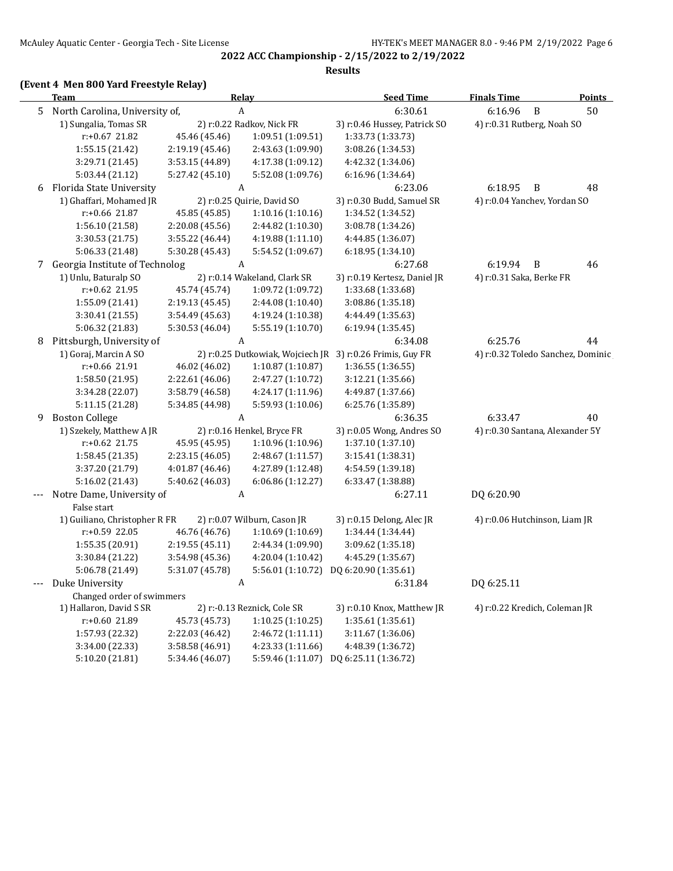# **(Event 4 Men 800 Yard Freestyle Relay)**

 $\overline{\phantom{a}}$ 

|   | <b>Team</b>                      |                 | <b>Relay</b>                 | <b>Seed Time</b>                                          | <b>Finals Time</b>                | <b>Points</b> |
|---|----------------------------------|-----------------|------------------------------|-----------------------------------------------------------|-----------------------------------|---------------|
|   | 5 North Carolina, University of, |                 | $\boldsymbol{A}$             | 6:30.61                                                   | 6:16.96<br>B                      | 50            |
|   | 1) Sungalia, Tomas SR            |                 | 2) r:0.22 Radkov, Nick FR    | 3) r:0.46 Hussey, Patrick SO                              | 4) r:0.31 Rutberg, Noah SO        |               |
|   | r:+0.67 21.82                    | 45.46 (45.46)   | 1:09.51 (1:09.51)            | 1:33.73 (1:33.73)                                         |                                   |               |
|   | 1:55.15 (21.42)                  | 2:19.19 (45.46) | 2:43.63 (1:09.90)            | 3:08.26 (1:34.53)                                         |                                   |               |
|   | 3:29.71 (21.45)                  | 3:53.15 (44.89) | 4:17.38 (1:09.12)            | 4:42.32 (1:34.06)                                         |                                   |               |
|   | 5:03.44 (21.12)                  | 5:27.42 (45.10) | 5:52.08 (1:09.76)            | 6:16.96 (1:34.64)                                         |                                   |               |
|   | 6 Florida State University       |                 | $\boldsymbol{A}$             | 6:23.06                                                   | 6:18.95<br>B                      | 48            |
|   | 1) Ghaffari, Mohamed JR          |                 | 2) r:0.25 Quirie, David SO   | 3) r:0.30 Budd, Samuel SR                                 | 4) r:0.04 Yanchev, Yordan SO      |               |
|   | $r: +0.66$ 21.87                 | 45.85 (45.85)   | 1:10.16 (1:10.16)            | 1:34.52 (1:34.52)                                         |                                   |               |
|   | 1:56.10 (21.58)                  | 2:20.08 (45.56) | 2:44.82 (1:10.30)            | 3:08.78 (1:34.26)                                         |                                   |               |
|   | 3:30.53 (21.75)                  | 3:55.22 (46.44) | 4:19.88 (1:11.10)            | 4:44.85 (1:36.07)                                         |                                   |               |
|   | 5:06.33 (21.48)                  | 5:30.28 (45.43) | 5:54.52 (1:09.67)            | 6:18.95 (1:34.10)                                         |                                   |               |
|   | 7 Georgia Institute of Technolog |                 | A                            | 6:27.68                                                   | 6:19.94<br>B                      | 46            |
|   | 1) Unlu, Baturalp SO             |                 | 2) r:0.14 Wakeland, Clark SR | 3) r:0.19 Kertesz, Daniel JR                              | 4) r:0.31 Saka, Berke FR          |               |
|   | $r: +0.62$ 21.95                 | 45.74 (45.74)   | 1:09.72 (1:09.72)            | 1:33.68 (1:33.68)                                         |                                   |               |
|   | 1:55.09 (21.41)                  | 2:19.13 (45.45) | 2:44.08 (1:10.40)            | 3:08.86 (1:35.18)                                         |                                   |               |
|   | 3:30.41 (21.55)                  | 3:54.49 (45.63) | 4:19.24 (1:10.38)            | 4:44.49 (1:35.63)                                         |                                   |               |
|   | 5:06.32 (21.83)                  | 5:30.53 (46.04) | 5:55.19 (1:10.70)            | 6:19.94 (1:35.45)                                         |                                   |               |
| 8 | Pittsburgh, University of        |                 | A                            | 6:34.08                                                   | 6:25.76                           | 44            |
|   | 1) Goraj, Marcin A SO            |                 |                              | 2) r:0.25 Dutkowiak, Wojciech JR 3) r:0.26 Frimis, Guy FR | 4) r:0.32 Toledo Sanchez, Dominic |               |
|   | r:+0.66 21.91                    | 46.02 (46.02)   | 1:10.87 (1:10.87)            | 1:36.55 (1:36.55)                                         |                                   |               |
|   | 1:58.50 (21.95)                  | 2:22.61 (46.06) | 2:47.27 (1:10.72)            | 3:12.21 (1:35.66)                                         |                                   |               |
|   | 3:34.28 (22.07)                  | 3:58.79 (46.58) | 4:24.17 (1:11.96)            | 4:49.87 (1:37.66)                                         |                                   |               |
|   | 5:11.15 (21.28)                  | 5:34.85 (44.98) | 5:59.93 (1:10.06)            | 6:25.76 (1:35.89)                                         |                                   |               |
|   | 9 Boston College                 |                 | A                            | 6:36.35                                                   | 6:33.47                           | 40            |
|   | 1) Szekely, Matthew A JR         |                 | 2) r:0.16 Henkel, Bryce FR   | 3) r:0.05 Wong, Andres SO                                 | 4) r:0.30 Santana, Alexander 5Y   |               |
|   | $r: +0.62$ 21.75                 | 45.95 (45.95)   | 1:10.96 (1:10.96)            | 1:37.10 (1:37.10)                                         |                                   |               |
|   | 1:58.45(21.35)                   | 2:23.15 (46.05) | 2:48.67 (1:11.57)            | 3:15.41 (1:38.31)                                         |                                   |               |
|   | 3:37.20 (21.79)                  | 4:01.87 (46.46) | 4:27.89 (1:12.48)            | 4:54.59 (1:39.18)                                         |                                   |               |
|   | 5:16.02 (21.43)                  | 5:40.62 (46.03) | 6:06.86(1:12.27)             | 6:33.47 (1:38.88)                                         |                                   |               |
|   | Notre Dame, University of        |                 | A                            | 6:27.11                                                   | DQ 6:20.90                        |               |
|   | False start                      |                 |                              |                                                           |                                   |               |
|   | 1) Guiliano, Christopher R FR    |                 | 2) r:0.07 Wilburn, Cason JR  | 3) r:0.15 Delong, Alec JR                                 | 4) r:0.06 Hutchinson, Liam JR     |               |
|   | r:+0.59 22.05                    | 46.76 (46.76)   | 1:10.69(1:10.69)             | 1:34.44 (1:34.44)                                         |                                   |               |
|   | 1:55.35 (20.91)                  | 2:19.55 (45.11) | 2:44.34 (1:09.90)            | 3:09.62 (1:35.18)                                         |                                   |               |
|   | 3:30.84 (21.22)                  | 3:54.98 (45.36) | 4:20.04 (1:10.42)            | 4:45.29 (1:35.67)                                         |                                   |               |
|   | 5:06.78 (21.49)                  | 5:31.07 (45.78) |                              | 5:56.01 (1:10.72) DQ 6:20.90 (1:35.61)                    |                                   |               |
|   | Duke University                  |                 | A                            | 6:31.84                                                   | DQ 6:25.11                        |               |
|   | Changed order of swimmers        |                 |                              |                                                           |                                   |               |
|   | 1) Hallaron, David S SR          |                 | 2) r:-0.13 Reznick, Cole SR  | 3) r:0.10 Knox, Matthew JR                                | 4) r:0.22 Kredich, Coleman JR     |               |
|   | $r: +0.60$ 21.89                 | 45.73 (45.73)   | 1:10.25(1:10.25)             | 1:35.61 (1:35.61)                                         |                                   |               |
|   | 1:57.93 (22.32)                  | 2:22.03 (46.42) | 2:46.72 (1:11.11)            | 3:11.67 (1:36.06)                                         |                                   |               |
|   | 3:34.00 (22.33)                  | 3:58.58 (46.91) | 4:23.33 (1:11.66)            | 4:48.39 (1:36.72)                                         |                                   |               |
|   | 5:10.20 (21.81)                  | 5:34.46 (46.07) | 5:59.46 (1:11.07)            | DQ 6:25.11 (1:36.72)                                      |                                   |               |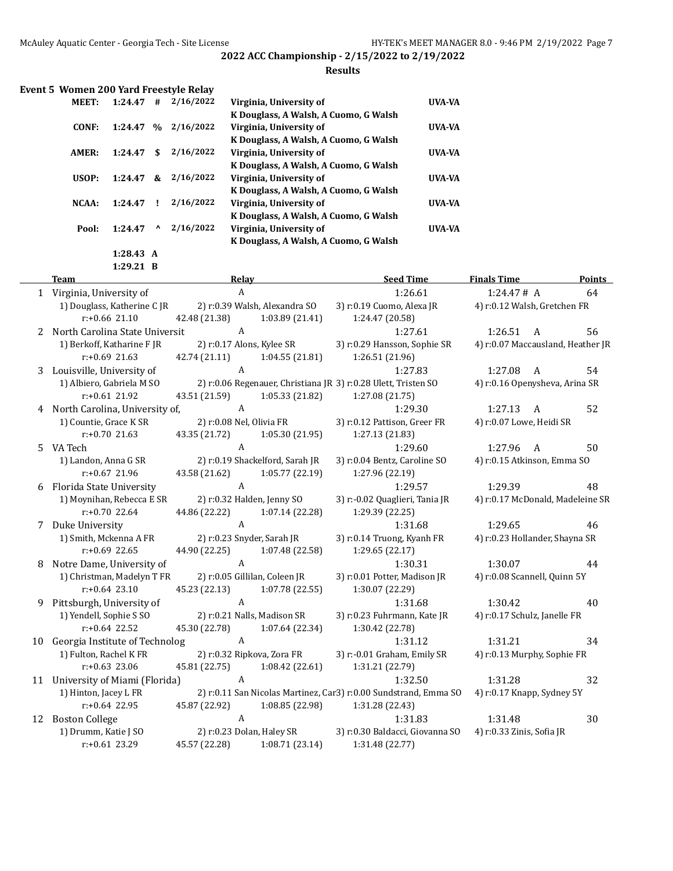#### **Results**

| Event 5 Women 200 Yard Freestyle Relay |           |                    |           |                                       |                |
|----------------------------------------|-----------|--------------------|-----------|---------------------------------------|----------------|
| <b>MEET:</b>                           | 1:24.47   | #                  | 2/16/2022 | Virginia, University of               | UVA-VA         |
|                                        |           |                    |           | K Douglass, A Walsh, A Cuomo, G Walsh |                |
| CONF:                                  | 1:24.47   | $\frac{9}{6}$      | 2/16/2022 | Virginia, University of               | UVA-VA         |
|                                        |           |                    |           | K Douglass, A Walsh, A Cuomo, G Walsh |                |
| AMER:                                  | 1:24.47   | \$.                | 2/16/2022 | Virginia, University of               | UVA-VA         |
|                                        |           |                    |           | K Douglass, A Walsh, A Cuomo, G Walsh |                |
| USOP:                                  | 1:24.47   | &                  | 2/16/2022 | Virginia, University of               | UVA-VA         |
|                                        |           |                    |           | K Douglass, A Walsh, A Cuomo, G Walsh |                |
| NCAA:                                  | 1:24.47   | Ţ.                 | 2/16/2022 | Virginia, University of               | UVA-VA         |
|                                        |           |                    |           | K Douglass, A Walsh, A Cuomo, G Walsh |                |
| Pool:                                  | 1:24.47   | $\mathbf{\Lambda}$ | 2/16/2022 | Virginia, University of               | <b>IJVA-VA</b> |
|                                        |           |                    |           | K Douglass, A Walsh, A Cuomo, G Walsh |                |
|                                        | 1:28.43 A |                    |           |                                       |                |

**1:29.21 B**

|    | <b>Team</b>                    | Relay                            | <b>Seed Time</b>                                                 | <b>Finals Time</b>                | <b>Points</b> |
|----|--------------------------------|----------------------------------|------------------------------------------------------------------|-----------------------------------|---------------|
|    | 1 Virginia, University of      | A                                | 1:26.61                                                          | 1:24.47# A                        | 64            |
|    | 1) Douglass, Katherine C JR    | 2) r:0.39 Walsh, Alexandra SO    | 3) r:0.19 Cuomo, Alexa JR                                        | 4) r:0.12 Walsh, Gretchen FR      |               |
|    | $r: +0.66$ 21.10               | 42.48 (21.38)<br>1:03.89(21.41)  | 1:24.47 (20.58)                                                  |                                   |               |
| 2  | North Carolina State Universit | A                                | 1:27.61                                                          | 1:26.51<br>A                      | 56            |
|    | 1) Berkoff, Katharine F JR     | 2) r:0.17 Alons, Kylee SR        | 3) r:0.29 Hansson, Sophie SR                                     | 4) r:0.07 Maccausland, Heather JR |               |
|    | $r: +0.69$ 21.63               | 42.74 (21.11)<br>1:04.55 (21.81) | 1:26.51 (21.96)                                                  |                                   |               |
| 3  | Louisville, University of      | A                                | 1:27.83                                                          | 1:27.08<br>A                      | 54            |
|    | 1) Albiero, Gabriela M SO      |                                  | 2) r:0.06 Regenauer, Christiana JR 3) r:0.28 Ulett, Tristen SO   | 4) r:0.16 Openysheva, Arina SR    |               |
|    | $r: +0.61$ 21.92               | 1:05.33 (21.82)<br>43.51 (21.59) | 1:27.08 (21.75)                                                  |                                   |               |
| 4  | North Carolina, University of, | A                                | 1:29.30                                                          | 1:27.13<br>A                      | 52            |
|    | 1) Countie, Grace K SR         | 2) r:0.08 Nel, Olivia FR         | 3) r:0.12 Pattison, Greer FR                                     | 4) r:0.07 Lowe, Heidi SR          |               |
|    | $r: +0.70$ 21.63               | 43.35 (21.72)<br>1:05.30 (21.95) | 1:27.13 (21.83)                                                  |                                   |               |
| 5  | VA Tech                        | A                                | 1:29.60                                                          | 1:27.96<br>A                      | 50            |
|    | 1) Landon, Anna G SR           | 2) r:0.19 Shackelford, Sarah JR  | 3) r:0.04 Bentz, Caroline SO                                     | 4) r:0.15 Atkinson, Emma SO       |               |
|    | r:+0.67 21.96                  | 43.58 (21.62)<br>1:05.77 (22.19) | 1:27.96 (22.19)                                                  |                                   |               |
| 6  | Florida State University       | $\mathbf{A}$                     | 1:29.57                                                          | 1:29.39                           | 48            |
|    | 1) Moynihan, Rebecca E SR      | 2) r:0.32 Halden, Jenny SO       | 3) r:-0.02 Quaglieri, Tania JR                                   | 4) r:0.17 McDonald, Madeleine SR  |               |
|    | $r: +0.70$ 22.64               | 44.86 (22.22)<br>1:07.14 (22.28) | 1:29.39 (22.25)                                                  |                                   |               |
| 7  | Duke University                | A                                | 1:31.68                                                          | 1:29.65                           | 46            |
|    | 1) Smith, Mckenna A FR         | 2) r:0.23 Snyder, Sarah JR       | 3) r:0.14 Truong, Kyanh FR                                       | 4) r:0.23 Hollander, Shayna SR    |               |
|    | $r: +0.69$ 22.65               | 1:07.48 (22.58)<br>44.90 (22.25) | 1:29.65 (22.17)                                                  |                                   |               |
| 8  | Notre Dame, University of      | $\boldsymbol{A}$                 | 1:30.31                                                          | 1:30.07                           | 44            |
|    | 1) Christman, Madelyn T FR     | 2) r:0.05 Gillilan, Coleen JR    | 3) r:0.01 Potter, Madison JR                                     | 4) r:0.08 Scannell, Quinn 5Y      |               |
|    | $r: +0.64$ 23.10               | 45.23 (22.13)<br>1:07.78 (22.55) | 1:30.07 (22.29)                                                  |                                   |               |
| 9  | Pittsburgh, University of      | $\boldsymbol{A}$                 | 1:31.68                                                          | 1:30.42                           | 40            |
|    | 1) Yendell, Sophie S SO        | 2) r:0.21 Nalls, Madison SR      | 3) r:0.23 Fuhrmann, Kate JR                                      | 4) r:0.17 Schulz, Janelle FR      |               |
|    | $r: +0.64$ 22.52               | 45.30 (22.78)<br>1:07.64 (22.34) | 1:30.42 (22.78)                                                  |                                   |               |
| 10 | Georgia Institute of Technolog | $\boldsymbol{A}$                 | 1:31.12                                                          | 1:31.21                           | 34            |
|    | 1) Fulton, Rachel K FR         | 2) r:0.32 Ripkova, Zora FR       | 3) r:-0.01 Graham, Emily SR                                      | 4) r:0.13 Murphy, Sophie FR       |               |
|    | $r: +0.63$ 23.06               | 45.81 (22.75)<br>1:08.42 (22.61) | 1:31.21 (22.79)                                                  |                                   |               |
| 11 | University of Miami (Florida)  | A                                | 1:32.50                                                          | 1:31.28                           | 32            |
|    | 1) Hinton, Jacey L FR          |                                  | 2) r:0.11 San Nicolas Martinez, Car3) r:0.00 Sundstrand, Emma SO | 4) r:0.17 Knapp, Sydney 5Y        |               |
|    | $r: +0.64$ 22.95               | 45.87 (22.92)<br>1:08.85 (22.98) | 1:31.28 (22.43)                                                  |                                   |               |
| 12 | <b>Boston College</b>          | $\boldsymbol{A}$                 | 1:31.83                                                          | 1:31.48                           | 30            |
|    | 1) Drumm, Katie J SO           | 2) r:0.23 Dolan, Haley SR        | 3) r:0.30 Baldacci, Giovanna SO                                  | 4) r:0.33 Zinis, Sofia JR         |               |
|    | $r: +0.61$ 23.29               | 45.57 (22.28)<br>1:08.71 (23.14) | 1:31.48 (22.77)                                                  |                                   |               |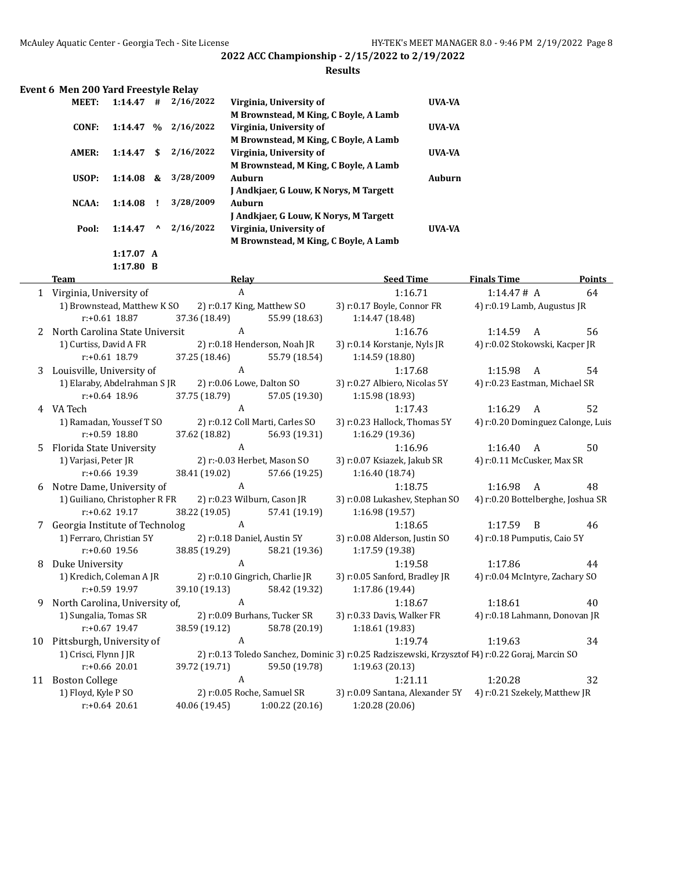#### **Results**

|  |  |  | Event 6 Men 200 Yard Freestyle Relay |
|--|--|--|--------------------------------------|
|--|--|--|--------------------------------------|

| MEET: | 1:14.47   | #    | 2/16/2022 | Virginia, University of                | <b>UVA-VA</b> |
|-------|-----------|------|-----------|----------------------------------------|---------------|
|       |           |      |           | M Brownstead, M King, C Boyle, A Lamb  |               |
| CONF: | 1:14.47   | $\%$ | 2/16/2022 | Virginia, University of                | UVA-VA        |
|       |           |      |           | M Brownstead, M King, C Boyle, A Lamb  |               |
| AMER: | 1:14.47   | \$   | 2/16/2022 | Virginia, University of                | UVA-VA        |
|       |           |      |           | M Brownstead, M King, C Boyle, A Lamb  |               |
| USOP: | 1:14.08   | &    | 3/28/2009 | Auburn                                 | Auburn        |
|       |           |      |           | J Andkjaer, G Louw, K Norys, M Targett |               |
| NCAA: | 1:14.08   |      | 3/28/2009 | Auburn                                 |               |
|       |           |      |           | J Andkjaer, G Louw, K Norys, M Targett |               |
| Pool: | 1:14.47   | ^    | 2/16/2022 | Virginia, University of                | UVA-VA        |
|       |           |      |           | M Brownstead, M King, C Boyle, A Lamb  |               |
|       | 1:17.07 A |      |           |                                        |               |

**1:17.80 B**

|                | <b>Team</b>                      | Relay                       |                                 | <b>Seed Time</b>                                                                                | <b>Finals Time</b>                | Points |
|----------------|----------------------------------|-----------------------------|---------------------------------|-------------------------------------------------------------------------------------------------|-----------------------------------|--------|
|                | 1 Virginia, University of        | A                           |                                 | 1:16.71                                                                                         | 1:14.47#A                         | 64     |
|                | 1) Brownstead, Matthew K SO      |                             | 2) r:0.17 King, Matthew SO      | 3) r:0.17 Boyle, Connor FR                                                                      | 4) r:0.19 Lamb, Augustus JR       |        |
|                | $r: +0.61$ 18.87                 | 37.36 (18.49)               | 55.99 (18.63)                   | 1:14.47 (18.48)                                                                                 |                                   |        |
|                | 2 North Carolina State Universit | A                           |                                 | 1:16.76                                                                                         | 1:14.59<br>A                      | 56     |
|                | 1) Curtiss, David A FR           |                             | 2) r:0.18 Henderson, Noah JR    | 3) r:0.14 Korstanje, Nyls JR                                                                    | 4) r:0.02 Stokowski, Kacper JR    |        |
|                | $r: +0.61$ 18.79                 | 37.25 (18.46)               | 55.79 (18.54)                   | 1:14.59 (18.80)                                                                                 |                                   |        |
| 3 <sup>1</sup> | Louisville, University of        | A                           |                                 | 1:17.68                                                                                         | 1:15.98<br>A                      | 54     |
|                | 1) Elaraby, Abdelrahman SJR      | 2) r:0.06 Lowe, Dalton SO   |                                 | 3) r:0.27 Albiero, Nicolas 5Y                                                                   | 4) r:0.23 Eastman, Michael SR     |        |
|                | $r: +0.64$ 18.96                 | 37.75 (18.79)               | 57.05 (19.30)                   | 1:15.98 (18.93)                                                                                 |                                   |        |
|                | 4 VA Tech                        | A                           |                                 | 1:17.43                                                                                         | 1:16.29<br>A                      | 52     |
|                | 1) Ramadan, Youssef T SO         |                             | 2) r:0.12 Coll Marti, Carles SO | 3) r:0.23 Hallock, Thomas 5Y                                                                    | 4) r:0.20 Dominguez Calonge, Luis |        |
|                | r:+0.59 18.80                    | 37.62 (18.82)               | 56.93 (19.31)                   | 1:16.29 (19.36)                                                                                 |                                   |        |
| 5              | Florida State University         | $\mathbf{A}$                |                                 | 1:16.96                                                                                         | 1:16.40<br>A                      | 50     |
|                | 1) Varjasi, Peter JR             |                             | 2) r:-0.03 Herbet, Mason SO     | 3) r:0.07 Ksiazek, Jakub SR                                                                     | 4) r:0.11 McCusker, Max SR        |        |
|                | $r: +0.66$ 19.39                 | 38.41 (19.02)               | 57.66 (19.25)                   | 1:16.40 (18.74)                                                                                 |                                   |        |
| 6              | Notre Dame, University of        | A                           |                                 | 1:18.75                                                                                         | 1:16.98<br>A                      | 48     |
|                | 1) Guiliano, Christopher R FR    |                             | 2) r:0.23 Wilburn, Cason JR     | 3) r:0.08 Lukashev, Stephan SO                                                                  | 4) r:0.20 Bottelberghe, Joshua SR |        |
|                | $r: +0.62$ 19.17                 | 38.22 (19.05)               | 57.41 (19.19)                   | 1:16.98 (19.57)                                                                                 |                                   |        |
|                | 7 Georgia Institute of Technolog | $\mathbf{A}$                |                                 | 1:18.65                                                                                         | 1:17.59<br>$\overline{B}$         | 46     |
|                | 1) Ferraro, Christian 5Y         | 2) r:0.18 Daniel, Austin 5Y |                                 | 3) r:0.08 Alderson, Justin SO                                                                   | 4) r:0.18 Pumputis, Caio 5Y       |        |
|                | $r: +0.60$ 19.56                 | 38.85 (19.29)               | 58.21 (19.36)                   | 1:17.59 (19.38)                                                                                 |                                   |        |
| 8              | Duke University                  | $\mathsf{A}$                |                                 | 1:19.58                                                                                         | 1:17.86                           | 44     |
|                | 1) Kredich, Coleman A JR         |                             | 2) r:0.10 Gingrich, Charlie JR  | 3) r:0.05 Sanford, Bradley JR                                                                   | 4) r:0.04 McIntyre, Zachary SO    |        |
|                | $r: +0.59$ 19.97                 | 39.10 (19.13)               | 58.42 (19.32)                   | 1:17.86 (19.44)                                                                                 |                                   |        |
| 9              | North Carolina, University of,   | A                           |                                 | 1:18.67                                                                                         | 1:18.61                           | 40     |
|                | 1) Sungalia, Tomas SR            |                             | 2) r:0.09 Burhans, Tucker SR    | 3) r:0.33 Davis, Walker FR                                                                      | 4) r:0.18 Lahmann, Donovan JR     |        |
|                | $r: +0.67$ 19.47                 | 38.59 (19.12)               | 58.78 (20.19)                   | 1:18.61 (19.83)                                                                                 |                                   |        |
| 10             | Pittsburgh, University of        | A                           |                                 | 1:19.74                                                                                         | 1:19.63                           | 34     |
|                | 1) Crisci, Flynn J JR            |                             |                                 | 2) r:0.13 Toledo Sanchez, Dominic 3) r:0.25 Radziszewski, Krzysztof F4) r:0.22 Goraj, Marcin SO |                                   |        |
|                | $r: +0.66$ 20.01                 | 39.72 (19.71)               | 59.50 (19.78)                   | 1:19.63 (20.13)                                                                                 |                                   |        |
| 11             | <b>Boston College</b>            | A                           |                                 | 1:21.11                                                                                         | 1:20.28                           | 32     |
|                | 1) Floyd, Kyle P SO              |                             | 2) r:0.05 Roche, Samuel SR      | 3) r:0.09 Santana, Alexander 5Y                                                                 | 4) r:0.21 Szekely, Matthew JR     |        |
|                | $r: +0.64$ 20.61                 | 40.06 (19.45)               | 1:00.22(20.16)                  | 1:20.28 (20.06)                                                                                 |                                   |        |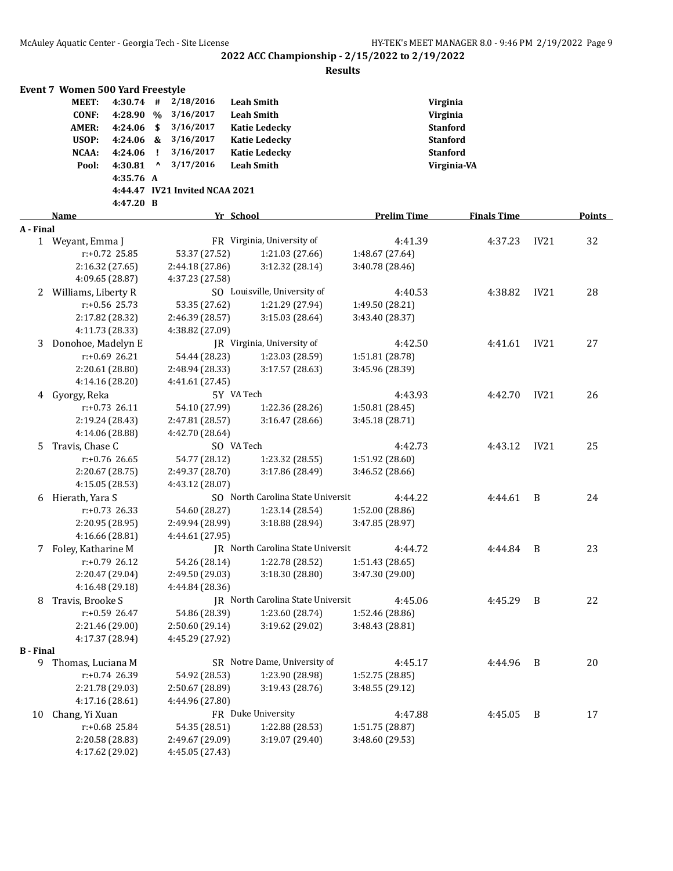|                  | <b>Event 7 Women 500 Yard Freestyle</b> |             |                    |                                    |                                   |                    |                    |         |      |        |
|------------------|-----------------------------------------|-------------|--------------------|------------------------------------|-----------------------------------|--------------------|--------------------|---------|------|--------|
|                  | <b>MEET:</b>                            | $4:30.74$ # |                    | 2/18/2016                          | <b>Leah Smith</b>                 |                    | Virginia           |         |      |        |
|                  | <b>CONF:</b>                            | 4:28.90 %   |                    | 3/16/2017                          | <b>Leah Smith</b>                 |                    | Virginia           |         |      |        |
|                  | <b>AMER:</b>                            | 4:24.06     | \$                 | 3/16/2017                          | <b>Katie Ledecky</b>              |                    | <b>Stanford</b>    |         |      |        |
|                  | USOP:                                   | 4:24.06 &   |                    | 3/16/2017                          | <b>Katie Ledecky</b>              |                    | <b>Stanford</b>    |         |      |        |
|                  | NCAA:                                   | 4:24.06     | Ч.                 | 3/16/2017                          | <b>Katie Ledecky</b>              |                    | <b>Stanford</b>    |         |      |        |
|                  | Pool:                                   | 4:30.81     | $\pmb{\mathsf{v}}$ | 3/17/2016                          | <b>Leah Smith</b>                 |                    | Virginia-VA        |         |      |        |
|                  |                                         | 4:35.76 A   |                    |                                    |                                   |                    |                    |         |      |        |
|                  |                                         |             |                    | 4:44.47 IV21 Invited NCAA 2021     |                                   |                    |                    |         |      |        |
|                  |                                         | 4:47.20 B   |                    |                                    |                                   |                    |                    |         |      |        |
|                  | Name                                    |             |                    |                                    | Yr School                         | <b>Prelim Time</b> | <b>Finals Time</b> |         |      | Points |
| A - Final        |                                         |             |                    |                                    |                                   |                    |                    |         |      |        |
|                  | 1 Weyant, Emma J                        |             |                    |                                    | FR Virginia, University of        | 4:41.39            |                    | 4:37.23 | IV21 | 32     |
|                  | $r: +0.72$ 25.85                        |             |                    | 53.37 (27.52)                      | 1:21.03 (27.66)                   | 1:48.67 (27.64)    |                    |         |      |        |
|                  | 2:16.32 (27.65)                         |             |                    | 2:44.18 (27.86)                    | 3:12.32 (28.14)                   | 3:40.78 (28.46)    |                    |         |      |        |
|                  | 4:09.65 (28.87)                         |             |                    | 4:37.23 (27.58)                    |                                   |                    |                    |         |      |        |
| 2                | Williams, Liberty R                     |             |                    |                                    | SO Louisville, University of      | 4:40.53            |                    | 4:38.82 | IV21 | 28     |
|                  | $r: +0.56$ 25.73                        |             |                    | 53.35 (27.62)                      | 1:21.29 (27.94)                   | 1:49.50 (28.21)    |                    |         |      |        |
|                  | 2:17.82 (28.32)                         |             |                    | 2:46.39 (28.57)                    | 3:15.03(28.64)                    | 3:43.40 (28.37)    |                    |         |      |        |
|                  | 4:11.73 (28.33)                         |             |                    | 4:38.82 (27.09)                    |                                   |                    |                    |         |      |        |
| 3                | Donohoe, Madelyn E                      |             |                    |                                    | JR Virginia, University of        | 4:42.50            |                    | 4:41.61 | IV21 | 27     |
|                  | $r: +0.69$ 26.21                        |             |                    | 54.44 (28.23)                      | 1:23.03 (28.59)                   | 1:51.81 (28.78)    |                    |         |      |        |
|                  | 2:20.61 (28.80)                         |             |                    | 2:48.94 (28.33)                    | 3:17.57 (28.63)                   | 3:45.96 (28.39)    |                    |         |      |        |
|                  | 4:14.16 (28.20)                         |             |                    | 4:41.61 (27.45)                    |                                   |                    |                    |         |      |        |
|                  | 4 Gyorgy, Reka                          |             |                    |                                    | 5Y VA Tech                        | 4:43.93            |                    | 4:42.70 | IV21 | 26     |
|                  | $r: +0.73$ 26.11                        |             |                    | 54.10 (27.99)                      | 1:22.36 (28.26)                   | 1:50.81 (28.45)    |                    |         |      |        |
|                  | 2:19.24 (28.43)                         |             |                    | 2:47.81 (28.57)                    | 3:16.47 (28.66)                   | 3:45.18 (28.71)    |                    |         |      |        |
|                  | 4:14.06 (28.88)                         |             |                    | 4:42.70 (28.64)                    |                                   |                    |                    |         |      |        |
| 5.               | Travis, Chase C                         |             |                    |                                    | SO VA Tech                        | 4:42.73            |                    | 4:43.12 | IV21 | 25     |
|                  | r:+0.76 26.65                           |             |                    | 54.77 (28.12)                      | 1:23.32 (28.55)                   | 1:51.92 (28.60)    |                    |         |      |        |
|                  | 2:20.67 (28.75)                         |             |                    | 2:49.37 (28.70)                    | 3:17.86 (28.49)                   | 3:46.52 (28.66)    |                    |         |      |        |
|                  | 4:15.05 (28.53)                         |             |                    | 4:43.12 (28.07)                    |                                   |                    |                    |         |      |        |
|                  | 6 Hierath, Yara S                       |             |                    |                                    | SO North Carolina State Universit | 4:44.22            |                    | 4:44.61 | - B  | 24     |
|                  | $r: +0.73$ 26.33                        |             |                    | 54.60 (28.27)                      | 1:23.14 (28.54)                   | 1:52.00 (28.86)    |                    |         |      |        |
|                  | 2:20.95 (28.95)                         |             |                    | 2:49.94 (28.99)                    | 3:18.88 (28.94)                   | 3:47.85 (28.97)    |                    |         |      |        |
|                  | 4:16.66 (28.81)                         |             |                    | 4:44.61 (27.95)                    |                                   |                    |                    |         |      |        |
| 7                | Foley, Katharine M                      |             |                    |                                    | JR North Carolina State Universit | 4:44.72            |                    | 4:44.84 | B    | 23     |
|                  | $r: +0.79$ 26.12                        |             |                    | 54.26 (28.14)                      | 1:22.78 (28.52)                   | 1:51.43(28.65)     |                    |         |      |        |
|                  |                                         |             |                    |                                    |                                   |                    |                    |         |      |        |
|                  | 2:20.47 (29.04)<br>4:16.48 (29.18)      |             |                    | 2:49.50 (29.03)<br>4:44.84 (28.36) | 3:18.30 (28.80)                   | 3:47.30 (29.00)    |                    |         |      |        |
| 8                | Travis, Brooke S                        |             |                    |                                    | JR North Carolina State Universit | 4:45.06            |                    |         |      |        |
|                  | $r: +0.59$ 26.47                        |             |                    | 54.86 (28.39)                      | 1:23.60 (28.74)                   |                    |                    | 4:45.29 | B    | 22     |
|                  |                                         |             |                    |                                    | 3:19.62 (29.02)                   | 1:52.46 (28.86)    |                    |         |      |        |
|                  | 2:21.46 (29.00)                         |             |                    | 2:50.60 (29.14)                    |                                   | 3:48.43 (28.81)    |                    |         |      |        |
| <b>B</b> - Final | 4:17.37 (28.94)                         |             |                    | 4:45.29 (27.92)                    |                                   |                    |                    |         |      |        |
| 9                | Thomas, Luciana M                       |             |                    |                                    | SR Notre Dame, University of      | 4:45.17            |                    | 4:44.96 | - B  | 20     |
|                  | r:+0.74 26.39                           |             |                    | 54.92 (28.53)                      | 1:23.90 (28.98)                   | 1:52.75 (28.85)    |                    |         |      |        |
|                  | 2:21.78 (29.03)                         |             |                    | 2:50.67 (28.89)                    | 3:19.43 (28.76)                   | 3:48.55 (29.12)    |                    |         |      |        |
|                  | 4:17.16 (28.61)                         |             |                    | 4:44.96 (27.80)                    |                                   |                    |                    |         |      |        |
| 10               | Chang, Yi Xuan                          |             |                    |                                    | FR Duke University                | 4:47.88            |                    | 4:45.05 | B    | 17     |
|                  | r:+0.68 25.84                           |             |                    | 54.35 (28.51)                      | 1:22.88 (28.53)                   | 1:51.75 (28.87)    |                    |         |      |        |
|                  | 2:20.58 (28.83)                         |             |                    |                                    | 3:19.07 (29.40)                   | 3:48.60 (29.53)    |                    |         |      |        |
|                  |                                         |             |                    | 2:49.67 (29.09)                    |                                   |                    |                    |         |      |        |
|                  | 4:17.62 (29.02)                         |             |                    | 4:45.05 (27.43)                    |                                   |                    |                    |         |      |        |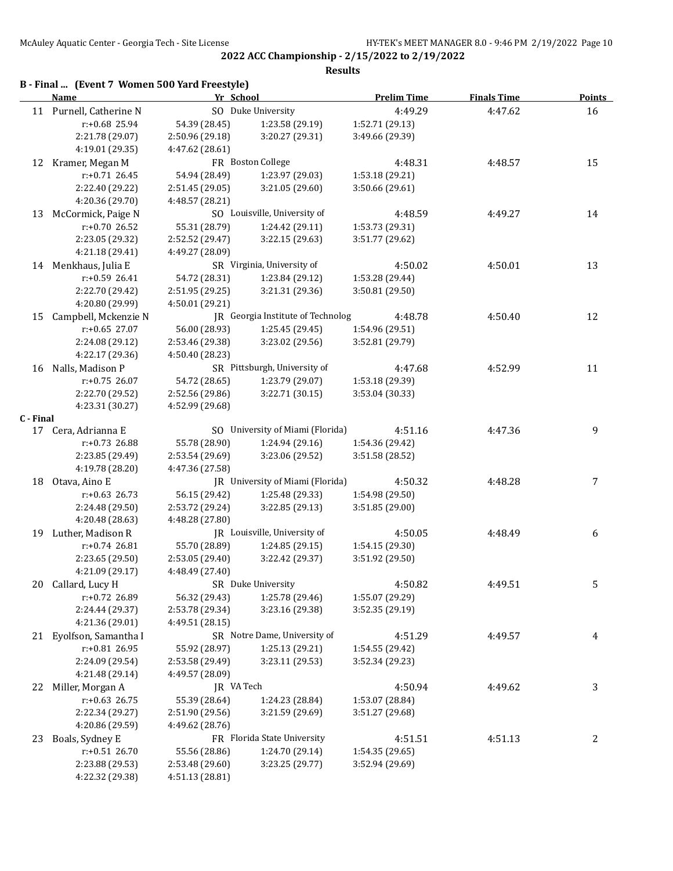**2022 ACC Championship - 2/15/2022 to 2/19/2022 Results**

# **B - Final ... (Event 7 Women 500 Yard Freestyle)**

|           | <b>Name</b>             | Yr School          |                                   | <b>Prelim Time</b> | <b>Finals Time</b> | <b>Points</b> |
|-----------|-------------------------|--------------------|-----------------------------------|--------------------|--------------------|---------------|
|           | 11 Purnell, Catherine N |                    | SO Duke University                | 4:49.29            | 4:47.62            | 16            |
|           | r:+0.68 25.94           | 54.39 (28.45)      | 1:23.58 (29.19)                   | 1:52.71 (29.13)    |                    |               |
|           | 2:21.78 (29.07)         | 2:50.96 (29.18)    | 3:20.27 (29.31)                   | 3:49.66 (29.39)    |                    |               |
|           | 4:19.01 (29.35)         | 4:47.62 (28.61)    |                                   |                    |                    |               |
|           | 12 Kramer, Megan M      |                    | FR Boston College                 | 4:48.31            | 4:48.57            | 15            |
|           | $r: +0.71$ 26.45        | 54.94 (28.49)      | 1:23.97 (29.03)                   | 1:53.18 (29.21)    |                    |               |
|           | 2:22.40 (29.22)         | 2:51.45 (29.05)    | 3:21.05 (29.60)                   | 3:50.66 (29.61)    |                    |               |
|           | 4:20.36 (29.70)         | 4:48.57 (28.21)    |                                   |                    |                    |               |
| 13        | McCormick, Paige N      |                    | SO Louisville, University of      | 4:48.59            | 4:49.27            | 14            |
|           | r:+0.70 26.52           | 55.31 (28.79)      | 1:24.42 (29.11)                   | 1:53.73 (29.31)    |                    |               |
|           | 2:23.05 (29.32)         | 2:52.52 (29.47)    | 3:22.15 (29.63)                   | 3:51.77 (29.62)    |                    |               |
|           | 4:21.18 (29.41)         | 4:49.27 (28.09)    |                                   |                    |                    |               |
|           | 14 Menkhaus, Julia E    |                    | SR Virginia, University of        | 4:50.02            | 4:50.01            | 13            |
|           | r:+0.59 26.41           | 54.72 (28.31)      | 1:23.84 (29.12)                   | 1:53.28 (29.44)    |                    |               |
|           | 2:22.70 (29.42)         | 2:51.95 (29.25)    | 3:21.31 (29.36)                   | 3:50.81 (29.50)    |                    |               |
|           | 4:20.80 (29.99)         | 4:50.01 (29.21)    |                                   |                    |                    |               |
| 15        | Campbell, Mckenzie N    |                    | JR Georgia Institute of Technolog | 4:48.78            | 4:50.40            | 12            |
|           | $r: +0.65$ 27.07        | 56.00 (28.93)      | 1:25.45 (29.45)                   | 1:54.96 (29.51)    |                    |               |
|           | 2:24.08 (29.12)         | 2:53.46 (29.38)    | 3:23.02 (29.56)                   | 3:52.81 (29.79)    |                    |               |
|           | 4:22.17 (29.36)         | 4:50.40 (28.23)    |                                   |                    |                    |               |
| 16        | Nalls, Madison P        |                    | SR Pittsburgh, University of      | 4:47.68            | 4:52.99            | 11            |
|           | $r: +0.75$ 26.07        | 54.72 (28.65)      | 1:23.79 (29.07)                   | 1:53.18 (29.39)    |                    |               |
|           | 2:22.70 (29.52)         | 2:52.56 (29.86)    | 3:22.71 (30.15)                   | 3:53.04 (30.33)    |                    |               |
|           | 4:23.31 (30.27)         | 4:52.99 (29.68)    |                                   |                    |                    |               |
| C - Final |                         |                    |                                   |                    |                    |               |
|           | 17 Cera, Adrianna E     |                    | SO University of Miami (Florida)  | 4:51.16            | 4:47.36            | 9             |
|           | $r: +0.73$ 26.88        | 55.78 (28.90)      | 1:24.94 (29.16)                   | 1:54.36 (29.42)    |                    |               |
|           | 2:23.85 (29.49)         | 2:53.54 (29.69)    | 3:23.06 (29.52)                   | 3:51.58(28.52)     |                    |               |
|           | 4:19.78 (28.20)         | 4:47.36 (27.58)    |                                   |                    |                    |               |
|           | 18 Otava, Aino E        |                    | JR University of Miami (Florida)  | 4:50.32            | 4:48.28            | 7             |
|           | $r: +0.63$ 26.73        | 56.15 (29.42)      | 1:25.48 (29.33)                   | 1:54.98 (29.50)    |                    |               |
|           | 2:24.48 (29.50)         | 2:53.72 (29.24)    | 3:22.85 (29.13)                   | 3:51.85 (29.00)    |                    |               |
|           | 4:20.48 (28.63)         | 4:48.28 (27.80)    |                                   |                    |                    |               |
|           | 19 Luther, Madison R    |                    | JR Louisville, University of      | 4:50.05            | 4:48.49            | 6             |
|           | r:+0.74 26.81           | 55.70 (28.89)      | 1:24.85 (29.15)                   | 1:54.15 (29.30)    |                    |               |
|           | 2:23.65 (29.50)         | 2:53.05 (29.40)    | 3:22.42 (29.37)                   | 3:51.92 (29.50)    |                    |               |
|           | 4:21.09 (29.17)         | 4:48.49 (27.40)    |                                   |                    |                    |               |
|           | 20 Callard, Lucy H      | SR Duke University |                                   | 4:50.82            | 4:49.51            | 5             |
|           | r:+0.72 26.89           | 56.32 (29.43)      | 1:25.78 (29.46)                   | 1:55.07 (29.29)    |                    |               |
|           | 2:24.44 (29.37)         | 2:53.78 (29.34)    | 3:23.16 (29.38)                   | 3:52.35 (29.19)    |                    |               |
|           | 4:21.36 (29.01)         | 4:49.51 (28.15)    |                                   |                    |                    |               |
|           | 21 Eyolfson, Samantha I |                    | SR Notre Dame, University of      | 4:51.29            | 4:49.57            | 4             |
|           | r:+0.81 26.95           | 55.92 (28.97)      | 1:25.13 (29.21)                   | 1:54.55 (29.42)    |                    |               |
|           | 2:24.09 (29.54)         | 2:53.58 (29.49)    | 3:23.11 (29.53)                   | 3:52.34 (29.23)    |                    |               |
|           | 4:21.48 (29.14)         | 4:49.57 (28.09)    |                                   |                    |                    |               |
| 22        | Miller, Morgan A        | JR VA Tech         |                                   | 4:50.94            | 4:49.62            | 3             |
|           | $r: +0.63$ 26.75        | 55.39 (28.64)      | 1:24.23 (28.84)                   | 1:53.07 (28.84)    |                    |               |
|           | 2:22.34 (29.27)         | 2:51.90 (29.56)    | 3:21.59 (29.69)                   | 3:51.27 (29.68)    |                    |               |
|           | 4:20.86 (29.59)         | 4:49.62 (28.76)    |                                   |                    |                    |               |
| 23        | Boals, Sydney E         |                    | FR Florida State University       | 4:51.51            | 4:51.13            | 2             |
|           | $r: +0.51$ 26.70        | 55.56 (28.86)      | 1:24.70 (29.14)                   | 1:54.35 (29.65)    |                    |               |
|           | 2:23.88 (29.53)         | 2:53.48 (29.60)    | 3:23.25 (29.77)                   | 3:52.94 (29.69)    |                    |               |
|           | 4:22.32 (29.38)         | 4:51.13 (28.81)    |                                   |                    |                    |               |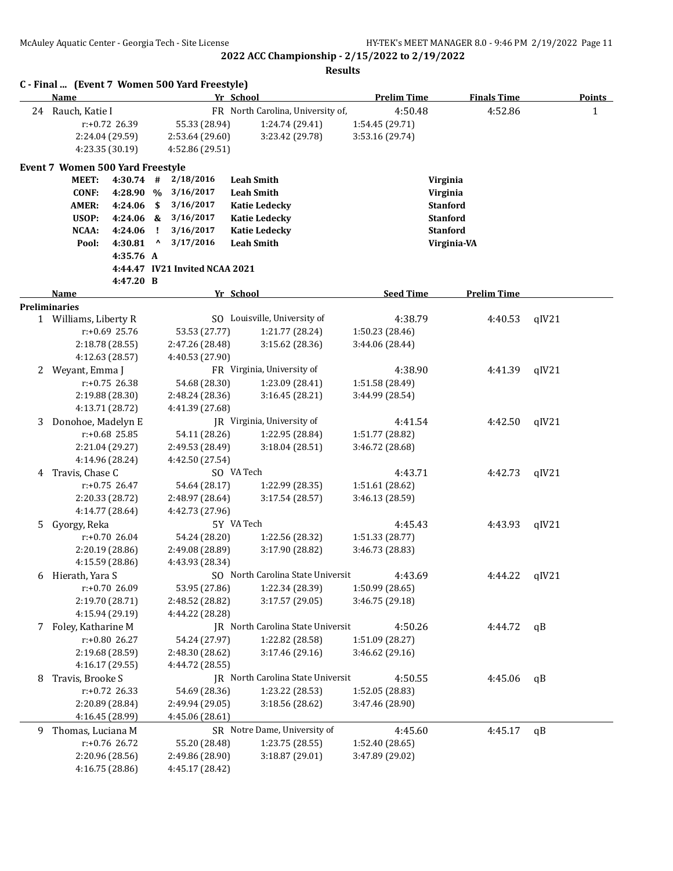**2022 ACC Championship - 2/15/2022 to 2/19/2022 Results**

|    | Name                                    |                                  |    |                                    | Yr School                          | <b>Prelim Time</b>                 | <b>Finals Time</b> |       | <b>Points</b> |
|----|-----------------------------------------|----------------------------------|----|------------------------------------|------------------------------------|------------------------------------|--------------------|-------|---------------|
| 24 | Rauch, Katie I                          |                                  |    |                                    | FR North Carolina, University of,  | 4:50.48                            | 4:52.86            |       | 1             |
|    |                                         | r:+0.72 26.39                    |    | 55.33 (28.94)                      | 1:24.74 (29.41)                    | 1:54.45 (29.71)                    |                    |       |               |
|    |                                         | 2:24.04 (29.59)                  |    | 2:53.64 (29.60)                    | 3:23.42 (29.78)                    | 3:53.16 (29.74)                    |                    |       |               |
|    |                                         | 4:23.35 (30.19)                  |    | 4:52.86 (29.51)                    |                                    |                                    |                    |       |               |
|    | <b>Event 7 Women 500 Yard Freestyle</b> |                                  |    |                                    |                                    |                                    |                    |       |               |
|    | <b>MEET:</b>                            | $4:30.74$ #                      |    | 2/18/2016                          | <b>Leah Smith</b>                  | Virginia                           |                    |       |               |
|    | <b>CONF:</b>                            | 4:28.90 %                        |    | 3/16/2017                          | <b>Leah Smith</b>                  | Virginia                           |                    |       |               |
|    | <b>AMER:</b>                            | 4:24.06                          | \$ | 3/16/2017                          | <b>Katie Ledecky</b>               |                                    | <b>Stanford</b>    |       |               |
|    | USOP:                                   | 4:24.06 &                        |    | 3/16/2017                          | <b>Katie Ledecky</b>               |                                    | <b>Stanford</b>    |       |               |
|    | NCAA:                                   | 4:24.06                          | Ч. | 3/16/2017                          | <b>Katie Ledecky</b>               |                                    | <b>Stanford</b>    |       |               |
|    | Pool:                                   | 4:30.81                          | Λ  | 3/17/2016                          | <b>Leah Smith</b>                  |                                    | Virginia-VA        |       |               |
|    |                                         | 4:35.76 A                        |    |                                    |                                    |                                    |                    |       |               |
|    |                                         |                                  |    | 4:44.47 IV21 Invited NCAA 2021     |                                    |                                    |                    |       |               |
|    |                                         | 4:47.20 B                        |    |                                    |                                    |                                    |                    |       |               |
|    | Name                                    |                                  |    |                                    | Yr School                          | <b>Seed Time</b>                   | <b>Prelim Time</b> |       |               |
|    | <b>Preliminaries</b>                    |                                  |    |                                    |                                    |                                    |                    |       |               |
|    | 1 Williams, Liberty R                   |                                  |    |                                    | SO Louisville, University of       | 4:38.79                            | 4:40.53            | qIV21 |               |
|    |                                         | r:+0.69 25.76                    |    | 53.53 (27.77)                      | 1:21.77 (28.24)                    | 1:50.23 (28.46)                    |                    |       |               |
|    |                                         | 2:18.78 (28.55)                  |    | 2:47.26 (28.48)                    | 3:15.62 (28.36)                    | 3:44.06 (28.44)                    |                    |       |               |
|    |                                         | 4:12.63 (28.57)                  |    | 4:40.53 (27.90)                    |                                    |                                    |                    |       |               |
| 2  | Weyant, Emma J                          |                                  |    |                                    | FR Virginia, University of         | 4:38.90                            | 4:41.39            | qIV21 |               |
|    |                                         | $r: +0.75$ 26.38                 |    | 54.68 (28.30)                      | 1:23.09 (28.41)<br>3:16.45 (28.21) | 1:51.58 (28.49)                    |                    |       |               |
|    |                                         | 2:19.88 (28.30)                  |    | 2:48.24 (28.36)<br>4:41.39 (27.68) |                                    | 3:44.99 (28.54)                    |                    |       |               |
| 3  | Donohoe, Madelyn E                      | 4:13.71 (28.72)                  |    |                                    | JR Virginia, University of         | 4:41.54                            | 4:42.50            | qIV21 |               |
|    |                                         | $r: +0.68$ 25.85                 |    | 54.11 (28.26)                      | 1:22.95 (28.84)                    | 1:51.77 (28.82)                    |                    |       |               |
|    |                                         | 2:21.04 (29.27)                  |    | 2:49.53 (28.49)                    | 3:18.04(28.51)                     | 3:46.72 (28.68)                    |                    |       |               |
|    |                                         | 4:14.96 (28.24)                  |    | 4:42.50 (27.54)                    |                                    |                                    |                    |       |               |
| 4  | Travis, Chase C                         |                                  |    |                                    | SO VA Tech                         | 4:43.71                            | 4:42.73            | qIV21 |               |
|    |                                         | $r: +0.75$ 26.47                 |    | 54.64 (28.17)                      | 1:22.99 (28.35)                    | 1:51.61 (28.62)                    |                    |       |               |
|    |                                         | 2:20.33 (28.72)                  |    | 2:48.97 (28.64)                    | 3:17.54(28.57)                     | 3:46.13 (28.59)                    |                    |       |               |
|    |                                         | 4:14.77 (28.64)                  |    | 4:42.73 (27.96)                    |                                    |                                    |                    |       |               |
| 5  | Gyorgy, Reka                            |                                  |    |                                    | 5Y VA Tech                         | 4:45.43                            | 4:43.93            | qIV21 |               |
|    |                                         | $r: +0.70$ 26.04                 |    | 54.24 (28.20)                      | 1:22.56 (28.32)                    | 1:51.33 (28.77)                    |                    |       |               |
|    |                                         | 2:20.19 (28.86)                  |    | 2:49.08 (28.89)                    | 3:17.90 (28.82)                    | 3:46.73 (28.83)                    |                    |       |               |
|    |                                         | 4:15.59 (28.86)                  |    | 4:43.93 (28.34)                    |                                    |                                    |                    |       |               |
| 6  | Hierath, Yara S                         |                                  |    |                                    | SO North Carolina State Universit  | 4:43.69                            | 4:44.22            | qIV21 |               |
|    |                                         | r:+0.70 26.09                    |    | 53.95 (27.86)                      | 1:22.34 (28.39)                    | 1:50.99 (28.65)                    |                    |       |               |
|    |                                         | 2:19.70 (28.71)                  |    | 2:48.52 (28.82)                    | 3:17.57 (29.05)                    | 3:46.75 (29.18)                    |                    |       |               |
|    |                                         | 4:15.94 (29.19)                  |    | 4:44.22 (28.28)                    |                                    |                                    |                    |       |               |
|    | 7 Foley, Katharine M                    |                                  |    |                                    | JR North Carolina State Universit  | 4:50.26                            | 4:44.72            | qB    |               |
|    |                                         | r:+0.80 26.27                    |    | 54.24 (27.97)                      | 1:22.82 (28.58)                    | 1:51.09 (28.27)                    |                    |       |               |
|    |                                         | 2:19.68 (28.59)                  |    | 2:48.30 (28.62)                    | 3:17.46 (29.16)                    | 3:46.62(29.16)                     |                    |       |               |
|    |                                         | 4:16.17 (29.55)                  |    | 4:44.72 (28.55)                    |                                    |                                    |                    |       |               |
| 8  | Travis, Brooke S                        |                                  |    |                                    | JR North Carolina State Universit  | 4:50.55                            | 4:45.06            | qB    |               |
|    |                                         | r:+0.72 26.33                    |    | 54.69 (28.36)                      | 1:23.22 (28.53)                    | 1:52.05 (28.83)                    |                    |       |               |
|    |                                         | 2:20.89 (28.84)                  |    | 2:49.94 (29.05)                    | 3:18.56 (28.62)                    | 3:47.46 (28.90)                    |                    |       |               |
|    |                                         | 4:16.45 (28.99)                  |    | 4:45.06 (28.61)                    |                                    |                                    |                    |       |               |
| 9  | Thomas, Luciana M                       |                                  |    |                                    | SR Notre Dame, University of       | 4:45.60                            | 4:45.17            | qB    |               |
|    |                                         | r:+0.76 26.72<br>2:20.96 (28.56) |    | 55.20 (28.48)<br>2:49.86 (28.90)   | 1:23.75 (28.55)<br>3:18.87 (29.01) | 1:52.40 (28.65)<br>3:47.89 (29.02) |                    |       |               |
|    |                                         | 4:16.75 (28.86)                  |    | 4:45.17 (28.42)                    |                                    |                                    |                    |       |               |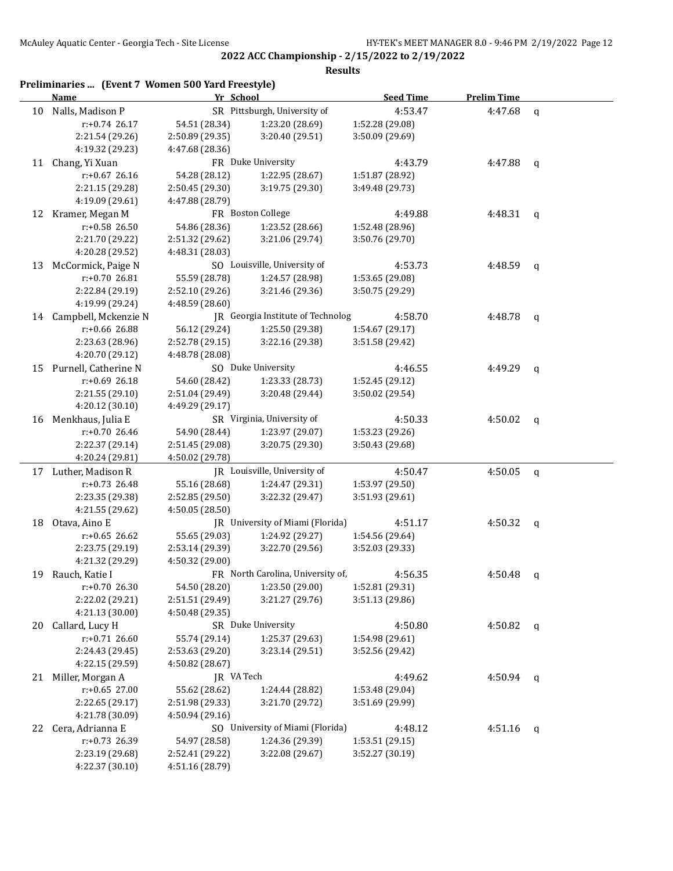|    | Preliminaries  (Event 7 Women 500 Yard Freestyle)<br><b>Name</b> | Yr School       |                                   | <b>Seed Time</b> | <b>Prelim Time</b> |              |
|----|------------------------------------------------------------------|-----------------|-----------------------------------|------------------|--------------------|--------------|
| 10 | Nalls, Madison P                                                 |                 | SR Pittsburgh, University of      | 4:53.47          | 4:47.68            | $\mathbf q$  |
|    | $r: +0.74$ 26.17                                                 | 54.51 (28.34)   | 1:23.20 (28.69)                   | 1:52.28 (29.08)  |                    |              |
|    | 2:21.54 (29.26)                                                  | 2:50.89 (29.35) | 3:20.40 (29.51)                   | 3:50.09 (29.69)  |                    |              |
|    | 4:19.32 (29.23)                                                  | 4:47.68 (28.36) |                                   |                  |                    |              |
| 11 | Chang, Yi Xuan                                                   |                 | FR Duke University                | 4:43.79          | 4:47.88            | q            |
|    | $r: +0.67$ 26.16                                                 | 54.28 (28.12)   | 1:22.95 (28.67)                   | 1:51.87 (28.92)  |                    |              |
|    | 2:21.15 (29.28)                                                  | 2:50.45 (29.30) | 3:19.75 (29.30)                   | 3:49.48 (29.73)  |                    |              |
|    | 4:19.09 (29.61)                                                  | 4:47.88 (28.79) |                                   |                  |                    |              |
|    | 12 Kramer, Megan M                                               |                 | FR Boston College                 | 4:49.88          | 4:48.31            | $\mathsf{q}$ |
|    | r:+0.58 26.50                                                    | 54.86 (28.36)   | 1:23.52 (28.66)                   | 1:52.48 (28.96)  |                    |              |
|    | 2:21.70 (29.22)                                                  | 2:51.32 (29.62) | 3:21.06 (29.74)                   | 3:50.76 (29.70)  |                    |              |
|    | 4:20.28 (29.52)                                                  | 4:48.31 (28.03) |                                   |                  |                    |              |
| 13 | McCormick, Paige N                                               |                 | SO Louisville, University of      | 4:53.73          | 4:48.59            | $\mathsf{q}$ |
|    | r:+0.70 26.81                                                    | 55.59 (28.78)   | 1:24.57 (28.98)                   | 1:53.65 (29.08)  |                    |              |
|    | 2:22.84 (29.19)                                                  | 2:52.10 (29.26) | 3:21.46 (29.36)                   | 3:50.75 (29.29)  |                    |              |
|    | 4:19.99 (29.24)                                                  | 4:48.59 (28.60) |                                   |                  |                    |              |
|    | 14 Campbell, Mckenzie N                                          |                 | JR Georgia Institute of Technolog | 4:58.70          | 4:48.78            | q            |
|    | $r: +0.66$ 26.88                                                 | 56.12 (29.24)   | 1:25.50 (29.38)                   | 1:54.67 (29.17)  |                    |              |
|    | 2:23.63 (28.96)                                                  | 2:52.78 (29.15) | 3:22.16 (29.38)                   | 3:51.58 (29.42)  |                    |              |
|    | 4:20.70 (29.12)                                                  | 4:48.78 (28.08) |                                   |                  |                    |              |
|    | 15 Purnell, Catherine N                                          |                 | SO Duke University                | 4:46.55          | 4:49.29            | q            |
|    | $r: +0.69$ 26.18                                                 | 54.60 (28.42)   | 1:23.33 (28.73)                   | 1:52.45 (29.12)  |                    |              |
|    | 2:21.55 (29.10)                                                  | 2:51.04 (29.49) | 3:20.48 (29.44)                   | 3:50.02 (29.54)  |                    |              |
|    | 4:20.12 (30.10)                                                  | 4:49.29 (29.17) |                                   |                  |                    |              |
|    | 16 Menkhaus, Julia E                                             |                 | SR Virginia, University of        | 4:50.33          | 4:50.02            | q            |
|    | r:+0.70 26.46                                                    | 54.90 (28.44)   | 1:23.97 (29.07)                   | 1:53.23 (29.26)  |                    |              |
|    | 2:22.37 (29.14)                                                  | 2:51.45 (29.08) | 3:20.75 (29.30)                   | 3:50.43 (29.68)  |                    |              |
|    | 4:20.24 (29.81)                                                  | 4:50.02 (29.78) |                                   |                  |                    |              |
|    | 17 Luther, Madison R                                             |                 | JR Louisville, University of      | 4:50.47          | 4:50.05            | $\mathbf{q}$ |
|    | $r: +0.73$ 26.48                                                 | 55.16 (28.68)   | 1:24.47 (29.31)                   | 1:53.97 (29.50)  |                    |              |
|    | 2:23.35 (29.38)                                                  | 2:52.85 (29.50) | 3:22.32 (29.47)                   | 3:51.93 (29.61)  |                    |              |
|    | 4:21.55 (29.62)                                                  | 4:50.05 (28.50) |                                   |                  |                    |              |
| 18 | Otava, Aino E                                                    |                 | JR University of Miami (Florida)  | 4:51.17          | 4:50.32            | q            |
|    | $r: +0.65$ 26.62                                                 | 55.65 (29.03)   | 1:24.92 (29.27)                   | 1:54.56 (29.64)  |                    |              |
|    | 2:23.75 (29.19)                                                  | 2:53.14 (29.39) | 3:22.70 (29.56)                   | 3:52.03 (29.33)  |                    |              |
|    | 4:21.32 (29.29)                                                  | 4:50.32 (29.00) |                                   |                  |                    |              |
| 19 | Rauch, Katie I                                                   |                 | FR North Carolina, University of, | 4:56.35          | 4:50.48            | $\mathbf{q}$ |
|    | $r: +0.70$ 26.30                                                 | 54.50 (28.20)   | 1:23.50 (29.00)                   | 1:52.81 (29.31)  |                    |              |
|    | 2:22.02 (29.21)                                                  | 2:51.51 (29.49) | 3:21.27 (29.76)                   | 3:51.13 (29.86)  |                    |              |
|    | 4:21.13 (30.00)                                                  | 4:50.48 (29.35) |                                   |                  |                    |              |
| 20 | Callard, Lucy H                                                  |                 | SR Duke University                | 4:50.80          | 4:50.82            | q            |
|    | $r: +0.71$ 26.60                                                 | 55.74 (29.14)   | 1:25.37 (29.63)                   | 1:54.98 (29.61)  |                    |              |
|    | 2:24.43 (29.45)                                                  | 2:53.63 (29.20) | 3:23.14 (29.51)                   | 3:52.56 (29.42)  |                    |              |
|    | 4:22.15 (29.59)                                                  | 4:50.82 (28.67) |                                   |                  |                    |              |
|    | 21 Miller, Morgan A                                              | JR VA Tech      |                                   | 4:49.62          | 4:50.94            | q            |
|    | r:+0.65 27.00                                                    | 55.62 (28.62)   | 1:24.44 (28.82)                   | 1:53.48 (29.04)  |                    |              |
|    | 2:22.65 (29.17)                                                  | 2:51.98 (29.33) | 3:21.70 (29.72)                   | 3:51.69 (29.99)  |                    |              |
|    | 4:21.78 (30.09)                                                  | 4:50.94 (29.16) |                                   |                  |                    |              |
| 22 | Cera, Adrianna E                                                 |                 | SO University of Miami (Florida)  | 4:48.12          | 4:51.16            | q            |
|    | r:+0.73 26.39                                                    | 54.97 (28.58)   | 1:24.36 (29.39)                   | 1:53.51 (29.15)  |                    |              |
|    | 2:23.19 (29.68)                                                  | 2:52.41 (29.22) | 3:22.08 (29.67)                   | 3:52.27 (30.19)  |                    |              |
|    | 4:22.37 (30.10)                                                  | 4:51.16 (28.79) |                                   |                  |                    |              |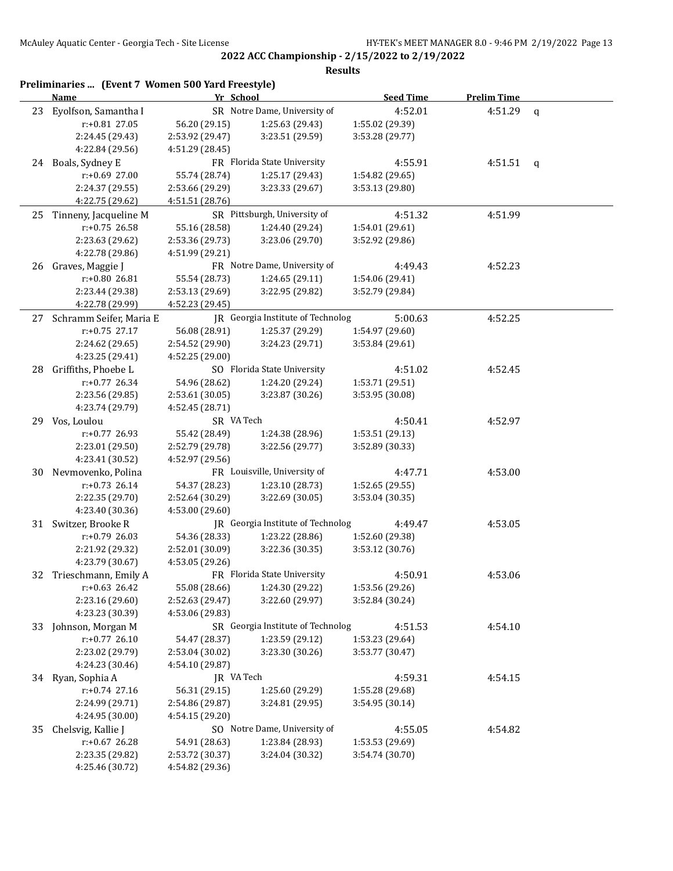|    | Preliminaries  (Event 7 Women 500 Yard Freestyle)<br>Name | Yr School       |                                   | <b>Seed Time</b> | <b>Prelim Time</b> |             |
|----|-----------------------------------------------------------|-----------------|-----------------------------------|------------------|--------------------|-------------|
| 23 | Eyolfson, Samantha I                                      |                 | SR Notre Dame, University of      | 4:52.01          | 4:51.29            | $\mathbf q$ |
|    | r:+0.81 27.05                                             | 56.20 (29.15)   | 1:25.63 (29.43)                   | 1:55.02 (29.39)  |                    |             |
|    | 2:24.45 (29.43)                                           | 2:53.92 (29.47) | 3:23.51 (29.59)                   | 3:53.28 (29.77)  |                    |             |
|    | 4:22.84 (29.56)                                           | 4:51.29 (28.45) |                                   |                  |                    |             |
|    | 24 Boals, Sydney E                                        |                 | FR Florida State University       | 4:55.91          | 4:51.51            | $\mathbf q$ |
|    | $r: +0.69$ 27.00                                          | 55.74 (28.74)   | 1:25.17 (29.43)                   | 1:54.82 (29.65)  |                    |             |
|    | 2:24.37 (29.55)                                           | 2:53.66 (29.29) | 3:23.33 (29.67)                   | 3:53.13 (29.80)  |                    |             |
|    | 4:22.75 (29.62)                                           | 4:51.51 (28.76) |                                   |                  |                    |             |
|    | 25 Tinneny, Jacqueline M                                  |                 | SR Pittsburgh, University of      | 4:51.32          | 4:51.99            |             |
|    | $r: +0.75$ 26.58                                          | 55.16 (28.58)   | 1:24.40 (29.24)                   | 1:54.01 (29.61)  |                    |             |
|    | 2:23.63 (29.62)                                           | 2:53.36 (29.73) | 3:23.06 (29.70)                   | 3:52.92 (29.86)  |                    |             |
|    | 4:22.78 (29.86)                                           | 4:51.99 (29.21) |                                   |                  |                    |             |
|    | 26 Graves, Maggie J                                       |                 | FR Notre Dame, University of      | 4:49.43          | 4:52.23            |             |
|    | r:+0.80 26.81                                             | 55.54 (28.73)   | 1:24.65 (29.11)                   | 1:54.06 (29.41)  |                    |             |
|    | 2:23.44 (29.38)                                           | 2:53.13 (29.69) | 3:22.95 (29.82)                   | 3:52.79 (29.84)  |                    |             |
|    | 4:22.78 (29.99)                                           | 4:52.23 (29.45) |                                   |                  |                    |             |
|    | 27 Schramm Seifer, Maria E                                |                 | JR Georgia Institute of Technolog | 5:00.63          | 4:52.25            |             |
|    | $r: +0.75$ 27.17                                          | 56.08 (28.91)   | 1:25.37 (29.29)                   | 1:54.97 (29.60)  |                    |             |
|    | 2:24.62 (29.65)                                           | 2:54.52 (29.90) | 3:24.23 (29.71)                   | 3:53.84 (29.61)  |                    |             |
|    | 4:23.25 (29.41)                                           | 4:52.25 (29.00) |                                   |                  |                    |             |
| 28 | Griffiths, Phoebe L                                       |                 | SO Florida State University       | 4:51.02          | 4:52.45            |             |
|    | r:+0.77 26.34                                             | 54.96 (28.62)   | 1:24.20 (29.24)                   | 1:53.71 (29.51)  |                    |             |
|    | 2:23.56 (29.85)                                           | 2:53.61 (30.05) | 3:23.87 (30.26)                   | 3:53.95 (30.08)  |                    |             |
|    | 4:23.74 (29.79)                                           | 4:52.45 (28.71) |                                   |                  |                    |             |
|    | 29 Vos, Loulou                                            | SR VA Tech      |                                   | 4:50.41          | 4:52.97            |             |
|    | $r: +0.77$ 26.93                                          | 55.42 (28.49)   | 1:24.38 (28.96)                   | 1:53.51 (29.13)  |                    |             |
|    | 2:23.01 (29.50)                                           | 2:52.79 (29.78) | 3:22.56 (29.77)                   | 3:52.89 (30.33)  |                    |             |
|    | 4:23.41 (30.52)                                           | 4:52.97 (29.56) |                                   |                  |                    |             |
| 30 | Nevmovenko, Polina                                        |                 | FR Louisville, University of      | 4:47.71          | 4:53.00            |             |
|    | $r: +0.73$ 26.14                                          | 54.37 (28.23)   | 1:23.10 (28.73)                   | 1:52.65 (29.55)  |                    |             |
|    | 2:22.35 (29.70)                                           | 2:52.64 (30.29) | 3:22.69 (30.05)                   | 3:53.04 (30.35)  |                    |             |
|    | 4:23.40 (30.36)                                           | 4:53.00 (29.60) |                                   |                  |                    |             |
|    | 31 Switzer, Brooke R                                      |                 | JR Georgia Institute of Technolog | 4:49.47          | 4:53.05            |             |
|    | $r: +0.79$ 26.03                                          | 54.36 (28.33)   | 1:23.22 (28.86)                   | 1:52.60 (29.38)  |                    |             |
|    | 2:21.92 (29.32)                                           | 2:52.01 (30.09) | 3:22.36 (30.35)                   | 3:53.12 (30.76)  |                    |             |
|    | 4:23.79 (30.67)                                           | 4:53.05 (29.26) |                                   |                  |                    |             |
| 32 | Trieschmann, Emily A                                      |                 | FR Florida State University       | 4:50.91          | 4:53.06            |             |
|    | $r: +0.63$ 26.42                                          | 55.08 (28.66)   | 1:24.30 (29.22)                   | 1:53.56 (29.26)  |                    |             |
|    | 2:23.16 (29.60)                                           | 2:52.63 (29.47) | 3:22.60 (29.97)                   | 3:52.84 (30.24)  |                    |             |
|    | 4:23.23 (30.39)                                           | 4:53.06 (29.83) |                                   |                  |                    |             |
| 33 | Johnson, Morgan M                                         |                 | SR Georgia Institute of Technolog | 4:51.53          | 4:54.10            |             |
|    | $r: +0.77$ 26.10                                          | 54.47 (28.37)   | 1:23.59 (29.12)                   | 1:53.23 (29.64)  |                    |             |
|    | 2:23.02 (29.79)                                           | 2:53.04 (30.02) | 3:23.30 (30.26)                   | 3:53.77 (30.47)  |                    |             |
|    | 4:24.23 (30.46)                                           | 4:54.10 (29.87) |                                   |                  |                    |             |
|    | 34 Ryan, Sophia A                                         | JR VA Tech      |                                   | 4:59.31          | 4:54.15            |             |
|    | r:+0.74 27.16                                             | 56.31 (29.15)   | 1:25.60 (29.29)                   | 1:55.28 (29.68)  |                    |             |
|    | 2:24.99 (29.71)                                           | 2:54.86 (29.87) | 3:24.81 (29.95)                   | 3:54.95 (30.14)  |                    |             |
|    | 4:24.95 (30.00)                                           | 4:54.15 (29.20) |                                   |                  |                    |             |
| 35 | Chelsvig, Kallie J                                        |                 | SO Notre Dame, University of      | 4:55.05          | 4:54.82            |             |
|    | $r: +0.67$ 26.28                                          | 54.91 (28.63)   | 1:23.84 (28.93)                   | 1:53.53 (29.69)  |                    |             |
|    | 2:23.35 (29.82)                                           | 2:53.72 (30.37) | 3:24.04 (30.32)                   | 3:54.74 (30.70)  |                    |             |
|    | 4:25.46 (30.72)                                           | 4:54.82 (29.36) |                                   |                  |                    |             |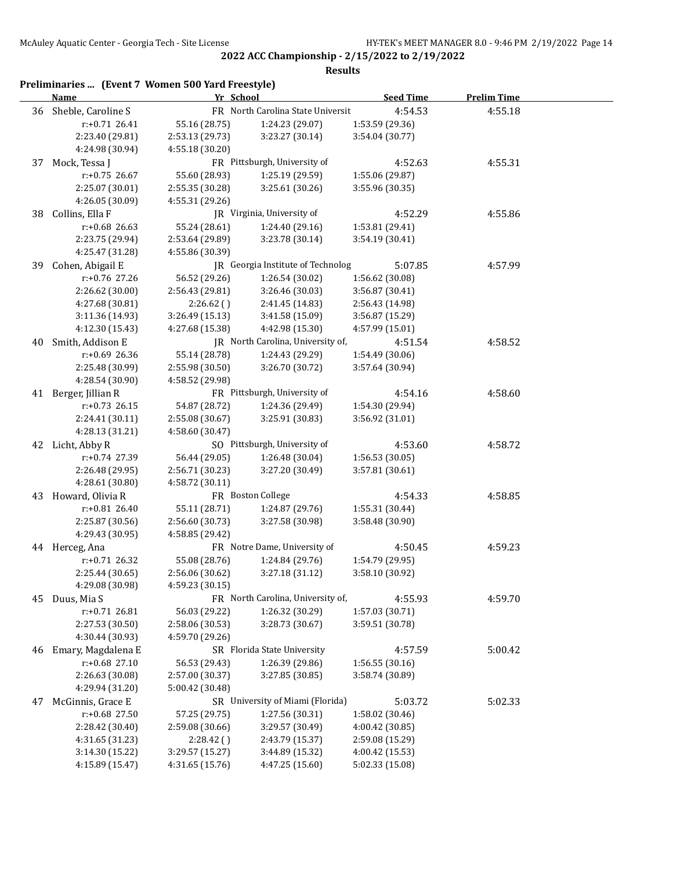|    | Preliminaries  (Event 7 Women 500 Yard Freestyle)<br><b>Name</b> | Yr School       |                                   | <b>Seed Time</b> | <b>Prelim Time</b> |  |
|----|------------------------------------------------------------------|-----------------|-----------------------------------|------------------|--------------------|--|
| 36 | Sheble, Caroline S                                               |                 | FR North Carolina State Universit | 4:54.53          | 4:55.18            |  |
|    | r:+0.71 26.41                                                    | 55.16 (28.75)   | 1:24.23 (29.07)                   | 1:53.59 (29.36)  |                    |  |
|    | 2:23.40 (29.81)                                                  | 2:53.13 (29.73) | 3:23.27 (30.14)                   | 3:54.04 (30.77)  |                    |  |
|    | 4:24.98 (30.94)                                                  | 4:55.18 (30.20) |                                   |                  |                    |  |
| 37 | Mock, Tessa J                                                    |                 | FR Pittsburgh, University of      | 4:52.63          | 4:55.31            |  |
|    | $r: +0.75$ 26.67                                                 | 55.60 (28.93)   | 1:25.19 (29.59)                   | 1:55.06 (29.87)  |                    |  |
|    | 2:25.07 (30.01)                                                  | 2:55.35 (30.28) | 3:25.61 (30.26)                   | 3:55.96 (30.35)  |                    |  |
|    | 4:26.05 (30.09)                                                  | 4:55.31 (29.26) |                                   |                  |                    |  |
| 38 | Collins, Ella F                                                  |                 | JR Virginia, University of        | 4:52.29          | 4:55.86            |  |
|    | r:+0.68 26.63                                                    | 55.24 (28.61)   | 1:24.40 (29.16)                   | 1:53.81 (29.41)  |                    |  |
|    | 2:23.75 (29.94)                                                  | 2:53.64 (29.89) | 3:23.78 (30.14)                   | 3:54.19 (30.41)  |                    |  |
|    | 4:25.47 (31.28)                                                  | 4:55.86 (30.39) |                                   |                  |                    |  |
| 39 | Cohen, Abigail E                                                 |                 | JR Georgia Institute of Technolog | 5:07.85          | 4:57.99            |  |
|    | r:+0.76 27.26                                                    | 56.52 (29.26)   | 1:26.54 (30.02)                   | 1:56.62 (30.08)  |                    |  |
|    | 2:26.62 (30.00)                                                  | 2:56.43 (29.81) | 3:26.46 (30.03)                   | 3:56.87 (30.41)  |                    |  |
|    | 4:27.68 (30.81)                                                  | 2:26.62()       | 2:41.45 (14.83)                   | 2:56.43 (14.98)  |                    |  |
|    | 3:11.36 (14.93)                                                  | 3:26.49 (15.13) | 3:41.58 (15.09)                   | 3:56.87 (15.29)  |                    |  |
|    | 4:12.30 (15.43)                                                  | 4:27.68 (15.38) | 4:42.98 (15.30)                   | 4:57.99 (15.01)  |                    |  |
| 40 | Smith, Addison E                                                 |                 | JR North Carolina, University of, | 4:51.54          | 4:58.52            |  |
|    | $r: +0.69$ 26.36                                                 | 55.14 (28.78)   | 1:24.43 (29.29)                   | 1:54.49 (30.06)  |                    |  |
|    | 2:25.48 (30.99)                                                  | 2:55.98 (30.50) | 3:26.70 (30.72)                   | 3:57.64 (30.94)  |                    |  |
|    | 4:28.54 (30.90)                                                  | 4:58.52 (29.98) |                                   |                  |                    |  |
|    | 41 Berger, Jillian R                                             |                 | FR Pittsburgh, University of      | 4:54.16          | 4:58.60            |  |
|    | $r: +0.73$ 26.15                                                 | 54.87 (28.72)   | 1:24.36 (29.49)                   | 1:54.30 (29.94)  |                    |  |
|    | 2:24.41 (30.11)                                                  | 2:55.08 (30.67) | 3:25.91 (30.83)                   | 3:56.92 (31.01)  |                    |  |
|    | 4:28.13 (31.21)                                                  | 4:58.60 (30.47) |                                   |                  |                    |  |
| 42 | Licht, Abby R                                                    |                 | SO Pittsburgh, University of      | 4:53.60          | 4:58.72            |  |
|    | r:+0.74 27.39                                                    | 56.44 (29.05)   | 1:26.48 (30.04)                   | 1:56.53 (30.05)  |                    |  |
|    | 2:26.48 (29.95)                                                  | 2:56.71 (30.23) | 3:27.20 (30.49)                   | 3:57.81 (30.61)  |                    |  |
|    | 4:28.61 (30.80)                                                  | 4:58.72 (30.11) |                                   |                  |                    |  |
| 43 | Howard, Olivia R                                                 |                 | FR Boston College                 | 4:54.33          | 4:58.85            |  |
|    | $r: +0.81$ 26.40                                                 | 55.11 (28.71)   | 1:24.87 (29.76)                   | 1:55.31 (30.44)  |                    |  |
|    | 2:25.87 (30.56)                                                  | 2:56.60 (30.73) | 3:27.58 (30.98)                   | 3:58.48 (30.90)  |                    |  |
|    | 4:29.43 (30.95)                                                  | 4:58.85 (29.42) |                                   |                  |                    |  |
|    | 44 Herceg, Ana                                                   |                 | FR Notre Dame, University of      | 4:50.45          | 4:59.23            |  |
|    | $r: +0.71$ 26.32                                                 | 55.08 (28.76)   | 1:24.84 (29.76)                   | 1:54.79 (29.95)  |                    |  |
|    | 2:25.44 (30.65)                                                  | 2:56.06 (30.62) | 3:27.18 (31.12)                   | 3:58.10 (30.92)  |                    |  |
|    | 4:29.08 (30.98)                                                  | 4:59.23 (30.15) |                                   |                  |                    |  |
| 45 | Duus, Mia S                                                      |                 | FR North Carolina, University of, | 4:55.93          | 4:59.70            |  |
|    | $r: +0.71$ 26.81                                                 | 56.03 (29.22)   | 1:26.32 (30.29)                   | 1:57.03 (30.71)  |                    |  |
|    | 2:27.53 (30.50)                                                  | 2:58.06 (30.53) | 3:28.73 (30.67)                   | 3:59.51 (30.78)  |                    |  |
|    | 4:30.44 (30.93)                                                  | 4:59.70 (29.26) |                                   |                  |                    |  |
| 46 | Emary, Magdalena E                                               |                 | SR Florida State University       | 4:57.59          | 5:00.42            |  |
|    | $r: +0.68$ 27.10                                                 | 56.53 (29.43)   | 1:26.39 (29.86)                   | 1:56.55(30.16)   |                    |  |
|    | 2:26.63 (30.08)                                                  | 2:57.00 (30.37) | 3:27.85 (30.85)                   | 3:58.74 (30.89)  |                    |  |
|    | 4:29.94 (31.20)                                                  | 5:00.42 (30.48) |                                   |                  |                    |  |
| 47 | McGinnis, Grace E                                                |                 | SR University of Miami (Florida)  | 5:03.72          | 5:02.33            |  |
|    | r:+0.68 27.50                                                    | 57.25 (29.75)   | 1:27.56 (30.31)                   | 1:58.02 (30.46)  |                    |  |
|    | 2:28.42 (30.40)                                                  | 2:59.08 (30.66) | 3:29.57 (30.49)                   | 4:00.42 (30.85)  |                    |  |
|    | 4:31.65 (31.23)                                                  | 2:28.42()       | 2:43.79 (15.37)                   | 2:59.08 (15.29)  |                    |  |
|    | 3:14.30 (15.22)                                                  | 3:29.57 (15.27) | 3:44.89 (15.32)                   | 4:00.42 (15.53)  |                    |  |
|    | 4:15.89 (15.47)                                                  | 4:31.65 (15.76) | 4:47.25 (15.60)                   | 5:02.33 (15.08)  |                    |  |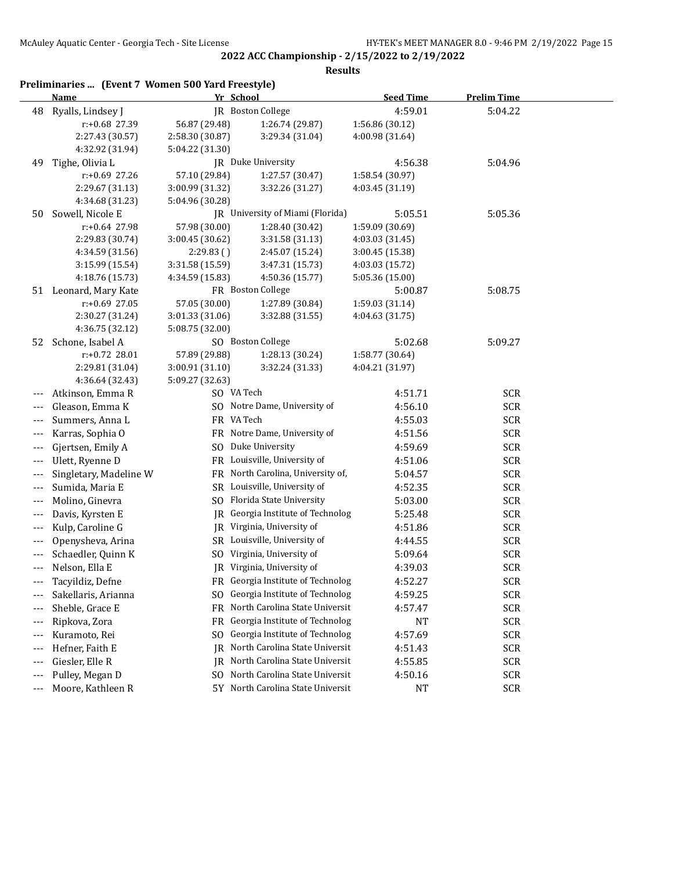|                          |                        | Preliminaries  (Event 7 Women 500 Yard Freestyle) |                  |                    |  |
|--------------------------|------------------------|---------------------------------------------------|------------------|--------------------|--|
|                          | <b>Name</b>            | Yr School                                         | <b>Seed Time</b> | <b>Prelim Time</b> |  |
| 48                       | Ryalls, Lindsey J      | JR Boston College                                 | 4:59.01          | 5:04.22            |  |
|                          | r:+0.68 27.39          | 56.87 (29.48)<br>1:26.74 (29.87)                  | 1:56.86 (30.12)  |                    |  |
|                          | 2:27.43 (30.57)        | 2:58.30 (30.87)<br>3:29.34 (31.04)                | 4:00.98 (31.64)  |                    |  |
|                          | 4:32.92 (31.94)        | 5:04.22 (31.30)                                   |                  |                    |  |
| 49                       | Tighe, Olivia L        | JR Duke University                                | 4:56.38          | 5:04.96            |  |
|                          | r:+0.69 27.26          | 57.10 (29.84)<br>1:27.57 (30.47)                  | 1:58.54 (30.97)  |                    |  |
|                          | 2:29.67 (31.13)        | 3:00.99 (31.32)<br>3:32.26 (31.27)                | 4:03.45 (31.19)  |                    |  |
|                          | 4:34.68 (31.23)        | 5:04.96 (30.28)                                   |                  |                    |  |
| 50                       | Sowell, Nicole E       | JR University of Miami (Florida)                  | 5:05.51          | 5:05.36            |  |
|                          | r:+0.64 27.98          | 57.98 (30.00)<br>1:28.40 (30.42)                  | 1:59.09 (30.69)  |                    |  |
|                          | 2:29.83 (30.74)        | 3:00.45 (30.62)<br>3:31.58 (31.13)                | 4:03.03 (31.45)  |                    |  |
|                          | 4:34.59 (31.56)        | 2:29.83()<br>2:45.07 (15.24)                      | 3:00.45(15.38)   |                    |  |
|                          | 3:15.99 (15.54)        | 3:31.58 (15.59)<br>3:47.31 (15.73)                | 4:03.03 (15.72)  |                    |  |
|                          | 4:18.76 (15.73)        | 4:50.36 (15.77)<br>4:34.59 (15.83)                | 5:05.36 (15.00)  |                    |  |
|                          | 51 Leonard, Mary Kate  | FR Boston College                                 | 5:00.87          | 5:08.75            |  |
|                          | $r: +0.69$ 27.05       | 57.05 (30.00)<br>1:27.89 (30.84)                  | 1:59.03 (31.14)  |                    |  |
|                          | 2:30.27 (31.24)        | 3:01.33 (31.06)<br>3:32.88 (31.55)                | 4:04.63 (31.75)  |                    |  |
|                          | 4:36.75 (32.12)        | 5:08.75 (32.00)                                   |                  |                    |  |
|                          | 52 Schone, Isabel A    | SO Boston College                                 | 5:02.68          | 5:09.27            |  |
|                          | r:+0.72 28.01          | 57.89 (29.88)<br>1:28.13 (30.24)                  | 1:58.77 (30.64)  |                    |  |
|                          | 2:29.81 (31.04)        | 3:00.91 (31.10)<br>3:32.24 (31.33)                | 4:04.21 (31.97)  |                    |  |
|                          | 4:36.64 (32.43)        | 5:09.27 (32.63)                                   |                  |                    |  |
| $---$                    | Atkinson, Emma R       | SO VA Tech                                        | 4:51.71          | <b>SCR</b>         |  |
| $---$                    | Gleason, Emma K        | SO Notre Dame, University of                      | 4:56.10          | <b>SCR</b>         |  |
| $---$                    | Summers, Anna L        | FR VA Tech                                        | 4:55.03          | <b>SCR</b>         |  |
| $\overline{\phantom{a}}$ | Karras, Sophia O       | FR Notre Dame, University of                      | 4:51.56          | <b>SCR</b>         |  |
| $---$                    | Gjertsen, Emily A      | SO Duke University                                | 4:59.69          | <b>SCR</b>         |  |
| $---$                    | Ulett, Ryenne D        | FR Louisville, University of                      | 4:51.06          | <b>SCR</b>         |  |
| $---$                    | Singletary, Madeline W | FR North Carolina, University of,                 | 5:04.57          | <b>SCR</b>         |  |
| $---$                    | Sumida, Maria E        | SR Louisville, University of                      | 4:52.35          | <b>SCR</b>         |  |
| $---$                    | Molino, Ginevra        | SO Florida State University                       | 5:03.00          | <b>SCR</b>         |  |
| $---$                    | Davis, Kyrsten E       | JR Georgia Institute of Technolog                 | 5:25.48          | <b>SCR</b>         |  |
| ---                      | Kulp, Caroline G       | JR Virginia, University of                        | 4:51.86          | <b>SCR</b>         |  |
| $---$                    | Openysheva, Arina      | SR Louisville, University of                      | 4:44.55          | <b>SCR</b>         |  |
| ---                      | Schaedler, Quinn K     | SO Virginia, University of                        | 5:09.64          | <b>SCR</b>         |  |
| ---                      | Nelson, Ella E         | JR Virginia, University of                        | 4:39.03          | <b>SCR</b>         |  |
| ---                      | Tacyildiz, Defne       | FR Georgia Institute of Technolog                 | 4:52.27          | <b>SCR</b>         |  |
| ---                      | Sakellaris, Arianna    | Georgia Institute of Technolog<br>SO.             | 4:59.25          | <b>SCR</b>         |  |
|                          | Sheble, Grace E        | North Carolina State Universit<br>FR              | 4:57.47          | <b>SCR</b>         |  |
| $---$                    |                        |                                                   |                  |                    |  |
| ---                      | Ripkova, Zora          | Georgia Institute of Technolog<br>FR              | NT               | <b>SCR</b>         |  |
| ---                      | Kuramoto, Rei          | Georgia Institute of Technolog<br>SO.             | 4:57.69          | <b>SCR</b>         |  |
| ---                      | Hefner, Faith E        | North Carolina State Universit<br>IR              | 4:51.43          | <b>SCR</b>         |  |
| ---                      | Giesler, Elle R        | North Carolina State Universit<br>IR              | 4:55.85          | <b>SCR</b>         |  |
| ---                      | Pulley, Megan D        | North Carolina State Universit<br>SO.             | 4:50.16          | <b>SCR</b>         |  |
| $--$                     | Moore, Kathleen R      | 5Y North Carolina State Universit                 | NT               | <b>SCR</b>         |  |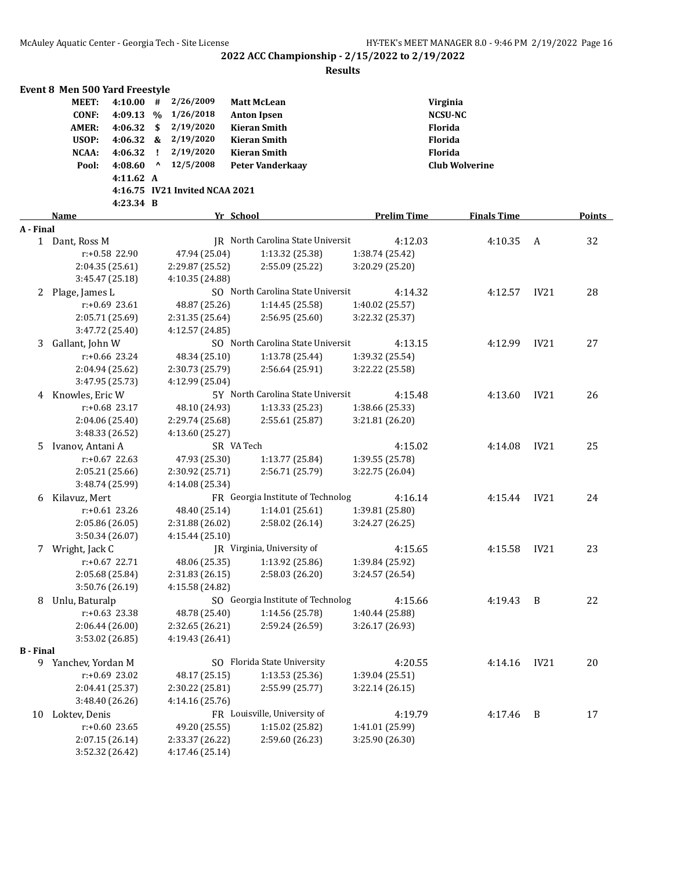|                  | <b>Event 8 Men 500 Yard Freestyle</b> |             |                                              |                                   |                    |                       |      |        |
|------------------|---------------------------------------|-------------|----------------------------------------------|-----------------------------------|--------------------|-----------------------|------|--------|
|                  | <b>MEET:</b>                          | $4:10.00$ # | 2/26/2009                                    | <b>Matt McLean</b>                |                    | Virginia              |      |        |
|                  | <b>CONF:</b>                          | 4:09.13 %   | 1/26/2018                                    | <b>Anton Ipsen</b>                |                    | <b>NCSU-NC</b>        |      |        |
|                  | <b>AMER:</b><br>4:06.32               |             | 2/19/2020<br>\$                              | <b>Kieran Smith</b>               |                    | Florida               |      |        |
|                  | USOP:<br>4:06.32                      |             | $\frac{2}{19/2020}$                          | <b>Kieran Smith</b>               |                    | Florida               |      |        |
|                  | <b>NCAA:</b><br>4:06.32               |             | 2/19/2020<br>÷                               | <b>Kieran Smith</b>               |                    | Florida               |      |        |
|                  | 4:08.60<br>Pool:                      |             | $\boldsymbol{\mathsf{\Lambda}}$<br>12/5/2008 | <b>Peter Vanderkaay</b>           |                    | <b>Club Wolverine</b> |      |        |
|                  |                                       | 4:11.62 A   |                                              |                                   |                    |                       |      |        |
|                  |                                       |             | 4:16.75 IV21 Invited NCAA 2021               |                                   |                    |                       |      |        |
|                  |                                       | 4:23.34 B   |                                              |                                   |                    |                       |      |        |
|                  | Name                                  |             |                                              | Yr School                         | <b>Prelim Time</b> | <b>Finals Time</b>    |      | Points |
| A - Final        |                                       |             |                                              |                                   |                    |                       |      |        |
|                  | 1 Dant, Ross M                        |             |                                              | IR North Carolina State Universit | 4:12.03            | 4:10.35               | A    | 32     |
|                  | r:+0.58 22.90                         |             | 47.94 (25.04)                                | 1:13.32 (25.38)                   | 1:38.74 (25.42)    |                       |      |        |
|                  | 2:04.35 (25.61)                       |             | 2:29.87 (25.52)                              | 2:55.09 (25.22)                   | 3:20.29 (25.20)    |                       |      |        |
|                  | 3:45.47 (25.18)                       |             | 4:10.35 (24.88)                              |                                   |                    |                       |      |        |
| 2                | Plage, James L                        |             |                                              | SO North Carolina State Universit | 4:14.32            | 4:12.57               | IV21 | 28     |
|                  | $r: +0.69$ 23.61                      |             | 48.87 (25.26)                                | 1:14.45(25.58)                    | 1:40.02 (25.57)    |                       |      |        |
|                  | 2:05.71 (25.69)                       |             | 2:31.35 (25.64)                              | 2:56.95 (25.60)                   | 3:22.32 (25.37)    |                       |      |        |
|                  | 3:47.72 (25.40)                       |             | 4:12.57 (24.85)                              |                                   |                    |                       |      |        |
| 3                | Gallant, John W                       |             |                                              | SO North Carolina State Universit | 4:13.15            | 4:12.99               | IV21 | 27     |
|                  | r:+0.66 23.24                         |             | 48.34 (25.10)                                | 1:13.78 (25.44)                   | 1:39.32 (25.54)    |                       |      |        |
|                  | 2:04.94 (25.62)                       |             | 2:30.73 (25.79)                              | 2:56.64 (25.91)                   | 3:22.22 (25.58)    |                       |      |        |
|                  | 3:47.95 (25.73)                       |             | 4:12.99 (25.04)                              |                                   |                    |                       |      |        |
|                  | 4 Knowles, Eric W                     |             |                                              | 5Y North Carolina State Universit | 4:15.48            | 4:13.60               | IV21 | 26     |
|                  | r:+0.68 23.17                         |             | 48.10 (24.93)                                | 1:13.33 (25.23)                   | 1:38.66 (25.33)    |                       |      |        |
|                  | 2:04.06 (25.40)                       |             | 2:29.74 (25.68)                              | 2:55.61 (25.87)                   | 3:21.81 (26.20)    |                       |      |        |
|                  | 3:48.33 (26.52)                       |             | 4:13.60 (25.27)                              |                                   |                    |                       |      |        |
| 5.               | Ivanov, Antani A                      |             |                                              | SR VA Tech                        | 4:15.02            | 4:14.08               | IV21 | 25     |
|                  | $r: +0.67$ 22.63                      |             | 47.93 (25.30)                                | 1:13.77 (25.84)                   | 1:39.55 (25.78)    |                       |      |        |
|                  | 2:05.21 (25.66)                       |             | 2:30.92 (25.71)                              | 2:56.71 (25.79)                   | 3:22.75 (26.04)    |                       |      |        |
|                  | 3:48.74 (25.99)                       |             | 4:14.08 (25.34)                              |                                   |                    |                       |      |        |
| 6                | Kilavuz, Mert                         |             |                                              | FR Georgia Institute of Technolog | 4:16.14            | 4:15.44               | IV21 | 24     |
|                  | $r: +0.61$ 23.26                      |             | 48.40 (25.14)                                | 1:14.01(25.61)                    | 1:39.81 (25.80)    |                       |      |        |
|                  | 2:05.86 (26.05)                       |             | 2:31.88 (26.02)                              | 2:58.02 (26.14)                   | 3:24.27 (26.25)    |                       |      |        |
|                  | 3:50.34 (26.07)                       |             | 4:15.44 (25.10)                              |                                   |                    |                       |      |        |
|                  | 7 Wright, Jack C                      |             |                                              | JR Virginia, University of        | 4:15.65            | 4:15.58               | IV21 | 23     |
|                  | r:+0.67 22.71                         |             | 48.06 (25.35)                                | 1:13.92 (25.86)                   | 1:39.84 (25.92)    |                       |      |        |
|                  | 2:05.68 (25.84)                       |             | 2:31.83 (26.15)                              | 2:58.03 (26.20)                   | 3:24.57 (26.54)    |                       |      |        |
|                  | 3:50.76 (26.19)                       |             | 4:15.58 (24.82)                              |                                   |                    |                       |      |        |
| 8                | Unlu, Baturalp                        |             |                                              | SO Georgia Institute of Technolog | 4:15.66            | 4:19.43               | B    | 22     |
|                  | r:+0.63 23.38                         |             | 48.78 (25.40)                                | 1:14.56 (25.78)                   | 1:40.44 (25.88)    |                       |      |        |
|                  | 2:06.44 (26.00)                       |             | 2:32.65 (26.21)                              | 2:59.24 (26.59)                   | 3:26.17 (26.93)    |                       |      |        |
|                  | 3:53.02 (26.85)                       |             | 4:19.43 (26.41)                              |                                   |                    |                       |      |        |
| <b>B</b> - Final |                                       |             |                                              |                                   |                    |                       |      |        |
|                  | 9 Yanchev, Yordan M                   |             |                                              | SO Florida State University       | 4:20.55            | 4:14.16               | IV21 | 20     |
|                  | r:+0.69 23.02                         |             | 48.17 (25.15)                                | 1:13.53 (25.36)                   | 1:39.04 (25.51)    |                       |      |        |
|                  | 2:04.41 (25.37)                       |             | 2:30.22 (25.81)                              | 2:55.99 (25.77)                   | 3:22.14 (26.15)    |                       |      |        |
|                  | 3:48.40 (26.26)                       |             | 4:14.16 (25.76)                              |                                   |                    |                       |      |        |
| 10               | Loktev, Denis                         |             |                                              | FR Louisville, University of      | 4:19.79            | 4:17.46               | B    | 17     |
|                  | $r: +0.60$ 23.65                      |             | 49.20 (25.55)                                | 1:15.02 (25.82)                   | 1:41.01 (25.99)    |                       |      |        |
|                  | 2:07.15 (26.14)                       |             | 2:33.37 (26.22)                              | 2:59.60 (26.23)                   | 3:25.90 (26.30)    |                       |      |        |
|                  | 3:52.32 (26.42)                       |             | 4:17.46 (25.14)                              |                                   |                    |                       |      |        |
|                  |                                       |             |                                              |                                   |                    |                       |      |        |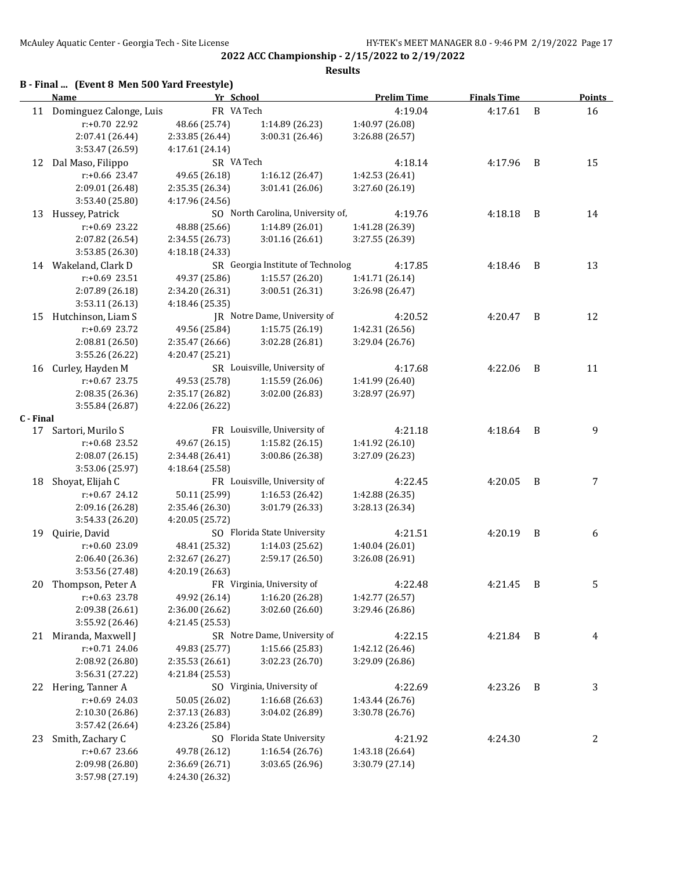**2022 ACC Championship - 2/15/2022 to 2/19/2022 Results**

# **B - Final ... (Event 8 Men 500 Yard Freestyle)**

|           | <b>Name</b>                |                 | Yr School                         | <b>Prelim Time</b> | <b>Finals Time</b> |                | <b>Points</b> |
|-----------|----------------------------|-----------------|-----------------------------------|--------------------|--------------------|----------------|---------------|
|           | 11 Dominguez Calonge, Luis |                 | FR VA Tech                        | 4:19.04            | 4:17.61            | B              | 16            |
|           | r:+0.70 22.92              | 48.66 (25.74)   | 1:14.89 (26.23)                   | 1:40.97 (26.08)    |                    |                |               |
|           | 2:07.41 (26.44)            | 2:33.85 (26.44) | 3:00.31 (26.46)                   | 3:26.88 (26.57)    |                    |                |               |
|           | 3:53.47 (26.59)            | 4:17.61 (24.14) |                                   |                    |                    |                |               |
| 12        | Dal Maso, Filippo          |                 | SR VA Tech                        | 4:18.14            | 4:17.96            | B              | 15            |
|           | r:+0.66 23.47              | 49.65 (26.18)   | 1:16.12 (26.47)                   | 1:42.53 (26.41)    |                    |                |               |
|           | 2:09.01 (26.48)            | 2:35.35 (26.34) | 3:01.41 (26.06)                   | 3:27.60 (26.19)    |                    |                |               |
|           | 3:53.40 (25.80)            | 4:17.96 (24.56) |                                   |                    |                    |                |               |
| 13        | Hussey, Patrick            |                 | SO North Carolina, University of, | 4:19.76            | 4:18.18            | $\overline{B}$ | 14            |
|           | r:+0.69 23.22              | 48.88 (25.66)   | 1:14.89 (26.01)                   | 1:41.28 (26.39)    |                    |                |               |
|           | 2:07.82 (26.54)            | 2:34.55 (26.73) | 3:01.16 (26.61)                   | 3:27.55 (26.39)    |                    |                |               |
|           | 3:53.85 (26.30)            | 4:18.18 (24.33) |                                   |                    |                    |                |               |
| 14        | Wakeland, Clark D          |                 | SR Georgia Institute of Technolog | 4:17.85            | 4:18.46            | B              | 13            |
|           | r:+0.69 23.51              | 49.37 (25.86)   | 1:15.57 (26.20)                   | 1:41.71 (26.14)    |                    |                |               |
|           | 2:07.89 (26.18)            | 2:34.20 (26.31) | 3:00.51 (26.31)                   | 3:26.98 (26.47)    |                    |                |               |
|           | 3:53.11 (26.13)            | 4:18.46 (25.35) |                                   |                    |                    |                |               |
| 15        | Hutchinson, Liam S         |                 | JR Notre Dame, University of      | 4:20.52            | 4:20.47            | B              | 12            |
|           | $r: +0.69$ 23.72           | 49.56 (25.84)   | 1:15.75(26.19)                    | 1:42.31 (26.56)    |                    |                |               |
|           | 2:08.81 (26.50)            | 2:35.47 (26.66) | 3:02.28 (26.81)                   | 3:29.04 (26.76)    |                    |                |               |
|           | 3:55.26 (26.22)            | 4:20.47 (25.21) |                                   |                    |                    |                |               |
| 16        | Curley, Hayden M           |                 | SR Louisville, University of      | 4:17.68            | 4:22.06            | B              | 11            |
|           | $r: +0.67$ 23.75           | 49.53 (25.78)   | 1:15.59 (26.06)                   | 1:41.99 (26.40)    |                    |                |               |
|           | 2:08.35 (26.36)            | 2:35.17 (26.82) | 3:02.00 (26.83)                   | 3:28.97 (26.97)    |                    |                |               |
|           | 3:55.84 (26.87)            | 4:22.06 (26.22) |                                   |                    |                    |                |               |
| C - Final |                            |                 |                                   |                    |                    |                |               |
|           | 17 Sartori, Murilo S       |                 | FR Louisville, University of      | 4:21.18            | 4:18.64            | - B            | 9             |
|           | $r: +0.68$ 23.52           | 49.67 (26.15)   | 1:15.82 (26.15)                   | 1:41.92 (26.10)    |                    |                |               |
|           | 2:08.07 (26.15)            | 2:34.48 (26.41) | 3:00.86 (26.38)                   | 3:27.09 (26.23)    |                    |                |               |
|           | 3:53.06 (25.97)            | 4:18.64 (25.58) |                                   |                    |                    |                |               |
| 18        | Shoyat, Elijah C           |                 | FR Louisville, University of      | 4:22.45            | 4:20.05            | B              | 7             |
|           | $r: +0.67$ 24.12           | 50.11 (25.99)   | 1:16.53 (26.42)                   | 1:42.88 (26.35)    |                    |                |               |
|           | 2:09.16 (26.28)            | 2:35.46 (26.30) | 3:01.79 (26.33)                   | 3:28.13 (26.34)    |                    |                |               |
|           | 3:54.33 (26.20)            | 4:20.05 (25.72) |                                   |                    |                    |                |               |
| 19        | Quirie, David              |                 | SO Florida State University       | 4:21.51            | 4:20.19            | B              | 6             |
|           | $r: +0.60$ 23.09           | 48.41 (25.32)   | 1:14.03 (25.62)                   | 1:40.04 (26.01)    |                    |                |               |
|           | 2:06.40 (26.36)            | 2:32.67 (26.27) | 2:59.17 (26.50)                   | 3:26.08 (26.91)    |                    |                |               |
|           | 3:53.56 (27.48)            | 4:20.19 (26.63) |                                   |                    |                    |                |               |
| 20        | Thompson, Peter A          |                 | FR Virginia, University of        | 4:22.48            | 4:21.45            | $\mathbf{B}$   | 5             |
|           | $r: +0.63$ 23.78           | 49.92 (26.14)   | 1:16.20 (26.28)                   | 1:42.77 (26.57)    |                    |                |               |
|           | 2:09.38 (26.61)            | 2:36.00 (26.62) | 3:02.60 (26.60)                   | 3:29.46 (26.86)    |                    |                |               |
|           | 3:55.92 (26.46)            | 4:21.45 (25.53) |                                   |                    |                    |                |               |
| 21        | Miranda, Maxwell J         |                 | SR Notre Dame, University of      | 4:22.15            | 4:21.84            | $\overline{B}$ | 4             |
|           | r:+0.71 24.06              | 49.83 (25.77)   | 1:15.66 (25.83)                   | 1:42.12 (26.46)    |                    |                |               |
|           | 2:08.92 (26.80)            | 2:35.53 (26.61) | 3:02.23 (26.70)                   | 3:29.09 (26.86)    |                    |                |               |
|           | 3:56.31 (27.22)            | 4:21.84 (25.53) |                                   |                    |                    |                |               |
|           | 22 Hering, Tanner A        |                 | SO Virginia, University of        | 4:22.69            | 4:23.26            | $\overline{B}$ | 3             |
|           | r:+0.69 24.03              | 50.05 (26.02)   | 1:16.68 (26.63)                   | 1:43.44 (26.76)    |                    |                |               |
|           | 2:10.30 (26.86)            | 2:37.13 (26.83) | 3:04.02 (26.89)                   | 3:30.78 (26.76)    |                    |                |               |
|           | 3:57.42 (26.64)            | 4:23.26 (25.84) |                                   |                    |                    |                |               |
| 23        | Smith, Zachary C           |                 | SO Florida State University       | 4:21.92            | 4:24.30            |                | 2             |
|           | r:+0.67 23.66              | 49.78 (26.12)   | 1:16.54 (26.76)                   | 1:43.18 (26.64)    |                    |                |               |
|           | 2:09.98 (26.80)            | 2:36.69 (26.71) | 3:03.65 (26.96)                   | 3:30.79 (27.14)    |                    |                |               |
|           | 3:57.98 (27.19)            | 4:24.30 (26.32) |                                   |                    |                    |                |               |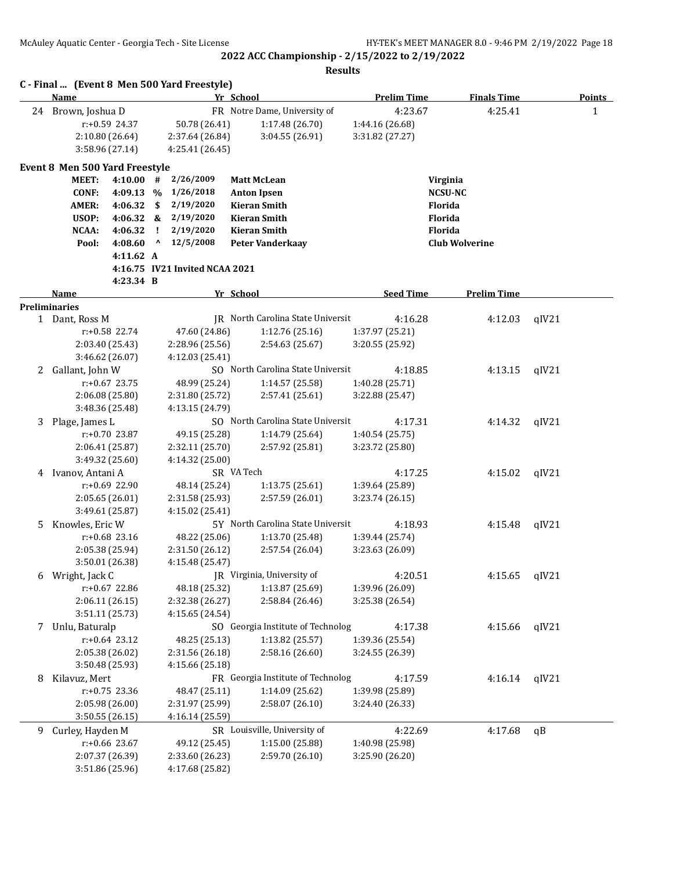|    | C - Final  (Event 8 Men 500 Yard Freestyle) |           |                                    | Yr School                          |                                    |                       |               |
|----|---------------------------------------------|-----------|------------------------------------|------------------------------------|------------------------------------|-----------------------|---------------|
|    | Name                                        |           |                                    |                                    | <b>Prelim Time</b>                 | <b>Finals Time</b>    | <b>Points</b> |
|    | 24 Brown, Joshua D                          |           |                                    | FR Notre Dame, University of       | 4:23.67                            | 4:25.41               | $\mathbf{1}$  |
|    | $r: +0.59$ 24.37<br>2:10.80 (26.64)         |           | 50.78 (26.41)<br>2:37.64 (26.84)   | 1:17.48 (26.70)<br>3:04.55 (26.91) | 1:44.16 (26.68)<br>3:31.82 (27.27) |                       |               |
|    | 3:58.96 (27.14)                             |           | 4:25.41 (26.45)                    |                                    |                                    |                       |               |
|    |                                             |           |                                    |                                    |                                    |                       |               |
|    | <b>Event 8 Men 500 Yard Freestyle</b>       |           |                                    |                                    |                                    |                       |               |
|    | <b>MEET:</b><br>4:10.00                     |           | 2/26/2009<br>#                     | <b>Matt McLean</b>                 |                                    | Virginia              |               |
|    | <b>CONF:</b><br>4:09.13                     |           | 1/26/2018<br>$\%$                  | <b>Anton Ipsen</b>                 |                                    | <b>NCSU-NC</b>        |               |
|    | AMER:<br>4:06.32                            |           | 2/19/2020<br>\$                    | <b>Kieran Smith</b>                |                                    | <b>Florida</b>        |               |
|    | USOP:<br>4:06.32                            |           | 2/19/2020<br>&                     | <b>Kieran Smith</b>                |                                    | <b>Florida</b>        |               |
|    | NCAA:<br>4:06.32                            |           | Ι.<br>2/19/2020<br>۸               | <b>Kieran Smith</b>                |                                    | Florida               |               |
|    | 4:08.60<br>Pool:                            |           | 12/5/2008                          | <b>Peter Vanderkaay</b>            |                                    | <b>Club Wolverine</b> |               |
|    |                                             | 4:11.62 A | 4:16.75 IV21 Invited NCAA 2021     |                                    |                                    |                       |               |
|    |                                             | 4:23.34 B |                                    |                                    |                                    |                       |               |
|    | <b>Name</b>                                 |           |                                    | Yr School                          | <b>Seed Time</b>                   | <b>Prelim Time</b>    |               |
|    | <b>Preliminaries</b>                        |           |                                    |                                    |                                    |                       |               |
|    | 1 Dant, Ross M                              |           |                                    | IR North Carolina State Universit  | 4:16.28                            | 4:12.03               | qIV21         |
|    | r:+0.58 22.74                               |           | 47.60 (24.86)                      | 1:12.76(25.16)                     | 1:37.97 (25.21)                    |                       |               |
|    | 2:03.40 (25.43)                             |           | 2:28.96 (25.56)                    | 2:54.63 (25.67)                    | 3:20.55 (25.92)                    |                       |               |
|    | 3:46.62 (26.07)                             |           | 4:12.03(25.41)                     |                                    |                                    |                       |               |
| 2  | Gallant, John W                             |           |                                    | SO North Carolina State Universit  | 4:18.85                            | 4:13.15               | qIV21         |
|    | $r: +0.67$ 23.75                            |           | 48.99 (25.24)                      | 1:14.57 (25.58)                    | 1:40.28 (25.71)                    |                       |               |
|    | 2:06.08 (25.80)                             |           | 2:31.80 (25.72)                    | 2:57.41 (25.61)                    | 3:22.88 (25.47)                    |                       |               |
|    | 3:48.36 (25.48)                             |           | 4:13.15 (24.79)                    |                                    |                                    |                       |               |
| 3  | Plage, James L                              |           |                                    | SO North Carolina State Universit  | 4:17.31                            | 4:14.32               | qIV21         |
|    | $r: +0.70$ 23.87                            |           | 49.15 (25.28)                      | 1:14.79 (25.64)                    | 1:40.54 (25.75)                    |                       |               |
|    | 2:06.41 (25.87)                             |           | 2:32.11 (25.70)                    | 2:57.92 (25.81)                    | 3:23.72 (25.80)                    |                       |               |
|    | 3:49.32 (25.60)                             |           | 4:14.32 (25.00)                    |                                    |                                    |                       |               |
| 4  | Ivanov, Antani A                            |           |                                    | SR VA Tech                         | 4:17.25                            | 4:15.02               | qIV21         |
|    | $r: +0.69$ 22.90                            |           | 48.14 (25.24)                      | 1:13.75(25.61)                     | 1:39.64 (25.89)                    |                       |               |
|    | 2:05.65 (26.01)                             |           | 2:31.58 (25.93)                    | 2:57.59 (26.01)                    | 3:23.74(26.15)                     |                       |               |
|    | 3:49.61 (25.87)                             |           | 4:15.02 (25.41)                    |                                    |                                    |                       |               |
| 5. | Knowles, Eric W                             |           |                                    | 5Y North Carolina State Universit  | 4:18.93                            | 4:15.48               | qIV21         |
|    | $r: +0.68$ 23.16                            |           | 48.22 (25.06)                      | 1:13.70 (25.48)                    | 1:39.44 (25.74)                    |                       |               |
|    | 2:05.38 (25.94)                             |           | 2:31.50 (26.12)<br>4:15.48 (25.47) | 2:57.54 (26.04)                    | 3:23.63 (26.09)                    |                       |               |
|    | 3:50.01 (26.38)                             |           |                                    | JR Virginia, University of         | 4:20.51                            |                       | qIV21         |
| 6  | Wright, Jack C<br>r:+0.67 22.86             |           | 48.18 (25.32)                      | 1:13.87 (25.69)                    | 1:39.96 (26.09)                    | 4:15.65               |               |
|    | 2:06.11 (26.15)                             |           | 2:32.38 (26.27)                    | 2:58.84 (26.46)                    | 3:25.38 (26.54)                    |                       |               |
|    | 3:51.11 (25.73)                             |           | 4:15.65 (24.54)                    |                                    |                                    |                       |               |
| 7  | Unlu, Baturalp                              |           |                                    | SO Georgia Institute of Technolog  | 4:17.38                            | 4:15.66               | qIV21         |
|    | $r: +0.64$ 23.12                            |           | 48.25 (25.13)                      | 1:13.82 (25.57)                    | 1:39.36 (25.54)                    |                       |               |
|    | 2:05.38 (26.02)                             |           | 2:31.56 (26.18)                    | 2:58.16 (26.60)                    | 3:24.55 (26.39)                    |                       |               |
|    | 3:50.48 (25.93)                             |           | 4:15.66 (25.18)                    |                                    |                                    |                       |               |
| 8  | Kilavuz, Mert                               |           |                                    | FR Georgia Institute of Technolog  | 4:17.59                            | 4:16.14               | qIV21         |
|    | $r: +0.75$ 23.36                            |           | 48.47 (25.11)                      | 1:14.09 (25.62)                    | 1:39.98 (25.89)                    |                       |               |
|    | 2:05.98 (26.00)                             |           | 2:31.97 (25.99)                    | 2:58.07(26.10)                     | 3:24.40 (26.33)                    |                       |               |
|    | 3:50.55(26.15)                              |           | 4:16.14 (25.59)                    |                                    |                                    |                       |               |
| 9  | Curley, Hayden M                            |           |                                    | SR Louisville, University of       | 4:22.69                            | 4:17.68               | qB            |
|    | $r: +0.66$ 23.67                            |           | 49.12 (25.45)                      | 1:15.00 (25.88)                    | 1:40.98 (25.98)                    |                       |               |
|    | 2:07.37 (26.39)                             |           | 2:33.60 (26.23)                    | 2:59.70 (26.10)                    | 3:25.90 (26.20)                    |                       |               |
|    | 3:51.86 (25.96)                             |           | 4:17.68 (25.82)                    |                                    |                                    |                       |               |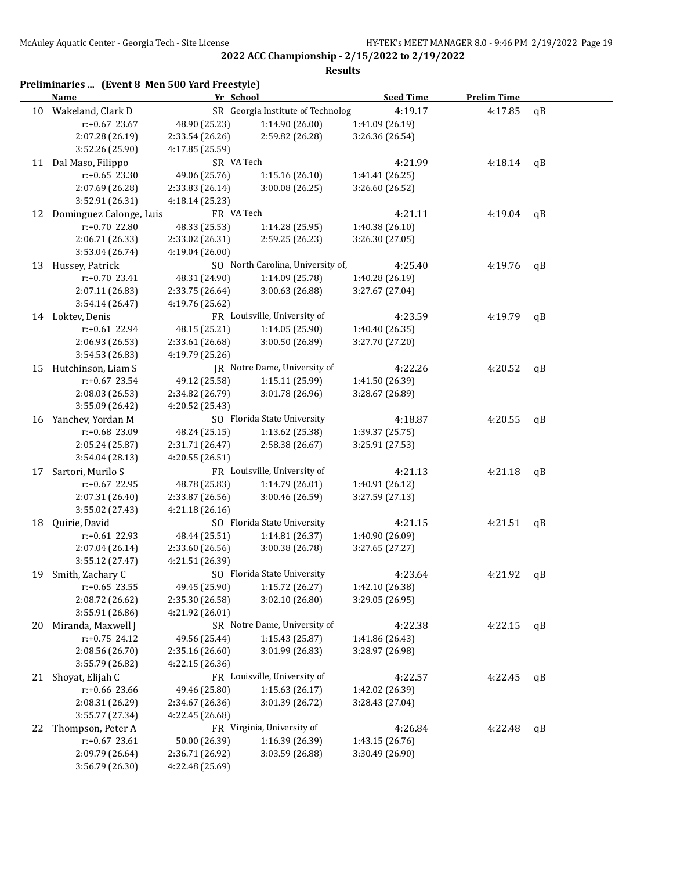|    | Preliminaries  (Event 8 Men 500 Yard Freestyle)<br>Name | Yr School       |                                   | <b>Seed Time</b> | <b>Prelim Time</b> |              |
|----|---------------------------------------------------------|-----------------|-----------------------------------|------------------|--------------------|--------------|
| 10 | Wakeland, Clark D                                       |                 | SR Georgia Institute of Technolog | 4:19.17          | 4:17.85            | qB           |
|    | r:+0.67 23.67                                           | 48.90 (25.23)   | 1:14.90 (26.00)                   | 1:41.09 (26.19)  |                    |              |
|    | 2:07.28 (26.19)                                         | 2:33.54 (26.26) | 2:59.82 (26.28)                   | 3:26.36 (26.54)  |                    |              |
|    | 3:52.26 (25.90)                                         | 4:17.85 (25.59) |                                   |                  |                    |              |
|    | 11 Dal Maso, Filippo                                    | SR VA Tech      |                                   | 4:21.99          | 4:18.14            | qB           |
|    | $r: +0.65$ 23.30                                        | 49.06 (25.76)   | 1:15.16 (26.10)                   | 1:41.41 (26.25)  |                    |              |
|    | 2:07.69 (26.28)                                         | 2:33.83 (26.14) | 3:00.08(26.25)                    | 3:26.60 (26.52)  |                    |              |
|    | 3:52.91 (26.31)                                         | 4:18.14 (25.23) |                                   |                  |                    |              |
| 12 | Dominguez Calonge, Luis                                 | FR VA Tech      |                                   | 4:21.11          | 4:19.04            | $\mathsf{q}$ |
|    | r:+0.70 22.80                                           | 48.33 (25.53)   | 1:14.28 (25.95)                   | 1:40.38 (26.10)  |                    |              |
|    | 2:06.71 (26.33)                                         | 2:33.02 (26.31) | 2:59.25 (26.23)                   | 3:26.30 (27.05)  |                    |              |
|    | 3:53.04 (26.74)                                         | 4:19.04 (26.00) |                                   |                  |                    |              |
| 13 | Hussey, Patrick                                         |                 | SO North Carolina, University of, | 4:25.40          | 4:19.76            | qB           |
|    | r:+0.70 23.41                                           | 48.31 (24.90)   | 1:14.09 (25.78)                   | 1:40.28 (26.19)  |                    |              |
|    | 2:07.11 (26.83)                                         | 2:33.75 (26.64) | 3:00.63 (26.88)                   | 3:27.67 (27.04)  |                    |              |
|    | 3:54.14 (26.47)                                         | 4:19.76 (25.62) |                                   |                  |                    |              |
|    | 14 Loktev, Denis                                        |                 | FR Louisville, University of      | 4:23.59          | 4:19.79            | $\mathsf{q}$ |
|    | $r: +0.61$ 22.94                                        | 48.15 (25.21)   | 1:14.05 (25.90)                   | 1:40.40 (26.35)  |                    |              |
|    | 2:06.93 (26.53)                                         | 2:33.61 (26.68) | 3:00.50 (26.89)                   | 3:27.70 (27.20)  |                    |              |
|    | 3:54.53 (26.83)                                         | 4:19.79 (25.26) |                                   |                  |                    |              |
| 15 | Hutchinson, Liam S                                      |                 | JR Notre Dame, University of      | 4:22.26          | 4:20.52            | qB           |
|    | $r: +0.67$ 23.54                                        | 49.12 (25.58)   | 1:15.11 (25.99)                   | 1:41.50 (26.39)  |                    |              |
|    | 2:08.03 (26.53)                                         | 2:34.82 (26.79) | 3:01.78 (26.96)                   | 3:28.67 (26.89)  |                    |              |
|    | 3:55.09 (26.42)                                         | 4:20.52 (25.43) |                                   |                  |                    |              |
| 16 | Yanchev, Yordan M                                       |                 | SO Florida State University       | 4:18.87          | 4:20.55            | qB           |
|    | r:+0.68 23.09                                           | 48.24 (25.15)   | 1:13.62 (25.38)                   | 1:39.37 (25.75)  |                    |              |
|    | 2:05.24 (25.87)                                         | 2:31.71 (26.47) | 2:58.38 (26.67)                   | 3:25.91 (27.53)  |                    |              |
|    | 3:54.04 (28.13)                                         | 4:20.55 (26.51) |                                   |                  |                    |              |
| 17 | Sartori, Murilo S                                       |                 | FR Louisville, University of      | 4:21.13          | 4:21.18            | qB           |
|    | r:+0.67 22.95                                           | 48.78 (25.83)   | 1:14.79 (26.01)                   | 1:40.91 (26.12)  |                    |              |
|    | 2:07.31 (26.40)                                         | 2:33.87 (26.56) | 3:00.46 (26.59)                   | 3:27.59 (27.13)  |                    |              |
|    | 3:55.02 (27.43)                                         | 4:21.18 (26.16) |                                   |                  |                    |              |
| 18 | Quirie, David                                           |                 | SO Florida State University       | 4:21.15          | 4:21.51            | qB           |
|    | r:+0.61 22.93                                           | 48.44 (25.51)   | 1:14.81 (26.37)                   | 1:40.90 (26.09)  |                    |              |
|    | 2:07.04 (26.14)                                         | 2:33.60 (26.56) | 3:00.38 (26.78)                   | 3:27.65 (27.27)  |                    |              |
|    | 3:55.12 (27.47)                                         | 4:21.51 (26.39) |                                   |                  |                    |              |
| 19 | Smith, Zachary C                                        |                 | SO Florida State University       | 4:23.64          | 4:21.92            | qB           |
|    | $r: +0.65$ 23.55                                        | 49.45 (25.90)   | 1:15.72 (26.27)                   | 1:42.10 (26.38)  |                    |              |
|    | 2:08.72 (26.62)                                         | 2:35.30 (26.58) | 3:02.10 (26.80)                   | 3:29.05 (26.95)  |                    |              |
|    | 3:55.91 (26.86)                                         | 4:21.92 (26.01) |                                   |                  |                    |              |
| 20 | Miranda, Maxwell J                                      |                 | SR Notre Dame, University of      | 4:22.38          | 4:22.15            | qB           |
|    | $r: +0.75$ 24.12                                        | 49.56 (25.44)   | 1:15.43 (25.87)                   | 1:41.86 (26.43)  |                    |              |
|    | 2:08.56 (26.70)                                         | 2:35.16 (26.60) | 3:01.99 (26.83)                   | 3:28.97 (26.98)  |                    |              |
|    | 3:55.79 (26.82)                                         | 4:22.15 (26.36) |                                   |                  |                    |              |
| 21 | Shoyat, Elijah C                                        |                 | FR Louisville, University of      | 4:22.57          | 4:22.45            | qB           |
|    | r:+0.66 23.66                                           | 49.46 (25.80)   | 1:15.63(26.17)                    | 1:42.02 (26.39)  |                    |              |
|    | 2:08.31 (26.29)                                         | 2:34.67 (26.36) | 3:01.39 (26.72)                   | 3:28.43 (27.04)  |                    |              |
|    | 3:55.77 (27.34)                                         | 4:22.45 (26.68) |                                   |                  |                    |              |
| 22 | Thompson, Peter A                                       |                 | FR Virginia, University of        | 4:26.84          | 4:22.48            | qB           |
|    | r:+0.67 23.61                                           | 50.00 (26.39)   | 1:16.39 (26.39)                   | 1:43.15 (26.76)  |                    |              |
|    | 2:09.79 (26.64)                                         | 2:36.71 (26.92) | 3:03.59 (26.88)                   | 3:30.49 (26.90)  |                    |              |
|    | 3:56.79 (26.30)                                         | 4:22.48 (25.69) |                                   |                  |                    |              |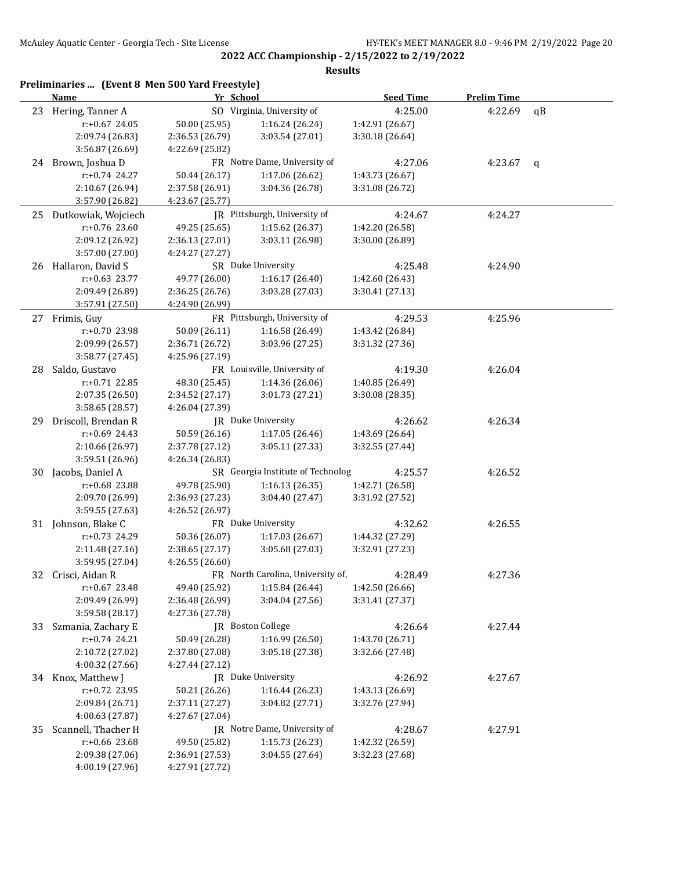|    | Name                  | Yr School       |                                   | <b>Seed Time</b> | <b>Prelim Time</b> |    |
|----|-----------------------|-----------------|-----------------------------------|------------------|--------------------|----|
|    | 23 Hering, Tanner A   |                 | SO Virginia, University of        | 4:25.00          | 4:22.69            | qB |
|    | $r: +0.67$ 24.05      | 50.00 (25.95)   | 1:16.24 (26.24)                   | 1:42.91 (26.67)  |                    |    |
|    | 2:09.74 (26.83)       | 2:36.53 (26.79) | 3:03.54 (27.01)                   | 3:30.18 (26.64)  |                    |    |
|    | 3:56.87 (26.69)       | 4:22.69 (25.82) |                                   |                  |                    |    |
|    | 24 Brown, Joshua D    |                 | FR Notre Dame, University of      | 4:27.06          | 4:23.67            | q  |
|    | r:+0.74 24.27         | 50.44 (26.17)   | 1:17.06 (26.62)                   | 1:43.73 (26.67)  |                    |    |
|    | 2:10.67 (26.94)       | 2:37.58 (26.91) | 3:04.36 (26.78)                   | 3:31.08 (26.72)  |                    |    |
|    | 3:57.90 (26.82)       | 4:23.67 (25.77) |                                   |                  |                    |    |
| 25 | Dutkowiak, Wojciech   |                 | JR Pittsburgh, University of      | 4:24.67          | 4:24.27            |    |
|    | $r: +0.76$ 23.60      | 49.25 (25.65)   | 1:15.62 (26.37)                   | 1:42.20 (26.58)  |                    |    |
|    | 2:09.12 (26.92)       | 2:36.13 (27.01) | 3:03.11 (26.98)                   | 3:30.00 (26.89)  |                    |    |
|    | 3:57.00 (27.00)       | 4:24.27 (27.27) |                                   |                  |                    |    |
|    | 26 Hallaron, David S  |                 | SR Duke University                | 4:25.48          | 4:24.90            |    |
|    | $r: +0.63$ 23.77      | 49.77 (26.00)   | 1:16.17(26.40)                    | 1:42.60 (26.43)  |                    |    |
|    | 2:09.49 (26.89)       | 2:36.25 (26.76) | 3:03.28 (27.03)                   | 3:30.41 (27.13)  |                    |    |
|    | 3:57.91 (27.50)       | 4:24.90 (26.99) |                                   |                  |                    |    |
|    | 27 Frimis, Guy        |                 | FR Pittsburgh, University of      | 4:29.53          | 4:25.96            |    |
|    | r:+0.70 23.98         | 50.09 (26.11)   | 1:16.58 (26.49)                   | 1:43.42 (26.84)  |                    |    |
|    | 2:09.99 (26.57)       | 2:36.71 (26.72) | 3:03.96 (27.25)                   | 3:31.32 (27.36)  |                    |    |
|    | 3:58.77 (27.45)       | 4:25.96 (27.19) |                                   |                  |                    |    |
| 28 | Saldo, Gustavo        |                 | FR Louisville, University of      | 4:19.30          | 4:26.04            |    |
|    | r:+0.71 22.85         | 48.30 (25.45)   | 1:14.36 (26.06)                   | 1:40.85 (26.49)  |                    |    |
|    | 2:07.35 (26.50)       | 2:34.52 (27.17) | 3:01.73 (27.21)                   | 3:30.08 (28.35)  |                    |    |
|    | 3:58.65 (28.57)       | 4:26.04 (27.39) |                                   |                  |                    |    |
| 29 | Driscoll, Brendan R   |                 | JR Duke University                | 4:26.62          | 4:26.34            |    |
|    | r:+0.69 24.43         | 50.59 (26.16)   | 1:17.05 (26.46)                   | 1:43.69 (26.64)  |                    |    |
|    | 2:10.66 (26.97)       | 2:37.78 (27.12) | 3:05.11 (27.33)                   | 3:32.55 (27.44)  |                    |    |
|    | 3:59.51 (26.96)       | 4:26.34 (26.83) |                                   |                  |                    |    |
| 30 | Jacobs, Daniel A      |                 | SR Georgia Institute of Technolog | 4:25.57          | 4:26.52            |    |
|    | r:+0.68 23.88         | 49.78 (25.90)   | 1:16.13(26.35)                    | 1:42.71 (26.58)  |                    |    |
|    | 2:09.70 (26.99)       | 2:36.93 (27.23) | 3:04.40 (27.47)                   | 3:31.92 (27.52)  |                    |    |
|    | 3:59.55 (27.63)       | 4:26.52 (26.97) |                                   |                  |                    |    |
|    | 31 Johnson, Blake C   |                 | FR Duke University                | 4:32.62          | 4:26.55            |    |
|    | r:+0.73 24.29         | 50.36 (26.07)   | 1:17.03 (26.67)                   | 1:44.32 (27.29)  |                    |    |
|    | 2:11.48 (27.16)       | 2:38.65 (27.17) | 3:05.68 (27.03)                   | 3:32.91 (27.23)  |                    |    |
|    | 3:59.95 (27.04)       | 4:26.55 (26.60) |                                   |                  |                    |    |
|    | 32 Crisci, Aidan R    |                 | FR North Carolina, University of, | 4:28.49          | 4:27.36            |    |
|    | $r: +0.67$ 23.48      | 49.40 (25.92)   | 1:15.84 (26.44)                   | 1:42.50 (26.66)  |                    |    |
|    | 2:09.49 (26.99)       | 2:36.48 (26.99) | 3:04.04 (27.56)                   | 3:31.41 (27.37)  |                    |    |
|    | 3:59.58 (28.17)       | 4:27.36 (27.78) |                                   |                  |                    |    |
|    | 33 Szmania, Zachary E |                 | JR Boston College                 | 4:26.64          | 4:27.44            |    |
|    | r:+0.74 24.21         | 50.49 (26.28)   | 1:16.99 (26.50)                   | 1:43.70 (26.71)  |                    |    |
|    | 2:10.72 (27.02)       | 2:37.80 (27.08) | 3:05.18 (27.38)                   | 3:32.66 (27.48)  |                    |    |
|    | 4:00.32 (27.66)       | 4:27.44 (27.12) |                                   |                  |                    |    |
|    | 34 Knox, Matthew J    |                 | JR Duke University                | 4:26.92          | 4:27.67            |    |
|    | r:+0.72 23.95         | 50.21 (26.26)   | 1:16.44 (26.23)                   | 1:43.13 (26.69)  |                    |    |
|    | 2:09.84 (26.71)       | 2:37.11 (27.27) | 3:04.82 (27.71)                   | 3:32.76 (27.94)  |                    |    |
|    | 4:00.63 (27.87)       | 4:27.67 (27.04) |                                   |                  |                    |    |
| 35 | Scannell, Thacher H   |                 | JR Notre Dame, University of      | 4:28.67          | 4:27.91            |    |
|    | r:+0.66 23.68         | 49.50 (25.82)   | 1:15.73 (26.23)                   | 1:42.32 (26.59)  |                    |    |
|    | 2:09.38 (27.06)       | 2:36.91 (27.53) | 3:04.55 (27.64)                   | 3:32.23 (27.68)  |                    |    |
|    | 4:00.19 (27.96)       | 4:27.91 (27.72) |                                   |                  |                    |    |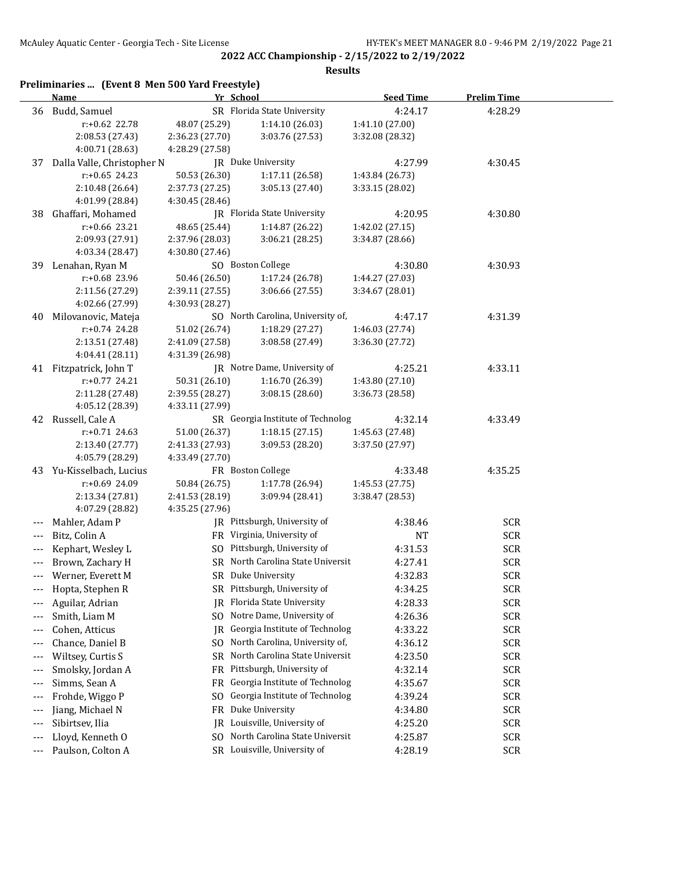**2022 ACC Championship - 2/15/2022 to 2/19/2022 Results**

|       | Preliminaries  (Event 8 Men 500 Yard Freestyle)<br><b>Name</b> | Yr School       |                                   | <b>Seed Time</b> | <b>Prelim Time</b> |  |
|-------|----------------------------------------------------------------|-----------------|-----------------------------------|------------------|--------------------|--|
|       | 36 Budd, Samuel                                                |                 | SR Florida State University       | 4:24.17          | 4:28.29            |  |
|       | r:+0.62 22.78                                                  | 48.07 (25.29)   | 1:14.10 (26.03)                   | 1:41.10 (27.00)  |                    |  |
|       | 2:08.53 (27.43)                                                | 2:36.23 (27.70) | 3:03.76 (27.53)                   | 3:32.08 (28.32)  |                    |  |
|       | 4:00.71 (28.63)                                                | 4:28.29 (27.58) |                                   |                  |                    |  |
| 37    | Dalla Valle, Christopher N                                     |                 | JR Duke University                | 4:27.99          | 4:30.45            |  |
|       | $r: +0.65$ 24.23                                               | 50.53 (26.30)   | 1:17.11 (26.58)                   | 1:43.84 (26.73)  |                    |  |
|       | 2:10.48 (26.64)                                                | 2:37.73 (27.25) | 3:05.13 (27.40)                   | 3:33.15 (28.02)  |                    |  |
|       | 4:01.99 (28.84)                                                | 4:30.45 (28.46) |                                   |                  |                    |  |
| 38    | Ghaffari, Mohamed                                              |                 | JR Florida State University       | 4:20.95          | 4:30.80            |  |
|       | r:+0.66 23.21                                                  | 48.65 (25.44)   | 1:14.87 (26.22)                   | 1:42.02 (27.15)  |                    |  |
|       | 2:09.93 (27.91)                                                | 2:37.96 (28.03) | 3:06.21 (28.25)                   | 3:34.87 (28.66)  |                    |  |
|       | 4:03.34 (28.47)                                                | 4:30.80 (27.46) |                                   |                  |                    |  |
| 39    | Lenahan, Ryan M                                                |                 | SO Boston College                 | 4:30.80          | 4:30.93            |  |
|       | r:+0.68 23.96                                                  | 50.46 (26.50)   | 1:17.24 (26.78)                   | 1:44.27 (27.03)  |                    |  |
|       | 2:11.56 (27.29)                                                | 2:39.11 (27.55) | 3:06.66 (27.55)                   | 3:34.67 (28.01)  |                    |  |
|       | 4:02.66 (27.99)                                                | 4:30.93 (28.27) |                                   |                  |                    |  |
| 40    | Milovanovic, Mateja                                            |                 | SO North Carolina, University of, | 4:47.17          | 4:31.39            |  |
|       | $r: +0.74$ 24.28                                               | 51.02 (26.74)   | 1:18.29 (27.27)                   | 1:46.03 (27.74)  |                    |  |
|       | 2:13.51 (27.48)                                                | 2:41.09 (27.58) | 3:08.58 (27.49)                   | 3:36.30 (27.72)  |                    |  |
|       | 4:04.41 (28.11)                                                | 4:31.39 (26.98) |                                   |                  |                    |  |
|       | 41 Fitzpatrick, John T                                         |                 | JR Notre Dame, University of      | 4:25.21          | 4:33.11            |  |
|       | $r: +0.77$ 24.21                                               | 50.31 (26.10)   | 1:16.70 (26.39)                   | 1:43.80 (27.10)  |                    |  |
|       | 2:11.28 (27.48)                                                | 2:39.55 (28.27) | 3:08.15(28.60)                    | 3:36.73 (28.58)  |                    |  |
|       | 4:05.12 (28.39)                                                | 4:33.11 (27.99) |                                   |                  |                    |  |
|       | 42 Russell, Cale A                                             |                 | SR Georgia Institute of Technolog | 4:32.14          | 4:33.49            |  |
|       | $r: +0.71$ 24.63                                               | 51.00 (26.37)   | 1:18.15(27.15)                    | 1:45.63 (27.48)  |                    |  |
|       | 2:13.40 (27.77)                                                | 2:41.33 (27.93) | 3:09.53 (28.20)                   | 3:37.50 (27.97)  |                    |  |
|       | 4:05.79 (28.29)                                                | 4:33.49 (27.70) |                                   |                  |                    |  |
|       | 43 Yu-Kisselbach, Lucius                                       |                 | FR Boston College                 | 4:33.48          | 4:35.25            |  |
|       | r:+0.69 24.09                                                  | 50.84 (26.75)   | 1:17.78 (26.94)                   | 1:45.53 (27.75)  |                    |  |
|       | 2:13.34 (27.81)                                                | 2:41.53 (28.19) | 3:09.94 (28.41)                   | 3:38.47 (28.53)  |                    |  |
|       | 4:07.29 (28.82)                                                | 4:35.25 (27.96) |                                   |                  |                    |  |
|       | Mahler, Adam P                                                 |                 | JR Pittsburgh, University of      | 4:38.46          | <b>SCR</b>         |  |
|       |                                                                |                 | FR Virginia, University of        |                  |                    |  |
| ---   | Bitz, Colin A                                                  |                 |                                   | NT               | <b>SCR</b>         |  |
| $---$ | Kephart, Wesley L                                              |                 | SO Pittsburgh, University of      | 4:31.53          | <b>SCR</b>         |  |
| ---   | Brown, Zachary H                                               |                 | SR North Carolina State Universit | 4:27.41          | <b>SCR</b>         |  |
| ---   | Werner, Everett M                                              | SR              | Duke University                   | 4:32.83          | <b>SCR</b>         |  |
| ---   | Hopta, Stephen R                                               | SR              | Pittsburgh, University of         | 4:34.25          | <b>SCR</b>         |  |
| ---   | Aguilar, Adrian                                                | IR              | Florida State University          | 4:28.33          | <b>SCR</b>         |  |
| ---   | Smith, Liam M                                                  | SO.             | Notre Dame, University of         | 4:26.36          | <b>SCR</b>         |  |
| $---$ | Cohen, Atticus                                                 | IR              | Georgia Institute of Technolog    | 4:33.22          | <b>SCR</b>         |  |
| ---   | Chance, Daniel B                                               | SO.             | North Carolina, University of,    | 4:36.12          | <b>SCR</b>         |  |
| ---   | Wiltsey, Curtis S                                              | SR              | North Carolina State Universit    | 4:23.50          | <b>SCR</b>         |  |
| ---   | Smolsky, Jordan A                                              | FR              | Pittsburgh, University of         | 4:32.14          | <b>SCR</b>         |  |
| ---   | Simms, Sean A                                                  | FR              | Georgia Institute of Technolog    | 4:35.67          | <b>SCR</b>         |  |
| ---   | Frohde, Wiggo P                                                | S <sub>O</sub>  | Georgia Institute of Technolog    | 4:39.24          | <b>SCR</b>         |  |
| ---   | Jiang, Michael N                                               | FR              | Duke University                   | 4:34.80          | <b>SCR</b>         |  |
| ---   | Sibirtsev, Ilia                                                | IR              | Louisville, University of         | 4:25.20          | <b>SCR</b>         |  |
|       | Lloyd, Kenneth O                                               | SO.             | North Carolina State Universit    | 4:25.87          | <b>SCR</b>         |  |
| ---   |                                                                |                 |                                   |                  |                    |  |
| $---$ | Paulson, Colton A                                              |                 | SR Louisville, University of      | 4:28.19          | <b>SCR</b>         |  |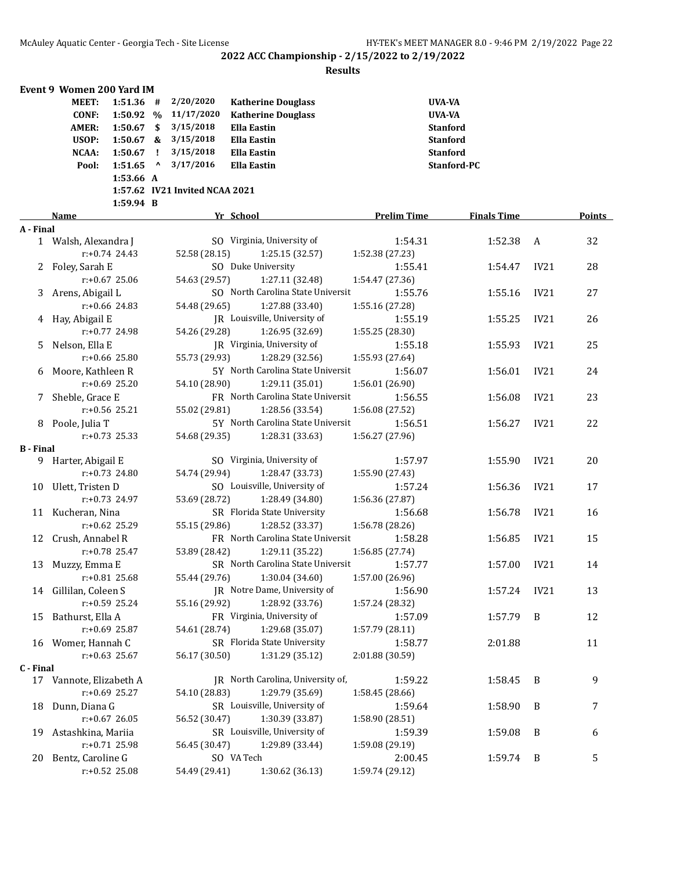|                  | Event 9 Women 200 Yard IM |                  |     |                                |                                   |                    |                    |                  |        |
|------------------|---------------------------|------------------|-----|--------------------------------|-----------------------------------|--------------------|--------------------|------------------|--------|
|                  | MEET:                     | $1:51.36$ #      |     | 2/20/2020                      | <b>Katherine Douglass</b>         |                    | <b>UVA-VA</b>      |                  |        |
|                  | <b>CONF:</b>              | 1:50.92 %        |     | 11/17/2020                     | <b>Katherine Douglass</b>         |                    | <b>UVA-VA</b>      |                  |        |
|                  | <b>AMER:</b>              | 1:50.67          | \$  | 3/15/2018                      | <b>Ella Eastin</b>                |                    | <b>Stanford</b>    |                  |        |
|                  | USOP:                     | $1:50.67$ &      |     | 3/15/2018                      | <b>Ella Eastin</b>                |                    | <b>Stanford</b>    |                  |        |
|                  | <b>NCAA:</b>              | 1:50.67          | - ! | 3/15/2018                      | <b>Ella Eastin</b>                |                    | <b>Stanford</b>    |                  |        |
|                  | Pool:                     | 1:51.65          | Λ   | 3/17/2016                      | <b>Ella Eastin</b>                |                    | Stanford-PC        |                  |        |
|                  |                           | 1:53.66 A        |     |                                |                                   |                    |                    |                  |        |
|                  |                           |                  |     | 1:57.62 IV21 Invited NCAA 2021 |                                   |                    |                    |                  |        |
|                  |                           | 1:59.94 B        |     |                                |                                   |                    |                    |                  |        |
|                  | Name                      |                  |     |                                | Yr School                         | <b>Prelim Time</b> | <b>Finals Time</b> |                  | Points |
| A - Final        |                           |                  |     |                                |                                   |                    |                    |                  |        |
|                  | 1 Walsh, Alexandra J      |                  |     |                                | SO Virginia, University of        | 1:54.31            | 1:52.38            | A                | 32     |
|                  |                           | $r: +0.74$ 24.43 |     | 52.58 (28.15)                  | 1:25.15 (32.57)                   | 1:52.38 (27.23)    |                    |                  |        |
| $\mathbf{Z}$     | Foley, Sarah E            |                  |     |                                | SO Duke University                | 1:55.41            | 1:54.47            | IV <sub>21</sub> | 28     |
|                  |                           | $r: +0.67$ 25.06 |     | 54.63 (29.57)                  | 1:27.11 (32.48)                   | 1:54.47 (27.36)    |                    |                  |        |
| 3                | Arens, Abigail L          |                  |     |                                | SO North Carolina State Universit | 1:55.76            | 1:55.16            | IV21             | 27     |
|                  |                           | $r: +0.66$ 24.83 |     | 54.48 (29.65)                  | 1:27.88 (33.40)                   | 1:55.16 (27.28)    |                    |                  |        |
| 4                | Hay, Abigail E            |                  |     |                                | JR Louisville, University of      | 1:55.19            | 1:55.25            | IV21             | 26     |
|                  |                           | $r: +0.77$ 24.98 |     | 54.26 (29.28)                  | 1:26.95 (32.69)                   | 1:55.25 (28.30)    |                    |                  |        |
| 5.               | Nelson, Ella E            |                  |     |                                | JR Virginia, University of        | 1:55.18            | 1:55.93            | IV21             | 25     |
|                  |                           | $r: +0.66$ 25.80 |     | 55.73 (29.93)                  | 1:28.29 (32.56)                   | 1:55.93 (27.64)    |                    |                  |        |
| 6                | Moore, Kathleen R         |                  |     |                                | 5Y North Carolina State Universit | 1:56.07            | 1:56.01            | IV21             | 24     |
|                  |                           | $r: +0.69$ 25.20 |     | 54.10 (28.90)                  | 1:29.11 (35.01)                   | 1:56.01 (26.90)    |                    |                  |        |
| 7.               | Sheble, Grace E           |                  |     |                                | FR North Carolina State Universit | 1:56.55            | 1:56.08            | IV21             | 23     |
|                  |                           | $r: +0.56$ 25.21 |     | 55.02 (29.81)                  | 1:28.56 (33.54)                   | 1:56.08 (27.52)    |                    |                  |        |
|                  | 8 Poole, Julia T          |                  |     |                                | 5Y North Carolina State Universit | 1:56.51            | 1:56.27            | IV21             | 22     |
|                  |                           | $r: +0.73$ 25.33 |     | 54.68 (29.35)                  | 1:28.31 (33.63)                   | 1:56.27 (27.96)    |                    |                  |        |
| <b>B</b> - Final |                           |                  |     |                                |                                   |                    |                    |                  |        |
|                  | 9 Harter, Abigail E       |                  |     |                                | SO Virginia, University of        | 1:57.97            | 1:55.90            | IV21             | 20     |
|                  |                           | r:+0.73 24.80    |     | 54.74 (29.94)                  | 1:28.47 (33.73)                   | 1:55.90 (27.43)    |                    |                  |        |
|                  | 10 Ulett, Tristen D       |                  |     |                                | SO Louisville, University of      | 1:57.24            | 1:56.36            | IV21             | 17     |
|                  |                           | $r: +0.73$ 24.97 |     | 53.69 (28.72)                  | 1:28.49 (34.80)                   | 1:56.36 (27.87)    |                    |                  |        |
|                  | 11 Kucheran, Nina         |                  |     |                                | SR Florida State University       | 1:56.68            | 1:56.78            | IV21             | 16     |
|                  |                           | r:+0.62 25.29    |     |                                |                                   |                    |                    |                  |        |
|                  |                           |                  |     | 55.15 (29.86)                  | 1:28.52 (33.37)                   | 1:56.78 (28.26)    |                    |                  |        |
| 12               | Crush, Annabel R          |                  |     |                                | FR North Carolina State Universit | 1:58.28            | 1:56.85            | IV21             | 15     |
|                  |                           | r:+0.78 25.47    |     | 53.89 (28.42)                  | 1:29.11 (35.22)                   | 1:56.85 (27.74)    |                    |                  |        |
|                  | 13 Muzzy, Emma E          |                  |     |                                | SR North Carolina State Universit | 1:57.77            | 1:57.00            | IV21             | 14     |
|                  | r:+0.81 25.68             |                  |     |                                | 55.44 (29.76) 1:30.04 (34.60)     | 1:57.00 (26.96)    |                    |                  |        |
|                  | 14 Gillilan, Coleen S     |                  |     |                                | JR Notre Dame, University of      | 1:56.90            | 1:57.24            | IV21             | 13     |
|                  |                           | r:+0.59 25.24    |     | 55.16 (29.92)                  | 1:28.92 (33.76)                   | 1:57.24 (28.32)    |                    |                  |        |
| 15               | Bathurst, Ella A          |                  |     |                                | FR Virginia, University of        | 1:57.09            | 1:57.79            | B                | 12     |
|                  |                           | $r: +0.69$ 25.87 |     | 54.61 (28.74)                  | 1:29.68 (35.07)                   | 1:57.79 (28.11)    |                    |                  |        |
|                  | 16 Womer, Hannah C        |                  |     |                                | SR Florida State University       | 1:58.77            | 2:01.88            |                  | 11     |
|                  |                           | $r: +0.63$ 25.67 |     | 56.17 (30.50)                  | 1:31.29 (35.12)                   | 2:01.88 (30.59)    |                    |                  |        |
| C - Final        |                           |                  |     |                                |                                   |                    |                    |                  |        |
|                  | 17 Vannote, Elizabeth A   |                  |     |                                | IR North Carolina, University of, | 1:59.22            | 1:58.45            | B                | 9      |
|                  |                           | $r: +0.69$ 25.27 |     | 54.10 (28.83)                  | 1:29.79 (35.69)                   | 1:58.45 (28.66)    |                    |                  |        |
| 18               | Dunn, Diana G             |                  |     |                                | SR Louisville, University of      | 1:59.64            | 1:58.90            | B                | 7      |
|                  |                           | $r: +0.67$ 26.05 |     | 56.52 (30.47)                  | 1:30.39 (33.87)                   | 1:58.90 (28.51)    |                    |                  |        |
| 19               | Astashkina, Mariia        |                  |     |                                | SR Louisville, University of      | 1:59.39            | 1:59.08            | B                | 6      |
|                  |                           | r:+0.71 25.98    |     | 56.45 (30.47)                  | 1:29.89 (33.44)                   | 1:59.08 (29.19)    |                    |                  |        |
| 20               | Bentz, Caroline G         |                  |     |                                | SO VA Tech                        | 2:00.45            | 1:59.74            | B                | 5      |
|                  |                           | r:+0.52 25.08    |     | 54.49 (29.41)                  | 1:30.62 (36.13)                   | 1:59.74 (29.12)    |                    |                  |        |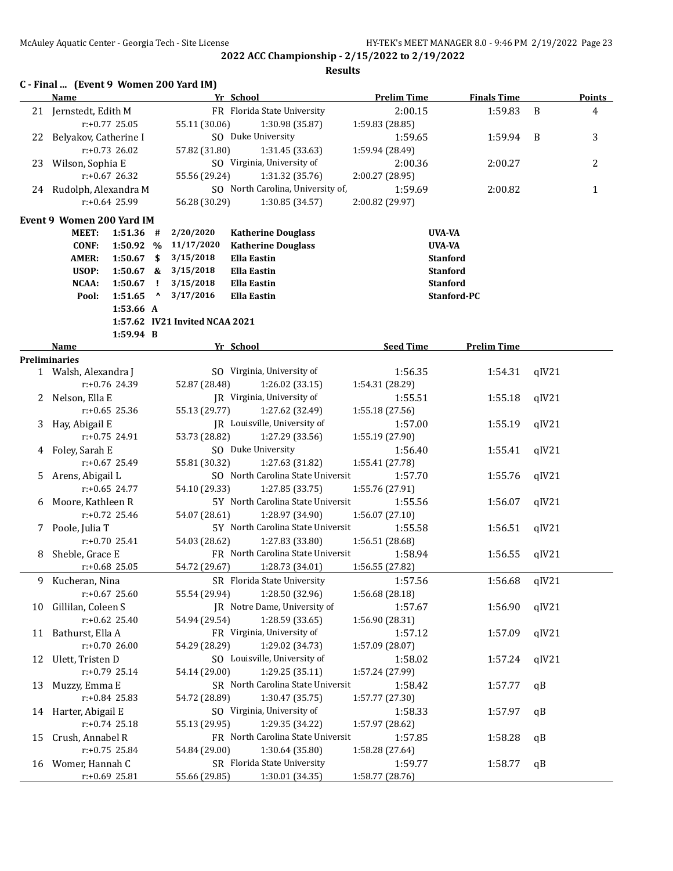|    | C - Final  (Event 9 Women 200 Yard IM)       |                  |              |                                |                                                      |                            |                    |       |               |
|----|----------------------------------------------|------------------|--------------|--------------------------------|------------------------------------------------------|----------------------------|--------------------|-------|---------------|
|    | Name                                         |                  |              |                                | Yr School                                            | <b>Prelim Time</b>         | <b>Finals Time</b> |       | <b>Points</b> |
|    | 21 Jernstedt, Edith M                        |                  |              |                                | FR Florida State University                          | 2:00.15                    | 1:59.83            | B     | 4             |
|    |                                              | $r: +0.77$ 25.05 |              | 55.11 (30.06)                  | 1:30.98 (35.87)                                      | 1:59.83 (28.85)            |                    |       |               |
| 22 | Belyakov, Catherine I                        | $r: +0.73$ 26.02 |              |                                | SO Duke University                                   | 1:59.65                    | 1:59.94            | B     | 3             |
|    |                                              |                  |              | 57.82 (31.80)                  | 1:31.45 (33.63)<br>SO Virginia, University of        | 1:59.94 (28.49)            |                    |       |               |
| 23 | Wilson, Sophia E                             | $r: +0.67$ 26.32 |              |                                |                                                      | 2:00.36                    | 2:00.27            |       | 2             |
|    | 24 Rudolph, Alexandra M                      |                  |              | 55.56 (29.24)                  | 1:31.32 (35.76)<br>SO North Carolina, University of, | 2:00.27 (28.95)<br>1:59.69 | 2:00.82            |       |               |
|    |                                              | $r: +0.64$ 25.99 |              | 56.28 (30.29)                  | 1:30.85 (34.57)                                      | 2:00.82 (29.97)            |                    |       | $\mathbf{1}$  |
|    |                                              |                  |              |                                |                                                      |                            |                    |       |               |
|    | Event 9 Women 200 Yard IM                    |                  |              |                                |                                                      |                            |                    |       |               |
|    | <b>MEET:</b>                                 | $1:51.36$ #      |              | 2/20/2020                      | <b>Katherine Douglass</b>                            |                            | UVA-VA             |       |               |
|    | <b>CONF:</b>                                 | 1:50.92 %        |              | 11/17/2020                     | <b>Katherine Douglass</b>                            |                            | UVA-VA             |       |               |
|    | <b>AMER:</b>                                 | $1:50.67$ \$     |              | 3/15/2018                      | <b>Ella Eastin</b>                                   |                            | <b>Stanford</b>    |       |               |
|    | USOP:                                        | $1:50.67$ &      |              | 3/15/2018                      | <b>Ella Eastin</b>                                   |                            | <b>Stanford</b>    |       |               |
|    | NCAA:                                        | 1:50.67          | - 1          | 3/15/2018                      | <b>Ella Eastin</b>                                   |                            | <b>Stanford</b>    |       |               |
|    | Pool:                                        | 1:51.65          | $\mathbf{v}$ | 3/17/2016                      | <b>Ella Eastin</b>                                   |                            | Stanford-PC        |       |               |
|    |                                              | 1:53.66 A        |              |                                |                                                      |                            |                    |       |               |
|    |                                              |                  |              | 1:57.62 IV21 Invited NCAA 2021 |                                                      |                            |                    |       |               |
|    |                                              | 1:59.94 B        |              |                                |                                                      |                            |                    |       |               |
|    | Name                                         |                  |              |                                | Yr School                                            | <b>Seed Time</b>           | <b>Prelim Time</b> |       |               |
|    | <b>Preliminaries</b><br>1 Walsh, Alexandra J |                  |              |                                | SO Virginia, University of                           | 1:56.35                    | 1:54.31            | qIV21 |               |
|    |                                              | r:+0.76 24.39    |              | 52.87 (28.48)                  | 1:26.02 (33.15)                                      | 1:54.31 (28.29)            |                    |       |               |
|    | 2 Nelson, Ella E                             |                  |              |                                | JR Virginia, University of                           | 1:55.51                    |                    |       |               |
|    |                                              | r:+0.65 25.36    |              | 55.13 (29.77)                  |                                                      |                            | 1:55.18            | qIV21 |               |
|    |                                              |                  |              |                                | 1:27.62 (32.49)<br>JR Louisville, University of      | 1:55.18 (27.56)            |                    |       |               |
| 3  | Hay, Abigail E                               |                  |              |                                |                                                      | 1:57.00                    | 1:55.19            | qIV21 |               |
|    |                                              | r:+0.75 24.91    |              | 53.73 (28.82)                  | 1:27.29 (33.56)<br>SO Duke University                | 1:55.19 (27.90)            |                    |       |               |
| 4  | Foley, Sarah E                               |                  |              |                                |                                                      | 1:56.40                    | 1:55.41            | qIV21 |               |
|    |                                              | r:+0.67 25.49    |              | 55.81 (30.32)                  | 1:27.63 (31.82)                                      | 1:55.41 (27.78)            |                    |       |               |
| 5. | Arens, Abigail L                             |                  |              |                                | SO North Carolina State Universit                    | 1:57.70                    | 1:55.76            | qIV21 |               |
|    |                                              | $r: +0.65$ 24.77 |              | 54.10 (29.33)                  | 1:27.85 (33.75)                                      | 1:55.76 (27.91)            |                    |       |               |
| 6  | Moore, Kathleen R                            |                  |              |                                | 5Y North Carolina State Universit                    | 1:55.56                    | 1:56.07            | qIV21 |               |
|    |                                              | $r: +0.72$ 25.46 |              | 54.07 (28.61)                  | 1:28.97 (34.90)                                      | 1:56.07 (27.10)            |                    |       |               |
| 7  | Poole, Julia T                               |                  |              |                                | 5Y North Carolina State Universit                    | 1:55.58                    | 1:56.51            | qIV21 |               |
|    |                                              | $r: +0.70$ 25.41 |              | 54.03 (28.62)                  | 1:27.83 (33.80)                                      | 1:56.51 (28.68)            |                    |       |               |
| 8  | Sheble, Grace E                              |                  |              |                                | FR North Carolina State Universit                    | 1:58.94                    | 1:56.55            | qIV21 |               |
|    |                                              | $r: +0.68$ 25.05 |              |                                | 54.72 (29.67) 1:28.73 (34.01)                        | 1:56.55 (27.82)            |                    |       |               |
| 9  | Kucheran, Nina                               |                  |              |                                | SR Florida State University                          | 1:57.56                    | 1:56.68            | qIV21 |               |
|    |                                              | $r: +0.67$ 25.60 |              | 55.54 (29.94)                  | 1:28.50 (32.96)                                      | 1:56.68 (28.18)            |                    |       |               |
| 10 | Gillilan, Coleen S                           |                  |              |                                | JR Notre Dame, University of                         | 1:57.67                    | 1:56.90            | qIV21 |               |
|    |                                              | $r: +0.62$ 25.40 |              | 54.94 (29.54)                  | 1:28.59 (33.65)                                      | 1:56.90 (28.31)            |                    |       |               |
| 11 | Bathurst, Ella A                             |                  |              |                                | FR Virginia, University of                           | 1:57.12                    | 1:57.09            | qIV21 |               |
|    |                                              | $r: +0.7026.00$  |              | 54.29 (28.29)                  | 1:29.02 (34.73)                                      | 1:57.09 (28.07)            |                    |       |               |
| 12 | Ulett, Tristen D                             |                  |              |                                | SO Louisville, University of                         | 1:58.02                    | 1:57.24            | qIV21 |               |
|    |                                              | r:+0.79 25.14    |              | 54.14 (29.00)                  | 1:29.25 (35.11)                                      | 1:57.24 (27.99)            |                    |       |               |
| 13 | Muzzy, Emma E                                |                  |              |                                | SR North Carolina State Universit                    | 1:58.42                    | 1:57.77            | qB    |               |
|    |                                              | $r: +0.84$ 25.83 |              | 54.72 (28.89)                  | 1:30.47 (35.75)                                      | 1:57.77 (27.30)            |                    |       |               |
| 14 | Harter, Abigail E                            |                  |              |                                | SO Virginia, University of                           | 1:58.33                    | 1:57.97            | qB    |               |
|    |                                              | $r: +0.74$ 25.18 |              | 55.13 (29.95)                  | 1:29.35 (34.22)                                      | 1:57.97 (28.62)            |                    |       |               |
| 15 | Crush, Annabel R                             |                  |              |                                | FR North Carolina State Universit                    | 1:57.85                    | 1:58.28            | qB    |               |
|    |                                              | $r: +0.75$ 25.84 |              | 54.84 (29.00)                  | 1:30.64 (35.80)                                      | 1:58.28 (27.64)            |                    |       |               |
|    | 16 Womer, Hannah C                           |                  |              |                                | SR Florida State University                          | 1:59.77                    | 1:58.77            | qB    |               |
|    |                                              | $r+0.69$ 25.81   |              | 55.66 (29.85)                  | 1:30.01 (34.35)                                      | 1:58.77 (28.76)            |                    |       |               |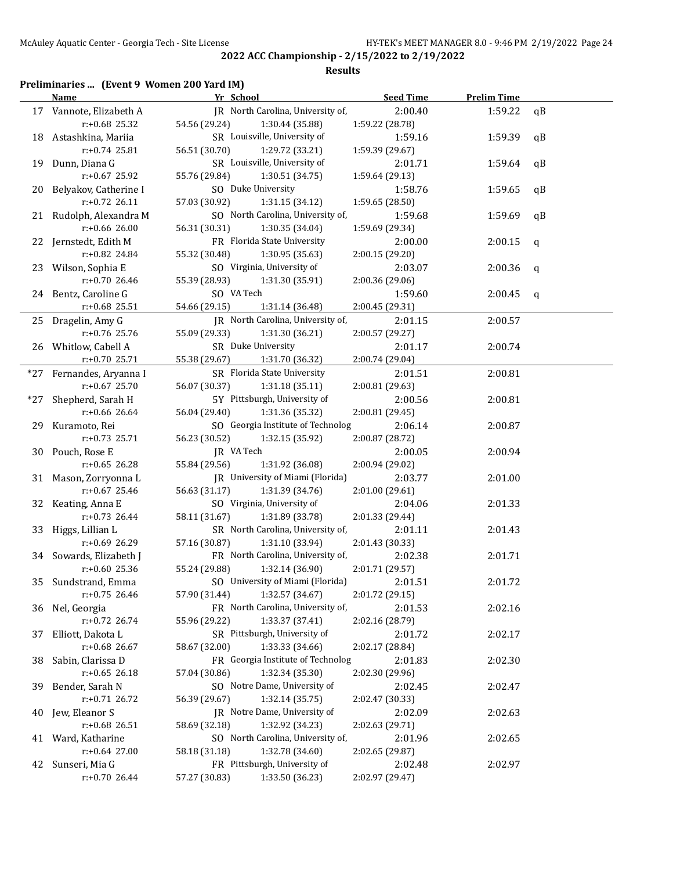#### **Results**

# **Preliminaries ... (Event 9 Women 200 Yard IM)**

|       | Name                     | Yr School                         | <b>Seed Time</b> | <b>Prelim Time</b> |    |
|-------|--------------------------|-----------------------------------|------------------|--------------------|----|
|       | 17 Vannote, Elizabeth A  | JR North Carolina, University of, | 2:00.40          | 1:59.22            | qB |
|       | $r+0.68$ 25.32           | 54.56 (29.24)<br>1:30.44 (35.88)  | 1:59.22 (28.78)  |                    |    |
|       | 18 Astashkina, Mariia    | SR Louisville, University of      | 1:59.16          | 1:59.39            | qB |
|       | r:+0.74 25.81            | 56.51 (30.70)<br>1:29.72 (33.21)  | 1:59.39 (29.67)  |                    |    |
|       | 19 Dunn, Diana G         | SR Louisville, University of      | 2:01.71          | 1:59.64            | qB |
|       | r:+0.67 25.92            | 55.76 (29.84)<br>1:30.51 (34.75)  | 1:59.64 (29.13)  |                    |    |
|       | 20 Belyakov, Catherine I | SO Duke University                | 1:58.76          | 1:59.65            | qB |
|       | $r: +0.72$ 26.11         | 57.03 (30.92)<br>1:31.15 (34.12)  | 1:59.65 (28.50)  |                    |    |
|       | 21 Rudolph, Alexandra M  | SO North Carolina, University of, | 1:59.68          | 1:59.69            | qB |
|       | r:+0.66 26.00            | 56.31 (30.31)<br>1:30.35 (34.04)  | 1:59.69 (29.34)  |                    |    |
|       | 22 Jernstedt, Edith M    | FR Florida State University       | 2:00.00          | 2:00.15            | q  |
|       | $r: +0.82$ 24.84         | 55.32 (30.48)<br>1:30.95 (35.63)  | 2:00.15 (29.20)  |                    |    |
|       | 23 Wilson, Sophia E      | SO Virginia, University of        | 2:03.07          | 2:00.36            | q  |
|       | $r: +0.70$ 26.46         | 55.39 (28.93)<br>1:31.30 (35.91)  | 2:00.36 (29.06)  |                    |    |
|       | 24 Bentz, Caroline G     | SO VA Tech                        | 1:59.60          | 2:00.45            | q  |
|       | $r+0.68$ 25.51           | 54.66 (29.15)<br>1:31.14 (36.48)  | 2:00.45 (29.31)  |                    |    |
|       | 25 Dragelin, Amy G       | JR North Carolina, University of, | 2:01.15          | 2:00.57            |    |
|       | r:+0.76 25.76            | 55.09 (29.33)<br>1:31.30 (36.21)  | 2:00.57 (29.27)  |                    |    |
|       | 26 Whitlow, Cabell A     | SR Duke University                | 2:01.17          | 2:00.74            |    |
|       | $r: +0.70$ 25.71         | 55.38 (29.67)<br>1:31.70 (36.32)  | 2:00.74 (29.04)  |                    |    |
|       | *27 Fernandes, Aryanna I | SR Florida State University       | 2:01.51          | 2:00.81            |    |
|       | $r: +0.67$ 25.70         | 56.07 (30.37)<br>1:31.18(35.11)   | 2:00.81 (29.63)  |                    |    |
| $*27$ | Shepherd, Sarah H        | 5Y Pittsburgh, University of      | 2:00.56          | 2:00.81            |    |
|       | $r: +0.66$ 26.64         | 56.04 (29.40)<br>1:31.36 (35.32)  | 2:00.81 (29.45)  |                    |    |
|       | 29 Kuramoto, Rei         | SO Georgia Institute of Technolog | 2:06.14          | 2:00.87            |    |
|       | $r: +0.73$ 25.71         | 56.23 (30.52)<br>1:32.15 (35.92)  | 2:00.87 (28.72)  |                    |    |
|       | 30 Pouch, Rose E         | JR VA Tech                        | 2:00.05          | 2:00.94            |    |
|       | $r: +0.65$ 26.28         | 55.84 (29.56)<br>1:31.92 (36.08)  | 2:00.94 (29.02)  |                    |    |
|       | 31 Mason, Zorryonna L    | JR University of Miami (Florida)  | 2:03.77          | 2:01.00            |    |
|       | $r: +0.67$ 25.46         | 56.63 (31.17)<br>1:31.39 (34.76)  | 2:01.00 (29.61)  |                    |    |
|       | 32 Keating, Anna E       | SO Virginia, University of        | 2:04.06          | 2:01.33            |    |
|       | $r.+0.73$ 26.44          | 58.11 (31.67)<br>1:31.89 (33.78)  | 2:01.33 (29.44)  |                    |    |
|       | 33 Higgs, Lillian L      | SR North Carolina, University of, | 2:01.11          | 2:01.43            |    |
|       | r:+0.69 26.29            | 57.16 (30.87)<br>1:31.10 (33.94)  | 2:01.43 (30.33)  |                    |    |
|       | 34 Sowards, Elizabeth J  | FR North Carolina, University of, | 2:02.38          | 2:01.71            |    |
|       | $r: +0.60$ 25.36         | 55.24 (29.88)<br>1:32.14 (36.90)  | 2:01.71 (29.57)  |                    |    |
|       | 35 Sundstrand, Emma      | SO University of Miami (Florida)  | 2:01.51          | 2:01.72            |    |
|       | r:+0.75 26.46            | 1:32.57 (34.67)<br>57.90 (31.44)  | 2:01.72 (29.15)  |                    |    |
|       | 36 Nel, Georgia          | FR North Carolina, University of, | 2:01.53          | 2:02.16            |    |
|       | r:+0.72 26.74            | 55.96 (29.22)<br>1:33.37 (37.41)  | 2:02.16 (28.79)  |                    |    |
| 37    | Elliott, Dakota L        | SR Pittsburgh, University of      | 2:01.72          | 2:02.17            |    |
|       | r:+0.68 26.67            | 58.67 (32.00)<br>1:33.33 (34.66)  | 2:02.17 (28.84)  |                    |    |
| 38    | Sabin, Clarissa D        | FR Georgia Institute of Technolog | 2:01.83          | 2:02.30            |    |
|       | $r: +0.65$ 26.18         | 57.04 (30.86)<br>1:32.34 (35.30)  | 2:02.30 (29.96)  |                    |    |
| 39    | Bender, Sarah N          | SO Notre Dame, University of      | 2:02.45          | 2:02.47            |    |
|       | r:+0.71 26.72            | 56.39 (29.67)<br>1:32.14 (35.75)  | 2:02.47 (30.33)  |                    |    |
| 40    | Jew, Eleanor S           | JR Notre Dame, University of      | 2:02.09          | 2:02.63            |    |
|       | r:+0.68 26.51            | 58.69 (32.18)<br>1:32.92 (34.23)  | 2:02.63 (29.71)  |                    |    |
| 41    | Ward, Katharine          | SO North Carolina, University of, | 2:01.96          | 2:02.65            |    |
|       | $r: +0.64$ 27.00         | 58.18 (31.18)<br>1:32.78 (34.60)  | 2:02.65 (29.87)  |                    |    |
| 42    | Sunseri, Mia G           | FR Pittsburgh, University of      | 2:02.48          | 2:02.97            |    |
|       | r:+0.70 26.44            | 57.27 (30.83)<br>1:33.50 (36.23)  | 2:02.97 (29.47)  |                    |    |
|       |                          |                                   |                  |                    |    |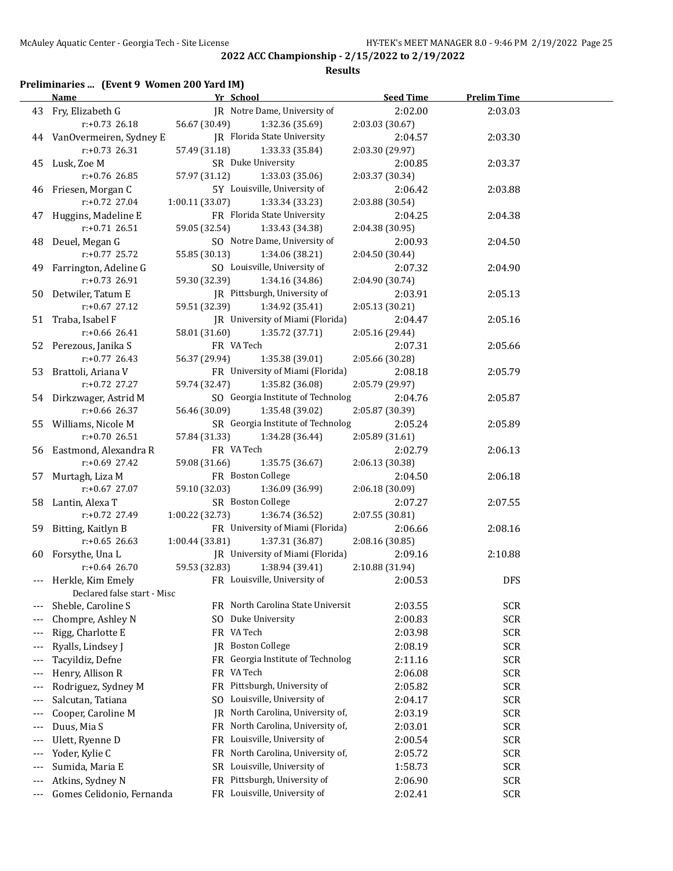#### **Results**

# **Preliminaries ... (Event 9 Women 200 Yard IM)**

|                          | <b>Name</b>                 | Yr School                                   | <b>Seed Time</b> | <b>Prelim Time</b> |  |
|--------------------------|-----------------------------|---------------------------------------------|------------------|--------------------|--|
|                          | 43 Fry, Elizabeth G         | IR Notre Dame, University of                | 2:02.00          | 2:03.03            |  |
|                          | $r: +0.73$ 26.18            | 56.67 (30.49)<br>1:32.36 (35.69)            | 2:03.03 (30.67)  |                    |  |
|                          | 44 VanOvermeiren, Sydney E  | JR Florida State University                 | 2:04.57          | 2:03.30            |  |
|                          | $r: +0.73$ 26.31            | 57.49 (31.18)<br>1:33.33 (35.84)            | 2:03.30 (29.97)  |                    |  |
|                          | 45 Lusk, Zoe M              | SR Duke University                          | 2:00.85          | 2:03.37            |  |
|                          | r:+0.76 26.85               | 57.97 (31.12)<br>1:33.03 (35.06)            | 2:03.37 (30.34)  |                    |  |
|                          | 46 Friesen, Morgan C        | 5Y Louisville, University of                | 2:06.42          | 2:03.88            |  |
|                          | $r: +0.72$ 27.04            | 1:00.11(33.07)<br>1:33.34 (33.23)           | 2:03.88 (30.54)  |                    |  |
|                          | 47 Huggins, Madeline E      | FR Florida State University                 | 2:04.25          | 2:04.38            |  |
|                          | $r: +0.71$ 26.51            | 59.05 (32.54)<br>1:33.43 (34.38)            | 2:04.38 (30.95)  |                    |  |
|                          | 48 Deuel, Megan G           | SO Notre Dame, University of                | 2:00.93          | 2:04.50            |  |
|                          | r:+0.77 25.72               | 55.85 (30.13)<br>1:34.06 (38.21)            | 2:04.50 (30.44)  |                    |  |
|                          | 49 Farrington, Adeline G    | SO Louisville, University of                | 2:07.32          | 2:04.90            |  |
|                          | r:+0.73 26.91               | 59.30 (32.39)<br>1:34.16 (34.86)            | 2:04.90 (30.74)  |                    |  |
|                          | 50 Detwiler, Tatum E        | JR Pittsburgh, University of                | 2:03.91          | 2:05.13            |  |
|                          | $r: +0.67$ 27.12            | 59.51 (32.39)<br>1:34.92 (35.41)            | 2:05.13 (30.21)  |                    |  |
|                          | 51 Traba, Isabel F          | JR University of Miami (Florida)            | 2:04.47          | 2:05.16            |  |
|                          | $r$ :+0.66 26.41            | 58.01 (31.60)<br>1:35.72 (37.71)            | 2:05.16 (29.44)  |                    |  |
|                          | 52 Perezous, Janika S       | FR VA Tech                                  | 2:07.31          | 2:05.66            |  |
|                          | $r: +0.77$ 26.43            | 56.37 (29.94)<br>1:35.38 (39.01)            | 2:05.66 (30.28)  |                    |  |
|                          | 53 Brattoli, Ariana V       | FR University of Miami (Florida)            | 2:08.18          | 2:05.79            |  |
|                          | r:+0.72 27.27               | 59.74 (32.47)<br>1:35.82 (36.08)            | 2:05.79 (29.97)  |                    |  |
|                          | 54 Dirkzwager, Astrid M     | SO Georgia Institute of Technolog           | 2:04.76          | 2:05.87            |  |
|                          | r:+0.66 26.37               | 56.46 (30.09)<br>1:35.48 (39.02)            | 2:05.87 (30.39)  |                    |  |
|                          | 55 Williams, Nicole M       | SR Georgia Institute of Technolog           | 2:05.24          | 2:05.89            |  |
|                          | $r: +0.70$ 26.51            | 57.84 (31.33)<br>1:34.28 (36.44)            | 2:05.89 (31.61)  |                    |  |
|                          | 56 Eastmond, Alexandra R    | FR VA Tech                                  | 2:02.79          | 2:06.13            |  |
|                          | $r: +0.69$ 27.42            | 59.08 (31.66)<br>1:35.75 (36.67)            | 2:06.13 (30.38)  |                    |  |
|                          | 57 Murtagh, Liza M          | FR Boston College                           | 2:04.50          | 2:06.18            |  |
|                          | $r: +0.67$ 27.07            | 59.10 (32.03)<br>1:36.09 (36.99)            | 2:06.18 (30.09)  |                    |  |
|                          | 58 Lantin, Alexa T          | SR Boston College                           | 2:07.27          | 2:07.55            |  |
|                          | r:+0.72 27.49               | 1:00.22 (32.73)<br>1:36.74 (36.52)          | 2:07.55 (30.81)  |                    |  |
|                          | 59 Bitting, Kaitlyn B       | FR University of Miami (Florida)            | 2:06.66          | 2:08.16            |  |
|                          | $r: +0.65$ 26.63            | 1:00.44 (33.81)<br>1:37.31 (36.87)          | 2:08.16 (30.85)  |                    |  |
|                          | 60 Forsythe, Una L          | JR University of Miami (Florida)            | 2:09.16          | 2:10.88            |  |
|                          | $r: +0.64$ 26.70            | 59.53 (32.83)<br>1:38.94 (39.41)            | 2:10.88 (31.94)  |                    |  |
|                          | --- Herkle, Kim Emely       | FR Louisville, University of                | 2:00.53          | <b>DFS</b>         |  |
|                          | Declared false start - Misc |                                             |                  |                    |  |
| $---$                    | Sheble, Caroline S          | FR North Carolina State Universit           | 2:03.55          | <b>SCR</b>         |  |
|                          | Chompre, Ashley N           | Duke University<br>SO.                      | 2:00.83          | <b>SCR</b>         |  |
|                          | Rigg, Charlotte E           | FR VA Tech                                  | 2:03.98          | <b>SCR</b>         |  |
|                          | Ryalls, Lindsey J           | <b>Boston College</b><br>IR                 | 2:08.19          | <b>SCR</b>         |  |
|                          | Tacyildiz, Defne            | Georgia Institute of Technolog<br>FR        | 2:11.16          | <b>SCR</b>         |  |
|                          |                             | VA Tech                                     |                  |                    |  |
|                          | Henry, Allison R            | FR<br>Pittsburgh, University of             | 2:06.08          | <b>SCR</b>         |  |
|                          | Rodriguez, Sydney M         | FR                                          | 2:05.82          | <b>SCR</b>         |  |
|                          | Salcutan, Tatiana           | Louisville, University of<br>S <sub>0</sub> | 2:04.17          | <b>SCR</b>         |  |
|                          | Cooper, Caroline M          | North Carolina, University of,<br>JR        | 2:03.19          | <b>SCR</b>         |  |
|                          | Duus, Mia S                 | North Carolina, University of,<br>FR        | 2:03.01          | <b>SCR</b>         |  |
|                          | Ulett, Ryenne D             | Louisville, University of<br>FR             | 2:00.54          | <b>SCR</b>         |  |
|                          | Yoder, Kylie C              | North Carolina, University of,<br>FR        | 2:05.72          | <b>SCR</b>         |  |
|                          | Sumida, Maria E             | Louisville, University of<br>SR             | 1:58.73          | SCR                |  |
|                          | Atkins, Sydney N            | Pittsburgh, University of<br>FR             | 2:06.90          | <b>SCR</b>         |  |
| $\scriptstyle{\cdots}$ . | Gomes Celidonio, Fernanda   | FR Louisville, University of                | 2:02.41          | <b>SCR</b>         |  |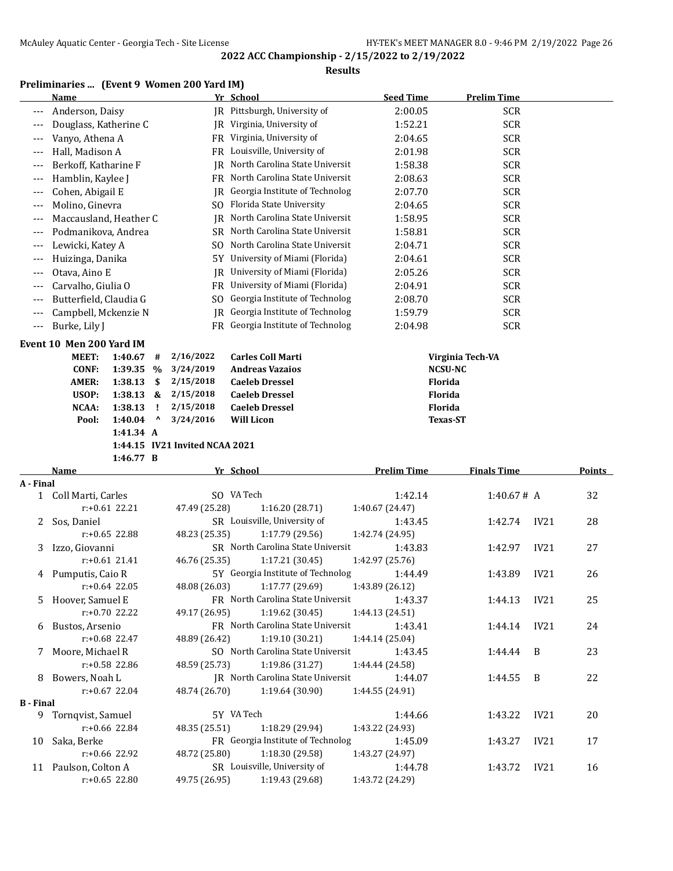#### **Results**

# **Preliminaries ... (Event 9 Women 200 Yard IM)**

|                  | <u>Name</u>                                         |                                | Yr School                                          | <b>Seed Time</b>                 | <b>Prelim Time</b> |                  |               |
|------------------|-----------------------------------------------------|--------------------------------|----------------------------------------------------|----------------------------------|--------------------|------------------|---------------|
| $---$            | Anderson, Daisy                                     |                                | IR Pittsburgh, University of                       | 2:00.05                          | <b>SCR</b>         |                  |               |
| ---              | Douglass, Katherine C                               |                                | JR Virginia, University of                         | 1:52.21                          | <b>SCR</b>         |                  |               |
|                  | Vanyo, Athena A                                     |                                | FR Virginia, University of                         | 2:04.65                          | <b>SCR</b>         |                  |               |
|                  | Hall, Madison A                                     |                                | FR Louisville, University of                       | 2:01.98                          | <b>SCR</b>         |                  |               |
|                  | Berkoff, Katharine F                                | JR                             | North Carolina State Universit                     | 1:58.38                          | <b>SCR</b>         |                  |               |
| $---$            | Hamblin, Kaylee J                                   |                                | FR North Carolina State Universit                  | 2:08.63                          | <b>SCR</b>         |                  |               |
| $---$            | Cohen, Abigail E                                    | IR                             | Georgia Institute of Technolog                     | 2:07.70                          | <b>SCR</b>         |                  |               |
| $---$            | Molino, Ginevra                                     |                                | SO Florida State University                        | 2:04.65                          | <b>SCR</b>         |                  |               |
| $---$            | Maccausland, Heather C                              | JR.                            | North Carolina State Universit                     | 1:58.95                          | <b>SCR</b>         |                  |               |
| $---$            | Podmanikova, Andrea                                 |                                | SR North Carolina State Universit                  | 1:58.81                          | <b>SCR</b>         |                  |               |
| ---              | Lewicki, Katey A                                    |                                | SO North Carolina State Universit                  | 2:04.71                          | <b>SCR</b>         |                  |               |
| ---              | Huizinga, Danika                                    |                                | 5Y University of Miami (Florida)                   | 2:04.61                          | <b>SCR</b>         |                  |               |
| ---              | Otava, Aino E                                       | IR                             | University of Miami (Florida)                      | 2:05.26                          | <b>SCR</b>         |                  |               |
| ---              | Carvalho, Giulia O                                  |                                | FR University of Miami (Florida)                   | 2:04.91                          | <b>SCR</b>         |                  |               |
| $---$            | Butterfield, Claudia G                              | S <sub>0</sub>                 | Georgia Institute of Technolog                     | 2:08.70                          | <b>SCR</b>         |                  |               |
| ---              | Campbell, Mckenzie N                                | IR                             | Georgia Institute of Technolog                     | 1:59.79                          | <b>SCR</b>         |                  |               |
| $---$            | Burke, Lily J                                       |                                | FR Georgia Institute of Technolog                  | 2:04.98                          | <b>SCR</b>         |                  |               |
|                  |                                                     |                                |                                                    |                                  |                    |                  |               |
|                  | Event 10 Men 200 Yard IM                            |                                |                                                    |                                  |                    |                  |               |
|                  | MEET:<br>1:40.67<br>#                               | 2/16/2022                      | <b>Carles Coll Marti</b><br><b>Andreas Vazaios</b> |                                  | Virginia Tech-VA   |                  |               |
|                  | <b>CONF:</b><br>1:39.35<br>$\%$<br>AMER:<br>1:38.13 | 3/24/2019<br>2/15/2018         | <b>Caeleb Dressel</b>                              | <b>NCSU-NC</b><br><b>Florida</b> |                    |                  |               |
|                  | \$<br>USOP:<br>1:38.13<br>&                         | 2/15/2018                      | <b>Caeleb Dressel</b>                              | Florida                          |                    |                  |               |
|                  | NCAA:<br>1:38.13<br>Ţ                               | 2/15/2018                      | <b>Caeleb Dressel</b>                              | Florida                          |                    |                  |               |
|                  | Pool:<br>1:40.04<br>$\boldsymbol{\mathsf{\lambda}}$ | 3/24/2016                      | <b>Will Licon</b>                                  | <b>Texas-ST</b>                  |                    |                  |               |
|                  | 1:41.34 A                                           |                                |                                                    |                                  |                    |                  |               |
|                  |                                                     |                                |                                                    |                                  |                    |                  |               |
|                  |                                                     |                                |                                                    |                                  |                    |                  |               |
|                  | 1:46.77 B                                           | 1:44.15 IV21 Invited NCAA 2021 |                                                    |                                  |                    |                  |               |
|                  | Name                                                |                                | Yr School                                          | <b>Prelim Time</b>               | <b>Finals Time</b> |                  | <b>Points</b> |
| A - Final        |                                                     |                                |                                                    |                                  |                    |                  |               |
| $\mathbf{1}$     | Coll Marti, Carles                                  |                                | SO VA Tech                                         | 1:42.14                          | 1:40.67# A         |                  | 32            |
|                  | $r: +0.61$ 22.21                                    | 47.49 (25.28)                  | 1:16.20 (28.71)                                    | 1:40.67 (24.47)                  |                    |                  |               |
| 2                | Sos, Daniel                                         |                                | SR Louisville, University of                       | 1:43.45                          | 1:42.74            | IV <sub>21</sub> | 28            |
|                  | $r: +0.65$ 22.88                                    | 48.23 (25.35)                  | 1:17.79 (29.56)                                    | 1:42.74 (24.95)                  |                    |                  |               |
| 3                | Izzo, Giovanni                                      |                                | SR North Carolina State Universit                  | 1:43.83                          | 1:42.97            | IV <sub>21</sub> | 27            |
|                  | $r: +0.61$ 21.41                                    | 46.76 (25.35)                  | 1:17.21 (30.45)                                    | 1:42.97 (25.76)                  |                    |                  |               |
|                  | 4 Pumputis, Caio R                                  |                                | 5Y Georgia Institute of Technolog                  | 1:44.49                          | 1:43.89            | IV <sub>21</sub> | 26            |
|                  | r:+0.64 22.05                                       | 48.08 (26.03)                  | 1:17.77 (29.69)                                    | 1:43.89 (26.12)                  |                    |                  |               |
|                  | 5 Hoover, Samuel E                                  |                                | FR North Carolina State Universit                  | 1:43.37                          | 1:44.13            | IV21             | 25            |
|                  | r:+0.70 22.22                                       | 49.17 (26.95)                  | 1:19.62 (30.45)                                    | 1:44.13 (24.51)                  |                    |                  |               |
|                  | 6 Bustos, Arsenio                                   |                                | FR North Carolina State Universit                  | 1:43.41                          | 1:44.14            | IV21             | 24            |
|                  | $r: +0.68$ 22.47                                    | 48.89 (26.42)                  | 1:19.10 (30.21)                                    | 1:44.14 (25.04)                  |                    |                  |               |
|                  | 7 Moore, Michael R                                  |                                | SO North Carolina State Universit                  | 1:43.45                          | 1:44.44            | B                | 23            |
|                  | r:+0.58 22.86                                       | 48.59 (25.73)                  | 1:19.86 (31.27)                                    | 1:44.44 (24.58)                  |                    |                  |               |
|                  | 8 Bowers, Noah L                                    |                                | JR North Carolina State Universit                  | 1:44.07                          | 1:44.55            | B                | 22            |
|                  | $r: +0.67$ 22.04                                    | 48.74 (26.70)                  | 1:19.64 (30.90)                                    | 1:44.55 (24.91)                  |                    |                  |               |
| <b>B</b> - Final |                                                     |                                |                                                    |                                  |                    |                  |               |
|                  | 9 Tornqvist, Samuel                                 |                                | 5Y VA Tech                                         | 1:44.66                          | 1:43.22            | IV21             | 20            |
|                  | r:+0.66 22.84                                       | 48.35 (25.51)                  | 1:18.29 (29.94)                                    | 1:43.22 (24.93)                  |                    |                  |               |
| 10               | Saka, Berke                                         |                                | FR Georgia Institute of Technolog                  | 1:45.09                          | 1:43.27            | IV21             | 17            |
|                  | r:+0.66 22.92                                       | 48.72 (25.80)                  | 1:18.30 (29.58)                                    | 1:43.27 (24.97)                  |                    |                  |               |
|                  | 11 Paulson, Colton A<br>$r: +0.65$ 22.80            | 49.75 (26.95)                  | SR Louisville, University of<br>1:19.43 (29.68)    | 1:44.78<br>1:43.72 (24.29)       | 1:43.72            | IV21             | 16            |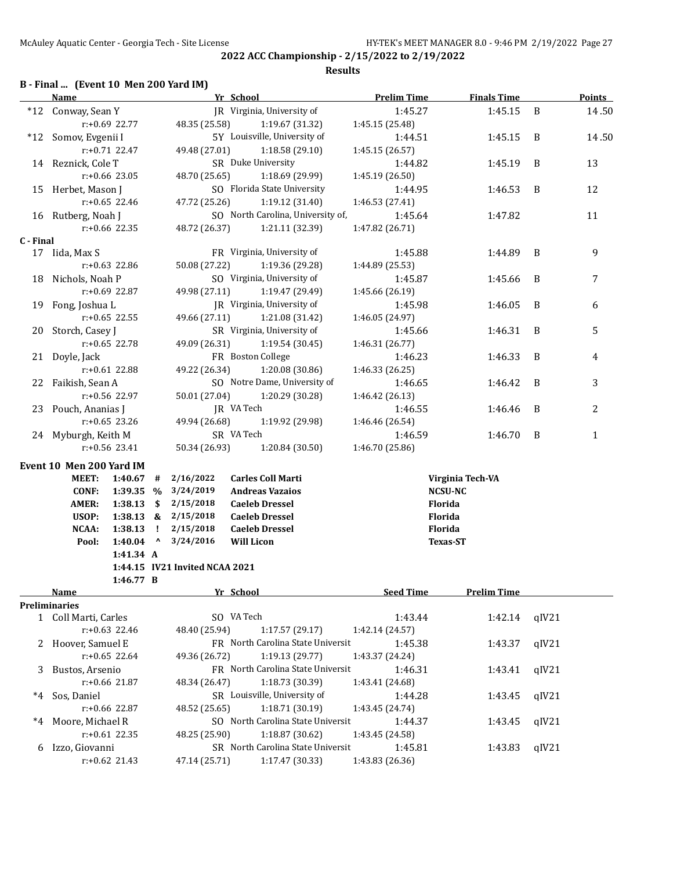**2022 ACC Championship - 2/15/2022 to 2/19/2022 Results**

# **B - Final ... (Event 10 Men 200 Yard IM)**

|           | <b>Name</b>                  |                      |              |                                | Yr School                         | <b>Prelim Time</b> | <b>Finals Time</b>        |       | <b>Points</b> |
|-----------|------------------------------|----------------------|--------------|--------------------------------|-----------------------------------|--------------------|---------------------------|-------|---------------|
|           | *12 Conway, Sean Y           |                      |              |                                | JR Virginia, University of        | 1:45.27            | 1:45.15                   | B     | 14.50         |
|           |                              | r:+0.69 22.77        |              | 48.35 (25.58)                  | 1:19.67 (31.32)                   | 1:45.15 (25.48)    |                           |       |               |
|           | *12 Somov, Evgenii I         |                      |              |                                | 5Y Louisville, University of      | 1:44.51            | 1:45.15                   | B     | 14.50         |
|           |                              | $r: +0.71$ 22.47     |              | 49.48 (27.01)                  | 1:18.58 (29.10)                   | 1:45.15(26.57)     |                           |       |               |
|           | 14 Reznick, Cole T           |                      |              |                                | SR Duke University                | 1:44.82            | 1:45.19                   | B     | 13            |
|           |                              | r:+0.66 23.05        |              | 48.70 (25.65)                  | 1:18.69 (29.99)                   | 1:45.19 (26.50)    |                           |       |               |
|           | 15 Herbet, Mason J           |                      |              |                                | SO Florida State University       | 1:44.95            | 1:46.53                   | B     | 12            |
|           |                              | $r: +0.65$ 22.46     |              | 47.72 (25.26)                  | 1:19.12 (31.40)                   | 1:46.53 (27.41)    |                           |       |               |
|           | 16 Rutberg, Noah J           |                      |              |                                | SO North Carolina, University of, | 1:45.64            | 1:47.82                   |       | 11            |
|           |                              | $r: +0.66$ 22.35     |              | 48.72 (26.37)                  | 1:21.11 (32.39)                   | 1:47.82 (26.71)    |                           |       |               |
| C - Final |                              |                      |              |                                |                                   |                    |                           |       |               |
|           | 17 Iida, Max S               |                      |              |                                | FR Virginia, University of        | 1:45.88            | 1:44.89                   | B     | 9             |
|           |                              | $r: +0.63$ 22.86     |              | 50.08 (27.22)                  | 1:19.36 (29.28)                   | 1:44.89 (25.53)    |                           |       |               |
|           | 18 Nichols, Noah P           |                      |              |                                | SO Virginia, University of        | 1:45.87            | 1:45.66                   | B     | 7             |
|           |                              | r:+0.69 22.87        |              | 49.98 (27.11)                  | 1:19.47 (29.49)                   | 1:45.66 (26.19)    |                           |       |               |
|           | 19 Fong, Joshua L            |                      |              |                                | JR Virginia, University of        | 1:45.98            | 1:46.05                   | B     | 6             |
|           |                              | $r: +0.65$ 22.55     |              | 49.66 (27.11)                  | 1:21.08 (31.42)                   | 1:46.05 (24.97)    |                           |       |               |
|           | 20 Storch, Casey J           |                      |              |                                | SR Virginia, University of        | 1:45.66            | 1:46.31                   | B     | 5             |
|           |                              | $r: +0.65$ 22.78     |              | 49.09 (26.31)                  | 1:19.54 (30.45)                   | 1:46.31 (26.77)    |                           |       |               |
|           | 21 Doyle, Jack               |                      |              |                                | FR Boston College                 | 1:46.23            | 1:46.33                   | B     | 4             |
|           |                              | r:+0.61 22.88        |              | 49.22 (26.34)                  | 1:20.08 (30.86)                   | 1:46.33 (26.25)    |                           |       |               |
|           | 22 Faikish, Sean A           |                      |              |                                | SO Notre Dame, University of      | 1:46.65            | 1:46.42                   | B     | 3             |
|           |                              | r:+0.56 22.97        |              | 50.01 (27.04)                  | 1:20.29 (30.28)                   | 1:46.42 (26.13)    |                           |       |               |
|           | 23 Pouch, Ananias J          |                      |              |                                | JR VA Tech                        | 1:46.55            | 1:46.46                   | B     | 2             |
|           |                              | $r: +0.65$ 23.26     |              | 49.94 (26.68)                  | 1:19.92 (29.98)                   | 1:46.46 (26.54)    |                           |       |               |
|           | 24 Myburgh, Keith M          |                      |              |                                | SR VA Tech                        | 1:46.59            | 1:46.70                   | B     | 1             |
|           |                              | r:+0.56 23.41        |              | 50.34 (26.93)                  | 1:20.84 (30.50)                   | 1:46.70 (25.86)    |                           |       |               |
|           |                              |                      |              |                                |                                   |                    |                           |       |               |
|           | Event 10 Men 200 Yard IM     |                      |              |                                | <b>Carles Coll Marti</b>          |                    |                           |       |               |
|           | MEET:                        | 1:40.67              | #            | 2/16/2022                      | <b>Andreas Vazaios</b>            |                    | Virginia Tech-VA          |       |               |
|           | <b>CONF:</b><br><b>AMER:</b> | 1:39.35 %            |              | 3/24/2019<br>2/15/2018         | <b>Caeleb Dressel</b>             |                    | <b>NCSU-NC</b><br>Florida |       |               |
|           | USOP:                        | 1:38.13<br>1:38.13 & | -\$          | 2/15/2018                      | <b>Caeleb Dressel</b>             |                    | Florida                   |       |               |
|           | NCAA:                        | 1:38.13              | - 1          | 2/15/2018                      | <b>Caeleb Dressel</b>             |                    | Florida                   |       |               |
|           | Pool:                        | 1:40.04              | $\mathbf{v}$ | 3/24/2016                      | <b>Will Licon</b>                 |                    | <b>Texas-ST</b>           |       |               |
|           |                              | 1:41.34 A            |              |                                |                                   |                    |                           |       |               |
|           |                              |                      |              | 1:44.15 IV21 Invited NCAA 2021 |                                   |                    |                           |       |               |
|           |                              | 1:46.77 B            |              |                                |                                   |                    |                           |       |               |
|           | <b>Name</b>                  |                      |              |                                | Yr School                         | <b>Seed Time</b>   | <b>Prelim Time</b>        |       |               |
|           | Preliminaries                |                      |              |                                |                                   |                    |                           |       |               |
|           | 1 Coll Marti, Carles         |                      |              |                                | SO VA Tech                        | 1:43.44            | 1:42.14                   | qIV21 |               |
|           |                              | $r: +0.63$ 22.46     |              | 48.40 (25.94)                  | 1:17.57 (29.17)                   | 1:42.14 (24.57)    |                           |       |               |
| 2         | Hoover, Samuel E             |                      |              |                                | FR North Carolina State Universit | 1:45.38            | 1:43.37                   | qIV21 |               |
|           |                              | $r: +0.65$ 22.64     |              | 49.36 (26.72)                  | 1:19.13 (29.77)                   | 1:43.37 (24.24)    |                           |       |               |
| 3         | Bustos, Arsenio              |                      |              |                                | FR North Carolina State Universit | 1:46.31            | 1:43.41                   | qIV21 |               |
|           |                              | r:+0.66 21.87        |              | 48.34 (26.47)                  | 1:18.73 (30.39)                   | 1:43.41 (24.68)    |                           |       |               |
| $^*4$     | Sos, Daniel                  |                      |              |                                | SR Louisville, University of      | 1:44.28            | 1:43.45                   | qIV21 |               |
|           |                              | r:+0.66 22.87        |              | 48.52 (25.65)                  | 1:18.71 (30.19)                   | 1:43.45 (24.74)    |                           |       |               |
| $^*4$     | Moore, Michael R             |                      |              |                                | SO North Carolina State Universit | 1:44.37            | 1:43.45                   | qIV21 |               |
|           |                              | $r: +0.61$ 22.35     |              | 48.25 (25.90)                  | 1:18.87 (30.62)                   | 1:43.45 (24.58)    |                           |       |               |
| 6         | Izzo, Giovanni               |                      |              |                                | SR North Carolina State Universit | 1:45.81            | 1:43.83                   | qIV21 |               |
|           |                              | r:+0.62 21.43        |              | 47.14 (25.71)                  | 1:17.47 (30.33)                   | 1:43.83 (26.36)    |                           |       |               |
|           |                              |                      |              |                                |                                   |                    |                           |       |               |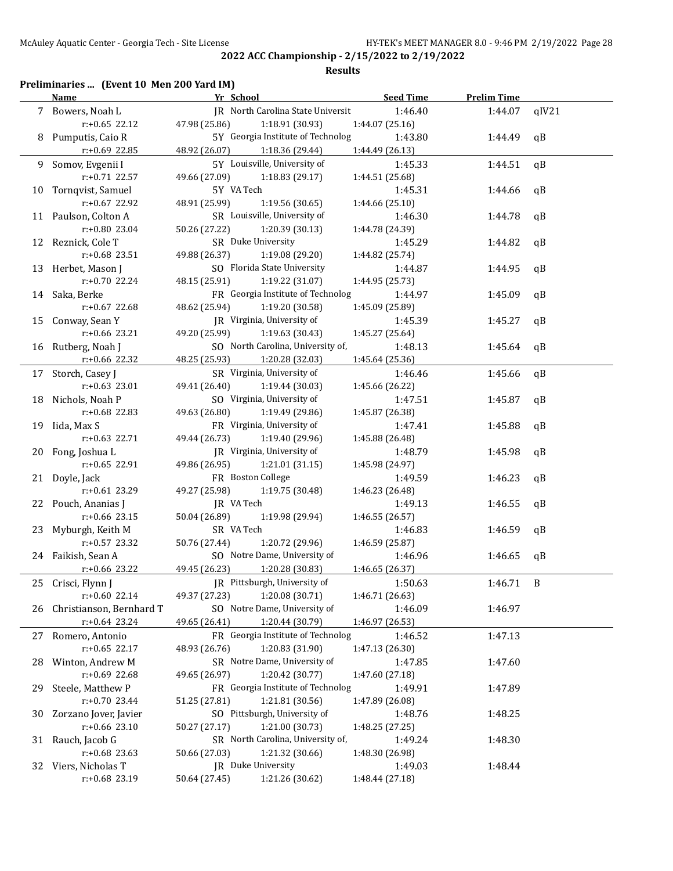**2022 ACC Championship - 2/15/2022 to 2/19/2022 Results**

# **Preliminaries ... (Event 10 Men 200 Yard IM)**

|    | <b>Name</b>              | Yr School                         | <b>Seed Time</b> | <b>Prelim Time</b> |              |
|----|--------------------------|-----------------------------------|------------------|--------------------|--------------|
|    | 7 Bowers, Noah L         | IR North Carolina State Universit | 1:46.40          | 1:44.07            | qIV21        |
|    | $r: +0.65$ 22.12         | 47.98 (25.86)<br>1:18.91 (30.93)  | 1:44.07 (25.16)  |                    |              |
|    | 8 Pumputis, Caio R       | 5Y Georgia Institute of Technolog | 1:43.80          | 1:44.49            | $\mathsf{q}$ |
|    | $r: +0.69$ 22.85         | 48.92 (26.07) 1:18.36 (29.44)     | 1:44.49 (26.13)  |                    |              |
|    | 9 Somov, Evgenii I       | 5Y Louisville, University of      | 1:45.33          | 1:44.51            | qB           |
|    | $r: +0.71$ 22.57         | 49.66 (27.09) 1:18.83 (29.17)     | 1:44.51 (25.68)  |                    |              |
|    | 10 Tornqvist, Samuel     | 5Y VA Tech                        | 1:45.31          | 1:44.66            | qB           |
|    | r:+0.67 22.92            | 48.91 (25.99)<br>1:19.56(30.65)   | 1:44.66 (25.10)  |                    |              |
|    | 11 Paulson, Colton A     | SR Louisville, University of      | 1:46.30          | 1:44.78            | qB           |
|    | r:+0.80 23.04            | 50.26 (27.22) 1:20.39 (30.13)     | 1:44.78 (24.39)  |                    |              |
|    | 12 Reznick, Cole T       | SR Duke University                | 1:45.29          | 1:44.82            | qB           |
|    | $r: +0.68$ 23.51         | 49.88 (26.37)<br>1:19.08 (29.20)  | 1:44.82 (25.74)  |                    |              |
|    | 13 Herbet, Mason J       | SO Florida State University       | 1:44.87          | 1:44.95            | qB           |
|    | $r: +0.70$ 22.24         | 48.15 (25.91) 1:19.22 (31.07)     | 1:44.95 (25.73)  |                    |              |
|    | 14 Saka, Berke           | FR Georgia Institute of Technolog | 1:44.97          | 1:45.09            | qB           |
|    | $r: +0.67$ 22.68         | 48.62 (25.94) 1:19.20 (30.58)     | 1:45.09 (25.89)  |                    |              |
|    | 15 Conway, Sean Y        | JR Virginia, University of        | 1:45.39          | 1:45.27            | qB           |
|    | $r: +0.66$ 23.21         | 49.20 (25.99) 1:19.63 (30.43)     | 1:45.27 (25.64)  |                    |              |
|    | 16 Rutberg, Noah J       | SO North Carolina, University of, | 1:48.13          | 1:45.64            | qB           |
|    | $r$ :+0.66 22.32         | 48.25 (25.93) 1:20.28 (32.03)     | 1:45.64 (25.36)  |                    |              |
|    | 17 Storch, Casey J       | SR Virginia, University of        | 1:46.46          | 1:45.66            | qB           |
|    | $r: +0.63$ 23.01         | 49.41 (26.40) 1:19.44 (30.03)     | 1:45.66 (26.22)  |                    |              |
|    | 18 Nichols, Noah P       | SO Virginia, University of        | 1:47.51          | 1:45.87            | qB           |
|    | $r: +0.68$ 22.83         | 49.63 (26.80) 1:19.49 (29.86)     | 1:45.87 (26.38)  |                    |              |
|    | 19 Iida, Max S           | FR Virginia, University of        | 1:47.41          | 1:45.88            | qB           |
|    | $r: +0.63$ 22.71         | 49.44 (26.73) 1:19.40 (29.96)     | 1:45.88 (26.48)  |                    |              |
|    | 20 Fong, Joshua L        | JR Virginia, University of        | 1:48.79          | 1:45.98            | qB           |
|    | $r: +0.65$ 22.91         | 49.86 (26.95)<br>1:21.01 (31.15)  | 1:45.98 (24.97)  |                    |              |
|    | 21 Doyle, Jack           | FR Boston College                 | 1:49.59          | 1:46.23            | qB           |
|    | $r: +0.61$ 23.29         | 49.27 (25.98) 1:19.75 (30.48)     | 1:46.23 (26.48)  |                    |              |
|    | 22 Pouch, Ananias J      | JR VA Tech                        | 1:49.13          | 1:46.55            | qB           |
|    | $r: +0.66$ 23.15         | 50.04 (26.89)<br>1:19.98 (29.94)  | 1:46.55 (26.57)  |                    |              |
|    | 23 Myburgh, Keith M      | SR VA Tech                        | 1:46.83          | 1:46.59            | qB           |
|    | $r: +0.57$ 23.32         | 50.76 (27.44) 1:20.72 (29.96)     | 1:46.59 (25.87)  |                    |              |
|    | 24 Faikish, Sean A       | SO Notre Dame, University of      | 1:46.96          | 1:46.65            | $\mathsf{q}$ |
|    | $r: +0.66$ 23.22         | 49.45 (26.23) 1:20.28 (30.83)     | 1:46.65 (26.37)  |                    |              |
|    | 25 Crisci, Flynn J       | JR Pittsburgh, University of      | 1:50.63          | 1:46.71            | B            |
|    | $r: +0.60$ 22.14         | 1:20.08 (30.71)<br>49.37 (27.23)  | 1:46.71 (26.63)  |                    |              |
| 26 | Christianson, Bernhard T | SO Notre Dame, University of      | 1:46.09          | 1:46.97            |              |
|    | $r+0.64$ 23.24           | 49.65 (26.41)<br>1:20.44 (30.79)  | 1:46.97 (26.53)  |                    |              |
| 27 | Romero, Antonio          | FR Georgia Institute of Technolog | 1:46.52          | 1:47.13            |              |
|    | $r: +0.65$ 22.17         | 1:20.83 (31.90)<br>48.93 (26.76)  | 1:47.13 (26.30)  |                    |              |
| 28 | Winton, Andrew M         | SR Notre Dame, University of      | 1:47.85          | 1:47.60            |              |
|    | r:+0.69 22.68            | 49.65 (26.97)<br>1:20.42 (30.77)  | 1:47.60 (27.18)  |                    |              |
| 29 | Steele, Matthew P        | FR Georgia Institute of Technolog | 1:49.91          | 1:47.89            |              |
|    | r:+0.70 23.44            | 51.25 (27.81)<br>1:21.81 (30.56)  | 1:47.89 (26.08)  |                    |              |
| 30 | Zorzano Jover, Javier    | SO Pittsburgh, University of      | 1:48.76          | 1:48.25            |              |
|    | $r: +0.66$ 23.10         | 50.27 (27.17)<br>1:21.00 (30.73)  | 1:48.25 (27.25)  |                    |              |
| 31 | Rauch, Jacob G           | SR North Carolina, University of, | 1:49.24          | 1:48.30            |              |
|    | r:+0.68 23.63            | 50.66 (27.03)<br>1:21.32 (30.66)  | 1:48.30 (26.98)  |                    |              |
| 32 | Viers, Nicholas T        | JR Duke University                | 1:49.03          | 1:48.44            |              |
|    | r:+0.68 23.19            | 50.64 (27.45)<br>1:21.26 (30.62)  | 1:48.44 (27.18)  |                    |              |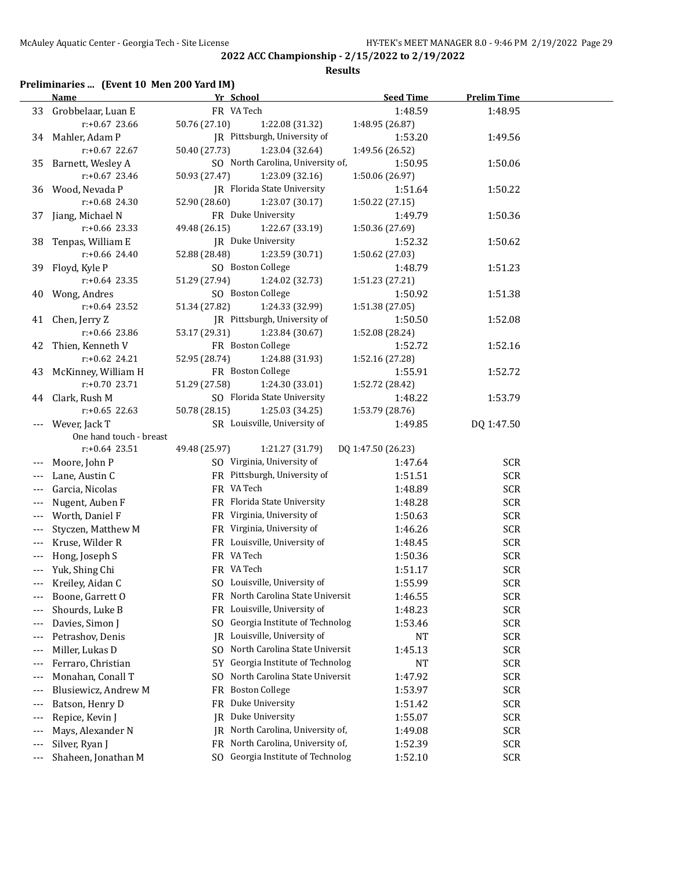#### **Results**

# **Preliminaries ... (Event 10 Men 200 Yard IM)**

|                          | <b>Name</b>             | Yr School                             | <b>Seed Time</b>   | <b>Prelim Time</b> |  |
|--------------------------|-------------------------|---------------------------------------|--------------------|--------------------|--|
|                          | 33 Grobbelaar, Luan E   | FR VA Tech                            | 1:48.59            | 1:48.95            |  |
|                          | $r: +0.67$ 23.66        | 50.76 (27.10)<br>1:22.08 (31.32)      | 1:48.95 (26.87)    |                    |  |
|                          | 34 Mahler, Adam P       | JR Pittsburgh, University of          | 1:53.20            | 1:49.56            |  |
|                          | $r: +0.67$ 22.67        | 50.40 (27.73)<br>1:23.04 (32.64)      | 1:49.56 (26.52)    |                    |  |
| 35                       | Barnett, Wesley A       | SO North Carolina, University of,     | 1:50.95            | 1:50.06            |  |
|                          | $r.+0.67$ 23.46         | 50.93 (27.47)<br>1:23.09 (32.16)      | 1:50.06 (26.97)    |                    |  |
|                          | 36 Wood, Nevada P       | JR Florida State University           | 1:51.64            | 1:50.22            |  |
|                          | $r: +0.68$ 24.30        | 52.90 (28.60)<br>1:23.07 (30.17)      | 1:50.22 (27.15)    |                    |  |
| 37                       | Jiang, Michael N        | FR Duke University                    | 1:49.79            | 1:50.36            |  |
|                          | $r: +0.66$ 23.33        | 49.48 (26.15)<br>1:22.67 (33.19)      | 1:50.36 (27.69)    |                    |  |
|                          | 38 Tenpas, William E    | JR Duke University                    | 1:52.32            | 1:50.62            |  |
|                          | $r: +0.66$ 24.40        | 52.88 (28.48)<br>1:23.59 (30.71)      | 1:50.62 (27.03)    |                    |  |
|                          | 39 Floyd, Kyle P        | SO Boston College                     | 1:48.79            | 1:51.23            |  |
|                          | $r: +0.64$ 23.35        | 51.29 (27.94)<br>1:24.02 (32.73)      | 1:51.23 (27.21)    |                    |  |
|                          | 40 Wong, Andres         | SO Boston College                     | 1:50.92            | 1:51.38            |  |
|                          | $r: +0.64$ 23.52        | 1:24.33 (32.99)<br>51.34 (27.82)      | 1:51.38 (27.05)    |                    |  |
|                          | 41 Chen, Jerry Z        | JR Pittsburgh, University of          | 1:50.50            | 1:52.08            |  |
|                          | $r: +0.66$ 23.86        | 53.17 (29.31)<br>1:23.84 (30.67)      | 1:52.08 (28.24)    |                    |  |
| 42                       | Thien, Kenneth V        | FR Boston College                     | 1:52.72            | 1:52.16            |  |
|                          | $r: +0.62$ 24.21        | 1:24.88 (31.93)<br>52.95 (28.74)      | 1:52.16 (27.28)    |                    |  |
|                          | 43 McKinney, William H  | FR Boston College                     | 1:55.91            | 1:52.72            |  |
|                          | r:+0.70 23.71           | 51.29 (27.58)<br>1:24.30 (33.01)      | 1:52.72 (28.42)    |                    |  |
|                          | 44 Clark, Rush M        | SO Florida State University           | 1:48.22            | 1:53.79            |  |
|                          | $r: +0.65$ 22.63        | 50.78 (28.15)<br>1:25.03 (34.25)      | 1:53.79 (28.76)    |                    |  |
|                          | Wever, Jack T           | SR Louisville, University of          | 1:49.85            | DQ 1:47.50         |  |
|                          | One hand touch - breast |                                       |                    |                    |  |
|                          | $r: +0.64$ 23.51        | 1:21.27 (31.79)<br>49.48 (25.97)      | DQ 1:47.50 (26.23) |                    |  |
|                          | Moore, John P           | SO Virginia, University of            | 1:47.64            | SCR                |  |
|                          | Lane, Austin C          | FR Pittsburgh, University of          | 1:51.51            | <b>SCR</b>         |  |
|                          | Garcia, Nicolas         | FR VA Tech                            | 1:48.89            | <b>SCR</b>         |  |
|                          | Nugent, Auben F         | FR Florida State University           | 1:48.28            | <b>SCR</b>         |  |
|                          | Worth, Daniel F         | FR Virginia, University of            | 1:50.63            | <b>SCR</b>         |  |
|                          | Styczen, Matthew M      | FR Virginia, University of            | 1:46.26            | <b>SCR</b>         |  |
|                          | Kruse, Wilder R         | FR Louisville, University of          | 1:48.45            | <b>SCR</b>         |  |
| ---                      | Hong, Joseph S          | FR VA Tech                            | 1:50.36            | <b>SCR</b>         |  |
|                          | Yuk, Shing Chi          | FR VA Tech                            | 1:51.17            | <b>SCR</b>         |  |
|                          | Kreiley, Aidan C        | SO Louisville, University of          | 1:55.99            | <b>SCR</b>         |  |
|                          | Boone, Garrett O        | FR North Carolina State Universit     | 1:46.55            | <b>SCR</b>         |  |
|                          | Shourds, Luke B         | Louisville, University of<br>FR       | 1:48.23            | <b>SCR</b>         |  |
|                          | Davies, Simon J         | Georgia Institute of Technolog<br>SO. | 1:53.46            | <b>SCR</b>         |  |
| $\overline{\phantom{a}}$ | Petrashov, Denis        | Louisville, University of<br>JR       | NT                 | <b>SCR</b>         |  |
| $- -$                    | Miller, Lukas D         | North Carolina State Universit<br>SO  | 1:45.13            | <b>SCR</b>         |  |
| $---$                    | Ferraro, Christian      | Georgia Institute of Technolog<br>5Υ  | NT                 | <b>SCR</b>         |  |
| $--$                     | Monahan, Conall T       | North Carolina State Universit<br>SO. | 1:47.92            | <b>SCR</b>         |  |
|                          | Blusiewicz, Andrew M    | <b>Boston College</b><br>FR           | 1:53.97            | <b>SCR</b>         |  |
|                          | Batson, Henry D         | Duke University<br>FR                 | 1:51.42            | <b>SCR</b>         |  |
|                          | Repice, Kevin J         | Duke University<br>JR                 | 1:55.07            | <b>SCR</b>         |  |
|                          | Mays, Alexander N       | North Carolina, University of,<br>IR  | 1:49.08            | <b>SCR</b>         |  |
| $---$                    | Silver, Ryan J          | North Carolina, University of,<br>FR  | 1:52.39            | <b>SCR</b>         |  |
| ---                      | Shaheen, Jonathan M     | SO Georgia Institute of Technolog     | 1:52.10            | <b>SCR</b>         |  |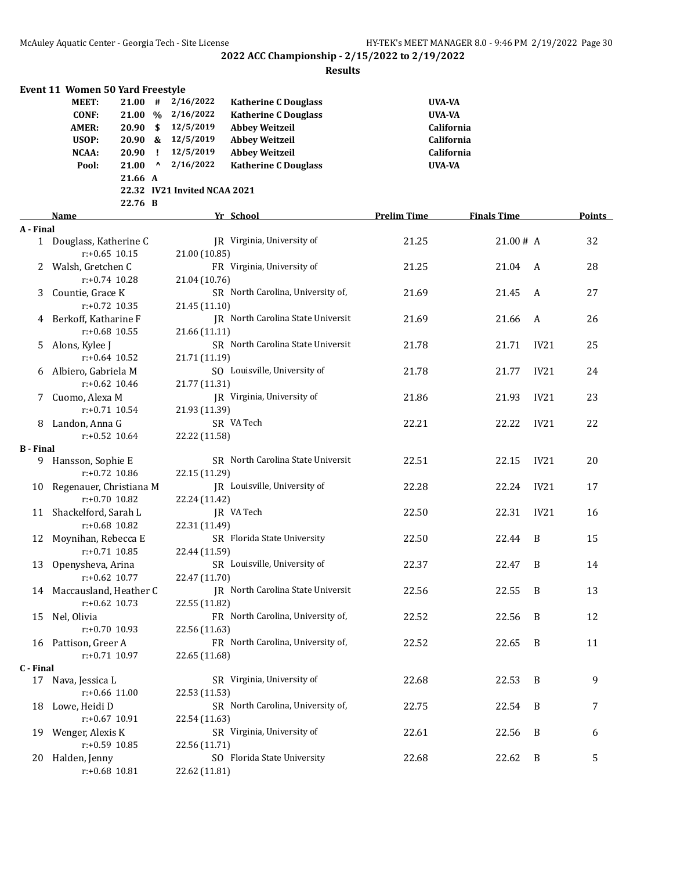|                  | <b>Event 11 Women 50 Yard Freestyle</b> |                 |           |                              |                                   |                    |                    |      |        |
|------------------|-----------------------------------------|-----------------|-----------|------------------------------|-----------------------------------|--------------------|--------------------|------|--------|
|                  | <b>MEET:</b>                            | 21.00#          |           | 2/16/2022                    | <b>Katherine C Douglass</b>       | <b>UVA-VA</b>      |                    |      |        |
|                  | <b>CONF:</b>                            |                 |           | 21.00 % 2/16/2022            | <b>Katherine C Douglass</b>       | <b>UVA-VA</b>      |                    |      |        |
|                  | <b>AMER:</b>                            | $20.90\quad$ \$ |           | 12/5/2019                    | <b>Abbey Weitzeil</b>             |                    | California         |      |        |
|                  | USOP:                                   |                 |           | 20.90 & 12/5/2019            | <b>Abbey Weitzeil</b>             |                    | California         |      |        |
|                  | NCAA:                                   | 20.90           | - 1       | 12/5/2019                    | <b>Abbey Weitzeil</b>             |                    | California         |      |        |
|                  | Pool:                                   | 21.00           | $\lambda$ | 2/16/2022                    | <b>Katherine C Douglass</b>       | <b>UVA-VA</b>      |                    |      |        |
|                  |                                         | 21.66 A         |           |                              |                                   |                    |                    |      |        |
|                  |                                         |                 |           | 22.32 IV21 Invited NCAA 2021 |                                   |                    |                    |      |        |
|                  |                                         | 22.76 B         |           |                              |                                   |                    |                    |      |        |
|                  | Name                                    |                 |           |                              | Yr School                         | <b>Prelim Time</b> | <b>Finals Time</b> |      | Points |
| A - Final        |                                         |                 |           |                              |                                   |                    |                    |      |        |
|                  | 1 Douglass, Katherine C                 |                 |           |                              | JR Virginia, University of        | 21.25              | 21.00# A           |      | 32     |
|                  | $r: +0.65$ 10.15                        |                 |           | 21.00 (10.85)                |                                   |                    |                    |      |        |
| $\mathbf{Z}$     | Walsh, Gretchen C                       |                 |           |                              | FR Virginia, University of        | 21.25              | 21.04              | A    | 28     |
|                  | $r: +0.74$ 10.28                        |                 |           | 21.04 (10.76)                |                                   |                    |                    |      |        |
| 3                | Countie, Grace K                        |                 |           |                              | SR North Carolina, University of, | 21.69              | 21.45              | A    | 27     |
|                  | $r: +0.72$ 10.35                        |                 |           | 21.45 (11.10)                |                                   |                    |                    |      |        |
| 4                | Berkoff, Katharine F                    |                 |           |                              | JR North Carolina State Universit | 21.69              | 21.66              | A    | 26     |
|                  | $r: +0.68$ 10.55                        |                 |           | 21.66 (11.11)                |                                   |                    |                    |      |        |
| 5.               | Alons, Kylee J                          |                 |           |                              | SR North Carolina State Universit | 21.78              | 21.71              | IV21 | 25     |
|                  | $r: +0.64$ 10.52                        |                 |           | 21.71 (11.19)                |                                   |                    |                    |      |        |
|                  | Albiero, Gabriela M                     |                 |           |                              | SO Louisville, University of      | 21.78              | 21.77              | IV21 | 24     |
|                  | $r: +0.62$ 10.46                        |                 |           | 21.77 (11.31)                |                                   |                    |                    |      |        |
| 7.               | Cuomo, Alexa M                          |                 |           |                              | JR Virginia, University of        | 21.86              | 21.93              | IV21 | 23     |
|                  | $r: +0.71$ 10.54                        |                 |           | 21.93 (11.39)                |                                   |                    |                    |      |        |
| 8                | Landon, Anna G                          |                 |           |                              | SR VA Tech                        | 22.21              | 22.22              | IV21 | 22     |
|                  | $r: +0.52$ 10.64                        |                 |           | 22.22 (11.58)                |                                   |                    |                    |      |        |
| <b>B</b> - Final |                                         |                 |           |                              |                                   |                    |                    |      |        |
|                  | 9 Hansson, Sophie E                     |                 |           |                              | SR North Carolina State Universit | 22.51              | 22.15              | IV21 | 20     |
|                  | $r: +0.72$ 10.86                        |                 |           | 22.15 (11.29)                |                                   |                    |                    |      |        |
| 10               | Regenauer, Christiana M                 |                 |           |                              | JR Louisville, University of      | 22.28              | 22.24              | IV21 | 17     |
|                  | $r: +0.70$ 10.82                        |                 |           | 22.24 (11.42)                |                                   |                    |                    |      |        |
|                  | 11 Shackelford, Sarah L                 |                 |           |                              | JR VA Tech                        | 22.50              | 22.31              | IV21 | 16     |
|                  | r:+0.68 10.82                           |                 |           | 22.31 (11.49)                |                                   |                    |                    |      |        |
|                  | 12 Moynihan, Rebecca E                  |                 |           |                              | SR Florida State University       | 22.50              | 22.44              | B    | 15     |
|                  | $r: +0.71$ 10.85                        |                 |           | 22.44 (11.59)                |                                   |                    |                    |      |        |
| 13               | Openysheva, Arina                       |                 |           |                              | SR Louisville, University of      | 22.37              | 22.47              | B    | 14     |
|                  | r:+0.62 10.77                           |                 |           | 22.47 (11.70)                |                                   |                    |                    |      |        |
|                  | 14 Maccausland, Heather C               |                 |           |                              | JR North Carolina State Universit | 22.56              | 22.55              | B    | 13     |
|                  | $r: +0.62$ 10.73                        |                 |           | 22.55 (11.82)                |                                   |                    |                    |      |        |
| 15               | Nel, Olivia                             |                 |           |                              | FR North Carolina, University of, | 22.52              | 22.56              | B    | 12     |
|                  | r:+0.70 10.93                           |                 |           | 22.56 (11.63)                |                                   |                    |                    |      |        |
|                  | 16 Pattison, Greer A                    |                 |           |                              | FR North Carolina, University of, | 22.52              | 22.65              | B    | 11     |
|                  | $r: +0.71$ 10.97                        |                 |           | 22.65 (11.68)                |                                   |                    |                    |      |        |
| C - Final        |                                         |                 |           |                              |                                   |                    |                    |      |        |
|                  | 17 Nava, Jessica L                      |                 |           |                              | SR Virginia, University of        | 22.68              | 22.53              | B    | 9      |
|                  | $r: +0.66$ 11.00                        |                 |           | 22.53 (11.53)                |                                   |                    |                    |      |        |
| 18               | Lowe, Heidi D                           |                 |           |                              | SR North Carolina, University of, | 22.75              | 22.54              | B    | 7      |
|                  | r:+0.67 10.91                           |                 |           | 22.54 (11.63)                |                                   |                    |                    |      |        |
| 19               | Wenger, Alexis K                        |                 |           |                              | SR Virginia, University of        | 22.61              | 22.56              | B    | 6      |
|                  | r:+0.59 10.85                           |                 |           | 22.56 (11.71)                |                                   |                    |                    |      |        |
| 20               | Halden, Jenny                           |                 |           |                              | SO Florida State University       | 22.68              | 22.62              | B    | 5      |
|                  | $r: +0.68$ 10.81                        |                 |           | 22.62 (11.81)                |                                   |                    |                    |      |        |
|                  |                                         |                 |           |                              |                                   |                    |                    |      |        |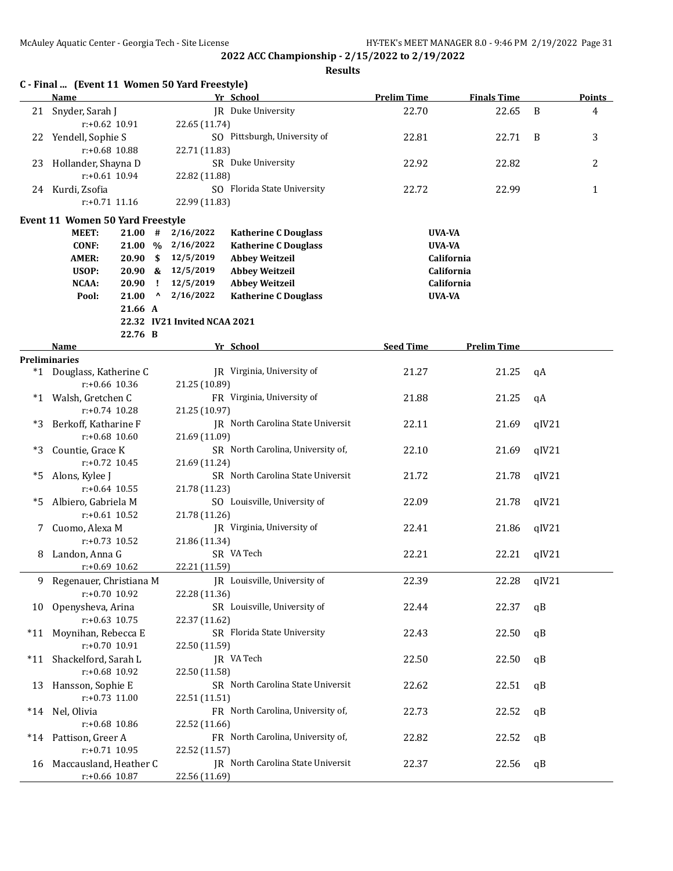|       | C - Final  (Event 11 Women 50 Yard Freestyle)<br>Name |               |              |                              | Yr School                         | <b>Prelim Time</b> | <b>Finals Time</b> |       | <b>Points</b>  |
|-------|-------------------------------------------------------|---------------|--------------|------------------------------|-----------------------------------|--------------------|--------------------|-------|----------------|
|       | 21 Snyder, Sarah J                                    |               |              |                              | JR Duke University                | 22.70              | 22.65              | B     | 4              |
|       | $r: +0.62$ 10.91                                      |               |              | 22.65 (11.74)                |                                   |                    |                    |       |                |
| 22    | Yendell, Sophie S                                     |               |              |                              | SO Pittsburgh, University of      | 22.81              | 22.71              | B     | 3              |
|       | $r: +0.68$ 10.88                                      |               |              | 22.71 (11.83)                |                                   |                    |                    |       |                |
| 23    | Hollander, Shayna D                                   |               |              |                              | SR Duke University                | 22.92              | 22.82              |       | $\overline{2}$ |
|       | $r: +0.61$ 10.94                                      |               |              | 22.82 (11.88)                |                                   |                    |                    |       |                |
|       | 24 Kurdi, Zsofia                                      |               |              |                              | SO Florida State University       | 22.72              | 22.99              |       | $\mathbf{1}$   |
|       | $r: +0.71$ 11.16                                      |               |              | 22.99 (11.83)                |                                   |                    |                    |       |                |
|       | Event 11 Women 50 Yard Freestyle                      |               |              |                              |                                   |                    |                    |       |                |
|       | <b>MEET:</b>                                          | $21.00$ #     |              | 2/16/2022                    | <b>Katherine C Douglass</b>       | UVA-VA             |                    |       |                |
|       | <b>CONF:</b>                                          |               |              | 21.00 % 2/16/2022            | <b>Katherine C Douglass</b>       | <b>UVA-VA</b>      |                    |       |                |
|       | <b>AMER:</b>                                          | 20.90         |              | \$12/5/2019                  | <b>Abbey Weitzeil</b>             |                    | California         |       |                |
|       | USOP:                                                 |               |              | 20.90 & 12/5/2019            | <b>Abbey Weitzeil</b>             |                    | California         |       |                |
|       | NCAA:                                                 | 20.90         | - 1          | 12/5/2019                    | <b>Abbey Weitzeil</b>             |                    | California         |       |                |
|       | Pool:                                                 | 21.00         | $\mathbf{v}$ | 2/16/2022                    | <b>Katherine C Douglass</b>       | <b>UVA-VA</b>      |                    |       |                |
|       |                                                       | 21.66 A       |              |                              |                                   |                    |                    |       |                |
|       |                                                       |               |              | 22.32 IV21 Invited NCAA 2021 |                                   |                    |                    |       |                |
|       |                                                       | 22.76 B       |              |                              |                                   |                    |                    |       |                |
|       | Name<br><b>Preliminaries</b>                          |               |              |                              | Yr School                         | <b>Seed Time</b>   | <b>Prelim Time</b> |       |                |
|       | *1 Douglass, Katherine C                              |               |              |                              | JR Virginia, University of        | 21.27              | 21.25              | qA    |                |
|       | r:+0.66 10.36                                         |               |              | 21.25 (10.89)                |                                   |                    |                    |       |                |
|       | *1 Walsh, Gretchen C                                  |               |              |                              | FR Virginia, University of        | 21.88              | 21.25              | qA    |                |
|       | $r: +0.74$ 10.28                                      |               |              | 21.25 (10.97)                |                                   |                    |                    |       |                |
| *3    | Berkoff, Katharine F                                  |               |              |                              | JR North Carolina State Universit | 22.11              | 21.69              | qIV21 |                |
|       | $r: +0.68$ 10.60                                      |               |              | 21.69 (11.09)                |                                   |                    |                    |       |                |
| *3    | Countie, Grace K                                      |               |              |                              | SR North Carolina, University of, | 22.10              | 21.69              | qIV21 |                |
|       | $r: +0.72$ 10.45                                      |               |              | 21.69 (11.24)                |                                   |                    |                    |       |                |
| *5    | Alons, Kylee J                                        |               |              |                              | SR North Carolina State Universit | 21.72              | 21.78              | qIV21 |                |
|       | $r: +0.64$ 10.55                                      |               |              | 21.78 (11.23)                |                                   |                    |                    |       |                |
| *5    | Albiero, Gabriela M                                   |               |              |                              | SO Louisville, University of      | 22.09              | 21.78              | qIV21 |                |
|       | $r: +0.61$ 10.52                                      |               |              | 21.78 (11.26)                |                                   |                    |                    |       |                |
| 7.    | Cuomo, Alexa M                                        |               |              |                              | JR Virginia, University of        | 22.41              | 21.86              | qIV21 |                |
|       | $r: +0.73$ 10.52                                      |               |              | 21.86 (11.34)                |                                   |                    |                    |       |                |
| 8     | Landon, Anna G                                        |               |              |                              | SR VA Tech                        | 22.21              | 22.21              | qIV21 |                |
|       | $r: +0.69$ 10.62                                      |               |              | 22.21 (11.59)                |                                   |                    |                    |       |                |
| 9.    | Regenauer, Christiana M                               |               |              |                              | JR Louisville, University of      | 22.39              | 22.28              | qIV21 |                |
|       | r:+0.70 10.92                                         |               |              | 22.28 (11.36)                |                                   |                    |                    |       |                |
| 10    | Openysheva, Arina                                     |               |              |                              | SR Louisville, University of      | 22.44              | 22.37              | qB    |                |
|       | $r: +0.63$ 10.75                                      |               |              | 22.37 (11.62)                |                                   |                    |                    |       |                |
| *11   | Moynihan, Rebecca E                                   |               |              |                              | SR Florida State University       | 22.43              | 22.50              | qB    |                |
|       | r:+0.70 10.91                                         |               |              | 22.50 (11.59)                |                                   |                    |                    |       |                |
| $*11$ | Shackelford, Sarah L                                  |               |              |                              | JR VA Tech                        | 22.50              | 22.50              | qB    |                |
|       | r:+0.68 10.92                                         |               |              | 22.50 (11.58)                |                                   |                    |                    |       |                |
| 13    | Hansson, Sophie E                                     |               |              |                              | SR North Carolina State Universit | 22.62              | 22.51              | qB    |                |
|       | $r: +0.73$ 11.00                                      |               |              | 22.51 (11.51)                |                                   |                    |                    |       |                |
| *14   | Nel, Olivia                                           |               |              |                              | FR North Carolina, University of, | 22.73              | 22.52              | qB    |                |
|       | r:+0.68 10.86                                         |               |              | 22.52 (11.66)                |                                   |                    |                    |       |                |
| $*14$ | Pattison, Greer A                                     |               |              |                              | FR North Carolina, University of, | 22.82              | 22.52              | qB    |                |
|       | $r: +0.71$ 10.95                                      |               |              | 22.52 (11.57)                | JR North Carolina State Universit | 22.37              |                    |       |                |
| 16    | Maccausland, Heather C                                | r:+0.66 10.87 |              | 22.56 (11.69)                |                                   |                    | 22.56              | qB    |                |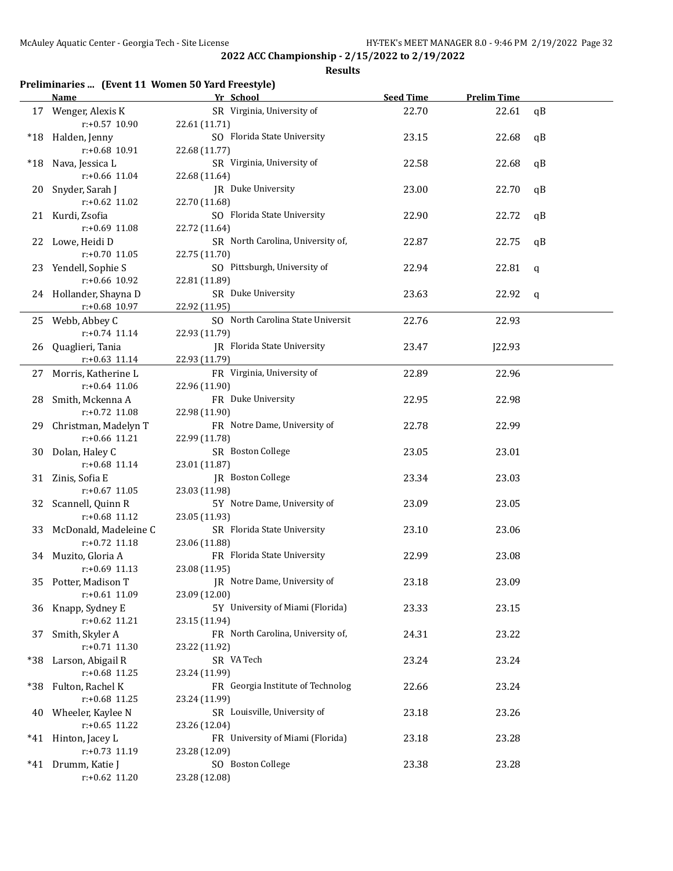#### **Results**

# **Preliminaries ... (Event 11 Women 50 Yard Freestyle)**

|        | <b>Name</b>                              | Yr School                                          | <b>Seed Time</b> | <b>Prelim Time</b> |    |
|--------|------------------------------------------|----------------------------------------------------|------------------|--------------------|----|
|        | 17 Wenger, Alexis K                      | SR Virginia, University of                         | 22.70            | 22.61              | qB |
|        | $r: +0.57$ 10.90                         | 22.61 (11.71)                                      |                  |                    |    |
|        | *18 Halden, Jenny                        | SO Florida State University                        | 23.15            | 22.68              | qB |
|        | r:+0.68 10.91                            | 22.68 (11.77)                                      |                  |                    |    |
| $^*18$ | Nava, Jessica L                          | SR Virginia, University of                         | 22.58            | 22.68              | qB |
|        | r:+0.66 11.04                            | 22.68 (11.64)                                      |                  |                    |    |
| 20     | Snyder, Sarah J                          | JR Duke University                                 | 23.00            | 22.70              | qB |
|        | r:+0.62 11.02                            | 22.70 (11.68)                                      |                  |                    |    |
|        | 21 Kurdi, Zsofia                         | SO Florida State University                        | 22.90            | 22.72              | qB |
|        | r:+0.69 11.08                            | 22.72 (11.64)                                      |                  |                    |    |
|        | 22 Lowe, Heidi D                         | SR North Carolina, University of,                  | 22.87            | 22.75              | qB |
|        | $r: +0.70$ 11.05                         | 22.75 (11.70)                                      |                  |                    |    |
|        | 23 Yendell, Sophie S                     | SO Pittsburgh, University of                       | 22.94            | 22.81              | q  |
|        | r:+0.66 10.92                            | 22.81 (11.89)                                      |                  |                    |    |
|        | 24 Hollander, Shayna D                   | SR Duke University                                 | 23.63            | 22.92              | q  |
|        | r:+0.68 10.97                            | 22.92 (11.95)                                      |                  |                    |    |
|        | 25 Webb, Abbey C                         | SO North Carolina State Universit                  | 22.76            | 22.93              |    |
|        | $r: +0.74$ 11.14                         | 22.93 (11.79)                                      |                  |                    |    |
| 26     | Quaglieri, Tania                         | JR Florida State University                        | 23.47            | J22.93             |    |
|        | $r$ :+0.63 11.14                         | 22.93 (11.79)                                      |                  |                    |    |
| 27     | Morris, Katherine L                      | FR Virginia, University of                         | 22.89            | 22.96              |    |
|        | $r: +0.64$ 11.06                         | 22.96 (11.90)                                      |                  |                    |    |
| 28     | Smith, Mckenna A                         | FR Duke University                                 | 22.95            | 22.98              |    |
|        | r:+0.72 11.08                            | 22.98 (11.90)                                      |                  |                    |    |
| 29     | Christman, Madelyn T                     | FR Notre Dame, University of                       | 22.78            | 22.99              |    |
|        | r:+0.66 11.21                            | 22.99 (11.78)                                      |                  |                    |    |
|        | 30 Dolan, Haley C                        | SR Boston College                                  | 23.05            | 23.01              |    |
|        | r:+0.68 11.14                            | 23.01 (11.87)                                      |                  |                    |    |
|        | 31 Zinis, Sofia E                        | JR Boston College                                  | 23.34            | 23.03              |    |
|        | $r: +0.67$ 11.05                         | 23.03 (11.98)                                      |                  |                    |    |
|        | 32 Scannell, Quinn R                     | 5Y Notre Dame, University of                       | 23.09            | 23.05              |    |
|        | r:+0.68 11.12                            | 23.05 (11.93)                                      |                  |                    |    |
| 33     | McDonald, Madeleine C                    | SR Florida State University                        | 23.10            | 23.06              |    |
|        | r:+0.72 11.18                            | 23.06 (11.88)                                      |                  |                    |    |
|        | 34 Muzito, Gloria A                      | FR Florida State University                        | 22.99            | 23.08              |    |
|        | r:+0.69 11.13                            | 23.08 (11.95)                                      |                  |                    |    |
|        | 35 Potter, Madison T                     | JR Notre Dame, University of                       | 23.18            | 23.09              |    |
|        | r:+0.61 11.09                            | 23.09 (12.00)                                      |                  |                    |    |
| 36     | Knapp, Sydney E                          | 5Y University of Miami (Florida)                   | 23.33            | 23.15              |    |
|        | $r: +0.62$ 11.21                         | 23.15 (11.94)                                      |                  |                    |    |
| 37     | Smith, Skyler A                          | FR North Carolina, University of,                  | 24.31            | 23.22              |    |
|        | r:+0.71 11.30                            | 23.22 (11.92)                                      |                  |                    |    |
|        | *38 Larson, Abigail R                    | SR VA Tech                                         | 23.24            | 23.24              |    |
|        | r:+0.68 11.25                            | 23.24 (11.99)<br>FR Georgia Institute of Technolog |                  |                    |    |
|        | *38 Fulton, Rachel K<br>$r: +0.68$ 11.25 |                                                    | 22.66            | 23.24              |    |
|        |                                          | 23.24 (11.99)<br>SR Louisville, University of      | 23.18            | 23.26              |    |
|        | 40 Wheeler, Kaylee N<br>$r: +0.65$ 11.22 | 23.26 (12.04)                                      |                  |                    |    |
|        | *41 Hinton, Jacey L                      | FR University of Miami (Florida)                   | 23.18            | 23.28              |    |
|        | r:+0.73 11.19                            | 23.28 (12.09)                                      |                  |                    |    |
|        | *41 Drumm, Katie J                       | SO Boston College                                  | 23.38            | 23.28              |    |
|        | r:+0.62 11.20                            | 23.28 (12.08)                                      |                  |                    |    |
|        |                                          |                                                    |                  |                    |    |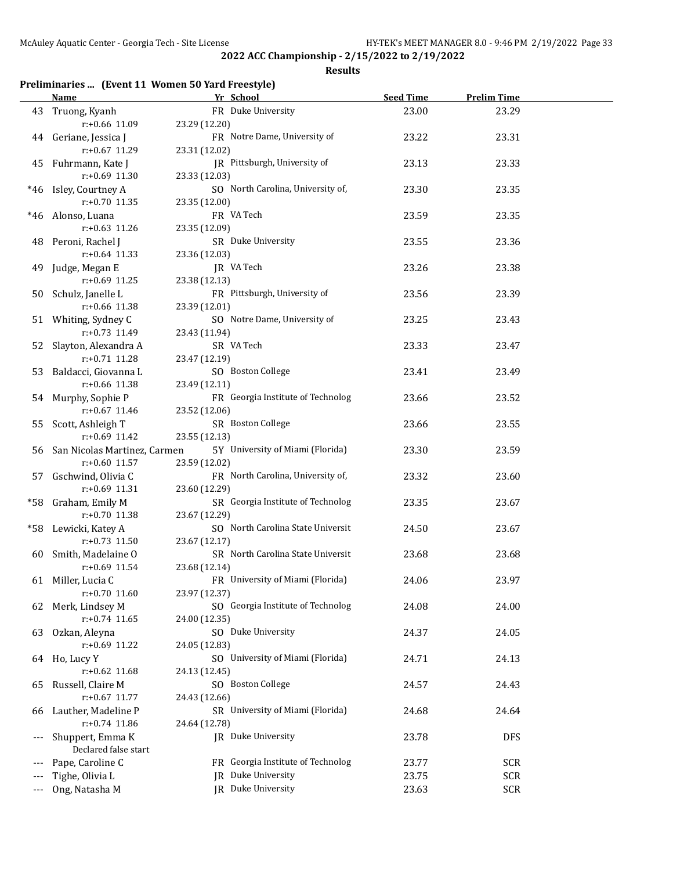**Results**

# **Preliminaries ... (Event 11 Women 50 Yard Freestyle)**

|     | <b>Name</b>                     | Yr School                         | <b>Seed Time</b> | <b>Prelim Time</b> |  |
|-----|---------------------------------|-----------------------------------|------------------|--------------------|--|
|     | 43 Truong, Kyanh                | FR Duke University                | 23.00            | 23.29              |  |
|     | $r: +0.66$ 11.09                | 23.29 (12.20)                     |                  |                    |  |
|     | 44 Geriane, Jessica J           | FR Notre Dame, University of      | 23.22            | 23.31              |  |
|     | r:+0.67 11.29                   | 23.31 (12.02)                     |                  |                    |  |
|     | 45 Fuhrmann, Kate J             | JR Pittsburgh, University of      | 23.13            | 23.33              |  |
|     | r:+0.69 11.30                   | 23.33 (12.03)                     |                  |                    |  |
|     |                                 |                                   |                  |                    |  |
|     | *46 Isley, Courtney A           | SO North Carolina, University of, | 23.30            | 23.35              |  |
|     | r:+0.70 11.35                   | 23.35 (12.00)                     |                  |                    |  |
|     | *46 Alonso, Luana               | FR VA Tech                        | 23.59            | 23.35              |  |
|     | $r: +0.63$ 11.26                | 23.35 (12.09)                     |                  |                    |  |
|     | 48 Peroni, Rachel J             | SR Duke University                | 23.55            | 23.36              |  |
|     | $r: +0.64$ 11.33                | 23.36 (12.03)                     |                  |                    |  |
| 49  | Judge, Megan E                  | JR VA Tech                        | 23.26            | 23.38              |  |
|     | $r: +0.69$ 11.25                | 23.38 (12.13)                     |                  |                    |  |
| 50  | Schulz, Janelle L               | FR Pittsburgh, University of      | 23.56            | 23.39              |  |
|     | r:+0.66 11.38                   | 23.39 (12.01)                     |                  |                    |  |
|     | 51 Whiting, Sydney C            | SO Notre Dame, University of      | 23.25            | 23.43              |  |
|     | $r: +0.73$ 11.49                | 23.43 (11.94)                     |                  |                    |  |
| 52  | Slayton, Alexandra A            | SR VA Tech                        | 23.33            | 23.47              |  |
|     | $r: +0.71$ 11.28                | 23.47 (12.19)                     |                  |                    |  |
| 53  | Baldacci, Giovanna L            | SO Boston College                 | 23.41            | 23.49              |  |
|     | r:+0.66 11.38                   | 23.49 (12.11)                     |                  |                    |  |
|     |                                 |                                   |                  |                    |  |
|     | 54 Murphy, Sophie P             | FR Georgia Institute of Technolog | 23.66            | 23.52              |  |
|     | $r: +0.67$ 11.46                | 23.52 (12.06)                     |                  |                    |  |
|     | 55 Scott, Ashleigh T            | SR Boston College                 | 23.66            | 23.55              |  |
|     | $r: +0.69$ 11.42                | 23.55 (12.13)                     |                  |                    |  |
|     | 56 San Nicolas Martinez, Carmen | 5Y University of Miami (Florida)  | 23.30            | 23.59              |  |
|     | $r: +0.60$ 11.57                | 23.59 (12.02)                     |                  |                    |  |
| 57  | Gschwind, Olivia C              | FR North Carolina, University of, | 23.32            | 23.60              |  |
|     | r:+0.69 11.31                   | 23.60 (12.29)                     |                  |                    |  |
|     | *58 Graham, Emily M             | SR Georgia Institute of Technolog | 23.35            | 23.67              |  |
|     | $r: +0.70$ 11.38                | 23.67 (12.29)                     |                  |                    |  |
| *58 | Lewicki, Katey A                | SO North Carolina State Universit | 24.50            | 23.67              |  |
|     | $r: +0.73$ 11.50                | 23.67 (12.17)                     |                  |                    |  |
| 60  | Smith, Madelaine O              | SR North Carolina State Universit | 23.68            | 23.68              |  |
|     | $r: +0.69$ 11.54                | 23.68 (12.14)                     |                  |                    |  |
|     | 61 Miller, Lucia C              | FR University of Miami (Florida)  | 24.06            | 23.97              |  |
|     | $r: +0.70$ 11.60                | 23.97 (12.37)                     |                  |                    |  |
| 62  | Merk, Lindsey M                 | SO Georgia Institute of Technolog | 24.08            | 24.00              |  |
|     | $r: +0.74$ 11.65                | 24.00 (12.35)                     |                  |                    |  |
| 63  | Ozkan, Aleyna                   | SO Duke University                | 24.37            | 24.05              |  |
|     | r:+0.69 11.22                   | 24.05 (12.83)                     |                  |                    |  |
|     |                                 |                                   |                  |                    |  |
|     | 64 Ho, Lucy Y                   | SO University of Miami (Florida)  | 24.71            | 24.13              |  |
|     | $r: +0.62$ 11.68                | 24.13 (12.45)                     |                  |                    |  |
| 65  | Russell, Claire M               | SO Boston College                 | 24.57            | 24.43              |  |
|     | $r: +0.67$ 11.77                | 24.43 (12.66)                     |                  |                    |  |
| 66  | Lauther, Madeline P             | SR University of Miami (Florida)  | 24.68            | 24.64              |  |
|     | $r: +0.74$ 11.86                | 24.64 (12.78)                     |                  |                    |  |
|     | Shuppert, Emma K                | JR Duke University                | 23.78            | <b>DFS</b>         |  |
|     | Declared false start            |                                   |                  |                    |  |
|     | Pape, Caroline C                | FR Georgia Institute of Technolog | 23.77            | SCR                |  |
|     | Tighe, Olivia L                 | JR Duke University                | 23.75            | <b>SCR</b>         |  |
|     | Ong, Natasha M                  | JR Duke University                | 23.63            | <b>SCR</b>         |  |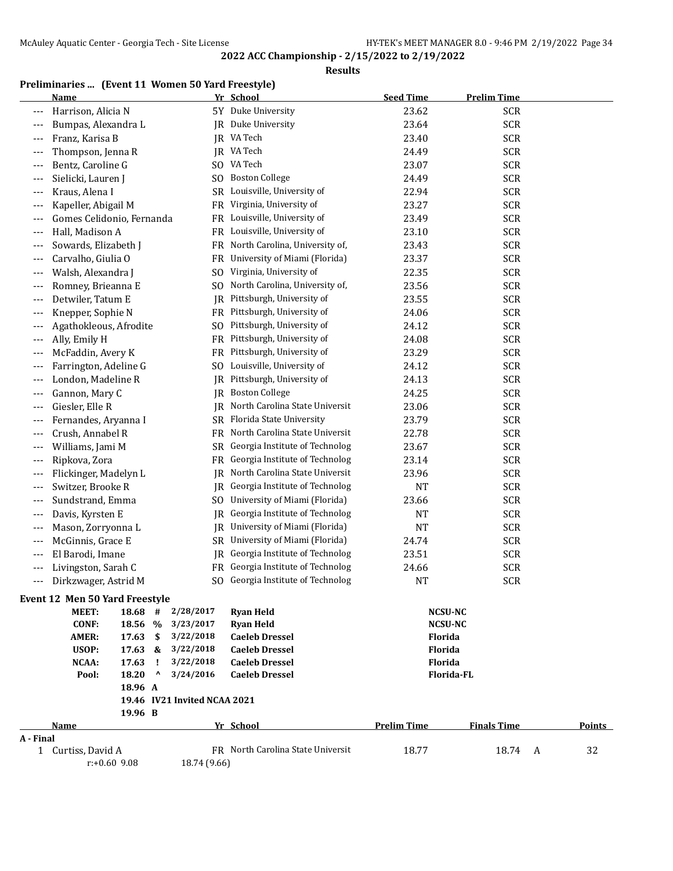**Results**

# **Preliminaries ... (Event 11 Women 50 Yard Freestyle)**

|           | <b>Name</b>                             |              |                        | Yr School                                      | <b>Seed Time</b>          | <b>Prelim Time</b> |        |
|-----------|-----------------------------------------|--------------|------------------------|------------------------------------------------|---------------------------|--------------------|--------|
| ---       | Harrison, Alicia N                      |              |                        | 5Y Duke University                             | 23.62                     | <b>SCR</b>         |        |
| ---       | Bumpas, Alexandra L                     |              | IR                     | Duke University                                | 23.64                     | <b>SCR</b>         |        |
| $---$     | Franz, Karisa B                         |              | IR                     | VA Tech                                        | 23.40                     | <b>SCR</b>         |        |
| $---$     | Thompson, Jenna R                       |              |                        | JR VA Tech                                     | 24.49                     | <b>SCR</b>         |        |
| ---       | Bentz, Caroline G                       |              | SO.                    | VA Tech                                        | 23.07                     | <b>SCR</b>         |        |
| ---       | Sielicki, Lauren J                      |              | SO                     | <b>Boston College</b>                          | 24.49                     | <b>SCR</b>         |        |
| ---       | Kraus, Alena I                          |              | SR                     | Louisville, University of                      | 22.94                     | <b>SCR</b>         |        |
| $---$     | Kapeller, Abigail M                     |              | FR                     | Virginia, University of                        | 23.27                     | <b>SCR</b>         |        |
| ---       | Gomes Celidonio, Fernanda               |              | FR                     | Louisville, University of                      | 23.49                     | <b>SCR</b>         |        |
| ---       | Hall, Madison A                         |              | FR                     | Louisville, University of                      | 23.10                     | <b>SCR</b>         |        |
| $---$     | Sowards, Elizabeth J                    |              | FR                     | North Carolina, University of,                 | 23.43                     | <b>SCR</b>         |        |
| $---$     | Carvalho, Giulia O                      |              | FR                     | University of Miami (Florida)                  | 23.37                     | <b>SCR</b>         |        |
| ---       | Walsh, Alexandra J                      |              | SO.                    | Virginia, University of                        | 22.35                     | <b>SCR</b>         |        |
| ---       | Romney, Brieanna E                      |              | SO                     | North Carolina, University of,                 | 23.56                     | <b>SCR</b>         |        |
| ---       | Detwiler, Tatum E                       |              | JR                     | Pittsburgh, University of                      | 23.55                     | <b>SCR</b>         |        |
| $---$     | Knepper, Sophie N                       |              | FR                     | Pittsburgh, University of                      | 24.06                     | <b>SCR</b>         |        |
| $---$     | Agathokleous, Afrodite                  |              | SO.                    | Pittsburgh, University of                      | 24.12                     | <b>SCR</b>         |        |
| $---$     | Ally, Emily H                           |              | FR                     | Pittsburgh, University of                      | 24.08                     | <b>SCR</b>         |        |
| $---$     | McFaddin, Avery K                       |              | FR                     | Pittsburgh, University of                      | 23.29                     | <b>SCR</b>         |        |
| ---       | Farrington, Adeline G                   |              | SO                     | Louisville, University of                      | 24.12                     | <b>SCR</b>         |        |
| ---       | London, Madeline R                      |              | JR                     | Pittsburgh, University of                      | 24.13                     | <b>SCR</b>         |        |
| $---$     | Gannon, Mary C                          |              | JR.                    | <b>Boston College</b>                          | 24.25                     | <b>SCR</b>         |        |
| $---$     | Giesler, Elle R                         |              | JR.                    | North Carolina State Universit                 | 23.06                     | <b>SCR</b>         |        |
| $---$     | Fernandes, Aryanna I                    |              | SR                     | Florida State University                       | 23.79                     | <b>SCR</b>         |        |
| $---$     | Crush, Annabel R                        |              | FR                     | North Carolina State Universit                 | 22.78                     | <b>SCR</b>         |        |
| $---$     | Williams, Jami M                        |              | <b>SR</b>              | Georgia Institute of Technolog                 | 23.67                     | <b>SCR</b>         |        |
| $---$     | Ripkova, Zora                           |              |                        | FR Georgia Institute of Technolog              | 23.14                     | <b>SCR</b>         |        |
| $---$     | Flickinger, Madelyn L                   |              | JR                     | North Carolina State Universit                 | 23.96                     | <b>SCR</b>         |        |
| $---$     | Switzer, Brooke R                       |              | JR                     | Georgia Institute of Technolog                 | <b>NT</b>                 | <b>SCR</b>         |        |
| $---$     | Sundstrand, Emma                        |              | SO.                    | University of Miami (Florida)                  | 23.66                     | <b>SCR</b>         |        |
| $---$     | Davis, Kyrsten E                        |              | JR                     | Georgia Institute of Technolog                 | NT                        | <b>SCR</b>         |        |
| $---$     | Mason, Zorryonna L                      |              | JR                     | University of Miami (Florida)                  | <b>NT</b>                 | <b>SCR</b>         |        |
| ---       | McGinnis, Grace E                       |              | <b>SR</b>              | University of Miami (Florida)                  | 24.74                     | <b>SCR</b>         |        |
| $---$     | El Barodi, Imane                        |              | JR                     | Georgia Institute of Technolog                 | 23.51                     | <b>SCR</b>         |        |
| ---       | Livingston, Sarah C                     |              |                        | FR Georgia Institute of Technolog              | 24.66                     | <b>SCR</b>         |        |
|           | Dirkzwager, Astrid M                    |              | SO.                    | Georgia Institute of Technolog                 | <b>NT</b>                 | <b>SCR</b>         |        |
|           |                                         |              |                        |                                                |                           |                    |        |
|           | Event 12 Men 50 Yard Freestyle          |              |                        |                                                |                           |                    |        |
|           | MEET:<br>$18.68$ #                      |              | 2/28/2017              | <b>Ryan Held</b>                               | <b>NCSU-NC</b>            |                    |        |
|           | <b>CONF:</b><br>18.56 %                 |              | 3/23/2017              | <b>Ryan Held</b>                               | <b>NCSU-NC</b>            |                    |        |
|           | 17.63<br><b>AMER:</b><br>USOP:          | \$           | 3/22/2018              | <b>Caeleb Dressel</b>                          | <b>Florida</b><br>Florida |                    |        |
|           | 17.63 &<br>17.63<br>NCAA:               | $\mathbf{I}$ | 3/22/2018<br>3/22/2018 | <b>Caeleb Dressel</b><br><b>Caeleb Dressel</b> | Florida                   |                    |        |
|           | 18.20<br>Pool:                          | $\mathbf{v}$ | 3/24/2016              | <b>Caeleb Dressel</b>                          | Florida-FL                |                    |        |
|           |                                         |              |                        |                                                |                           |                    |        |
|           | 18.96 A<br>19.46 IV21 Invited NCAA 2021 |              |                        |                                                |                           |                    |        |
|           | 19.96 B                                 |              |                        |                                                |                           |                    |        |
|           | Name                                    |              |                        | Yr School                                      | <b>Prelim Time</b>        | <b>Finals Time</b> | Points |
| A - Final |                                         |              |                        |                                                |                           |                    |        |
|           | 1 Curtiss, David A                      |              |                        | FR North Carolina State Universit              | 18.77                     | 18.74<br>A         | 32     |
|           | r:+0.60 9.08                            |              | 18.74 (9.66)           |                                                |                           |                    |        |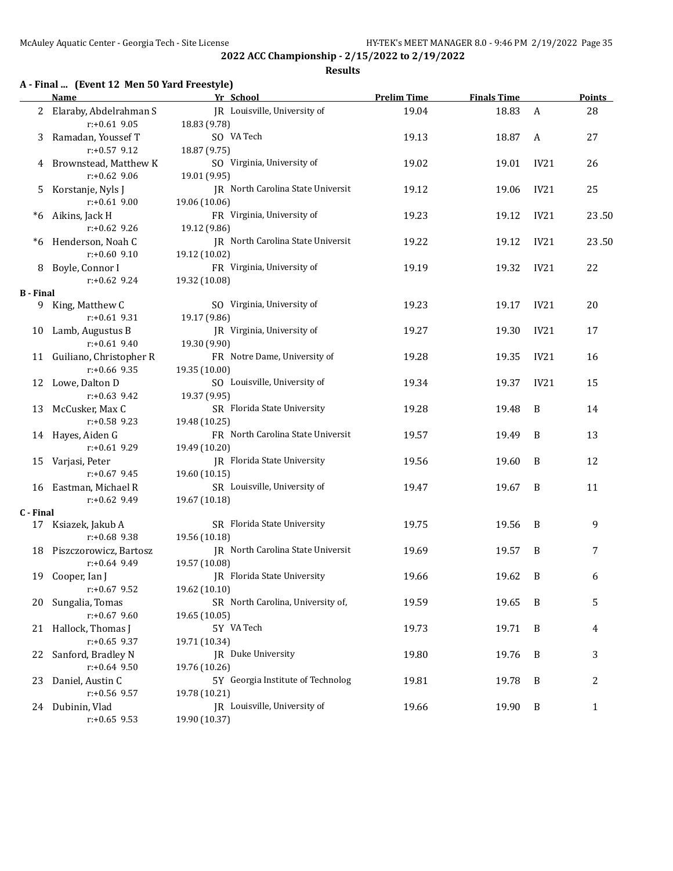#### **Results**

# **A - Final ... (Event 12 Men 50 Yard Freestyle)**

|                  | <b>Name</b>                | Yr School                                          | <b>Prelim Time</b> | <b>Finals Time</b> |                  | <b>Points</b> |
|------------------|----------------------------|----------------------------------------------------|--------------------|--------------------|------------------|---------------|
|                  | 2 Elaraby, Abdelrahman S   | IR Louisville, University of                       | 19.04              | 18.83              | $\mathbf{A}$     | 28            |
|                  | $r: +0.61$ 9.05            | 18.83 (9.78)                                       |                    |                    |                  |               |
| 3                | Ramadan, Youssef T         | SO VA Tech                                         | 19.13              | 18.87              | A                | 27            |
|                  | $r: +0.57$ 9.12            | 18.87 (9.75)                                       |                    |                    |                  |               |
| 4                | Brownstead, Matthew K      | SO Virginia, University of                         | 19.02              | 19.01              | IV <sub>21</sub> | 26            |
|                  | $r: +0.62$ 9.06            | 19.01 (9.95)                                       |                    |                    |                  |               |
| 5                | Korstanje, Nyls J          | JR North Carolina State Universit                  | 19.12              | 19.06              | IV21             | 25            |
|                  | $r: +0.61$ 9.00            | 19.06 (10.06)                                      |                    |                    |                  |               |
| *6               | Aikins, Jack H             | FR Virginia, University of                         | 19.23              | 19.12              | IV21             | 23.50         |
|                  | $r: +0.62$ 9.26            | 19.12 (9.86)                                       |                    |                    |                  |               |
|                  |                            | JR North Carolina State Universit                  |                    |                    |                  |               |
| *6               | Henderson, Noah C          |                                                    | 19.22              | 19.12              | IV21             | 23.50         |
|                  | $r: +0.60$ 9.10            | 19.12 (10.02)                                      |                    |                    |                  |               |
| 8                | Boyle, Connor I            | FR Virginia, University of                         | 19.19              | 19.32              | IV21             | 22            |
|                  | $r: +0.62$ 9.24            | 19.32 (10.08)                                      |                    |                    |                  |               |
| <b>B</b> - Final |                            |                                                    |                    |                    |                  |               |
|                  | 9 King, Matthew C          | SO Virginia, University of                         | 19.23              | 19.17              | IV21             | 20            |
|                  | $r: +0.61$ 9.31            | 19.17 (9.86)                                       |                    |                    |                  |               |
| 10               | Lamb, Augustus B           | JR Virginia, University of                         | 19.27              | 19.30              | IV21             | 17            |
|                  | $r: +0.61$ 9.40            | 19.30 (9.90)                                       |                    |                    |                  |               |
|                  | 11 Guiliano, Christopher R | FR Notre Dame, University of                       | 19.28              | 19.35              | IV21             | 16            |
|                  | $r: +0.66$ 9.35            | 19.35 (10.00)                                      |                    |                    |                  |               |
|                  | 12 Lowe, Dalton D          | SO Louisville, University of                       | 19.34              | 19.37              | IV21             | 15            |
|                  | $r+0.63$ 9.42              | 19.37 (9.95)                                       |                    |                    |                  |               |
| 13               | McCusker, Max C            | SR Florida State University                        | 19.28              | 19.48              | B                | 14            |
|                  | $r+0.58$ 9.23              | 19.48 (10.25)                                      |                    |                    |                  |               |
|                  | 14 Hayes, Aiden G          | FR North Carolina State Universit                  | 19.57              | 19.49              | B                | 13            |
|                  | $r: +0.61$ 9.29            | 19.49 (10.20)                                      |                    |                    |                  |               |
| 15               | Varjasi, Peter             | JR Florida State University                        | 19.56              | 19.60              | B                | 12            |
|                  | $r: +0.67$ 9.45            | 19.60 (10.15)                                      |                    |                    |                  |               |
|                  | 16 Eastman, Michael R      | SR Louisville, University of                       | 19.47              | 19.67              | B                | 11            |
|                  | $r+0.62$ 9.49              | 19.67 (10.18)                                      |                    |                    |                  |               |
| C - Final        |                            |                                                    |                    |                    |                  |               |
|                  | 17 Ksiazek, Jakub A        | SR Florida State University                        | 19.75              | 19.56              | B                | 9             |
|                  | $r: +0.68$ 9.38            | 19.56 (10.18)                                      |                    |                    |                  |               |
|                  | 18 Piszczorowicz, Bartosz  | JR North Carolina State Universit                  | 19.69              | 19.57              | B                | 7             |
|                  | $r: +0.64$ 9.49            | 19.57 (10.08)                                      |                    |                    |                  |               |
|                  | 19 Cooper, Ian J           | JR Florida State University                        | 19.66              | 19.62              | B                | 6             |
|                  | $r: +0.67$ 9.52            |                                                    |                    |                    |                  |               |
|                  |                            | 19.62 (10.10)<br>SR North Carolina, University of, |                    |                    |                  |               |
|                  | 20 Sungalia, Tomas         |                                                    | 19.59              | 19.65              | B                | 5             |
|                  | $r: +0.67$ 9.60            | 19.65 (10.05)                                      |                    |                    |                  |               |
|                  | 21 Hallock, Thomas J       | 5Y VA Tech                                         | 19.73              | 19.71              | B                | 4             |
|                  | $r: +0.65$ 9.37            | 19.71 (10.34)                                      |                    |                    |                  |               |
| 22               | Sanford, Bradley N         | JR Duke University                                 | 19.80              | 19.76              | B                | 3             |
|                  | $r: +0.64$ 9.50            | 19.76 (10.26)                                      |                    |                    |                  |               |
| 23               | Daniel, Austin C           | 5Y Georgia Institute of Technolog                  | 19.81              | 19.78              | B                | 2             |
|                  | $r+0.56$ 9.57              | 19.78 (10.21)                                      |                    |                    |                  |               |
|                  | 24 Dubinin, Vlad           | JR Louisville, University of                       | 19.66              | 19.90              | B                | $\mathbf{1}$  |
|                  | $r+0.65$ 9.53              | 19.90 (10.37)                                      |                    |                    |                  |               |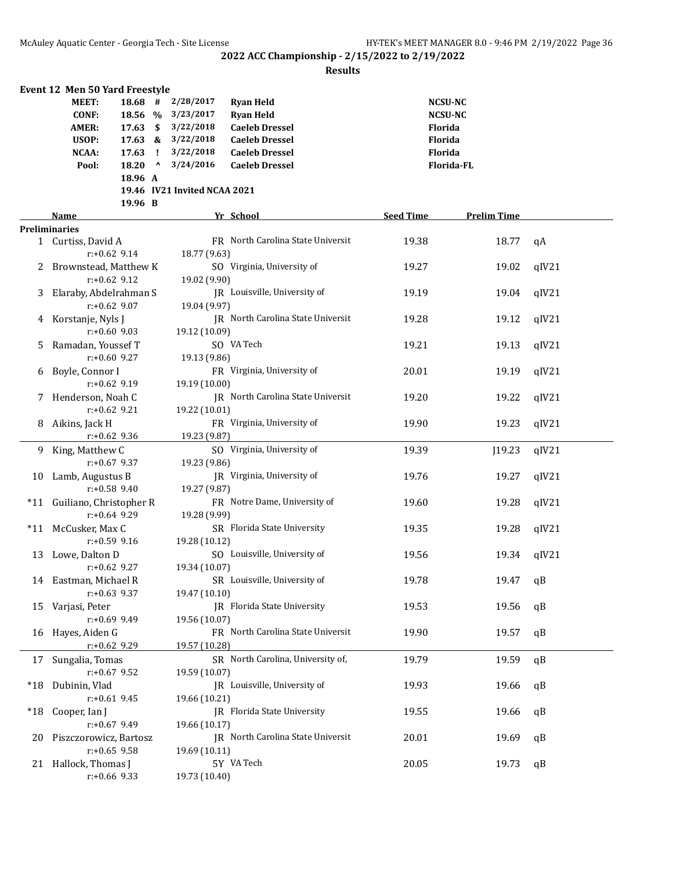|       | Event 12 Men 50 Yard Freestyle |                 |              |                              |                                    |                  |                    |       |
|-------|--------------------------------|-----------------|--------------|------------------------------|------------------------------------|------------------|--------------------|-------|
|       | <b>MEET:</b>                   | $18.68$ #       |              | 2/28/2017                    | <b>Ryan Held</b>                   |                  | <b>NCSU-NC</b>     |       |
|       | <b>CONF:</b>                   | 18.56 %         |              | 3/23/2017                    | <b>Ryan Held</b>                   |                  | <b>NCSU-NC</b>     |       |
|       | <b>AMER:</b>                   | $17.63 \quad $$ |              | 3/22/2018                    | <b>Caeleb Dressel</b>              |                  | Florida            |       |
|       | USOP:                          | $17.63 \&$      |              | 3/22/2018                    | <b>Caeleb Dressel</b>              |                  | Florida            |       |
|       | NCAA:                          | 17.63           | $\mathbf{I}$ | 3/22/2018                    | <b>Caeleb Dressel</b>              |                  | Florida            |       |
|       | Pool:                          | $18.20$ ^       |              | 3/24/2016                    | <b>Caeleb Dressel</b>              |                  | Florida-FL         |       |
|       |                                | 18.96 A         |              |                              |                                    |                  |                    |       |
|       |                                |                 |              |                              |                                    |                  |                    |       |
|       |                                |                 |              | 19.46 IV21 Invited NCAA 2021 |                                    |                  |                    |       |
|       |                                | 19.96 B         |              |                              |                                    |                  |                    |       |
|       | Name                           |                 |              |                              | Yr School                          | <b>Seed Time</b> | <b>Prelim Time</b> |       |
|       | <b>Preliminaries</b>           |                 |              |                              |                                    |                  |                    |       |
|       | 1 Curtiss, David A             |                 |              |                              | FR North Carolina State Universit  | 19.38            | 18.77              | qA    |
|       |                                | $r: +0.62$ 9.14 |              | 18.77 (9.63)                 |                                    |                  |                    |       |
| 2     | Brownstead, Matthew K          |                 |              |                              | SO Virginia, University of         | 19.27            | 19.02              | qIV21 |
|       |                                | $r: +0.62$ 9.12 |              | 19.02 (9.90)                 |                                    |                  |                    |       |
| 3     | Elaraby, Abdelrahman S         |                 |              |                              | JR Louisville, University of       | 19.19            | 19.04              | qIV21 |
|       |                                | $r: +0.62$ 9.07 |              | 19.04 (9.97)                 |                                    |                  |                    |       |
| 4     | Korstanje, Nyls J              |                 |              |                              | JR North Carolina State Universit  | 19.28            | 19.12              | qIV21 |
|       |                                | $r: +0.60$ 9.03 |              | 19.12 (10.09)                |                                    |                  |                    |       |
| 5.    | Ramadan, Youssef T             |                 |              |                              | SO VA Tech                         | 19.21            | 19.13              | qIV21 |
|       |                                | $r: +0.60$ 9.27 |              | 19.13 (9.86)                 |                                    |                  |                    |       |
| 6     | Boyle, Connor I                |                 |              |                              | FR Virginia, University of         | 20.01            | 19.19              | qIV21 |
|       |                                | $r: +0.62$ 9.19 |              |                              |                                    |                  |                    |       |
|       |                                |                 |              | 19.19 (10.00)                |                                    |                  |                    |       |
|       | 7 Henderson, Noah C            |                 |              |                              | IR North Carolina State Universit  | 19.20            | 19.22              | qIV21 |
|       |                                | $r: +0.62$ 9.21 |              | 19.22 (10.01)                |                                    |                  |                    |       |
|       | 8 Aikins, Jack H               |                 |              |                              | FR Virginia, University of         | 19.90            | 19.23              | qIV21 |
|       |                                | $r: +0.62$ 9.36 |              | 19.23 (9.87)                 |                                    |                  |                    |       |
|       | 9 King, Matthew C              |                 |              |                              | SO Virginia, University of         | 19.39            | J19.23             | qIV21 |
|       |                                | $r: +0.67$ 9.37 |              | 19.23 (9.86)                 |                                    |                  |                    |       |
|       | 10 Lamb, Augustus B            |                 |              |                              | JR Virginia, University of         | 19.76            | 19.27              | qIV21 |
|       |                                | $r: +0.58$ 9.40 |              | 19.27 (9.87)                 |                                    |                  |                    |       |
|       | *11 Guiliano, Christopher R    |                 |              |                              | FR Notre Dame, University of       | 19.60            | 19.28              | qIV21 |
|       |                                | $r: +0.64$ 9.29 |              | 19.28 (9.99)                 |                                    |                  |                    |       |
|       | *11 McCusker, Max C            |                 |              |                              | SR Florida State University        | 19.35            | 19.28              | qIV21 |
|       |                                | $r: +0.59$ 9.16 |              | 19.28 (10.12)                |                                    |                  |                    |       |
|       | 13 Lowe, Dalton D              |                 |              |                              | SO Louisville, University of       | 19.56            | 19.34              | qIV21 |
|       |                                | $r: +0.62$ 9.27 |              | 19.34 (10.07)                |                                    |                  |                    |       |
|       | 14 Eastman, Michael R          |                 |              |                              | SR Louisville, University of       | 19.78            | 19.47              | qB    |
|       |                                | $r: +0.63$ 9.37 |              | 19.47 (10.10)                |                                    |                  |                    |       |
|       |                                |                 |              |                              |                                    |                  |                    |       |
|       | 15 Varjasi, Peter              |                 |              |                              | <b>IR</b> Florida State University | 19.53            | 19.56              | qB    |
|       |                                | $r: +0.69$ 9.49 |              | 19.56 (10.07)                |                                    |                  |                    |       |
|       | 16 Hayes, Aiden G              |                 |              |                              | FR North Carolina State Universit  | 19.90            | 19.57              | qB    |
|       |                                | $r: +0.62$ 9.29 |              | 19.57 (10.28)                |                                    |                  |                    |       |
| 17    | Sungalia, Tomas                |                 |              |                              | SR North Carolina, University of,  | 19.79            | 19.59              | qB    |
|       |                                | $r: +0.67$ 9.52 |              | 19.59 (10.07)                |                                    |                  |                    |       |
| $*18$ | Dubinin, Vlad                  |                 |              |                              | JR Louisville, University of       | 19.93            | 19.66              | qB    |
|       |                                | $r: +0.61$ 9.45 |              | 19.66 (10.21)                |                                    |                  |                    |       |
| $*18$ | Cooper, Ian J                  |                 |              |                              | JR Florida State University        | 19.55            | 19.66              | qB    |
|       |                                | $r: +0.67$ 9.49 |              | 19.66 (10.17)                |                                    |                  |                    |       |
| 20    | Piszczorowicz, Bartosz         |                 |              |                              | IR North Carolina State Universit  | 20.01            | 19.69              | qB    |
|       |                                | $r: +0.65$ 9.58 |              | 19.69 (10.11)                |                                    |                  |                    |       |
| 21    | Hallock, Thomas J              |                 |              |                              | 5Y VA Tech                         | 20.05            | 19.73              | qB    |
|       |                                | $r: +0.66$ 9.33 |              | 19.73 (10.40)                |                                    |                  |                    |       |
|       |                                |                 |              |                              |                                    |                  |                    |       |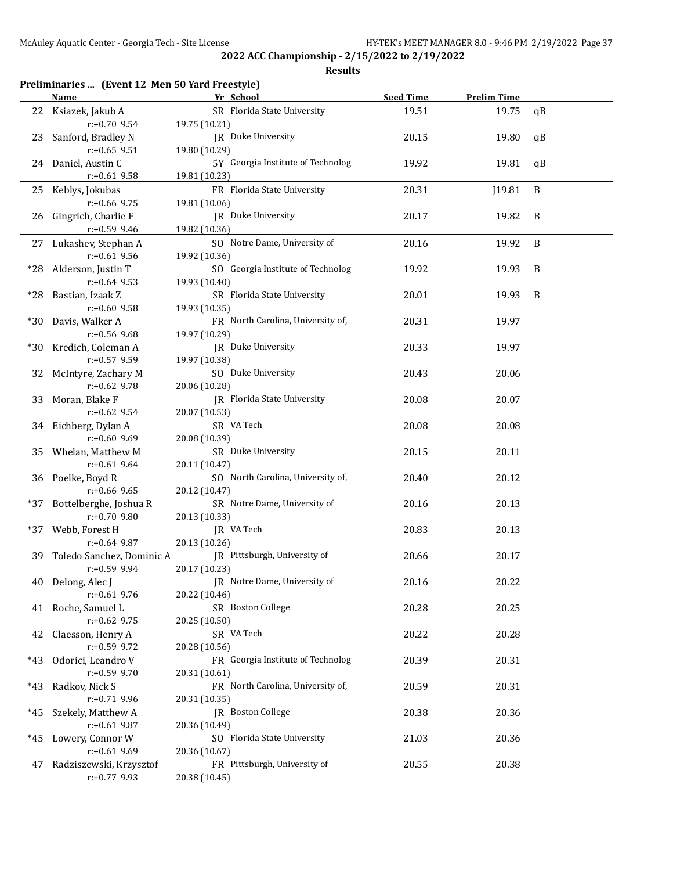|  |  | Preliminaries  (Event 12 Men 50 Yard Freestyle) |  |
|--|--|-------------------------------------------------|--|
|--|--|-------------------------------------------------|--|

|     | <u>Name</u>               | Yr School                         | <b>Seed Time</b> | <b>Prelim Time</b> |    |
|-----|---------------------------|-----------------------------------|------------------|--------------------|----|
|     | 22 Ksiazek, Jakub A       | SR Florida State University       | 19.51            | 19.75              | qB |
|     | $r+0.70$ 9.54             | 19.75 (10.21)                     |                  |                    |    |
|     | 23 Sanford, Bradley N     | JR Duke University                | 20.15            | 19.80              | qB |
|     | $r: +0.65$ 9.51           | 19.80 (10.29)                     |                  |                    |    |
|     | 24 Daniel, Austin C       | 5Y Georgia Institute of Technolog | 19.92            | 19.81              | qB |
|     | $r: +0.61$ 9.58           | 19.81 (10.23)                     |                  |                    |    |
|     | 25 Keblys, Jokubas        | FR Florida State University       | 20.31            | J19.81             | B  |
|     | $r: +0.66$ 9.75           | 19.81 (10.06)                     |                  |                    |    |
|     | 26 Gingrich, Charlie F    | JR Duke University                | 20.17            | 19.82              | B  |
|     | $r: +0.59$ 9.46           | 19.82 (10.36)                     |                  |                    |    |
|     | 27 Lukashev, Stephan A    | SO Notre Dame, University of      | 20.16            | 19.92              | B  |
|     | $r: +0.61$ 9.56           | 19.92 (10.36)                     |                  |                    |    |
|     | *28 Alderson, Justin T    | SO Georgia Institute of Technolog | 19.92            | 19.93              | B  |
|     | $r: +0.64$ 9.53           | 19.93 (10.40)                     |                  |                    |    |
|     | *28 Bastian, Izaak Z      | SR Florida State University       | 20.01            | 19.93              | B  |
|     | $r: +0.60$ 9.58           | 19.93 (10.35)                     |                  |                    |    |
| *30 | Davis, Walker A           | FR North Carolina, University of, | 20.31            | 19.97              |    |
|     | $r: +0.56$ 9.68           | 19.97 (10.29)                     |                  |                    |    |
|     | *30 Kredich, Coleman A    | JR Duke University                | 20.33            | 19.97              |    |
|     | r:+0.57 9.59              | 19.97 (10.38)                     |                  |                    |    |
| 32  | McIntyre, Zachary M       | SO Duke University                | 20.43            | 20.06              |    |
|     | $r: +0.62$ 9.78           | 20.06 (10.28)                     |                  |                    |    |
| 33  | Moran, Blake F            | JR Florida State University       | 20.08            | 20.07              |    |
|     | $r: +0.62$ 9.54           | 20.07 (10.53)                     |                  |                    |    |
|     | 34 Eichberg, Dylan A      | SR VA Tech                        | 20.08            | 20.08              |    |
|     | $r: +0.60$ 9.69           | 20.08 (10.39)                     |                  |                    |    |
|     | 35 Whelan, Matthew M      | SR Duke University                | 20.15            | 20.11              |    |
|     | $r: +0.61$ 9.64           | 20.11 (10.47)                     |                  |                    |    |
|     | 36 Poelke, Boyd R         | SO North Carolina, University of, | 20.40            | 20.12              |    |
|     | $r: +0.66$ 9.65           | 20.12 (10.47)                     |                  |                    |    |
| *37 | Bottelberghe, Joshua R    | SR Notre Dame, University of      | 20.16            | 20.13              |    |
|     | r:+0.70 9.80              | 20.13 (10.33)                     |                  |                    |    |
|     | *37 Webb, Forest H        | JR VA Tech                        | 20.83            | 20.13              |    |
|     | $r+0.64$ 9.87             | 20.13 (10.26)                     |                  |                    |    |
| 39. | Toledo Sanchez, Dominic A | JR Pittsburgh, University of      | 20.66            | 20.17              |    |
|     | $r: +0.59$ 9.94           | 20.17 (10.23)                     |                  |                    |    |
|     | 40 Delong, Alec J         | JR Notre Dame, University of      | 20.16            | 20.22              |    |
|     | $r: +0.61$ 9.76           | 20.22 (10.46)                     |                  |                    |    |
|     | 41 Roche, Samuel L        | SR Boston College                 | 20.28            | 20.25              |    |
|     | $r: +0.62$ 9.75           | 20.25 (10.50)                     |                  |                    |    |
| 42  | Claesson, Henry A         | SR VA Tech                        | 20.22            | 20.28              |    |
|     | r:+0.59 9.72              | 20.28 (10.56)                     |                  |                    |    |
| *43 | Odorici, Leandro V        | FR Georgia Institute of Technolog | 20.39            | 20.31              |    |
|     | $r: +0.59$ 9.70           | 20.31 (10.61)                     |                  |                    |    |
| *43 | Radkov, Nick S            | FR North Carolina, University of, | 20.59            | 20.31              |    |
|     | $r: +0.71$ 9.96           | 20.31 (10.35)                     |                  |                    |    |
| *45 | Szekely, Matthew A        | JR Boston College                 | 20.38            | 20.36              |    |
|     | $r: +0.61$ 9.87           | 20.36 (10.49)                     |                  |                    |    |
| *45 | Lowery, Connor W          | SO Florida State University       | 21.03            | 20.36              |    |
|     | $r: +0.61$ 9.69           | 20.36 (10.67)                     |                  |                    |    |
| 47  | Radziszewski, Krzysztof   | FR Pittsburgh, University of      | 20.55            | 20.38              |    |
|     | $r: +0.77$ 9.93           | 20.38 (10.45)                     |                  |                    |    |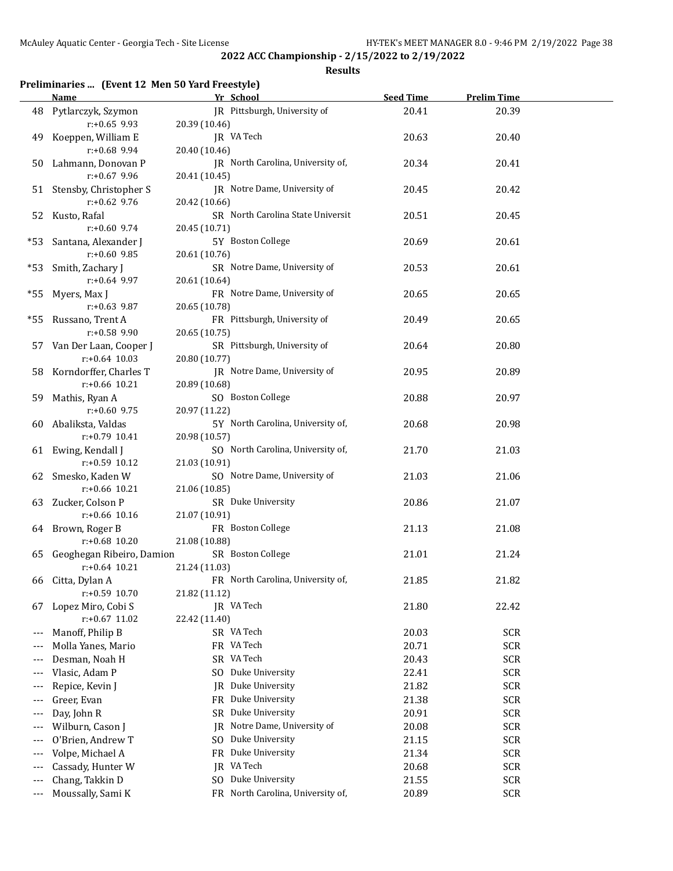**Results**

### **Preliminaries ... (Event 12 Men 50 Yard Freestyle)**

|                          | <b>Name</b>                            | Yr School                                     | <b>Seed Time</b> | <b>Prelim Time</b> |  |
|--------------------------|----------------------------------------|-----------------------------------------------|------------------|--------------------|--|
|                          | 48 Pytlarczyk, Szymon                  | IR Pittsburgh, University of                  | 20.41            | 20.39              |  |
|                          | $r: +0.65$ 9.93                        | 20.39 (10.46)                                 |                  |                    |  |
| 49                       | Koeppen, William E                     | JR VA Tech                                    | 20.63            | 20.40              |  |
|                          | r:+0.68 9.94                           | 20.40 (10.46)                                 |                  |                    |  |
| 50                       | Lahmann, Donovan P                     | JR North Carolina, University of,             | 20.34            | 20.41              |  |
|                          | $r: +0.67$ 9.96                        | 20.41 (10.45)                                 |                  |                    |  |
|                          | 51 Stensby, Christopher S              | JR Notre Dame, University of                  | 20.45            | 20.42              |  |
|                          | $r: +0.62$ 9.76                        | 20.42 (10.66)                                 |                  |                    |  |
|                          | 52 Kusto, Rafal                        | SR North Carolina State Universit             | 20.51            | 20.45              |  |
|                          | $r: +0.60$ 9.74                        | 20.45 (10.71)                                 |                  |                    |  |
|                          | *53 Santana, Alexander J               | 5Y Boston College                             | 20.69            | 20.61              |  |
|                          | r:+0.60 9.85                           | 20.61 (10.76)                                 |                  |                    |  |
|                          | *53 Smith, Zachary J                   | SR Notre Dame, University of                  | 20.53            | 20.61              |  |
|                          | $r: +0.64$ 9.97                        | 20.61 (10.64)                                 |                  |                    |  |
| *55                      | Myers, Max J                           | FR Notre Dame, University of                  | 20.65            | 20.65              |  |
|                          | $r: +0.63$ 9.87                        | 20.65 (10.78)                                 |                  |                    |  |
|                          | *55 Russano, Trent A                   | FR Pittsburgh, University of                  | 20.49            | 20.65              |  |
|                          | $r: +0.58$ 9.90                        | 20.65 (10.75)                                 |                  |                    |  |
|                          | 57 Van Der Laan, Cooper J              | SR Pittsburgh, University of                  | 20.64            | 20.80              |  |
|                          | $r: +0.64$ 10.03                       | 20.80 (10.77)                                 |                  |                    |  |
|                          | 58 Korndorffer, Charles T              | IR Notre Dame, University of                  | 20.95            | 20.89              |  |
|                          | $r: +0.66$ 10.21                       | 20.89 (10.68)                                 |                  |                    |  |
| 59                       | Mathis, Ryan A                         | SO Boston College                             | 20.88            | 20.97              |  |
|                          | $r: +0.60$ 9.75                        | 20.97 (11.22)                                 |                  |                    |  |
|                          | 60 Abaliksta, Valdas                   | 5Y North Carolina, University of,             | 20.68            | 20.98              |  |
|                          | $r: +0.79$ 10.41                       | 20.98 (10.57)                                 |                  |                    |  |
|                          | 61 Ewing, Kendall J                    | SO North Carolina, University of,             | 21.70            | 21.03              |  |
|                          | $r: +0.59$ 10.12                       | 21.03 (10.91)                                 |                  |                    |  |
|                          | 62 Smesko, Kaden W<br>$r: +0.66$ 10.21 | SO Notre Dame, University of<br>21.06 (10.85) | 21.03            | 21.06              |  |
|                          | 63 Zucker, Colson P                    | SR Duke University                            | 20.86            | 21.07              |  |
|                          | $r: +0.66$ 10.16                       | 21.07 (10.91)                                 |                  |                    |  |
|                          | 64 Brown, Roger B                      | FR Boston College                             | 21.13            | 21.08              |  |
|                          | $r: +0.68$ 10.20                       | 21.08 (10.88)                                 |                  |                    |  |
| 65                       | Geoghegan Ribeiro, Damion              | SR Boston College                             | 21.01            | 21.24              |  |
|                          | $r: +0.64$ 10.21                       | 21.24 (11.03)                                 |                  |                    |  |
|                          | 66 Citta, Dylan A                      | FR North Carolina, University of,             | 21.85            | 21.82              |  |
|                          | r:+0.59 10.70                          | 21.82 (11.12)                                 |                  |                    |  |
| 67                       | Lopez Miro, Cobi S                     | JR VA Tech                                    | 21.80            | 22.42              |  |
|                          | $r: +0.67$ 11.02                       | 22.42 (11.40)                                 |                  |                    |  |
| ---                      | Manoff, Philip B                       | SR VA Tech                                    | 20.03            | <b>SCR</b>         |  |
| ---                      | Molla Yanes, Mario                     | FR VA Tech                                    | 20.71            | <b>SCR</b>         |  |
| $---$                    | Desman, Noah H                         | SR VA Tech                                    | 20.43            | <b>SCR</b>         |  |
| $---$                    | Vlasic, Adam P                         | Duke University<br>S <sub>O</sub>             | 22.41            | <b>SCR</b>         |  |
| $---$                    | Repice, Kevin J                        | Duke University<br>IR                         | 21.82            | <b>SCR</b>         |  |
| $---$                    | Greer, Evan                            | Duke University<br>FR                         | 21.38            | <b>SCR</b>         |  |
| ---                      | Day, John R                            | Duke University<br>SR                         | 20.91            | <b>SCR</b>         |  |
| ---                      | Wilburn, Cason J                       | Notre Dame, University of<br>IR               | 20.08            | <b>SCR</b>         |  |
| $---$                    | O'Brien, Andrew T                      | Duke University<br>SO.                        | 21.15            | <b>SCR</b>         |  |
| $---$                    | Volpe, Michael A                       | Duke University<br>FR                         | 21.34            | <b>SCR</b>         |  |
| $---$                    | Cassady, Hunter W                      | VA Tech<br>IR                                 | 20.68            | <b>SCR</b>         |  |
| $---$                    | Chang, Takkin D                        | Duke University<br>SO.                        | 21.55            | SCR                |  |
| $\scriptstyle{\cdots}$ . | Moussally, Sami K                      | North Carolina, University of,<br>FR          | 20.89            | <b>SCR</b>         |  |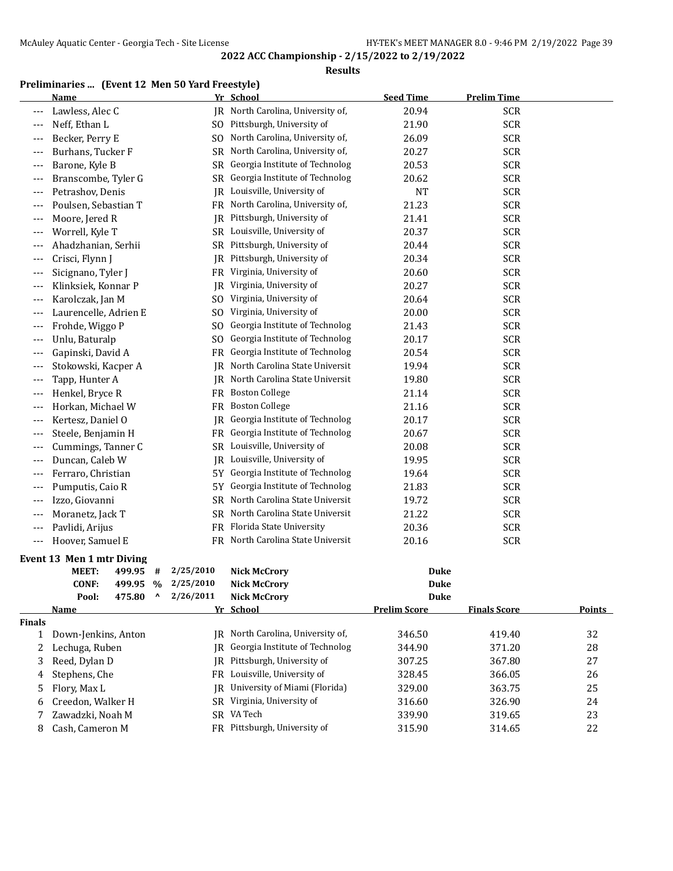#### **Results**

### **Preliminaries ... (Event 12 Men 50 Yard Freestyle)**

|       | <b>Name</b>           |                | Yr School                         | <b>Seed Time</b> | <b>Prelim Time</b> |
|-------|-----------------------|----------------|-----------------------------------|------------------|--------------------|
|       | Lawless, Alec C       |                | JR North Carolina, University of, | 20.94            | <b>SCR</b>         |
|       | Neff, Ethan L         | S <sub>0</sub> | Pittsburgh, University of         | 21.90            | <b>SCR</b>         |
|       | Becker, Perry E       | S <sub>O</sub> | North Carolina, University of,    | 26.09            | <b>SCR</b>         |
| $---$ | Burhans, Tucker F     | <b>SR</b>      | North Carolina, University of,    | 20.27            | <b>SCR</b>         |
| $---$ | Barone, Kyle B        | SR             | Georgia Institute of Technolog    | 20.53            | <b>SCR</b>         |
|       | Branscombe, Tyler G   | SR             | Georgia Institute of Technolog    | 20.62            | <b>SCR</b>         |
| $---$ | Petrashov, Denis      | <b>JR</b>      | Louisville, University of         | <b>NT</b>        | <b>SCR</b>         |
| $---$ | Poulsen, Sebastian T  | FR             | North Carolina, University of,    | 21.23            | <b>SCR</b>         |
| $---$ | Moore, Jered R        | <b>JR</b>      | Pittsburgh, University of         | 21.41            | <b>SCR</b>         |
|       | Worrell, Kyle T       |                | SR Louisville, University of      | 20.37            | <b>SCR</b>         |
|       | Ahadzhanian, Serhii   | SR             | Pittsburgh, University of         | 20.44            | <b>SCR</b>         |
| $---$ | Crisci, Flynn J       | <b>JR</b>      | Pittsburgh, University of         | 20.34            | <b>SCR</b>         |
| $---$ | Sicignano, Tyler J    | FR             | Virginia, University of           | 20.60            | <b>SCR</b>         |
| $---$ | Klinksiek, Konnar P   | <b>IR</b>      | Virginia, University of           | 20.27            | <b>SCR</b>         |
|       | Karolczak, Jan M      | S <sub>0</sub> | Virginia, University of           | 20.64            | <b>SCR</b>         |
|       | Laurencelle, Adrien E | S <sub>0</sub> | Virginia, University of           | 20.00            | <b>SCR</b>         |
| $---$ | Frohde, Wiggo P       | S <sub>O</sub> | Georgia Institute of Technolog    | 21.43            | <b>SCR</b>         |
| $---$ | Unlu, Baturalp        | S <sub>O</sub> | Georgia Institute of Technolog    | 20.17            | <b>SCR</b>         |
| $---$ | Gapinski, David A     | FR             | Georgia Institute of Technolog    | 20.54            | <b>SCR</b>         |
|       | Stokowski, Kacper A   | IR             | North Carolina State Universit    | 19.94            | <b>SCR</b>         |
|       | Tapp, Hunter A        | IR             | North Carolina State Universit    | 19.80            | <b>SCR</b>         |
| $---$ | Henkel, Bryce R       | FR             | <b>Boston College</b>             | 21.14            | <b>SCR</b>         |
| $- -$ | Horkan, Michael W     | FR             | <b>Boston College</b>             | 21.16            | <b>SCR</b>         |
| $---$ | Kertesz, Daniel O     | <b>JR</b>      | Georgia Institute of Technolog    | 20.17            | <b>SCR</b>         |
|       | Steele, Benjamin H    | FR             | Georgia Institute of Technolog    | 20.67            | <b>SCR</b>         |
|       | Cummings, Tanner C    | SR             | Louisville, University of         | 20.08            | <b>SCR</b>         |
| $---$ | Duncan, Caleb W       | IR             | Louisville, University of         | 19.95            | <b>SCR</b>         |
| $--$  | Ferraro, Christian    | 5Υ             | Georgia Institute of Technolog    | 19.64            | <b>SCR</b>         |
| $---$ | Pumputis, Caio R      | 5Υ             | Georgia Institute of Technolog    | 21.83            | <b>SCR</b>         |
|       | Izzo, Giovanni        | SR             | North Carolina State Universit    | 19.72            | <b>SCR</b>         |
|       | Moranetz, Jack T      | SR             | North Carolina State Universit    | 21.22            | <b>SCR</b>         |
|       | Pavlidi, Arijus       | <b>FR</b>      | Florida State University          | 20.36            | <b>SCR</b>         |
| $---$ | Hoover, Samuel E      |                | FR North Carolina State Universit | 20.16            | <b>SCR</b>         |
|       |                       |                |                                   |                  |                    |

### **Event 13 Men 1 mtr Diving**

|               | MEET:               | 499.95 | #             | 2/25/2010 | <b>Nick McCrory</b>            | <b>Duke</b>         |                     |        |
|---------------|---------------------|--------|---------------|-----------|--------------------------------|---------------------|---------------------|--------|
|               | <b>CONF:</b>        | 499.95 | $\frac{0}{0}$ | 2/25/2010 | <b>Nick McCrory</b>            | <b>Duke</b>         |                     |        |
|               | Pool:               | 475.80 | ^             | 2/26/2011 | <b>Nick McCrory</b>            | Duke                |                     |        |
|               | <b>Name</b>         |        |               |           | Yr School                      | <b>Prelim Score</b> | <b>Finals Score</b> | Points |
| <b>Finals</b> |                     |        |               |           |                                |                     |                     |        |
|               | Down-Jenkins, Anton |        |               | IR.       | North Carolina, University of, | 346.50              | 419.40              | 32     |
|               | Lechuga, Ruben      |        |               | IR-       | Georgia Institute of Technolog | 344.90              | 371.20              | 28     |
| 3             | Reed, Dylan D       |        |               | IR        | Pittsburgh, University of      | 307.25              | 367.80              | 27     |
| 4             | Stephens, Che       |        |               | FR        | Louisville, University of      | 328.45              | 366.05              | 26     |
|               | 5 Flory, Max L      |        |               | IR        | University of Miami (Florida)  | 329.00              | 363.75              | 25     |
| 6             | Creedon, Walker H   |        |               | SR.       | Virginia, University of        | 316.60              | 326.90              | 24     |
|               | Zawadzki, Noah M    |        |               | SR        | VA Tech                        | 339.90              | 319.65              | 23     |
| 8             | Cash, Cameron M     |        |               | FR        | Pittsburgh, University of      | 315.90              | 314.65              | 22     |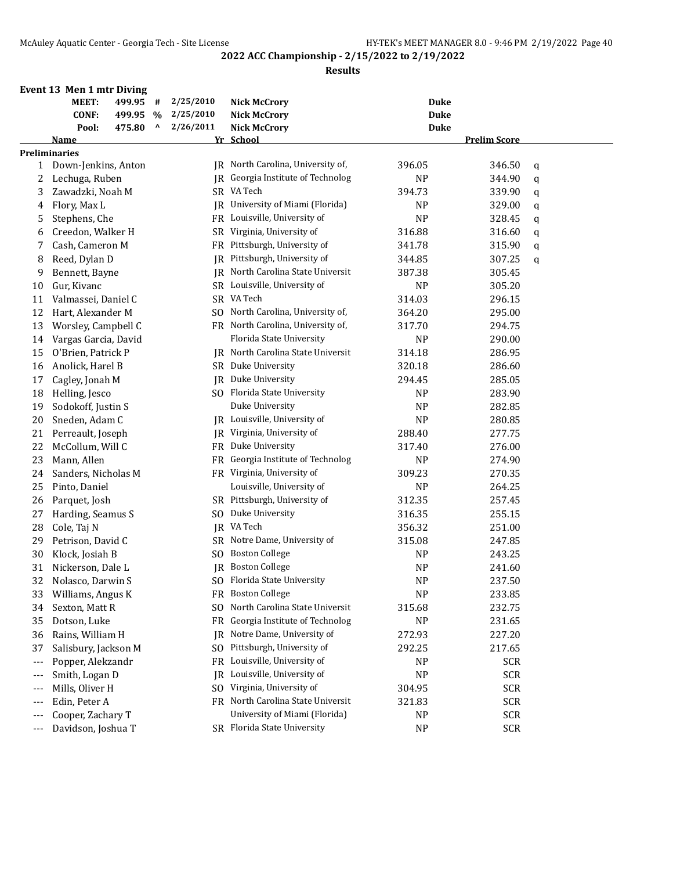**Results**

# **Event 13 Men 1 mtr Diving**

|       | MEET:                | 499.95 | #              | 2/25/2010      | <b>Nick McCrory</b>               | <b>Duke</b> |                     |   |
|-------|----------------------|--------|----------------|----------------|-----------------------------------|-------------|---------------------|---|
|       | <b>CONF:</b>         | 499.95 | $\%$           | 2/25/2010      | <b>Nick McCrory</b>               | <b>Duke</b> |                     |   |
|       | Pool:                | 475.80 | $\pmb{\wedge}$ | 2/26/2011      | <b>Nick McCrory</b>               | <b>Duke</b> |                     |   |
|       | Name                 |        |                |                | Yr School                         |             | <b>Prelim Score</b> |   |
|       | <b>Preliminaries</b> |        |                |                |                                   |             |                     |   |
| 1     | Down-Jenkins, Anton  |        |                | IR             | North Carolina, University of,    | 396.05      | 346.50              | q |
| 2     | Lechuga, Ruben       |        |                | IR.            | Georgia Institute of Technolog    | <b>NP</b>   | 344.90              | q |
| 3     | Zawadzki, Noah M     |        |                |                | SR VA Tech                        | 394.73      | 339.90              | q |
| 4     | Flory, Max L         |        |                | IR             | University of Miami (Florida)     | <b>NP</b>   | 329.00              | q |
| 5     | Stephens, Che        |        |                | FR             | Louisville, University of         | <b>NP</b>   | 328.45              | q |
| 6     | Creedon, Walker H    |        |                | SR             | Virginia, University of           | 316.88      | 316.60              | q |
| 7     | Cash, Cameron M      |        |                | FR             | Pittsburgh, University of         | 341.78      | 315.90              | q |
| 8     | Reed, Dylan D        |        |                | IR             | Pittsburgh, University of         | 344.85      | 307.25              | q |
| 9     | Bennett, Bayne       |        |                |                | JR North Carolina State Universit | 387.38      | 305.45              |   |
| 10    | Gur, Kivanc          |        |                |                | SR Louisville, University of      | <b>NP</b>   | 305.20              |   |
| 11    | Valmassei, Daniel C  |        |                |                | SR VA Tech                        | 314.03      | 296.15              |   |
| 12    | Hart, Alexander M    |        |                |                | SO North Carolina, University of, | 364.20      | 295.00              |   |
| 13    | Worsley, Campbell C  |        |                |                | FR North Carolina, University of, | 317.70      | 294.75              |   |
| 14    | Vargas Garcia, David |        |                |                | Florida State University          | <b>NP</b>   | 290.00              |   |
| 15    | O'Brien, Patrick P   |        |                | IR             | North Carolina State Universit    | 314.18      | 286.95              |   |
| 16    | Anolick, Harel B     |        |                | <b>SR</b>      | Duke University                   | 320.18      | 286.60              |   |
| 17    | Cagley, Jonah M      |        |                | JR             | Duke University                   | 294.45      | 285.05              |   |
| 18    | Helling, Jesco       |        |                | SO.            | Florida State University          | <b>NP</b>   | 283.90              |   |
| 19    | Sodokoff, Justin S   |        |                |                | Duke University                   | <b>NP</b>   | 282.85              |   |
| 20    | Sneden, Adam C       |        |                |                | JR Louisville, University of      | <b>NP</b>   | 280.85              |   |
| 21    | Perreault, Joseph    |        |                |                | JR Virginia, University of        | 288.40      | 277.75              |   |
| 22    | McCollum, Will C     |        |                | FR             | Duke University                   | 317.40      | 276.00              |   |
| 23    | Mann, Allen          |        |                | FR             | Georgia Institute of Technolog    | NP          | 274.90              |   |
| 24    | Sanders, Nicholas M  |        |                |                | FR Virginia, University of        | 309.23      | 270.35              |   |
| 25    | Pinto, Daniel        |        |                |                | Louisville, University of         | <b>NP</b>   | 264.25              |   |
| 26    | Parquet, Josh        |        |                |                | SR Pittsburgh, University of      | 312.35      | 257.45              |   |
| 27    | Harding, Seamus S    |        |                | SO.            | Duke University                   | 316.35      | 255.15              |   |
| 28    | Cole, Taj N          |        |                |                | JR VA Tech                        | 356.32      | 251.00              |   |
| 29    | Petrison, David C    |        |                | SR             | Notre Dame, University of         | 315.08      | 247.85              |   |
| 30    | Klock, Josiah B      |        |                | S <sub>O</sub> | <b>Boston College</b>             | NP          | 243.25              |   |
| 31    | Nickerson, Dale L    |        |                | <b>IR</b>      | <b>Boston College</b>             | <b>NP</b>   | 241.60              |   |
| 32    | Nolasco, Darwin S    |        |                |                | SO Florida State University       | <b>NP</b>   | 237.50              |   |
| 33    | Williams, Angus K    |        |                |                | FR Boston College                 | NP          | 233.85              |   |
| 34    | Sexton, Matt R       |        |                | SO.            | North Carolina State Universit    | 315.68      | 232.75              |   |
| 35    | Dotson, Luke         |        |                | FR             | Georgia Institute of Technolog    | NP          | 231.65              |   |
| 36    | Rains, William H     |        |                | IR             | Notre Dame, University of         | 272.93      | 227.20              |   |
| 37    | Salisbury, Jackson M |        |                | SO.            | Pittsburgh, University of         | 292.25      | 217.65              |   |
| $---$ | Popper, Alekzandr    |        |                | FR             | Louisville, University of         | <b>NP</b>   | <b>SCR</b>          |   |
| ---   | Smith, Logan D       |        |                | IR             | Louisville, University of         | <b>NP</b>   | <b>SCR</b>          |   |
| ---   | Mills, Oliver H      |        |                | SO.            | Virginia, University of           | 304.95      | <b>SCR</b>          |   |
| ---   | Edin, Peter A        |        |                |                | FR North Carolina State Universit | 321.83      | <b>SCR</b>          |   |
|       | Cooper, Zachary T    |        |                |                | University of Miami (Florida)     | NP          | <b>SCR</b>          |   |
| ---   | Davidson, Joshua T   |        |                |                | SR Florida State University       | NP          | <b>SCR</b>          |   |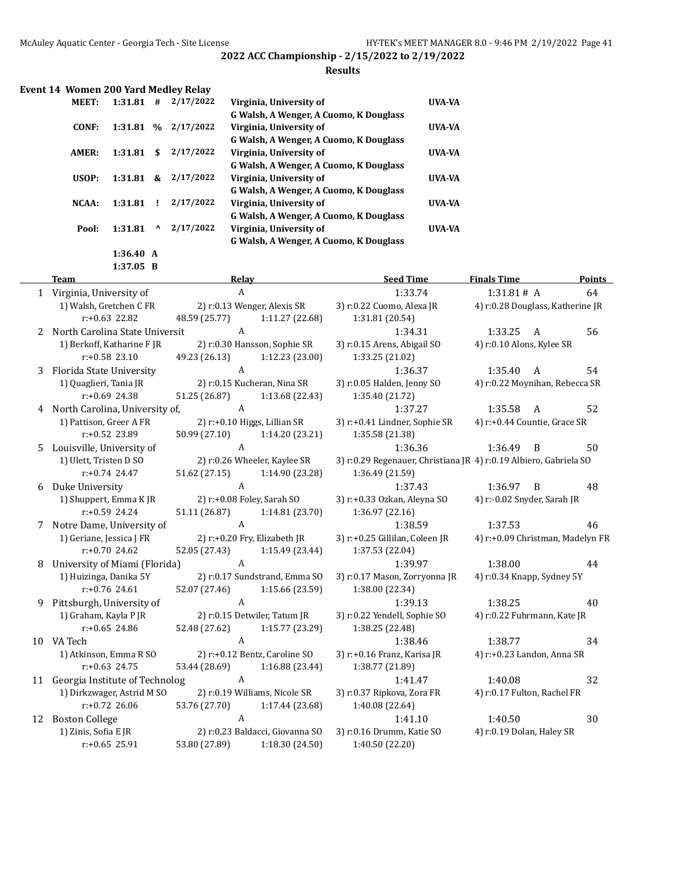#### **Results**

|              |         |               | Event 14 Women 200 Yard Medley Relay |                                        |               |
|--------------|---------|---------------|--------------------------------------|----------------------------------------|---------------|
| <b>MEET:</b> | 1:31.81 | #             | 2/17/2022                            | Virginia, University of                | UVA-VA        |
|              |         |               |                                      | G Walsh, A Wenger, A Cuomo, K Douglass |               |
| CONF:        | 1:31.81 | $\frac{9}{6}$ | 2/17/2022                            | Virginia, University of                | <b>UVA-VA</b> |
|              |         |               |                                      | G Walsh, A Wenger, A Cuomo, K Douglass |               |
| AMER:        | 1:31.81 | \$            | 2/17/2022                            | Virginia, University of                | <b>UVA-VA</b> |
|              |         |               |                                      | G Walsh, A Wenger, A Cuomo, K Douglass |               |
| USOP:        | 1:31.81 | &             | 2/17/2022                            | Virginia, University of                | <b>UVA-VA</b> |
|              |         |               |                                      | G Walsh, A Wenger, A Cuomo, K Douglass |               |
| NCAA:        | 1:31.81 |               | 2/17/2022                            | Virginia, University of                | <b>UVA-VA</b> |
|              |         |               |                                      | G Walsh, A Wenger, A Cuomo, K Douglass |               |
| Pool:        | 1:31.81 | ^             | 2/17/2022                            | Virginia, University of                | <b>UVA-VA</b> |
|              |         |               |                                      | G Walsh, A Wenger, A Cuomo, K Douglass |               |

**1:36.40 A 1:37.05 B**

 $\overline{a}$ 

|    | <b>Team</b>                                            | Relay                      |                                 | <b>Seed Time</b>                                                  | <b>Finals Time</b>               | <b>Points</b> |  |  |
|----|--------------------------------------------------------|----------------------------|---------------------------------|-------------------------------------------------------------------|----------------------------------|---------------|--|--|
|    | 1 Virginia, University of                              | A                          |                                 | 1:33.74                                                           | 1:31.81# A                       | 64            |  |  |
|    | 1) Walsh, Gretchen C FR<br>2) r:0.13 Wenger, Alexis SR |                            |                                 | 3) r:0.22 Cuomo, Alexa JR                                         | 4) r:0.28 Douglass, Katherine JR |               |  |  |
|    | $r: +0.63$ 22.82                                       | 48.59 (25.77)              | 1:11.27 (22.68)                 | 1:31.81 (20.54)                                                   |                                  |               |  |  |
| 2  | North Carolina State Universit                         | A                          |                                 | 1:34.31                                                           | 1:33.25<br>A                     | 56            |  |  |
|    | 1) Berkoff, Katharine FJR                              |                            | 2) r:0.30 Hansson, Sophie SR    | 3) r:0.15 Arens, Abigail SO                                       | 4) r:0.10 Alons, Kylee SR        |               |  |  |
|    | $r: +0.58$ 23.10                                       | 49.23 (26.13)              | 1:12.23 (23.00)                 | 1:33.25 (21.02)                                                   |                                  |               |  |  |
| 3  | Florida State University                               | A                          |                                 | 1:36.37                                                           | 1:35.40<br>A                     | 54            |  |  |
|    | 1) Quaglieri, Tania JR                                 |                            | 2) r:0.15 Kucheran, Nina SR     | 3) r:0.05 Halden, Jenny SO                                        | 4) r:0.22 Moynihan, Rebecca SR   |               |  |  |
|    | $r: +0.69$ 24.38                                       | 51.25 (26.87)              | 1:13.68 (22.43)                 | 1:35.40 (21.72)                                                   |                                  |               |  |  |
| 4  | North Carolina, University of,                         | A                          |                                 | 1:37.27                                                           | 1:35.58<br>A                     | 52            |  |  |
|    | 1) Pattison, Greer A FR                                |                            | 2) r:+0.10 Higgs, Lillian SR    | 3) r:+0.41 Lindner, Sophie SR                                     | 4) r:+0.44 Countie, Grace SR     |               |  |  |
|    | r:+0.52 23.89                                          | 50.99 (27.10)              | 1:14.20 (23.21)                 | 1:35.58 (21.38)                                                   |                                  |               |  |  |
| 5. | Louisville, University of                              | $\overline{A}$             |                                 | 1:36.36                                                           | 1:36.49<br>B                     | 50            |  |  |
|    | 1) Ulett, Tristen D SO                                 |                            | 2) r:0.26 Wheeler, Kaylee SR    | 3) r:0.29 Regenauer, Christiana JR 4) r:0.19 Albiero, Gabriela SO |                                  |               |  |  |
|    | $r: +0.74$ 24.47                                       | 51.62 (27.15)              | 1:14.90 (23.28)                 | 1:36.49 (21.59)                                                   |                                  |               |  |  |
| 6  | Duke University                                        | A                          |                                 | 1:37.43                                                           | 1:36.97<br>B                     | 48            |  |  |
|    | 1) Shuppert, Emma KJR                                  | 2) r:+0.08 Foley, Sarah SO |                                 | 3) r:+0.33 Ozkan, Aleyna SO                                       | 4) r:-0.02 Snyder, Sarah JR      |               |  |  |
|    | r:+0.59 24.24                                          | 51.11 (26.87)              | 1:14.81 (23.70)                 | 1:36.97 (22.16)                                                   |                                  |               |  |  |
| 7  | Notre Dame, University of                              | $\boldsymbol{A}$           |                                 | 1:38.59                                                           | 1:37.53                          | 46            |  |  |
|    | 1) Geriane, Jessica J FR                               |                            | 2) r:+0.20 Fry, Elizabeth JR    | 3) r:+0.25 Gillilan, Coleen JR                                    | 4) r:+0.09 Christman, Madelyn FR |               |  |  |
|    | $r: +0.70$ 24.62                                       | 52.05 (27.43)              | 1:15.49 (23.44)                 | 1:37.53 (22.04)                                                   |                                  |               |  |  |
| 8  | University of Miami (Florida)                          | A                          |                                 | 1:39.97                                                           | 1:38.00                          | 44            |  |  |
|    | 1) Huizinga, Danika 5Y                                 |                            | 2) r:0.17 Sundstrand, Emma SO   | 3) r:0.17 Mason, Zorryonna JR                                     | 4) r:0.34 Knapp, Sydney 5Y       |               |  |  |
|    | $r: +0.76$ 24.61                                       | 52.07 (27.46)              | 1:15.66 (23.59)                 | 1:38.00 (22.34)                                                   |                                  |               |  |  |
| 9  | Pittsburgh, University of                              | $\overline{A}$             |                                 | 1:39.13                                                           | 1:38.25                          | 40            |  |  |
|    | 1) Graham, Kayla P JR                                  |                            | 2) r:0.15 Detwiler, Tatum JR    | 3) r:0.22 Yendell, Sophie SO                                      | 4) r:0.22 Fuhrmann, Kate JR      |               |  |  |
|    | $r: +0.65$ 24.86                                       | 52.48 (27.62)              | 1:15.77 (23.29)                 | 1:38.25 (22.48)                                                   |                                  |               |  |  |
|    | 10 VA Tech                                             | $\overline{A}$             |                                 | 1:38.46                                                           | 1:38.77                          | 34            |  |  |
|    | 1) Atkinson, Emma R SO                                 |                            | 2) r:+0.12 Bentz, Caroline SO   | 3) r:+0.16 Franz, Karisa JR                                       | 4) r:+0.23 Landon, Anna SR       |               |  |  |
|    | $r: +0.63$ 24.75                                       | 53.44 (28.69)              | 1:16.88 (23.44)                 | 1:38.77 (21.89)                                                   |                                  |               |  |  |
| 11 | Georgia Institute of Technolog                         | $\mathbf{A}$               |                                 | 1:41.47                                                           | 1:40.08                          | 32            |  |  |
|    | 1) Dirkzwager, Astrid M SO                             |                            | 2) r:0.19 Williams, Nicole SR   | 3) r:0.37 Ripkova, Zora FR                                        | 4) r:0.17 Fulton, Rachel FR      |               |  |  |
|    | $r: +0.72$ 26.06                                       | 53.76 (27.70)              | 1:17.44 (23.68)                 | 1:40.08 (22.64)                                                   |                                  |               |  |  |
| 12 | <b>Boston College</b>                                  | A                          |                                 | 1:41.10                                                           | 1:40.50                          | 30            |  |  |
|    | 1) Zinis, Sofia E JR                                   |                            | 2) r:0.23 Baldacci, Giovanna SO | 3) r:0.16 Drumm, Katie SO                                         | 4) r:0.19 Dolan, Haley SR        |               |  |  |
|    | $r: +0.65$ 25.91                                       | 53.80 (27.89)              | 1:18.30 (24.50)                 | 1:40.50 (22.20)                                                   |                                  |               |  |  |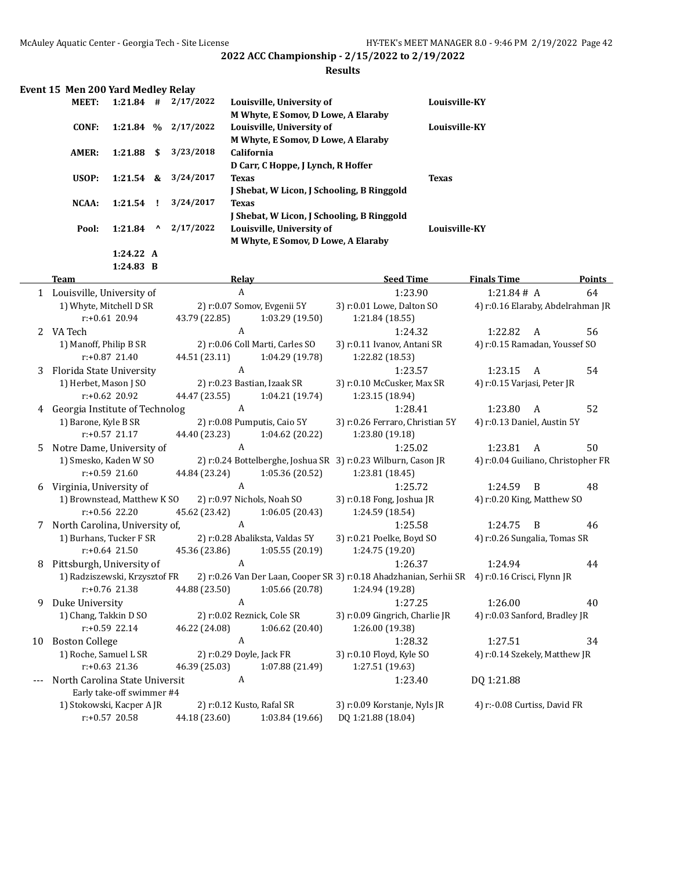#### **Results**

| Event 15 Men 200 Yard Medley Relay |  |  |  |  |  |
|------------------------------------|--|--|--|--|--|
|------------------------------------|--|--|--|--|--|

| <b>MEET:</b> | $1:21.84$ # |              | 2/17/2022 | Louisville, University of                  | Louisville-KY        |
|--------------|-------------|--------------|-----------|--------------------------------------------|----------------------|
|              |             |              |           | M Whyte, E Somov, D Lowe, A Elaraby        |                      |
| CONF:        | $1:21.84$ % |              | 2/17/2022 | Louisville, University of                  | <b>Louisville-KY</b> |
|              |             |              |           | M Whyte, E Somov, D Lowe, A Elaraby        |                      |
| AMER:        | 1:21.88     | S.           | 3/23/2018 | <b>California</b>                          |                      |
|              |             |              |           | D Carr, C Hoppe, J Lynch, R Hoffer         |                      |
| USOP:        | $1:21.54$ & |              | 3/24/2017 | <b>Texas</b>                               | <b>Texas</b>         |
|              |             |              |           | I Shebat, W Licon, I Schooling, B Ringgold |                      |
| NCAA:        | $1:21.54$ ! |              | 3/24/2017 | <b>Texas</b>                               |                      |
|              |             |              |           | I Shebat, W Licon, I Schooling, B Ringgold |                      |
| Pool:        | 1:21.84     | $\mathbf{v}$ | 2/17/2022 | Louisville, University of                  | Louisville-KY        |
|              |             |              |           | M Whyte, E Somov, D Lowe, A Elaraby        |                      |
|              | 1:24.22 A   |              |           |                                            |                      |

**1:24.83 B**

|    | <b>Team</b>                      | Relay                       |                                 | <b>Seed Time</b>                                                                              | <b>Finals Time</b>            | <b>Points</b>                      |
|----|----------------------------------|-----------------------------|---------------------------------|-----------------------------------------------------------------------------------------------|-------------------------------|------------------------------------|
|    | 1 Louisville, University of      | $\mathbf{A}$                |                                 | 1:23.90                                                                                       | 1:21.84# A                    | 64                                 |
|    | 1) Whyte, Mitchell D SR          | 2) r:0.07 Somov, Evgenii 5Y |                                 | 3) r:0.01 Lowe, Dalton SO                                                                     |                               | 4) r:0.16 Elaraby, Abdelrahman JR  |
|    | $r: +0.61$ 20.94                 | 43.79 (22.85)               | 1:03.29(19.50)                  | 1:21.84 (18.55)                                                                               |                               |                                    |
|    | 2 VA Tech                        | A                           |                                 | 1:24.32                                                                                       | 1:22.82                       | 56<br>A                            |
|    | 1) Manoff, Philip B SR           |                             | 2) r:0.06 Coll Marti, Carles SO | 3) r:0.11 Ivanov, Antani SR                                                                   | 4) r:0.15 Ramadan, Youssef SO |                                    |
|    | $r: +0.87$ 21.40                 | 44.51 (23.11)               | 1:04.29 (19.78)                 | 1:22.82 (18.53)                                                                               |                               |                                    |
| 3  | Florida State University         | $\mathbf{A}$                |                                 | 1:23.57                                                                                       | 1:23.15                       | $\mathbf{A}$<br>54                 |
|    | 1) Herbet, Mason J SO            | 2) r:0.23 Bastian, Izaak SR |                                 | 3) r:0.10 McCusker, Max SR                                                                    | 4) r:0.15 Varjasi, Peter JR   |                                    |
|    | $r: +0.62$ 20.92                 | 44.47 (23.55)               | 1:04.21(19.74)                  | 1:23.15 (18.94)                                                                               |                               |                                    |
| 4  | Georgia Institute of Technolog   | A                           |                                 | 1:28.41                                                                                       | 1:23.80                       | 52<br>A                            |
|    | 1) Barone, Kyle B SR             |                             | 2) r:0.08 Pumputis, Caio 5Y     | 3) r:0.26 Ferraro, Christian 5Y                                                               | 4) r:0.13 Daniel, Austin 5Y   |                                    |
|    | $r: +0.57$ 21.17                 | 44.40 (23.23)               | 1:04.62 (20.22)                 | 1:23.80 (19.18)                                                                               |                               |                                    |
| 5. | Notre Dame, University of        | A                           |                                 | 1:25.02                                                                                       | 1:23.81                       | 50<br>A                            |
|    | 1) Smesko, Kaden W SO            |                             |                                 | 2) r:0.24 Bottelberghe, Joshua SR 3) r:0.23 Wilburn, Cason JR                                 |                               | 4) r:0.04 Guiliano, Christopher FR |
|    | $r: +0.59$ 21.60                 | 44.84 (23.24)               | 1:05.36(20.52)                  | 1:23.81 (18.45)                                                                               |                               |                                    |
| 6  | Virginia, University of          | $\mathbf{A}$                |                                 | 1:25.72                                                                                       | 1:24.59                       | 48<br>B                            |
|    | 1) Brownstead, Matthew K SO      | 2) r:0.97 Nichols, Noah SO  |                                 | 3) r:0.18 Fong, Joshua JR                                                                     | 4) r:0.20 King, Matthew SO    |                                    |
|    | $r: +0.56$ 22.20                 | 45.62 (23.42)               | 1:06.05(20.43)                  | 1:24.59 (18.54)                                                                               |                               |                                    |
|    | 7 North Carolina, University of, | A                           |                                 | 1:25.58                                                                                       | 1:24.75                       | B<br>46                            |
|    | 1) Burhans, Tucker F SR          |                             | 2) r:0.28 Abaliksta, Valdas 5Y  | 3) r:0.21 Poelke, Boyd SO                                                                     | 4) r:0.26 Sungalia, Tomas SR  |                                    |
|    | $r: +0.64$ 21.50                 | 45.36 (23.86)               | 1:05.55(20.19)                  | 1:24.75 (19.20)                                                                               |                               |                                    |
| 8  | Pittsburgh, University of        | $\mathbf{A}$                |                                 | 1:26.37                                                                                       | 1:24.94                       | 44                                 |
|    | 1) Radziszewski, Krzysztof FR    |                             |                                 | 2) r:0.26 Van Der Laan, Cooper SR 3) r:0.18 Ahadzhanian, Serhii SR 4) r:0.16 Crisci, Flynn JR |                               |                                    |
|    | r:+0.76 21.38                    | 44.88 (23.50)               | 1:05.66(20.78)                  | 1:24.94 (19.28)                                                                               |                               |                                    |
| 9  | Duke University                  | A                           |                                 | 1:27.25                                                                                       | 1:26.00                       | 40                                 |
|    | 1) Chang, Takkin D SO            | 2) r:0.02 Reznick, Cole SR  |                                 | 3) r:0.09 Gingrich, Charlie JR                                                                | 4) r:0.03 Sanford, Bradley JR |                                    |
|    | $r: +0.59$ 22.14                 | 46.22 (24.08)               | 1:06.62(20.40)                  | 1:26.00 (19.38)                                                                               |                               |                                    |
| 10 | <b>Boston College</b>            | $\overline{A}$              |                                 | 1:28.32                                                                                       | 1:27.51                       | 34                                 |
|    | 1) Roche, Samuel L SR            | 2) r:0.29 Doyle, Jack FR    |                                 | 3) r:0.10 Floyd, Kyle SO                                                                      | 4) r:0.14 Szekely, Matthew JR |                                    |
|    | $r: +0.63$ 21.36                 | 46.39 (25.03)               | 1:07.88 (21.49)                 | 1:27.51 (19.63)                                                                               |                               |                                    |
|    | North Carolina State Universit   | A                           |                                 | 1:23.40                                                                                       | DQ 1:21.88                    |                                    |
|    | Early take-off swimmer #4        |                             |                                 |                                                                                               |                               |                                    |
|    | 1) Stokowski, Kacper A JR        | 2) r:0.12 Kusto, Rafal SR   |                                 | 3) r:0.09 Korstanje, Nyls JR                                                                  | 4) r:-0.08 Curtiss, David FR  |                                    |
|    | $r: +0.57$ 20.58                 | 44.18 (23.60)               | 1:03.84 (19.66)                 | DQ 1:21.88 (18.04)                                                                            |                               |                                    |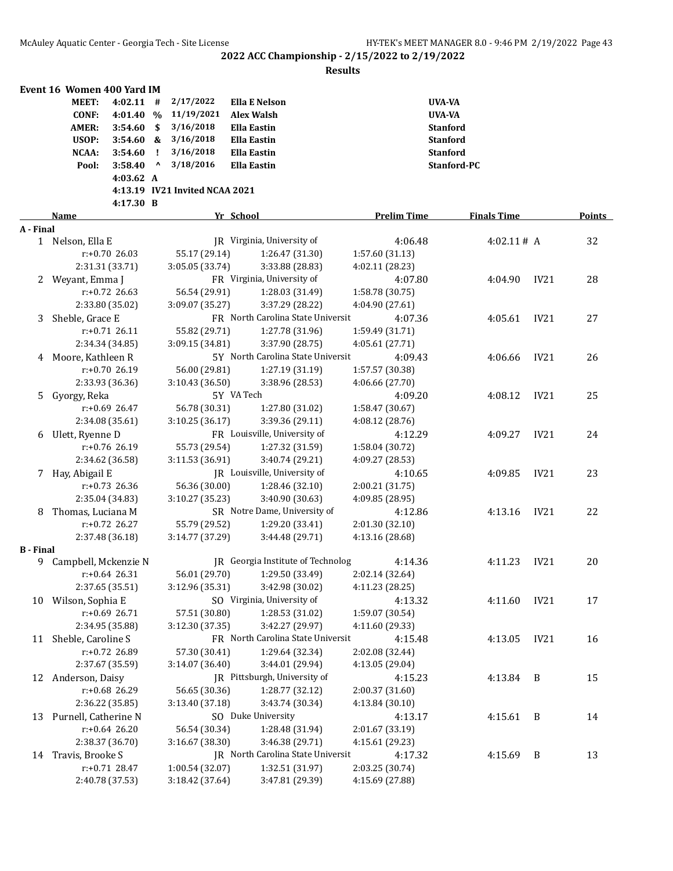|                  | Event 16 Women 400 Yard IM |             |              |                                |                                   |                    |                    |             |        |
|------------------|----------------------------|-------------|--------------|--------------------------------|-----------------------------------|--------------------|--------------------|-------------|--------|
|                  | <b>MEET:</b>               | $4:02.11$ # |              | 2/17/2022                      | <b>Ella E Nelson</b>              |                    | <b>UVA-VA</b>      |             |        |
|                  | <b>CONF:</b>               | 4:01.40 %   |              | 11/19/2021                     | <b>Alex Walsh</b>                 |                    | <b>UVA-VA</b>      |             |        |
|                  | <b>AMER:</b>               | 3:54.60     | -\$          | 3/16/2018                      | <b>Ella Eastin</b>                |                    | <b>Stanford</b>    |             |        |
|                  | USOP:                      | $3:54.60$ & |              | 3/16/2018                      | <b>Ella Eastin</b>                |                    | <b>Stanford</b>    |             |        |
|                  | NCAA:                      | 3:54.60     | -1           | 3/16/2018                      | <b>Ella Eastin</b>                |                    | <b>Stanford</b>    |             |        |
|                  | Pool:                      | 3:58.40     | $\mathbf{v}$ | 3/18/2016                      | <b>Ella Eastin</b>                |                    | Stanford-PC        |             |        |
|                  |                            | 4:03.62 A   |              |                                |                                   |                    |                    |             |        |
|                  |                            |             |              | 4:13.19 IV21 Invited NCAA 2021 |                                   |                    |                    |             |        |
|                  |                            | 4:17.30 B   |              |                                |                                   |                    |                    |             |        |
|                  | <b>Name</b>                |             |              |                                | Yr School                         | <b>Prelim Time</b> | <b>Finals Time</b> |             | Points |
| A - Final        |                            |             |              |                                |                                   |                    |                    |             |        |
|                  | 1 Nelson, Ella E           |             |              |                                | IR Virginia, University of        | 4:06.48            | 4:02.11# A         |             | 32     |
|                  | r:+0.70 26.03              |             |              | 55.17 (29.14)                  | 1:26.47 (31.30)                   | 1:57.60 (31.13)    |                    |             |        |
|                  | 2:31.31 (33.71)            |             |              | 3:05.05 (33.74)                | 3:33.88 (28.83)                   | 4:02.11 (28.23)    |                    |             |        |
| 2                | Weyant, Emma J             |             |              |                                | FR Virginia, University of        | 4:07.80            | 4:04.90            | IV21        | 28     |
|                  | $r: +0.72$ 26.63           |             |              | 56.54 (29.91)                  | 1:28.03 (31.49)                   | 1:58.78 (30.75)    |                    |             |        |
|                  | 2:33.80 (35.02)            |             |              | 3:09.07 (35.27)                | 3:37.29 (28.22)                   | 4:04.90 (27.61)    |                    |             |        |
| 3                | Sheble, Grace E            |             |              |                                | FR North Carolina State Universit | 4:07.36            | 4:05.61            | IV21        | 27     |
|                  | $r: +0.71$ 26.11           |             |              | 55.82 (29.71)                  | 1:27.78 (31.96)                   | 1:59.49 (31.71)    |                    |             |        |
|                  | 2:34.34 (34.85)            |             |              | 3:09.15 (34.81)                | 3:37.90 (28.75)                   | 4:05.61 (27.71)    |                    |             |        |
| 4                | Moore, Kathleen R          |             |              |                                | 5Y North Carolina State Universit | 4:09.43            | 4:06.66            | IV21        | 26     |
|                  | r:+0.70 26.19              |             |              | 56.00 (29.81)                  | 1:27.19 (31.19)                   | 1:57.57 (30.38)    |                    |             |        |
|                  | 2:33.93 (36.36)            |             |              | 3:10.43 (36.50)                | 3:38.96 (28.53)                   | 4:06.66 (27.70)    |                    |             |        |
| 5.               | Gyorgy, Reka               |             |              |                                | 5Y VA Tech                        | 4:09.20            | 4:08.12            | IV21        | 25     |
|                  | $r: +0.69$ 26.47           |             |              | 56.78 (30.31)                  | 1:27.80 (31.02)                   | 1:58.47 (30.67)    |                    |             |        |
|                  | 2:34.08 (35.61)            |             |              | 3:10.25 (36.17)                | 3:39.36 (29.11)                   | 4:08.12 (28.76)    |                    |             |        |
| 6                | Ulett, Ryenne D            |             |              |                                | FR Louisville, University of      | 4:12.29            | 4:09.27            | IV21        | 24     |
|                  | r:+0.76 26.19              |             |              | 55.73 (29.54)                  | 1:27.32 (31.59)                   | 1:58.04 (30.72)    |                    |             |        |
|                  | 2:34.62 (36.58)            |             |              | 3:11.53 (36.91)                | 3:40.74 (29.21)                   | 4:09.27 (28.53)    |                    |             |        |
| 7                | Hay, Abigail E             |             |              |                                | JR Louisville, University of      | 4:10.65            | 4:09.85            | IV21        | 23     |
|                  | r:+0.73 26.36              |             |              | 56.36 (30.00)                  | 1:28.46 (32.10)                   | 2:00.21 (31.75)    |                    |             |        |
|                  | 2:35.04 (34.83)            |             |              | 3:10.27 (35.23)                | 3:40.90 (30.63)                   | 4:09.85 (28.95)    |                    |             |        |
| 8                | Thomas, Luciana M          |             |              |                                | SR Notre Dame, University of      | 4:12.86            | 4:13.16            | IV21        | 22     |
|                  | r:+0.72 26.27              |             |              | 55.79 (29.52)                  | 1:29.20 (33.41)                   | 2:01.30 (32.10)    |                    |             |        |
|                  | 2:37.48 (36.18)            |             |              | 3:14.77 (37.29)                | 3:44.48 (29.71)                   | 4:13.16 (28.68)    |                    |             |        |
| <b>B</b> - Final |                            |             |              |                                |                                   |                    |                    |             |        |
| 9                | Campbell, Mckenzie N       |             |              |                                | JR Georgia Institute of Technolog | 4:14.36            | 4:11.23            | <b>IV21</b> | 20     |
|                  | $r: +0.64$ 26.31           |             |              | 56.01 (29.70)                  | 1:29.50 (33.49)                   | 2:02.14 (32.64)    |                    |             |        |
|                  | 2:37.65 (35.51)            |             |              | 3:12.96 (35.31)                | 3:42.98 (30.02)                   | 4:11.23 (28.25)    |                    |             |        |
| 10               | Wilson, Sophia E           |             |              |                                | SO Virginia, University of        | 4:13.32            | 4:11.60            | IV21        | 17     |
|                  | r:+0.69 26.71              |             |              | 57.51 (30.80)                  | 1:28.53 (31.02)                   | 1:59.07 (30.54)    |                    |             |        |
|                  | 2:34.95 (35.88)            |             |              | 3:12.30 (37.35)                | 3:42.27 (29.97)                   | 4:11.60 (29.33)    |                    |             |        |
| 11               | Sheble, Caroline S         |             |              |                                | FR North Carolina State Universit | 4:15.48            | 4:13.05            | IV21        | 16     |
|                  | r:+0.72 26.89              |             |              | 57.30 (30.41)                  | 1:29.64 (32.34)                   | 2:02.08 (32.44)    |                    |             |        |
|                  | 2:37.67 (35.59)            |             |              | 3:14.07 (36.40)                | 3:44.01 (29.94)                   | 4:13.05 (29.04)    |                    |             |        |
|                  | 12 Anderson, Daisy         |             |              |                                | JR Pittsburgh, University of      | 4:15.23            | 4:13.84            |             | 15     |
|                  | r:+0.68 26.29              |             |              | 56.65 (30.36)                  | 1:28.77 (32.12)                   | 2:00.37 (31.60)    |                    | B           |        |
|                  |                            |             |              |                                | 3:43.74 (30.34)                   |                    |                    |             |        |
|                  | 2:36.22 (35.85)            |             |              | 3:13.40 (37.18)                |                                   | 4:13.84 (30.10)    |                    |             |        |
| 13               | Purnell, Catherine N       |             |              |                                | SO Duke University                | 4:13.17            | 4:15.61            | B           | 14     |
|                  | $r: +0.64$ 26.20           |             |              | 56.54 (30.34)                  | 1:28.48 (31.94)                   | 2:01.67 (33.19)    |                    |             |        |
|                  | 2:38.37 (36.70)            |             |              | 3:16.67 (38.30)                | 3:46.38 (29.71)                   | 4:15.61 (29.23)    |                    |             |        |
| 14               | Travis, Brooke S           |             |              |                                | JR North Carolina State Universit | 4:17.32            | 4:15.69            | B           | 13     |
|                  | $r: +0.71$ 28.47           |             |              | 1:00.54 (32.07)                | 1:32.51 (31.97)                   | 2:03.25 (30.74)    |                    |             |        |
|                  | 2:40.78 (37.53)            |             |              | 3:18.42 (37.64)                | 3:47.81 (29.39)                   | 4:15.69 (27.88)    |                    |             |        |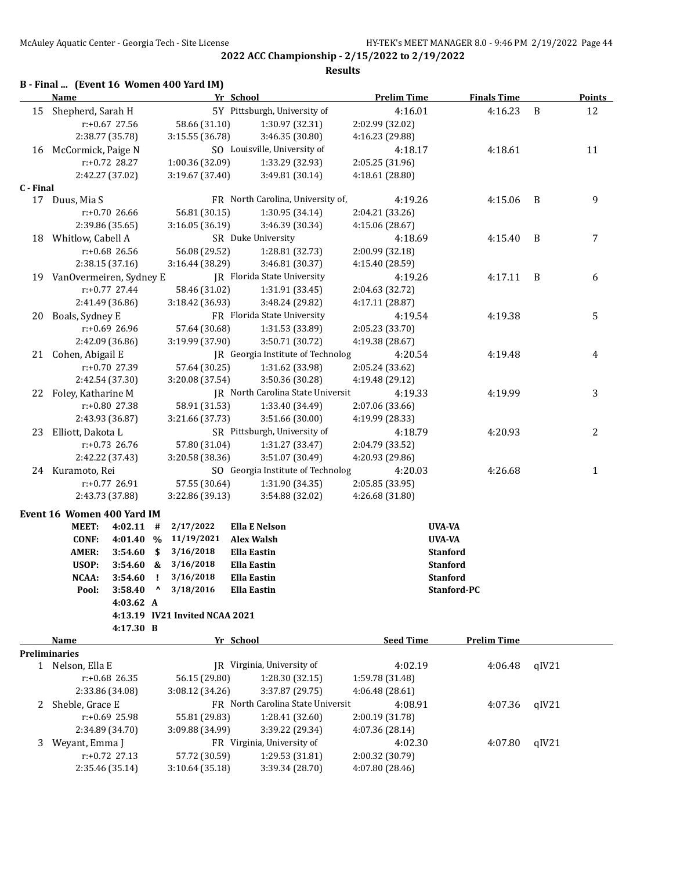**2022 ACC Championship - 2/15/2022 to 2/19/2022 Results**

### **B - Final ... (Event 16 Women 400 Yard IM)**

|              | <b>Name</b>                |             |                                | Yr School                         | <b>Prelim Time</b> | <b>Finals Time</b> |       | <b>Points</b> |
|--------------|----------------------------|-------------|--------------------------------|-----------------------------------|--------------------|--------------------|-------|---------------|
| 15           | Shepherd, Sarah H          |             |                                | 5Y Pittsburgh, University of      | 4:16.01            | 4:16.23            | B     | 12            |
|              | r:+0.67 27.56              |             | 58.66 (31.10)                  | 1:30.97 (32.31)                   | 2:02.99 (32.02)    |                    |       |               |
|              | 2:38.77 (35.78)            |             | 3:15.55 (36.78)                | 3:46.35 (30.80)                   | 4:16.23 (29.88)    |                    |       |               |
|              | 16 McCormick, Paige N      |             |                                | SO Louisville, University of      | 4:18.17            | 4:18.61            |       | 11            |
|              | r:+0.72 28.27              |             | 1:00.36 (32.09)                | 1:33.29 (32.93)                   | 2:05.25 (31.96)    |                    |       |               |
|              | 2:42.27 (37.02)            |             | 3:19.67 (37.40)                | 3:49.81 (30.14)                   | 4:18.61 (28.80)    |                    |       |               |
| C - Final    |                            |             |                                |                                   |                    |                    |       |               |
|              | 17 Duus, Mia S             |             |                                | FR North Carolina, University of, | 4:19.26            | 4:15.06            | B     | 9             |
|              | $r: +0.70$ 26.66           |             | 56.81 (30.15)                  | 1:30.95 (34.14)                   | 2:04.21 (33.26)    |                    |       |               |
|              | 2:39.86 (35.65)            |             | 3:16.05(36.19)                 | 3:46.39 (30.34)                   | 4:15.06 (28.67)    |                    |       |               |
| 18           | Whitlow, Cabell A          |             |                                | SR Duke University                | 4:18.69            | 4:15.40            | B     | 7             |
|              | r:+0.68 26.56              |             | 56.08 (29.52)                  | 1:28.81 (32.73)                   | 2:00.99 (32.18)    |                    |       |               |
|              | 2:38.15 (37.16)            |             | 3:16.44 (38.29)                | 3:46.81 (30.37)                   | 4:15.40 (28.59)    |                    |       |               |
|              | 19 VanOvermeiren, Sydney E |             |                                | JR Florida State University       | 4:19.26            | 4:17.11            | B     | 6             |
|              | $r: +0.77$ 27.44           |             | 58.46 (31.02)                  | 1:31.91 (33.45)                   | 2:04.63 (32.72)    |                    |       |               |
|              | 2:41.49 (36.86)            |             | 3:18.42 (36.93)                | 3:48.24 (29.82)                   | 4:17.11 (28.87)    |                    |       |               |
| 20           | Boals, Sydney E            |             |                                | FR Florida State University       | 4:19.54            | 4:19.38            |       | 5             |
|              | $r: +0.69$ 26.96           |             | 57.64 (30.68)                  | 1:31.53 (33.89)                   | 2:05.23 (33.70)    |                    |       |               |
|              | 2:42.09 (36.86)            |             | 3:19.99 (37.90)                | 3:50.71 (30.72)                   | 4:19.38 (28.67)    |                    |       |               |
|              | 21 Cohen, Abigail E        |             |                                | JR Georgia Institute of Technolog | 4:20.54            | 4:19.48            |       | 4             |
|              | r:+0.70 27.39              |             | 57.64 (30.25)                  | 1:31.62 (33.98)                   | 2:05.24 (33.62)    |                    |       |               |
|              | 2:42.54 (37.30)            |             | 3:20.08 (37.54)                | 3:50.36 (30.28)                   | 4:19.48 (29.12)    |                    |       |               |
|              | 22 Foley, Katharine M      |             |                                | JR North Carolina State Universit | 4:19.33            | 4:19.99            |       | 3             |
|              | r:+0.80 27.38              |             | 58.91 (31.53)                  | 1:33.40 (34.49)                   | 2:07.06 (33.66)    |                    |       |               |
|              | 2:43.93 (36.87)            |             | 3:21.66 (37.73)                | 3:51.66 (30.00)                   | 4:19.99 (28.33)    |                    |       |               |
| 23           | Elliott, Dakota L          |             |                                | SR Pittsburgh, University of      | 4:18.79            | 4:20.93            |       | 2             |
|              | $r: +0.73$ 26.76           |             | 57.80 (31.04)                  | 1:31.27 (33.47)                   | 2:04.79 (33.52)    |                    |       |               |
|              | 2:42.22 (37.43)            |             | 3:20.58 (38.36)                | 3:51.07 (30.49)                   | 4:20.93 (29.86)    |                    |       |               |
|              | 24 Kuramoto, Rei           |             |                                | SO Georgia Institute of Technolog | 4:20.03            | 4:26.68            |       | 1             |
|              | $r: +0.77$ 26.91           |             | 57.55 (30.64)                  | 1:31.90 (34.35)                   | 2:05.85 (33.95)    |                    |       |               |
|              | 2:43.73 (37.88)            |             | 3:22.86 (39.13)                | 3:54.88 (32.02)                   | 4:26.68 (31.80)    |                    |       |               |
|              |                            |             |                                |                                   |                    |                    |       |               |
|              | Event 16 Women 400 Yard IM |             |                                |                                   |                    |                    |       |               |
|              | MEET:<br>4:02.11           | #           | 2/17/2022                      | <b>Ella E Nelson</b>              |                    | UVA-VA             |       |               |
|              | CONF:                      | 4:01.40 %   | 11/19/2021                     | <b>Alex Walsh</b>                 |                    | <b>UVA-VA</b>      |       |               |
|              | <b>AMER:</b><br>3:54.60    | \$          | 3/16/2018                      | <b>Ella Eastin</b>                |                    | <b>Stanford</b>    |       |               |
|              | USOP:<br>3:54.60           | &           | 3/16/2018                      | <b>Ella Eastin</b>                |                    | <b>Stanford</b>    |       |               |
|              | NCAA:<br>3:54.60           | ÷           | 3/16/2018                      | <b>Ella Eastin</b>                |                    | <b>Stanford</b>    |       |               |
|              | Pool:                      | $3:58.40$ ^ | 3/18/2016                      | <b>Ella Eastin</b>                |                    | Stanford-PC        |       |               |
|              |                            | 4:03.62 A   |                                |                                   |                    |                    |       |               |
|              |                            |             | 4:13.19 IV21 Invited NCAA 2021 |                                   |                    |                    |       |               |
|              |                            | 4:17.30 B   |                                |                                   |                    |                    |       |               |
|              | Name                       |             |                                | Yr School                         | <b>Seed Time</b>   | <b>Prelim Time</b> |       |               |
|              | <b>Preliminaries</b>       |             |                                |                                   |                    |                    |       |               |
| $\mathbf{1}$ | Nelson, Ella E             |             |                                | JR Virginia, University of        | 4:02.19            | 4:06.48            | qIV21 |               |
|              | $r: +0.68$ 26.35           |             | 56.15 (29.80)                  | 1:28.30 (32.15)                   | 1:59.78 (31.48)    |                    |       |               |
|              | 2:33.86 (34.08)            |             | 3:08.12 (34.26)                | 3:37.87 (29.75)                   | 4:06.48 (28.61)    |                    |       |               |
| 2            | Sheble, Grace E            |             |                                | FR North Carolina State Universit | 4:08.91            | 4:07.36            | qIV21 |               |
|              | r:+0.69 25.98              |             | 55.81 (29.83)                  | 1:28.41 (32.60)                   | 2:00.19 (31.78)    |                    |       |               |
|              | 2:34.89 (34.70)            |             | 3:09.88 (34.99)                | 3:39.22 (29.34)                   | 4:07.36 (28.14)    |                    |       |               |
| 3            | Weyant, Emma J             |             |                                | FR Virginia, University of        | 4:02.30            | 4:07.80            | qIV21 |               |
|              | r:+0.72 27.13              |             | 57.72 (30.59)                  | 1:29.53 (31.81)                   | 2:00.32 (30.79)    |                    |       |               |
|              | 2:35.46 (35.14)            |             | 3:10.64 (35.18)                | 3:39.34 (28.70)                   | 4:07.80 (28.46)    |                    |       |               |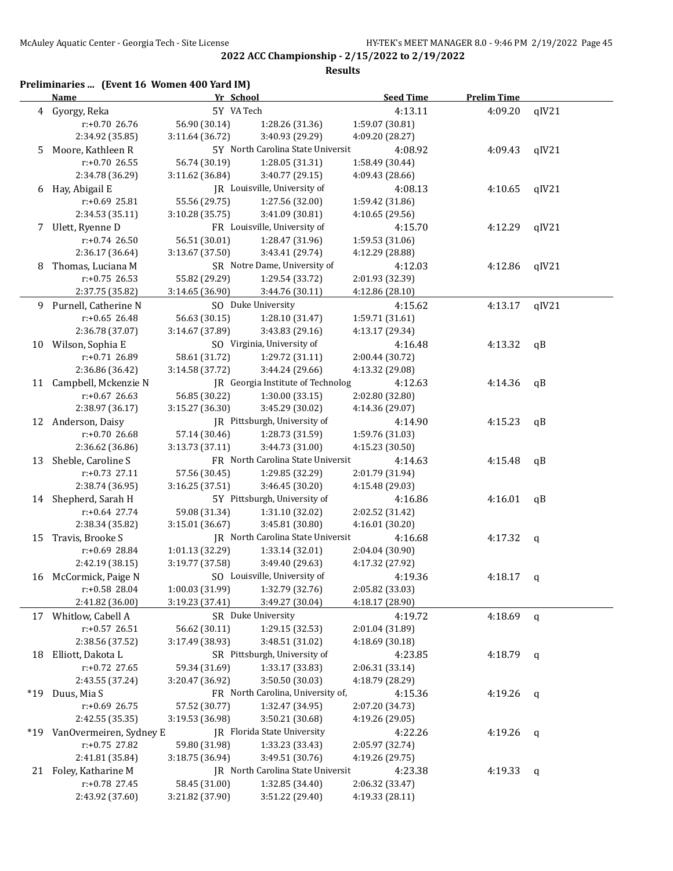| Preliminaries  (Event 16 Women 400 Yard IM) |  |  |  |
|---------------------------------------------|--|--|--|
|---------------------------------------------|--|--|--|

|     | <b>Name</b>                           | Yr School       |                                   | <b>Seed Time</b> | <b>Prelim Time</b> |       |
|-----|---------------------------------------|-----------------|-----------------------------------|------------------|--------------------|-------|
|     | 4 Gyorgy, Reka                        | 5Y VA Tech      |                                   | 4:13.11          | 4:09.20            | qIV21 |
|     | r:+0.70 26.76                         | 56.90 (30.14)   | 1:28.26 (31.36)                   | 1:59.07 (30.81)  |                    |       |
|     | 2:34.92 (35.85)                       | 3:11.64 (36.72) | 3:40.93 (29.29)                   | 4:09.20 (28.27)  |                    |       |
| 5   | Moore, Kathleen R                     |                 | 5Y North Carolina State Universit | 4:08.92          | 4:09.43            | qIV21 |
|     | r:+0.70 26.55                         | 56.74 (30.19)   | 1:28.05 (31.31)                   | 1:58.49 (30.44)  |                    |       |
|     | 2:34.78 (36.29)                       | 3:11.62 (36.84) | 3:40.77 (29.15)                   | 4:09.43 (28.66)  |                    |       |
| 6   | Hay, Abigail E                        |                 | JR Louisville, University of      | 4:08.13          | 4:10.65            | qIV21 |
|     | r:+0.69 25.81                         | 55.56 (29.75)   | 1:27.56 (32.00)                   | 1:59.42 (31.86)  |                    |       |
|     | 2:34.53 (35.11)                       | 3:10.28 (35.75) | 3:41.09 (30.81)                   | 4:10.65 (29.56)  |                    |       |
|     |                                       |                 |                                   |                  |                    |       |
|     | 7 Ulett, Ryenne D<br>$r: +0.74$ 26.50 |                 | FR Louisville, University of      | 4:15.70          | 4:12.29            | qIV21 |
|     |                                       | 56.51 (30.01)   | 1:28.47 (31.96)                   | 1:59.53 (31.06)  |                    |       |
|     | 2:36.17 (36.64)                       | 3:13.67 (37.50) | 3:43.41 (29.74)                   | 4:12.29 (28.88)  |                    |       |
| 8   | Thomas, Luciana M                     |                 | SR Notre Dame, University of      | 4:12.03          | 4:12.86            | qIV21 |
|     | $r: +0.75$ 26.53                      | 55.82 (29.29)   | 1:29.54 (33.72)                   | 2:01.93 (32.39)  |                    |       |
|     | 2:37.75 (35.82)                       | 3:14.65 (36.90) | 3:44.76 (30.11)                   | 4:12.86 (28.10)  |                    |       |
|     | 9 Purnell, Catherine N                |                 | SO Duke University                | 4:15.62          | 4:13.17            | qIV21 |
|     | $r: +0.65$ 26.48                      | 56.63 (30.15)   | 1:28.10 (31.47)                   | 1:59.71 (31.61)  |                    |       |
|     | 2:36.78 (37.07)                       | 3:14.67 (37.89) | 3:43.83 (29.16)                   | 4:13.17 (29.34)  |                    |       |
|     | 10 Wilson, Sophia E                   |                 | SO Virginia, University of        | 4:16.48          | 4:13.32            | qB    |
|     | r:+0.71 26.89                         | 58.61 (31.72)   | 1:29.72 (31.11)                   | 2:00.44 (30.72)  |                    |       |
|     | 2:36.86 (36.42)                       | 3:14.58 (37.72) | 3:44.24 (29.66)                   | 4:13.32 (29.08)  |                    |       |
|     | 11 Campbell, Mckenzie N               |                 | JR Georgia Institute of Technolog | 4:12.63          | 4:14.36            | qB    |
|     | $r: +0.67$ 26.63                      | 56.85 (30.22)   | 1:30.00 (33.15)                   | 2:02.80 (32.80)  |                    |       |
|     | 2:38.97 (36.17)                       | 3:15.27 (36.30) | 3:45.29 (30.02)                   | 4:14.36 (29.07)  |                    |       |
| 12  | Anderson, Daisy                       |                 | JR Pittsburgh, University of      | 4:14.90          | 4:15.23            | qB    |
|     | r:+0.70 26.68                         | 57.14 (30.46)   | 1:28.73 (31.59)                   | 1:59.76 (31.03)  |                    |       |
|     | 2:36.62 (36.86)                       | 3:13.73 (37.11) | 3:44.73 (31.00)                   | 4:15.23 (30.50)  |                    |       |
| 13  | Sheble, Caroline S                    |                 | FR North Carolina State Universit | 4:14.63          | 4:15.48            | qB    |
|     | r:+0.73 27.11                         | 57.56 (30.45)   | 1:29.85 (32.29)                   | 2:01.79 (31.94)  |                    |       |
|     | 2:38.74 (36.95)                       | 3:16.25 (37.51) | 3:46.45 (30.20)                   | 4:15.48 (29.03)  |                    |       |
|     | 14 Shepherd, Sarah H                  |                 | 5Y Pittsburgh, University of      | 4:16.86          | 4:16.01            | qB    |
|     | $r$ :+0.64 27.74                      | 59.08 (31.34)   | 1:31.10 (32.02)                   | 2:02.52 (31.42)  |                    |       |
|     | 2:38.34 (35.82)                       | 3:15.01 (36.67) | 3:45.81 (30.80)                   | 4:16.01 (30.20)  |                    |       |
| 15  | Travis, Brooke S                      |                 | JR North Carolina State Universit | 4:16.68          | 4:17.32            | q     |
|     | $r+0.69$ 28.84                        | 1:01.13 (32.29) | 1:33.14 (32.01)                   | 2:04.04 (30.90)  |                    |       |
|     | 2:42.19 (38.15)                       | 3:19.77 (37.58) | 3:49.40 (29.63)                   | 4:17.32 (27.92)  |                    |       |
|     | 16 McCormick, Paige N                 |                 | SO Louisville, University of      | 4:19.36          | 4:18.17            | q     |
|     | r:+0.58 28.04                         | 1:00.03 (31.99) | 1:32.79 (32.76)                   | 2:05.82 (33.03)  |                    |       |
|     | 2:41.82 (36.00)                       | 3:19.23 (37.41) | 3:49.27 (30.04)                   | 4:18.17 (28.90)  |                    |       |
| 17  | Whitlow, Cabell A                     |                 | SR Duke University                | 4:19.72          | 4:18.69            | q     |
|     | $r: +0.57$ 26.51                      | 56.62 (30.11)   | 1:29.15 (32.53)                   | 2:01.04 (31.89)  |                    |       |
|     | 2:38.56 (37.52)                       | 3:17.49 (38.93) | 3:48.51 (31.02)                   | 4:18.69 (30.18)  |                    |       |
| 18  | Elliott, Dakota L                     |                 | SR Pittsburgh, University of      | 4:23.85          | 4:18.79            | q     |
|     | r:+0.72 27.65                         | 59.34 (31.69)   | 1:33.17 (33.83)                   | 2:06.31 (33.14)  |                    |       |
|     | 2:43.55 (37.24)                       | 3:20.47 (36.92) | 3:50.50 (30.03)                   | 4:18.79 (28.29)  |                    |       |
| *19 | Duus, Mia S                           |                 | FR North Carolina, University of, | 4:15.36          | 4:19.26            | q     |
|     | r:+0.69 26.75                         | 57.52 (30.77)   | 1:32.47 (34.95)                   | 2:07.20 (34.73)  |                    |       |
|     | 2:42.55 (35.35)                       | 3:19.53 (36.98) | 3:50.21 (30.68)                   | 4:19.26 (29.05)  |                    |       |
| *19 | VanOvermeiren, Sydney E               |                 | JR Florida State University       | 4:22.26          | 4:19.26            | q     |
|     | r:+0.75 27.82                         | 59.80 (31.98)   | 1:33.23 (33.43)                   | 2:05.97 (32.74)  |                    |       |
|     | 2:41.81 (35.84)                       | 3:18.75 (36.94) | 3:49.51 (30.76)                   | 4:19.26 (29.75)  |                    |       |
|     | 21 Foley, Katharine M                 |                 | JR North Carolina State Universit | 4:23.38          | 4:19.33            | q     |
|     | r:+0.78 27.45                         | 58.45 (31.00)   | 1:32.85 (34.40)                   | 2:06.32 (33.47)  |                    |       |
|     | 2:43.92 (37.60)                       | 3:21.82 (37.90) | 3:51.22 (29.40)                   | 4:19.33 (28.11)  |                    |       |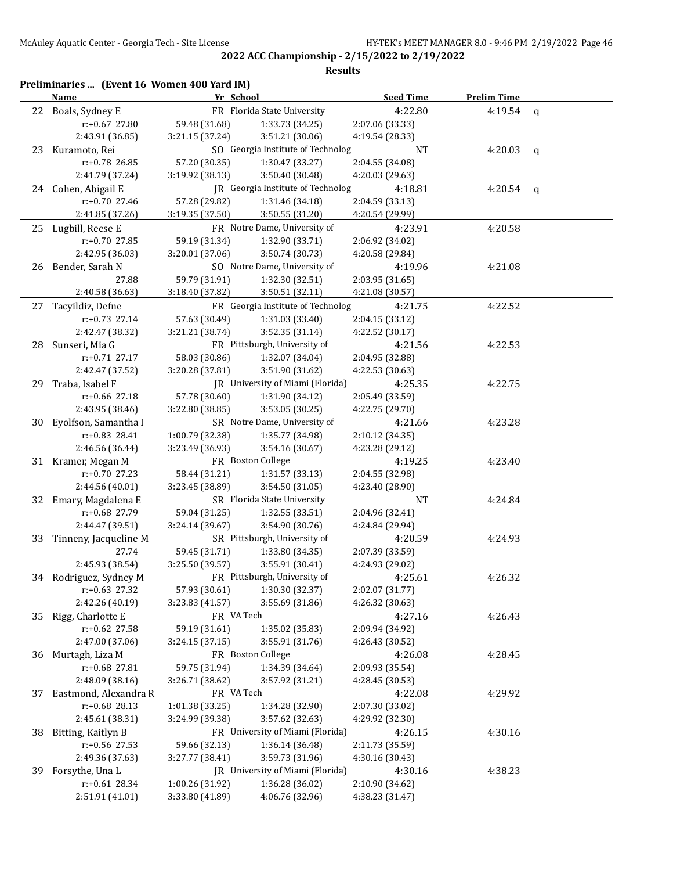|    | Name                   | Yr School       |                                    | <b>Seed Time</b> | <b>Prelim Time</b> |   |
|----|------------------------|-----------------|------------------------------------|------------------|--------------------|---|
|    | 22 Boals, Sydney E     |                 | FR Florida State University        | 4:22.80          | 4:19.54 $q$        |   |
|    | r:+0.67 27.80          | 59.48 (31.68)   | 1:33.73 (34.25)                    | 2:07.06 (33.33)  |                    |   |
|    | 2:43.91 (36.85)        | 3:21.15 (37.24) | 3:51.21 (30.06)                    | 4:19.54 (28.33)  |                    |   |
|    | 23 Kuramoto, Rei       |                 | SO Georgia Institute of Technolog  | NT               | 4:20.03            | q |
|    | r:+0.78 26.85          | 57.20 (30.35)   | 1:30.47 (33.27)                    | 2:04.55 (34.08)  |                    |   |
|    | 2:41.79 (37.24)        | 3:19.92 (38.13) | 3:50.40 (30.48)                    | 4:20.03 (29.63)  |                    |   |
|    | 24 Cohen, Abigail E    |                 | JR Georgia Institute of Technolog  | 4:18.81          | 4:20.54            | q |
|    | $r: +0.70$ 27.46       | 57.28 (29.82)   | 1:31.46 (34.18)                    | 2:04.59 (33.13)  |                    |   |
|    | 2:41.85 (37.26)        | 3:19.35 (37.50) | 3:50.55 (31.20)                    | 4:20.54 (29.99)  |                    |   |
|    | 25 Lugbill, Reese E    |                 | FR Notre Dame, University of       | 4:23.91          | 4:20.58            |   |
|    | r:+0.70 27.85          | 59.19 (31.34)   | 1:32.90 (33.71)                    | 2:06.92 (34.02)  |                    |   |
|    | 2:42.95 (36.03)        | 3:20.01 (37.06) | 3:50.74 (30.73)                    | 4:20.58 (29.84)  |                    |   |
|    | 26 Bender, Sarah N     |                 | SO Notre Dame, University of       | 4:19.96          | 4:21.08            |   |
|    | 27.88                  | 59.79 (31.91)   | 1:32.30 (32.51)                    | 2:03.95 (31.65)  |                    |   |
|    | 2:40.58 (36.63)        | 3:18.40 (37.82) | 3:50.51 (32.11)                    | 4:21.08 (30.57)  |                    |   |
| 27 | Tacyildiz, Defne       |                 | FR Georgia Institute of Technolog  | 4:21.75          | 4:22.52            |   |
|    | $r: +0.73$ 27.14       | 57.63 (30.49)   | 1:31.03 (33.40)                    | 2:04.15 (33.12)  |                    |   |
|    | 2:42.47 (38.32)        | 3:21.21 (38.74) | 3:52.35 (31.14)                    | 4:22.52 (30.17)  |                    |   |
| 28 | Sunseri, Mia G         |                 | FR Pittsburgh, University of       | 4:21.56          | 4:22.53            |   |
|    | $r: +0.71$ 27.17       | 58.03 (30.86)   |                                    | 2:04.95 (32.88)  |                    |   |
|    | 2:42.47 (37.52)        | 3:20.28 (37.81) | 1:32.07 (34.04)<br>3:51.90 (31.62) | 4:22.53 (30.63)  |                    |   |
|    |                        |                 | IR University of Miami (Florida)   |                  |                    |   |
| 29 | Traba, Isabel F        | 57.78 (30.60)   |                                    | 4:25.35          | 4:22.75            |   |
|    | r:+0.66 27.18          |                 | 1:31.90 (34.12)                    | 2:05.49 (33.59)  |                    |   |
|    | 2:43.95 (38.46)        | 3:22.80 (38.85) | 3:53.05 (30.25)                    | 4:22.75 (29.70)  |                    |   |
| 30 | Eyolfson, Samantha I   |                 | SR Notre Dame, University of       | 4:21.66          | 4:23.28            |   |
|    | r:+0.83 28.41          | 1:00.79 (32.38) | 1:35.77 (34.98)                    | 2:10.12 (34.35)  |                    |   |
|    | 2:46.56 (36.44)        | 3:23.49 (36.93) | 3:54.16 (30.67)                    | 4:23.28 (29.12)  |                    |   |
|    | 31 Kramer, Megan M     |                 | FR Boston College                  | 4:19.25          | 4:23.40            |   |
|    | r:+0.70 27.23          | 58.44 (31.21)   | 1:31.57 (33.13)                    | 2:04.55 (32.98)  |                    |   |
|    | 2:44.56 (40.01)        | 3:23.45 (38.89) | 3:54.50 (31.05)                    | 4:23.40 (28.90)  |                    |   |
|    | 32 Emary, Magdalena E  |                 | SR Florida State University        | NT               | 4:24.84            |   |
|    | r:+0.68 27.79          | 59.04 (31.25)   | 1:32.55(33.51)                     | 2:04.96 (32.41)  |                    |   |
|    | 2:44.47 (39.51)        | 3:24.14 (39.67) | 3:54.90 (30.76)                    | 4:24.84 (29.94)  |                    |   |
| 33 | Tinneny, Jacqueline M  |                 | SR Pittsburgh, University of       | 4:20.59          | 4:24.93            |   |
|    | 27.74                  | 59.45 (31.71)   | 1:33.80 (34.35)                    | 2:07.39 (33.59)  |                    |   |
|    | 2:45.93 (38.54)        | 3:25.50 (39.57) | 3:55.91 (30.41)                    | 4:24.93 (29.02)  |                    |   |
|    | 34 Rodriguez, Sydney M |                 | FR Pittsburgh, University of       | 4:25.61          | 4:26.32            |   |
|    | $r+0.63$ 27.32         | 57.93 (30.61)   | 1:30.30 (32.37)                    | 2:02.07 (31.77)  |                    |   |
|    | 2:42.26 (40.19)        | 3:23.83 (41.57) | 3:55.69 (31.86)                    | 4:26.32 (30.63)  |                    |   |
| 35 | Rigg, Charlotte E      | FR VA Tech      |                                    | 4:27.16          | 4:26.43            |   |
|    | r:+0.62 27.58          | 59.19 (31.61)   | 1:35.02 (35.83)                    | 2:09.94 (34.92)  |                    |   |
|    | 2:47.00 (37.06)        | 3:24.15 (37.15) | 3:55.91 (31.76)                    | 4:26.43 (30.52)  |                    |   |
| 36 | Murtagh, Liza M        |                 | FR Boston College                  | 4:26.08          | 4:28.45            |   |
|    | r:+0.68 27.81          | 59.75 (31.94)   | 1:34.39 (34.64)                    | 2:09.93 (35.54)  |                    |   |
|    | 2:48.09 (38.16)        | 3:26.71 (38.62) | 3:57.92 (31.21)                    | 4:28.45 (30.53)  |                    |   |
| 37 | Eastmond, Alexandra R  | FR VA Tech      |                                    | 4:22.08          | 4:29.92            |   |
|    | $r: +0.68$ 28.13       | 1:01.38 (33.25) | 1:34.28 (32.90)                    | 2:07.30 (33.02)  |                    |   |
|    | 2:45.61 (38.31)        | 3:24.99 (39.38) | 3:57.62 (32.63)                    | 4:29.92 (32.30)  |                    |   |
| 38 | Bitting, Kaitlyn B     |                 | FR University of Miami (Florida)   | 4:26.15          | 4:30.16            |   |
|    | r:+0.56 27.53          | 59.66 (32.13)   | 1:36.14 (36.48)                    | 2:11.73 (35.59)  |                    |   |
|    | 2:49.36 (37.63)        | 3:27.77 (38.41) | 3:59.73 (31.96)                    | 4:30.16 (30.43)  |                    |   |
| 39 | Forsythe, Una L        |                 | JR University of Miami (Florida)   | 4:30.16          | 4:38.23            |   |
|    | r:+0.61 28.34          | 1:00.26 (31.92) | 1:36.28 (36.02)                    | 2:10.90 (34.62)  |                    |   |
|    | 2:51.91 (41.01)        | 3:33.80 (41.89) | 4:06.76 (32.96)                    | 4:38.23 (31.47)  |                    |   |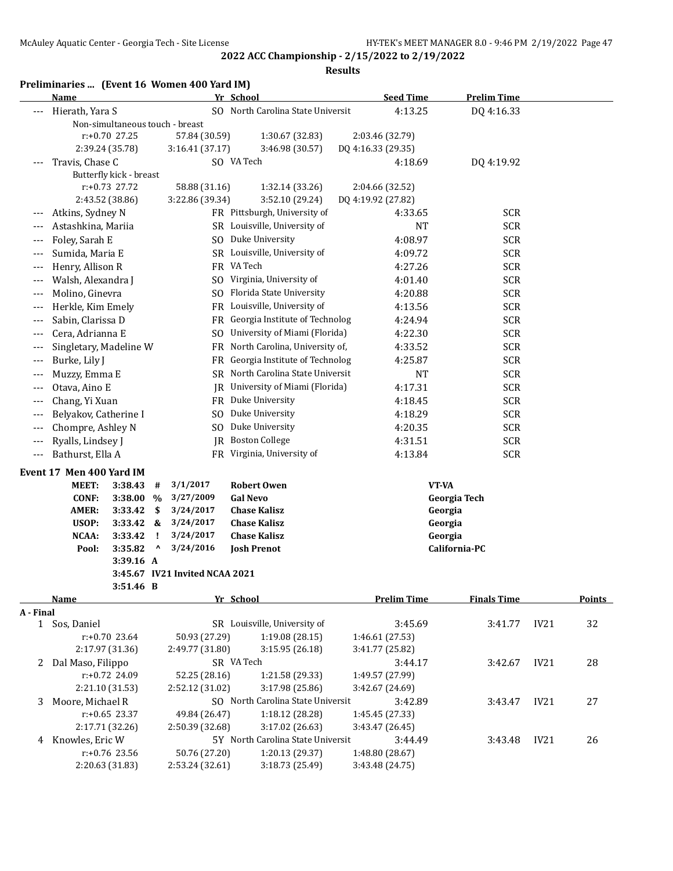**2022 ACC Championship - 2/15/2022 to 2/19/2022 Results**

Preliminaries ... (Event 16 Women 400 Yard IM)

|           | Name                                 |             |                                | Yr School                         | <b>Seed Time</b>           | <b>Prelim Time</b> |      |               |
|-----------|--------------------------------------|-------------|--------------------------------|-----------------------------------|----------------------------|--------------------|------|---------------|
|           | Hierath, Yara S                      |             |                                | SO North Carolina State Universit | 4:13.25                    | DQ 4:16.33         |      |               |
|           | Non-simultaneous touch - breast      |             |                                |                                   |                            |                    |      |               |
|           | r:+0.70 27.25                        |             | 57.84 (30.59)                  | 1:30.67 (32.83)                   | 2:03.46 (32.79)            |                    |      |               |
|           | 2:39.24 (35.78)                      |             | 3:16.41(37.17)                 | 3:46.98 (30.57)                   | DQ 4:16.33 (29.35)         |                    |      |               |
| $---$     | Travis, Chase C                      |             |                                | SO VA Tech                        | 4:18.69                    | DQ 4:19.92         |      |               |
|           | Butterfly kick - breast              |             |                                |                                   |                            |                    |      |               |
|           | r:+0.73 27.72                        |             | 58.88 (31.16)                  | 1:32.14 (33.26)                   | 2:04.66 (32.52)            |                    |      |               |
|           | 2:43.52 (38.86)                      |             | 3:22.86 (39.34)                | 3:52.10 (29.24)                   | DQ 4:19.92 (27.82)         |                    |      |               |
| $---$     | Atkins, Sydney N                     |             |                                | FR Pittsburgh, University of      | 4:33.65                    | <b>SCR</b>         |      |               |
| $---$     | Astashkina, Mariia                   |             |                                | SR Louisville, University of      | NT                         | <b>SCR</b>         |      |               |
| $---$     | Foley, Sarah E                       |             |                                | SO Duke University                | 4:08.97                    | <b>SCR</b>         |      |               |
| $---$     | Sumida, Maria E                      |             |                                | SR Louisville, University of      | 4:09.72                    | <b>SCR</b>         |      |               |
| $---$     | Henry, Allison R                     |             |                                | FR VA Tech                        | 4:27.26                    | <b>SCR</b>         |      |               |
| $---$     | Walsh, Alexandra J                   |             |                                | SO Virginia, University of        | 4:01.40                    | <b>SCR</b>         |      |               |
| $---$     | Molino, Ginevra                      |             |                                | SO Florida State University       | 4:20.88                    | <b>SCR</b>         |      |               |
| ---       | Herkle, Kim Emely                    |             |                                | FR Louisville, University of      | 4:13.56                    | <b>SCR</b>         |      |               |
| ---       | Sabin, Clarissa D                    |             |                                | FR Georgia Institute of Technolog | 4:24.94                    | <b>SCR</b>         |      |               |
| $---$     | Cera, Adrianna E                     |             |                                | SO University of Miami (Florida)  | 4:22.30                    | <b>SCR</b>         |      |               |
| $---$     | Singletary, Madeline W               |             |                                | FR North Carolina, University of, | 4:33.52                    | <b>SCR</b>         |      |               |
| $---$     | Burke, Lily J                        |             |                                | FR Georgia Institute of Technolog | 4:25.87                    | <b>SCR</b>         |      |               |
| $---$     | Muzzy, Emma E                        |             |                                | SR North Carolina State Universit | NT                         | <b>SCR</b>         |      |               |
| $---$     | Otava, Aino E                        |             |                                | JR University of Miami (Florida)  | 4:17.31                    | <b>SCR</b>         |      |               |
| $---$     | Chang, Yi Xuan                       |             |                                | FR Duke University                | 4:18.45                    | <b>SCR</b>         |      |               |
| $---$     | Belyakov, Catherine I                |             |                                | SO Duke University                | 4:18.29                    | <b>SCR</b>         |      |               |
| $---$     | Chompre, Ashley N                    |             |                                | SO Duke University                | 4:20.35                    | <b>SCR</b>         |      |               |
|           |                                      |             |                                | <b>IR</b> Boston College          |                            | <b>SCR</b>         |      |               |
| $---$     | Ryalls, Lindsey J                    |             |                                |                                   | 4:31.51                    |                    |      |               |
| $---$     | Bathurst, Ella A                     |             |                                | FR Virginia, University of        | 4:13.84                    | <b>SCR</b>         |      |               |
|           | Event 17 Men 400 Yard IM             |             |                                |                                   |                            |                    |      |               |
|           | MEET:<br>3:38.43                     | #           | 3/1/2017                       | <b>Robert Owen</b>                |                            | VT-VA              |      |               |
|           | <b>CONF:</b><br>3:38.00              | %           | 3/27/2009                      | <b>Gal Nevo</b>                   |                            | Georgia Tech       |      |               |
|           | <b>AMER:</b><br>3:33.42              | \$          | 3/24/2017                      | <b>Chase Kalisz</b>               |                            | Georgia            |      |               |
|           | USOP:<br>3:33.42                     | &           | 3/24/2017                      | <b>Chase Kalisz</b>               |                            | Georgia            |      |               |
|           | NCAA:<br>3:33.42                     | Ţ           | 3/24/2017                      | <b>Chase Kalisz</b>               |                            | Georgia            |      |               |
|           | 3:35.82<br>Pool:                     | $\mathbf v$ | 3/24/2016                      | <b>Josh Prenot</b>                |                            | California-PC      |      |               |
|           | 3:39.16 A                            |             |                                |                                   |                            |                    |      |               |
|           |                                      |             | 3:45.67 IV21 Invited NCAA 2021 |                                   |                            |                    |      |               |
|           | 3:51.46 B                            |             |                                |                                   |                            |                    |      |               |
|           | <b>Name</b>                          |             |                                | Yr School                         | <b>Prelim Time</b>         | <b>Finals Time</b> |      | <b>Points</b> |
| A - Final | 1 Sos, Daniel                        |             |                                | SR Louisville, University of      | 3:45.69                    | 3:41.77            | IV21 | 32            |
|           | r:+0.70 23.64                        |             | 50.93 (27.29)                  | 1:19.08 (28.15)                   | 1:46.61 (27.53)            |                    |      |               |
|           | 2:17.97 (31.36)                      |             | 2:49.77 (31.80)                | 3:15.95 (26.18)                   | 3:41.77 (25.82)            |                    |      |               |
|           | Dal Maso, Filippo                    |             |                                | SR VA Tech                        | 3:44.17                    |                    | IV21 | 28            |
| 2         | r:+0.72 24.09                        |             | 52.25 (28.16)                  | 1:21.58 (29.33)                   | 1:49.57 (27.99)            | 3:42.67            |      |               |
|           | 2:21.10 (31.53)                      |             | 2:52.12 (31.02)                | 3:17.98 (25.86)                   | 3:42.67 (24.69)            |                    |      |               |
|           |                                      |             |                                | SO North Carolina State Universit |                            |                    |      |               |
| 3         | Moore, Michael R<br>$r: +0.65$ 23.37 |             | 49.84 (26.47)                  | 1:18.12 (28.28)                   | 3:42.89<br>1:45.45 (27.33) | 3:43.47            | IV21 | 27            |
|           | 2:17.71 (32.26)                      |             | 2:50.39 (32.68)                | 3:17.02 (26.63)                   | 3:43.47 (26.45)            |                    |      |               |
|           | Knowles, Eric W                      |             |                                | 5Y North Carolina State Universit | 3:44.49                    |                    | IV21 | 26            |
| 4         | r:+0.76 23.56                        |             | 50.76 (27.20)                  | 1:20.13 (29.37)                   | 1:48.80 (28.67)            | 3:43.48            |      |               |
|           | 2:20.63 (31.83)                      |             | 2:53.24 (32.61)                | 3:18.73 (25.49)                   | 3:43.48 (24.75)            |                    |      |               |
|           |                                      |             |                                |                                   |                            |                    |      |               |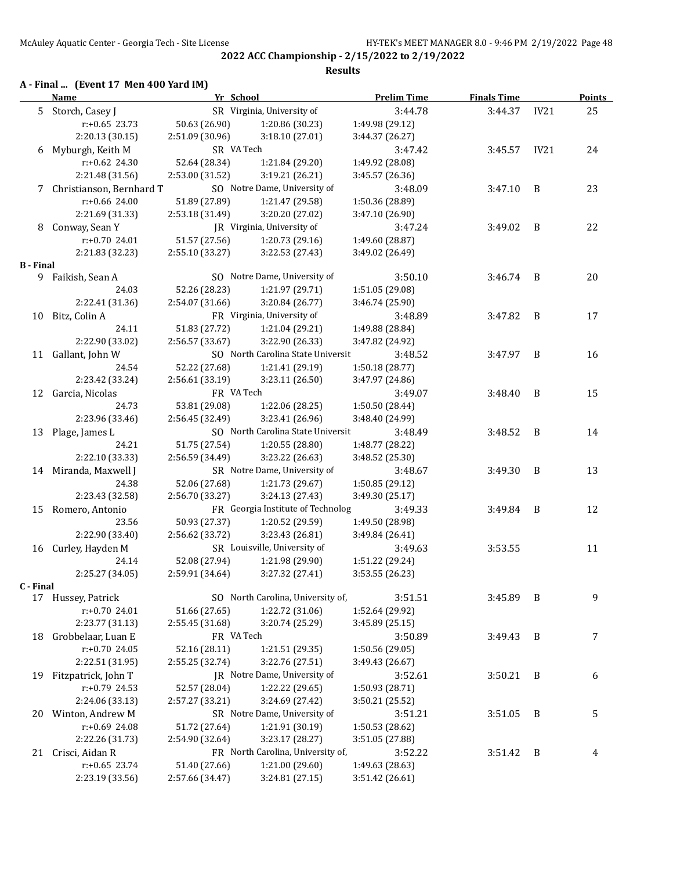**2022 ACC Championship - 2/15/2022 to 2/19/2022 Results**

### **A - Final ... (Event 17 Men 400 Yard IM)**

|           | <b>Name</b>                    | Yr School       |                                                 | <b>Prelim Time</b>                 | <b>Finals Time</b> |      | <b>Points</b> |
|-----------|--------------------------------|-----------------|-------------------------------------------------|------------------------------------|--------------------|------|---------------|
|           | 5 Storch, Casey J              |                 | SR Virginia, University of                      | 3:44.78                            | 3:44.37            | IV21 | 25            |
|           | $r: +0.65$ 23.73               | 50.63 (26.90)   | 1:20.86 (30.23)                                 | 1:49.98 (29.12)                    |                    |      |               |
|           | 2:20.13 (30.15)                | 2:51.09 (30.96) | 3:18.10 (27.01)                                 | 3:44.37 (26.27)                    |                    |      |               |
|           | 6 Myburgh, Keith M             | SR VA Tech      |                                                 | 3:47.42                            | 3:45.57            | IV21 | 24            |
|           | r:+0.62 24.30                  | 52.64 (28.34)   | 1:21.84 (29.20)                                 | 1:49.92 (28.08)                    |                    |      |               |
|           | 2:21.48 (31.56)                | 2:53.00 (31.52) | 3:19.21 (26.21)                                 | 3:45.57 (26.36)                    |                    |      |               |
|           | 7 Christianson, Bernhard T     |                 | SO Notre Dame, University of                    | 3:48.09                            | 3:47.10            | B    | 23            |
|           | $r: +0.66$ 24.00               | 51.89 (27.89)   | 1:21.47 (29.58)                                 | 1:50.36 (28.89)                    |                    |      |               |
|           | 2:21.69 (31.33)                | 2:53.18 (31.49) | 3:20.20 (27.02)                                 | 3:47.10 (26.90)                    |                    |      |               |
|           | 8 Conway, Sean Y               |                 | JR Virginia, University of                      | 3:47.24                            | 3:49.02            | B    | 22            |
|           | $r: +0.70$ 24.01               | 51.57 (27.56)   | 1:20.73 (29.16)                                 | 1:49.60 (28.87)                    |                    |      |               |
|           | 2:21.83 (32.23)                | 2:55.10 (33.27) | 3:22.53 (27.43)                                 | 3:49.02 (26.49)                    |                    |      |               |
| B - Final |                                |                 |                                                 |                                    |                    |      |               |
|           | 9 Faikish, Sean A              |                 | SO Notre Dame, University of                    | 3:50.10                            | $3:46.74$ B        |      | 20            |
|           | 24.03                          | 52.26 (28.23)   | 1:21.97 (29.71)                                 | 1:51.05 (29.08)                    |                    |      |               |
|           | 2:22.41 (31.36)                | 2:54.07 (31.66) | 3:20.84 (26.77)                                 | 3:46.74 (25.90)                    |                    |      |               |
| 10        | Bitz, Colin A                  |                 | FR Virginia, University of                      | 3:48.89                            | 3:47.82            | B    | 17            |
|           | 24.11                          | 51.83 (27.72)   | 1:21.04 (29.21)                                 | 1:49.88 (28.84)                    |                    |      |               |
|           | 2:22.90 (33.02)                | 2:56.57 (33.67) | 3:22.90 (26.33)                                 | 3:47.82 (24.92)                    |                    |      |               |
|           | 11 Gallant, John W             |                 | SO North Carolina State Universit               | 3:48.52                            | 3:47.97            | B    | 16            |
|           | 24.54                          | 52.22 (27.68)   | 1:21.41 (29.19)                                 | 1:50.18 (28.77)                    |                    |      |               |
|           | 2:23.42 (33.24)                | 2:56.61 (33.19) | 3:23.11 (26.50)                                 | 3:47.97 (24.86)                    |                    |      |               |
|           | 12 Garcia, Nicolas             | FR VA Tech      |                                                 | 3:49.07                            | 3:48.40            | B    | 15            |
|           | 24.73                          | 53.81 (29.08)   | 1:22.06 (28.25)                                 | 1:50.50 (28.44)                    |                    |      |               |
|           | 2:23.96 (33.46)                | 2:56.45 (32.49) | 3:23.41 (26.96)                                 | 3:48.40 (24.99)                    |                    |      |               |
|           | 13 Plage, James L              |                 | SO North Carolina State Universit               | 3:48.49                            | 3:48.52            | B    | 14            |
|           | 24.21                          | 51.75 (27.54)   | 1:20.55 (28.80)                                 | 1:48.77 (28.22)                    |                    |      |               |
|           | 2:22.10 (33.33)                | 2:56.59 (34.49) | 3:23.22 (26.63)                                 | 3:48.52 (25.30)                    |                    |      |               |
|           | 14 Miranda, Maxwell J<br>24.38 | 52.06 (27.68)   | SR Notre Dame, University of<br>1:21.73 (29.67) | 3:48.67                            | 3:49.30            | B    | 13            |
|           | 2:23.43 (32.58)                | 2:56.70 (33.27) | 3:24.13 (27.43)                                 | 1:50.85 (29.12)<br>3:49.30 (25.17) |                    |      |               |
| 15        | Romero, Antonio                |                 | FR Georgia Institute of Technolog               | 3:49.33                            | 3:49.84            | B    | 12            |
|           | 23.56                          | 50.93 (27.37)   | 1:20.52 (29.59)                                 | 1:49.50 (28.98)                    |                    |      |               |
|           | 2:22.90 (33.40)                | 2:56.62 (33.72) | 3:23.43 (26.81)                                 | 3:49.84 (26.41)                    |                    |      |               |
|           | 16 Curley, Hayden M            |                 | SR Louisville, University of                    | 3:49.63                            | 3:53.55            |      | 11            |
|           | 24.14                          | 52.08 (27.94)   | 1:21.98 (29.90)                                 | 1:51.22 (29.24)                    |                    |      |               |
|           | 2:25.27 (34.05)                | 2:59.91 (34.64) | 3:27.32 (27.41)                                 | 3:53.55 (26.23)                    |                    |      |               |
| C - Final |                                |                 |                                                 |                                    |                    |      |               |
|           | 17 Hussey, Patrick             |                 | SO North Carolina, University of,               | 3:51.51                            | 3:45.89            | B    | 9             |
|           | r:+0.70 24.01                  | 51.66 (27.65)   | 1:22.72 (31.06)                                 | 1:52.64 (29.92)                    |                    |      |               |
|           | 2:23.77 (31.13)                | 2:55.45 (31.68) | 3:20.74 (25.29)                                 | 3:45.89 (25.15)                    |                    |      |               |
| 18        | Grobbelaar, Luan E             | FR VA Tech      |                                                 | 3:50.89                            | 3:49.43            | B    | 7             |
|           | r:+0.70 24.05                  | 52.16 (28.11)   | 1:21.51 (29.35)                                 | 1:50.56 (29.05)                    |                    |      |               |
|           | 2:22.51 (31.95)                | 2:55.25 (32.74) | 3:22.76 (27.51)                                 | 3:49.43 (26.67)                    |                    |      |               |
| 19        | Fitzpatrick, John T            |                 | JR Notre Dame, University of                    | 3:52.61                            | 3:50.21            | B    | 6             |
|           | r:+0.79 24.53                  | 52.57 (28.04)   | 1:22.22 (29.65)                                 | 1:50.93 (28.71)                    |                    |      |               |
|           | 2:24.06 (33.13)                | 2:57.27 (33.21) | 3:24.69 (27.42)                                 | 3:50.21 (25.52)                    |                    |      |               |
|           | 20 Winton, Andrew M            |                 | SR Notre Dame, University of                    | 3:51.21                            | 3:51.05            | B    | 5             |
|           | r:+0.69 24.08                  | 51.72 (27.64)   | 1:21.91 (30.19)                                 | 1:50.53 (28.62)                    |                    |      |               |
|           | 2:22.26 (31.73)                | 2:54.90 (32.64) | 3:23.17 (28.27)                                 | 3:51.05 (27.88)                    |                    |      |               |
|           | 21 Crisci, Aidan R             |                 | FR North Carolina, University of,               | 3:52.22                            | 3:51.42            | B    | 4             |
|           | $r: +0.65$ 23.74               | 51.40 (27.66)   | 1:21.00 (29.60)                                 | 1:49.63 (28.63)                    |                    |      |               |
|           | 2:23.19 (33.56)                | 2:57.66 (34.47) | 3:24.81 (27.15)                                 | 3:51.42 (26.61)                    |                    |      |               |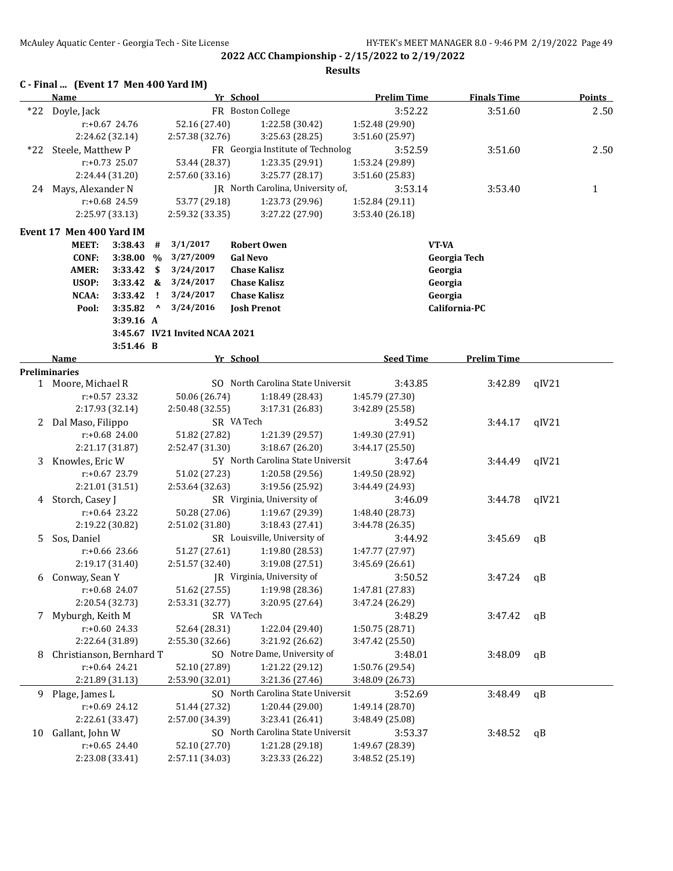| C - Final  (Event 17 Men 400 Yard IM) |  |
|---------------------------------------|--|
|---------------------------------------|--|

|    | Name                                       |                  |              |                                  | Yr School                         | <b>Prelim Time</b> | <b>Finals Time</b> |       | <b>Points</b> |
|----|--------------------------------------------|------------------|--------------|----------------------------------|-----------------------------------|--------------------|--------------------|-------|---------------|
|    | *22 Doyle, Jack                            |                  |              |                                  | FR Boston College                 | 3:52.22            | 3:51.60            |       | 2.50          |
|    |                                            | r:+0.67 24.76    |              | 52.16 (27.40)                    | 1:22.58 (30.42)                   | 1:52.48 (29.90)    |                    |       |               |
|    |                                            | 2:24.62 (32.14)  |              | 2:57.38 (32.76)                  | 3:25.63 (28.25)                   | 3:51.60 (25.97)    |                    |       |               |
|    | *22 Steele, Matthew P                      |                  |              |                                  | FR Georgia Institute of Technolog | 3:52.59            | 3:51.60            |       | 2.50          |
|    |                                            | r:+0.73 25.07    |              | 53.44 (28.37)                    | 1:23.35 (29.91)                   | 1:53.24 (29.89)    |                    |       |               |
|    |                                            | 2:24.44 (31.20)  |              | 2:57.60 (33.16)                  | 3:25.77 (28.17)                   | 3:51.60 (25.83)    |                    |       |               |
| 24 | Mays, Alexander N                          |                  |              |                                  | JR North Carolina, University of, | 3:53.14            | 3:53.40            |       | 1             |
|    |                                            | r:+0.68 24.59    |              | 53.77 (29.18)                    | 1:23.73 (29.96)                   | 1:52.84 (29.11)    |                    |       |               |
|    |                                            | 2:25.97 (33.13)  |              | 2:59.32 (33.35)                  | 3:27.22 (27.90)                   | 3:53.40 (26.18)    |                    |       |               |
|    |                                            |                  |              |                                  |                                   |                    |                    |       |               |
|    | Event 17 Men 400 Yard IM                   |                  |              |                                  |                                   |                    |                    |       |               |
|    | <b>MEET:</b>                               | 3:38.43          | #            | 3/1/2017                         | <b>Robert Owen</b>                |                    | VT-VA              |       |               |
|    | <b>CONF:</b>                               | 3:38.00          | $\%$         | 3/27/2009                        | <b>Gal Nevo</b>                   |                    | Georgia Tech       |       |               |
|    | <b>AMER:</b>                               | 3:33.42          | \$           | 3/24/2017                        | <b>Chase Kalisz</b>               |                    | Georgia            |       |               |
|    | USOP:                                      | $3:33.42$ &      |              | 3/24/2017                        | <b>Chase Kalisz</b>               |                    | Georgia            |       |               |
|    | NCAA:                                      | 3:33.42          | $\mathbf{I}$ | 3/24/2017                        | <b>Chase Kalisz</b>               |                    | Georgia            |       |               |
|    | Pool:                                      | 3:35.82          | Λ            | 3/24/2016                        | <b>Josh Prenot</b>                |                    | California-PC      |       |               |
|    |                                            | 3:39.16 A        |              |                                  |                                   |                    |                    |       |               |
|    |                                            |                  |              | 3:45.67 IV21 Invited NCAA 2021   |                                   |                    |                    |       |               |
|    |                                            | 3:51.46 B        |              |                                  |                                   |                    |                    |       |               |
|    | <b>Name</b>                                |                  |              |                                  | Yr School                         | <b>Seed Time</b>   | <b>Prelim Time</b> |       |               |
|    | <b>Preliminaries</b><br>1 Moore, Michael R |                  |              |                                  | SO North Carolina State Universit | 3:43.85            |                    |       |               |
|    |                                            | r:+0.57 23.32    |              |                                  |                                   | 1:45.79 (27.30)    | 3:42.89            | qIV21 |               |
|    |                                            | 2:17.93 (32.14)  |              | 50.06 (26.74)<br>2:50.48 (32.55) | 1:18.49 (28.43)                   |                    |                    |       |               |
|    |                                            |                  |              |                                  | 3:17.31 (26.83)<br>SR VA Tech     | 3:42.89 (25.58)    |                    |       |               |
|    | 2 Dal Maso, Filippo                        |                  |              |                                  |                                   | 3:49.52            | 3:44.17            | qIV21 |               |
|    |                                            | $r: +0.68$ 24.00 |              | 51.82 (27.82)                    | 1:21.39 (29.57)                   | 1:49.30 (27.91)    |                    |       |               |
|    |                                            | 2:21.17 (31.87)  |              | 2:52.47 (31.30)                  | 3:18.67 (26.20)                   | 3:44.17 (25.50)    |                    |       |               |
| 3  | Knowles, Eric W                            |                  |              |                                  | 5Y North Carolina State Universit | 3:47.64            | 3:44.49            | qIV21 |               |
|    |                                            | r:+0.67 23.79    |              | 51.02 (27.23)                    | 1:20.58 (29.56)                   | 1:49.50 (28.92)    |                    |       |               |
|    |                                            | 2:21.01 (31.51)  |              | 2:53.64 (32.63)                  | 3:19.56 (25.92)                   | 3:44.49 (24.93)    |                    |       |               |
|    | 4 Storch, Casey J                          |                  |              |                                  | SR Virginia, University of        | 3:46.09            | 3:44.78            | qIV21 |               |
|    |                                            | $r: +0.64$ 23.22 |              | 50.28 (27.06)                    | 1:19.67 (29.39)                   | 1:48.40 (28.73)    |                    |       |               |
|    |                                            | 2:19.22 (30.82)  |              | 2:51.02 (31.80)                  | 3:18.43 (27.41)                   | 3:44.78 (26.35)    |                    |       |               |
| 5. | Sos, Daniel                                |                  |              |                                  | SR Louisville, University of      | 3:44.92            | 3:45.69            | qB    |               |
|    |                                            | $r: +0.66$ 23.66 |              | 51.27 (27.61)                    | 1:19.80 (28.53)                   | 1:47.77 (27.97)    |                    |       |               |
|    |                                            | 2:19.17 (31.40)  |              | 2:51.57 (32.40)                  | 3:19.08 (27.51)                   | 3:45.69 (26.61)    |                    |       |               |
|    | 6 Conway, Sean Y                           |                  |              |                                  | JR Virginia, University of        | 3:50.52            | 3:47.24            | qB    |               |
|    |                                            | r:+0.68 24.07    |              | 51.62 (27.55)                    | 1:19.98 (28.36)                   | 1:47.81 (27.83)    |                    |       |               |
|    |                                            | 2:20.54 (32.73)  |              | 2:53.31 (32.77)                  | 3:20.95 (27.64)                   | 3:47.24 (26.29)    |                    |       |               |
| 7  | Myburgh, Keith M                           |                  |              |                                  | SR VA Tech                        | 3:48.29            | 3:47.42            | qB    |               |
|    |                                            | r:+0.60 24.33    |              | 52.64 (28.31)                    | 1:22.04 (29.40)                   | 1:50.75 (28.71)    |                    |       |               |
|    |                                            | 2:22.64 (31.89)  |              | 2:55.30 (32.66)                  | 3:21.92 (26.62)                   | 3:47.42 (25.50)    |                    |       |               |
| 8  | Christianson, Bernhard T                   |                  |              |                                  | SO Notre Dame, University of      | 3:48.01            | 3:48.09            | qB    |               |
|    |                                            | $r: +0.64$ 24.21 |              | 52.10 (27.89)                    | 1:21.22 (29.12)                   | 1:50.76 (29.54)    |                    |       |               |
|    |                                            | 2:21.89 (31.13)  |              | 2:53.90 (32.01)                  | 3:21.36 (27.46)                   | 3:48.09 (26.73)    |                    |       |               |
| 9  | Plage, James L                             |                  |              |                                  | SO North Carolina State Universit | 3:52.69            | 3:48.49            | qB    |               |
|    |                                            | r:+0.69 24.12    |              | 51.44 (27.32)                    | 1:20.44 (29.00)                   | 1:49.14 (28.70)    |                    |       |               |
|    |                                            | 2:22.61 (33.47)  |              | 2:57.00 (34.39)                  | 3:23.41 (26.41)                   | 3:48.49 (25.08)    |                    |       |               |
| 10 | Gallant, John W                            |                  |              |                                  | SO North Carolina State Universit | 3:53.37            | 3:48.52            | qB    |               |
|    |                                            | $r: +0.65$ 24.40 |              | 52.10 (27.70)                    | 1:21.28 (29.18)                   | 1:49.67 (28.39)    |                    |       |               |
|    |                                            | 2:23.08 (33.41)  |              | 2:57.11 (34.03)                  | 3:23.33 (26.22)                   | 3:48.52 (25.19)    |                    |       |               |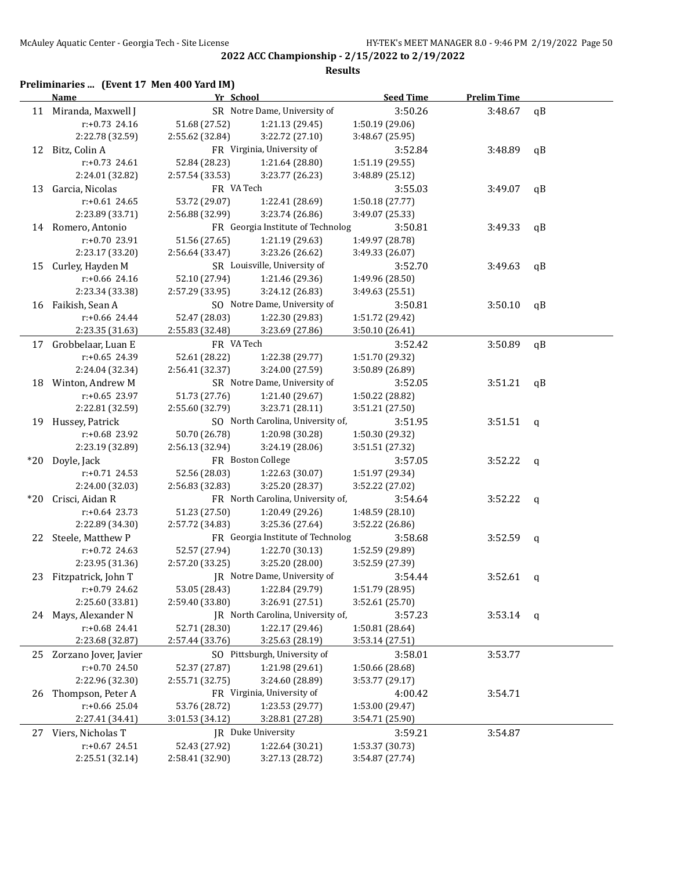#### **Results**

### **Preliminaries ... (Event 17 Men 400 Yard IM)**

|       | <b>Name</b>            | Yr School       |                                   | <b>Seed Time</b> | <b>Prelim Time</b> |              |
|-------|------------------------|-----------------|-----------------------------------|------------------|--------------------|--------------|
|       | 11 Miranda, Maxwell J  |                 | SR Notre Dame, University of      | 3:50.26          | 3:48.67            | qB           |
|       | $r: +0.73$ 24.16       | 51.68 (27.52)   | 1:21.13 (29.45)                   | 1:50.19 (29.06)  |                    |              |
|       | 2:22.78 (32.59)        | 2:55.62 (32.84) | 3:22.72 (27.10)                   | 3:48.67 (25.95)  |                    |              |
|       | 12 Bitz, Colin A       |                 | FR Virginia, University of        | 3:52.84          | 3:48.89            | qB           |
|       | $r: +0.73$ 24.61       | 52.84 (28.23)   | 1:21.64 (28.80)                   | 1:51.19 (29.55)  |                    |              |
|       | 2:24.01 (32.82)        | 2:57.54 (33.53) | 3:23.77 (26.23)                   | 3:48.89 (25.12)  |                    |              |
| 13    | Garcia, Nicolas        | FR VA Tech      |                                   | 3:55.03          | 3:49.07            | qB           |
|       | $r: +0.61$ 24.65       | 53.72 (29.07)   | 1:22.41 (28.69)                   | 1:50.18 (27.77)  |                    |              |
|       | 2:23.89 (33.71)        | 2:56.88 (32.99) | 3:23.74 (26.86)                   | 3:49.07 (25.33)  |                    |              |
|       | 14 Romero, Antonio     |                 | FR Georgia Institute of Technolog | 3:50.81          | 3:49.33            | qB           |
|       | r:+0.70 23.91          | 51.56 (27.65)   | 1:21.19 (29.63)                   | 1:49.97 (28.78)  |                    |              |
|       | 2:23.17 (33.20)        | 2:56.64 (33.47) | 3:23.26 (26.62)                   | 3:49.33 (26.07)  |                    |              |
| 15    | Curley, Hayden M       |                 | SR Louisville, University of      | 3:52.70          | 3:49.63            | qB           |
|       | $r: +0.66$ 24.16       | 52.10 (27.94)   | 1:21.46 (29.36)                   | 1:49.96 (28.50)  |                    |              |
|       | 2:23.34 (33.38)        | 2:57.29 (33.95) | 3:24.12 (26.83)                   | 3:49.63 (25.51)  |                    |              |
|       | 16 Faikish, Sean A     |                 | SO Notre Dame, University of      | 3:50.81          | 3:50.10            | qB           |
|       | $r+0.66$ 24.44         | 52.47 (28.03)   | 1:22.30 (29.83)                   | 1:51.72 (29.42)  |                    |              |
|       | 2:23.35 (31.63)        | 2:55.83 (32.48) | 3:23.69 (27.86)                   | 3:50.10 (26.41)  |                    |              |
|       | 17 Grobbelaar, Luan E  | FR VA Tech      |                                   | 3:52.42          | 3:50.89            | qB           |
|       | $r: +0.65$ 24.39       | 52.61 (28.22)   | 1:22.38 (29.77)                   | 1:51.70 (29.32)  |                    |              |
|       | 2:24.04 (32.34)        | 2:56.41 (32.37) | 3:24.00 (27.59)                   | 3:50.89 (26.89)  |                    |              |
|       | 18 Winton, Andrew M    |                 | SR Notre Dame, University of      | 3:52.05          | 3:51.21            | qB           |
|       | r:+0.65 23.97          | 51.73 (27.76)   | 1:21.40 (29.67)                   | 1:50.22 (28.82)  |                    |              |
|       | 2:22.81 (32.59)        | 2:55.60 (32.79) | 3:23.71 (28.11)                   | 3:51.21 (27.50)  |                    |              |
|       | 19 Hussey, Patrick     |                 | SO North Carolina, University of, | 3:51.95          | 3:51.51            | q            |
|       | r:+0.68 23.92          | 50.70 (26.78)   | 1:20.98 (30.28)                   | 1:50.30 (29.32)  |                    |              |
|       | 2:23.19 (32.89)        | 2:56.13 (32.94) | 3:24.19 (28.06)                   | 3:51.51 (27.32)  |                    |              |
| $*20$ | Doyle, Jack            |                 | FR Boston College                 | 3:57.05          | 3:52.22            | q            |
|       | $r: +0.71$ 24.53       | 52.56 (28.03)   | 1:22.63 (30.07)                   | 1:51.97 (29.34)  |                    |              |
|       | 2:24.00 (32.03)        | 2:56.83 (32.83) | 3:25.20 (28.37)                   | 3:52.22 (27.02)  |                    |              |
| $*20$ | Crisci, Aidan R        |                 | FR North Carolina, University of, | 3:54.64          | 3:52.22            | q            |
|       | $r: +0.64$ 23.73       | 51.23 (27.50)   | 1:20.49 (29.26)                   | 1:48.59 (28.10)  |                    |              |
|       | 2:22.89 (34.30)        | 2:57.72 (34.83) | 3:25.36 (27.64)                   | 3:52.22 (26.86)  |                    |              |
|       | 22 Steele, Matthew P   |                 | FR Georgia Institute of Technolog | 3:58.68          | 3:52.59            | q            |
|       | $r+0.72$ 24.63         | 52.57 (27.94)   | 1:22.70 (30.13)                   | 1:52.59 (29.89)  |                    |              |
|       | 2:23.95 (31.36)        | 2:57.20 (33.25) | 3:25.20 (28.00)                   | 3:52.59 (27.39)  |                    |              |
|       | 23 Fitzpatrick, John T |                 | JR Notre Dame, University of      | 3:54.44          | 3:52.61            | q            |
|       | r:+0.79 24.62          | 53.05 (28.43)   | 1:22.84 (29.79)                   | 1:51.79 (28.95)  |                    |              |
|       | 2:25.60 (33.81)        | 2:59.40 (33.80) | 3:26.91 (27.51)                   | 3:52.61 (25.70)  |                    |              |
|       | 24 Mays, Alexander N   |                 | JR North Carolina, University of, | 3:57.23          | 3:53.14            | $\mathbf{q}$ |
|       | r:+0.68 24.41          | 52.71 (28.30)   | 1:22.17 (29.46)                   | 1:50.81 (28.64)  |                    |              |
|       | 2:23.68 (32.87)        | 2:57.44 (33.76) | 3:25.63 (28.19)                   | 3:53.14 (27.51)  |                    |              |
| 25    | Zorzano Jover, Javier  |                 | SO Pittsburgh, University of      | 3:58.01          | 3:53.77            |              |
|       | r:+0.70 24.50          | 52.37 (27.87)   | 1:21.98 (29.61)                   | 1:50.66 (28.68)  |                    |              |
|       | 2:22.96 (32.30)        | 2:55.71 (32.75) | 3:24.60 (28.89)                   | 3:53.77 (29.17)  |                    |              |
| 26    | Thompson, Peter A      |                 | FR Virginia, University of        | 4:00.42          | 3:54.71            |              |
|       | $r: +0.66$ 25.04       | 53.76 (28.72)   | 1:23.53 (29.77)                   | 1:53.00 (29.47)  |                    |              |
|       | 2:27.41 (34.41)        | 3:01.53 (34.12) | 3:28.81 (27.28)                   | 3:54.71 (25.90)  |                    |              |
| 27    | Viers, Nicholas T      |                 | JR Duke University                | 3:59.21          | 3:54.87            |              |
|       | r:+0.67 24.51          | 52.43 (27.92)   | 1:22.64 (30.21)                   | 1:53.37 (30.73)  |                    |              |
|       | 2:25.51 (32.14)        | 2:58.41 (32.90) | 3:27.13 (28.72)                   | 3:54.87 (27.74)  |                    |              |
|       |                        |                 |                                   |                  |                    |              |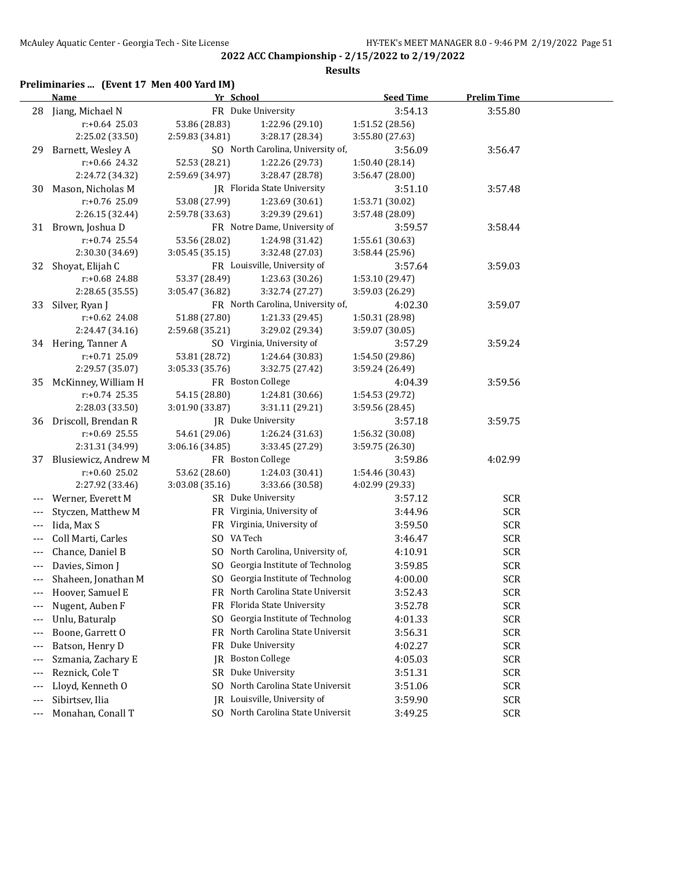**Results**

## **Preliminaries ... (Event 17 Men 400 Yard IM)**

|       | Name                                 | Yr School       |                                       | <b>Seed Time</b> | <b>Prelim Time</b> |  |
|-------|--------------------------------------|-----------------|---------------------------------------|------------------|--------------------|--|
|       | 28 Jiang, Michael N                  |                 | FR Duke University                    | 3:54.13          | 3:55.80            |  |
|       | $r: +0.64$ 25.03                     | 53.86 (28.83)   | 1:22.96 (29.10)                       | 1:51.52 (28.56)  |                    |  |
|       | 2:25.02 (33.50)                      | 2:59.83 (34.81) | 3:28.17 (28.34)                       | 3:55.80 (27.63)  |                    |  |
| 29    | Barnett, Wesley A                    |                 | SO North Carolina, University of,     | 3:56.09          | 3:56.47            |  |
|       | r:+0.66 24.32                        | 52.53 (28.21)   | 1:22.26 (29.73)                       | 1:50.40 (28.14)  |                    |  |
|       | 2:24.72 (34.32)                      | 2:59.69 (34.97) | 3:28.47 (28.78)                       | 3:56.47 (28.00)  |                    |  |
| 30    | Mason, Nicholas M                    |                 | JR Florida State University           | 3:51.10          | 3:57.48            |  |
|       | r:+0.76 25.09                        | 53.08 (27.99)   | 1:23.69 (30.61)                       | 1:53.71 (30.02)  |                    |  |
|       | 2:26.15 (32.44)                      | 2:59.78 (33.63) | 3:29.39 (29.61)                       | 3:57.48 (28.09)  |                    |  |
|       | 31 Brown, Joshua D                   |                 | FR Notre Dame, University of          | 3:59.57          | 3:58.44            |  |
|       | $r: +0.74$ 25.54                     | 53.56 (28.02)   | 1:24.98 (31.42)                       | 1:55.61 (30.63)  |                    |  |
|       | 2:30.30 (34.69)                      | 3:05.45 (35.15) | 3:32.48 (27.03)                       | 3:58.44 (25.96)  |                    |  |
| 32    | Shoyat, Elijah C                     |                 | FR Louisville, University of          | 3:57.64          | 3:59.03            |  |
|       | r:+0.68 24.88                        | 53.37 (28.49)   | 1:23.63 (30.26)                       | 1:53.10 (29.47)  |                    |  |
|       | 2:28.65 (35.55)                      | 3:05.47 (36.82) | 3:32.74 (27.27)                       | 3:59.03 (26.29)  |                    |  |
|       | 33 Silver, Ryan J                    |                 | FR North Carolina, University of,     | 4:02.30          | 3:59.07            |  |
|       | r:+0.62 24.08                        | 51.88 (27.80)   | 1:21.33 (29.45)                       | 1:50.31 (28.98)  |                    |  |
|       | 2:24.47 (34.16)                      | 2:59.68 (35.21) | 3:29.02 (29.34)                       | 3:59.07 (30.05)  |                    |  |
|       | 34 Hering, Tanner A                  |                 | SO Virginia, University of            | 3:57.29          | 3:59.24            |  |
|       | $r: +0.71$ 25.09                     | 53.81 (28.72)   | 1:24.64 (30.83)                       | 1:54.50 (29.86)  |                    |  |
|       | 2:29.57 (35.07)                      | 3:05.33 (35.76) | 3:32.75 (27.42)                       | 3:59.24 (26.49)  |                    |  |
| 35    | McKinney, William H                  |                 | FR Boston College                     | 4:04.39          | 3:59.56            |  |
|       | $r: +0.74$ 25.35                     | 54.15 (28.80)   | 1:24.81 (30.66)                       | 1:54.53 (29.72)  |                    |  |
|       | 2:28.03 (33.50)                      | 3:01.90 (33.87) | 3:31.11 (29.21)                       | 3:59.56 (28.45)  |                    |  |
| 36    | Driscoll, Brendan R                  |                 | <b>IR</b> Duke University             | 3:57.18          | 3:59.75            |  |
|       | $r+0.69$ 25.55                       | 54.61 (29.06)   | 1:26.24 (31.63)                       | 1:56.32 (30.08)  |                    |  |
|       | 2:31.31 (34.99)                      | 3:06.16 (34.85) | 3:33.45 (27.29)                       | 3:59.75 (26.30)  |                    |  |
| 37    | Blusiewicz, Andrew M                 |                 | FR Boston College                     | 3:59.86          | 4:02.99            |  |
|       | $r: +0.60$ 25.02                     | 53.62 (28.60)   | 1:24.03 (30.41)                       | 1:54.46 (30.43)  |                    |  |
|       | 2:27.92 (33.46)<br>Werner, Everett M | 3:03.08 (35.16) | 3:33.66 (30.58)<br>SR Duke University | 4:02.99 (29.33)  | <b>SCR</b>         |  |
|       |                                      |                 | FR Virginia, University of            | 3:57.12          | <b>SCR</b>         |  |
| $---$ | Styczen, Matthew M                   |                 | FR Virginia, University of            | 3:44.96          |                    |  |
| $---$ | Iida, Max S                          | SO VA Tech      |                                       | 3:59.50          | <b>SCR</b>         |  |
| $---$ | Coll Marti, Carles                   |                 | SO North Carolina, University of,     | 3:46.47          | <b>SCR</b>         |  |
| $---$ | Chance, Daniel B                     |                 | SO Georgia Institute of Technolog     | 4:10.91          | <b>SCR</b>         |  |
|       | Davies, Simon J                      |                 |                                       | 3:59.85          | <b>SCR</b>         |  |
| $---$ | Shaheen, Jonathan M                  |                 | SO Georgia Institute of Technolog     | 4:00.00          | <b>SCR</b>         |  |
|       | Hoover, Samuel E                     |                 | FR North Carolina State Universit     | 3:52.43          | <b>SCR</b>         |  |
|       | Nugent, Auben F                      |                 | FR Florida State University           | 3:52.78          | <b>SCR</b>         |  |
| $---$ | Unlu, Baturalp                       | S <sub>0</sub>  | Georgia Institute of Technolog        | 4:01.33          | <b>SCR</b>         |  |
| $---$ | Boone, Garrett O                     | FR              | North Carolina State Universit        | 3:56.31          | <b>SCR</b>         |  |
| $---$ | Batson, Henry D                      | FR              | Duke University                       | 4:02.27          | <b>SCR</b>         |  |
|       | Szmania, Zachary E                   | JR              | <b>Boston College</b>                 | 4:05.03          | <b>SCR</b>         |  |
|       | Reznick, Cole T                      | SR              | Duke University                       | 3:51.31          | <b>SCR</b>         |  |
| $---$ | Lloyd, Kenneth O                     | S <sub>0</sub>  | North Carolina State Universit        | 3:51.06          | SCR                |  |
| $---$ | Sibirtsev, Ilia                      | IR              | Louisville, University of             | 3:59.90          | <b>SCR</b>         |  |
| $---$ | Monahan, Conall T                    |                 | SO North Carolina State Universit     | 3:49.25          | <b>SCR</b>         |  |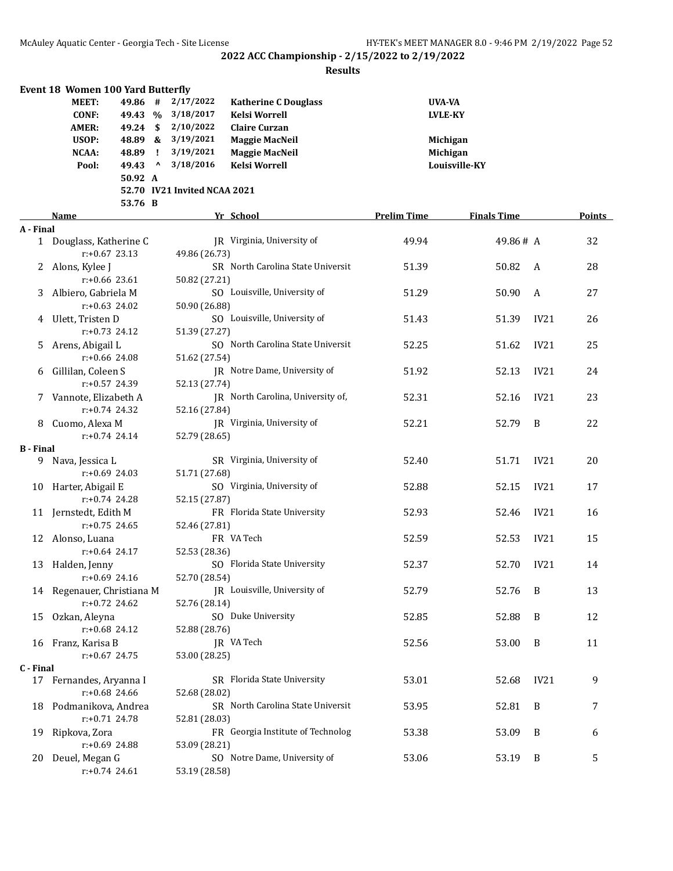|                  | Event 18 Women 100 Yard Butterfly |          |              |                              |                                   |                    |                    |      |        |
|------------------|-----------------------------------|----------|--------------|------------------------------|-----------------------------------|--------------------|--------------------|------|--------|
|                  | <b>MEET:</b>                      | 49.86 #  |              | 2/17/2022                    | <b>Katherine C Douglass</b>       | UVA-VA             |                    |      |        |
|                  | <b>CONF:</b>                      |          |              | 49.43 % 3/18/2017            | <b>Kelsi Worrell</b>              |                    | <b>LVLE-KY</b>     |      |        |
|                  | <b>AMER:</b>                      | 49.24 \$ |              | 2/10/2022                    | <b>Claire Curzan</b>              |                    |                    |      |        |
|                  | USOP:                             |          |              | 48.89 & 3/19/2021            | <b>Maggie MacNeil</b>             |                    | Michigan           |      |        |
|                  | NCAA:                             | 48.89    | $\mathbf{I}$ | 3/19/2021                    | <b>Maggie MacNeil</b>             |                    | Michigan           |      |        |
|                  | Pool:                             | 49.43    | $\mathbf{v}$ | 3/18/2016                    | <b>Kelsi Worrell</b>              |                    | Louisville-KY      |      |        |
|                  |                                   | 50.92 A  |              |                              |                                   |                    |                    |      |        |
|                  |                                   |          |              | 52.70 IV21 Invited NCAA 2021 |                                   |                    |                    |      |        |
|                  |                                   | 53.76 B  |              |                              |                                   |                    |                    |      |        |
|                  | Name                              |          |              |                              | Yr School                         | <b>Prelim Time</b> | <b>Finals Time</b> |      | Points |
| A - Final        |                                   |          |              |                              |                                   |                    |                    |      |        |
|                  | 1 Douglass, Katherine C           |          |              |                              | IR Virginia, University of        | 49.94              | 49.86# A           |      | 32     |
|                  | $r: +0.67$ 23.13                  |          |              | 49.86 (26.73)                |                                   |                    |                    |      |        |
|                  | 2 Alons, Kylee J                  |          |              |                              | SR North Carolina State Universit | 51.39              | 50.82              | A    | 28     |
|                  | $r: +0.66$ 23.61                  |          |              | 50.82 (27.21)                |                                   |                    |                    |      |        |
| 3                | Albiero, Gabriela M               |          |              |                              | SO Louisville, University of      | 51.29              | 50.90              | A    | 27     |
|                  | $r: +0.63$ 24.02                  |          |              | 50.90 (26.88)                |                                   |                    |                    |      |        |
| 4                | Ulett, Tristen D                  |          |              |                              | SO Louisville, University of      | 51.43              | 51.39              | IV21 | 26     |
|                  | $r: +0.73$ 24.12                  |          |              | 51.39 (27.27)                |                                   |                    |                    |      |        |
| 5.               | Arens, Abigail L                  |          |              |                              | SO North Carolina State Universit | 52.25              | 51.62              | IV21 | 25     |
|                  | $r: +0.66$ 24.08                  |          |              | 51.62 (27.54)                |                                   |                    |                    |      |        |
| 6                | Gillilan, Coleen S                |          |              |                              | JR Notre Dame, University of      | 51.92              | 52.13              | IV21 | 24     |
|                  | $r: +0.57$ 24.39                  |          |              | 52.13 (27.74)                |                                   |                    |                    |      |        |
|                  | Vannote, Elizabeth A              |          |              |                              | JR North Carolina, University of, | 52.31              | 52.16              | IV21 | 23     |
| 7.               | $r: +0.74$ 24.32                  |          |              | 52.16 (27.84)                |                                   |                    |                    |      |        |
|                  | Cuomo, Alexa M                    |          |              |                              | JR Virginia, University of        | 52.21              | 52.79              | B    | 22     |
| 8                |                                   |          |              |                              |                                   |                    |                    |      |        |
| <b>B</b> - Final | $r: +0.74$ 24.14                  |          |              | 52.79 (28.65)                |                                   |                    |                    |      |        |
|                  | 9 Nava, Jessica L                 |          |              |                              | SR Virginia, University of        | 52.40              | 51.71              | IV21 | 20     |
|                  | $r: +0.69$ 24.03                  |          |              | 51.71 (27.68)                |                                   |                    |                    |      |        |
| 10               | Harter, Abigail E                 |          |              |                              | SO Virginia, University of        | 52.88              | 52.15              | IV21 | 17     |
|                  | $r: +0.74$ 24.28                  |          |              | 52.15 (27.87)                |                                   |                    |                    |      |        |
|                  | 11 Jernstedt, Edith M             |          |              |                              | FR Florida State University       | 52.93              | 52.46              | IV21 |        |
|                  | $r: +0.75$ 24.65                  |          |              | 52.46 (27.81)                |                                   |                    |                    |      | 16     |
|                  |                                   |          |              |                              | FR VA Tech                        |                    |                    |      |        |
|                  | 12 Alonso, Luana                  |          |              |                              |                                   | 52.59              | 52.53              | IV21 | 15     |
|                  | r:+0.64 24.17                     |          |              | 52.53 (28.36)                |                                   |                    |                    |      |        |
|                  | 13 Halden, Jenny                  |          |              |                              | SO Florida State University       | 52.37              | 52.70              | IV21 | 14     |
|                  | r:+0.69 24.16                     |          |              | 52.70 (28.54)                |                                   |                    |                    |      |        |
|                  | 14 Regenauer, Christiana M        |          |              |                              | JR Louisville, University of      | 52.79              | 52.76              | B    | 13     |
|                  | r:+0.72 24.62                     |          |              | 52.76 (28.14)                |                                   |                    |                    |      |        |
| 15               | Ozkan, Aleyna                     |          |              |                              | SO Duke University                | 52.85              | 52.88              | B    | 12     |
|                  | r:+0.68 24.12                     |          |              | 52.88 (28.76)                |                                   |                    |                    |      |        |
|                  | 16 Franz, Karisa B                |          |              |                              | JR VA Tech                        | 52.56              | 53.00              | B    | 11     |
|                  | $r: +0.67$ 24.75                  |          |              | 53.00 (28.25)                |                                   |                    |                    |      |        |
| C - Final        |                                   |          |              |                              |                                   |                    |                    |      |        |
|                  | 17 Fernandes, Aryanna I           |          |              |                              | SR Florida State University       | 53.01              | 52.68              | IV21 | 9      |
|                  | r:+0.68 24.66                     |          |              | 52.68 (28.02)                |                                   |                    |                    |      |        |
| 18               | Podmanikova, Andrea               |          |              |                              | SR North Carolina State Universit | 53.95              | 52.81              | B    | 7      |
|                  | r:+0.71 24.78                     |          |              | 52.81 (28.03)                |                                   |                    |                    |      |        |
| 19               | Ripkova, Zora                     |          |              |                              | FR Georgia Institute of Technolog | 53.38              | 53.09              | B    | 6      |
|                  | r:+0.69 24.88                     |          |              | 53.09 (28.21)                |                                   |                    |                    |      |        |
| 20               | Deuel, Megan G                    |          |              |                              | SO Notre Dame, University of      | 53.06              | 53.19              | B    | 5      |
|                  | r:+0.74 24.61                     |          |              | 53.19 (28.58)                |                                   |                    |                    |      |        |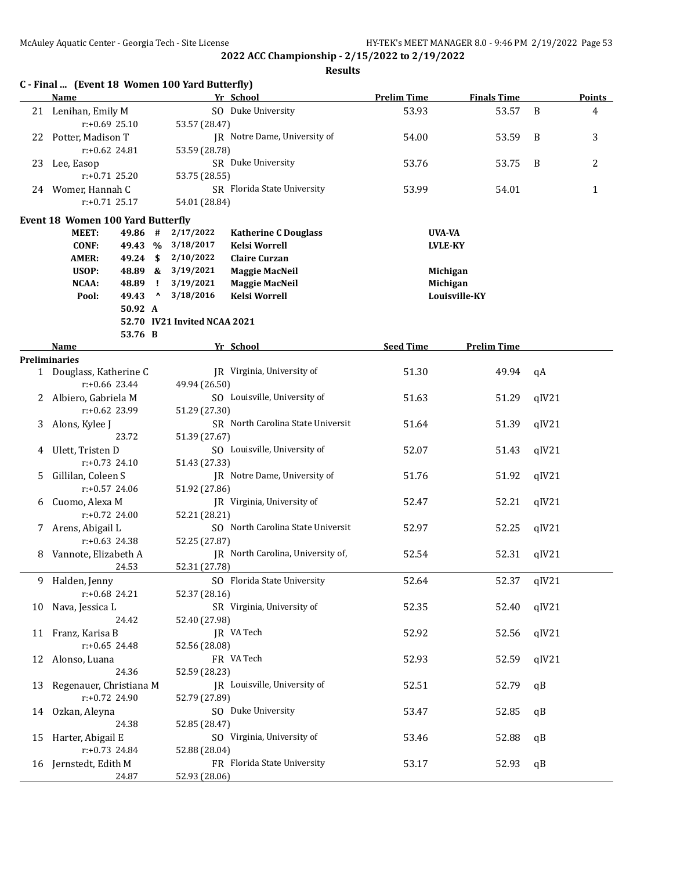|    | C - Final  (Event 18 Women 100 Yard Butterfly)<br>Name |         |              |                              | Yr School                         | <b>Prelim Time</b> | <b>Finals Time</b> |       | <b>Points</b>  |
|----|--------------------------------------------------------|---------|--------------|------------------------------|-----------------------------------|--------------------|--------------------|-------|----------------|
|    | 21 Lenihan, Emily M                                    |         |              |                              | SO Duke University                | 53.93              | 53.57              | B     | $\overline{4}$ |
|    | $r: +0.69$ 25.10                                       |         |              | 53.57 (28.47)                |                                   |                    |                    |       |                |
|    | 22 Potter, Madison T                                   |         |              |                              | JR Notre Dame, University of      | 54.00              | 53.59              | B     | 3              |
|    | $r: +0.62$ 24.81                                       |         |              | 53.59 (28.78)                |                                   |                    |                    |       |                |
| 23 | Lee, Easop                                             |         |              |                              | SR Duke University                | 53.76              | 53.75              | B     | 2              |
|    | $r: +0.71$ 25.20                                       |         |              | 53.75 (28.55)                |                                   |                    |                    |       |                |
|    | 24 Womer, Hannah C                                     |         |              |                              | SR Florida State University       | 53.99              | 54.01              |       | $\mathbf{1}$   |
|    | $r: +0.71$ 25.17                                       |         |              | 54.01 (28.84)                |                                   |                    |                    |       |                |
|    | Event 18 Women 100 Yard Butterfly                      |         |              |                              |                                   |                    |                    |       |                |
|    | <b>MEET:</b>                                           | 49.86 # |              | 2/17/2022                    | <b>Katherine C Douglass</b>       | UVA-VA             |                    |       |                |
|    | <b>CONF:</b>                                           |         |              | 49.43 % 3/18/2017            | <b>Kelsi Worrell</b>              |                    | <b>LVLE-KY</b>     |       |                |
|    | <b>AMER:</b>                                           | 49.24   | $\mathbf{s}$ | 2/10/2022                    | <b>Claire Curzan</b>              |                    |                    |       |                |
|    | USOP:                                                  | 48.89 & |              | 3/19/2021                    | <b>Maggie MacNeil</b>             |                    | Michigan           |       |                |
|    | NCAA:                                                  | 48.89   | $\mathbf{I}$ | 3/19/2021                    | <b>Maggie MacNeil</b>             |                    | Michigan           |       |                |
|    | Pool:                                                  | 49.43   | $\mathbf{v}$ | 3/18/2016                    | <b>Kelsi Worrell</b>              |                    | Louisville-KY      |       |                |
|    |                                                        | 50.92 A |              |                              |                                   |                    |                    |       |                |
|    |                                                        |         |              | 52.70 IV21 Invited NCAA 2021 |                                   |                    |                    |       |                |
|    |                                                        | 53.76 B |              |                              |                                   |                    |                    |       |                |
|    | Name                                                   |         |              |                              | Yr School                         | <b>Seed Time</b>   | <b>Prelim Time</b> |       |                |
|    | Preliminaries                                          |         |              |                              | JR Virginia, University of        |                    |                    |       |                |
|    | 1 Douglass, Katherine C<br>r:+0.66 23.44               |         |              | 49.94 (26.50)                |                                   | 51.30              | 49.94              | qA    |                |
|    | 2 Albiero, Gabriela M                                  |         |              |                              | SO Louisville, University of      | 51.63              | 51.29              | qIV21 |                |
|    | r:+0.62 23.99                                          |         |              | 51.29 (27.30)                |                                   |                    |                    |       |                |
| 3  | Alons, Kylee J                                         |         |              |                              | SR North Carolina State Universit | 51.64              | 51.39              | qIV21 |                |
|    |                                                        | 23.72   |              | 51.39 (27.67)                |                                   |                    |                    |       |                |
| 4  | Ulett, Tristen D                                       |         |              |                              | SO Louisville, University of      | 52.07              | 51.43              | qIV21 |                |
|    | $r: +0.73$ 24.10                                       |         |              | 51.43 (27.33)                |                                   |                    |                    |       |                |
| 5. | Gillilan, Coleen S                                     |         |              |                              | JR Notre Dame, University of      | 51.76              | 51.92              | qIV21 |                |
|    | r:+0.57 24.06                                          |         |              | 51.92 (27.86)                |                                   |                    |                    |       |                |
| 6  | Cuomo, Alexa M                                         |         |              |                              | JR Virginia, University of        | 52.47              | 52.21              | qIV21 |                |
|    | $r: +0.72$ 24.00                                       |         |              | 52.21 (28.21)                |                                   |                    |                    |       |                |
|    | 7 Arens, Abigail L                                     |         |              |                              | SO North Carolina State Universit | 52.97              | 52.25              | qIV21 |                |
|    | $r: +0.63$ 24.38                                       |         |              | 52.25 (27.87)                |                                   |                    |                    |       |                |
| 8  | Vannote, Elizabeth A                                   |         |              |                              | JR North Carolina, University of, | 52.54              | 52.31              | qIV21 |                |
|    |                                                        | 24.53   |              | 52.31 (27.78)                |                                   |                    |                    |       |                |
|    | 9 Halden, Jenny                                        |         |              |                              | SO Florida State University       | 52.64              | 52.37              | qIV21 |                |
|    | $r: +0.68$ 24.21                                       |         |              | 52.37 (28.16)                |                                   |                    |                    |       |                |
| 10 | Nava, Jessica L                                        |         |              |                              | SR Virginia, University of        | 52.35              | 52.40              | qIV21 |                |
|    |                                                        | 24.42   |              | 52.40 (27.98)                |                                   |                    |                    |       |                |
| 11 | Franz, Karisa B                                        |         |              |                              | JR VA Tech                        | 52.92              | 52.56              | qIV21 |                |
|    | $r: +0.65$ 24.48                                       |         |              | 52.56 (28.08)                |                                   |                    |                    |       |                |
| 12 | Alonso, Luana                                          |         |              |                              | FR VA Tech                        | 52.93              | 52.59              | qIV21 |                |
|    |                                                        | 24.36   |              | 52.59 (28.23)                |                                   |                    |                    |       |                |
| 13 | Regenauer, Christiana M                                |         |              |                              | JR Louisville, University of      | 52.51              | 52.79              | qB    |                |
|    | r:+0.72 24.90                                          |         |              | 52.79 (27.89)                |                                   |                    |                    |       |                |
| 14 | Ozkan, Aleyna                                          |         |              |                              | SO Duke University                | 53.47              | 52.85              | qB    |                |
|    |                                                        | 24.38   |              | 52.85 (28.47)                |                                   |                    |                    |       |                |
| 15 | Harter, Abigail E                                      |         |              |                              | SO Virginia, University of        | 53.46              | 52.88              | qB    |                |
|    | $r: +0.73$ 24.84                                       |         |              | 52.88 (28.04)                |                                   |                    |                    |       |                |
|    | 16 Jernstedt, Edith M                                  |         |              |                              | FR Florida State University       | 53.17              | 52.93              | qB    |                |
|    |                                                        | 24.87   |              | 52.93 (28.06)                |                                   |                    |                    |       |                |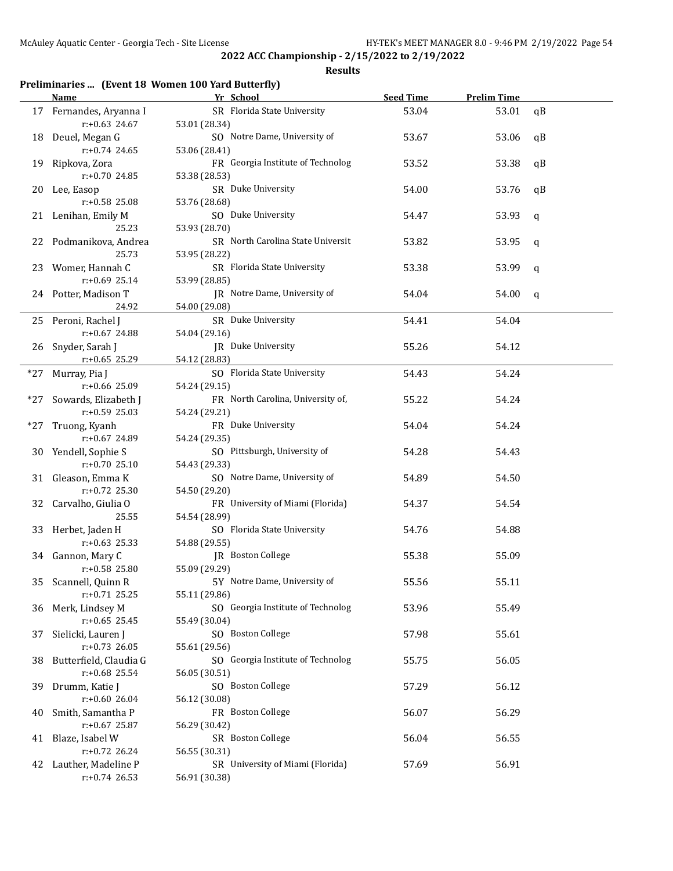#### **Results**

## **Preliminaries ... (Event 18 Women 100 Yard Butterfly)**

|     | Name                                       | Yr School                                          | <b>Seed Time</b> | <b>Prelim Time</b> |              |
|-----|--------------------------------------------|----------------------------------------------------|------------------|--------------------|--------------|
|     | 17 Fernandes, Aryanna I<br>r:+0.63 24.67   | SR Florida State University<br>53.01 (28.34)       | 53.04            | 53.01              | qB           |
|     | 18 Deuel, Megan G                          | SO Notre Dame, University of                       | 53.67            | 53.06              | qB           |
|     | $r: +0.74$ 24.65<br>19 Ripkova, Zora       | 53.06 (28.41)<br>FR Georgia Institute of Technolog | 53.52            | 53.38              | qB           |
|     | r:+0.70 24.85<br>20 Lee, Easop             | 53.38 (28.53)<br>SR Duke University                | 54.00            | 53.76              | qB           |
|     | r:+0.58 25.08<br>21 Lenihan, Emily M       | 53.76 (28.68)<br>SO Duke University                | 54.47            | 53.93              | q            |
|     | 25.23                                      | 53.93 (28.70)                                      |                  |                    |              |
|     | 22 Podmanikova, Andrea<br>25.73            | SR North Carolina State Universit<br>53.95 (28.22) | 53.82            | 53.95              | q            |
|     | 23 Womer, Hannah C<br>$r: +0.69$ 25.14     | SR Florida State University<br>53.99 (28.85)       | 53.38            | 53.99              | $\mathbf q$  |
|     | 24 Potter, Madison T<br>24.92              | JR Notre Dame, University of<br>54.00 (29.08)      | 54.04            | 54.00              | $\mathsf{q}$ |
|     | 25 Peroni, Rachel J                        | SR Duke University                                 | 54.41            | 54.04              |              |
|     | r:+0.67 24.88<br>26 Snyder, Sarah J        | 54.04 (29.16)<br>JR Duke University                | 55.26            | 54.12              |              |
|     | $r: +0.65$ 25.29                           | 54.12 (28.83)                                      |                  |                    |              |
|     | *27 Murray, Pia J<br>r:+0.66 25.09         | SO Florida State University                        | 54.43            | 54.24              |              |
|     | *27 Sowards, Elizabeth J                   | 54.24 (29.15)<br>FR North Carolina, University of, | 55.22            | 54.24              |              |
|     | $r: +0.59$ 25.03                           | 54.24 (29.21)                                      |                  |                    |              |
| *27 | Truong, Kyanh                              | FR Duke University                                 | 54.04            | 54.24              |              |
|     | r:+0.67 24.89                              | 54.24 (29.35)                                      |                  |                    |              |
|     | 30 Yendell, Sophie S<br>$r: +0.70$ 25.10   | SO Pittsburgh, University of<br>54.43 (29.33)      | 54.28            | 54.43              |              |
|     | 31 Gleason, Emma K<br>$r: +0.72$ 25.30     | SO Notre Dame, University of<br>54.50 (29.20)      | 54.89            | 54.50              |              |
|     | 32 Carvalho, Giulia O<br>25.55             | FR University of Miami (Florida)<br>54.54 (28.99)  | 54.37            | 54.54              |              |
|     | 33 Herbet, Jaden H                         | SO Florida State University                        | 54.76            | 54.88              |              |
|     | $r: +0.63$ 25.33                           | 54.88 (29.55)                                      |                  |                    |              |
|     | 34 Gannon, Mary C<br>r:+0.58 25.80         | JR Boston College<br>55.09 (29.29)                 | 55.38            | 55.09              |              |
|     | 35 Scannell, Quinn R<br>$r: +0.71$ 25.25   | 5Y Notre Dame, University of<br>55.11 (29.86)      | 55.56            | 55.11              |              |
|     | 36 Merk, Lindsey M<br>$r: +0.65$ 25.45     | SO Georgia Institute of Technolog<br>55.49 (30.04) | 53.96            | 55.49              |              |
| 37  | Sielicki, Lauren J<br>$r: +0.73$ 26.05     | SO Boston College<br>55.61 (29.56)                 | 57.98            | 55.61              |              |
| 38. | Butterfield, Claudia G<br>$r: +0.68$ 25.54 | SO Georgia Institute of Technolog                  | 55.75            | 56.05              |              |
| 39  | Drumm, Katie J                             | 56.05 (30.51)<br>SO Boston College                 | 57.29            | 56.12              |              |
|     | $r: +0.6026.04$                            | 56.12 (30.08)                                      |                  |                    |              |
| 40  | Smith, Samantha P                          | FR Boston College                                  | 56.07            | 56.29              |              |
|     | r:+0.67 25.87                              | 56.29 (30.42)                                      |                  |                    |              |
| 41  | Blaze, Isabel W                            | SR Boston College                                  | 56.04            | 56.55              |              |
|     | r:+0.72 26.24                              | 56.55 (30.31)<br>SR University of Miami (Florida)  | 57.69            |                    |              |
| 42  | Lauther, Madeline P<br>$r: +0.74$ 26.53    | 56.91 (30.38)                                      |                  | 56.91              |              |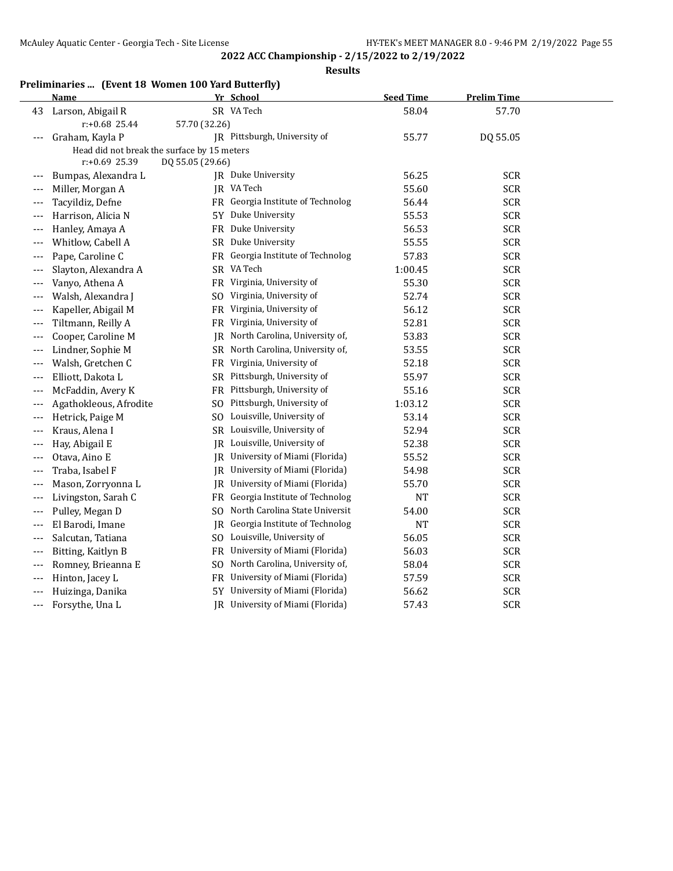**Results**

# **Preliminaries ... (Event 18 Women 100 Yard Butterfly)**

|       | Name                                        |                  | Yr School                         | <b>Seed Time</b> | <b>Prelim Time</b> |  |
|-------|---------------------------------------------|------------------|-----------------------------------|------------------|--------------------|--|
| 43    | Larson, Abigail R                           |                  | SR VA Tech                        | 58.04            | 57.70              |  |
|       | $r: +0.68$ 25.44                            | 57.70 (32.26)    |                                   |                  |                    |  |
| $---$ | Graham, Kayla P                             |                  | JR Pittsburgh, University of      | 55.77            | DQ 55.05           |  |
|       | Head did not break the surface by 15 meters |                  |                                   |                  |                    |  |
|       | $r: +0.69$ 25.39                            | DQ 55.05 (29.66) |                                   |                  |                    |  |
| $---$ | Bumpas, Alexandra L                         |                  | JR Duke University                | 56.25            | <b>SCR</b>         |  |
| $---$ | Miller, Morgan A                            |                  | JR VA Tech                        | 55.60            | <b>SCR</b>         |  |
|       | Tacyildiz, Defne                            |                  | FR Georgia Institute of Technolog | 56.44            | <b>SCR</b>         |  |
|       | Harrison, Alicia N                          |                  | 5Y Duke University                | 55.53            | <b>SCR</b>         |  |
| $---$ | Hanley, Amaya A                             | FR               | Duke University                   | 56.53            | <b>SCR</b>         |  |
| $---$ | Whitlow, Cabell A                           |                  | SR Duke University                | 55.55            | <b>SCR</b>         |  |
| $---$ | Pape, Caroline C                            |                  | FR Georgia Institute of Technolog | 57.83            | <b>SCR</b>         |  |
|       | Slayton, Alexandra A                        |                  | SR VA Tech                        | 1:00.45          | <b>SCR</b>         |  |
|       | Vanyo, Athena A                             |                  | FR Virginia, University of        | 55.30            | <b>SCR</b>         |  |
| $---$ | Walsh, Alexandra J                          |                  | SO Virginia, University of        | 52.74            | <b>SCR</b>         |  |
| $---$ | Kapeller, Abigail M                         | FR               | Virginia, University of           | 56.12            | <b>SCR</b>         |  |
| ---   | Tiltmann, Reilly A                          |                  | FR Virginia, University of        | 52.81            | <b>SCR</b>         |  |
|       | Cooper, Caroline M                          | IR               | North Carolina, University of,    | 53.83            | <b>SCR</b>         |  |
|       | Lindner, Sophie M                           |                  | SR North Carolina, University of, | 53.55            | <b>SCR</b>         |  |
|       | Walsh, Gretchen C                           | FR               | Virginia, University of           | 52.18            | <b>SCR</b>         |  |
|       | Elliott, Dakota L                           | SR               | Pittsburgh, University of         | 55.97            | <b>SCR</b>         |  |
|       | McFaddin, Avery K                           | FR               | Pittsburgh, University of         | 55.16            | <b>SCR</b>         |  |
| $---$ | Agathokleous, Afrodite                      | SO.              | Pittsburgh, University of         | 1:03.12          | <b>SCR</b>         |  |
| $---$ | Hetrick, Paige M                            | SO.              | Louisville, University of         | 53.14            | <b>SCR</b>         |  |
| $---$ | Kraus, Alena I                              |                  | SR Louisville, University of      | 52.94            | <b>SCR</b>         |  |
| $---$ | Hay, Abigail E                              |                  | JR Louisville, University of      | 52.38            | <b>SCR</b>         |  |
|       | Otava, Aino E                               |                  | JR University of Miami (Florida)  | 55.52            | <b>SCR</b>         |  |
| $---$ | Traba, Isabel F                             | JR.              | University of Miami (Florida)     | 54.98            | <b>SCR</b>         |  |
| $---$ | Mason, Zorryonna L                          | IR               | University of Miami (Florida)     | 55.70            | <b>SCR</b>         |  |
| $---$ | Livingston, Sarah C                         |                  | FR Georgia Institute of Technolog | <b>NT</b>        | <b>SCR</b>         |  |
| $---$ | Pulley, Megan D                             | SO.              | North Carolina State Universit    | 54.00            | <b>SCR</b>         |  |
| ---   | El Barodi, Imane                            | JR               | Georgia Institute of Technolog    | <b>NT</b>        | <b>SCR</b>         |  |
| $---$ | Salcutan, Tatiana                           |                  | SO Louisville, University of      | 56.05            | <b>SCR</b>         |  |
| $---$ | Bitting, Kaitlyn B                          |                  | FR University of Miami (Florida)  | 56.03            | <b>SCR</b>         |  |
| $---$ | Romney, Brieanna E                          | SO.              | North Carolina, University of,    | 58.04            | <b>SCR</b>         |  |
|       | Hinton, Jacey L                             | <b>FR</b>        | University of Miami (Florida)     | 57.59            | <b>SCR</b>         |  |
|       | Huizinga, Danika                            | 5Y               | University of Miami (Florida)     | 56.62            | <b>SCR</b>         |  |
|       | Forsythe, Una L                             |                  | JR University of Miami (Florida)  | 57.43            | <b>SCR</b>         |  |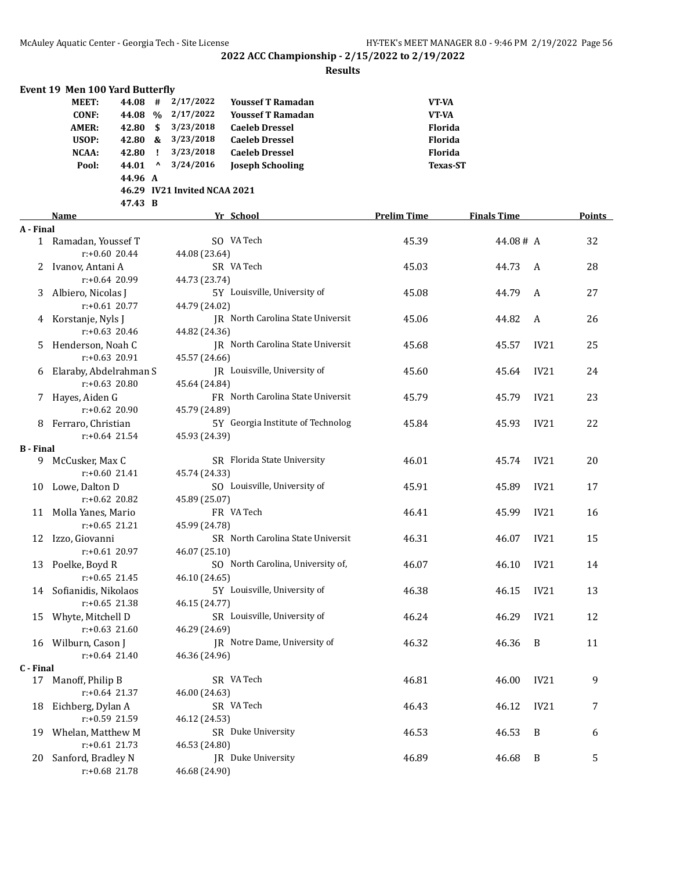|                  | <b>Event 19 Men 100 Yard Butterfly</b>      |          |                                 |                              |                                   |                    |                    |                  |        |
|------------------|---------------------------------------------|----------|---------------------------------|------------------------------|-----------------------------------|--------------------|--------------------|------------------|--------|
|                  | MEET:                                       | 44.08 #  |                                 | 2/17/2022                    | <b>Youssef T Ramadan</b>          | VT-VA              |                    |                  |        |
|                  | <b>CONF:</b>                                | 44.08 %  |                                 | 2/17/2022                    | <b>Youssef T Ramadan</b>          | VT-VA              |                    |                  |        |
|                  | <b>AMER:</b>                                | 42.80 \$ |                                 | 3/23/2018                    | <b>Caeleb Dressel</b>             | <b>Florida</b>     |                    |                  |        |
|                  | USOP:                                       | 42.80 &  |                                 | 3/23/2018                    | <b>Caeleb Dressel</b>             | Florida            |                    |                  |        |
|                  | NCAA:                                       | 42.80    | $\mathbf{I}$                    | 3/23/2018                    | <b>Caeleb Dressel</b>             | Florida            |                    |                  |        |
|                  | Pool:                                       | 44.01    | $\boldsymbol{\mathsf{\Lambda}}$ | 3/24/2016                    | <b>Joseph Schooling</b>           | <b>Texas-ST</b>    |                    |                  |        |
|                  |                                             | 44.96 A  |                                 |                              |                                   |                    |                    |                  |        |
|                  |                                             |          |                                 | 46.29 IV21 Invited NCAA 2021 |                                   |                    |                    |                  |        |
|                  |                                             | 47.43 B  |                                 |                              |                                   |                    |                    |                  |        |
|                  | Name                                        |          |                                 |                              | Yr School                         | <b>Prelim Time</b> | <b>Finals Time</b> |                  | Points |
| A - Final        |                                             |          |                                 |                              |                                   |                    |                    |                  |        |
|                  | 1 Ramadan, Youssef T                        |          |                                 |                              | SO VA Tech                        | 45.39              | 44.08# A           |                  | 32     |
|                  | $r: +0.60$ 20.44                            |          |                                 | 44.08 (23.64)                |                                   |                    |                    |                  |        |
| 2.               | Ivanov, Antani A                            |          |                                 |                              | SR VA Tech                        | 45.03              | 44.73              | A                | 28     |
|                  | $r: +0.64$ 20.99                            |          |                                 | 44.73 (23.74)                |                                   |                    |                    |                  |        |
| 3.               | Albiero, Nicolas J                          |          |                                 |                              | 5Y Louisville, University of      | 45.08              | 44.79              | A                | 27     |
|                  | $r: +0.61$ 20.77                            |          |                                 | 44.79 (24.02)                |                                   |                    |                    |                  |        |
|                  | 4 Korstanje, Nyls J                         |          |                                 |                              | JR North Carolina State Universit | 45.06              | 44.82              | A                | 26     |
|                  | $r: +0.63$ 20.46                            |          |                                 | 44.82 (24.36)                |                                   |                    |                    |                  |        |
| 5.               | Henderson, Noah C                           |          |                                 |                              | JR North Carolina State Universit | 45.68              | 45.57              | IV21             | 25     |
|                  | $r: +0.63$ 20.91                            |          |                                 | 45.57 (24.66)                |                                   |                    |                    |                  |        |
| 6                | Elaraby, Abdelrahman S                      |          |                                 |                              | JR Louisville, University of      | 45.60              | 45.64              | IV21             | 24     |
|                  | $r: +0.63$ 20.80                            |          |                                 | 45.64 (24.84)                |                                   |                    |                    |                  |        |
| 7.               | Hayes, Aiden G                              |          |                                 |                              | FR North Carolina State Universit | 45.79              | 45.79              | IV21             | 23     |
|                  | r:+0.62 20.90                               |          |                                 | 45.79 (24.89)                |                                   |                    |                    |                  |        |
|                  | Ferraro, Christian                          |          |                                 |                              | 5Y Georgia Institute of Technolog | 45.84              | 45.93              | IV21             | 22     |
|                  | $r: +0.64$ 21.54                            |          |                                 | 45.93 (24.39)                |                                   |                    |                    |                  |        |
| <b>B</b> - Final |                                             |          |                                 |                              |                                   |                    |                    |                  |        |
|                  | 9 McCusker, Max C                           |          |                                 |                              | SR Florida State University       | 46.01              | 45.74              | IV21             | 20     |
|                  | $r: +0.60$ 21.41                            |          |                                 | 45.74 (24.33)                |                                   |                    |                    |                  |        |
| 10               | Lowe, Dalton D                              |          |                                 |                              | SO Louisville, University of      | 45.91              | 45.89              | IV21             | 17     |
|                  | r:+0.62 20.82                               |          |                                 | 45.89 (25.07)                |                                   |                    |                    |                  |        |
|                  | 11 Molla Yanes, Mario                       |          |                                 |                              | FR VA Tech                        | 46.41              | 45.99              | IV21             | 16     |
|                  | $r: +0.65$ 21.21                            |          |                                 | 45.99 (24.78)                |                                   |                    |                    |                  |        |
| 12               | Izzo, Giovanni                              |          |                                 |                              | SR North Carolina State Universit | 46.31              | 46.07              | IV21             | 15     |
|                  | $r: +0.61$ 20.97                            |          |                                 | 46.07 (25.10)                |                                   |                    |                    |                  |        |
|                  | 13 Poelke, Boyd R                           |          |                                 |                              | SO North Carolina, University of, | 46.07              | 46.10              | IV21             | 14     |
|                  | r:+0.65 21.45                               |          |                                 | 46.10 (24.65)                |                                   |                    |                    |                  |        |
|                  | 14 Sofianidis, Nikolaos<br>$r: +0.65$ 21.38 |          |                                 |                              | 5Y Louisville, University of      | 46.38              | 46.15              | IV21             | 13     |
|                  |                                             |          |                                 | 46.15 (24.77)                | SR Louisville, University of      | 46.24              |                    | IV21             | 12     |
| 15               | Whyte, Mitchell D<br>$r: +0.63$ 21.60       |          |                                 | 46.29 (24.69)                |                                   |                    | 46.29              |                  |        |
|                  |                                             |          |                                 |                              | JR Notre Dame, University of      | 46.32              |                    | B                | 11     |
|                  | 16 Wilburn, Cason J<br>$r: +0.64$ 21.40     |          |                                 | 46.36 (24.96)                |                                   |                    | 46.36              |                  |        |
| C - Final        |                                             |          |                                 |                              |                                   |                    |                    |                  |        |
|                  | 17 Manoff, Philip B                         |          |                                 |                              | SR VA Tech                        | 46.81              | 46.00              | IV21             | 9      |
|                  | r:+0.64 21.37                               |          |                                 | 46.00 (24.63)                |                                   |                    |                    |                  |        |
| 18               | Eichberg, Dylan A                           |          |                                 |                              | SR VA Tech                        | 46.43              | 46.12              | IV21             | 7      |
|                  | r:+0.59 21.59                               |          |                                 | 46.12 (24.53)                |                                   |                    |                    |                  |        |
| 19               | Whelan, Matthew M                           |          |                                 |                              | SR Duke University                | 46.53              | 46.53              | B                | 6      |
|                  | $r: +0.61$ 21.73                            |          |                                 | 46.53 (24.80)                |                                   |                    |                    |                  |        |
| 20               | Sanford, Bradley N                          |          |                                 |                              | JR Duke University                | 46.89              | 46.68              | $\boldsymbol{B}$ | 5      |
|                  | r:+0.68 21.78                               |          |                                 | 46.68 (24.90)                |                                   |                    |                    |                  |        |
|                  |                                             |          |                                 |                              |                                   |                    |                    |                  |        |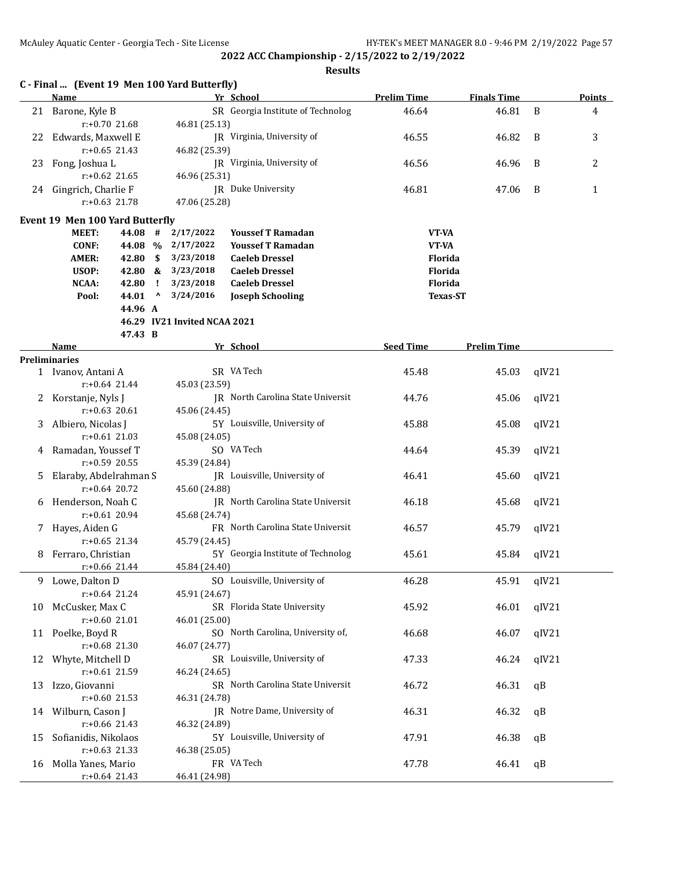|    | C - Final  (Event 19 Men 100 Yard Butterfly)<br><b>Name</b> |         |             |                              | Yr School                         | <b>Prelim Time</b> | <b>Finals Time</b> |       | <b>Points</b>  |
|----|-------------------------------------------------------------|---------|-------------|------------------------------|-----------------------------------|--------------------|--------------------|-------|----------------|
|    | 21 Barone, Kyle B                                           |         |             |                              | SR Georgia Institute of Technolog | 46.64              | 46.81              | B     | 4              |
|    | $r: +0.70$ 21.68                                            |         |             | 46.81 (25.13)                |                                   |                    |                    |       |                |
|    | 22 Edwards, Maxwell E                                       |         |             |                              | JR Virginia, University of        | 46.55              | 46.82              | B     | 3              |
|    | $r: +0.65$ 21.43                                            |         |             | 46.82 (25.39)                |                                   |                    |                    |       |                |
| 23 | Fong, Joshua L                                              |         |             | JR Virginia, University of   |                                   | 46.56              | 46.96              | B     | $\overline{2}$ |
|    | $r: +0.62$ 21.65                                            |         |             | 46.96 (25.31)                |                                   |                    |                    |       |                |
|    | 24 Gingrich, Charlie F                                      |         |             | JR Duke University           |                                   | 46.81              | 47.06              | B     | $\mathbf{1}$   |
|    | $r: +0.63$ 21.78                                            |         |             | 47.06 (25.28)                |                                   |                    |                    |       |                |
|    | Event 19 Men 100 Yard Butterfly                             |         |             |                              |                                   |                    |                    |       |                |
|    | <b>MEET:</b>                                                | 44.08 # |             | 2/17/2022                    | <b>Youssef T Ramadan</b>          | VT-VA              |                    |       |                |
|    | <b>CONF:</b>                                                | 44.08 % |             | 2/17/2022                    | <b>Youssef T Ramadan</b>          | VT-VA              |                    |       |                |
|    | <b>AMER:</b>                                                | 42.80   | \$          | 3/23/2018                    | <b>Caeleb Dressel</b>             | Florida            |                    |       |                |
|    | USOP:                                                       | 42.80   | &           | 3/23/2018                    | <b>Caeleb Dressel</b>             | Florida            |                    |       |                |
|    | NCAA:                                                       | 42.80   | -1          | 3/23/2018                    | <b>Caeleb Dressel</b>             | Florida            |                    |       |                |
|    | Pool:                                                       | 44.01   | $\mathbf v$ | 3/24/2016                    | <b>Joseph Schooling</b>           | <b>Texas-ST</b>    |                    |       |                |
|    |                                                             | 44.96 A |             |                              |                                   |                    |                    |       |                |
|    |                                                             |         |             | 46.29 IV21 Invited NCAA 2021 |                                   |                    |                    |       |                |
|    |                                                             | 47.43 B |             |                              |                                   |                    |                    |       |                |
|    | Name<br><b>Preliminaries</b>                                |         |             |                              | Yr School                         | <b>Seed Time</b>   | <b>Prelim Time</b> |       |                |
|    | 1 Ivanov, Antani A                                          |         |             |                              | SR VA Tech                        | 45.48              | 45.03              | qIV21 |                |
|    | r:+0.64 21.44                                               |         |             | 45.03 (23.59)                |                                   |                    |                    |       |                |
| 2  | Korstanje, Nyls J                                           |         |             |                              | JR North Carolina State Universit | 44.76              | 45.06              | qIV21 |                |
|    | $r: +0.63$ 20.61                                            |         |             | 45.06 (24.45)                |                                   |                    |                    |       |                |
| 3  | Albiero, Nicolas J                                          |         |             |                              | 5Y Louisville, University of      | 45.88              | 45.08              | qIV21 |                |
|    | $r: +0.61$ 21.03                                            |         |             | 45.08 (24.05)                |                                   |                    |                    |       |                |
| 4  | Ramadan, Youssef T                                          |         |             |                              | SO VA Tech                        | 44.64              | 45.39              | qIV21 |                |
|    | r:+0.59 20.55                                               |         |             | 45.39 (24.84)                |                                   |                    |                    |       |                |
| 5. | Elaraby, Abdelrahman S                                      |         |             |                              | JR Louisville, University of      | 46.41              | 45.60              | qIV21 |                |
|    | $r: +0.64$ 20.72                                            |         |             | 45.60 (24.88)                |                                   |                    |                    |       |                |
|    | 6 Henderson, Noah C                                         |         |             |                              | JR North Carolina State Universit | 46.18              | 45.68              | qIV21 |                |
|    | $r: +0.61$ 20.94                                            |         |             | 45.68 (24.74)                |                                   |                    |                    |       |                |
| 7  | Hayes, Aiden G                                              |         |             |                              | FR North Carolina State Universit | 46.57              | 45.79              | qIV21 |                |
|    | $r: +0.65$ 21.34                                            |         |             | 45.79 (24.45)                |                                   |                    |                    |       |                |
| 8  | Ferraro, Christian                                          |         |             |                              | 5Y Georgia Institute of Technolog | 45.61              | 45.84              | qIV21 |                |
|    | $r+0.66$ 21.44                                              |         |             | 45.84 (24.40)                |                                   |                    |                    |       |                |
| 9  | Lowe, Dalton D                                              |         |             |                              | SO Louisville, University of      | 46.28              | 45.91              | qIV21 |                |
|    | $r: +0.64$ 21.24                                            |         |             | 45.91 (24.67)                |                                   |                    |                    |       |                |
| 10 | McCusker, Max C                                             |         |             |                              | SR Florida State University       | 45.92              | 46.01              | qIV21 |                |
|    | $r: +0.60$ 21.01                                            |         |             | 46.01 (25.00)                |                                   |                    |                    |       |                |
| 11 | Poelke, Boyd R                                              |         |             |                              | SO North Carolina, University of, | 46.68              | 46.07              | qIV21 |                |
|    | $r: +0.68$ 21.30                                            |         |             | 46.07 (24.77)                |                                   |                    |                    |       |                |
| 12 | Whyte, Mitchell D                                           |         |             |                              | SR Louisville, University of      | 47.33              | 46.24              | qIV21 |                |
|    | $r: +0.61$ 21.59                                            |         |             | 46.24 (24.65)                |                                   |                    |                    |       |                |
| 13 | Izzo, Giovanni                                              |         |             |                              | SR North Carolina State Universit | 46.72              | 46.31              | qB    |                |
|    | $r: +0.60$ 21.53                                            |         |             | 46.31 (24.78)                |                                   |                    |                    |       |                |
| 14 | Wilburn, Cason J                                            |         |             |                              | JR Notre Dame, University of      | 46.31              | 46.32              | qB    |                |
|    | r:+0.66 21.43                                               |         |             | 46.32 (24.89)                |                                   |                    |                    |       |                |
| 15 | Sofianidis, Nikolaos<br>$r: +0.63$ 21.33                    |         |             |                              | 5Y Louisville, University of      | 47.91              | 46.38              | qB    |                |
|    | Molla Yanes, Mario                                          |         |             | 46.38 (25.05)                | FR VA Tech                        | 47.78              | 46.41              | qB    |                |
| 16 | $r: +0.64$ 21.43                                            |         |             | 46.41 (24.98)                |                                   |                    |                    |       |                |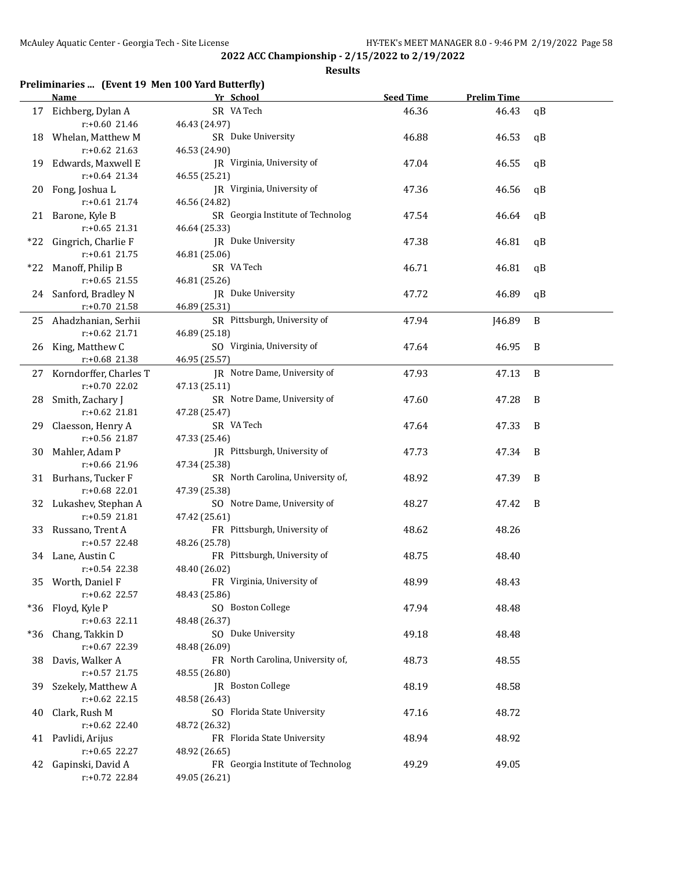#### **Results**

### **Preliminaries ... (Event 19 Men 100 Yard Butterfly)**

| SR VA Tech<br>46.36<br>46.43<br>Eichberg, Dylan A<br>qB<br>17<br>$r: +0.60$ 21.46<br>46.43 (24.97)<br>SR Duke University<br>46.88<br>46.53<br>18 Whelan, Matthew M<br>qB<br>$r: +0.62$ 21.63<br>46.53 (24.90)<br>Edwards, Maxwell E<br>JR Virginia, University of<br>47.04<br>46.55<br>qB<br>19<br>$r: +0.64$ 21.34<br>46.55 (25.21)<br>JR Virginia, University of<br>Fong, Joshua L<br>47.36<br>46.56<br>qB<br>20<br>$r: +0.61$ 21.74<br>46.56 (24.82)<br>SR Georgia Institute of Technolog<br>21 Barone, Kyle B<br>47.54<br>46.64<br>qB<br>$r: +0.65$ 21.31<br>46.64 (25.33)<br>JR Duke University<br>*22 Gingrich, Charlie F<br>47.38<br>46.81<br>qB<br>$r: +0.61$ 21.75<br>46.81 (25.06)<br>SR VA Tech<br>*22 Manoff, Philip B<br>46.71<br>46.81<br>qB<br>$r: +0.65$ 21.55<br>46.81 (25.26)<br>JR Duke University<br>47.72<br>46.89<br>qB<br>24 Sanford, Bradley N<br>$r: +0.70$ 21.58<br>46.89 (25.31)<br>SR Pittsburgh, University of<br>47.94<br>J46.89<br>B<br>25 Ahadzhanian, Serhii<br>$r: +0.62$ 21.71<br>46.89 (25.18)<br>King, Matthew C<br>SO Virginia, University of<br>47.64<br>46.95<br>B<br>26<br>r:+0.68 21.38<br>46.95 (25.57)<br>JR Notre Dame, University of<br>$\, {\bf B}$<br>Korndorffer, Charles T<br>47.93<br>47.13<br>27<br>r:+0.70 22.02<br>47.13 (25.11)<br>SR Notre Dame, University of<br>47.60<br>Smith, Zachary J<br>47.28<br>B<br>28<br>$r: +0.62$ 21.81<br>47.28 (25.47)<br>SR VA Tech<br>47.64<br>47.33<br>B<br>Claesson, Henry A<br>29<br>r:+0.56 21.87<br>47.33 (25.46)<br>Mahler, Adam P<br>JR Pittsburgh, University of<br>47.34<br>B<br>47.73<br>30<br>47.34 (25.38)<br>r:+0.66 21.96<br>SR North Carolina, University of,<br>48.92<br>47.39<br>B<br>31 Burhans, Tucker F<br>r:+0.68 22.01<br>47.39 (25.38)<br>SO Notre Dame, University of<br>48.27<br>B<br>32 Lukashev, Stephan A<br>47.42<br>r:+0.59 21.81<br>47.42 (25.61)<br>FR Pittsburgh, University of<br>48.62<br>48.26<br>33 Russano, Trent A<br>r:+0.57 22.48<br>48.26 (25.78)<br>FR Pittsburgh, University of<br>34 Lane, Austin C<br>48.75<br>48.40<br>$r: +0.54$ 22.38<br>48.40 (26.02)<br>48.99<br>48.43<br>35 Worth, Daniel F<br>FR Virginia, University of<br>r:+0.62 22.57<br>48.43 (25.86)<br>Floyd, Kyle P<br>SO Boston College<br>47.94<br>48.48<br>*36<br>$r: +0.63$ 22.11<br>48.48 (26.37)<br>SO Duke University<br>Chang, Takkin D<br>49.18<br>48.48<br>*36<br>r:+0.67 22.39<br>48.48 (26.09)<br>FR North Carolina, University of,<br>48.73<br>48.55<br>Davis, Walker A<br>38<br>$r: +0.57$ 21.75<br>48.55 (26.80)<br>JR Boston College<br>48.19<br>48.58<br>Szekely, Matthew A<br>39<br>$r: +0.62$ 22.15<br>48.58 (26.43)<br>Clark, Rush M<br>SO Florida State University<br>47.16<br>48.72<br>40<br>$r: +0.62$ 22.40<br>48.72 (26.32)<br>FR Florida State University<br>48.94<br>48.92<br>Pavlidi, Arijus<br>41<br>$r+0.65$ 22.27<br>48.92 (26.65)<br>FR Georgia Institute of Technolog<br>Gapinski, David A<br>49.29<br>49.05<br>42<br>r:+0.72 22.84<br>49.05 (26.21) | <b>Name</b> | Yr School | <b>Seed Time</b> | <b>Prelim Time</b> |  |
|--------------------------------------------------------------------------------------------------------------------------------------------------------------------------------------------------------------------------------------------------------------------------------------------------------------------------------------------------------------------------------------------------------------------------------------------------------------------------------------------------------------------------------------------------------------------------------------------------------------------------------------------------------------------------------------------------------------------------------------------------------------------------------------------------------------------------------------------------------------------------------------------------------------------------------------------------------------------------------------------------------------------------------------------------------------------------------------------------------------------------------------------------------------------------------------------------------------------------------------------------------------------------------------------------------------------------------------------------------------------------------------------------------------------------------------------------------------------------------------------------------------------------------------------------------------------------------------------------------------------------------------------------------------------------------------------------------------------------------------------------------------------------------------------------------------------------------------------------------------------------------------------------------------------------------------------------------------------------------------------------------------------------------------------------------------------------------------------------------------------------------------------------------------------------------------------------------------------------------------------------------------------------------------------------------------------------------------------------------------------------------------------------------------------------------------------------------------------------------------------------------------------------------------------------------------------------------------------------------------------------------------------------------------------------------------------------------------------------------------------------------------------------------------------------------------------------------------------------------------------------------------------------------------------------------------------------------------------------------------------|-------------|-----------|------------------|--------------------|--|
|                                                                                                                                                                                                                                                                                                                                                                                                                                                                                                                                                                                                                                                                                                                                                                                                                                                                                                                                                                                                                                                                                                                                                                                                                                                                                                                                                                                                                                                                                                                                                                                                                                                                                                                                                                                                                                                                                                                                                                                                                                                                                                                                                                                                                                                                                                                                                                                                                                                                                                                                                                                                                                                                                                                                                                                                                                                                                                                                                                                            |             |           |                  |                    |  |
|                                                                                                                                                                                                                                                                                                                                                                                                                                                                                                                                                                                                                                                                                                                                                                                                                                                                                                                                                                                                                                                                                                                                                                                                                                                                                                                                                                                                                                                                                                                                                                                                                                                                                                                                                                                                                                                                                                                                                                                                                                                                                                                                                                                                                                                                                                                                                                                                                                                                                                                                                                                                                                                                                                                                                                                                                                                                                                                                                                                            |             |           |                  |                    |  |
|                                                                                                                                                                                                                                                                                                                                                                                                                                                                                                                                                                                                                                                                                                                                                                                                                                                                                                                                                                                                                                                                                                                                                                                                                                                                                                                                                                                                                                                                                                                                                                                                                                                                                                                                                                                                                                                                                                                                                                                                                                                                                                                                                                                                                                                                                                                                                                                                                                                                                                                                                                                                                                                                                                                                                                                                                                                                                                                                                                                            |             |           |                  |                    |  |
|                                                                                                                                                                                                                                                                                                                                                                                                                                                                                                                                                                                                                                                                                                                                                                                                                                                                                                                                                                                                                                                                                                                                                                                                                                                                                                                                                                                                                                                                                                                                                                                                                                                                                                                                                                                                                                                                                                                                                                                                                                                                                                                                                                                                                                                                                                                                                                                                                                                                                                                                                                                                                                                                                                                                                                                                                                                                                                                                                                                            |             |           |                  |                    |  |
|                                                                                                                                                                                                                                                                                                                                                                                                                                                                                                                                                                                                                                                                                                                                                                                                                                                                                                                                                                                                                                                                                                                                                                                                                                                                                                                                                                                                                                                                                                                                                                                                                                                                                                                                                                                                                                                                                                                                                                                                                                                                                                                                                                                                                                                                                                                                                                                                                                                                                                                                                                                                                                                                                                                                                                                                                                                                                                                                                                                            |             |           |                  |                    |  |
|                                                                                                                                                                                                                                                                                                                                                                                                                                                                                                                                                                                                                                                                                                                                                                                                                                                                                                                                                                                                                                                                                                                                                                                                                                                                                                                                                                                                                                                                                                                                                                                                                                                                                                                                                                                                                                                                                                                                                                                                                                                                                                                                                                                                                                                                                                                                                                                                                                                                                                                                                                                                                                                                                                                                                                                                                                                                                                                                                                                            |             |           |                  |                    |  |
|                                                                                                                                                                                                                                                                                                                                                                                                                                                                                                                                                                                                                                                                                                                                                                                                                                                                                                                                                                                                                                                                                                                                                                                                                                                                                                                                                                                                                                                                                                                                                                                                                                                                                                                                                                                                                                                                                                                                                                                                                                                                                                                                                                                                                                                                                                                                                                                                                                                                                                                                                                                                                                                                                                                                                                                                                                                                                                                                                                                            |             |           |                  |                    |  |
|                                                                                                                                                                                                                                                                                                                                                                                                                                                                                                                                                                                                                                                                                                                                                                                                                                                                                                                                                                                                                                                                                                                                                                                                                                                                                                                                                                                                                                                                                                                                                                                                                                                                                                                                                                                                                                                                                                                                                                                                                                                                                                                                                                                                                                                                                                                                                                                                                                                                                                                                                                                                                                                                                                                                                                                                                                                                                                                                                                                            |             |           |                  |                    |  |
|                                                                                                                                                                                                                                                                                                                                                                                                                                                                                                                                                                                                                                                                                                                                                                                                                                                                                                                                                                                                                                                                                                                                                                                                                                                                                                                                                                                                                                                                                                                                                                                                                                                                                                                                                                                                                                                                                                                                                                                                                                                                                                                                                                                                                                                                                                                                                                                                                                                                                                                                                                                                                                                                                                                                                                                                                                                                                                                                                                                            |             |           |                  |                    |  |
|                                                                                                                                                                                                                                                                                                                                                                                                                                                                                                                                                                                                                                                                                                                                                                                                                                                                                                                                                                                                                                                                                                                                                                                                                                                                                                                                                                                                                                                                                                                                                                                                                                                                                                                                                                                                                                                                                                                                                                                                                                                                                                                                                                                                                                                                                                                                                                                                                                                                                                                                                                                                                                                                                                                                                                                                                                                                                                                                                                                            |             |           |                  |                    |  |
|                                                                                                                                                                                                                                                                                                                                                                                                                                                                                                                                                                                                                                                                                                                                                                                                                                                                                                                                                                                                                                                                                                                                                                                                                                                                                                                                                                                                                                                                                                                                                                                                                                                                                                                                                                                                                                                                                                                                                                                                                                                                                                                                                                                                                                                                                                                                                                                                                                                                                                                                                                                                                                                                                                                                                                                                                                                                                                                                                                                            |             |           |                  |                    |  |
|                                                                                                                                                                                                                                                                                                                                                                                                                                                                                                                                                                                                                                                                                                                                                                                                                                                                                                                                                                                                                                                                                                                                                                                                                                                                                                                                                                                                                                                                                                                                                                                                                                                                                                                                                                                                                                                                                                                                                                                                                                                                                                                                                                                                                                                                                                                                                                                                                                                                                                                                                                                                                                                                                                                                                                                                                                                                                                                                                                                            |             |           |                  |                    |  |
|                                                                                                                                                                                                                                                                                                                                                                                                                                                                                                                                                                                                                                                                                                                                                                                                                                                                                                                                                                                                                                                                                                                                                                                                                                                                                                                                                                                                                                                                                                                                                                                                                                                                                                                                                                                                                                                                                                                                                                                                                                                                                                                                                                                                                                                                                                                                                                                                                                                                                                                                                                                                                                                                                                                                                                                                                                                                                                                                                                                            |             |           |                  |                    |  |
|                                                                                                                                                                                                                                                                                                                                                                                                                                                                                                                                                                                                                                                                                                                                                                                                                                                                                                                                                                                                                                                                                                                                                                                                                                                                                                                                                                                                                                                                                                                                                                                                                                                                                                                                                                                                                                                                                                                                                                                                                                                                                                                                                                                                                                                                                                                                                                                                                                                                                                                                                                                                                                                                                                                                                                                                                                                                                                                                                                                            |             |           |                  |                    |  |
|                                                                                                                                                                                                                                                                                                                                                                                                                                                                                                                                                                                                                                                                                                                                                                                                                                                                                                                                                                                                                                                                                                                                                                                                                                                                                                                                                                                                                                                                                                                                                                                                                                                                                                                                                                                                                                                                                                                                                                                                                                                                                                                                                                                                                                                                                                                                                                                                                                                                                                                                                                                                                                                                                                                                                                                                                                                                                                                                                                                            |             |           |                  |                    |  |
|                                                                                                                                                                                                                                                                                                                                                                                                                                                                                                                                                                                                                                                                                                                                                                                                                                                                                                                                                                                                                                                                                                                                                                                                                                                                                                                                                                                                                                                                                                                                                                                                                                                                                                                                                                                                                                                                                                                                                                                                                                                                                                                                                                                                                                                                                                                                                                                                                                                                                                                                                                                                                                                                                                                                                                                                                                                                                                                                                                                            |             |           |                  |                    |  |
|                                                                                                                                                                                                                                                                                                                                                                                                                                                                                                                                                                                                                                                                                                                                                                                                                                                                                                                                                                                                                                                                                                                                                                                                                                                                                                                                                                                                                                                                                                                                                                                                                                                                                                                                                                                                                                                                                                                                                                                                                                                                                                                                                                                                                                                                                                                                                                                                                                                                                                                                                                                                                                                                                                                                                                                                                                                                                                                                                                                            |             |           |                  |                    |  |
|                                                                                                                                                                                                                                                                                                                                                                                                                                                                                                                                                                                                                                                                                                                                                                                                                                                                                                                                                                                                                                                                                                                                                                                                                                                                                                                                                                                                                                                                                                                                                                                                                                                                                                                                                                                                                                                                                                                                                                                                                                                                                                                                                                                                                                                                                                                                                                                                                                                                                                                                                                                                                                                                                                                                                                                                                                                                                                                                                                                            |             |           |                  |                    |  |
|                                                                                                                                                                                                                                                                                                                                                                                                                                                                                                                                                                                                                                                                                                                                                                                                                                                                                                                                                                                                                                                                                                                                                                                                                                                                                                                                                                                                                                                                                                                                                                                                                                                                                                                                                                                                                                                                                                                                                                                                                                                                                                                                                                                                                                                                                                                                                                                                                                                                                                                                                                                                                                                                                                                                                                                                                                                                                                                                                                                            |             |           |                  |                    |  |
|                                                                                                                                                                                                                                                                                                                                                                                                                                                                                                                                                                                                                                                                                                                                                                                                                                                                                                                                                                                                                                                                                                                                                                                                                                                                                                                                                                                                                                                                                                                                                                                                                                                                                                                                                                                                                                                                                                                                                                                                                                                                                                                                                                                                                                                                                                                                                                                                                                                                                                                                                                                                                                                                                                                                                                                                                                                                                                                                                                                            |             |           |                  |                    |  |
|                                                                                                                                                                                                                                                                                                                                                                                                                                                                                                                                                                                                                                                                                                                                                                                                                                                                                                                                                                                                                                                                                                                                                                                                                                                                                                                                                                                                                                                                                                                                                                                                                                                                                                                                                                                                                                                                                                                                                                                                                                                                                                                                                                                                                                                                                                                                                                                                                                                                                                                                                                                                                                                                                                                                                                                                                                                                                                                                                                                            |             |           |                  |                    |  |
|                                                                                                                                                                                                                                                                                                                                                                                                                                                                                                                                                                                                                                                                                                                                                                                                                                                                                                                                                                                                                                                                                                                                                                                                                                                                                                                                                                                                                                                                                                                                                                                                                                                                                                                                                                                                                                                                                                                                                                                                                                                                                                                                                                                                                                                                                                                                                                                                                                                                                                                                                                                                                                                                                                                                                                                                                                                                                                                                                                                            |             |           |                  |                    |  |
|                                                                                                                                                                                                                                                                                                                                                                                                                                                                                                                                                                                                                                                                                                                                                                                                                                                                                                                                                                                                                                                                                                                                                                                                                                                                                                                                                                                                                                                                                                                                                                                                                                                                                                                                                                                                                                                                                                                                                                                                                                                                                                                                                                                                                                                                                                                                                                                                                                                                                                                                                                                                                                                                                                                                                                                                                                                                                                                                                                                            |             |           |                  |                    |  |
|                                                                                                                                                                                                                                                                                                                                                                                                                                                                                                                                                                                                                                                                                                                                                                                                                                                                                                                                                                                                                                                                                                                                                                                                                                                                                                                                                                                                                                                                                                                                                                                                                                                                                                                                                                                                                                                                                                                                                                                                                                                                                                                                                                                                                                                                                                                                                                                                                                                                                                                                                                                                                                                                                                                                                                                                                                                                                                                                                                                            |             |           |                  |                    |  |
|                                                                                                                                                                                                                                                                                                                                                                                                                                                                                                                                                                                                                                                                                                                                                                                                                                                                                                                                                                                                                                                                                                                                                                                                                                                                                                                                                                                                                                                                                                                                                                                                                                                                                                                                                                                                                                                                                                                                                                                                                                                                                                                                                                                                                                                                                                                                                                                                                                                                                                                                                                                                                                                                                                                                                                                                                                                                                                                                                                                            |             |           |                  |                    |  |
|                                                                                                                                                                                                                                                                                                                                                                                                                                                                                                                                                                                                                                                                                                                                                                                                                                                                                                                                                                                                                                                                                                                                                                                                                                                                                                                                                                                                                                                                                                                                                                                                                                                                                                                                                                                                                                                                                                                                                                                                                                                                                                                                                                                                                                                                                                                                                                                                                                                                                                                                                                                                                                                                                                                                                                                                                                                                                                                                                                                            |             |           |                  |                    |  |
|                                                                                                                                                                                                                                                                                                                                                                                                                                                                                                                                                                                                                                                                                                                                                                                                                                                                                                                                                                                                                                                                                                                                                                                                                                                                                                                                                                                                                                                                                                                                                                                                                                                                                                                                                                                                                                                                                                                                                                                                                                                                                                                                                                                                                                                                                                                                                                                                                                                                                                                                                                                                                                                                                                                                                                                                                                                                                                                                                                                            |             |           |                  |                    |  |
|                                                                                                                                                                                                                                                                                                                                                                                                                                                                                                                                                                                                                                                                                                                                                                                                                                                                                                                                                                                                                                                                                                                                                                                                                                                                                                                                                                                                                                                                                                                                                                                                                                                                                                                                                                                                                                                                                                                                                                                                                                                                                                                                                                                                                                                                                                                                                                                                                                                                                                                                                                                                                                                                                                                                                                                                                                                                                                                                                                                            |             |           |                  |                    |  |
|                                                                                                                                                                                                                                                                                                                                                                                                                                                                                                                                                                                                                                                                                                                                                                                                                                                                                                                                                                                                                                                                                                                                                                                                                                                                                                                                                                                                                                                                                                                                                                                                                                                                                                                                                                                                                                                                                                                                                                                                                                                                                                                                                                                                                                                                                                                                                                                                                                                                                                                                                                                                                                                                                                                                                                                                                                                                                                                                                                                            |             |           |                  |                    |  |
|                                                                                                                                                                                                                                                                                                                                                                                                                                                                                                                                                                                                                                                                                                                                                                                                                                                                                                                                                                                                                                                                                                                                                                                                                                                                                                                                                                                                                                                                                                                                                                                                                                                                                                                                                                                                                                                                                                                                                                                                                                                                                                                                                                                                                                                                                                                                                                                                                                                                                                                                                                                                                                                                                                                                                                                                                                                                                                                                                                                            |             |           |                  |                    |  |
|                                                                                                                                                                                                                                                                                                                                                                                                                                                                                                                                                                                                                                                                                                                                                                                                                                                                                                                                                                                                                                                                                                                                                                                                                                                                                                                                                                                                                                                                                                                                                                                                                                                                                                                                                                                                                                                                                                                                                                                                                                                                                                                                                                                                                                                                                                                                                                                                                                                                                                                                                                                                                                                                                                                                                                                                                                                                                                                                                                                            |             |           |                  |                    |  |
|                                                                                                                                                                                                                                                                                                                                                                                                                                                                                                                                                                                                                                                                                                                                                                                                                                                                                                                                                                                                                                                                                                                                                                                                                                                                                                                                                                                                                                                                                                                                                                                                                                                                                                                                                                                                                                                                                                                                                                                                                                                                                                                                                                                                                                                                                                                                                                                                                                                                                                                                                                                                                                                                                                                                                                                                                                                                                                                                                                                            |             |           |                  |                    |  |
|                                                                                                                                                                                                                                                                                                                                                                                                                                                                                                                                                                                                                                                                                                                                                                                                                                                                                                                                                                                                                                                                                                                                                                                                                                                                                                                                                                                                                                                                                                                                                                                                                                                                                                                                                                                                                                                                                                                                                                                                                                                                                                                                                                                                                                                                                                                                                                                                                                                                                                                                                                                                                                                                                                                                                                                                                                                                                                                                                                                            |             |           |                  |                    |  |
|                                                                                                                                                                                                                                                                                                                                                                                                                                                                                                                                                                                                                                                                                                                                                                                                                                                                                                                                                                                                                                                                                                                                                                                                                                                                                                                                                                                                                                                                                                                                                                                                                                                                                                                                                                                                                                                                                                                                                                                                                                                                                                                                                                                                                                                                                                                                                                                                                                                                                                                                                                                                                                                                                                                                                                                                                                                                                                                                                                                            |             |           |                  |                    |  |
|                                                                                                                                                                                                                                                                                                                                                                                                                                                                                                                                                                                                                                                                                                                                                                                                                                                                                                                                                                                                                                                                                                                                                                                                                                                                                                                                                                                                                                                                                                                                                                                                                                                                                                                                                                                                                                                                                                                                                                                                                                                                                                                                                                                                                                                                                                                                                                                                                                                                                                                                                                                                                                                                                                                                                                                                                                                                                                                                                                                            |             |           |                  |                    |  |
|                                                                                                                                                                                                                                                                                                                                                                                                                                                                                                                                                                                                                                                                                                                                                                                                                                                                                                                                                                                                                                                                                                                                                                                                                                                                                                                                                                                                                                                                                                                                                                                                                                                                                                                                                                                                                                                                                                                                                                                                                                                                                                                                                                                                                                                                                                                                                                                                                                                                                                                                                                                                                                                                                                                                                                                                                                                                                                                                                                                            |             |           |                  |                    |  |
|                                                                                                                                                                                                                                                                                                                                                                                                                                                                                                                                                                                                                                                                                                                                                                                                                                                                                                                                                                                                                                                                                                                                                                                                                                                                                                                                                                                                                                                                                                                                                                                                                                                                                                                                                                                                                                                                                                                                                                                                                                                                                                                                                                                                                                                                                                                                                                                                                                                                                                                                                                                                                                                                                                                                                                                                                                                                                                                                                                                            |             |           |                  |                    |  |
|                                                                                                                                                                                                                                                                                                                                                                                                                                                                                                                                                                                                                                                                                                                                                                                                                                                                                                                                                                                                                                                                                                                                                                                                                                                                                                                                                                                                                                                                                                                                                                                                                                                                                                                                                                                                                                                                                                                                                                                                                                                                                                                                                                                                                                                                                                                                                                                                                                                                                                                                                                                                                                                                                                                                                                                                                                                                                                                                                                                            |             |           |                  |                    |  |
|                                                                                                                                                                                                                                                                                                                                                                                                                                                                                                                                                                                                                                                                                                                                                                                                                                                                                                                                                                                                                                                                                                                                                                                                                                                                                                                                                                                                                                                                                                                                                                                                                                                                                                                                                                                                                                                                                                                                                                                                                                                                                                                                                                                                                                                                                                                                                                                                                                                                                                                                                                                                                                                                                                                                                                                                                                                                                                                                                                                            |             |           |                  |                    |  |
|                                                                                                                                                                                                                                                                                                                                                                                                                                                                                                                                                                                                                                                                                                                                                                                                                                                                                                                                                                                                                                                                                                                                                                                                                                                                                                                                                                                                                                                                                                                                                                                                                                                                                                                                                                                                                                                                                                                                                                                                                                                                                                                                                                                                                                                                                                                                                                                                                                                                                                                                                                                                                                                                                                                                                                                                                                                                                                                                                                                            |             |           |                  |                    |  |
|                                                                                                                                                                                                                                                                                                                                                                                                                                                                                                                                                                                                                                                                                                                                                                                                                                                                                                                                                                                                                                                                                                                                                                                                                                                                                                                                                                                                                                                                                                                                                                                                                                                                                                                                                                                                                                                                                                                                                                                                                                                                                                                                                                                                                                                                                                                                                                                                                                                                                                                                                                                                                                                                                                                                                                                                                                                                                                                                                                                            |             |           |                  |                    |  |
|                                                                                                                                                                                                                                                                                                                                                                                                                                                                                                                                                                                                                                                                                                                                                                                                                                                                                                                                                                                                                                                                                                                                                                                                                                                                                                                                                                                                                                                                                                                                                                                                                                                                                                                                                                                                                                                                                                                                                                                                                                                                                                                                                                                                                                                                                                                                                                                                                                                                                                                                                                                                                                                                                                                                                                                                                                                                                                                                                                                            |             |           |                  |                    |  |
|                                                                                                                                                                                                                                                                                                                                                                                                                                                                                                                                                                                                                                                                                                                                                                                                                                                                                                                                                                                                                                                                                                                                                                                                                                                                                                                                                                                                                                                                                                                                                                                                                                                                                                                                                                                                                                                                                                                                                                                                                                                                                                                                                                                                                                                                                                                                                                                                                                                                                                                                                                                                                                                                                                                                                                                                                                                                                                                                                                                            |             |           |                  |                    |  |
|                                                                                                                                                                                                                                                                                                                                                                                                                                                                                                                                                                                                                                                                                                                                                                                                                                                                                                                                                                                                                                                                                                                                                                                                                                                                                                                                                                                                                                                                                                                                                                                                                                                                                                                                                                                                                                                                                                                                                                                                                                                                                                                                                                                                                                                                                                                                                                                                                                                                                                                                                                                                                                                                                                                                                                                                                                                                                                                                                                                            |             |           |                  |                    |  |
|                                                                                                                                                                                                                                                                                                                                                                                                                                                                                                                                                                                                                                                                                                                                                                                                                                                                                                                                                                                                                                                                                                                                                                                                                                                                                                                                                                                                                                                                                                                                                                                                                                                                                                                                                                                                                                                                                                                                                                                                                                                                                                                                                                                                                                                                                                                                                                                                                                                                                                                                                                                                                                                                                                                                                                                                                                                                                                                                                                                            |             |           |                  |                    |  |
|                                                                                                                                                                                                                                                                                                                                                                                                                                                                                                                                                                                                                                                                                                                                                                                                                                                                                                                                                                                                                                                                                                                                                                                                                                                                                                                                                                                                                                                                                                                                                                                                                                                                                                                                                                                                                                                                                                                                                                                                                                                                                                                                                                                                                                                                                                                                                                                                                                                                                                                                                                                                                                                                                                                                                                                                                                                                                                                                                                                            |             |           |                  |                    |  |
|                                                                                                                                                                                                                                                                                                                                                                                                                                                                                                                                                                                                                                                                                                                                                                                                                                                                                                                                                                                                                                                                                                                                                                                                                                                                                                                                                                                                                                                                                                                                                                                                                                                                                                                                                                                                                                                                                                                                                                                                                                                                                                                                                                                                                                                                                                                                                                                                                                                                                                                                                                                                                                                                                                                                                                                                                                                                                                                                                                                            |             |           |                  |                    |  |
|                                                                                                                                                                                                                                                                                                                                                                                                                                                                                                                                                                                                                                                                                                                                                                                                                                                                                                                                                                                                                                                                                                                                                                                                                                                                                                                                                                                                                                                                                                                                                                                                                                                                                                                                                                                                                                                                                                                                                                                                                                                                                                                                                                                                                                                                                                                                                                                                                                                                                                                                                                                                                                                                                                                                                                                                                                                                                                                                                                                            |             |           |                  |                    |  |
|                                                                                                                                                                                                                                                                                                                                                                                                                                                                                                                                                                                                                                                                                                                                                                                                                                                                                                                                                                                                                                                                                                                                                                                                                                                                                                                                                                                                                                                                                                                                                                                                                                                                                                                                                                                                                                                                                                                                                                                                                                                                                                                                                                                                                                                                                                                                                                                                                                                                                                                                                                                                                                                                                                                                                                                                                                                                                                                                                                                            |             |           |                  |                    |  |
|                                                                                                                                                                                                                                                                                                                                                                                                                                                                                                                                                                                                                                                                                                                                                                                                                                                                                                                                                                                                                                                                                                                                                                                                                                                                                                                                                                                                                                                                                                                                                                                                                                                                                                                                                                                                                                                                                                                                                                                                                                                                                                                                                                                                                                                                                                                                                                                                                                                                                                                                                                                                                                                                                                                                                                                                                                                                                                                                                                                            |             |           |                  |                    |  |
|                                                                                                                                                                                                                                                                                                                                                                                                                                                                                                                                                                                                                                                                                                                                                                                                                                                                                                                                                                                                                                                                                                                                                                                                                                                                                                                                                                                                                                                                                                                                                                                                                                                                                                                                                                                                                                                                                                                                                                                                                                                                                                                                                                                                                                                                                                                                                                                                                                                                                                                                                                                                                                                                                                                                                                                                                                                                                                                                                                                            |             |           |                  |                    |  |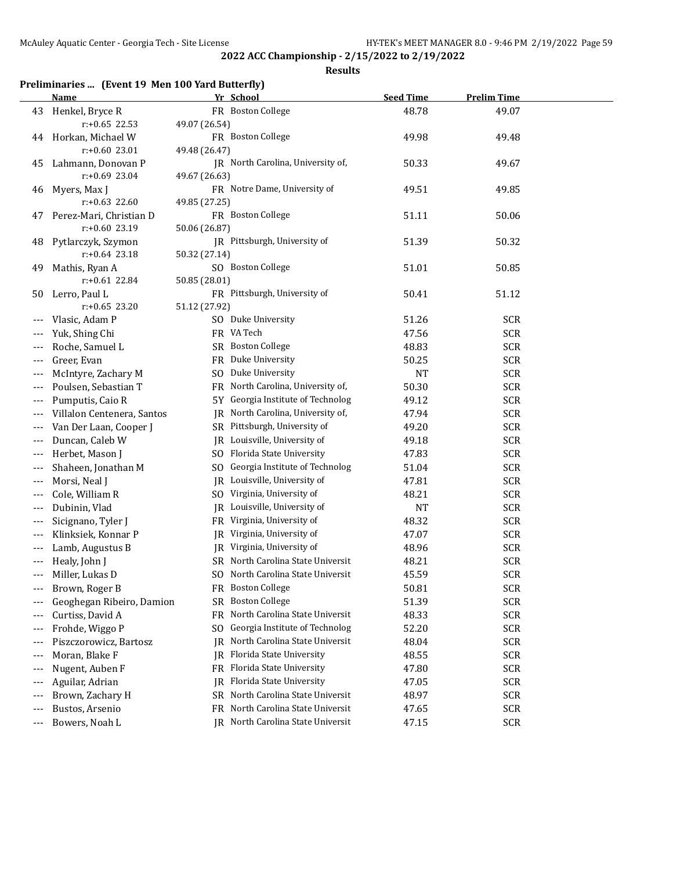**Results**

# **Preliminaries ... (Event 19 Men 100 Yard Butterfly)**

|       | <b>Name</b>                |                | Yr School                         | <b>Seed Time</b> | <b>Prelim Time</b> |  |
|-------|----------------------------|----------------|-----------------------------------|------------------|--------------------|--|
| 43    | Henkel, Bryce R            |                | FR Boston College                 | 48.78            | 49.07              |  |
|       | $r: +0.65$ 22.53           | 49.07 (26.54)  |                                   |                  |                    |  |
| 44    | Horkan, Michael W          |                | FR Boston College                 | 49.98            | 49.48              |  |
|       | $r: +0.60$ 23.01           | 49.48 (26.47)  |                                   |                  |                    |  |
| 45    | Lahmann, Donovan P         |                | JR North Carolina, University of, | 50.33            | 49.67              |  |
|       | $r: +0.69$ 23.04           | 49.67 (26.63)  |                                   |                  |                    |  |
| 46    | Myers, Max J               |                | FR Notre Dame, University of      | 49.51            | 49.85              |  |
|       | $r: +0.63$ 22.60           | 49.85 (27.25)  |                                   |                  |                    |  |
| 47    | Perez-Mari, Christian D    |                | FR Boston College                 | 51.11            | 50.06              |  |
|       | $r: +0.60$ 23.19           | 50.06 (26.87)  |                                   |                  |                    |  |
| 48    | Pytlarczyk, Szymon         |                | JR Pittsburgh, University of      | 51.39            | 50.32              |  |
|       | $r: +0.64$ 23.18           | 50.32 (27.14)  |                                   |                  |                    |  |
| 49    | Mathis, Ryan A             |                | SO Boston College                 | 51.01            | 50.85              |  |
|       | $r: +0.61$ 22.84           | 50.85 (28.01)  |                                   |                  |                    |  |
| 50    | Lerro, Paul L              |                | FR Pittsburgh, University of      | 50.41            | 51.12              |  |
|       | $r: +0.65$ 23.20           | 51.12 (27.92)  |                                   |                  |                    |  |
|       | Vlasic, Adam P             |                | SO Duke University                | 51.26            | <b>SCR</b>         |  |
|       | Yuk, Shing Chi             |                | FR VA Tech                        | 47.56            | <b>SCR</b>         |  |
| ---   | Roche, Samuel L            |                | SR Boston College                 | 48.83            | <b>SCR</b>         |  |
| ---   | Greer, Evan                | FR             | Duke University                   | 50.25            | <b>SCR</b>         |  |
| ---   | McIntyre, Zachary M        | S <sub>O</sub> | Duke University                   | <b>NT</b>        | <b>SCR</b>         |  |
|       | Poulsen, Sebastian T       | FR             | North Carolina, University of,    | 50.30            | <b>SCR</b>         |  |
|       | Pumputis, Caio R           | 5Y .           | Georgia Institute of Technolog    | 49.12            | <b>SCR</b>         |  |
|       | Villalon Centenera, Santos | JR             | North Carolina, University of,    | 47.94            | <b>SCR</b>         |  |
|       | Van Der Laan, Cooper J     |                | SR Pittsburgh, University of      | 49.20            | <b>SCR</b>         |  |
|       | Duncan, Caleb W            |                | JR Louisville, University of      | 49.18            | <b>SCR</b>         |  |
|       | Herbet, Mason J            |                | SO Florida State University       | 47.83            | <b>SCR</b>         |  |
| $---$ | Shaheen, Jonathan M        | SO.            | Georgia Institute of Technolog    | 51.04            | <b>SCR</b>         |  |
| $---$ | Morsi, Neal J              |                | JR Louisville, University of      | 47.81            | <b>SCR</b>         |  |
| $---$ | Cole, William R            |                | SO Virginia, University of        | 48.21            | <b>SCR</b>         |  |
|       | Dubinin, Vlad              |                | JR Louisville, University of      | <b>NT</b>        | <b>SCR</b>         |  |
|       | Sicignano, Tyler J         |                | FR Virginia, University of        | 48.32            | <b>SCR</b>         |  |
|       | Klinksiek, Konnar P        | IR             | Virginia, University of           | 47.07            | <b>SCR</b>         |  |
|       | Lamb, Augustus B           |                | JR Virginia, University of        | 48.96            | <b>SCR</b>         |  |
|       | Healy, John J              |                | SR North Carolina State Universit | 48.21            | <b>SCR</b>         |  |
|       | Miller, Lukas D            |                | SO North Carolina State Universit | 45.59            | <b>SCR</b>         |  |
|       | Brown, Roger B             |                | FR Boston College                 | 50.81            | <b>SCR</b>         |  |
|       | Geoghegan Ribeiro, Damion  |                | SR Boston College                 | 51.39            | <b>SCR</b>         |  |
|       | Curtiss, David A           | FR             | North Carolina State Universit    | 48.33            | <b>SCR</b>         |  |
| ---   | Frohde, Wiggo P            | SO             | Georgia Institute of Technolog    | 52.20            | <b>SCR</b>         |  |
| ---   | Piszczorowicz, Bartosz     | IR             | North Carolina State Universit    | 48.04            | <b>SCR</b>         |  |
| ---   | Moran, Blake F             |                | JR Florida State University       | 48.55            | <b>SCR</b>         |  |
| ---   | Nugent, Auben F            |                | FR Florida State University       | 47.80            | <b>SCR</b>         |  |
| $---$ | Aguilar, Adrian            | IR             | Florida State University          | 47.05            | <b>SCR</b>         |  |
| ---   | Brown, Zachary H           |                | SR North Carolina State Universit | 48.97            | <b>SCR</b>         |  |
|       | Bustos, Arsenio            |                | FR North Carolina State Universit | 47.65            | <b>SCR</b>         |  |
| ---   | Bowers, Noah L             |                | JR North Carolina State Universit | 47.15            | <b>SCR</b>         |  |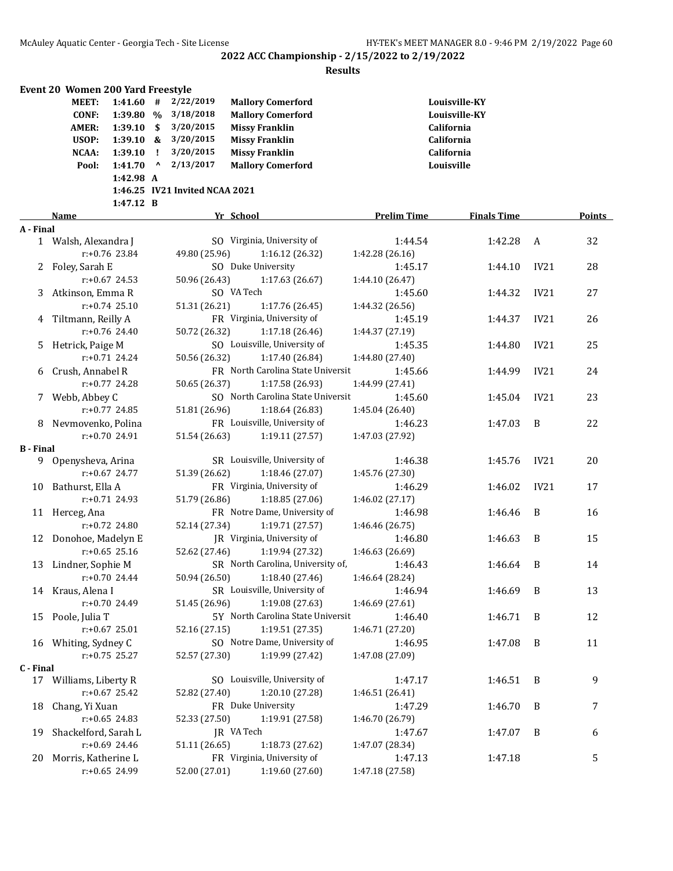|                  | Event 20 Women 200 Yard Freestyle            |                                     |              |                                     |                                                                               |                    |                                              |      |        |
|------------------|----------------------------------------------|-------------------------------------|--------------|-------------------------------------|-------------------------------------------------------------------------------|--------------------|----------------------------------------------|------|--------|
|                  | <b>MEET:</b><br><b>CONF:</b><br><b>AMER:</b> | $1:41.60$ #<br>1:39.80 %<br>1:39.10 | \$           | 2/22/2019<br>3/18/2018<br>3/20/2015 | <b>Mallory Comerford</b><br><b>Mallory Comerford</b><br><b>Missy Franklin</b> |                    | Louisville-KY<br>Louisville-KY<br>California |      |        |
|                  | USOP:                                        | 1:39.10 &                           |              | 3/20/2015                           | <b>Missy Franklin</b>                                                         |                    | California                                   |      |        |
|                  | NCAA:                                        | 1:39.10                             | $\mathbf{I}$ | 3/20/2015                           | <b>Missy Franklin</b>                                                         |                    | California                                   |      |        |
|                  | Pool:                                        | 1:41.70                             | $\mathbf{v}$ | 2/13/2017                           | <b>Mallory Comerford</b>                                                      |                    | Louisville                                   |      |        |
|                  |                                              | 1:42.98 A                           |              |                                     |                                                                               |                    |                                              |      |        |
|                  |                                              |                                     |              | 1:46.25 IV21 Invited NCAA 2021      |                                                                               |                    |                                              |      |        |
|                  |                                              | 1:47.12 B                           |              |                                     |                                                                               |                    |                                              |      |        |
| A - Final        | Name                                         |                                     |              |                                     | Yr School                                                                     | <b>Prelim Time</b> | <b>Finals Time</b>                           |      | Points |
|                  | 1 Walsh, Alexandra J                         |                                     |              |                                     | SO Virginia, University of                                                    | 1:44.54            | 1:42.28                                      | A    | 32     |
|                  |                                              | $r: +0.76$ 23.84                    |              | 49.80 (25.96)                       | 1:16.12 (26.32)                                                               | 1:42.28 (26.16)    |                                              |      |        |
| 2                | Foley, Sarah E                               |                                     |              |                                     | SO Duke University                                                            | 1:45.17            | 1:44.10                                      | IV21 | 28     |
|                  |                                              | $r: +0.67$ 24.53                    |              | 50.96 (26.43)                       | 1:17.63 (26.67)                                                               | 1:44.10 (26.47)    |                                              |      |        |
| 3                | Atkinson, Emma R                             |                                     |              |                                     | SO VA Tech                                                                    | 1:45.60            | 1:44.32                                      | IV21 | 27     |
|                  |                                              | $r: +0.74$ 25.10                    |              | 51.31 (26.21)                       | 1:17.76 (26.45)                                                               | 1:44.32 (26.56)    |                                              |      |        |
|                  | 4 Tiltmann, Reilly A                         |                                     |              |                                     | FR Virginia, University of                                                    | 1:45.19            | 1:44.37                                      | IV21 | 26     |
|                  |                                              | $r: +0.76$ 24.40                    |              | 50.72 (26.32)                       | 1:17.18 (26.46)                                                               | 1:44.37 (27.19)    |                                              |      |        |
| 5                | Hetrick, Paige M                             |                                     |              |                                     | SO Louisville, University of                                                  | 1:45.35            | 1:44.80                                      | IV21 | 25     |
|                  |                                              | $r: +0.71$ 24.24                    |              | 50.56 (26.32)                       | 1:17.40 (26.84)                                                               | 1:44.80 (27.40)    |                                              |      |        |
| 6                | Crush, Annabel R                             |                                     |              |                                     | FR North Carolina State Universit                                             | 1:45.66            | 1:44.99                                      | IV21 | 24     |
|                  |                                              | $r: +0.77$ 24.28                    |              | 50.65 (26.37)                       | 1:17.58 (26.93)                                                               | 1:44.99 (27.41)    |                                              |      |        |
| 7                | Webb, Abbey C                                |                                     |              |                                     | SO North Carolina State Universit                                             | 1:45.60            | 1:45.04                                      | IV21 | 23     |
|                  |                                              | $r: +0.77$ 24.85                    |              | 51.81 (26.96)                       | 1:18.64 (26.83)                                                               | 1:45.04 (26.40)    |                                              |      |        |
| 8                | Nevmovenko, Polina                           |                                     |              |                                     | FR Louisville, University of                                                  | 1:46.23            | 1:47.03                                      | B    | 22     |
|                  |                                              | $r: +0.70$ 24.91                    |              | 51.54 (26.63)                       | 1:19.11 (27.57)                                                               | 1:47.03 (27.92)    |                                              |      |        |
| <b>B</b> - Final |                                              |                                     |              |                                     |                                                                               |                    |                                              |      |        |
|                  | 9 Openysheva, Arina                          |                                     |              |                                     | SR Louisville, University of                                                  | 1:46.38            | 1:45.76                                      | IV21 | 20     |
|                  |                                              | $r: +0.67$ 24.77                    |              | 51.39 (26.62)                       | 1:18.46 (27.07)                                                               | 1:45.76 (27.30)    |                                              |      |        |
| 10               | Bathurst, Ella A                             |                                     |              |                                     | FR Virginia, University of                                                    | 1:46.29            | 1:46.02                                      | IV21 | 17     |
|                  |                                              | $r: +0.71$ 24.93                    |              | 51.79 (26.86)                       | 1:18.85 (27.06)                                                               | 1:46.02 (27.17)    |                                              |      |        |
|                  | 11 Herceg, Ana                               |                                     |              |                                     | FR Notre Dame, University of                                                  | 1:46.98            | 1:46.46                                      | B    | 16     |
|                  |                                              | $r: +0.72$ 24.80                    |              | 52.14 (27.34)                       | 1:19.71 (27.57)                                                               | 1:46.46 (26.75)    |                                              |      |        |
| 12               | Donohoe, Madelyn E                           |                                     |              |                                     | JR Virginia, University of                                                    | 1:46.80            | 1:46.63                                      | B    | 15     |
|                  |                                              | $r: +0.65$ 25.16                    |              | 52.62 (27.46)                       | 1:19.94 (27.32)                                                               | 1:46.63 (26.69)    |                                              |      |        |
|                  | 13 Lindner, Sophie M                         |                                     |              |                                     | SR North Carolina, University of,                                             | 1:46.43            | 1:46.64                                      | B    | 14     |
|                  |                                              | $r: +0.70$ 24.44                    |              | 50.94 (26.50)                       | 1:18.40 (27.46)                                                               | 1:46.64 (28.24)    |                                              |      |        |
|                  | 14 Kraus, Alena I                            |                                     |              |                                     | SR Louisville, University of                                                  | 1:46.94            | 1:46.69                                      | B    | 13     |
|                  |                                              | r:+0.70 24.49                       |              | 51.45 (26.96)                       | 1:19.08 (27.63)                                                               | 1:46.69 (27.61)    |                                              |      |        |
| 15               | Poole, Julia T                               |                                     |              |                                     | 5Y North Carolina State Universit                                             | 1:46.40            | 1:46.71                                      | B    | 12     |
|                  |                                              | $r: +0.67$ 25.01                    |              | 52.16 (27.15)                       | 1:19.51 (27.35)                                                               | 1:46.71 (27.20)    |                                              |      |        |
|                  | 16 Whiting, Sydney C                         |                                     |              |                                     | SO Notre Dame, University of                                                  | 1:46.95            | 1:47.08                                      | B    | 11     |
|                  |                                              | $r: +0.75$ 25.27                    |              | 52.57 (27.30)                       | 1:19.99 (27.42)                                                               | 1:47.08 (27.09)    |                                              |      |        |
| C - Final        |                                              |                                     |              |                                     |                                                                               |                    |                                              |      |        |
|                  | 17 Williams, Liberty R                       |                                     |              |                                     | SO Louisville, University of                                                  | 1:47.17            | 1:46.51                                      | B    | 9      |
|                  |                                              | $r: +0.67$ 25.42                    |              | 52.82 (27.40)                       | 1:20.10 (27.28)                                                               | 1:46.51 (26.41)    |                                              |      |        |
| 18               | Chang, Yi Xuan                               |                                     |              |                                     | FR Duke University                                                            | 1:47.29            | 1:46.70                                      | B    | 7      |
|                  |                                              | r:+0.65 24.83                       |              | 52.33 (27.50)                       | 1:19.91 (27.58)                                                               | 1:46.70 (26.79)    |                                              |      |        |
| 19               | Shackelford, Sarah L                         |                                     |              |                                     | JR VA Tech                                                                    | 1:47.67            | 1:47.07                                      | B    | 6      |
|                  |                                              | r:+0.69 24.46                       |              | 51.11 (26.65)                       | 1:18.73 (27.62)                                                               | 1:47.07 (28.34)    |                                              |      |        |
| 20               | Morris, Katherine L                          |                                     |              |                                     | FR Virginia, University of                                                    | 1:47.13            | 1:47.18                                      |      | 5      |
|                  |                                              | r:+0.65 24.99                       |              | 52.00 (27.01)                       | 1:19.60 (27.60)                                                               | 1:47.18 (27.58)    |                                              |      |        |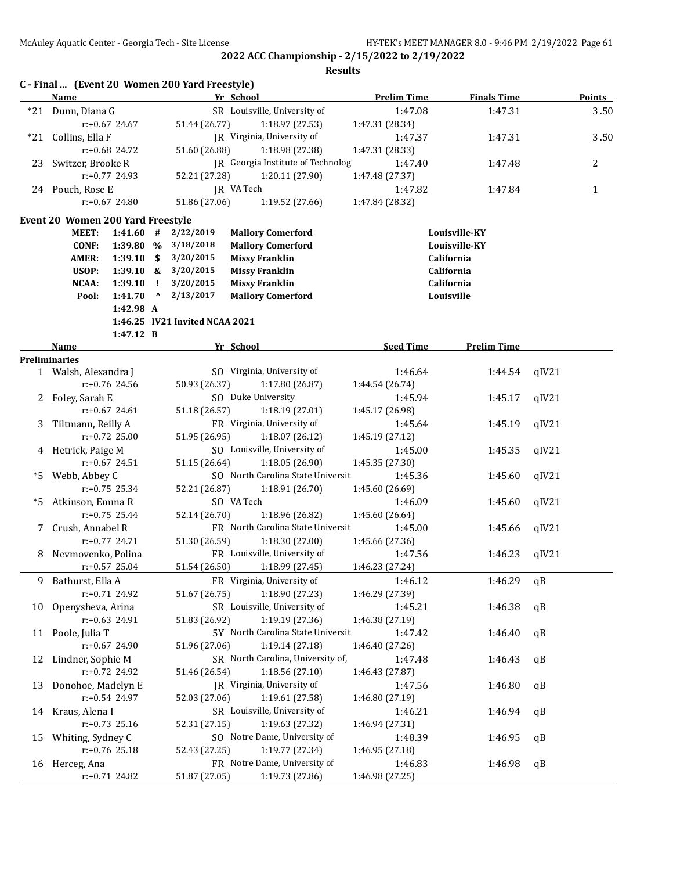|    | Name                                |                  |              |                                   | Yr School                         | <b>Prelim Time</b> | <b>Finals Time</b> |       | <b>Points</b> |
|----|-------------------------------------|------------------|--------------|-----------------------------------|-----------------------------------|--------------------|--------------------|-------|---------------|
|    | *21 Dunn, Diana G                   |                  |              |                                   | SR Louisville, University of      | 1:47.08            | 1:47.31            |       | 3.50          |
|    |                                     | $r: +0.67$ 24.67 |              | 51.44 (26.77)                     | 1:18.97 (27.53)                   | 1:47.31 (28.34)    |                    |       |               |
|    | *21 Collins, Ella F                 |                  |              |                                   | JR Virginia, University of        | 1:47.37            | 1:47.31            |       | 3.50          |
|    |                                     | $r: +0.68$ 24.72 |              | 51.60 (26.88)<br>1:18.98 (27.38)  |                                   | 1:47.31 (28.33)    |                    |       |               |
| 23 | Switzer, Brooke R                   |                  |              | IR Georgia Institute of Technolog |                                   | 1:47.40            | 1:47.48            |       | 2             |
|    |                                     | $r: +0.77$ 24.93 |              | 52.21 (27.28)                     | 1:20.11 (27.90)                   | 1:47.48 (27.37)    |                    |       |               |
|    | 24 Pouch, Rose E                    |                  |              |                                   | JR VA Tech                        | 1:47.82            | 1:47.84            |       | 1             |
|    |                                     | $r: +0.67$ 24.80 |              | 51.86 (27.06)                     | 1:19.52 (27.66)                   | 1:47.84 (28.32)    |                    |       |               |
|    |                                     |                  |              |                                   |                                   |                    |                    |       |               |
|    | Event 20 Women 200 Yard Freestyle   |                  |              |                                   |                                   |                    |                    |       |               |
|    | <b>MEET:</b>                        | 1:41.60          | #            | 2/22/2019                         | <b>Mallory Comerford</b>          |                    | Louisville-KY      |       |               |
|    | <b>CONF:</b>                        | 1:39.80 %        |              | 3/18/2018                         | <b>Mallory Comerford</b>          |                    | Louisville-KY      |       |               |
|    | <b>AMER:</b>                        | 1:39.10          | - \$         | 3/20/2015                         | <b>Missy Franklin</b>             |                    | California         |       |               |
|    | USOP:                               | $1:39.10 \&$     |              | 3/20/2015                         | <b>Missy Franklin</b>             |                    | California         |       |               |
|    | NCAA:                               | 1:39.10          | $\mathbf{I}$ | 3/20/2015                         | <b>Missy Franklin</b>             |                    | California         |       |               |
|    | Pool:                               | 1:41.70          | $\mathbf{v}$ | 2/13/2017                         | <b>Mallory Comerford</b>          |                    | Louisville         |       |               |
|    |                                     | 1:42.98 A        |              | 1:46.25 IV21 Invited NCAA 2021    |                                   |                    |                    |       |               |
|    |                                     |                  |              |                                   |                                   |                    |                    |       |               |
|    |                                     | 1:47.12 B        |              |                                   |                                   | <b>Seed Time</b>   |                    |       |               |
|    | <b>Name</b><br><b>Preliminaries</b> |                  |              |                                   | Yr School                         |                    | <b>Prelim Time</b> |       |               |
|    | 1 Walsh, Alexandra J                |                  |              |                                   | SO Virginia, University of        | 1:46.64            | 1:44.54            | qIV21 |               |
|    |                                     | $r: +0.76$ 24.56 |              | 50.93 (26.37)                     | 1:17.80 (26.87)                   | 1:44.54 (26.74)    |                    |       |               |
|    | 2 Foley, Sarah E                    |                  |              |                                   | SO Duke University                | 1:45.94            | 1:45.17            | qIV21 |               |
|    |                                     | $r: +0.67$ 24.61 |              | 51.18 (26.57)                     | 1:18.19 (27.01)                   | 1:45.17 (26.98)    |                    |       |               |
| 3  | Tiltmann, Reilly A                  |                  |              |                                   | FR Virginia, University of        | 1:45.64            | 1:45.19            | qIV21 |               |
|    |                                     | $r: +0.72$ 25.00 |              | 51.95 (26.95)                     | 1:18.07(26.12)                    | 1:45.19 (27.12)    |                    |       |               |
|    | 4 Hetrick, Paige M                  |                  |              |                                   | SO Louisville, University of      | 1:45.00            | 1:45.35            | qIV21 |               |
|    |                                     | $r: +0.67$ 24.51 |              | 51.15 (26.64)                     | 1:18.05 (26.90)                   | 1:45.35 (27.30)    |                    |       |               |
|    |                                     |                  |              |                                   | SO North Carolina State Universit |                    |                    |       |               |
| *5 | Webb, Abbey C                       |                  |              |                                   |                                   | 1:45.36            | 1:45.60            | qIV21 |               |
|    |                                     | $r: +0.75$ 25.34 |              | 52.21 (26.87)                     | 1:18.91 (26.70)                   | 1:45.60 (26.69)    |                    |       |               |
| *5 | Atkinson, Emma R                    |                  |              |                                   | SO VA Tech                        | 1:46.09            | 1:45.60            | qIV21 |               |
|    |                                     | $r: +0.75$ 25.44 |              | 52.14 (26.70)                     | 1:18.96 (26.82)                   | 1:45.60 (26.64)    |                    |       |               |
| 7  | Crush, Annabel R                    |                  |              |                                   | FR North Carolina State Universit | 1:45.00            | 1:45.66            | qIV21 |               |
|    |                                     | $r: +0.77$ 24.71 |              | 51.30 (26.59)                     | 1:18.30 (27.00)                   | 1:45.66 (27.36)    |                    |       |               |
| 8  | Nevmovenko, Polina                  |                  |              |                                   | FR Louisville, University of      | 1:47.56            | 1:46.23            | qIV21 |               |
|    |                                     | $r: +0.57$ 25.04 |              | 51.54 (26.50)                     | 1:18.99 (27.45)                   | 1:46.23 (27.24)    |                    |       |               |
| 9  | Bathurst, Ella A                    |                  |              |                                   | FR Virginia, University of        | 1:46.12            | 1:46.29            | qB    |               |
|    |                                     | r:+0.71 24.92    |              | 51.67 (26.75)                     | 1:18.90 (27.23)                   | 1:46.29 (27.39)    |                    |       |               |
| 10 | Openysheva, Arina                   |                  |              |                                   | SR Louisville, University of      | 1:45.21            | 1:46.38            | qB    |               |
|    |                                     | r:+0.63 24.91    |              | 51.83 (26.92)                     | 1:19.19 (27.36)                   | 1:46.38 (27.19)    |                    |       |               |
|    | 11 Poole, Julia T                   |                  |              |                                   | 5Y North Carolina State Universit | 1:47.42            | 1:46.40            | qB    |               |
|    |                                     | $r: +0.67$ 24.90 |              | 51.96 (27.06)                     | 1:19.14 (27.18)                   | 1:46.40 (27.26)    |                    |       |               |
| 12 | Lindner, Sophie M                   |                  |              |                                   | SR North Carolina, University of, | 1:47.48            | 1:46.43            | qB    |               |
|    |                                     | r:+0.72 24.92    |              | 51.46 (26.54)                     | 1:18.56 (27.10)                   | 1:46.43 (27.87)    |                    |       |               |
| 13 | Donohoe, Madelyn E                  |                  |              |                                   | IR Virginia, University of        | 1:47.56            | 1:46.80            | qB    |               |
|    |                                     | r:+0.54 24.97    |              | 52.03 (27.06)                     | 1:19.61 (27.58)                   | 1:46.80 (27.19)    |                    |       |               |
|    | 14 Kraus, Alena I                   |                  |              |                                   | SR Louisville, University of      | 1:46.21            | 1:46.94            | qB    |               |
|    |                                     | $r.+0.73$ 25.16  |              | 52.31 (27.15)                     | 1:19.63 (27.32)                   | 1:46.94 (27.31)    |                    |       |               |
| 15 | Whiting, Sydney C                   |                  |              |                                   | SO Notre Dame, University of      | 1:48.39            | 1:46.95            | qB    |               |
|    |                                     | $r: +0.76$ 25.18 |              | 52.43 (27.25)                     | 1:19.77 (27.34)                   | 1:46.95 (27.18)    |                    |       |               |
|    | 16 Herceg, Ana                      |                  |              |                                   | FR Notre Dame, University of      | 1:46.83            | 1:46.98            | qB    |               |
|    |                                     | r:+0.71 24.82    |              | 51.87 (27.05)                     | 1:19.73 (27.86)                   | 1:46.98 (27.25)    |                    |       |               |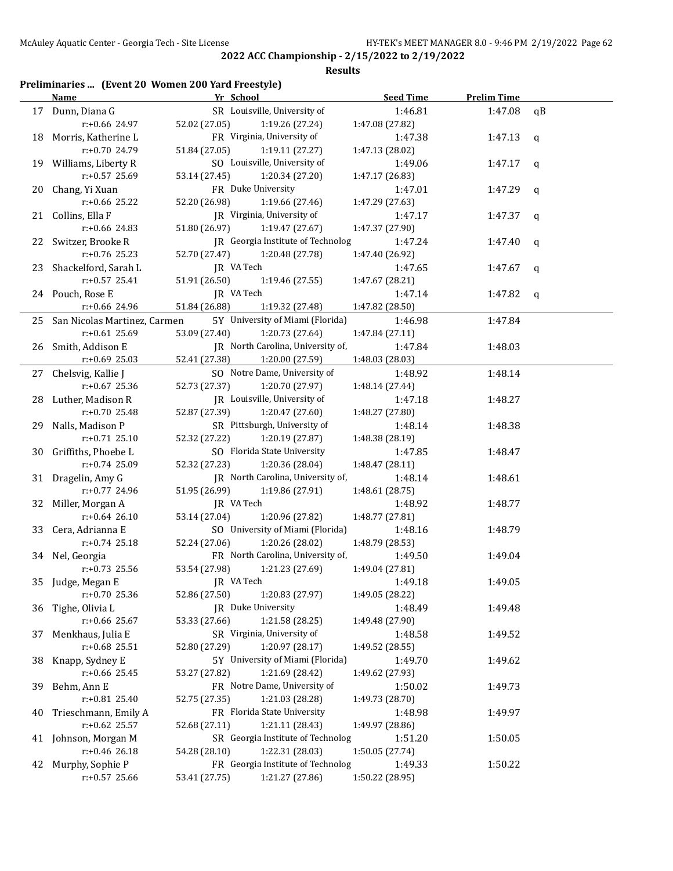#### **Results**

### **Preliminaries ... (Event 20 Women 200 Yard Freestyle)**

|      | <b>Name</b>                          | Yr School                                      | <b>Seed Time</b>           | <b>Prelim Time</b> |             |
|------|--------------------------------------|------------------------------------------------|----------------------------|--------------------|-------------|
|      | 17 Dunn, Diana G                     | SR Louisville, University of                   | 1:46.81                    | 1:47.08            | qB          |
|      | r:+0.66 24.97                        | 52.02 (27.05)<br>1:19.26 (27.24)               | 1:47.08 (27.82)            |                    |             |
|      | 18 Morris, Katherine L               | FR Virginia, University of                     | 1:47.38                    | 1:47.13            | $\mathbf q$ |
|      | r:+0.70 24.79                        | 51.84 (27.05)<br>1:19.11 (27.27)               | 1:47.13 (28.02)            |                    |             |
|      | 19 Williams, Liberty R               | SO Louisville, University of                   | 1:49.06                    | 1:47.17            | q           |
|      | r:+0.57 25.69                        | 53.14 (27.45)<br>1:20.34 (27.20)               | 1:47.17 (26.83)            |                    |             |
| 20   | Chang, Yi Xuan                       | FR Duke University                             | 1:47.01                    | 1:47.29            | q           |
|      | r:+0.66 25.22                        | 1:19.66 (27.46)<br>52.20 (26.98)               | 1:47.29 (27.63)            |                    |             |
| 21   | Collins, Ella F                      | JR Virginia, University of                     | 1:47.17                    | 1:47.37            | q           |
|      | r:+0.66 24.83                        | 51.80 (26.97)<br>1:19.47 (27.67)               | 1:47.37 (27.90)            |                    |             |
| 22 - | Switzer, Brooke R                    | JR Georgia Institute of Technolog              | 1:47.24                    | 1:47.40            | q           |
|      | r:+0.76 25.23                        | 52.70 (27.47)<br>1:20.48 (27.78)               | 1:47.40 (26.92)            |                    |             |
| 23   | Shackelford, Sarah L                 | JR VA Tech                                     | 1:47.65                    | 1:47.67            | q           |
|      | r:+0.57 25.41                        | 51.91 (26.50)<br>1:19.46 (27.55)               | 1:47.67 (28.21)            |                    |             |
|      | 24 Pouch, Rose E                     | JR VA Tech                                     | 1:47.14                    | 1:47.82            | q           |
|      | r:+0.66 24.96                        | 51.84 (26.88)<br>1:19.32 (27.48)               | 1:47.82 (28.50)            |                    |             |
| 25   | San Nicolas Martinez, Carmen         | 5Y University of Miami (Florida)               | 1:46.98                    | 1:47.84            |             |
|      | r:+0.61 25.69                        | 53.09 (27.40)<br>1:20.73 (27.64)               | 1:47.84 (27.11)            |                    |             |
|      | 26 Smith, Addison E                  | JR North Carolina, University of,              | 1:47.84                    | 1:48.03            |             |
|      | $r: +0.69$ 25.03                     | 52.41 (27.38)<br>1:20.00 (27.59)               | 1:48.03 (28.03)            |                    |             |
| 27   | Chelsvig, Kallie J                   | SO Notre Dame, University of                   | 1:48.92                    | 1:48.14            |             |
|      | $r: +0.67$ 25.36                     | 52.73 (27.37)<br>1:20.70 (27.97)               | 1:48.14 (27.44)            |                    |             |
|      | 28 Luther, Madison R                 | JR Louisville, University of                   | 1:47.18                    | 1:48.27            |             |
|      | r:+0.70 25.48                        | 52.87 (27.39)<br>1:20.47 (27.60)               | 1:48.27 (27.80)            |                    |             |
| 29.  | Nalls, Madison P                     | SR Pittsburgh, University of                   | 1:48.14                    | 1:48.38            |             |
|      | $r: +0.71$ 25.10                     | 52.32 (27.22)<br>1:20.19 (27.87)               | 1:48.38 (28.19)            |                    |             |
|      | 30 Griffiths, Phoebe L               | SO Florida State University                    | 1:47.85                    | 1:48.47            |             |
|      | r:+0.74 25.09                        | 52.32 (27.23)<br>1:20.36 (28.04)               | 1:48.47 (28.11)            |                    |             |
|      | 31 Dragelin, Amy G<br>r:+0.77 24.96  | JR North Carolina, University of,              | 1:48.14                    | 1:48.61            |             |
|      |                                      | 51.95 (26.99)<br>1:19.86 (27.91)<br>JR VA Tech | 1:48.61 (28.75)<br>1:48.92 |                    |             |
| 32   | Miller, Morgan A<br>$r: +0.64$ 26.10 | 53.14 (27.04)<br>1:20.96 (27.82)               | 1:48.77 (27.81)            | 1:48.77            |             |
| 33   | Cera, Adrianna E                     | SO University of Miami (Florida)               | 1:48.16                    | 1:48.79            |             |
|      | $r: +0.74$ 25.18                     | 52.24 (27.06)<br>1:20.26 (28.02)               | 1:48.79 (28.53)            |                    |             |
|      | 34 Nel, Georgia                      | FR North Carolina, University of,              | 1:49.50                    | 1:49.04            |             |
|      | $r: +0.73$ 25.56                     | 53.54 (27.98)<br>1:21.23 (27.69)               | 1:49.04 (27.81)            |                    |             |
|      | 35 Judge, Megan E                    | JR VA Tech                                     | 1:49.18                    | 1:49.05            |             |
|      | $r: +0.70$ 25.36                     | 1:20.83 (27.97)<br>52.86 (27.50)               | 1:49.05 (28.22)            |                    |             |
| 36   | Tighe, Olivia L                      | JR Duke University                             | 1:48.49                    | 1:49.48            |             |
|      | r:+0.66 25.67                        | 1:21.58 (28.25)<br>53.33 (27.66)               | 1:49.48 (27.90)            |                    |             |
| 37   | Menkhaus, Julia E                    | SR Virginia, University of                     | 1:48.58                    | 1:49.52            |             |
|      | $r: +0.68$ 25.51                     | 1:20.97 (28.17)<br>52.80 (27.29)               | 1:49.52 (28.55)            |                    |             |
| 38   | Knapp, Sydney E                      | 5Y University of Miami (Florida)               | 1:49.70                    | 1:49.62            |             |
|      | r:+0.66 25.45                        | 53.27 (27.82)<br>1:21.69 (28.42)               | 1:49.62 (27.93)            |                    |             |
| 39   | Behm, Ann E                          | FR Notre Dame, University of                   | 1:50.02                    | 1:49.73            |             |
|      | $r: +0.81$ 25.40                     | 52.75 (27.35)<br>1:21.03 (28.28)               | 1:49.73 (28.70)            |                    |             |
| 40   | Trieschmann, Emily A                 | FR Florida State University                    | 1:48.98                    | 1:49.97            |             |
|      | $r: +0.62$ 25.57                     | 52.68 (27.11)<br>1:21.11 (28.43)               | 1:49.97 (28.86)            |                    |             |
| 41   | Johnson, Morgan M                    | SR Georgia Institute of Technolog              | 1:51.20                    | 1:50.05            |             |
|      | $r: +0.46$ 26.18                     | 54.28 (28.10)<br>1:22.31 (28.03)               | 1:50.05 (27.74)            |                    |             |
| 42   | Murphy, Sophie P                     | FR Georgia Institute of Technolog              | 1:49.33                    | 1:50.22            |             |
|      | $r: +0.57$ 25.66                     | 53.41 (27.75)<br>1:21.27 (27.86)               | 1:50.22 (28.95)            |                    |             |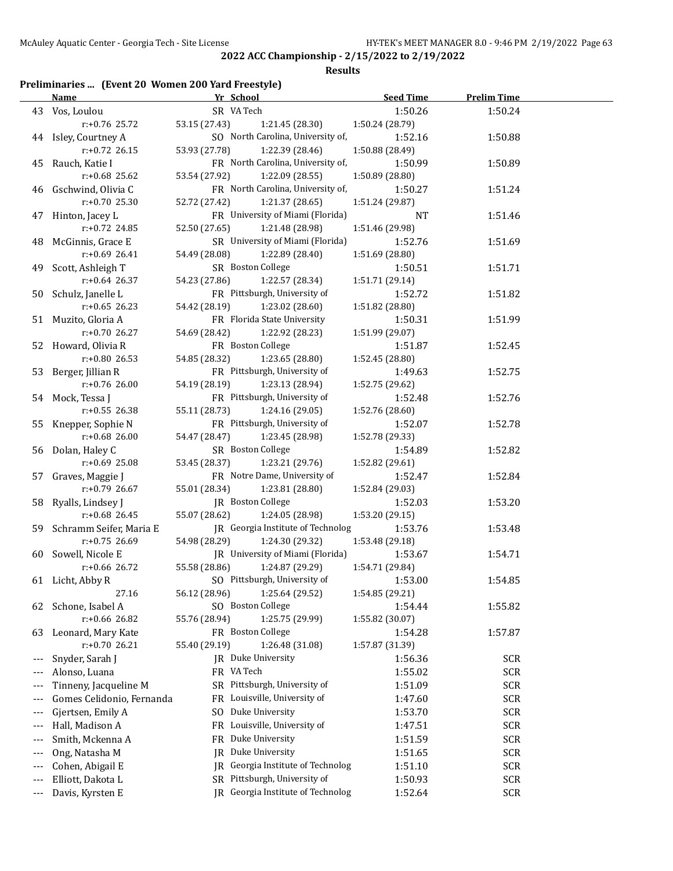#### **Results**

### **Preliminaries ... (Event 20 Women 200 Yard Freestyle)**

|       | <b>Name</b>                              | Yr School                            | <b>Seed Time</b> | <b>Prelim Time</b> |  |
|-------|------------------------------------------|--------------------------------------|------------------|--------------------|--|
|       | 43 Vos, Loulou                           | SR VA Tech                           | 1:50.26          | 1:50.24            |  |
|       | r:+0.76 25.72                            | 53.15 (27.43)<br>1:21.45 (28.30)     | 1:50.24 (28.79)  |                    |  |
|       | 44 Isley, Courtney A                     | SO North Carolina, University of,    | 1:52.16          | 1:50.88            |  |
|       | $r: +0.72$ 26.15                         | 53.93 (27.78)<br>1:22.39 (28.46)     | 1:50.88 (28.49)  |                    |  |
|       | 45 Rauch, Katie I                        | FR North Carolina, University of,    | 1:50.99          | 1:50.89            |  |
|       | $r: +0.68$ 25.62                         | 53.54 (27.92)<br>1:22.09 (28.55)     | 1:50.89 (28.80)  |                    |  |
|       | 46 Gschwind, Olivia C                    | FR North Carolina, University of,    | 1:50.27          | 1:51.24            |  |
|       | $r: +0.70$ 25.30                         | 52.72 (27.42)<br>1:21.37 (28.65)     | 1:51.24 (29.87)  |                    |  |
|       | 47 Hinton, Jacey L                       | FR University of Miami (Florida)     | NT               | 1:51.46            |  |
|       | r:+0.72 24.85                            | 52.50 (27.65)<br>1:21.48 (28.98)     | 1:51.46 (29.98)  |                    |  |
|       | 48 McGinnis, Grace E                     | SR University of Miami (Florida)     | 1:52.76          | 1:51.69            |  |
|       | $r: +0.69$ 26.41                         | 54.49 (28.08)<br>1:22.89 (28.40)     | 1:51.69 (28.80)  |                    |  |
|       | 49 Scott, Ashleigh T                     | SR Boston College                    | 1:50.51          | 1:51.71            |  |
|       | $r: +0.64$ 26.37                         | 54.23 (27.86)<br>1:22.57 (28.34)     | 1:51.71 (29.14)  |                    |  |
|       |                                          | FR Pittsburgh, University of         | 1:52.72          |                    |  |
|       | 50 Schulz, Janelle L<br>$r: +0.65$ 26.23 |                                      |                  | 1:51.82            |  |
|       |                                          | 54.42 (28.19)<br>1:23.02 (28.60)     | 1:51.82 (28.80)  |                    |  |
|       | 51 Muzito, Gloria A                      | FR Florida State University          | 1:50.31          | 1:51.99            |  |
|       | $r: +0.70$ 26.27                         | 54.69 (28.42)<br>1:22.92 (28.23)     | 1:51.99 (29.07)  |                    |  |
|       | 52 Howard, Olivia R                      | FR Boston College                    | 1:51.87          | 1:52.45            |  |
|       | $r: +0.80$ 26.53                         | 54.85 (28.32)<br>1:23.65 (28.80)     | 1:52.45 (28.80)  |                    |  |
|       | 53 Berger, Jillian R                     | FR Pittsburgh, University of         | 1:49.63          | 1:52.75            |  |
|       | r:+0.76 26.00                            | 54.19 (28.19)<br>1:23.13 (28.94)     | 1:52.75 (29.62)  |                    |  |
|       | 54 Mock, Tessa J                         | FR Pittsburgh, University of         | 1:52.48          | 1:52.76            |  |
|       | $r: +0.55$ 26.38                         | 55.11 (28.73)<br>1:24.16 (29.05)     | 1:52.76 (28.60)  |                    |  |
|       | 55 Knepper, Sophie N                     | FR Pittsburgh, University of         | 1:52.07          | 1:52.78            |  |
|       | $r: +0.68$ 26.00                         | 54.47 (28.47)<br>1:23.45 (28.98)     | 1:52.78 (29.33)  |                    |  |
|       | 56 Dolan, Haley C                        | SR Boston College                    | 1:54.89          | 1:52.82            |  |
|       | $r: +0.69$ 25.08                         | 53.45 (28.37)<br>1:23.21 (29.76)     | 1:52.82 (29.61)  |                    |  |
|       | 57 Graves, Maggie J                      | FR Notre Dame, University of         | 1:52.47          | 1:52.84            |  |
|       | $r: +0.79$ 26.67                         | 1:23.81 (28.80)<br>55.01 (28.34)     | 1:52.84 (29.03)  |                    |  |
|       | 58 Ryalls, Lindsey J                     | JR Boston College                    | 1:52.03          | 1:53.20            |  |
|       | $r: +0.68$ 26.45                         | 55.07 (28.62)<br>1:24.05 (28.98)     | 1:53.20 (29.15)  |                    |  |
|       | 59 Schramm Seifer, Maria E               | JR Georgia Institute of Technolog    | 1:53.76          | 1:53.48            |  |
|       | $r: +0.75$ 26.69                         | 54.98 (28.29)<br>1:24.30 (29.32)     | 1:53.48 (29.18)  |                    |  |
|       | 60 Sowell, Nicole E                      | JR University of Miami (Florida)     | 1:53.67          | 1:54.71            |  |
|       | $r: +0.66$ 26.72                         | 55.58 (28.86)<br>1:24.87 (29.29)     | 1:54.71 (29.84)  |                    |  |
|       | 61 Licht, Abby R                         | SO Pittsburgh, University of         | 1:53.00          | 1:54.85            |  |
|       | 27.16                                    | 1:25.64 (29.52)<br>56.12 (28.96)     | 1:54.85 (29.21)  |                    |  |
|       | 62 Schone, Isabel A                      | SO Boston College                    | 1:54.44          | 1:55.82            |  |
|       | r:+0.66 26.82                            | 55.76 (28.94)<br>1:25.75 (29.99)     | 1:55.82 (30.07)  |                    |  |
| 63    | Leonard, Mary Kate                       | FR Boston College                    | 1:54.28          | 1:57.87            |  |
|       | r:+0.70 26.21                            | 55.40 (29.19)<br>1:26.48 (31.08)     | 1:57.87 (31.39)  |                    |  |
|       | Snyder, Sarah J                          | JR Duke University                   | 1:56.36          | <b>SCR</b>         |  |
|       | Alonso, Luana                            | FR VA Tech                           | 1:55.02          | <b>SCR</b>         |  |
|       | Tinneny, Jacqueline M                    | SR Pittsburgh, University of         | 1:51.09          | <b>SCR</b>         |  |
|       | Gomes Celidonio, Fernanda                | FR Louisville, University of         | 1:47.60          | SCR                |  |
|       | Gjertsen, Emily A                        | Duke University<br>SO.               | 1:53.70          | <b>SCR</b>         |  |
|       | Hall, Madison A                          | FR Louisville, University of         | 1:47.51          | <b>SCR</b>         |  |
|       | Smith, Mckenna A                         | Duke University<br>FR                | 1:51.59          | <b>SCR</b>         |  |
|       | Ong, Natasha M                           | Duke University<br>JR                | 1:51.65          | <b>SCR</b>         |  |
|       |                                          | Georgia Institute of Technolog       |                  |                    |  |
|       | Cohen, Abigail E                         | IR<br>SR Pittsburgh, University of   | 1:51.10          | <b>SCR</b>         |  |
|       | Elliott, Dakota L                        |                                      | 1:50.93          | <b>SCR</b>         |  |
| $---$ | Davis, Kyrsten E                         | Georgia Institute of Technolog<br>IR | 1:52.64          | <b>SCR</b>         |  |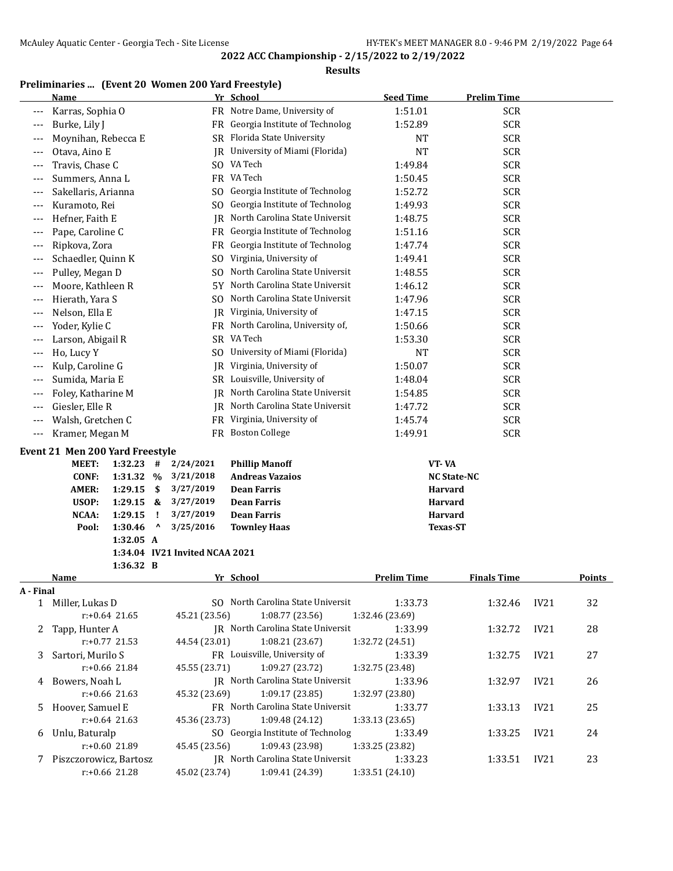**Results**

### **Preliminaries ... (Event 20 Women 200 Yard Freestyle)**

|           | <b>Name</b>                     |                                | Yr School                                    | <b>Seed Time</b>   | <b>Prelim Time</b> |      |               |
|-----------|---------------------------------|--------------------------------|----------------------------------------------|--------------------|--------------------|------|---------------|
| ---       | Karras, Sophia O                |                                | FR Notre Dame, University of                 | 1:51.01            | <b>SCR</b>         |      |               |
| ---       | Burke, Lily J                   |                                | FR Georgia Institute of Technolog            | 1:52.89            | <b>SCR</b>         |      |               |
| ---       | Moynihan, Rebecca E             |                                | SR Florida State University                  | NT                 | <b>SCR</b>         |      |               |
| ---       | Otava, Aino E                   |                                | JR University of Miami (Florida)             | <b>NT</b>          | <b>SCR</b>         |      |               |
| ---       | Travis, Chase C                 |                                | SO VA Tech                                   | 1:49.84            | <b>SCR</b>         |      |               |
| ---       | Summers, Anna L                 |                                | FR VA Tech                                   | 1:50.45            | <b>SCR</b>         |      |               |
| ---       | Sakellaris, Arianna             | SO.                            | Georgia Institute of Technolog               | 1:52.72            | <b>SCR</b>         |      |               |
| ---       | Kuramoto, Rei                   | S <sub>0</sub>                 | Georgia Institute of Technolog               | 1:49.93            | <b>SCR</b>         |      |               |
| ---       | Hefner, Faith E                 | IR                             | North Carolina State Universit               | 1:48.75            | <b>SCR</b>         |      |               |
| ---       | Pape, Caroline C                | FR                             | Georgia Institute of Technolog               | 1:51.16            | <b>SCR</b>         |      |               |
| ---       | Ripkova, Zora                   | FR                             | Georgia Institute of Technolog               | 1:47.74            | <b>SCR</b>         |      |               |
| ---       | Schaedler, Quinn K              | SO.                            | Virginia, University of                      | 1:49.41            | <b>SCR</b>         |      |               |
| ---       | Pulley, Megan D                 | SO.                            | North Carolina State Universit               | 1:48.55            | <b>SCR</b>         |      |               |
| ---       | Moore, Kathleen R               | 5Y.                            | North Carolina State Universit               | 1:46.12            | <b>SCR</b>         |      |               |
| ---       | Hierath, Yara S                 | SO.                            | North Carolina State Universit               | 1:47.96            | <b>SCR</b>         |      |               |
| $---$     | Nelson, Ella E                  | IR                             | Virginia, University of                      | 1:47.15            | <b>SCR</b>         |      |               |
| ---       | Yoder, Kylie C                  |                                | FR North Carolina, University of,            | 1:50.66            | <b>SCR</b>         |      |               |
| ---       | Larson, Abigail R               |                                | SR VA Tech                                   | 1:53.30            | <b>SCR</b>         |      |               |
|           | Ho, Lucy Y                      |                                | SO University of Miami (Florida)             | <b>NT</b>          | <b>SCR</b>         |      |               |
| ---       |                                 | IR                             | Virginia, University of                      |                    | <b>SCR</b>         |      |               |
| ---       | Kulp, Caroline G                |                                | SR Louisville, University of                 | 1:50.07            | <b>SCR</b>         |      |               |
| ---       | Sumida, Maria E                 |                                | North Carolina State Universit               | 1:48.04            |                    |      |               |
| ---       | Foley, Katharine M              | IR                             |                                              | 1:54.85            | <b>SCR</b>         |      |               |
| $---$     | Giesler, Elle R                 | IR                             | North Carolina State Universit               | 1:47.72            | <b>SCR</b>         |      |               |
| $---$     | Walsh, Gretchen C               | <b>FR</b>                      | Virginia, University of<br>FR Boston College | 1:45.74            | <b>SCR</b>         |      |               |
| $\cdots$  | Kramer, Megan M                 |                                |                                              | 1:49.91            | <b>SCR</b>         |      |               |
|           | Event 21 Men 200 Yard Freestyle |                                |                                              |                    |                    |      |               |
|           | MEET:<br>1:32.23<br>#           | 2/24/2021                      | <b>Phillip Manoff</b>                        |                    | VT-VA              |      |               |
|           | <b>CONF:</b><br>1:31.32<br>$\%$ | 3/21/2018                      | <b>Andreas Vazaios</b>                       |                    | <b>NC State-NC</b> |      |               |
|           | AMER:<br>1:29.15<br>\$          | 3/27/2019                      | <b>Dean Farris</b>                           |                    | <b>Harvard</b>     |      |               |
|           | USOP:<br>1:29.15<br>&           | 3/27/2019                      | <b>Dean Farris</b>                           |                    | Harvard            |      |               |
|           | NCAA:<br>1:29.15<br>Ţ           | 3/27/2019                      | <b>Dean Farris</b>                           |                    | Harvard            |      |               |
|           | Λ<br>Pool:<br>1:30.46           | 3/25/2016                      | <b>Townley Haas</b>                          |                    | <b>Texas-ST</b>    |      |               |
|           | 1:32.05 A                       |                                |                                              |                    |                    |      |               |
|           | 1:36.32 B                       | 1:34.04 IV21 Invited NCAA 2021 |                                              |                    |                    |      |               |
|           | <b>Name</b>                     |                                | <u>Yr School</u>                             | <b>Prelim Time</b> | <b>Finals Time</b> |      | <u>Points</u> |
| A - Final |                                 |                                |                                              |                    |                    |      |               |
|           | 1 Miller, Lukas D               |                                | SO North Carolina State Universit            | 1:33.73            | 1:32.46            | IV21 | 32            |
|           | $r: +0.64$ 21.65                | 45.21 (23.56)                  | 1:08.77(23.56)                               | 1:32.46 (23.69)    |                    |      |               |
| 2         | Tapp, Hunter A                  |                                | JR North Carolina State Universit            | 1:33.99            | 1:32.72            | IV21 | 28            |
|           | $r: +0.77$ 21.53                | 44.54 (23.01)                  | 1:08.21 (23.67)                              | 1:32.72 (24.51)    |                    |      |               |
| 3         | Sartori, Murilo S               |                                | FR Louisville, University of                 | 1:33.39            | 1:32.75            | IV21 | 27            |
|           | $r: +0.66$ 21.84                | 45.55 (23.71)                  | 1:09.27 (23.72)                              | 1:32.75 (23.48)    |                    |      |               |
| 4         | Bowers, Noah L                  |                                | <b>IR</b> North Carolina State Universit     | 1:33.96            | 1:32.97            | IV21 | 26            |
|           | $r: +0.66$ 21.63                | 45.32 (23.69)                  | 1:09.17 (23.85)                              | 1:32.97 (23.80)    |                    |      |               |
| 5.        | Hoover, Samuel E                |                                | FR North Carolina State Universit            | 1:33.77            | 1:33.13            | IV21 | 25            |
|           | $r: +0.64$ 21.63                | 45.36 (23.73)                  | 1:09.48 (24.12)                              | 1:33.13 (23.65)    |                    |      |               |
| 6         | Unlu, Baturalp                  |                                | SO Georgia Institute of Technolog            | 1:33.49            | 1:33.25            | IV21 | 24            |
|           | r:+0.60 21.89                   | 45.45 (23.56)                  | 1:09.43 (23.98)                              | 1:33.25 (23.82)    |                    |      |               |
| 7         | Piszczorowicz, Bartosz          |                                | JR North Carolina State Universit            | 1:33.23            | 1:33.51            | IV21 | 23            |
|           | r:+0.66 21.28                   | 45.02 (23.74)                  | 1:09.41 (24.39)                              | 1:33.51 (24.10)    |                    |      |               |
|           |                                 |                                |                                              |                    |                    |      |               |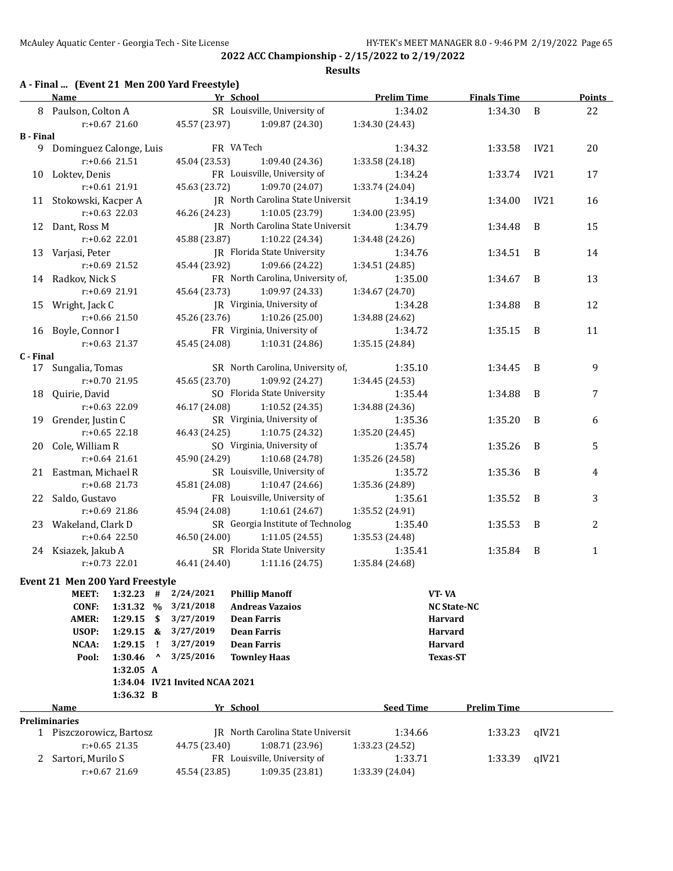**Results**

## **A - Final ... (Event 21 Men 200 Yard Freestyle)**

|                  | <b>Name</b>                            |                  |                                 | Yr School                      |            |                                          | <b>Prelim Time</b> |                    | <b>Finals Time</b> |       | <b>Points</b>    |
|------------------|----------------------------------------|------------------|---------------------------------|--------------------------------|------------|------------------------------------------|--------------------|--------------------|--------------------|-------|------------------|
|                  | 8 Paulson, Colton A                    |                  |                                 |                                |            | SR Louisville, University of             | 1:34.02            |                    | 1:34.30            | B     | 22               |
|                  |                                        | r:+0.67 21.60    |                                 | 45.57 (23.97)                  |            | 1:09.87 (24.30)                          | 1:34.30 (24.43)    |                    |                    |       |                  |
| <b>B</b> - Final |                                        |                  |                                 |                                |            |                                          |                    |                    |                    |       |                  |
|                  | 9 Dominguez Calonge, Luis              |                  |                                 |                                | FR VA Tech |                                          | 1:34.32            |                    | 1:33.58            | IV21  | 20               |
|                  |                                        | r:+0.66 21.51    |                                 | 45.04 (23.53)                  |            | 1:09.40 (24.36)                          | 1:33.58 (24.18)    |                    |                    |       |                  |
|                  | 10 Loktev, Denis                       |                  |                                 |                                |            | FR Louisville, University of             | 1:34.24            |                    | 1:33.74            | IV21  | 17               |
|                  |                                        | r:+0.61 21.91    |                                 | 45.63 (23.72)                  |            | 1:09.70 (24.07)                          | 1:33.74 (24.04)    |                    |                    |       |                  |
|                  | 11 Stokowski, Kacper A                 |                  |                                 |                                |            | <b>IR</b> North Carolina State Universit | 1:34.19            |                    | 1:34.00            | IV21  | 16               |
|                  |                                        | $r: +0.63$ 22.03 |                                 | 46.26 (24.23)                  |            | 1:10.05 (23.79)                          | 1:34.00 (23.95)    |                    |                    |       |                  |
|                  | 12 Dant, Ross M                        |                  |                                 |                                |            | JR North Carolina State Universit        | 1:34.79            |                    | 1:34.48            | B     | 15               |
|                  |                                        | $r: +0.62$ 22.01 |                                 | 45.88 (23.87)                  |            | 1:10.22 (24.34)                          | 1:34.48 (24.26)    |                    |                    |       |                  |
|                  | 13 Varjasi, Peter                      |                  |                                 |                                |            | JR Florida State University              | 1:34.76            |                    | 1:34.51            | B     | 14               |
|                  |                                        | r:+0.69 21.52    |                                 | 45.44 (23.92)                  |            | 1:09.66 (24.22)                          | 1:34.51 (24.85)    |                    |                    |       |                  |
|                  | 14 Radkov, Nick S                      |                  |                                 |                                |            | FR North Carolina, University of,        | 1:35.00            |                    | 1:34.67            | B     | 13               |
|                  |                                        | r:+0.69 21.91    |                                 | 45.64 (23.73)                  |            | 1:09.97 (24.33)                          | 1:34.67 (24.70)    |                    |                    |       |                  |
|                  | 15 Wright, Jack C                      |                  |                                 |                                |            | JR Virginia, University of               | 1:34.28            |                    | 1:34.88            | B     | 12               |
|                  |                                        | r:+0.66 21.50    |                                 | 45.26 (23.76)                  |            | 1:10.26(25.00)                           | 1:34.88 (24.62)    |                    |                    |       |                  |
|                  | 16 Boyle, Connor I                     |                  |                                 |                                |            | FR Virginia, University of               | 1:34.72            |                    | 1:35.15            | B     | 11               |
|                  |                                        | r:+0.63 21.37    |                                 | 45.45 (24.08)                  |            | 1:10.31 (24.86)                          | 1:35.15 (24.84)    |                    |                    |       |                  |
| C - Final        |                                        |                  |                                 |                                |            |                                          |                    |                    |                    |       |                  |
|                  | 17 Sungalia, Tomas                     |                  |                                 |                                |            | SR North Carolina, University of,        | 1:35.10            |                    | 1:34.45            | B     | 9                |
|                  |                                        | $r: +0.70$ 21.95 |                                 | 45.65 (23.70)                  |            | 1:09.92 (24.27)                          | 1:34.45 (24.53)    |                    |                    |       |                  |
| 18               | Quirie, David                          |                  |                                 |                                |            | SO Florida State University              | 1:35.44            |                    | 1:34.88            | B     | $\boldsymbol{7}$ |
|                  |                                        | $r: +0.63$ 22.09 |                                 | 46.17 (24.08)                  |            | 1:10.52 (24.35)                          | 1:34.88 (24.36)    |                    |                    |       |                  |
|                  | 19 Grender, Justin C                   |                  |                                 |                                |            | SR Virginia, University of               | 1:35.36            |                    | 1:35.20            | B     | 6                |
|                  |                                        | $r: +0.65$ 22.18 |                                 | 46.43 (24.25)                  |            | 1:10.75 (24.32)                          | 1:35.20 (24.45)    |                    |                    |       |                  |
|                  | 20 Cole, William R                     |                  |                                 |                                |            | SO Virginia, University of               | 1:35.74            |                    | 1:35.26            | B     | 5                |
|                  |                                        | $r: +0.64$ 21.61 |                                 | 45.90 (24.29)                  |            | 1:10.68 (24.78)                          | 1:35.26 (24.58)    |                    |                    |       |                  |
|                  | 21 Eastman, Michael R                  |                  |                                 |                                |            | SR Louisville, University of             | 1:35.72            |                    | 1:35.36            | B     | 4                |
|                  |                                        | r:+0.68 21.73    |                                 | 45.81 (24.08)                  |            | 1:10.47(24.66)                           | 1:35.36 (24.89)    |                    |                    |       |                  |
|                  | 22 Saldo, Gustavo                      |                  |                                 |                                |            | FR Louisville, University of             | 1:35.61            |                    | 1:35.52            | B     | 3                |
|                  |                                        | $r: +0.69$ 21.86 |                                 | 45.94 (24.08)                  |            | 1:10.61 (24.67)                          | 1:35.52 (24.91)    |                    |                    |       |                  |
|                  | 23 Wakeland, Clark D                   |                  |                                 |                                |            | SR Georgia Institute of Technolog        | 1:35.40            |                    | 1:35.53            | B     | 2                |
|                  |                                        | $r: +0.64$ 22.50 |                                 | 46.50 (24.00)                  |            | 1:11.05(24.55)                           | 1:35.53 (24.48)    |                    |                    |       |                  |
|                  | 24 Ksiazek, Jakub A                    |                  |                                 |                                |            | SR Florida State University              | 1:35.41            |                    | 1:35.84            | B     | $\mathbf{1}$     |
|                  |                                        | r:+0.73 22.01    |                                 | 46.41 (24.40)                  |            | 1:11.16 (24.75)                          | 1:35.84 (24.68)    |                    |                    |       |                  |
|                  | <b>Event 21 Men 200 Yard Freestyle</b> |                  |                                 |                                |            |                                          |                    |                    |                    |       |                  |
|                  | MEET:                                  | $1:32.23$ #      |                                 | 2/24/2021                      |            | <b>Phillip Manoff</b>                    |                    | VT-VA              |                    |       |                  |
|                  | <b>CONF:</b>                           | 1:31.32 %        |                                 | 3/21/2018                      |            | <b>Andreas Vazaios</b>                   |                    | <b>NC State-NC</b> |                    |       |                  |
|                  | <b>AMER:</b>                           | 1:29.15          | \$                              | 3/27/2019                      |            | <b>Dean Farris</b>                       |                    | <b>Harvard</b>     |                    |       |                  |
|                  | USOP:                                  | 1:29.15          | &                               | 3/27/2019                      |            | <b>Dean Farris</b>                       |                    | Harvard            |                    |       |                  |
|                  | NCAA:                                  | 1:29.15          | ÷.                              | 3/27/2019                      |            | <b>Dean Farris</b>                       |                    | Harvard            |                    |       |                  |
|                  | Pool:                                  | 1:30.46          | $\boldsymbol{\mathsf{\lambda}}$ | 3/25/2016                      |            | <b>Townley Haas</b>                      |                    | <b>Texas-ST</b>    |                    |       |                  |
|                  |                                        | 1:32.05 A        |                                 |                                |            |                                          |                    |                    |                    |       |                  |
|                  |                                        |                  |                                 | 1:34.04 IV21 Invited NCAA 2021 |            |                                          |                    |                    |                    |       |                  |
|                  |                                        | 1:36.32 B        |                                 |                                |            |                                          |                    |                    |                    |       |                  |
|                  | Name                                   |                  |                                 |                                | Yr School  |                                          | <b>Seed Time</b>   |                    | <b>Prelim Time</b> |       |                  |
|                  | <b>Preliminaries</b>                   |                  |                                 |                                |            |                                          |                    |                    |                    |       |                  |
|                  | 1 Piszczorowicz, Bartosz               |                  |                                 |                                |            | IR North Carolina State Universit        | 1:34.66            |                    | 1:33.23            | qIV21 |                  |
|                  |                                        | $r: +0.65$ 21.35 |                                 | 44.75 (23.40)                  |            | 1:08.71 (23.96)                          | 1:33.23 (24.52)    |                    |                    |       |                  |
| 2                | Sartori, Murilo S                      |                  |                                 |                                |            | FR Louisville, University of             | 1:33.71            |                    | 1:33.39            | qIV21 |                  |
|                  |                                        | r:+0.67 21.69    |                                 | 45.54 (23.85)                  |            | 1:09.35 (23.81)                          | 1:33.39 (24.04)    |                    |                    |       |                  |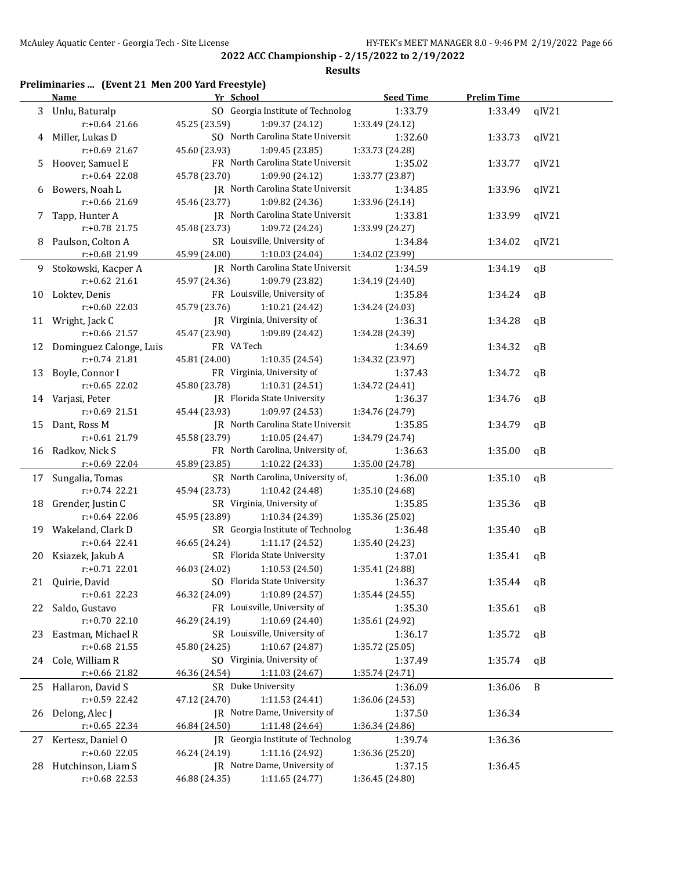#### **Results**

## **Preliminaries ... (Event 21 Men 200 Yard Freestyle)**

|    | <b>Name</b>                                    | Yr School                         | <b>Seed Time</b> | <b>Prelim Time</b> |              |
|----|------------------------------------------------|-----------------------------------|------------------|--------------------|--------------|
|    | 3 Unlu, Baturalp                               | SO Georgia Institute of Technolog | 1:33.79          | 1:33.49            | qIV21        |
|    | $r: +0.64$ 21.66                               | 45.25 (23.59)<br>1:09.37(24.12)   | 1:33.49 (24.12)  |                    |              |
|    | 4 Miller, Lukas D                              | SO North Carolina State Universit | 1:32.60          | 1:33.73            | qIV21        |
|    | $r: +0.69$ 21.67                               | 45.60 (23.93)<br>1:09.45(23.85)   | 1:33.73 (24.28)  |                    |              |
|    | 5 Hoover, Samuel E                             | FR North Carolina State Universit | 1:35.02          | 1:33.77            | qIV21        |
|    | $r: +0.64$ 22.08                               | 45.78 (23.70)<br>1:09.90 (24.12)  | 1:33.77 (23.87)  |                    |              |
|    | 6 Bowers, Noah L                               | JR North Carolina State Universit | 1:34.85          | 1:33.96            | qIV21        |
|    | r:+0.66 21.69                                  | 45.46 (23.77)<br>1:09.82 (24.36)  | 1:33.96 (24.14)  |                    |              |
|    | 7 Tapp, Hunter A                               | IR North Carolina State Universit | 1:33.81          | 1:33.99            | qIV21        |
|    | $r: +0.78$ 21.75                               | 45.48 (23.73)<br>1:09.72(24.24)   | 1:33.99 (24.27)  |                    |              |
|    | 8 Paulson, Colton A                            | SR Louisville, University of      | 1:34.84          | 1:34.02            | qIV21        |
|    | r:+0.68 21.99                                  | 45.99 (24.00)<br>1:10.03 (24.04)  | 1:34.02 (23.99)  |                    |              |
|    | 9 Stokowski, Kacper A                          | IR North Carolina State Universit | 1:34.59          | 1:34.19            | qB           |
|    | $r: +0.62$ 21.61                               | 45.97 (24.36)<br>1:09.79 (23.82)  | 1:34.19 (24.40)  |                    |              |
|    | 10 Loktev, Denis                               | FR Louisville, University of      | 1:35.84          | 1:34.24            | qB           |
|    | $r: +0.60$ 22.03                               | 45.79 (23.76)<br>1:10.21 (24.42)  | 1:34.24 (24.03)  |                    |              |
|    | 11 Wright, Jack C                              | JR Virginia, University of        | 1:36.31          | 1:34.28            | qB           |
|    | $r: +0.66$ 21.57                               | 45.47 (23.90)                     |                  |                    |              |
|    |                                                | 1:09.89 (24.42)<br>FR VA Tech     | 1:34.28 (24.39)  |                    |              |
|    | 12 Dominguez Calonge, Luis<br>$r: +0.74$ 21.81 |                                   | 1:34.69          | 1:34.32            | qB           |
|    |                                                | 45.81 (24.00)<br>1:10.35(24.54)   | 1:34.32 (23.97)  |                    |              |
|    | 13 Boyle, Connor I                             | FR Virginia, University of        | 1:37.43          | 1:34.72            | qB           |
|    | $r: +0.65$ 22.02                               | 45.80 (23.78)<br>1:10.31 (24.51)  | 1:34.72 (24.41)  |                    |              |
|    | 14 Varjasi, Peter                              | JR Florida State University       | 1:36.37          | 1:34.76            | qB           |
|    | $r: +0.69$ 21.51                               | 45.44 (23.93)<br>1:09.97 (24.53)  | 1:34.76 (24.79)  |                    |              |
|    | 15 Dant, Ross M                                | IR North Carolina State Universit | 1:35.85          | 1:34.79            | qB           |
|    | r:+0.61 21.79                                  | 45.58 (23.79)<br>1:10.05 (24.47)  | 1:34.79 (24.74)  |                    |              |
|    | 16 Radkov, Nick S                              | FR North Carolina, University of, | 1:36.63          | 1:35.00            | qB           |
|    | $r+0.69$ 22.04                                 | 45.89 (23.85) 1:10.22 (24.33)     | 1:35.00 (24.78)  |                    |              |
|    | 17 Sungalia, Tomas                             | SR North Carolina, University of, | 1:36.00          | 1:35.10            | qB           |
|    | $r: +0.74$ 22.21                               | 45.94 (23.73)<br>1:10.42 (24.48)  | 1:35.10 (24.68)  |                    |              |
|    | 18 Grender, Justin C                           | SR Virginia, University of        | 1:35.85          | 1:35.36            | qB           |
|    | $r: +0.64$ 22.06                               | 45.95 (23.89)<br>1:10.34 (24.39)  | 1:35.36 (25.02)  |                    |              |
|    | 19 Wakeland, Clark D                           | SR Georgia Institute of Technolog | 1:36.48          | 1:35.40            | qB           |
|    | $r: +0.64$ 22.41                               | 46.65 (24.24)<br>1:11.17(24.52)   | 1:35.40 (24.23)  |                    |              |
|    | 20 Ksiazek, Jakub A                            | SR Florida State University       | 1:37.01          | 1:35.41            | qB           |
|    | $r: +0.71$ 22.01                               | 46.03 (24.02)<br>1:10.53(24.50)   | 1:35.41 (24.88)  |                    |              |
|    | 21 Quirie, David                               | SO Florida State University       | 1:36.37          | 1:35.44            | $\mathsf{q}$ |
|    | $r: +0.61$ 22.23                               | 46.32 (24.09)<br>1:10.89 (24.57)  | 1:35.44 (24.55)  |                    |              |
| 22 | Saldo, Gustavo                                 | FR Louisville, University of      | 1:35.30          | 1:35.61            | qB           |
|    | r:+0.70 22.10                                  | 1:10.69 (24.40)<br>46.29 (24.19)  | 1:35.61 (24.92)  |                    |              |
| 23 | Eastman, Michael R                             | SR Louisville, University of      | 1:36.17          | 1:35.72            | qB           |
|    | r:+0.68 21.55                                  | 1:10.67 (24.87)<br>45.80 (24.25)  | 1:35.72 (25.05)  |                    |              |
| 24 | Cole, William R                                | SO Virginia, University of        | 1:37.49          | 1:35.74            | qB           |
|    | $r: +0.66$ 21.82                               | 46.36 (24.54)<br>1:11.03 (24.67)  | 1:35.74 (24.71)  |                    |              |
| 25 | Hallaron, David S                              | SR Duke University                | 1:36.09          | 1:36.06            | $\, {\bf B}$ |
|    | r:+0.59 22.42                                  | 47.12 (24.70)<br>1:11.53 (24.41)  | 1:36.06 (24.53)  |                    |              |
| 26 | Delong, Alec J                                 | JR Notre Dame, University of      | 1:37.50          | 1:36.34            |              |
|    | $r: +0.65$ 22.34                               | 46.84 (24.50)<br>1:11.48 (24.64)  | 1:36.34 (24.86)  |                    |              |
| 27 | Kertesz, Daniel O                              | JR Georgia Institute of Technolog | 1:39.74          | 1:36.36            |              |
|    | r:+0.60 22.05                                  | 1:11.16 (24.92)<br>46.24 (24.19)  | 1:36.36 (25.20)  |                    |              |
| 28 | Hutchinson, Liam S                             | JR Notre Dame, University of      | 1:37.15          | 1:36.45            |              |
|    | r:+0.68 22.53                                  | 46.88 (24.35)<br>1:11.65 (24.77)  | 1:36.45 (24.80)  |                    |              |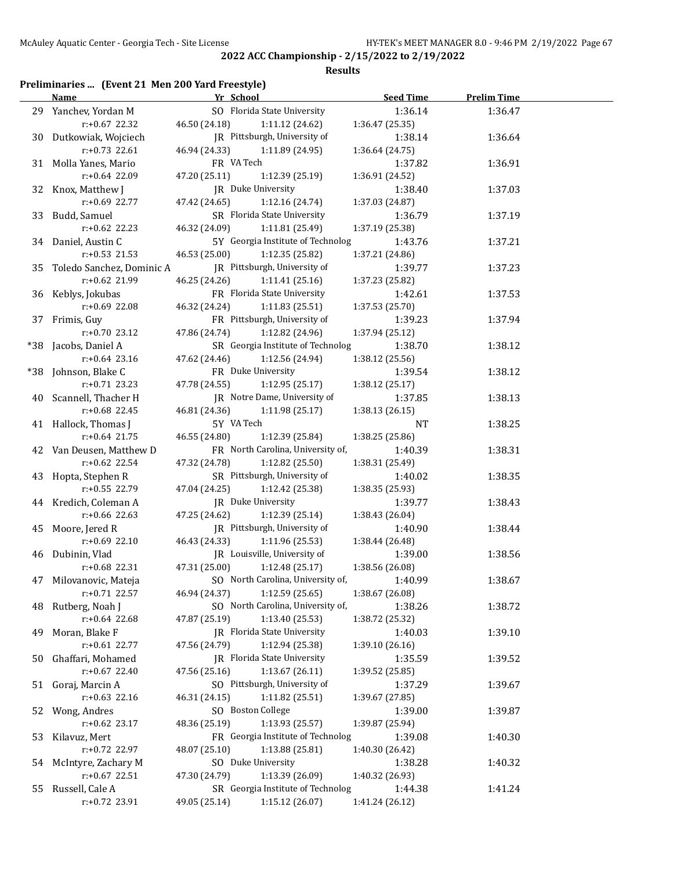#### **Results**

## **Preliminaries ... (Event 21 Men 200 Yard Freestyle)**

|    | <b>Name</b>                            | Yr School                    |                                                      | Seed Time                  | <b>Prelim Time</b> |  |
|----|----------------------------------------|------------------------------|------------------------------------------------------|----------------------------|--------------------|--|
|    | 29 Yanchev, Yordan M                   | SO Florida State University  |                                                      | 1:36.14                    | 1:36.47            |  |
|    | $r: +0.67$ 22.32                       | 46.50 (24.18)                | 1:11.12 (24.62)                                      | 1:36.47(25.35)             |                    |  |
|    | 30 Dutkowiak, Wojciech                 | JR Pittsburgh, University of |                                                      | 1:38.14                    | 1:36.64            |  |
|    | $r: +0.73$ 22.61                       | 46.94 (24.33)                | 1:11.89 (24.95)                                      | 1:36.64 (24.75)            |                    |  |
|    | 31 Molla Yanes, Mario                  | FR VA Tech                   |                                                      | 1:37.82                    | 1:36.91            |  |
|    | r:+0.64 22.09                          | 47.20 (25.11)                | 1:12.39 (25.19)                                      | 1:36.91 (24.52)            |                    |  |
|    | 32 Knox, Matthew J                     | JR Duke University           |                                                      | 1:38.40                    | 1:37.03            |  |
|    | r:+0.69 22.77                          | 47.42 (24.65)                | 1:12.16(24.74)                                       | 1:37.03 (24.87)            |                    |  |
|    | 33 Budd, Samuel                        | SR Florida State University  |                                                      | 1:36.79                    | 1:37.19            |  |
|    | $r: +0.62$ 22.23                       | 46.32 (24.09)                | 1:11.81(25.49)                                       | 1:37.19 (25.38)            |                    |  |
|    | 34 Daniel, Austin C                    |                              | 5Y Georgia Institute of Technolog                    | 1:43.76                    | 1:37.21            |  |
|    | $r: +0.53$ 21.53                       | 46.53 (25.00)                | 1:12.35 (25.82)                                      | 1:37.21 (24.86)            |                    |  |
|    | 35 Toledo Sanchez, Dominic A           | JR Pittsburgh, University of |                                                      | 1:39.77                    | 1:37.23            |  |
|    | r:+0.62 21.99                          | 46.25 (24.26)                | 1:11.41 (25.16)                                      | 1:37.23 (25.82)            |                    |  |
|    | 36 Keblys, Jokubas                     | FR Florida State University  |                                                      | 1:42.61                    | 1:37.53            |  |
|    | $r+0.69$ 22.08                         | 46.32 (24.24)                | 1:11.83(25.51)                                       | 1:37.53 (25.70)            |                    |  |
|    | 37 Frimis, Guy                         | FR Pittsburgh, University of |                                                      | 1:39.23                    | 1:37.94            |  |
|    | $r: +0.70$ 23.12                       | 47.86 (24.74)                | 1:12.82 (24.96)                                      | 1:37.94 (25.12)            |                    |  |
|    | *38 Jacobs, Daniel A                   |                              | SR Georgia Institute of Technolog                    | 1:38.70                    | 1:38.12            |  |
|    | $r: +0.64$ 23.16                       | 47.62 (24.46)                | 1:12.56 (24.94)                                      | 1:38.12 (25.56)            |                    |  |
|    | *38 Johnson, Blake C                   | FR Duke University           |                                                      | 1:39.54                    | 1:38.12            |  |
|    | $r: +0.71$ 23.23                       | 47.78 (24.55)                | 1:12.95(25.17)                                       | 1:38.12 (25.17)            |                    |  |
|    | 40 Scannell, Thacher H                 | JR Notre Dame, University of |                                                      | 1:37.85                    | 1:38.13            |  |
|    | $r: +0.68$ 22.45                       | 46.81 (24.36)                | 1:11.98(25.17)                                       | 1:38.13 (26.15)            |                    |  |
|    | 41 Hallock, Thomas J                   | 5Y VA Tech                   |                                                      | NT                         | 1:38.25            |  |
|    | $r: +0.64$ 21.75                       | 46.55 (24.80)                | 1:12.39 (25.84)                                      | 1:38.25 (25.86)            |                    |  |
|    | 42 Van Deusen, Matthew D               |                              | FR North Carolina, University of,                    | 1:40.39                    | 1:38.31            |  |
|    | $r: +0.62$ 22.54                       | 47.32 (24.78)                | 1:12.82 (25.50)                                      | 1:38.31 (25.49)            |                    |  |
|    |                                        | SR Pittsburgh, University of |                                                      |                            |                    |  |
|    | 43 Hopta, Stephen R<br>$r.+0.55$ 22.79 | 47.04 (24.25)                | 1:12.42 (25.38)                                      | 1:40.02<br>1:38.35 (25.93) | 1:38.35            |  |
|    |                                        | JR Duke University           |                                                      |                            |                    |  |
|    | 44 Kredich, Coleman A<br>r:+0.66 22.63 | 47.25 (24.62)                |                                                      | 1:39.77                    | 1:38.43            |  |
|    |                                        | JR Pittsburgh, University of | 1:12.39 (25.14)                                      | 1:38.43 (26.04)            |                    |  |
|    | 45 Moore, Jered R                      | 46.43 (24.33)                | 1:11.96(25.53)                                       | 1:40.90                    | 1:38.44            |  |
|    | $r+0.69$ 22.10                         | JR Louisville, University of |                                                      | 1:38.44 (26.48)            |                    |  |
|    | 46 Dubinin, Vlad                       |                              |                                                      | 1:39.00                    | 1:38.56            |  |
|    | $r: +0.68$ 22.31                       | 47.31 (25.00)                | 1:12.48 (25.17)<br>SO North Carolina, University of, | 1:38.56 (26.08)            |                    |  |
|    | 47 Milovanovic, Mateja                 |                              |                                                      | 1:40.99                    | 1:38.67            |  |
|    | r:+0.71 22.57                          | 46.94 (24.37)                | 1:12.59 (25.65)<br>SO North Carolina, University of, | 1:38.67 (26.08)            |                    |  |
| 48 | Rutberg, Noah J                        |                              |                                                      | 1:38.26                    | 1:38.72            |  |
|    | r:+0.64 22.68                          | 47.87 (25.19)                | 1:13.40 (25.53)                                      | 1:38.72 (25.32)            |                    |  |
| 49 | Moran, Blake F                         | JR Florida State University  |                                                      | 1:40.03                    | 1:39.10            |  |
|    | r:+0.61 22.77                          | 47.56 (24.79)                | 1:12.94 (25.38)                                      | 1:39.10 (26.16)            |                    |  |
| 50 | Ghaffari, Mohamed                      | JR Florida State University  |                                                      | 1:35.59                    | 1:39.52            |  |
|    | r:+0.67 22.40                          | 47.56 (25.16)                | 1:13.67 (26.11)                                      | 1:39.52 (25.85)            |                    |  |
| 51 | Goraj, Marcin A                        | SO Pittsburgh, University of |                                                      | 1:37.29                    | 1:39.67            |  |
|    | $r: +0.63$ 22.16                       | 46.31 (24.15)                | 1:11.82 (25.51)                                      | 1:39.67 (27.85)            |                    |  |
| 52 | Wong, Andres                           | SO Boston College            |                                                      | 1:39.00                    | 1:39.87            |  |
|    | $r: +0.62$ 23.17                       | 48.36 (25.19)                | 1:13.93 (25.57)                                      | 1:39.87 (25.94)            |                    |  |
| 53 | Kilavuz, Mert                          |                              | FR Georgia Institute of Technolog                    | 1:39.08                    | 1:40.30            |  |
|    | r:+0.72 22.97                          | 48.07 (25.10)                | 1:13.88 (25.81)                                      | 1:40.30 (26.42)            |                    |  |
| 54 | McIntyre, Zachary M                    | SO Duke University           |                                                      | 1:38.28                    | 1:40.32            |  |
|    | r:+0.67 22.51                          | 47.30 (24.79)                | 1:13.39 (26.09)                                      | 1:40.32 (26.93)            |                    |  |
| 55 | Russell, Cale A                        |                              | SR Georgia Institute of Technolog                    | 1:44.38                    | 1:41.24            |  |
|    | r:+0.72 23.91                          | 49.05 (25.14)                | 1:15.12(26.07)                                       | 1:41.24 (26.12)            |                    |  |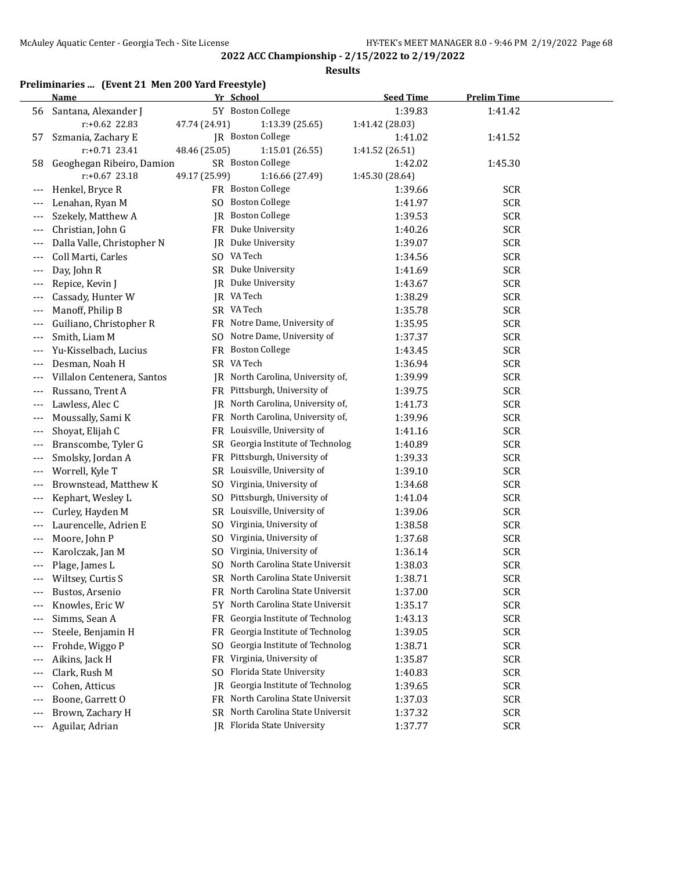**Results**

## **Preliminaries ... (Event 21 Men 200 Yard Freestyle)**

|       | Name                       |                | Yr School                         | <b>Seed Time</b> | <b>Prelim Time</b> |  |
|-------|----------------------------|----------------|-----------------------------------|------------------|--------------------|--|
| 56    | Santana, Alexander J       |                | 5Y Boston College                 | 1:39.83          | 1:41.42            |  |
|       | r:+0.62 22.83              | 47.74 (24.91)  | 1:13.39 (25.65)                   | 1:41.42 (28.03)  |                    |  |
| 57    | Szmania, Zachary E         |                | JR Boston College                 | 1:41.02          | 1:41.52            |  |
|       | $r: +0.71$ 23.41           | 48.46 (25.05)  | 1:15.01 (26.55)                   | 1:41.52 (26.51)  |                    |  |
| 58    | Geoghegan Ribeiro, Damion  |                | SR Boston College                 | 1:42.02          | 1:45.30            |  |
|       | $r: +0.67$ 23.18           | 49.17 (25.99)  | 1:16.66 (27.49)                   | 1:45.30 (28.64)  |                    |  |
|       | Henkel, Bryce R            |                | FR Boston College                 | 1:39.66          | <b>SCR</b>         |  |
|       | Lenahan, Ryan M            |                | SO Boston College                 | 1:41.97          | <b>SCR</b>         |  |
|       | Szekely, Matthew A         |                | JR Boston College                 | 1:39.53          | <b>SCR</b>         |  |
| $---$ | Christian, John G          |                | FR Duke University                | 1:40.26          | <b>SCR</b>         |  |
| $---$ | Dalla Valle, Christopher N |                | JR Duke University                | 1:39.07          | <b>SCR</b>         |  |
| $---$ | Coll Marti, Carles         |                | SO VA Tech                        | 1:34.56          | <b>SCR</b>         |  |
| $---$ | Day, John R                |                | SR Duke University                | 1:41.69          | <b>SCR</b>         |  |
|       | Repice, Kevin J            |                | JR Duke University                | 1:43.67          | <b>SCR</b>         |  |
|       | Cassady, Hunter W          |                | JR VA Tech                        | 1:38.29          | <b>SCR</b>         |  |
| $---$ | Manoff, Philip B           |                | SR VA Tech                        | 1:35.78          | <b>SCR</b>         |  |
| $---$ | Guiliano, Christopher R    |                | FR Notre Dame, University of      | 1:35.95          | <b>SCR</b>         |  |
| $---$ | Smith, Liam M              |                | SO Notre Dame, University of      | 1:37.37          | <b>SCR</b>         |  |
|       | Yu-Kisselbach, Lucius      |                | FR Boston College                 | 1:43.45          | <b>SCR</b>         |  |
|       | Desman, Noah H             |                | SR VA Tech                        | 1:36.94          | <b>SCR</b>         |  |
|       | Villalon Centenera, Santos |                | JR North Carolina, University of, | 1:39.99          | <b>SCR</b>         |  |
|       | Russano, Trent A           |                | FR Pittsburgh, University of      | 1:39.75          | <b>SCR</b>         |  |
|       | Lawless, Alec C            | IR             | North Carolina, University of,    | 1:41.73          | <b>SCR</b>         |  |
| ---   | Moussally, Sami K          |                | FR North Carolina, University of, | 1:39.96          | <b>SCR</b>         |  |
| ---   | Shoyat, Elijah C           |                | FR Louisville, University of      | 1:41.16          | <b>SCR</b>         |  |
| ---   | Branscombe, Tyler G        |                | SR Georgia Institute of Technolog | 1:40.89          | <b>SCR</b>         |  |
|       | Smolsky, Jordan A          |                | FR Pittsburgh, University of      | 1:39.33          | <b>SCR</b>         |  |
|       | Worrell, Kyle T            |                | SR Louisville, University of      | 1:39.10          | <b>SCR</b>         |  |
|       | Brownstead, Matthew K      | SO.            | Virginia, University of           | 1:34.68          | <b>SCR</b>         |  |
|       | Kephart, Wesley L          | SO.            | Pittsburgh, University of         | 1:41.04          | <b>SCR</b>         |  |
| ---   | Curley, Hayden M           | SR             | Louisville, University of         | 1:39.06          | <b>SCR</b>         |  |
|       | Laurencelle, Adrien E      | S <sub>0</sub> | Virginia, University of           | 1:38.58          | <b>SCR</b>         |  |
| ---   | Moore, John P              | S <sub>O</sub> | Virginia, University of           | 1:37.68          | <b>SCR</b>         |  |
| $---$ | Karolczak, Jan M           | S <sub>O</sub> | Virginia, University of           | 1:36.14          | <b>SCR</b>         |  |
|       | Plage, James L             | SO.            | North Carolina State Universit    | 1:38.03          | <b>SCR</b>         |  |
| ---   | Wiltsey, Curtis S          |                | SR North Carolina State Universit | 1:38.71          | <b>SCR</b>         |  |
|       | Bustos, Arsenio            |                | FR North Carolina State Universit | 1:37.00          | SCR                |  |
|       | Knowles, Eric W            | 5Y -           | North Carolina State Universit    | 1:35.17          | <b>SCR</b>         |  |
|       | Simms, Sean A              | FR.            | Georgia Institute of Technolog    | 1:43.13          | <b>SCR</b>         |  |
| ---   | Steele, Benjamin H         | FR             | Georgia Institute of Technolog    | 1:39.05          | <b>SCR</b>         |  |
| ---   | Frohde, Wiggo P            | S <sub>O</sub> | Georgia Institute of Technolog    | 1:38.71          | <b>SCR</b>         |  |
| $---$ | Aikins, Jack H             | FR             | Virginia, University of           | 1:35.87          | <b>SCR</b>         |  |
| ---   | Clark, Rush M              | SO.            | Florida State University          | 1:40.83          | <b>SCR</b>         |  |
|       | Cohen, Atticus             | IR             | Georgia Institute of Technolog    | 1:39.65          | <b>SCR</b>         |  |
|       | Boone, Garrett O           |                | FR North Carolina State Universit | 1:37.03          | <b>SCR</b>         |  |
|       | Brown, Zachary H           |                | SR North Carolina State Universit | 1:37.32          | <b>SCR</b>         |  |
| ---   | Aguilar, Adrian            |                | JR Florida State University       | 1:37.77          | <b>SCR</b>         |  |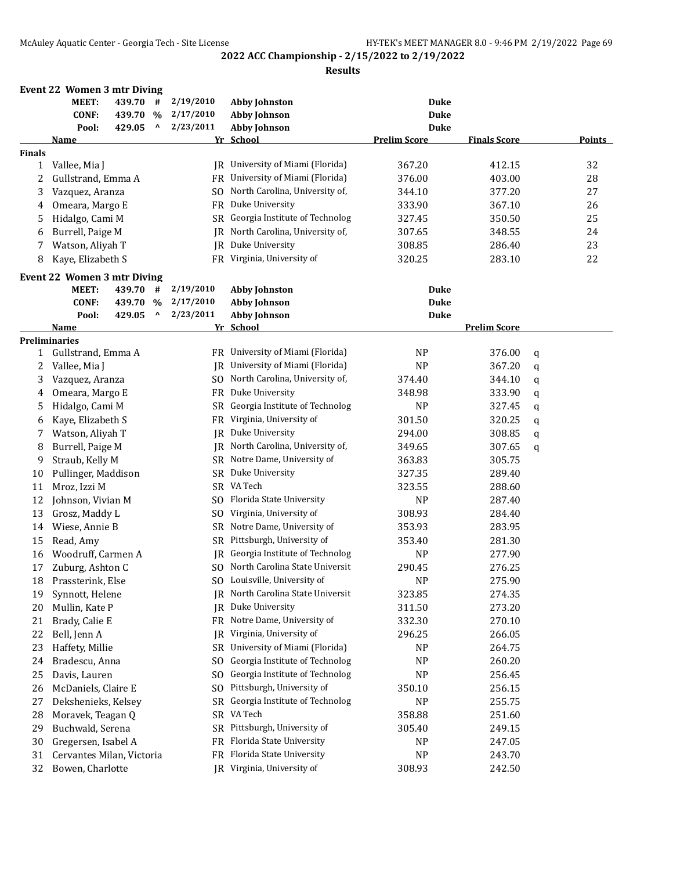|               | <b>Event 22 Women 3 mtr Diving</b><br>MEET:<br><b>CONF:</b><br>Pool: | 439.70<br>439.70<br>429.05 | #<br>$\%$<br>٨                  | 2/19/2010<br>2/17/2010<br>2/23/2011 | <b>Abby Johnston</b><br><b>Abby Johnson</b><br><b>Abby Johnson</b> | Duke<br><b>Duke</b><br><b>Duke</b> |                     |   |               |
|---------------|----------------------------------------------------------------------|----------------------------|---------------------------------|-------------------------------------|--------------------------------------------------------------------|------------------------------------|---------------------|---|---------------|
|               | Name                                                                 |                            |                                 |                                     | Yr School                                                          | <b>Prelim Score</b>                | <b>Finals Score</b> |   | <b>Points</b> |
| <b>Finals</b> |                                                                      |                            |                                 |                                     |                                                                    |                                    |                     |   |               |
| 1             | Vallee, Mia J                                                        |                            |                                 |                                     | JR University of Miami (Florida)                                   | 367.20                             | 412.15              |   | 32            |
| 2             | Gullstrand, Emma A                                                   |                            |                                 |                                     | FR University of Miami (Florida)                                   | 376.00                             | 403.00              |   | 28            |
| 3             | Vazquez, Aranza                                                      |                            |                                 |                                     | SO North Carolina, University of,                                  | 344.10                             | 377.20              |   | 27            |
| 4             | Omeara, Margo E                                                      |                            |                                 |                                     | FR Duke University                                                 | 333.90                             | 367.10              |   | 26            |
| 5             | Hidalgo, Cami M                                                      |                            |                                 |                                     | SR Georgia Institute of Technolog                                  | 327.45                             | 350.50              |   | 25            |
| 6             | Burrell, Paige M                                                     |                            |                                 |                                     | JR North Carolina, University of,                                  | 307.65                             | 348.55              |   | 24            |
| 7             | Watson, Aliyah T                                                     |                            |                                 | <b>IR</b>                           | Duke University                                                    | 308.85                             | 286.40              |   | 23            |
| 8             | Kaye, Elizabeth S                                                    |                            |                                 |                                     | FR Virginia, University of                                         | 320.25                             | 283.10              |   | 22            |
|               | <b>Event 22 Women 3 mtr Diving</b>                                   |                            |                                 |                                     |                                                                    |                                    |                     |   |               |
|               | MEET:                                                                | 439.70                     | #                               | 2/19/2010                           | <b>Abby Johnston</b>                                               | Duke                               |                     |   |               |
|               | <b>CONF:</b>                                                         | 439.70                     | $\%$                            | 2/17/2010                           | <b>Abby Johnson</b>                                                | <b>Duke</b>                        |                     |   |               |
|               | Pool:                                                                | 429.05                     | $\boldsymbol{\mathsf{\Lambda}}$ | 2/23/2011                           | <b>Abby Johnson</b>                                                | <b>Duke</b>                        |                     |   |               |
|               | <u>Name</u>                                                          |                            |                                 |                                     | Yr School                                                          |                                    | <b>Prelim Score</b> |   |               |
|               | <b>Preliminaries</b>                                                 |                            |                                 |                                     |                                                                    |                                    |                     |   |               |
| 1             | Gullstrand, Emma A                                                   |                            |                                 |                                     | FR University of Miami (Florida)                                   | N <sub>P</sub>                     | 376.00              | q |               |
| 2             | Vallee, Mia J                                                        |                            |                                 |                                     | JR University of Miami (Florida)                                   | <b>NP</b>                          | 367.20              | q |               |
| 3             | Vazquez, Aranza                                                      |                            |                                 |                                     | SO North Carolina, University of,                                  | 374.40                             | 344.10              | q |               |
| 4             | Omeara, Margo E                                                      |                            |                                 |                                     | FR Duke University                                                 | 348.98                             | 333.90              | q |               |
| 5             | Hidalgo, Cami M                                                      |                            |                                 | SR                                  | Georgia Institute of Technolog                                     | <b>NP</b>                          | 327.45              | q |               |
| 6             | Kaye, Elizabeth S                                                    |                            |                                 |                                     | FR Virginia, University of                                         | 301.50                             | 320.25              | q |               |
| 7             | Watson, Aliyah T                                                     |                            |                                 |                                     | JR Duke University                                                 | 294.00                             | 308.85              | q |               |
| 8             | Burrell, Paige M                                                     |                            |                                 |                                     | JR North Carolina, University of,                                  | 349.65                             | 307.65              | q |               |
| 9             | Straub, Kelly M                                                      |                            |                                 |                                     | SR Notre Dame, University of                                       | 363.83                             | 305.75              |   |               |
| 10            | Pullinger, Maddison                                                  |                            |                                 |                                     | SR Duke University                                                 | 327.35                             | 289.40              |   |               |
| 11            | Mroz, Izzi M                                                         |                            |                                 |                                     | SR VA Tech                                                         | 323.55                             | 288.60              |   |               |
| 12            | Johnson, Vivian M                                                    |                            |                                 |                                     | SO Florida State University                                        | <b>NP</b>                          | 287.40              |   |               |
| 13            | Grosz, Maddy L                                                       |                            |                                 |                                     | SO Virginia, University of                                         | 308.93                             | 284.40              |   |               |
| 14            | Wiese, Annie B                                                       |                            |                                 |                                     | SR Notre Dame, University of                                       | 353.93                             | 283.95              |   |               |
| 15            | Read, Amy                                                            |                            |                                 |                                     | SR Pittsburgh, University of                                       | 353.40                             | 281.30              |   |               |
| 16            | Woodruff, Carmen A                                                   |                            |                                 |                                     | IR Georgia Institute of Technolog                                  | <b>NP</b>                          | 277.90              |   |               |
| 17            | Zuburg, Ashton C                                                     |                            |                                 |                                     | SO North Carolina State Universit                                  | 290.45                             | 276.25              |   |               |
| 18            | Prassterink, Else                                                    |                            |                                 |                                     | SO Louisville, University of                                       | NP                                 | 275.90              |   |               |
| 19            | Synnott, Helene                                                      |                            |                                 |                                     | JR North Carolina State Universit                                  | 323.85                             | 274.35              |   |               |
| 20            | Mullin, Kate P                                                       |                            |                                 | IR                                  | Duke University                                                    | 311.50                             | 273.20              |   |               |
| 21            | Brady, Calie E                                                       |                            |                                 | FR                                  | Notre Dame, University of                                          | 332.30                             | 270.10              |   |               |
| 22            | Bell, Jenn A                                                         |                            |                                 | IR                                  | Virginia, University of                                            | 296.25                             | 266.05              |   |               |
| 23            | Haffety, Millie                                                      |                            |                                 | <b>SR</b>                           | University of Miami (Florida)                                      | NP                                 | 264.75              |   |               |
| 24            | Bradescu, Anna                                                       |                            |                                 | SO.                                 | Georgia Institute of Technolog                                     | NP                                 | 260.20              |   |               |
| 25            | Davis, Lauren                                                        |                            |                                 | SO.                                 | Georgia Institute of Technolog                                     | NP                                 | 256.45              |   |               |
| 26            | McDaniels, Claire E                                                  |                            |                                 | SO.                                 | Pittsburgh, University of                                          | 350.10                             | 256.15              |   |               |
| 27            | Dekshenieks, Kelsey                                                  |                            |                                 | <b>SR</b>                           | Georgia Institute of Technolog                                     | NP                                 | 255.75              |   |               |
| 28            | Moravek, Teagan Q                                                    |                            |                                 |                                     | SR VA Tech                                                         | 358.88                             | 251.60              |   |               |
| 29            | Buchwald, Serena                                                     |                            |                                 |                                     | SR Pittsburgh, University of                                       | 305.40                             | 249.15              |   |               |
| 30            | Gregersen, Isabel A                                                  |                            |                                 |                                     | FR Florida State University                                        | NP                                 | 247.05              |   |               |
| 31            | Cervantes Milan, Victoria                                            |                            |                                 |                                     | FR Florida State University                                        | NP                                 | 243.70              |   |               |
| 32            | Bowen, Charlotte                                                     |                            |                                 |                                     | JR Virginia, University of                                         | 308.93                             | 242.50              |   |               |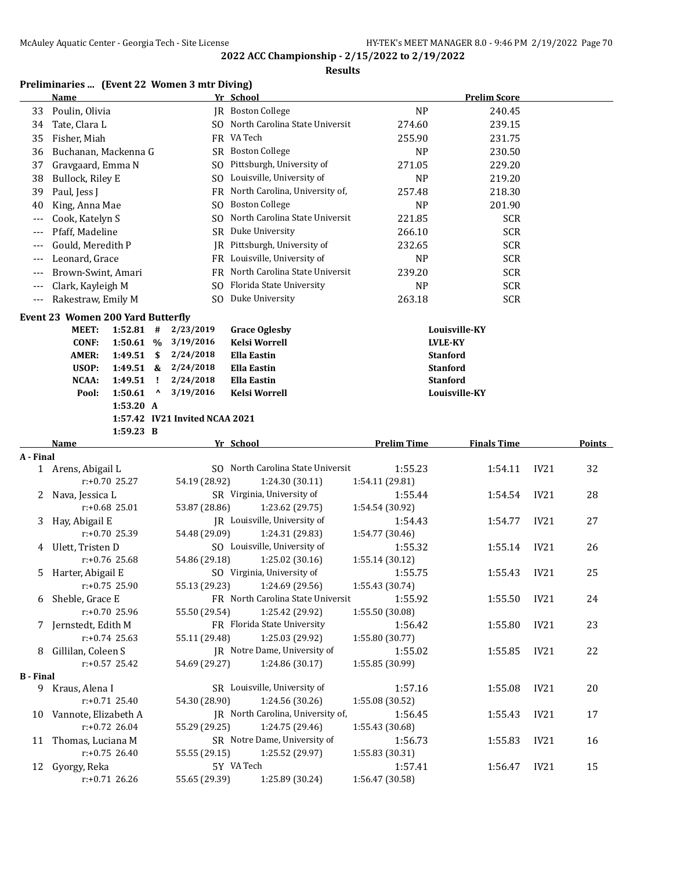#### **Results**

### **Preliminaries ... (Event 22 Women 3 mtr Diving)**

|                  | <b>Name</b>                              |                      |                                 |                                | Yr School                                |                            | <b>Prelim Score</b>                |                  |        |
|------------------|------------------------------------------|----------------------|---------------------------------|--------------------------------|------------------------------------------|----------------------------|------------------------------------|------------------|--------|
| 33               | Poulin, Olivia                           |                      |                                 |                                | JR Boston College                        | <b>NP</b>                  | 240.45                             |                  |        |
| 34               | Tate, Clara L                            |                      |                                 |                                | SO North Carolina State Universit        | 274.60                     | 239.15                             |                  |        |
| 35               | Fisher, Miah                             |                      |                                 |                                | FR VA Tech                               | 255.90                     | 231.75                             |                  |        |
| 36               | Buchanan, Mackenna G                     |                      |                                 |                                | SR Boston College                        | <b>NP</b>                  | 230.50                             |                  |        |
| 37               | Gravgaard, Emma N                        |                      |                                 |                                | SO Pittsburgh, University of             | 271.05                     | 229.20                             |                  |        |
| 38               | Bullock, Riley E                         |                      |                                 |                                | SO Louisville, University of             | <b>NP</b>                  | 219.20                             |                  |        |
| 39               | Paul, Jess J                             |                      |                                 |                                | FR North Carolina, University of,        | 257.48                     | 218.30                             |                  |        |
| 40               | King, Anna Mae                           |                      |                                 | SO.                            | <b>Boston College</b>                    | <b>NP</b>                  | 201.90                             |                  |        |
| $---$            | Cook, Katelyn S                          |                      |                                 | SO.                            | North Carolina State Universit           | 221.85                     | <b>SCR</b>                         |                  |        |
| $---$            | Pfaff, Madeline                          |                      |                                 |                                | SR Duke University                       | 266.10                     | <b>SCR</b>                         |                  |        |
| $---$            | Gould, Meredith P                        |                      |                                 |                                | JR Pittsburgh, University of             | 232.65                     | <b>SCR</b>                         |                  |        |
| $---$            | Leonard, Grace                           |                      |                                 |                                | FR Louisville, University of             | <b>NP</b>                  | <b>SCR</b>                         |                  |        |
| $---$            | Brown-Swint, Amari                       |                      |                                 |                                | FR North Carolina State Universit        | 239.20                     | <b>SCR</b>                         |                  |        |
| ---              | Clark, Kayleigh M                        |                      |                                 |                                | SO Florida State University              | <b>NP</b>                  | <b>SCR</b>                         |                  |        |
| $---$            | Rakestraw, Emily M                       |                      |                                 |                                | SO Duke University                       | 263.18                     | <b>SCR</b>                         |                  |        |
|                  |                                          |                      |                                 |                                |                                          |                            |                                    |                  |        |
|                  | <b>Event 23 Women 200 Yard Butterfly</b> |                      |                                 |                                |                                          |                            |                                    |                  |        |
|                  | <b>MEET:</b>                             | 1:52.81              | #                               | 2/23/2019                      | <b>Grace Oglesby</b>                     |                            | Louisville-KY                      |                  |        |
|                  | <b>CONF:</b>                             | 1:50.61 %            |                                 | 3/19/2016                      | <b>Kelsi Worrell</b>                     |                            | <b>LVLE-KY</b>                     |                  |        |
|                  | AMER:<br>USOP:                           | 1:49.51<br>1:49.51 & | \$                              | 2/24/2018<br>2/24/2018         | <b>Ella Eastin</b><br><b>Ella Eastin</b> |                            | <b>Stanford</b><br><b>Stanford</b> |                  |        |
|                  | <b>NCAA:</b>                             | 1:49.51              | Ţ                               | 2/24/2018                      | <b>Ella Eastin</b>                       |                            | <b>Stanford</b>                    |                  |        |
|                  | Pool:                                    | 1:50.61              | $\boldsymbol{\mathsf{\Lambda}}$ | 3/19/2016                      | Kelsi Worrell                            |                            | Louisville-KY                      |                  |        |
|                  |                                          | 1:53.20 A            |                                 |                                |                                          |                            |                                    |                  |        |
|                  |                                          |                      |                                 | 1:57.42 IV21 Invited NCAA 2021 |                                          |                            |                                    |                  |        |
|                  |                                          | 1:59.23 B            |                                 |                                |                                          |                            |                                    |                  |        |
|                  |                                          |                      |                                 |                                |                                          |                            |                                    |                  |        |
|                  | Name                                     |                      |                                 |                                | Yr School                                | <b>Prelim Time</b>         | <b>Finals Time</b>                 |                  | Points |
| A - Final        |                                          |                      |                                 |                                |                                          |                            |                                    |                  |        |
|                  | 1 Arens, Abigail L                       |                      |                                 |                                | SO North Carolina State Universit        | 1:55.23                    | 1:54.11                            | IV21             | 32     |
|                  | $r: +0.70$ 25.27                         |                      |                                 | 54.19 (28.92)                  | 1:24.30 (30.11)                          | 1:54.11 (29.81)            |                                    |                  |        |
| 2                | Nava, Jessica L                          |                      |                                 |                                | SR Virginia, University of               | 1:55.44                    | 1:54.54                            | <b>IV21</b>      | 28     |
|                  | $r: +0.68$ 25.01                         |                      |                                 | 53.87 (28.86)                  | 1:23.62 (29.75)                          | 1:54.54 (30.92)            |                                    |                  |        |
| 3                | Hay, Abigail E                           |                      |                                 |                                | JR Louisville, University of             | 1:54.43                    | 1:54.77                            | <b>IV21</b>      | 27     |
|                  | $r: +0.70$ 25.39                         |                      |                                 | 54.48 (29.09)                  | 1:24.31 (29.83)                          | 1:54.77 (30.46)            |                                    |                  |        |
| 4                | Ulett, Tristen D                         |                      |                                 |                                | SO Louisville, University of             | 1:55.32                    | 1:55.14                            | IV <sub>21</sub> | 26     |
|                  | r:+0.76 25.68                            |                      |                                 | 54.86 (29.18)                  | 1:25.02(30.16)                           | 1:55.14 (30.12)            |                                    |                  |        |
|                  | 5 Harter, Abigail E                      |                      |                                 |                                | SO Virginia, University of               | 1:55.75                    | 1:55.43                            | IV <sub>21</sub> | 25     |
|                  | r:+0.75 25.90                            |                      |                                 |                                | 55.13 (29.23) 1:24.69 (29.56)            | 1:55.43 (30.74)            |                                    |                  |        |
|                  | 6 Sheble, Grace E                        |                      |                                 |                                | FR North Carolina State Universit        | 1:55.92                    | 1:55.50                            | IV21             | 24     |
|                  | r:+0.70 25.96                            |                      |                                 | 55.50 (29.54)                  | 1:25.42 (29.92)                          | 1:55.50 (30.08)            |                                    |                  |        |
|                  | 7 Jernstedt, Edith M                     |                      |                                 |                                | FR Florida State University              | 1:56.42                    | 1:55.80                            | IV21             | 23     |
|                  | $r: +0.74$ 25.63                         |                      |                                 | 55.11 (29.48)                  | 1:25.03 (29.92)                          | 1:55.80 (30.77)            |                                    |                  |        |
|                  | 8 Gillilan, Coleen S                     |                      |                                 |                                | JR Notre Dame, University of             | 1:55.02                    | 1:55.85                            | IV21             | 22     |
|                  | $r: +0.57$ 25.42                         |                      |                                 | 54.69 (29.27)                  | 1:24.86 (30.17)                          | 1:55.85 (30.99)            |                                    |                  |        |
| <b>B</b> - Final |                                          |                      |                                 |                                |                                          |                            |                                    |                  |        |
|                  | 9 Kraus, Alena I                         |                      |                                 |                                | SR Louisville, University of             | 1:57.16                    | 1:55.08                            | IV21             | 20     |
|                  | $r: +0.71$ 25.40                         |                      |                                 | 54.30 (28.90)                  | 1:24.56 (30.26)                          | 1:55.08 (30.52)            |                                    |                  |        |
|                  | 10 Vannote, Elizabeth A                  |                      |                                 |                                | JR North Carolina, University of,        | 1:56.45                    | 1:55.43                            | IV21             | 17     |
|                  | $r: +0.72$ 26.04                         |                      |                                 | 55.29 (29.25)                  | 1:24.75 (29.46)                          | 1:55.43 (30.68)            |                                    |                  |        |
| 11               | Thomas, Luciana M                        |                      |                                 |                                | SR Notre Dame, University of             | 1:56.73                    | 1:55.83                            | IV21             | 16     |
|                  | $r: +0.75$ 26.40                         |                      |                                 | 55.55 (29.15)                  | 1:25.52 (29.97)                          | 1:55.83 (30.31)            |                                    |                  |        |
| 12               | Gyorgy, Reka<br>$r: +0.71$ 26.26         |                      |                                 | 55.65 (29.39)                  | 5Y VA Tech<br>1:25.89 (30.24)            | 1:57.41<br>1:56.47 (30.58) | 1:56.47                            | IV21             | 15     |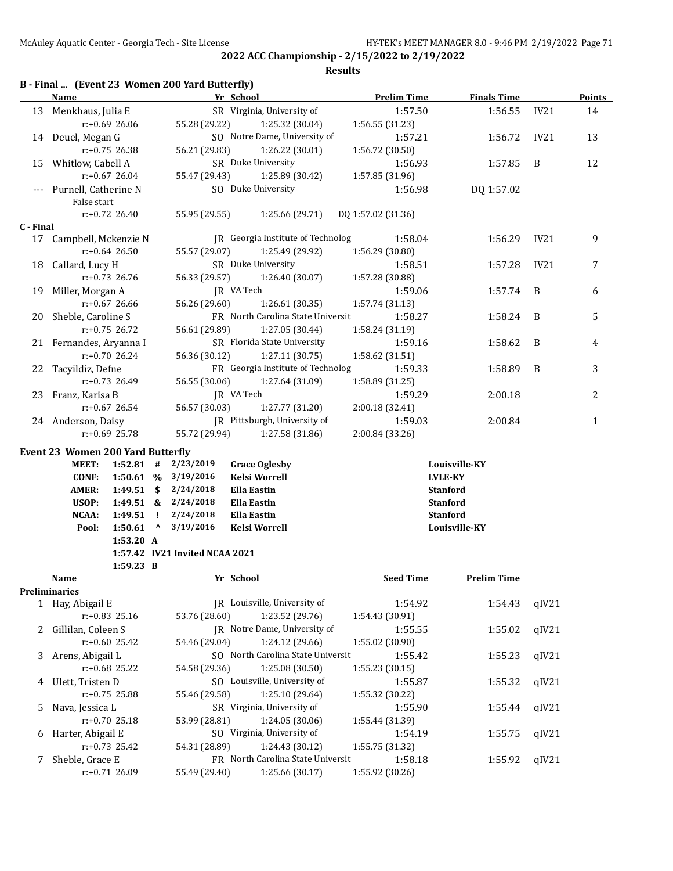|  |  |  | B - Final  (Event 23 Women 200 Yard Butterfly) |
|--|--|--|------------------------------------------------|
|--|--|--|------------------------------------------------|

|           | Name                                     |                  |                                 |                                | Yr School                         | <b>Prelim Time</b> | <b>Finals Time</b> |       | <b>Points</b> |
|-----------|------------------------------------------|------------------|---------------------------------|--------------------------------|-----------------------------------|--------------------|--------------------|-------|---------------|
|           | 13 Menkhaus, Julia E                     |                  |                                 |                                | SR Virginia, University of        | 1:57.50            | 1:56.55            | IV21  | 14            |
|           |                                          | $r: +0.69$ 26.06 |                                 | 55.28 (29.22)                  | 1:25.32 (30.04)                   | 1:56.55 (31.23)    |                    |       |               |
|           | 14 Deuel, Megan G                        |                  |                                 |                                | SO Notre Dame, University of      | 1:57.21            | 1:56.72            | IV21  | 13            |
|           |                                          | r:+0.75 26.38    |                                 | 56.21 (29.83)                  | 1:26.22 (30.01)                   | 1:56.72 (30.50)    |                    |       |               |
|           | 15 Whitlow, Cabell A                     |                  |                                 |                                | SR Duke University                | 1:56.93            | 1:57.85            | B     | 12            |
|           |                                          | $r: +0.67$ 26.04 |                                 | 55.47 (29.43)                  | 1:25.89 (30.42)                   | 1:57.85 (31.96)    |                    |       |               |
|           | Purnell, Catherine N                     |                  |                                 |                                | SO Duke University                | 1:56.98            | DQ 1:57.02         |       |               |
|           | False start                              |                  |                                 |                                |                                   |                    |                    |       |               |
|           |                                          | $r: +0.72$ 26.40 |                                 | 55.95 (29.55)                  | 1:25.66 (29.71)                   | DQ 1:57.02 (31.36) |                    |       |               |
| C - Final |                                          |                  |                                 |                                |                                   |                    |                    |       |               |
|           | 17 Campbell, Mckenzie N                  |                  |                                 |                                | JR Georgia Institute of Technolog | 1:58.04            | 1:56.29            | IV21  | 9             |
|           |                                          | $r: +0.64$ 26.50 |                                 | 55.57 (29.07)                  | 1:25.49 (29.92)                   | 1:56.29 (30.80)    |                    |       |               |
| 18        | Callard, Lucy H                          |                  |                                 |                                | SR Duke University                | 1:58.51            | 1:57.28            | IV21  | 7             |
|           |                                          | $r: +0.73$ 26.76 |                                 | 56.33 (29.57)                  | 1:26.40 (30.07)                   | 1:57.28 (30.88)    |                    |       |               |
| 19        | Miller, Morgan A                         |                  |                                 |                                | JR VA Tech                        | 1:59.06            | 1:57.74            | B     | 6             |
|           |                                          | $r: +0.67$ 26.66 |                                 | 56.26 (29.60)                  | 1:26.61 (30.35)                   | 1:57.74 (31.13)    |                    |       |               |
| 20        | Sheble, Caroline S                       |                  |                                 |                                | FR North Carolina State Universit | 1:58.27            | 1:58.24            | B     | 5             |
|           |                                          | $r: +0.75$ 26.72 |                                 | 56.61 (29.89)                  | 1:27.05 (30.44)                   | 1:58.24 (31.19)    |                    |       |               |
|           | 21 Fernandes, Aryanna I                  |                  |                                 |                                | SR Florida State University       | 1:59.16            | 1:58.62            | B     | 4             |
|           |                                          | $r: +0.70$ 26.24 |                                 | 56.36 (30.12)                  | 1:27.11 (30.75)                   | 1:58.62 (31.51)    |                    |       |               |
| 22        | Tacyildiz, Defne                         |                  |                                 |                                | FR Georgia Institute of Technolog | 1:59.33            | 1:58.89            | B     | 3             |
|           |                                          | $r: +0.73$ 26.49 |                                 | 56.55 (30.06)                  | 1:27.64 (31.09)                   | 1:58.89 (31.25)    |                    |       |               |
| 23        | Franz, Karisa B                          |                  |                                 |                                | JR VA Tech                        | 1:59.29            | 2:00.18            |       | 2             |
|           |                                          | $r: +0.67$ 26.54 |                                 | 56.57 (30.03)                  | 1:27.77 (31.20)                   | 2:00.18 (32.41)    |                    |       |               |
|           | 24 Anderson, Daisy                       |                  |                                 |                                | JR Pittsburgh, University of      | 1:59.03            | 2:00.84            |       | $\mathbf{1}$  |
|           |                                          | $r: +0.69$ 25.78 |                                 | 55.72 (29.94)                  | 1:27.58 (31.86)                   | 2:00.84 (33.26)    |                    |       |               |
|           | <b>Event 23 Women 200 Yard Butterfly</b> |                  |                                 |                                |                                   |                    |                    |       |               |
|           | <b>MEET:</b>                             | $1:52.81$ #      |                                 | 2/23/2019                      | <b>Grace Oglesby</b>              |                    | Louisville-KY      |       |               |
|           | <b>CONF:</b>                             |                  |                                 | 1:50.61 % 3/19/2016            | <b>Kelsi Worrell</b>              |                    | <b>LVLE-KY</b>     |       |               |
|           | <b>AMER:</b>                             | $1:49.51$ \$     |                                 | 2/24/2018                      | <b>Ella Eastin</b>                |                    | <b>Stanford</b>    |       |               |
|           | USOP:                                    | $1:49.51$ &      |                                 | 2/24/2018                      | <b>Ella Eastin</b>                |                    | <b>Stanford</b>    |       |               |
|           | NCAA:                                    | 1:49.51          | $\mathbf{I}$                    | 2/24/2018                      | <b>Ella Eastin</b>                |                    | <b>Stanford</b>    |       |               |
|           | Pool:                                    | 1:50.61          | $\boldsymbol{\mathsf{\Lambda}}$ | 3/19/2016                      | <b>Kelsi Worrell</b>              |                    | Louisville-KY      |       |               |
|           |                                          | 1:53.20 A        |                                 |                                |                                   |                    |                    |       |               |
|           |                                          | 1:59.23 B        |                                 | 1:57.42 IV21 Invited NCAA 2021 |                                   |                    |                    |       |               |
|           | Name                                     |                  |                                 |                                | Yr School                         | <b>Seed Time</b>   | <b>Prelim Time</b> |       |               |
|           | Preliminaries                            |                  |                                 |                                |                                   |                    |                    |       |               |
|           | 1 Hay, Abigail E                         |                  |                                 |                                | IR Louisville, University of      | 1:54.92            | 1:54.43            | qIV21 |               |
|           |                                          | r:+0.83 25.16    |                                 | 53.76 (28.60)                  | 1:23.52 (29.76)                   | 1:54.43 (30.91)    |                    |       |               |
| 2         | Gillilan, Coleen S                       |                  |                                 |                                | JR Notre Dame, University of      | 1:55.55            | 1:55.02            | qIV21 |               |
|           |                                          | $r: +0.60$ 25.42 |                                 | 54.46 (29.04)                  | 1:24.12 (29.66)                   | 1:55.02 (30.90)    |                    |       |               |
|           | 3 Arens, Abigail L                       |                  |                                 |                                | SO North Carolina State Universit | 1:55.42            | 1:55.23            | qIV21 |               |
|           |                                          | r:+0.68 25.22    |                                 | 54.58 (29.36)                  | 1:25.08 (30.50)                   | 1:55.23 (30.15)    |                    |       |               |
|           | 4 Ulett, Tristen D                       |                  |                                 |                                | SO Louisville, University of      | 1:55.87            | 1:55.32            | qIV21 |               |
|           |                                          | $r: +0.75$ 25.88 |                                 | 55.46 (29.58)                  | 1:25.10 (29.64)                   | 1:55.32 (30.22)    |                    |       |               |
| 5         | Nava, Jessica L                          |                  |                                 |                                | SR Virginia, University of        | 1:55.90            | 1:55.44            | qIV21 |               |
|           |                                          | $r: +0.70$ 25.18 |                                 | 53.99 (28.81)                  | 1:24.05 (30.06)                   | 1:55.44 (31.39)    |                    |       |               |
| 6         | Harter, Abigail E                        |                  |                                 |                                | SO Virginia, University of        | 1:54.19            | 1:55.75            | qIV21 |               |
|           | $r: +0.73$ 25.42                         |                  |                                 | 54.31 (28.89)                  | 1:24.43 (30.12)                   | 1:55.75 (31.32)    |                    |       |               |
|           |                                          |                  |                                 |                                |                                   |                    |                    |       |               |
|           | 7 Sheble, Grace E                        |                  |                                 |                                | FR North Carolina State Universit | 1:58.18            | 1:55.92            | qIV21 |               |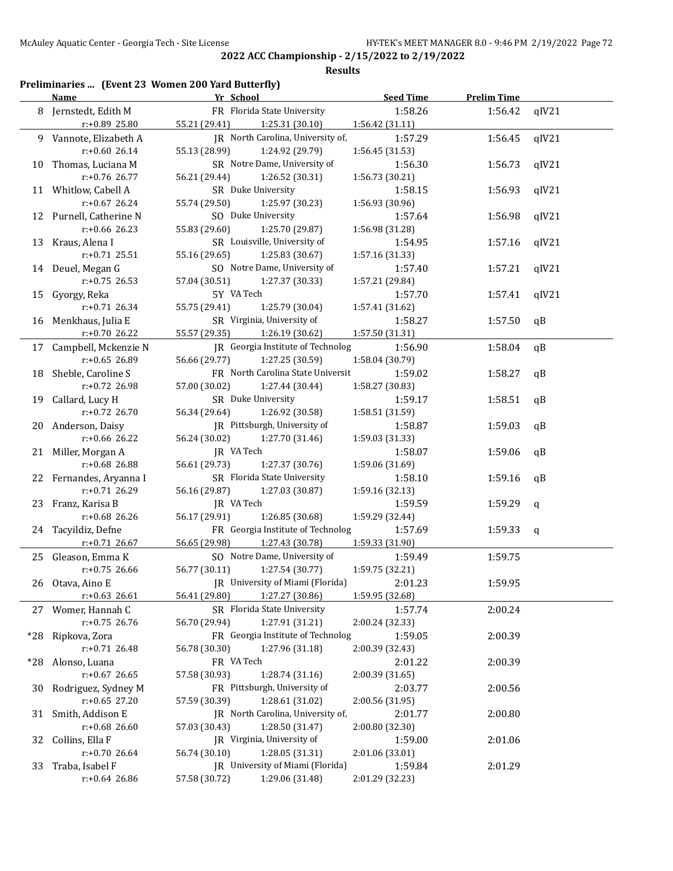#### **Results**

## **Preliminaries ... (Event 23 Women 200 Yard Butterfly)**

|     | <b>Name</b>             | Yr School                         |                 | <b>Prelim Time</b> |             |
|-----|-------------------------|-----------------------------------|-----------------|--------------------|-------------|
|     | 8 Jernstedt, Edith M    | FR Florida State University       | 1:58.26         | 1:56.42            | qIV21       |
|     | r:+0.89 25.80           | 55.21 (29.41)<br>1:25.31(30.10)   | 1:56.42 (31.11) |                    |             |
|     | 9 Vannote, Elizabeth A  | JR North Carolina, University of, | 1:57.29         | 1:56.45            | qIV21       |
|     | $r: +0.6026.14$         | 55.13 (28.99)<br>1:24.92 (29.79)  | 1:56.45 (31.53) |                    |             |
|     | 10 Thomas, Luciana M    | SR Notre Dame, University of      | 1:56.30         | 1:56.73            | qIV21       |
|     | r:+0.76 26.77           | 1:26.52 (30.31)<br>56.21 (29.44)  | 1:56.73 (30.21) |                    |             |
|     | 11 Whitlow, Cabell A    | SR Duke University                | 1:58.15         | 1:56.93            | qIV21       |
|     | r:+0.67 26.24           | 55.74 (29.50)<br>1:25.97 (30.23)  | 1:56.93 (30.96) |                    |             |
|     | 12 Purnell, Catherine N | SO Duke University                | 1:57.64         | 1:56.98            | qIV21       |
|     | $r: +0.66$ 26.23        | 55.83 (29.60)<br>1:25.70 (29.87)  | 1:56.98 (31.28) |                    |             |
|     | 13 Kraus, Alena I       | SR Louisville, University of      | 1:54.95         | 1:57.16            | qIV21       |
|     | $r: +0.71$ 25.51        | 55.16 (29.65)<br>1:25.83 (30.67)  | 1:57.16 (31.33) |                    |             |
|     | 14 Deuel, Megan G       | SO Notre Dame, University of      | 1:57.40         | 1:57.21            | qIV21       |
|     | $r: +0.75$ 26.53        | 57.04 (30.51)<br>1:27.37 (30.33)  | 1:57.21 (29.84) |                    |             |
|     | 15 Gyorgy, Reka         | 5Y VA Tech                        | 1:57.70         | 1:57.41            | qIV21       |
|     | r:+0.71 26.34           | 55.75 (29.41)<br>1:25.79 (30.04)  | 1:57.41 (31.62) |                    |             |
|     | 16 Menkhaus, Julia E    | SR Virginia, University of        | 1:58.27         | 1:57.50            | qB          |
|     | r:+0.70 26.22           | 55.57 (29.35)<br>1:26.19 (30.62)  | 1:57.50 (31.31) |                    |             |
|     | 17 Campbell, Mckenzie N | JR Georgia Institute of Technolog | 1:56.90         | 1:58.04            | qB          |
|     | $r: +0.65$ 26.89        | 56.66 (29.77)<br>1:27.25 (30.59)  | 1:58.04 (30.79) |                    |             |
| 18  | Sheble, Caroline S      | FR North Carolina State Universit | 1:59.02         | 1:58.27            | qB          |
|     | r:+0.72 26.98           | 57.00 (30.02)<br>1:27.44 (30.44)  | 1:58.27 (30.83) |                    |             |
| 19  | Callard, Lucy H         | SR Duke University                | 1:59.17         | 1:58.51            | qB          |
|     | r:+0.72 26.70           | 56.34 (29.64)<br>1:26.92 (30.58)  | 1:58.51 (31.59) |                    |             |
|     | 20 Anderson, Daisy      | JR Pittsburgh, University of      | 1:58.87         | 1:59.03            | qB          |
|     | r:+0.66 26.22           | 56.24 (30.02)<br>1:27.70 (31.46)  | 1:59.03 (31.33) |                    |             |
|     | 21 Miller, Morgan A     | JR VA Tech                        | 1:58.07         | 1:59.06            | qB          |
|     | r:+0.68 26.88           | 56.61 (29.73)<br>1:27.37 (30.76)  | 1:59.06 (31.69) |                    |             |
|     | 22 Fernandes, Aryanna I | SR Florida State University       | 1:58.10         | 1:59.16            | qB          |
|     | r:+0.71 26.29           | 1:27.03 (30.87)<br>56.16 (29.87)  | 1:59.16 (32.13) |                    |             |
|     | 23 Franz, Karisa B      | JR VA Tech                        | 1:59.59         | 1:59.29            | $\mathbf q$ |
|     | r:+0.68 26.26           | 56.17 (29.91)<br>1:26.85 (30.68)  | 1:59.29 (32.44) |                    |             |
|     | 24 Tacyildiz, Defne     | FR Georgia Institute of Technolog | 1:57.69         | 1:59.33            | q           |
|     | $r: +0.71$ 26.67        | 56.65 (29.98)<br>1:27.43 (30.78)  | 1:59.33 (31.90) |                    |             |
|     | 25 Gleason, Emma K      | SO Notre Dame, University of      | 1:59.49         | 1:59.75            |             |
|     | $r: +0.75$ 26.66        | 56.77 (30.11)<br>1:27.54(30.77)   | 1:59.75 (32.21) |                    |             |
|     | 26 Otava, Aino E        | JR University of Miami (Florida)  | 2:01.23         | 1:59.95            |             |
|     | $r: +0.63$ 26.61        | 1:27.27 (30.86)<br>56.41 (29.80)  | 1:59.95 (32.68) |                    |             |
|     | 27 Womer, Hannah C      | SR Florida State University       | 1:57.74         | 2:00.24            |             |
|     | $r: +0.75$ 26.76        | 1:27.91 (31.21)<br>56.70 (29.94)  | 2:00.24 (32.33) |                    |             |
|     | *28 Ripkova, Zora       | FR Georgia Institute of Technolog | 1:59.05         | 2:00.39            |             |
|     | $r: +0.71$ 26.48        | 1:27.96 (31.18)<br>56.78 (30.30)  | 2:00.39 (32.43) |                    |             |
|     | *28 Alonso, Luana       | FR VA Tech                        | 2:01.22         | 2:00.39            |             |
|     | $r: +0.67$ 26.65        | 1:28.74 (31.16)<br>57.58 (30.93)  | 2:00.39 (31.65) |                    |             |
| 30- | Rodriguez, Sydney M     | FR Pittsburgh, University of      | 2:03.77         | 2:00.56            |             |
|     | $r: +0.65$ 27.20        | 57.59 (30.39)<br>1:28.61 (31.02)  | 2:00.56 (31.95) |                    |             |
| 31  | Smith, Addison E        | JR North Carolina, University of, | 2:01.77         | 2:00.80            |             |
|     | r:+0.68 26.60           | 57.03 (30.43)<br>1:28.50 (31.47)  | 2:00.80 (32.30) |                    |             |
| 32  | Collins, Ella F         | JR Virginia, University of        | 1:59.00         | 2:01.06            |             |
|     | $r: +0.70$ 26.64        | 1:28.05 (31.31)<br>56.74 (30.10)  | 2:01.06 (33.01) |                    |             |
| 33  | Traba, Isabel F         | JR University of Miami (Florida)  | 1:59.84         | 2:01.29            |             |
|     | r:+0.64 26.86           | 57.58 (30.72)<br>1:29.06 (31.48)  | 2:01.29 (32.23) |                    |             |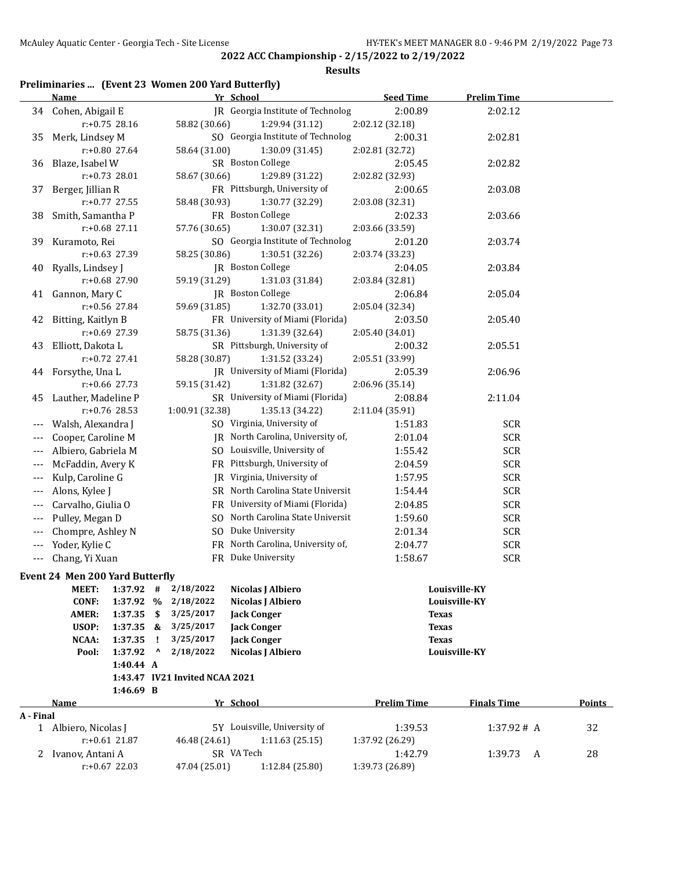#### **Results**

## **Preliminaries ... (Event 23 Women 200 Yard Butterfly)**

|           | <b>Name</b>                     |                    |    |                                | Yr School                         | <b>Seed Time</b>   | <b>Prelim Time</b> |            |               |
|-----------|---------------------------------|--------------------|----|--------------------------------|-----------------------------------|--------------------|--------------------|------------|---------------|
|           | 34 Cohen, Abigail E             |                    |    |                                | JR Georgia Institute of Technolog | 2:00.89            | 2:02.12            |            |               |
|           | $r: +0.75$ 28.16                |                    |    | 58.82 (30.66)                  | 1:29.94 (31.12)                   | 2:02.12 (32.18)    |                    |            |               |
| 35        | Merk, Lindsey M                 |                    |    |                                | SO Georgia Institute of Technolog | 2:00.31            | 2:02.81            |            |               |
|           | r:+0.80 27.64                   |                    |    | 58.64 (31.00)                  | 1:30.09(31.45)                    | 2:02.81 (32.72)    |                    |            |               |
| 36        | Blaze, Isabel W                 |                    |    |                                | SR Boston College                 | 2:05.45            | 2:02.82            |            |               |
|           | r:+0.73 28.01                   |                    |    | 58.67 (30.66)                  | 1:29.89 (31.22)                   | 2:02.82 (32.93)    |                    |            |               |
| 37        | Berger, Jillian R               |                    |    |                                | FR Pittsburgh, University of      | 2:00.65            | 2:03.08            |            |               |
|           | $r: +0.77$ 27.55                |                    |    | 58.48 (30.93)                  | 1:30.77 (32.29)                   | 2:03.08 (32.31)    |                    |            |               |
| 38        | Smith, Samantha P               |                    |    |                                | FR Boston College                 | 2:02.33            | 2:03.66            |            |               |
|           | r:+0.68 27.11                   |                    |    | 57.76 (30.65)                  | 1:30.07 (32.31)                   | 2:03.66 (33.59)    |                    |            |               |
| 39        | Kuramoto, Rei                   |                    |    |                                | SO Georgia Institute of Technolog | 2:01.20            | 2:03.74            |            |               |
|           | r:+0.63 27.39                   |                    |    | 58.25 (30.86)                  | 1:30.51 (32.26)                   | 2:03.74 (33.23)    |                    |            |               |
| 40        | Ryalls, Lindsey J               |                    |    |                                | JR Boston College                 | 2:04.05            | 2:03.84            |            |               |
|           | $r: +0.68$ 27.90                |                    |    | 59.19 (31.29)                  | 1:31.03 (31.84)                   | 2:03.84 (32.81)    |                    |            |               |
| 41        | Gannon, Mary C                  |                    |    |                                | JR Boston College                 | 2:06.84            | 2:05.04            |            |               |
|           | r:+0.56 27.84                   |                    |    | 59.69 (31.85)                  | 1:32.70 (33.01)                   | 2:05.04 (32.34)    |                    |            |               |
| 42        | Bitting, Kaitlyn B              |                    |    |                                | FR University of Miami (Florida)  | 2:03.50            | 2:05.40            |            |               |
|           | r:+0.69 27.39                   |                    |    | 58.75 (31.36)                  | 1:31.39 (32.64)                   | 2:05.40 (34.01)    |                    |            |               |
| 43        | Elliott, Dakota L               |                    |    |                                | SR Pittsburgh, University of      | 2:00.32            | 2:05.51            |            |               |
|           | $r: +0.72$ 27.41                |                    |    | 58.28 (30.87)                  | 1:31.52 (33.24)                   | 2:05.51 (33.99)    |                    |            |               |
| 44        | Forsythe, Una L                 |                    |    |                                | JR University of Miami (Florida)  | 2:05.39            | 2:06.96            |            |               |
|           | $r: +0.66$ 27.73                |                    |    | 59.15 (31.42)                  | 1:31.82 (32.67)                   | 2:06.96 (35.14)    |                    |            |               |
| 45        | Lauther, Madeline P             |                    |    |                                | SR University of Miami (Florida)  | 2:08.84            | 2:11.04            |            |               |
|           | r:+0.76 28.53                   |                    |    | 1:00.91 (32.38)                | 1:35.13 (34.22)                   | 2:11.04 (35.91)    |                    |            |               |
| $---$     | Walsh, Alexandra J              |                    |    |                                | SO Virginia, University of        | 1:51.83            | <b>SCR</b>         |            |               |
| $---$     | Cooper, Caroline M              |                    |    |                                | JR North Carolina, University of, | 2:01.04            | <b>SCR</b>         |            |               |
| $---$     | Albiero, Gabriela M             |                    |    |                                | SO Louisville, University of      | 1:55.42            | <b>SCR</b>         |            |               |
| $---$     | McFaddin, Avery K               |                    |    |                                | FR Pittsburgh, University of      | 2:04.59            | <b>SCR</b>         |            |               |
| $---$     | Kulp, Caroline G                |                    |    | JR                             | Virginia, University of           | 1:57.95            | <b>SCR</b>         |            |               |
| $---$     | Alons, Kylee J                  |                    |    |                                | SR North Carolina State Universit | 1:54.44            | <b>SCR</b>         |            |               |
| $---$     | Carvalho, Giulia O              |                    |    |                                | FR University of Miami (Florida)  | 2:04.85            | <b>SCR</b>         |            |               |
| $---$     | Pulley, Megan D                 |                    |    | SO.                            | North Carolina State Universit    | 1:59.60            | <b>SCR</b>         |            |               |
| $---$     | Chompre, Ashley N               |                    |    |                                | SO Duke University                | 2:01.34            | <b>SCR</b>         |            |               |
| $---$     | Yoder, Kylie C                  |                    |    |                                | FR North Carolina, University of, | 2:04.77            | <b>SCR</b>         |            |               |
| $---$     | Chang, Yi Xuan                  |                    |    |                                | FR Duke University                | 1:58.67            | <b>SCR</b>         |            |               |
|           |                                 |                    |    |                                |                                   |                    |                    |            |               |
|           | Event 24 Men 200 Yard Butterfly |                    |    |                                |                                   |                    |                    |            |               |
|           | MEET:                           | 1:37.92            | #  | 2/18/2022                      | Nicolas J Albiero                 |                    | Louisville-KY      |            |               |
|           | <b>CONF:</b>                    | 1:37.92 %          |    | 2/18/2022                      | Nicolas J Albiero                 |                    | Louisville-KY      |            |               |
|           | <b>AMER:</b>                    | 1:37.35            | \$ | 3/25/2017                      | <b>Jack Conger</b>                |                    | <b>Texas</b>       |            |               |
|           | USOP:                           | $1:37.35$ &        | Ţ  | 3/25/2017<br>3/25/2017         | <b>Jack Conger</b>                |                    | <b>Texas</b>       |            |               |
|           | NCAA:                           | 1:37.35<br>1:37.92 | Λ  | 2/18/2022                      | <b>Jack Conger</b>                |                    | <b>Texas</b>       |            |               |
|           | Pool:                           | 1:40.44 A          |    |                                | Nicolas J Albiero                 |                    | Louisville-KY      |            |               |
|           |                                 |                    |    | 1:43.47 IV21 Invited NCAA 2021 |                                   |                    |                    |            |               |
|           |                                 | 1:46.69 B          |    |                                |                                   |                    |                    |            |               |
|           | <b>Name</b>                     |                    |    |                                | Yr School                         | <b>Prelim Time</b> | <b>Finals Time</b> |            | <b>Points</b> |
| A - Final |                                 |                    |    |                                |                                   |                    |                    |            |               |
|           | 1 Albiero, Nicolas J            |                    |    |                                | 5Y Louisville, University of      | 1:39.53            |                    | 1:37.92# A | 32            |
|           | $r: +0.61$ 21.87                |                    |    | 46.48 (24.61)                  | 1:11.63(25.15)                    | 1:37.92 (26.29)    |                    |            |               |
|           | 2 Ivanov, Antani A              |                    |    |                                | SR VA Tech                        | 1:42.79            | 1:39.73            | A          | 28            |
|           | $r: +0.67$ 22.03                |                    |    | 47.04 (25.01)                  | 1:12.84 (25.80)                   | 1:39.73 (26.89)    |                    |            |               |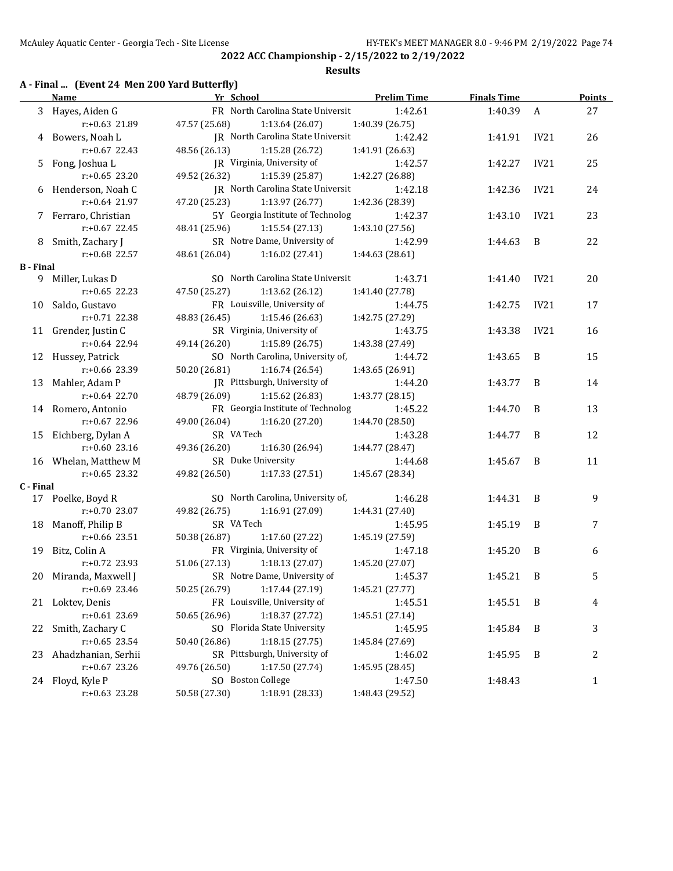#### **Results**

## **A - Final ... (Event 24 Men 200 Yard Butterfly)**

|                  | Name                  | Yr School                                | <b>Prelim Time</b> | <b>Finals Time</b> |                  | <b>Points</b> |
|------------------|-----------------------|------------------------------------------|--------------------|--------------------|------------------|---------------|
|                  | 3 Hayes, Aiden G      | FR North Carolina State Universit        | 1:42.61            | 1:40.39            | $\boldsymbol{A}$ | 27            |
|                  | r:+0.63 21.89         | 47.57 (25.68)<br>1:13.64 (26.07)         | 1:40.39 (26.75)    |                    |                  |               |
|                  | 4 Bowers, Noah L      | <b>IR</b> North Carolina State Universit | 1:42.42            | 1:41.91            | IV21             | 26            |
|                  | $r: +0.67$ 22.43      | 48.56 (26.13)<br>1:15.28 (26.72)         | 1:41.91 (26.63)    |                    |                  |               |
|                  | 5 Fong, Joshua L      | JR Virginia, University of               | 1:42.57            | 1:42.27            | IV21             | 25            |
|                  | $r: +0.65$ 23.20      | 49.52 (26.32)<br>1:15.39 (25.87)         | 1:42.27 (26.88)    |                    |                  |               |
|                  | 6 Henderson, Noah C   | <b>IR</b> North Carolina State Universit | 1:42.18            | 1:42.36            | IV21             | 24            |
|                  | r:+0.64 21.97         | 47.20 (25.23)<br>1:13.97 (26.77)         | 1:42.36 (28.39)    |                    |                  |               |
|                  | 7 Ferraro, Christian  | 5Y Georgia Institute of Technolog        | 1:42.37            | 1:43.10            | IV21             | 23            |
|                  | $r: +0.67$ 22.45      | 48.41 (25.96)<br>1:15.54(27.13)          | 1:43.10 (27.56)    |                    |                  |               |
|                  | 8 Smith, Zachary J    | SR Notre Dame, University of             | 1:42.99            | 1:44.63            | B                | 22            |
|                  | $r: +0.68$ 22.57      | 48.61 (26.04)<br>1:16.02 (27.41)         | 1:44.63 (28.61)    |                    |                  |               |
| <b>B</b> - Final |                       |                                          |                    |                    |                  |               |
|                  | 9 Miller, Lukas D     | SO North Carolina State Universit        | 1:43.71            | 1:41.40            | IV21             | 20            |
|                  | $r: +0.65$ 22.23      | 47.50 (25.27)<br>1:13.62 (26.12)         | 1:41.40 (27.78)    |                    |                  |               |
|                  | 10 Saldo, Gustavo     | FR Louisville, University of             | 1:44.75            | 1:42.75            | IV21             | 17            |
|                  | $r: +0.71$ 22.38      | 48.83 (26.45)<br>1:15.46 (26.63)         | 1:42.75 (27.29)    |                    |                  |               |
|                  | 11 Grender, Justin C  | SR Virginia, University of               | 1:43.75            | 1:43.38            | IV21             | 16            |
|                  | $r: +0.64$ 22.94      | 49.14 (26.20)<br>1:15.89 (26.75)         | 1:43.38 (27.49)    |                    |                  |               |
|                  | 12 Hussey, Patrick    | SO North Carolina, University of,        | 1:44.72            | 1:43.65            | B                | 15            |
|                  | $r: +0.66$ 23.39      | 50.20 (26.81)<br>1:16.74 (26.54)         | 1:43.65 (26.91)    |                    |                  |               |
|                  | 13 Mahler, Adam P     | JR Pittsburgh, University of             | 1:44.20            | 1:43.77            | B                | 14            |
|                  | $r: +0.64$ 22.70      | 48.79 (26.09)<br>1:15.62 (26.83)         | 1:43.77 (28.15)    |                    |                  |               |
|                  | 14 Romero, Antonio    | FR Georgia Institute of Technolog        | 1:45.22            | 1:44.70            | B                | 13            |
|                  | $r: +0.67$ 22.96      | 49.00 (26.04)<br>1:16.20 (27.20)         | 1:44.70 (28.50)    |                    |                  |               |
|                  | 15 Eichberg, Dylan A  | SR VA Tech                               | 1:43.28            | 1:44.77            | B                | 12            |
|                  | $r: +0.60$ 23.16      | 49.36 (26.20)<br>1:16.30 (26.94)         | 1:44.77 (28.47)    |                    |                  |               |
|                  | 16 Whelan, Matthew M  | SR Duke University                       | 1:44.68            | 1:45.67            | B                | 11            |
|                  | $r: +0.65$ 23.32      | 49.82 (26.50)<br>1:17.33 (27.51)         | 1:45.67 (28.34)    |                    |                  |               |
| C - Final        |                       |                                          |                    |                    |                  |               |
|                  | 17 Poelke, Boyd R     | SO North Carolina, University of,        | 1:46.28            | 1:44.31            | B                | 9             |
|                  | $r: +0.70$ 23.07      | 49.82 (26.75)<br>1:16.91(27.09)          | 1:44.31 (27.40)    |                    |                  |               |
|                  | 18 Manoff, Philip B   | SR VA Tech                               | 1:45.95            | 1:45.19            | B                | 7             |
|                  | $r: +0.66$ 23.51      | 50.38 (26.87)<br>1:17.60 (27.22)         | 1:45.19 (27.59)    |                    |                  |               |
|                  | 19 Bitz, Colin A      | FR Virginia, University of               | 1:47.18            | 1:45.20            | B                | 6             |
|                  | $r: +0.72$ 23.93      | 51.06 (27.13)<br>1:18.13(27.07)          | 1:45.20 (27.07)    |                    |                  |               |
|                  | 20 Miranda, Maxwell J | SR Notre Dame, University of             | 1:45.37            | 1:45.21            | B                | 5             |
|                  | r:+0.69 23.46         | 1:17.44 (27.19)<br>50.25 (26.79)         | 1:45.21 (27.77)    |                    |                  |               |
|                  | 21 Loktev, Denis      | FR Louisville, University of             | 1:45.51            | 1:45.51            | B                | 4             |
|                  | $r: +0.61$ 23.69      | 50.65 (26.96)<br>1:18.37 (27.72)         | 1:45.51 (27.14)    |                    |                  |               |
| 22               | Smith, Zachary C      | SO Florida State University              | 1:45.95            | 1:45.84            | B                | 3             |
|                  | $r: +0.65$ 23.54      | 1:18.15(27.75)<br>50.40 (26.86)          | 1:45.84 (27.69)    |                    |                  |               |
| 23               | Ahadzhanian, Serhii   | SR Pittsburgh, University of             | 1:46.02            | 1:45.95            | B                | 2             |
|                  | r:+0.67 23.26         | 1:17.50 (27.74)<br>49.76 (26.50)         | 1:45.95 (28.45)    |                    |                  |               |
|                  | 24 Floyd, Kyle P      | SO Boston College                        | 1:47.50            | 1:48.43            |                  | $\mathbf{1}$  |
|                  | $r: +0.63$ 23.28      | 50.58 (27.30)<br>1:18.91 (28.33)         | 1:48.43 (29.52)    |                    |                  |               |
|                  |                       |                                          |                    |                    |                  |               |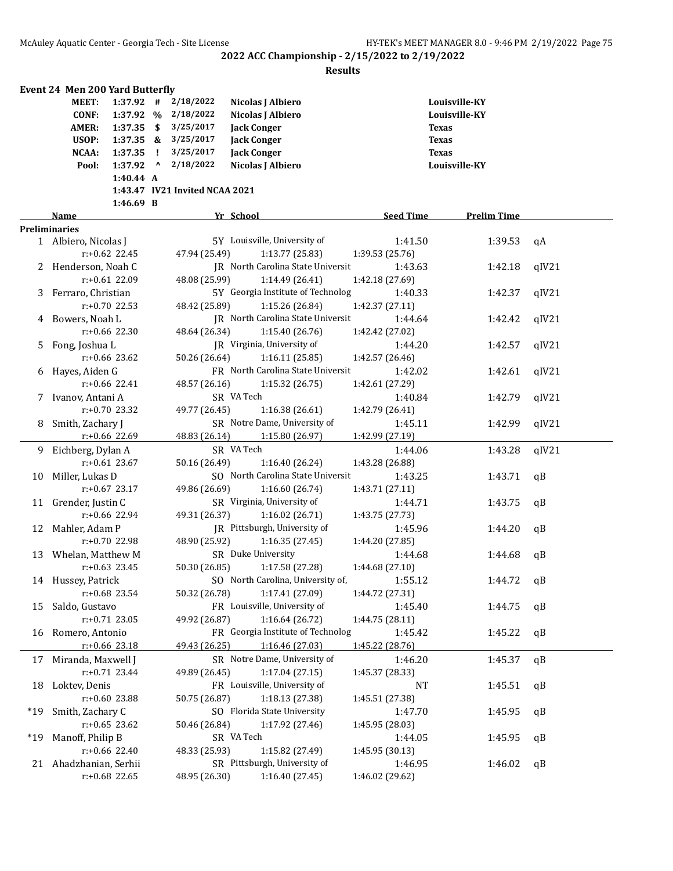|       | <b>Event 24 Men 200 Yard Butterfly</b> |                  |           |                                |                                           |                  |                    |       |
|-------|----------------------------------------|------------------|-----------|--------------------------------|-------------------------------------------|------------------|--------------------|-------|
|       | MEET:                                  | $1:37.92$ #      |           | 2/18/2022                      | Nicolas J Albiero                         |                  | Louisville-KY      |       |
|       | <b>CONF:</b>                           | 1:37.92 %        |           | 2/18/2022                      | Nicolas J Albiero                         |                  | Louisville-KY      |       |
|       | <b>AMER:</b>                           | $1:37.35$ \$     |           | 3/25/2017                      | <b>Jack Conger</b>                        |                  | Texas              |       |
|       | USOP:                                  | $1:37.35$ &      |           | 3/25/2017                      | <b>Jack Conger</b>                        |                  | <b>Texas</b>       |       |
|       | NCAA:                                  | $1:37.35$ !      |           | 3/25/2017                      | <b>Jack Conger</b>                        |                  | <b>Texas</b>       |       |
|       | Pool:                                  | 1:37.92          | $\lambda$ | 2/18/2022                      | Nicolas J Albiero                         |                  | Louisville-KY      |       |
|       |                                        | 1:40.44 A        |           |                                |                                           |                  |                    |       |
|       |                                        |                  |           | 1:43.47 IV21 Invited NCAA 2021 |                                           |                  |                    |       |
|       |                                        | 1:46.69 B        |           |                                |                                           |                  |                    |       |
|       | Name                                   |                  |           |                                | Yr School                                 | <b>Seed Time</b> | <b>Prelim Time</b> |       |
|       | <b>Preliminaries</b>                   |                  |           |                                |                                           |                  |                    |       |
|       | 1 Albiero, Nicolas J                   |                  |           |                                | 5Y Louisville, University of              | 1:41.50          | 1:39.53            | qA    |
|       |                                        | $r: +0.62$ 22.45 |           | 47.94 (25.49)                  | 1:13.77(25.83)                            | 1:39.53 (25.76)  |                    |       |
|       | 2 Henderson, Noah C                    |                  |           |                                | <b>IR</b> North Carolina State Universit  | 1:43.63          | 1:42.18            | qIV21 |
|       |                                        | $r: +0.61$ 22.09 |           | 48.08 (25.99)                  | 1:14.49 (26.41)                           | 1:42.18 (27.69)  |                    |       |
| 3     | Ferraro, Christian                     |                  |           |                                | 5Y Georgia Institute of Technolog         | 1:40.33          | 1:42.37            | qIV21 |
|       |                                        | $r: +0.70$ 22.53 |           | 48.42 (25.89)                  | 1:15.26 (26.84)                           | 1:42.37 (27.11)  |                    |       |
|       | Bowers, Noah L                         |                  |           |                                | JR North Carolina State Universit         | 1:44.64          | 1:42.42            | qIV21 |
|       |                                        | $r: +0.66$ 22.30 |           | 48.64 (26.34)                  | 1:15.40 (26.76)                           | 1:42.42 (27.02)  |                    |       |
| 5     | Fong, Joshua L                         |                  |           |                                | JR Virginia, University of                | 1:44.20          | 1:42.57            | qIV21 |
|       |                                        | $r: +0.66$ 23.62 |           | 50.26 (26.64)                  | 1:16.11(25.85)                            | 1:42.57 (26.46)  |                    |       |
| 6     | Hayes, Aiden G                         |                  |           |                                | FR North Carolina State Universit         | 1:42.02          | 1:42.61            | qIV21 |
|       |                                        | $r: +0.66$ 22.41 |           | 48.57 (26.16)                  | 1:15.32 (26.75)                           | 1:42.61 (27.29)  |                    |       |
|       |                                        |                  |           |                                | SR VA Tech                                |                  |                    |       |
|       | Ivanov, Antani A                       |                  |           |                                |                                           | 1:40.84          | 1:42.79            | qIV21 |
|       |                                        | $r: +0.70$ 23.32 |           | 49.77 (26.45)                  | 1:16.38(26.61)                            | 1:42.79 (26.41)  |                    |       |
| 8     | Smith, Zachary J                       |                  |           |                                | SR Notre Dame, University of              | 1:45.11          | 1:42.99            | qIV21 |
|       |                                        | r:+0.66 22.69    |           | 48.83 (26.14)                  | 1:15.80 (26.97)                           | 1:42.99 (27.19)  |                    |       |
| 9.    | Eichberg, Dylan A                      |                  |           |                                | SR VA Tech                                | 1:44.06          | 1:43.28            | qIV21 |
|       |                                        | $r: +0.61$ 23.67 |           | 50.16 (26.49)                  | 1:16.40 (26.24)                           | 1:43.28 (26.88)  |                    |       |
| 10    | Miller, Lukas D                        |                  |           |                                | SO North Carolina State Universit         | 1:43.25          | 1:43.71            | qB    |
|       |                                        | $r: +0.67$ 23.17 |           | 49.86 (26.69)                  | 1:16.60 (26.74)                           | 1:43.71 (27.11)  |                    |       |
| 11    | Grender, Justin C                      |                  |           |                                | SR Virginia, University of                | 1:44.71          | 1:43.75            | qB    |
|       |                                        | r:+0.66 22.94    |           | 49.31 (26.37)                  | 1:16.02(26.71)                            | 1:43.75 (27.73)  |                    |       |
| 12    | Mahler, Adam P                         |                  |           |                                | JR Pittsburgh, University of              | 1:45.96          | 1:44.20            | qB    |
|       |                                        | r:+0.70 22.98    |           | 48.90 (25.92)                  | 1:16.35(27.45)                            | 1:44.20 (27.85)  |                    |       |
|       | 13 Whelan, Matthew M                   |                  |           |                                | SR Duke University                        | 1:44.68          | 1:44.68            | qB    |
|       |                                        | $r: +0.63$ 23.45 |           | 50.30 (26.85)                  | 1:17.58 (27.28)                           | 1:44.68 (27.10)  |                    |       |
|       | 14 Hussey, Patrick                     |                  |           |                                | SO North Carolina, University of, 2:55.12 |                  | 1:44.72            | qB    |
|       |                                        | r:+0.68 23.54    |           | 50.32 (26.78)                  | 1:17.41 (27.09)                           | 1:44.72 (27.31)  |                    |       |
| 15    | Saldo, Gustavo                         |                  |           |                                | FR Louisville, University of              | 1:45.40          | 1:44.75            | qB    |
|       |                                        | $r: +0.71$ 23.05 |           | 49.92 (26.87)                  | 1:16.64(26.72)                            | 1:44.75 (28.11)  |                    |       |
| 16    | Romero, Antonio                        |                  |           |                                | FR Georgia Institute of Technolog         | 1:45.42          | 1:45.22            | qB    |
|       |                                        | r:+0.66 23.18    |           | 49.43 (26.25)                  | 1:16.46 (27.03)                           | 1:45.22 (28.76)  |                    |       |
| 17    | Miranda, Maxwell J                     |                  |           |                                | SR Notre Dame, University of              | 1:46.20          | 1:45.37            | qB    |
|       |                                        | r:+0.71 23.44    |           | 49.89 (26.45)                  | 1:17.04(27.15)                            | 1:45.37 (28.33)  |                    |       |
| 18    | Loktev, Denis                          |                  |           |                                | FR Louisville, University of              | <b>NT</b>        | 1:45.51            | qB    |
|       |                                        | r:+0.60 23.88    |           | 50.75 (26.87)                  | 1:18.13 (27.38)                           | 1:45.51 (27.38)  |                    |       |
| *19   | Smith, Zachary C                       |                  |           |                                | SO Florida State University               | 1:47.70          | 1:45.95            | qB    |
|       |                                        | $r: +0.65$ 23.62 |           | 50.46 (26.84)                  | 1:17.92 (27.46)                           | 1:45.95 (28.03)  |                    |       |
|       |                                        |                  |           |                                | SR VA Tech                                |                  |                    |       |
| $*19$ | Manoff, Philip B                       | r:+0.66 22.40    |           |                                |                                           | 1:44.05          | 1:45.95            | qB    |
|       |                                        |                  |           | 48.33 (25.93)                  | 1:15.82 (27.49)                           | 1:45.95 (30.13)  |                    |       |
|       | 21 Ahadzhanian, Serhii                 |                  |           |                                | SR Pittsburgh, University of              | 1:46.95          | 1:46.02            | qB    |
|       |                                        | r:+0.68 22.65    |           | 48.95 (26.30)                  | 1:16.40 (27.45)                           | 1:46.02 (29.62)  |                    |       |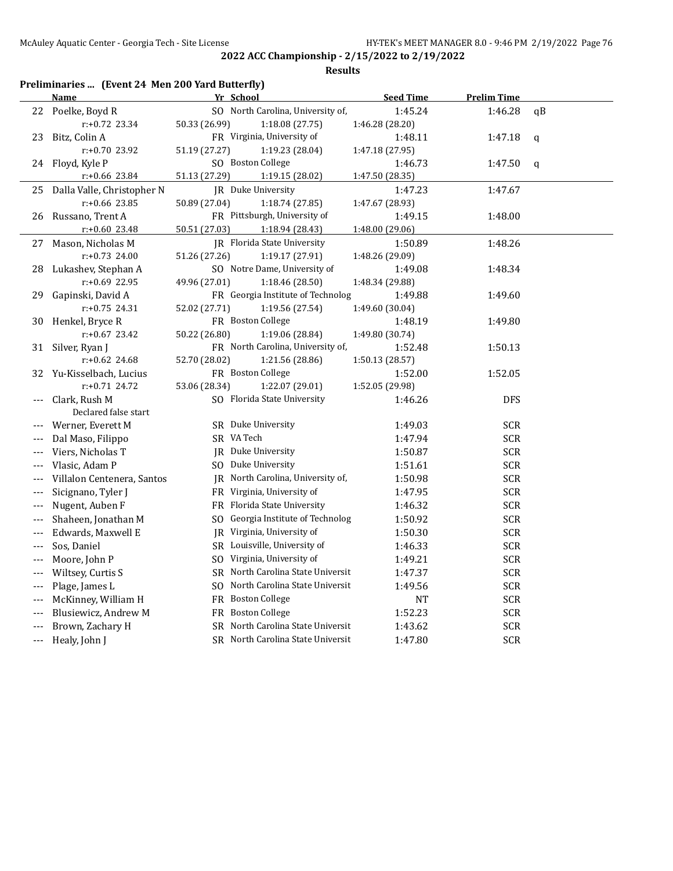| Preliminaries  (Event 24 Men 200 Yard Butterfly) |                            |                                   |                  |                    |             |  |  |  |  |
|--------------------------------------------------|----------------------------|-----------------------------------|------------------|--------------------|-------------|--|--|--|--|
|                                                  | <b>Name</b>                | Yr School                         | <b>Seed Time</b> | <b>Prelim Time</b> |             |  |  |  |  |
|                                                  | 22 Poelke, Boyd R          | SO North Carolina, University of, | 1:45.24          | 1:46.28            | qB          |  |  |  |  |
|                                                  | $r: +0.72$ 23.34           | 50.33 (26.99)<br>1:18.08 (27.75)  | 1:46.28 (28.20)  |                    |             |  |  |  |  |
| 23                                               | Bitz, Colin A              | FR Virginia, University of        | 1:48.11          | 1:47.18            | $\mathbf q$ |  |  |  |  |
|                                                  | r:+0.70 23.92              | 51.19 (27.27)<br>1:19.23 (28.04)  | 1:47.18 (27.95)  |                    |             |  |  |  |  |
| 24                                               | Floyd, Kyle P              | SO Boston College                 | 1:46.73          | 1:47.50            | $\mathbf q$ |  |  |  |  |
|                                                  | r:+0.66 23.84              | 51.13 (27.29)<br>1:19.15 (28.02)  | 1:47.50 (28.35)  |                    |             |  |  |  |  |
| 25                                               | Dalla Valle, Christopher N | IR Duke University                | 1:47.23          | 1:47.67            |             |  |  |  |  |
|                                                  | $r: +0.66$ 23.85           | 50.89 (27.04)<br>1:18.74 (27.85)  | 1:47.67 (28.93)  |                    |             |  |  |  |  |
| 26                                               | Russano, Trent A           | FR Pittsburgh, University of      | 1:49.15          | 1:48.00            |             |  |  |  |  |
|                                                  | $r: +0.60$ 23.48           | 50.51 (27.03)<br>1:18.94 (28.43)  | 1:48.00 (29.06)  |                    |             |  |  |  |  |
| 27                                               | Mason, Nicholas M          | JR Florida State University       | 1:50.89          | 1:48.26            |             |  |  |  |  |
|                                                  | $r: +0.73$ 24.00           | 51.26 (27.26)<br>1:19.17 (27.91)  | 1:48.26 (29.09)  |                    |             |  |  |  |  |
| 28                                               | Lukashev, Stephan A        | SO Notre Dame, University of      | 1:49.08          | 1:48.34            |             |  |  |  |  |
|                                                  | r:+0.69 22.95              | 49.96 (27.01)<br>1:18.46 (28.50)  | 1:48.34 (29.88)  |                    |             |  |  |  |  |
| 29                                               | Gapinski, David A          | FR Georgia Institute of Technolog | 1:49.88          | 1:49.60            |             |  |  |  |  |
|                                                  | $r: +0.75$ 24.31           | 52.02 (27.71)<br>1:19.56 (27.54)  | 1:49.60 (30.04)  |                    |             |  |  |  |  |
| 30                                               | Henkel, Bryce R            | FR Boston College                 | 1:48.19          | 1:49.80            |             |  |  |  |  |
|                                                  | $r: +0.67$ 23.42           | 50.22 (26.80)<br>1:19.06 (28.84)  | 1:49.80 (30.74)  |                    |             |  |  |  |  |
| 31                                               | Silver, Ryan J             | FR North Carolina, University of, | 1:52.48          | 1:50.13            |             |  |  |  |  |
|                                                  | $r: +0.62$ 24.68           | 52.70 (28.02)<br>1:21.56 (28.86)  | 1:50.13 (28.57)  |                    |             |  |  |  |  |
| 32                                               | Yu-Kisselbach, Lucius      | FR Boston College                 | 1:52.00          | 1:52.05            |             |  |  |  |  |
|                                                  | $r.+0.71$ 24.72            | 53.06 (28.34)<br>1:22.07 (29.01)  | 1:52.05 (29.98)  |                    |             |  |  |  |  |
| ---                                              | Clark, Rush M              | SO Florida State University       | 1:46.26          | <b>DFS</b>         |             |  |  |  |  |
|                                                  | Declared false start       |                                   |                  |                    |             |  |  |  |  |
| ---                                              | Werner, Everett M          | SR Duke University                | 1:49.03          | <b>SCR</b>         |             |  |  |  |  |
| $---$                                            | Dal Maso, Filippo          | SR VA Tech                        | 1:47.94          | <b>SCR</b>         |             |  |  |  |  |
| ---                                              | Viers, Nicholas T          | JR Duke University                | 1:50.87          | <b>SCR</b>         |             |  |  |  |  |
| $---$                                            | Vlasic, Adam P             | SO Duke University                | 1:51.61          | <b>SCR</b>         |             |  |  |  |  |
| ---                                              | Villalon Centenera, Santos | JR North Carolina, University of, | 1:50.98          | <b>SCR</b>         |             |  |  |  |  |
| $---$                                            | Sicignano, Tyler J         | FR Virginia, University of        | 1:47.95          | <b>SCR</b>         |             |  |  |  |  |
| ---                                              | Nugent, Auben F            | FR Florida State University       | 1:46.32          | SCR                |             |  |  |  |  |
| $---$                                            | Shaheen, Jonathan M        | SO Georgia Institute of Technolog | 1:50.92          | <b>SCR</b>         |             |  |  |  |  |
| $---$                                            | Edwards, Maxwell E         | JR Virginia, University of        | 1:50.30          | SCR                |             |  |  |  |  |
| $---$                                            | Sos, Daniel                | SR Louisville, University of      | 1:46.33          | <b>SCR</b>         |             |  |  |  |  |
| $---$                                            | Moore, John P              | SO Virginia, University of        | 1:49.21          | <b>SCR</b>         |             |  |  |  |  |
| $---$                                            | Wiltsey, Curtis S          | SR North Carolina State Universit | 1:47.37          | <b>SCR</b>         |             |  |  |  |  |
| $---$                                            | Plage, James L             | SO North Carolina State Universit | 1:49.56          | <b>SCR</b>         |             |  |  |  |  |
| $---$                                            | McKinney, William H        | FR Boston College                 | NT               | <b>SCR</b>         |             |  |  |  |  |
| ---                                              | Blusiewicz, Andrew M       | FR Boston College                 | 1:52.23          | SCR                |             |  |  |  |  |
| ---                                              | Brown, Zachary H           | SR North Carolina State Universit | 1:43.62          | <b>SCR</b>         |             |  |  |  |  |
| ---                                              | Healy, John J              | SR North Carolina State Universit | 1:47.80          | <b>SCR</b>         |             |  |  |  |  |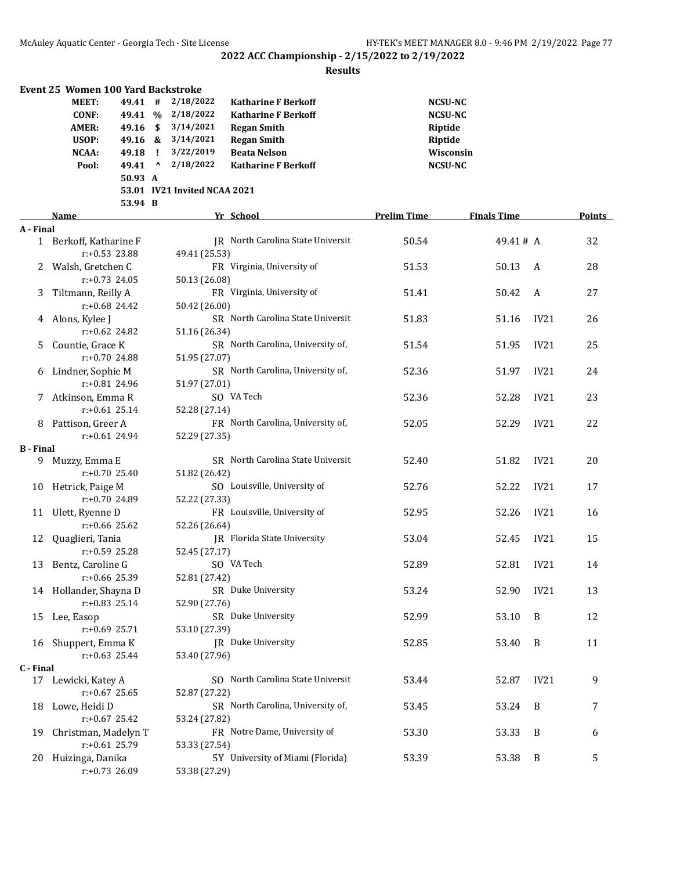|                  | Event 25 Women 100 Yard Backstroke |          |              |                              |                                   |                    |                    |      |        |
|------------------|------------------------------------|----------|--------------|------------------------------|-----------------------------------|--------------------|--------------------|------|--------|
|                  | MEET:                              | 49.41 #  |              | 2/18/2022                    | <b>Katharine F Berkoff</b>        | <b>NCSU-NC</b>     |                    |      |        |
|                  | <b>CONF:</b>                       | 49.41 %  |              | 2/18/2022                    | <b>Katharine F Berkoff</b>        | <b>NCSU-NC</b>     |                    |      |        |
|                  | <b>AMER:</b>                       | 49.16 \$ |              | 3/14/2021                    | <b>Regan Smith</b>                | Riptide            |                    |      |        |
|                  | USOP:                              |          |              | 49.16 & 3/14/2021            | <b>Regan Smith</b>                | Riptide            |                    |      |        |
|                  | NCAA:                              | 49.18    | $\mathbf{I}$ | 3/22/2019                    | <b>Beata Nelson</b>               | Wisconsin          |                    |      |        |
|                  | Pool:                              | 49.41    | $\mathbf{v}$ | 2/18/2022                    | <b>Katharine F Berkoff</b>        | <b>NCSU-NC</b>     |                    |      |        |
|                  |                                    | 50.93 A  |              |                              |                                   |                    |                    |      |        |
|                  |                                    |          |              | 53.01 IV21 Invited NCAA 2021 |                                   |                    |                    |      |        |
|                  |                                    | 53.94 B  |              |                              |                                   |                    |                    |      |        |
|                  | Name                               |          |              |                              | Yr School                         | <b>Prelim Time</b> | <b>Finals Time</b> |      | Points |
| A - Final        |                                    |          |              |                              |                                   |                    |                    |      |        |
|                  | 1 Berkoff, Katharine F             |          |              |                              | JR North Carolina State Universit | 50.54              | 49.41# A           |      | 32     |
|                  | $r: +0.53$ 23.88                   |          |              | 49.41 (25.53)                |                                   |                    |                    |      |        |
|                  | Walsh, Gretchen C                  |          |              |                              | FR Virginia, University of        | 51.53              | 50.13              | A    | 28     |
|                  | $r: +0.73$ 24.05                   |          |              | 50.13 (26.08)                |                                   |                    |                    |      |        |
| 3                | Tiltmann, Reilly A                 |          |              |                              | FR Virginia, University of        | 51.41              | 50.42              | A    | 27     |
|                  | $r: +0.68$ 24.42                   |          |              | 50.42 (26.00)                |                                   |                    |                    |      |        |
|                  | 4 Alons, Kylee J                   |          |              |                              | SR North Carolina State Universit | 51.83              | 51.16              | IV21 | 26     |
|                  | $r: +0.62$ 24.82                   |          |              | 51.16 (26.34)                |                                   |                    |                    |      |        |
| 5.               | Countie, Grace K                   |          |              |                              | SR North Carolina, University of, | 51.54              | 51.95              | IV21 | 25     |
|                  | $r: +0.70$ 24.88                   |          |              | 51.95 (27.07)                |                                   |                    |                    |      |        |
| 6                | Lindner, Sophie M                  |          |              |                              | SR North Carolina, University of, | 52.36              | 51.97              | IV21 | 24     |
|                  | r:+0.81 24.96                      |          |              | 51.97 (27.01)                |                                   |                    |                    |      |        |
|                  | Atkinson, Emma R                   |          |              |                              | SO VA Tech                        | 52.36              | 52.28              | IV21 | 23     |
|                  | $r: +0.61$ 25.14                   |          |              | 52.28 (27.14)                |                                   |                    |                    |      |        |
| 8                | Pattison, Greer A                  |          |              |                              | FR North Carolina, University of, | 52.05              | 52.29              | IV21 | 22     |
|                  | $r: +0.61$ 24.94                   |          |              | 52.29 (27.35)                |                                   |                    |                    |      |        |
| <b>B</b> - Final |                                    |          |              |                              |                                   |                    |                    |      |        |
|                  | 9 Muzzy, Emma E                    |          |              |                              | SR North Carolina State Universit | 52.40              | 51.82              | IV21 | 20     |
|                  | $r: +0.70$ 25.40                   |          |              | 51.82 (26.42)                |                                   |                    |                    |      |        |
| 10               | Hetrick, Paige M                   |          |              |                              | SO Louisville, University of      | 52.76              | 52.22              | IV21 | 17     |
|                  | r:+0.70 24.89                      |          |              | 52.22 (27.33)                |                                   |                    |                    |      |        |
|                  | 11 Ulett, Ryenne D                 |          |              |                              | FR Louisville, University of      | 52.95              | 52.26              | IV21 | 16     |
|                  | r:+0.66 25.62                      |          |              | 52.26 (26.64)                |                                   |                    |                    |      |        |
| 12               | Quaglieri, Tania                   |          |              |                              | JR Florida State University       | 53.04              | 52.45              | IV21 | 15     |
|                  | r:+0.59 25.28                      |          |              | 52.45 (27.17)                |                                   |                    |                    |      |        |
| 13               | Bentz, Caroline G                  |          |              |                              | SO VA Tech                        | 52.89              | 52.81              | IV21 | 14     |
|                  | r:+0.66 25.39                      |          |              | 52.81 (27.42)                |                                   |                    |                    |      |        |
|                  | 14 Hollander, Shayna D             |          |              |                              | SR Duke University                | 53.24              | 52.90              | IV21 | 13     |
|                  | r:+0.83 25.14                      |          |              | 52.90 (27.76)                |                                   |                    |                    |      |        |
|                  | 15 Lee, Easop                      |          |              |                              | SR Duke University                | 52.99              | 53.10              | B    | 12     |
|                  | $r+0.69$ 25.71                     |          |              | 53.10 (27.39)                |                                   |                    |                    |      |        |
|                  | 16 Shuppert, Emma K                |          |              |                              | JR Duke University                | 52.85              | 53.40              | B    | 11     |
|                  | $r: +0.63$ 25.44                   |          |              | 53.40 (27.96)                |                                   |                    |                    |      |        |
| C - Final        | 17 Lewicki, Katey A                |          |              |                              | SO North Carolina State Universit | 53.44              | 52.87              | IV21 | 9      |
|                  | $r: +0.67$ 25.65                   |          |              | 52.87 (27.22)                |                                   |                    |                    |      |        |
| 18               | Lowe, Heidi D                      |          |              |                              | SR North Carolina, University of, | 53.45              | 53.24              | B    | 7      |
|                  | $r: +0.67$ 25.42                   |          |              | 53.24 (27.82)                |                                   |                    |                    |      |        |
| 19               | Christman, Madelyn T               |          |              |                              | FR Notre Dame, University of      | 53.30              | 53.33              | B    | 6      |
|                  | r:+0.61 25.79                      |          |              | 53.33 (27.54)                |                                   |                    |                    |      |        |
| 20.              | Huizinga, Danika                   |          |              |                              | 5Y University of Miami (Florida)  | 53.39              | 53.38              | B    | 5      |
|                  | r:+0.73 26.09                      |          |              | 53.38 (27.29)                |                                   |                    |                    |      |        |
|                  |                                    |          |              |                              |                                   |                    |                    |      |        |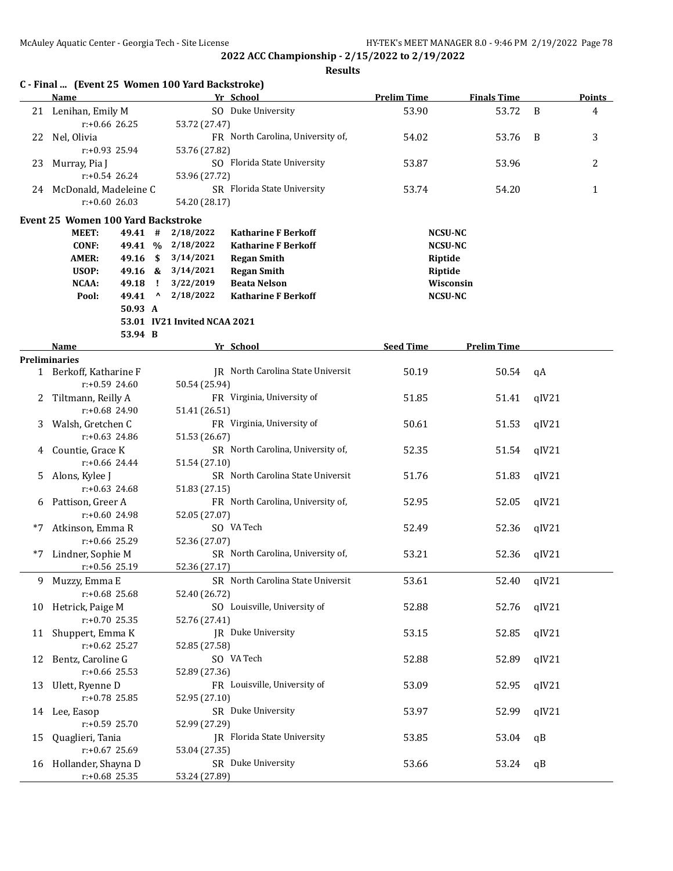|    | C - Final  (Event 25 Women 100 Yard Backstroke)<br>Name |                  |                              |                                | Yr School                                 | <b>Prelim Time</b> | <b>Finals Time</b>               |       | Points       |
|----|---------------------------------------------------------|------------------|------------------------------|--------------------------------|-------------------------------------------|--------------------|----------------------------------|-------|--------------|
|    | 21 Lenihan, Emily M                                     |                  |                              |                                | SO Duke University                        | 53.90              | 53.72                            | B     | 4            |
|    |                                                         | $r: +0.66$ 26.25 |                              | 53.72 (27.47)                  |                                           |                    |                                  |       |              |
| 22 | Nel, Olivia                                             |                  |                              |                                | FR North Carolina, University of,         | 54.02              | 53.76                            | B     | 3            |
|    |                                                         | $r: +0.93$ 25.94 |                              | 53.76 (27.82)                  |                                           |                    |                                  |       |              |
| 23 | Murray, Pia J                                           |                  |                              |                                | SO Florida State University               | 53.87              | 53.96                            |       | 2            |
|    |                                                         | r:+0.54 26.24    |                              | 53.96 (27.72)                  |                                           |                    |                                  |       |              |
|    | 24 McDonald, Madeleine C                                |                  |                              |                                | SR Florida State University               | 53.74              | 54.20                            |       | $\mathbf{1}$ |
|    | $r: +0.60$ 26.03                                        |                  |                              | 54.20 (28.17)                  |                                           |                    |                                  |       |              |
|    |                                                         |                  |                              |                                |                                           |                    |                                  |       |              |
|    | <b>Event 25 Women 100 Yard Backstroke</b>               |                  |                              |                                |                                           |                    |                                  |       |              |
|    | MEET:                                                   | 49.41 #          |                              | 2/18/2022                      | <b>Katharine F Berkoff</b>                |                    | <b>NCSU-NC</b><br><b>NCSU-NC</b> |       |              |
|    | CONF:                                                   |                  | $\mathbf{s}$                 | 49.41 % 2/18/2022<br>3/14/2021 | <b>Katharine F Berkoff</b>                |                    |                                  |       |              |
|    | <b>AMER:</b>                                            | 49.16            |                              |                                | <b>Regan Smith</b>                        | Riptide            |                                  |       |              |
|    | USOP:<br>NCAA:                                          |                  |                              | 49.16 & 3/14/2021              | <b>Regan Smith</b><br><b>Beata Nelson</b> | Riptide            |                                  |       |              |
|    | Pool:                                                   | 49.18<br>49.41   | $\mathbf{I}$<br>$\mathbf{A}$ | 3/22/2019<br>2/18/2022         | <b>Katharine F Berkoff</b>                |                    | Wisconsin                        |       |              |
|    |                                                         | 50.93 A          |                              |                                |                                           |                    | <b>NCSU-NC</b>                   |       |              |
|    |                                                         |                  |                              | 53.01 IV21 Invited NCAA 2021   |                                           |                    |                                  |       |              |
|    |                                                         | 53.94 B          |                              |                                |                                           |                    |                                  |       |              |
|    |                                                         |                  |                              |                                |                                           | <b>Seed Time</b>   | <b>Prelim Time</b>               |       |              |
|    | <b>Name</b>                                             |                  |                              |                                | Yr School                                 |                    |                                  |       |              |
|    | <b>Preliminaries</b>                                    |                  |                              |                                | JR North Carolina State Universit         | 50.19              | 50.54                            |       |              |
|    | 1 Berkoff, Katharine F                                  | $r: +0.59$ 24.60 |                              |                                |                                           |                    |                                  | qA    |              |
|    |                                                         |                  |                              | 50.54 (25.94)                  |                                           |                    |                                  |       |              |
| 2  | Tiltmann, Reilly A                                      |                  |                              |                                | FR Virginia, University of                | 51.85              | 51.41                            | qIV21 |              |
|    |                                                         | $r: +0.68$ 24.90 |                              | 51.41 (26.51)                  |                                           |                    |                                  |       |              |
| 3. | Walsh, Gretchen C                                       |                  |                              |                                | FR Virginia, University of                | 50.61              | 51.53                            | qIV21 |              |
|    |                                                         | $r: +0.63$ 24.86 |                              | 51.53 (26.67)                  |                                           |                    |                                  |       |              |
| 4  | Countie, Grace K                                        |                  |                              |                                | SR North Carolina, University of,         | 52.35              | 51.54                            | qIV21 |              |
|    |                                                         | r:+0.66 24.44    |                              | 51.54 (27.10)                  |                                           |                    |                                  |       |              |
| 5. | Alons, Kylee J                                          |                  |                              |                                | SR North Carolina State Universit         | 51.76              | 51.83                            | qIV21 |              |
|    |                                                         | $r: +0.63$ 24.68 |                              | 51.83 (27.15)                  |                                           |                    |                                  |       |              |
| 6  | Pattison, Greer A                                       |                  |                              |                                | FR North Carolina, University of,         | 52.95              | 52.05                            | qIV21 |              |
|    |                                                         | r:+0.60 24.98    |                              | 52.05 (27.07)                  |                                           |                    |                                  |       |              |
| *7 | Atkinson, Emma R                                        |                  |                              |                                | SO VA Tech                                | 52.49              | 52.36                            | qIV21 |              |
|    | $r: +0.66$ 25.29                                        |                  |                              | 52.36 (27.07)                  |                                           |                    |                                  |       |              |
| *7 | Lindner, Sophie M                                       |                  |                              |                                | SR North Carolina, University of,         | 53.21              | 52.36                            | qIV21 |              |
|    | $r: +0.56$ 25.19                                        |                  |                              | 52.36 (27.17)                  |                                           |                    |                                  |       |              |
|    | 9 Muzzy, Emma E                                         |                  |                              |                                | SR North Carolina State Universit         | 53.61              | 52.40                            | qIV21 |              |
|    | r:+0.68 25.68                                           |                  |                              | 52.40 (26.72)                  |                                           |                    |                                  |       |              |
|    | 10 Hetrick, Paige M                                     |                  |                              |                                | SO Louisville, University of              | 52.88              | 52.76                            | qIV21 |              |
|    | $r+0.70$ 25.35                                          |                  |                              | 52.76 (27.41)                  |                                           |                    |                                  |       |              |
|    | 11 Shuppert, Emma K                                     |                  |                              |                                | JR Duke University                        | 53.15              | 52.85                            | qIV21 |              |
|    | $r: +0.62$ 25.27                                        |                  |                              | 52.85 (27.58)                  |                                           |                    |                                  |       |              |
|    | 12 Bentz, Caroline G                                    |                  |                              |                                | SO VA Tech                                | 52.88              | 52.89                            | qIV21 |              |
|    | $r: +0.66$ 25.53                                        |                  |                              | 52.89 (27.36)                  |                                           |                    |                                  |       |              |
| 13 | Ulett, Ryenne D                                         |                  |                              |                                | FR Louisville, University of              | 53.09              | 52.95                            | qIV21 |              |
|    | r:+0.78 25.85                                           |                  |                              | 52.95 (27.10)                  |                                           |                    |                                  |       |              |
|    | 14 Lee, Easop                                           |                  |                              |                                | SR Duke University                        | 53.97              | 52.99                            | qIV21 |              |
|    | $r: +0.59$ 25.70                                        |                  |                              | 52.99 (27.29)                  |                                           |                    |                                  |       |              |
| 15 | Quaglieri, Tania                                        |                  |                              |                                | JR Florida State University               | 53.85              | 53.04                            | qB    |              |
|    |                                                         | $r: +0.67$ 25.69 |                              | 53.04 (27.35)                  |                                           |                    |                                  |       |              |
|    | 16 Hollander, Shayna D                                  |                  |                              |                                | SR Duke University                        | 53.66              | 53.24                            | qB    |              |
|    |                                                         | r:+0.68 25.35    |                              | 53.24 (27.89)                  |                                           |                    |                                  |       |              |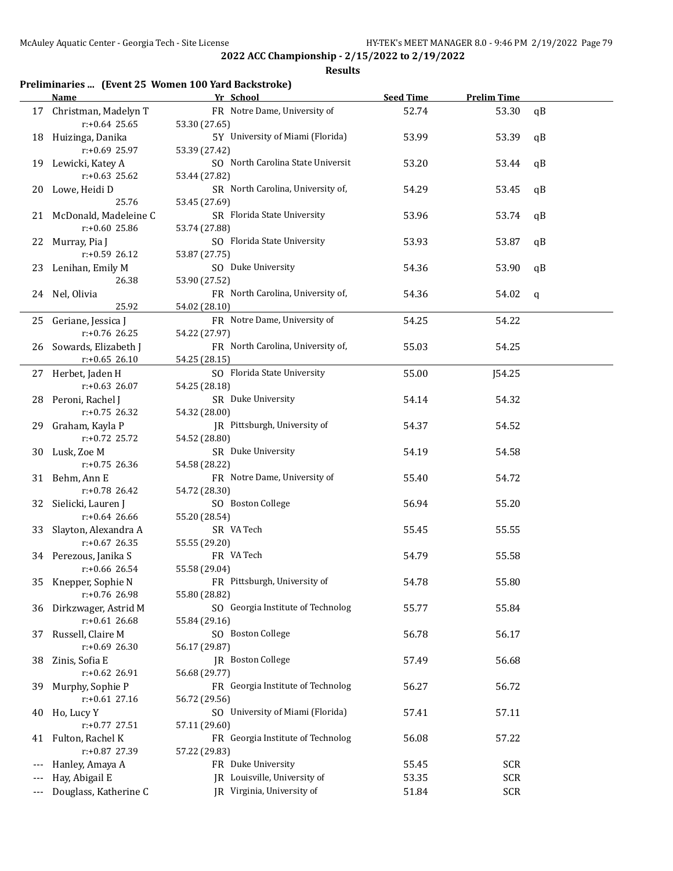#### **Results**

## **Preliminaries ... (Event 25 Women 100 Yard Backstroke)**

|     | Name                     | Yr School                         | <b>Seed Time</b> | <b>Prelim Time</b> |    |
|-----|--------------------------|-----------------------------------|------------------|--------------------|----|
|     | 17 Christman, Madelyn T  | FR Notre Dame, University of      | 52.74            | 53.30              | qB |
|     | $r: +0.64$ 25.65         | 53.30 (27.65)                     |                  |                    |    |
|     | 18 Huizinga, Danika      | 5Y University of Miami (Florida)  | 53.99            | 53.39              | qB |
|     | r:+0.69 25.97            | 53.39 (27.42)                     |                  |                    |    |
|     | 19 Lewicki, Katey A      | SO North Carolina State Universit | 53.20            | 53.44              | qB |
|     | $r: +0.63$ 25.62         | 53.44 (27.82)                     |                  |                    |    |
|     | 20 Lowe, Heidi D         | SR North Carolina, University of, | 54.29            | 53.45              | qB |
|     | 25.76                    | 53.45 (27.69)                     |                  |                    |    |
|     | 21 McDonald, Madeleine C | SR Florida State University       | 53.96            | 53.74              | qB |
|     | $r: +0.60$ 25.86         | 53.74 (27.88)                     |                  |                    |    |
|     | 22 Murray, Pia J         | SO Florida State University       | 53.93            | 53.87              | qB |
|     | $r+0.59$ 26.12           | 53.87 (27.75)                     |                  |                    |    |
|     | 23 Lenihan, Emily M      | SO Duke University                | 54.36            | 53.90              | qB |
|     | 26.38                    | 53.90 (27.52)                     |                  |                    |    |
|     | 24 Nel, Olivia           | FR North Carolina, University of, | 54.36            | 54.02              | q  |
|     | 25.92                    | 54.02 (28.10)                     |                  |                    |    |
|     | 25 Geriane, Jessica J    | FR Notre Dame, University of      | 54.25            | 54.22              |    |
|     | r:+0.76 26.25            | 54.22 (27.97)                     |                  |                    |    |
|     | 26 Sowards, Elizabeth J  | FR North Carolina, University of, | 55.03            | 54.25              |    |
|     | $r: +0.65$ 26.10         | 54.25 (28.15)                     |                  |                    |    |
|     | 27 Herbet, Jaden H       | SO Florida State University       | 55.00            | J54.25             |    |
|     | $r: +0.63$ 26.07         | 54.25 (28.18)                     |                  |                    |    |
|     | 28 Peroni, Rachel J      | SR Duke University                | 54.14            | 54.32              |    |
|     | $r: +0.75$ 26.32         | 54.32 (28.00)                     |                  |                    |    |
|     | 29 Graham, Kayla P       | JR Pittsburgh, University of      | 54.37            | 54.52              |    |
|     | r:+0.72 25.72            | 54.52 (28.80)                     |                  |                    |    |
|     | 30 Lusk, Zoe M           | SR Duke University                | 54.19            | 54.58              |    |
|     | r:+0.75 26.36            | 54.58 (28.22)                     |                  |                    |    |
|     | 31 Behm, Ann E           | FR Notre Dame, University of      | 55.40            | 54.72              |    |
|     | r:+0.78 26.42            | 54.72 (28.30)                     |                  |                    |    |
|     | 32 Sielicki, Lauren J    | SO Boston College                 | 56.94            | 55.20              |    |
|     | $r: +0.64$ 26.66         | 55.20 (28.54)                     |                  |                    |    |
| 33  | Slayton, Alexandra A     | SR VA Tech                        | 55.45            | 55.55              |    |
|     | $r: +0.67$ 26.35         | 55.55 (29.20)                     |                  |                    |    |
|     | 34 Perezous, Janika S    | FR VA Tech                        | 54.79            | 55.58              |    |
|     | r:+0.66 26.54            | 55.58 (29.04)                     |                  |                    |    |
|     | 35 Knepper, Sophie N     | FR Pittsburgh, University of      | 54.78            | 55.80              |    |
|     | r:+0.76 26.98            | 55.80 (28.82)                     |                  |                    |    |
|     | 36 Dirkzwager, Astrid M  | SO Georgia Institute of Technolog | 55.77            | 55.84              |    |
|     | $r: +0.61$ 26.68         | 55.84 (29.16)                     |                  |                    |    |
| 37  | Russell, Claire M        | SO Boston College                 | 56.78            | 56.17              |    |
|     | $r: +0.69$ 26.30         | 56.17 (29.87)                     |                  |                    |    |
| 38  | Zinis, Sofia E           | JR Boston College                 | 57.49            | 56.68              |    |
|     | $r: +0.62$ 26.91         | 56.68 (29.77)                     |                  |                    |    |
| 39. | Murphy, Sophie P         | FR Georgia Institute of Technolog | 56.27            | 56.72              |    |
|     | $r: +0.61$ 27.16         | 56.72 (29.56)                     |                  |                    |    |
| 40  | Ho, Lucy Y               | SO University of Miami (Florida)  | 57.41            | 57.11              |    |
|     | r:+0.77 27.51            | 57.11 (29.60)                     |                  |                    |    |
|     | 41 Fulton, Rachel K      | FR Georgia Institute of Technolog | 56.08            | 57.22              |    |
|     | r:+0.87 27.39            | 57.22 (29.83)                     |                  |                    |    |
|     | Hanley, Amaya A          | FR Duke University                | 55.45            | <b>SCR</b>         |    |
|     | Hay, Abigail E           | JR Louisville, University of      | 53.35            | <b>SCR</b>         |    |
| --- | Douglass, Katherine C    | JR Virginia, University of        | 51.84            | <b>SCR</b>         |    |
|     |                          |                                   |                  |                    |    |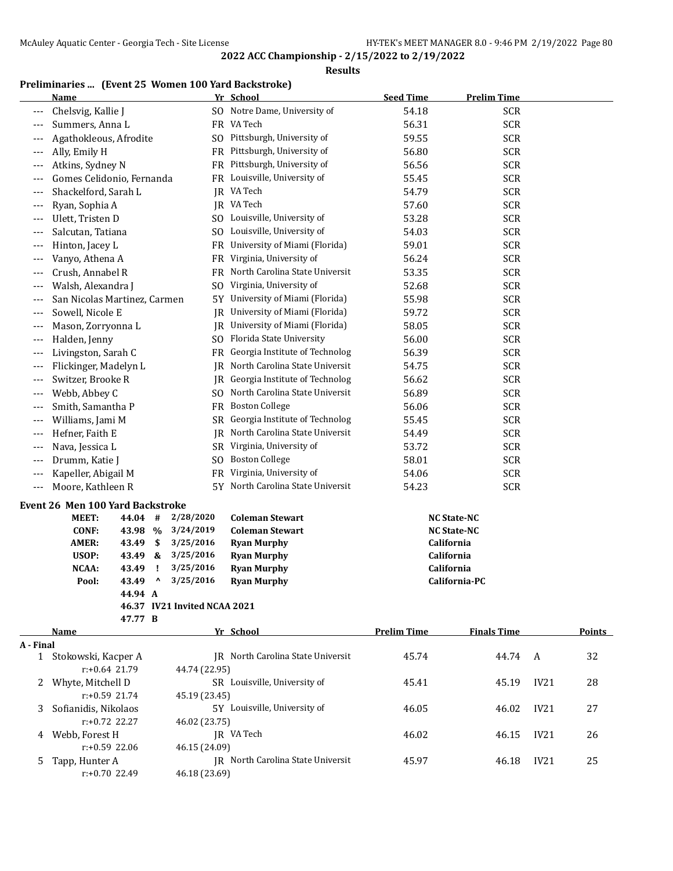**Results**

# **Preliminaries ... (Event 25 Women 100 Yard Backstroke)**

|           | <b>Name</b>                                        |      |                              | Yr School                         | <b>Seed Time</b>   | <b>Prelim Time</b> |      |               |
|-----------|----------------------------------------------------|------|------------------------------|-----------------------------------|--------------------|--------------------|------|---------------|
| ---       | Chelsvig, Kallie J                                 |      |                              | SO Notre Dame, University of      | 54.18              | <b>SCR</b>         |      |               |
| $---$     | Summers, Anna L                                    |      |                              | FR VA Tech                        | 56.31              | <b>SCR</b>         |      |               |
|           | Agathokleous, Afrodite                             |      |                              | SO Pittsburgh, University of      | 59.55              | <b>SCR</b>         |      |               |
| ---       | Ally, Emily H                                      |      |                              | FR Pittsburgh, University of      | 56.80              | <b>SCR</b>         |      |               |
| $---$     | Atkins, Sydney N                                   |      |                              | FR Pittsburgh, University of      | 56.56              | <b>SCR</b>         |      |               |
| $---$     | Gomes Celidonio, Fernanda                          |      |                              | FR Louisville, University of      | 55.45              | <b>SCR</b>         |      |               |
| $---$     | Shackelford, Sarah L                               |      |                              | JR VA Tech                        | 54.79              | <b>SCR</b>         |      |               |
| $---$     | Ryan, Sophia A                                     |      |                              | JR VA Tech                        | 57.60              | <b>SCR</b>         |      |               |
| $---$     | Ulett, Tristen D                                   |      |                              | SO Louisville, University of      | 53.28              | <b>SCR</b>         |      |               |
| $---$     | Salcutan, Tatiana                                  |      |                              | SO Louisville, University of      | 54.03              | <b>SCR</b>         |      |               |
|           | Hinton, Jacey L                                    |      |                              | FR University of Miami (Florida)  | 59.01              | <b>SCR</b>         |      |               |
| ---       | Vanyo, Athena A                                    |      | FR                           | Virginia, University of           | 56.24              | <b>SCR</b>         |      |               |
|           | Crush, Annabel R                                   |      | FR                           | North Carolina State Universit    | 53.35              | <b>SCR</b>         |      |               |
|           | Walsh, Alexandra J                                 |      | SO.                          | Virginia, University of           | 52.68              | <b>SCR</b>         |      |               |
| $---$     | San Nicolas Martinez, Carmen                       |      | 5Υ                           | University of Miami (Florida)     | 55.98              | <b>SCR</b>         |      |               |
| $---$     | Sowell, Nicole E                                   |      | IR                           | University of Miami (Florida)     | 59.72              | <b>SCR</b>         |      |               |
| $---$     | Mason, Zorryonna L                                 |      | JR                           | University of Miami (Florida)     | 58.05              | <b>SCR</b>         |      |               |
| ---       | Halden, Jenny                                      |      | SO.                          | Florida State University          | 56.00              | <b>SCR</b>         |      |               |
| ---       | Livingston, Sarah C                                |      | FR                           | Georgia Institute of Technolog    | 56.39              | <b>SCR</b>         |      |               |
| ---       | Flickinger, Madelyn L                              |      | IR                           | North Carolina State Universit    | 54.75              | <b>SCR</b>         |      |               |
| ---       | Switzer, Brooke R                                  |      |                              | JR Georgia Institute of Technolog | 56.62              | <b>SCR</b>         |      |               |
| $---$     | Webb, Abbey C                                      |      | SO.                          | North Carolina State Universit    | 56.89              | <b>SCR</b>         |      |               |
| $---$     | Smith, Samantha P                                  |      |                              | FR Boston College                 | 56.06              | <b>SCR</b>         |      |               |
| $---$     | Williams, Jami M                                   |      | SR                           | Georgia Institute of Technolog    | 55.45              | <b>SCR</b>         |      |               |
| $---$     | Hefner, Faith E                                    |      |                              | JR North Carolina State Universit | 54.49              | <b>SCR</b>         |      |               |
| ---       | Nava, Jessica L                                    |      |                              | SR Virginia, University of        | 53.72              | <b>SCR</b>         |      |               |
| ---       | Drumm, Katie J                                     |      |                              | SO Boston College                 | 58.01              | <b>SCR</b>         |      |               |
| ---       | Kapeller, Abigail M                                |      | FR                           | Virginia, University of           | 54.06              | <b>SCR</b>         |      |               |
| ---       | Moore, Kathleen R                                  |      |                              | 5Y North Carolina State Universit | 54.23              | <b>SCR</b>         |      |               |
|           |                                                    |      |                              |                                   |                    |                    |      |               |
|           | Event 26 Men 100 Yard Backstroke<br>MEET:<br>44.04 | #    | 2/28/2020                    | <b>Coleman Stewart</b>            | <b>NC State-NC</b> |                    |      |               |
|           | <b>CONF:</b><br>43.98                              | $\%$ | 3/24/2019                    | <b>Coleman Stewart</b>            | <b>NC State-NC</b> |                    |      |               |
|           | AMER:<br>43.49                                     | \$   | 3/25/2016                    | <b>Ryan Murphy</b>                | California         |                    |      |               |
|           | USOP:<br>43.49                                     | &    | 3/25/2016                    | <b>Ryan Murphy</b>                | California         |                    |      |               |
|           | NCAA:<br>43.49                                     | Ţ    | 3/25/2016                    | <b>Ryan Murphy</b>                | California         |                    |      |               |
|           | 43.49<br>Pool:                                     | Λ    | 3/25/2016                    | <b>Ryan Murphy</b>                |                    | California-PC      |      |               |
|           | 44.94 A                                            |      |                              |                                   |                    |                    |      |               |
|           |                                                    |      | 46.37 IV21 Invited NCAA 2021 |                                   |                    |                    |      |               |
|           | 47.77 B                                            |      |                              |                                   |                    |                    |      |               |
|           | Name                                               |      |                              | Yr School                         | <b>Prelim Time</b> | <b>Finals Time</b> |      | <b>Points</b> |
| A - Final |                                                    |      |                              |                                   |                    |                    |      |               |
|           | 1 Stokowski, Kacper A                              |      |                              | JR North Carolina State Universit | 45.74              | 44.74              | A    | 32            |
|           | $r: +0.64$ 21.79                                   |      | 44.74 (22.95)                |                                   |                    |                    |      |               |
| 2         | Whyte, Mitchell D                                  |      |                              | SR Louisville, University of      | 45.41              | 45.19              | IV21 | 28            |
|           | r:+0.59 21.74                                      |      | 45.19 (23.45)                |                                   |                    |                    |      |               |
| 3         | Sofianidis, Nikolaos                               |      |                              | 5Y Louisville, University of      | 46.05              | 46.02              | IV21 | 27            |
|           | r:+0.72 22.27                                      |      | 46.02 (23.75)                |                                   |                    |                    |      |               |
| 4         | Webb, Forest H<br>r:+0.59 22.06                    |      |                              | JR VA Tech                        | 46.02              | 46.15              | IV21 | 26            |
|           |                                                    |      | 46.15 (24.09)                | JR North Carolina State Universit | 45.97              |                    |      |               |
| 5.        | Tapp, Hunter A<br>r:+0.70 22.49                    |      | 46.18 (23.69)                |                                   |                    | 46.18              | IV21 | 25            |
|           |                                                    |      |                              |                                   |                    |                    |      |               |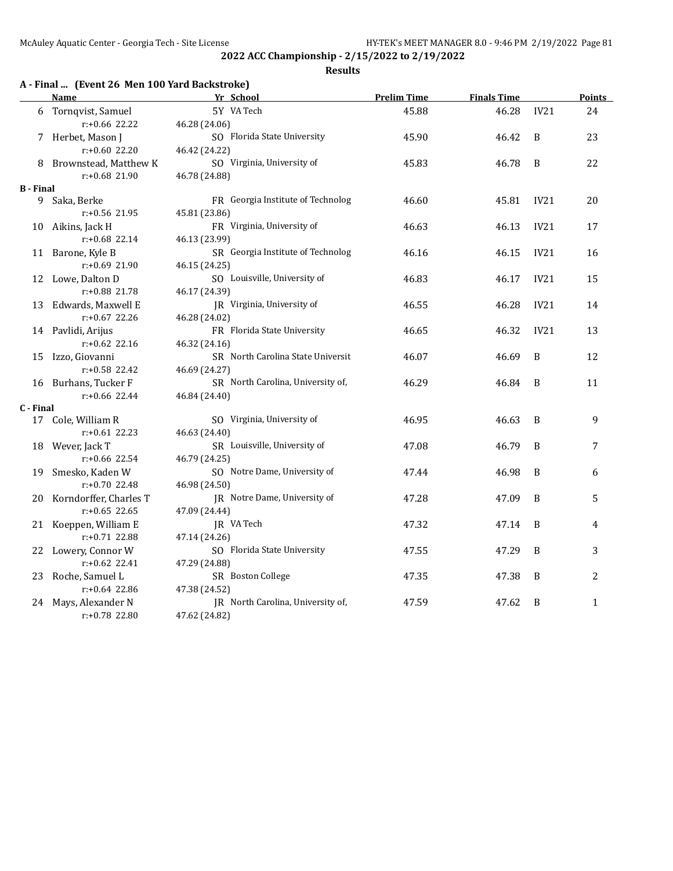#### **Results**

# **A - Final ... (Event 26 Men 100 Yard Backstroke)**

|           | Name                                | Yr School                                     | <b>Prelim Time</b> | <b>Finals Time</b> |      | <b>Points</b> |
|-----------|-------------------------------------|-----------------------------------------------|--------------------|--------------------|------|---------------|
| 6         | Tornqvist, Samuel                   | 5Y VA Tech                                    | 45.88              | 46.28              | IV21 | 24            |
|           | $r: +0.66$ 22.22                    | 46.28 (24.06)                                 |                    |                    |      |               |
|           | 7 Herbet, Mason J                   | SO Florida State University                   | 45.90              | 46.42              | B    | 23            |
|           | r:+0.60 22.20                       | 46.42 (24.22)                                 |                    |                    |      |               |
|           | Brownstead, Matthew K               | SO Virginia, University of                    | 45.83              | 46.78              | B    | 22            |
|           | $r: +0.68$ 21.90                    | 46.78 (24.88)                                 |                    |                    |      |               |
| B - Final |                                     |                                               |                    |                    |      |               |
|           | 9 Saka, Berke                       | FR Georgia Institute of Technolog             | 46.60              | 45.81              | IV21 | 20            |
|           | $r: +0.56$ 21.95                    | 45.81 (23.86)                                 |                    |                    |      |               |
| 10        | Aikins, Jack H                      | FR Virginia, University of                    | 46.63              | 46.13              | IV21 | 17            |
|           | $r: +0.68$ 22.14                    | 46.13 (23.99)                                 |                    |                    |      |               |
| 11        | Barone, Kyle B                      | SR Georgia Institute of Technolog             | 46.16              | 46.15              | IV21 | 16            |
|           | r:+0.69 21.90                       | 46.15 (24.25)                                 |                    |                    |      |               |
|           | 12 Lowe, Dalton D                   | SO Louisville, University of                  | 46.83              | 46.17              | IV21 | 15            |
|           | r:+0.88 21.78                       | 46.17 (24.39)                                 |                    |                    |      |               |
| 13        | Edwards, Maxwell E                  | JR Virginia, University of                    | 46.55              | 46.28              | IV21 | 14            |
|           | $r: +0.67$ 22.26                    | 46.28 (24.02)                                 |                    |                    |      |               |
|           | 14 Pavlidi, Arijus                  | FR Florida State University                   | 46.65              | 46.32              | IV21 | 13            |
|           | $r: +0.62$ 22.16                    | 46.32 (24.16)                                 |                    |                    |      |               |
| 15        | Izzo, Giovanni                      | SR North Carolina State Universit             | 46.07              | 46.69              | B    | 12            |
|           | r:+0.58 22.42                       | 46.69 (24.27)                                 |                    |                    |      |               |
|           | 16 Burhans, Tucker F                | SR North Carolina, University of,             | 46.29              | 46.84              | B    | 11            |
|           | r:+0.66 22.44                       | 46.84 (24.40)                                 |                    |                    |      |               |
| C - Final |                                     |                                               |                    |                    |      |               |
| 17        | Cole, William R                     | SO Virginia, University of                    | 46.95              | 46.63              | B    | 9             |
|           | $r: +0.61$ 22.23                    | 46.63 (24.40)                                 |                    |                    |      |               |
| 18        | Wever, Jack T                       | SR Louisville, University of                  | 47.08              | 46.79              | B    | 7             |
|           | $r: +0.66$ 22.54                    | 46.79 (24.25)<br>SO Notre Dame, University of |                    |                    |      |               |
| 19        | Smesko, Kaden W<br>$r: +0.70$ 22.48 | 46.98 (24.50)                                 | 47.44              | 46.98              | B    | 6             |
| 20        | Korndorffer, Charles T              | JR Notre Dame, University of                  | 47.28              | 47.09              | B    | 5             |
|           | $r: +0.65$ 22.65                    | 47.09 (24.44)                                 |                    |                    |      |               |
|           | 21 Koeppen, William E               | JR VA Tech                                    | 47.32              | 47.14              | B    | 4             |
|           | r:+0.71 22.88                       | 47.14 (24.26)                                 |                    |                    |      |               |
|           | 22 Lowery, Connor W                 | SO Florida State University                   | 47.55              | 47.29              | B    | 3             |
|           | $r: +0.62$ 22.41                    | 47.29 (24.88)                                 |                    |                    |      |               |
| 23        | Roche, Samuel L                     | SR Boston College                             | 47.35              | 47.38              | B    | 2             |
|           | $r: +0.64$ 22.86                    | 47.38 (24.52)                                 |                    |                    |      |               |
| 24        | Mays, Alexander N                   | JR North Carolina, University of,             | 47.59              | 47.62              | B    | $\mathbf{1}$  |
|           | r:+0.78 22.80                       | 47.62 (24.82)                                 |                    |                    |      |               |
|           |                                     |                                               |                    |                    |      |               |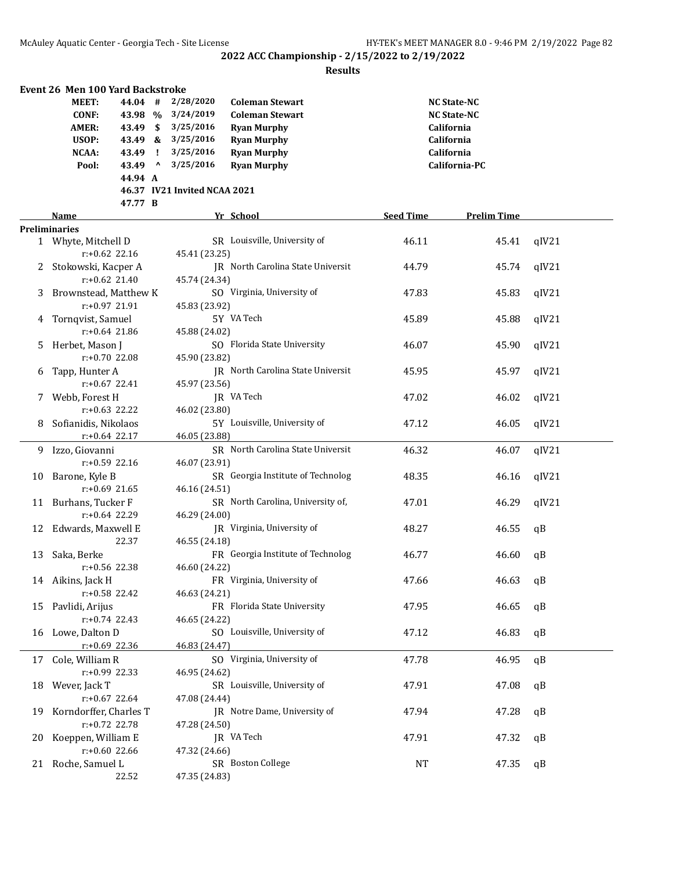|    | Event 26 Men 100 Yard Backstroke |                  |           |                              |                                   |                  |                    |       |
|----|----------------------------------|------------------|-----------|------------------------------|-----------------------------------|------------------|--------------------|-------|
|    | MEET:                            | 44.04 #          |           | 2/28/2020                    | <b>Coleman Stewart</b>            |                  | <b>NC State-NC</b> |       |
|    | <b>CONF:</b>                     | 43.98 %          |           | 3/24/2019                    | <b>Coleman Stewart</b>            |                  | <b>NC State-NC</b> |       |
|    | AMER:                            | 43.49 \$         |           | 3/25/2016                    | <b>Ryan Murphy</b>                |                  | California         |       |
|    | USOP:                            | 43.49 &          |           | 3/25/2016                    | <b>Ryan Murphy</b>                |                  | California         |       |
|    | NCAA:                            | 43.49            | - 1       | 3/25/2016                    | <b>Ryan Murphy</b>                |                  | California         |       |
|    | Pool:                            | 43.49            | $\lambda$ | 3/25/2016                    | <b>Ryan Murphy</b>                |                  | California-PC      |       |
|    |                                  | 44.94 A          |           |                              |                                   |                  |                    |       |
|    |                                  |                  |           | 46.37 IV21 Invited NCAA 2021 |                                   |                  |                    |       |
|    |                                  | 47.77 B          |           |                              |                                   |                  |                    |       |
|    | Name                             |                  |           |                              | Yr School                         | <b>Seed Time</b> | <b>Prelim Time</b> |       |
|    | <b>Preliminaries</b>             |                  |           |                              |                                   |                  |                    |       |
|    | 1 Whyte, Mitchell D              |                  |           |                              | SR Louisville, University of      | 46.11            | 45.41              | qIV21 |
|    |                                  | $r: +0.62$ 22.16 |           | 45.41 (23.25)                |                                   |                  |                    |       |
| 2. | Stokowski, Kacper A              |                  |           |                              | JR North Carolina State Universit | 44.79            | 45.74              | qIV21 |
|    |                                  | $r: +0.62$ 21.40 |           |                              |                                   |                  |                    |       |
|    |                                  |                  |           | 45.74 (24.34)                |                                   |                  |                    |       |
| 3  | Brownstead, Matthew K            |                  |           |                              | SO Virginia, University of        | 47.83            | 45.83              | qIV21 |
|    |                                  | r:+0.97 21.91    |           | 45.83 (23.92)                |                                   |                  |                    |       |
|    | 4 Tornqvist, Samuel              |                  |           |                              | 5Y VA Tech                        | 45.89            | 45.88              | qIV21 |
|    |                                  | $r: +0.64$ 21.86 |           | 45.88 (24.02)                |                                   |                  |                    |       |
| 5. | Herbet, Mason J                  |                  |           |                              | SO Florida State University       | 46.07            | 45.90              | qIV21 |
|    | $r: +0.70$ 22.08                 |                  |           | 45.90 (23.82)                |                                   |                  |                    |       |
| 6  | Tapp, Hunter A                   |                  |           |                              | JR North Carolina State Universit | 45.95            | 45.97              | qIV21 |
|    | $r: +0.67$ 22.41                 |                  |           | 45.97 (23.56)                |                                   |                  |                    |       |
| 7. | Webb, Forest H                   |                  |           |                              | JR VA Tech                        | 47.02            | 46.02              | qIV21 |
|    | $r: +0.63$ 22.22                 |                  |           | 46.02 (23.80)                |                                   |                  |                    |       |
|    | Sofianidis, Nikolaos             |                  |           |                              | 5Y Louisville, University of      | 47.12            | 46.05              | qIV21 |
|    | $r: +0.64$ 22.17                 |                  |           | 46.05 (23.88)                |                                   |                  |                    |       |
| 9  | Izzo, Giovanni                   |                  |           |                              | SR North Carolina State Universit | 46.32            | 46.07              | qIV21 |
|    |                                  | $r: +0.59$ 22.16 |           | 46.07 (23.91)                |                                   |                  |                    |       |
| 10 | Barone, Kyle B                   |                  |           |                              | SR Georgia Institute of Technolog | 48.35            | 46.16              | qIV21 |
|    |                                  | $r: +0.69$ 21.65 |           | 46.16 (24.51)                |                                   |                  |                    |       |
| 11 | Burhans, Tucker F                |                  |           |                              | SR North Carolina, University of, | 47.01            | 46.29              | qIV21 |
|    |                                  | $r: +0.64$ 22.29 |           | 46.29 (24.00)                |                                   |                  |                    |       |
| 12 | Edwards, Maxwell E               |                  |           |                              | JR Virginia, University of        | 48.27            | 46.55              | qB    |
|    |                                  | 22.37            |           | 46.55 (24.18)                |                                   |                  |                    |       |
| 13 | Saka, Berke                      |                  |           |                              | FR Georgia Institute of Technolog | 46.77            | 46.60              | qB    |
|    | r:+0.56 22.38                    |                  |           | 46.60 (24.22)                |                                   |                  |                    |       |
|    | 14 Aikins, Jack H                |                  |           |                              | FR Virginia, University of        | 47.66            | 46.63              | qB    |
|    | r:+0.58 22.42                    |                  |           | 46.63 (24.21)                |                                   |                  |                    |       |
| 15 | Pavlidi, Arijus                  |                  |           |                              | FR Florida State University       | 47.95            | 46.65              | qB    |
|    | $r: +0.74$ 22.43                 |                  |           | 46.65 (24.22)                |                                   |                  |                    |       |
|    | 16 Lowe, Dalton D                |                  |           |                              | SO Louisville, University of      |                  |                    |       |
|    |                                  |                  |           | 46.83 (24.47)                |                                   | 47.12            | 46.83              | qB    |
|    | r:+0.69 22.36                    |                  |           |                              |                                   |                  |                    |       |
| 17 | Cole, William R                  |                  |           |                              | SO Virginia, University of        | 47.78            | 46.95              | qB    |
|    | r:+0.99 22.33                    |                  |           | 46.95 (24.62)                |                                   |                  |                    |       |
|    | 18 Wever, Jack T                 |                  |           |                              | SR Louisville, University of      | 47.91            | 47.08              | qB    |
|    | $r: +0.67$ 22.64                 |                  |           | 47.08 (24.44)                |                                   |                  |                    |       |
| 19 | Korndorffer, Charles T           |                  |           |                              | JR Notre Dame, University of      | 47.94            | 47.28              | qB    |
|    | r:+0.72 22.78                    |                  |           | 47.28 (24.50)                |                                   |                  |                    |       |
| 20 | Koeppen, William E               |                  |           |                              | JR VA Tech                        | 47.91            | 47.32              | qB    |
|    | r:+0.60 22.66                    |                  |           | 47.32 (24.66)                |                                   |                  |                    |       |
| 21 | Roche, Samuel L                  |                  |           |                              | SR Boston College                 | <b>NT</b>        | 47.35              | qB    |
|    |                                  | 22.52            |           | 47.35 (24.83)                |                                   |                  |                    |       |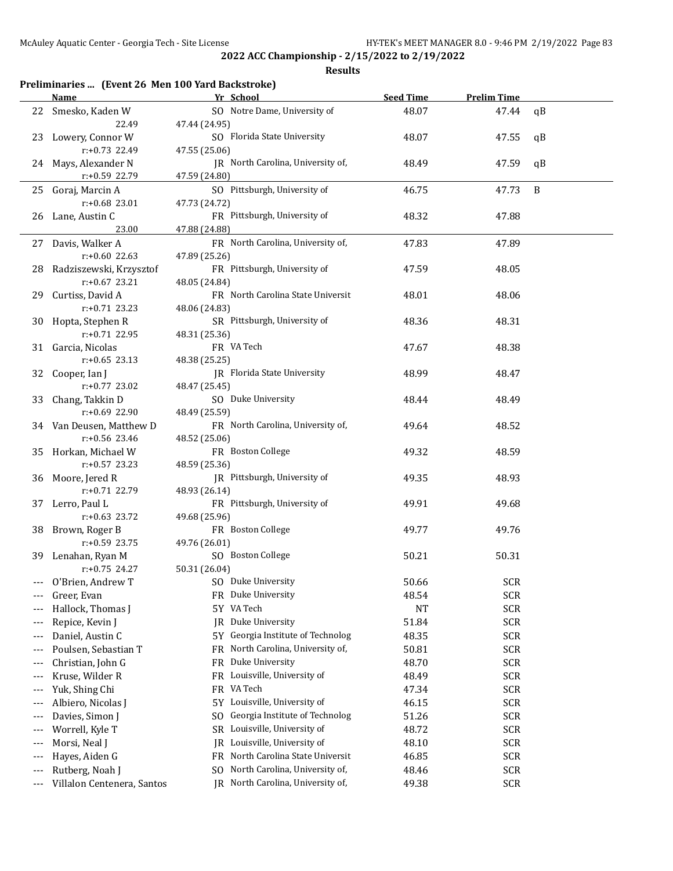|       | <u>Name</u>                          | Yr School                                     | <b>Seed Time</b> | <b>Prelim Time</b> |    |
|-------|--------------------------------------|-----------------------------------------------|------------------|--------------------|----|
|       | 22 Smesko, Kaden W                   | SO Notre Dame, University of                  | 48.07            | 47.44              | qB |
|       | 22.49                                | 47.44 (24.95)                                 |                  |                    |    |
|       | 23 Lowery, Connor W                  | SO Florida State University                   | 48.07            | 47.55              | qB |
|       | $r: +0.73$ 22.49                     | 47.55 (25.06)                                 |                  |                    |    |
|       | 24 Mays, Alexander N                 | JR North Carolina, University of,             | 48.49            | 47.59              | qB |
|       | r:+0.59 22.79                        | 47.59 (24.80)                                 |                  |                    |    |
| 25    | Goraj, Marcin A                      | SO Pittsburgh, University of                  | 46.75            | 47.73              | B  |
|       | $r: +0.68$ 23.01                     | 47.73 (24.72)                                 |                  |                    |    |
| 26    | Lane, Austin C                       | FR Pittsburgh, University of                  | 48.32            | 47.88              |    |
|       | 23.00                                | 47.88 (24.88)                                 |                  |                    |    |
|       | 27 Davis, Walker A                   | FR North Carolina, University of,             | 47.83            | 47.89              |    |
|       | $r: +0.60$ 22.63                     | 47.89 (25.26)                                 |                  |                    |    |
|       | 28 Radziszewski, Krzysztof           | FR Pittsburgh, University of                  | 47.59            | 48.05              |    |
|       | $r: +0.67$ 23.21                     | 48.05 (24.84)                                 |                  |                    |    |
| 29    | Curtiss, David A                     | FR North Carolina State Universit             | 48.01            | 48.06              |    |
|       | $r: +0.71$ 23.23                     | 48.06 (24.83)                                 |                  |                    |    |
| 30    | Hopta, Stephen R                     | SR Pittsburgh, University of                  | 48.36            | 48.31              |    |
|       | $r: +0.71$ 22.95                     | 48.31 (25.36)                                 |                  |                    |    |
|       | 31 Garcia, Nicolas                   | FR VA Tech                                    | 47.67            | 48.38              |    |
|       | $r: +0.65$ 23.13                     | 48.38 (25.25)                                 |                  |                    |    |
| 32    | Cooper, Ian J                        | JR Florida State University                   | 48.99            | 48.47              |    |
|       | $r: +0.77$ 23.02                     | 48.47 (25.45)                                 |                  |                    |    |
| 33    | Chang, Takkin D                      | SO Duke University                            | 48.44            | 48.49              |    |
|       | r:+0.69 22.90                        | 48.49 (25.59)                                 |                  |                    |    |
|       | 34 Van Deusen, Matthew D             | FR North Carolina, University of,             | 49.64            | 48.52              |    |
|       | $r: +0.56$ 23.46                     | 48.52 (25.06)                                 |                  |                    |    |
|       | 35 Horkan, Michael W                 | FR Boston College                             | 49.32            | 48.59              |    |
|       | $r: +0.57$ 23.23                     | 48.59 (25.36)                                 |                  |                    |    |
|       | 36 Moore, Jered R                    | JR Pittsburgh, University of                  | 49.35            | 48.93              |    |
|       | r:+0.71 22.79                        | 48.93 (26.14)<br>FR Pittsburgh, University of |                  |                    |    |
|       | 37 Lerro, Paul L<br>$r: +0.63$ 23.72 | 49.68 (25.96)                                 | 49.91            | 49.68              |    |
|       | 38 Brown, Roger B                    | FR Boston College                             | 49.77            | 49.76              |    |
|       | r:+0.59 23.75                        | 49.76 (26.01)                                 |                  |                    |    |
| 39    | Lenahan, Ryan M                      | SO Boston College                             | 50.21            | 50.31              |    |
|       | $r: +0.75$ 24.27                     | 50.31 (26.04)                                 |                  |                    |    |
|       | O'Brien, Andrew T                    | SO Duke University                            | 50.66            | <b>SCR</b>         |    |
|       | Greer, Evan                          | FR Duke University                            | 48.54            | <b>SCR</b>         |    |
| ---   | Hallock, Thomas J                    | 5Y VA Tech                                    | NT               | <b>SCR</b>         |    |
| $---$ | Repice, Kevin J                      | JR Duke University                            | 51.84            | <b>SCR</b>         |    |
| $---$ | Daniel, Austin C                     | 5Y Georgia Institute of Technolog             | 48.35            | <b>SCR</b>         |    |
| $---$ | Poulsen, Sebastian T                 | North Carolina, University of,<br>FR.         | 50.81            | <b>SCR</b>         |    |
| $---$ | Christian, John G                    | Duke University<br>FR                         | 48.70            | <b>SCR</b>         |    |
| $---$ | Kruse, Wilder R                      | FR Louisville, University of                  | 48.49            | <b>SCR</b>         |    |
| $---$ | Yuk, Shing Chi                       | FR VA Tech                                    | 47.34            | <b>SCR</b>         |    |
| ---   | Albiero, Nicolas J                   | 5Y Louisville, University of                  | 46.15            | <b>SCR</b>         |    |
| $---$ | Davies, Simon J                      | Georgia Institute of Technolog<br>SO.         | 51.26            | <b>SCR</b>         |    |
| $---$ | Worrell, Kyle T                      | Louisville, University of<br>SR               | 48.72            | <b>SCR</b>         |    |
| $---$ | Morsi, Neal J                        | Louisville, University of<br>IR               | 48.10            | <b>SCR</b>         |    |
| $---$ | Hayes, Aiden G                       | North Carolina State Universit<br>FR          | 46.85            | <b>SCR</b>         |    |
| $---$ | Rutberg, Noah J                      | North Carolina, University of,<br>SO          | 48.46            | <b>SCR</b>         |    |
| $---$ | Villalon Centenera, Santos           | JR North Carolina, University of,             | 49.38            | <b>SCR</b>         |    |
|       |                                      |                                               |                  |                    |    |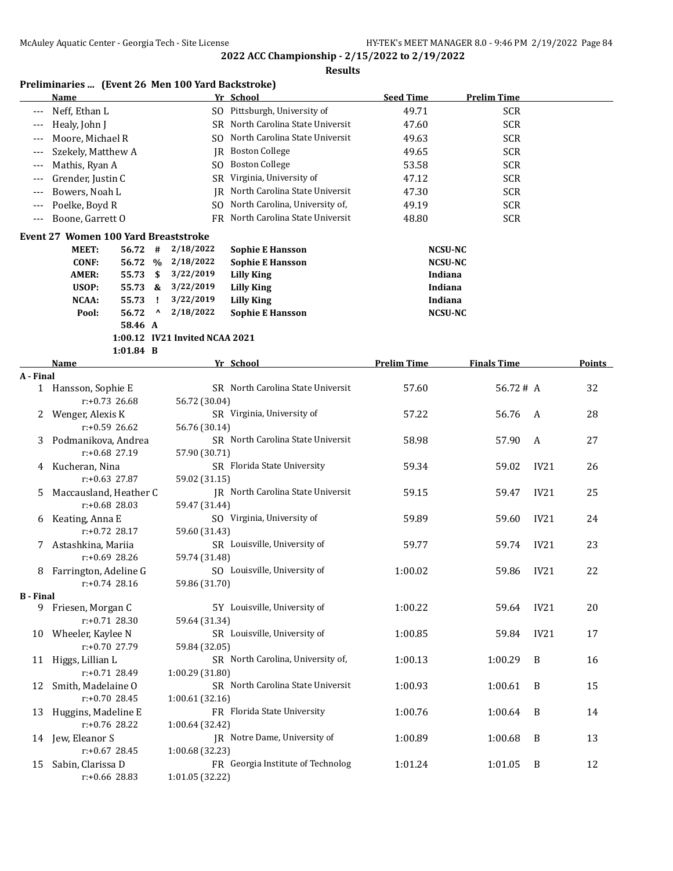|  |  |  | Preliminaries  (Event 26 Men 100 Yard Backstroke) |
|--|--|--|---------------------------------------------------|
|--|--|--|---------------------------------------------------|

|                  | <b>Name</b>                                 |             |                                 |                                | Yr School                         | <b>Seed Time</b>   | <b>Prelim Time</b> |      |               |
|------------------|---------------------------------------------|-------------|---------------------------------|--------------------------------|-----------------------------------|--------------------|--------------------|------|---------------|
|                  | Neff, Ethan L                               |             |                                 |                                | SO Pittsburgh, University of      | 49.71              | <b>SCR</b>         |      |               |
| ---              | Healy, John J                               |             |                                 |                                | SR North Carolina State Universit | 47.60              | <b>SCR</b>         |      |               |
| ---              | Moore, Michael R                            |             |                                 |                                | SO North Carolina State Universit | 49.63              | <b>SCR</b>         |      |               |
| ---              | Szekely, Matthew A                          |             |                                 |                                | JR Boston College                 | 49.65              | <b>SCR</b>         |      |               |
| $---$            | Mathis, Ryan A                              |             |                                 |                                | SO Boston College                 | 53.58              | <b>SCR</b>         |      |               |
| ---              | Grender, Justin C                           |             |                                 |                                | SR Virginia, University of        | 47.12              | <b>SCR</b>         |      |               |
| ---              | Bowers, Noah L                              |             |                                 | IR                             | North Carolina State Universit    | 47.30              | <b>SCR</b>         |      |               |
| ---              | Poelke, Boyd R                              |             |                                 | SO.                            | North Carolina, University of,    | 49.19              | <b>SCR</b>         |      |               |
| $---$            | Boone, Garrett O                            |             |                                 | FR.                            | North Carolina State Universit    | 48.80              | <b>SCR</b>         |      |               |
|                  | <b>Event 27 Women 100 Yard Breaststroke</b> |             |                                 |                                |                                   |                    |                    |      |               |
|                  | <b>MEET:</b>                                | $56.72$ #   |                                 | 2/18/2022                      | <b>Sophie E Hansson</b>           |                    | <b>NCSU-NC</b>     |      |               |
|                  | <b>CONF:</b>                                |             |                                 | 56.72 % 2/18/2022              | <b>Sophie E Hansson</b>           |                    | <b>NCSU-NC</b>     |      |               |
|                  | <b>AMER:</b>                                | 55.73       | \$                              | 3/22/2019                      | <b>Lilly King</b>                 |                    | Indiana            |      |               |
|                  | USOP:                                       | 55.73 &     |                                 | 3/22/2019                      | <b>Lilly King</b>                 |                    | Indiana            |      |               |
|                  | NCAA:                                       | 55.73       | Ч.                              | 3/22/2019                      | <b>Lilly King</b>                 |                    | Indiana            |      |               |
|                  | Pool:                                       | 56.72       | $\boldsymbol{\mathsf{\Lambda}}$ | 2/18/2022                      | <b>Sophie E Hansson</b>           |                    | <b>NCSU-NC</b>     |      |               |
|                  |                                             | 58.46 A     |                                 |                                |                                   |                    |                    |      |               |
|                  |                                             |             |                                 | 1:00.12 IV21 Invited NCAA 2021 |                                   |                    |                    |      |               |
|                  |                                             | $1:01.84$ B |                                 |                                |                                   |                    |                    |      |               |
|                  | Name                                        |             |                                 |                                | Yr School                         | <b>Prelim Time</b> | <b>Finals Time</b> |      | <b>Points</b> |
| A - Final        | 1 Hansson, Sophie E                         |             |                                 |                                | SR North Carolina State Universit | 57.60              | 56.72#A            |      | 32            |
|                  | $r: +0.73$ 26.68                            |             |                                 | 56.72 (30.04)                  |                                   |                    |                    |      |               |
| 2                | Wenger, Alexis K                            |             |                                 |                                | SR Virginia, University of        | 57.22              | 56.76              | A    | 28            |
|                  | $r: +0.59$ 26.62                            |             |                                 | 56.76 (30.14)                  |                                   |                    |                    |      |               |
| 3                | Podmanikova, Andrea                         |             |                                 |                                | SR North Carolina State Universit | 58.98              | 57.90              | A    | 27            |
|                  | r:+0.68 27.19                               |             |                                 | 57.90 (30.71)                  |                                   |                    |                    |      |               |
| 4                | Kucheran, Nina                              |             |                                 |                                | SR Florida State University       | 59.34              | 59.02              | IV21 | 26            |
|                  | r:+0.63 27.87                               |             |                                 | 59.02 (31.15)                  |                                   |                    |                    |      |               |
| 5                | Maccausland, Heather C                      |             |                                 |                                | JR North Carolina State Universit | 59.15              | 59.47              | IV21 | 25            |
|                  | r:+0.68 28.03                               |             |                                 | 59.47 (31.44)                  |                                   |                    |                    |      |               |
| 6                | Keating, Anna E                             |             |                                 |                                | SO Virginia, University of        | 59.89              | 59.60              | IV21 | 24            |
|                  | r:+0.72 28.17                               |             |                                 | 59.60 (31.43)                  |                                   |                    |                    |      |               |
| 7                | Astashkina, Mariia                          |             |                                 |                                | SR Louisville, University of      | 59.77              | 59.74              | IV21 | 23            |
|                  | r:+0.69 28.26                               |             |                                 | 59.74 (31.48)                  |                                   |                    |                    |      |               |
| 8                | Farrington, Adeline G                       |             |                                 |                                | SO Louisville, University of      | 1:00.02            | 59.86              | IV21 | 22            |
|                  | r:+0.74 28.16                               |             |                                 | 59.86 (31.70)                  |                                   |                    |                    |      |               |
| <b>B</b> - Final |                                             |             |                                 |                                |                                   |                    |                    |      |               |
|                  | 9 Friesen, Morgan C                         |             |                                 |                                | 5Y Louisville, University of      | 1:00.22            | 59.64              | IV21 | 20            |
|                  | r:+0.71 28.30                               |             |                                 | 59.64 (31.34)                  | SR Louisville, University of      |                    |                    |      |               |
| 10               | Wheeler, Kaylee N                           |             |                                 |                                |                                   | 1:00.85            | 59.84              | IV21 | 17            |
|                  | r:+0.70 27.79                               |             |                                 | 59.84 (32.05)                  | SR North Carolina, University of, |                    |                    |      |               |
| 11               | Higgs, Lillian L<br>r:+0.71 28.49           |             |                                 | 1:00.29 (31.80)                |                                   | 1:00.13            | 1:00.29            | B    | 16            |
|                  |                                             |             |                                 |                                | SR North Carolina State Universit |                    |                    |      |               |
| 12               | Smith, Madelaine O<br>r:+0.70 28.45         |             |                                 | 1:00.61 (32.16)                |                                   | 1:00.93            | 1:00.61            | B    | 15            |
| 13               | Huggins, Madeline E                         |             |                                 |                                | FR Florida State University       | 1:00.76            | 1:00.64            | B    | 14            |
|                  | r:+0.76 28.22                               |             |                                 | 1:00.64 (32.42)                |                                   |                    |                    |      |               |
| 14               | Jew, Eleanor S                              |             |                                 |                                | JR Notre Dame, University of      | 1:00.89            | 1:00.68            | B    | 13            |
|                  | $r: +0.67$ 28.45                            |             |                                 | 1:00.68 (32.23)                |                                   |                    |                    |      |               |
| 15               | Sabin, Clarissa D                           |             |                                 |                                | FR Georgia Institute of Technolog | 1:01.24            | 1:01.05            | B    | 12            |
|                  | r:+0.66 28.83                               |             |                                 | 1:01.05 (32.22)                |                                   |                    |                    |      |               |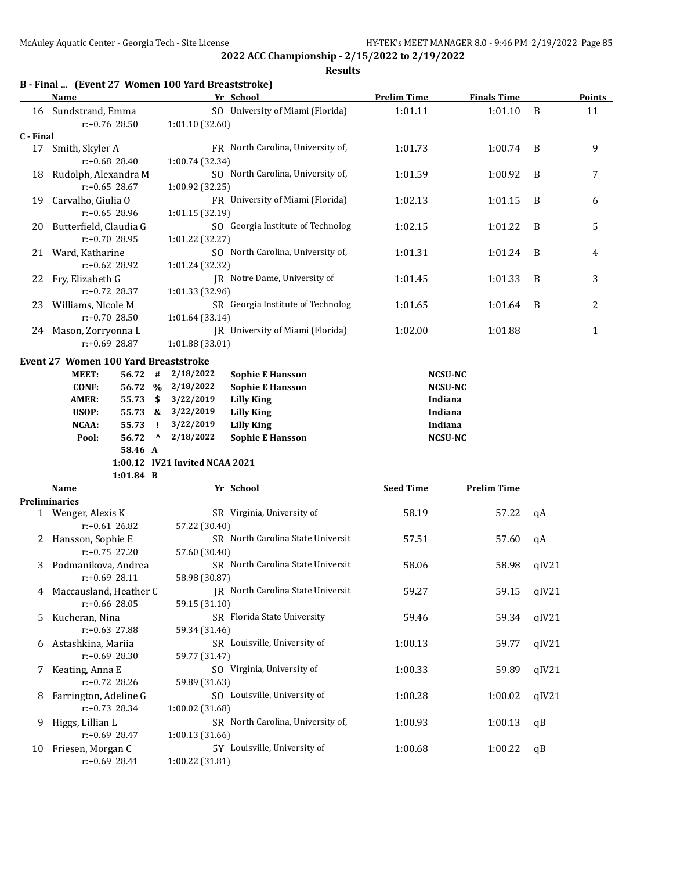**2022 ACC Championship - 2/15/2022 to 2/19/2022 Results**

## **B - Final ... (Event 27 Women 100 Yard Breaststroke)**

|           | Name                                               |             |                                 |                                | Yr School                                | <b>Prelim Time</b> | <b>Finals Time</b> |       | <b>Points</b> |
|-----------|----------------------------------------------------|-------------|---------------------------------|--------------------------------|------------------------------------------|--------------------|--------------------|-------|---------------|
|           | 16 Sundstrand, Emma                                |             |                                 |                                | SO University of Miami (Florida)         | 1:01.11            | 1:01.10            | B     | 11            |
|           | r:+0.76 28.50                                      |             |                                 | 1:01.10 (32.60)                |                                          |                    |                    |       |               |
| C - Final |                                                    |             |                                 |                                |                                          |                    |                    |       |               |
|           | 17 Smith, Skyler A                                 |             |                                 |                                | FR North Carolina, University of,        | 1:01.73            | 1:00.74            | B     | 9             |
|           | $r: +0.68$ 28.40                                   |             |                                 | 1:00.74 (32.34)                |                                          |                    |                    |       |               |
| 18        | Rudolph, Alexandra M                               |             |                                 |                                | SO North Carolina, University of,        | 1:01.59            | 1:00.92            | B     | 7             |
|           | $r: +0.65$ 28.67                                   |             |                                 | 1:00.92 (32.25)                |                                          |                    |                    |       |               |
| 19        | Carvalho, Giulia O                                 |             |                                 |                                | FR University of Miami (Florida)         | 1:02.13            | 1:01.15            | B     | 6             |
|           | r:+0.65 28.96                                      |             |                                 | 1:01.15 (32.19)                |                                          |                    |                    |       |               |
| 20        | Butterfield, Claudia G                             |             |                                 |                                | SO Georgia Institute of Technolog        | 1:02.15            | 1:01.22            | B     | 5             |
|           | r:+0.70 28.95                                      |             |                                 | 1:01.22 (32.27)                |                                          |                    |                    |       |               |
|           | 21 Ward, Katharine                                 |             |                                 |                                | SO North Carolina, University of,        | 1:01.31            | 1:01.24            | B     | 4             |
|           | $r: +0.62$ 28.92                                   |             |                                 | 1:01.24 (32.32)                |                                          |                    |                    |       |               |
| 22        | Fry, Elizabeth G                                   |             |                                 |                                | JR Notre Dame, University of             | 1:01.45            | 1:01.33            | B     | 3             |
|           | $r: +0.72$ 28.37                                   |             |                                 | 1:01.33 (32.96)                |                                          |                    |                    |       |               |
|           | 23 Williams, Nicole M                              |             |                                 |                                | SR Georgia Institute of Technolog        | 1:01.65            | 1:01.64            | B     | 2             |
|           | $r: +0.70$ 28.50                                   |             |                                 | 1:01.64 (33.14)                |                                          |                    |                    |       |               |
|           | 24 Mason, Zorryonna L                              |             |                                 |                                | JR University of Miami (Florida)         | 1:02.00            | 1:01.88            |       | 1             |
|           | r:+0.69 28.87                                      |             |                                 | 1:01.88 (33.01)                |                                          |                    |                    |       |               |
|           | Event 27 Women 100 Yard Breaststroke               |             |                                 |                                |                                          |                    |                    |       |               |
|           | MEET:                                              | 56.72       | #                               | 2/18/2022                      | <b>Sophie E Hansson</b>                  | <b>NCSU-NC</b>     |                    |       |               |
|           | <b>CONF:</b>                                       | 56.72 %     |                                 | 2/18/2022                      | <b>Sophie E Hansson</b>                  | <b>NCSU-NC</b>     |                    |       |               |
|           | <b>AMER:</b>                                       | 55.73       | \$                              | 3/22/2019                      | <b>Lilly King</b>                        | Indiana            |                    |       |               |
|           | USOP:                                              |             |                                 | 55.73 & 3/22/2019              | <b>Lilly King</b>                        | Indiana            |                    |       |               |
|           | NCAA:                                              | 55.73       | Τ.                              | 3/22/2019                      | <b>Lilly King</b>                        | Indiana            |                    |       |               |
|           | Pool:                                              | 56.72       | $\boldsymbol{\mathsf{\lambda}}$ | 2/18/2022                      | <b>Sophie E Hansson</b>                  | <b>NCSU-NC</b>     |                    |       |               |
|           |                                                    | 58.46 A     |                                 |                                |                                          |                    |                    |       |               |
|           |                                                    |             |                                 | 1:00.12 IV21 Invited NCAA 2021 |                                          |                    |                    |       |               |
|           |                                                    | $1:01.84$ B |                                 |                                |                                          |                    |                    |       |               |
|           | Name                                               |             |                                 |                                | Yr School                                | <b>Seed Time</b>   | <b>Prelim Time</b> |       |               |
|           | <b>Preliminaries</b>                               |             |                                 |                                |                                          |                    |                    |       |               |
|           | 1 Wenger, Alexis K                                 |             |                                 |                                | SR Virginia, University of               | 58.19              | 57.22              | qA    |               |
|           | $r: +0.61$ 26.82                                   |             |                                 | 57.22 (30.40)                  |                                          |                    |                    |       |               |
|           | 2 Hansson, Sophie E                                |             |                                 |                                | SR North Carolina State Universit        | 57.51              | 57.60              | qA    |               |
|           | $r: +0.75$ 27.20                                   |             |                                 | 57.60 (30.40)                  |                                          |                    |                    |       |               |
| 3         | Podmanikova, Andrea                                |             |                                 |                                | SR North Carolina State Universit        | 58.06              | 58.98              | qIV21 |               |
|           | $r: +0.69$ 28.11                                   |             |                                 | 58.98 (30.87)                  |                                          |                    |                    |       |               |
| 4         | Maccausland, Heather C                             |             |                                 |                                | <b>IR</b> North Carolina State Universit | 59.27              | 59.15              | qIV21 |               |
|           | r:+0.66 28.05                                      |             |                                 | 59.15 (31.10)                  |                                          |                    |                    |       |               |
| 5         | Kucheran, Nina                                     |             |                                 |                                | SR Florida State University              | 59.46              | 59.34              | qIV21 |               |
|           | r:+0.63 27.88                                      |             |                                 | 59.34 (31.46)                  |                                          |                    |                    |       |               |
| 6         | SR Louisville, University of<br>Astashkina, Mariia |             |                                 | 1:00.13                        | 59.77                                    | qIV21              |                    |       |               |
|           | $r: +0.69$ 28.30                                   |             |                                 | 59.77 (31.47)                  |                                          |                    |                    |       |               |
| 7         | Keating, Anna E<br>SO Virginia, University of      |             |                                 | 1:00.33                        | 59.89                                    | qIV21              |                    |       |               |
|           | r:+0.72 28.26                                      |             |                                 | 59.89 (31.63)                  |                                          |                    |                    |       |               |
| 8         | Farrington, Adeline G                              |             |                                 |                                | SO Louisville, University of             | 1:00.28            | 1:00.02            | qIV21 |               |
|           | r:+0.73 28.34                                      |             |                                 | 1:00.02 (31.68)                |                                          |                    |                    |       |               |
| 9         | Higgs, Lillian L                                   |             |                                 |                                | SR North Carolina, University of,        | 1:00.93            | 1:00.13            | qB    |               |
|           | r:+0.69 28.47                                      |             |                                 | 1:00.13 (31.66)                |                                          |                    |                    |       |               |
| 10        | Friesen, Morgan C                                  |             |                                 |                                | 5Y Louisville, University of             | 1:00.68            | 1:00.22            | qB    |               |
|           | r:+0.69 28.41                                      |             |                                 | 1:00.22 (31.81)                |                                          |                    |                    |       |               |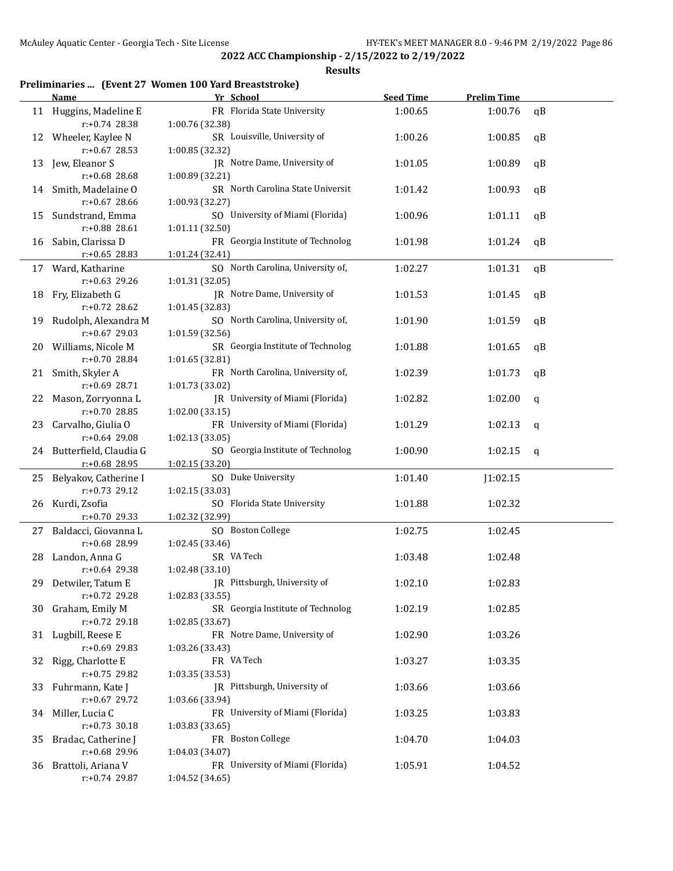#### **Results**

## **Preliminaries ... (Event 27 Women 100 Yard Breaststroke)**

|    | <u>Name</u>                                | Yr School                                            | <b>Seed Time</b> | <b>Prelim Time</b> |    |
|----|--------------------------------------------|------------------------------------------------------|------------------|--------------------|----|
|    | 11 Huggins, Madeline E<br>r:+0.74 28.38    | FR Florida State University<br>1:00.76 (32.38)       | 1:00.65          | 1:00.76            | qB |
|    | 12 Wheeler, Kaylee N<br>$r: +0.67$ 28.53   | SR Louisville, University of<br>1:00.85 (32.32)      | 1:00.26          | 1:00.85            | qB |
| 13 | Jew, Eleanor S<br>r:+0.68 28.68            | JR Notre Dame, University of<br>1:00.89 (32.21)      | 1:01.05          | 1:00.89            | qB |
|    | 14 Smith, Madelaine O<br>r:+0.67 28.66     | SR North Carolina State Universit<br>1:00.93 (32.27) | 1:01.42          | 1:00.93            | qB |
| 15 | Sundstrand, Emma<br>r:+0.88 28.61          | SO University of Miami (Florida)<br>1:01.11 (32.50)  | 1:00.96          | 1:01.11            | qB |
| 16 | Sabin, Clarissa D<br>$r: +0.65$ 28.83      | FR Georgia Institute of Technolog<br>1:01.24 (32.41) | 1:01.98          | 1:01.24            | qB |
| 17 | Ward, Katharine<br>r:+0.63 29.26           | SO North Carolina, University of,<br>1:01.31 (32.05) | 1:02.27          | 1:01.31            | qB |
| 18 | Fry, Elizabeth G<br>r:+0.72 28.62          | JR Notre Dame, University of<br>1:01.45 (32.83)      | 1:01.53          | 1:01.45            | qB |
| 19 | Rudolph, Alexandra M<br>r:+0.67 29.03      | SO North Carolina, University of,<br>1:01.59 (32.56) | 1:01.90          | 1:01.59            | qB |
| 20 | Williams, Nicole M<br>r:+0.70 28.84        | SR Georgia Institute of Technolog<br>1:01.65 (32.81) | 1:01.88          | 1:01.65            | qB |
| 21 | Smith, Skyler A<br>r:+0.69 28.71           | FR North Carolina, University of,<br>1:01.73 (33.02) | 1:02.39          | 1:01.73            | qB |
| 22 | Mason, Zorryonna L<br>r:+0.70 28.85        | JR University of Miami (Florida)<br>1:02.00 (33.15)  | 1:02.82          | 1:02.00            | q  |
| 23 | Carvalho, Giulia O<br>r:+0.64 29.08        | FR University of Miami (Florida)<br>1:02.13 (33.05)  | 1:01.29          | 1:02.13            | q  |
|    | 24 Butterfield, Claudia G<br>r:+0.68 28.95 | SO Georgia Institute of Technolog<br>1:02.15 (33.20) | 1:00.90          | 1:02.15            | q  |
| 25 | Belyakov, Catherine I<br>r:+0.73 29.12     | SO Duke University<br>1:02.15 (33.03)                | 1:01.40          | J1:02.15           |    |
| 26 | Kurdi, Zsofia<br>$r: +0.70$ 29.33          | SO Florida State University<br>1:02.32 (32.99)       | 1:01.88          | 1:02.32            |    |
| 27 | Baldacci, Giovanna L<br>r:+0.68 28.99      | SO Boston College<br>1:02.45 (33.46)                 | 1:02.75          | 1:02.45            |    |
| 28 | Landon, Anna G<br>r:+0.64 29.38            | SR VA Tech<br>1:02.48 (33.10)                        | 1:03.48          | 1:02.48            |    |
|    | 29 Detwiler, Tatum E<br>r:+0.72 29.28      | JR Pittsburgh, University of<br>1:02.83 (33.55)      | 1:02.10          | 1:02.83            |    |
|    | 30 Graham, Emily M<br>r:+0.72 29.18        | SR Georgia Institute of Technolog<br>1:02.85 (33.67) | 1:02.19          | 1:02.85            |    |
|    | 31 Lugbill, Reese E<br>r:+0.69 29.83       | FR Notre Dame, University of<br>1:03.26 (33.43)      | 1:02.90          | 1:03.26            |    |
|    | 32 Rigg, Charlotte E<br>r:+0.75 29.82      | FR VA Tech<br>1:03.35 (33.53)                        | 1:03.27          | 1:03.35            |    |
|    | 33 Fuhrmann, Kate J<br>r:+0.67 29.72       | JR Pittsburgh, University of<br>1:03.66 (33.94)      | 1:03.66          | 1:03.66            |    |
|    | 34 Miller, Lucia C<br>$r: +0.73$ 30.18     | FR University of Miami (Florida)<br>1:03.83 (33.65)  | 1:03.25          | 1:03.83            |    |
| 35 | Bradac, Catherine J<br>r:+0.68 29.96       | FR Boston College<br>1:04.03 (34.07)                 | 1:04.70          | 1:04.03            |    |
|    | 36 Brattoli, Ariana V<br>r:+0.74 29.87     | FR University of Miami (Florida)<br>1:04.52 (34.65)  | 1:05.91          | 1:04.52            |    |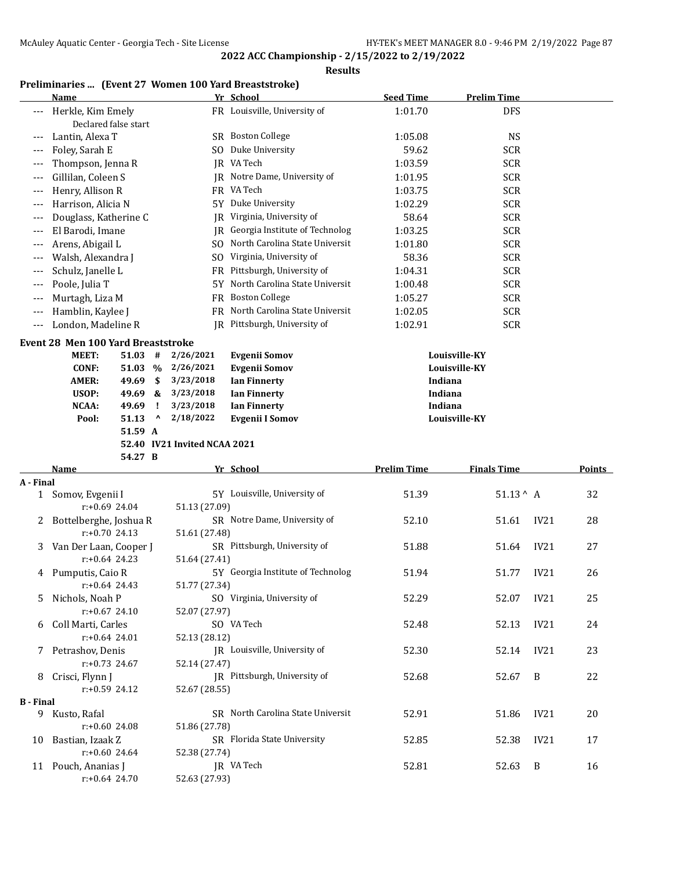**Results**

#### **Preliminaries ... (Event 27 Women 100 Yard Breaststroke) Name Yr School Seed Time Prelim Time**

|           | Herkle, Kim Emely                         |                              | FR Louisville, University of      | 1:01.70            | <b>DFS</b>                |               |
|-----------|-------------------------------------------|------------------------------|-----------------------------------|--------------------|---------------------------|---------------|
|           | Declared false start                      |                              |                                   |                    |                           |               |
| ---       | Lantin, Alexa T                           |                              | SR Boston College                 | 1:05.08            | <b>NS</b>                 |               |
| ---       | Foley, Sarah E                            |                              | SO Duke University                | 59.62              | <b>SCR</b>                |               |
| $---$     | Thompson, Jenna R                         |                              | JR VA Tech                        | 1:03.59            | <b>SCR</b>                |               |
| ---       | Gillilan, Coleen S                        |                              | IR Notre Dame, University of      | 1:01.95            | <b>SCR</b>                |               |
| ---       | Henry, Allison R                          |                              | FR VA Tech                        | 1:03.75            | <b>SCR</b>                |               |
| $---$     | Harrison, Alicia N                        |                              | 5Y Duke University                | 1:02.29            | <b>SCR</b>                |               |
| $---$     | Douglass, Katherine C                     | IR                           | Virginia, University of           | 58.64              | <b>SCR</b>                |               |
| $---$     | El Barodi, Imane                          |                              | JR Georgia Institute of Technolog | 1:03.25            | <b>SCR</b>                |               |
| $---$     | Arens, Abigail L                          |                              | SO North Carolina State Universit | 1:01.80            | <b>SCR</b>                |               |
| ---       | Walsh, Alexandra J                        |                              | SO Virginia, University of        | 58.36              | <b>SCR</b>                |               |
| ---       | Schulz, Janelle L                         |                              | FR Pittsburgh, University of      | 1:04.31            | <b>SCR</b>                |               |
| ---       | Poole, Julia T                            |                              | 5Y North Carolina State Universit | 1:00.48            | <b>SCR</b>                |               |
| ---       | Murtagh, Liza M                           |                              | FR Boston College                 | 1:05.27            | <b>SCR</b>                |               |
| ---       | Hamblin, Kaylee J                         |                              | FR North Carolina State Universit | 1:02.05            | <b>SCR</b>                |               |
| ---       | London, Madeline R                        |                              | JR Pittsburgh, University of      | 1:02.91            | <b>SCR</b>                |               |
|           | <b>Event 28 Men 100 Yard Breaststroke</b> |                              |                                   |                    |                           |               |
|           | MEET:<br>51.03                            | 2/26/2021<br>#               | <b>Evgenii Somov</b>              | Louisville-KY      |                           |               |
|           | <b>CONF:</b><br>51.03 %                   | 2/26/2021                    | <b>Evgenii Somov</b>              | Louisville-KY      |                           |               |
|           | <b>AMER:</b><br>49.69                     | \$<br>3/23/2018              | <b>Ian Finnerty</b>               | Indiana            |                           |               |
|           | USOP:<br>49.69                            | 3/23/2018<br>&               | <b>Ian Finnerty</b>               | Indiana            |                           |               |
|           | <b>NCAA:</b><br>49.69                     | 3/23/2018<br>- 1             | <b>Ian Finnerty</b>               | Indiana            |                           |               |
|           | 51.13<br>Pool:                            | 2/18/2022<br>$\mathbf v$     | <b>Evgenii I Somov</b>            | Louisville-KY      |                           |               |
|           | 51.59 A                                   |                              |                                   |                    |                           |               |
|           |                                           | 52.40 IV21 Invited NCAA 2021 |                                   |                    |                           |               |
|           |                                           |                              |                                   |                    |                           |               |
|           | 54.27 B                                   |                              |                                   |                    |                           |               |
|           | Name                                      |                              | Yr School                         | <b>Prelim Time</b> | <b>Finals Time</b>        | <b>Points</b> |
| A - Final |                                           |                              |                                   |                    |                           |               |
|           | 1 Somov, Evgenii I                        |                              | 5Y Louisville, University of      | 51.39              | $51.13^{\wedge}$ A        | 32            |
|           | $r: +0.69$ 24.04                          | 51.13 (27.09)                |                                   |                    |                           |               |
| 2         | Bottelberghe, Joshua R                    |                              | SR Notre Dame, University of      | 52.10              | 51.61<br>IV21             | 28            |
|           | $r: +0.70$ 24.13                          | 51.61 (27.48)                |                                   |                    |                           |               |
| 3         | Van Der Laan, Cooper J                    |                              | SR Pittsburgh, University of      | 51.88              | IV21<br>51.64             | 27            |
|           | $r: +0.64$ 24.23                          | 51.64 (27.41)                |                                   |                    |                           |               |
| 4         | Pumputis, Caio R                          |                              | 5Y Georgia Institute of Technolog | 51.94              | IV21<br>51.77             | 26            |
|           | $r: +0.64$ 24.43                          | 51.77 (27.34)                |                                   |                    |                           |               |
|           | 5 Nichols, Noah P                         |                              | SO Virginia, University of        | 52.29              | 52.07<br>IV <sub>21</sub> | 25            |
|           | $r: +0.67$ 24.10                          | 52.07 (27.97)                |                                   |                    |                           |               |
|           | Coll Marti, Carles<br>$r: +0.64$ 24.01    |                              | SO VA Tech                        | 52.48              | 52.13<br>IV21             | 24            |
|           |                                           | 52.13 (28.12)                |                                   |                    |                           |               |
|           | 7 Petrashov, Denis<br>$r: +0.73$ 24.67    |                              | JR Louisville, University of      | 52.30              | IV21<br>52.14             | 23            |
|           |                                           | 52.14 (27.47)                | JR Pittsburgh, University of      |                    | B                         |               |
|           | 8 Crisci, Flynn J<br>$r: +0.59$ 24.12     | 52.67 (28.55)                |                                   | 52.68              | 52.67                     | 22            |
| B - Final |                                           |                              |                                   |                    |                           |               |
|           | 9 Kusto, Rafal                            |                              | SR North Carolina State Universit | 52.91              | 51.86<br>IV21             | 20            |
|           | r:+0.60 24.08                             | 51.86 (27.78)                |                                   |                    |                           |               |
|           | 10 Bastian, Izaak Z                       |                              | SR Florida State University       | 52.85              | 52.38<br>IV21             | 17            |
|           | $r: +0.60$ 24.64                          | 52.38 (27.74)                |                                   |                    |                           |               |
|           | 11 Pouch, Ananias J<br>$r: +0.64$ 24.70   | 52.63 (27.93)                | JR VA Tech                        | 52.81              | 52.63<br>B                | 16            |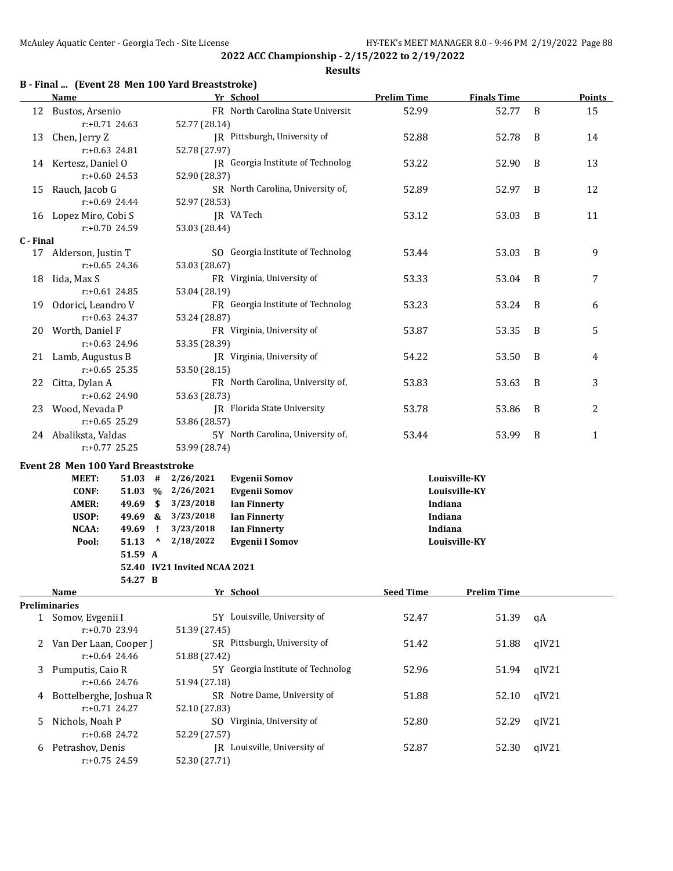#### **Results**

## **B - Final ... (Event 28 Men 100 Yard Breaststroke)**

|           | <u>Name</u>                        |         |              |                                   | Yr School                         | <b>Prelim Time</b> | <b>Finals Time</b> |              | <b>Points</b> |
|-----------|------------------------------------|---------|--------------|-----------------------------------|-----------------------------------|--------------------|--------------------|--------------|---------------|
|           | 12 Bustos, Arsenio                 |         |              |                                   | FR North Carolina State Universit | 52.99              | 52.77              | B            | 15            |
|           | $r: +0.71$ 24.63                   |         |              | 52.77 (28.14)                     |                                   |                    |                    |              |               |
|           | 13 Chen, Jerry Z                   |         |              |                                   | JR Pittsburgh, University of      | 52.88              | 52.78              | B            | 14            |
|           | $r: +0.63$ 24.81                   |         |              | 52.78 (27.97)                     |                                   |                    |                    |              |               |
|           | 14 Kertesz, Daniel O               |         |              |                                   | JR Georgia Institute of Technolog | 53.22              | 52.90              | B            | 13            |
|           | $r: +0.60$ 24.53                   |         |              | 52.90 (28.37)                     |                                   |                    |                    |              |               |
|           | 15 Rauch, Jacob G                  |         |              |                                   | SR North Carolina, University of, | 52.89              | 52.97              | B            | 12            |
|           | $r: +0.69$ 24.44                   |         |              | 52.97 (28.53)                     |                                   |                    |                    |              |               |
|           | 16 Lopez Miro, Cobi S              |         |              |                                   | JR VA Tech                        | 53.12              | 53.03              | B            | 11            |
|           | r:+0.70 24.59                      |         |              | 53.03 (28.44)                     |                                   |                    |                    |              |               |
| C - Final |                                    |         |              |                                   |                                   |                    |                    |              |               |
|           | 17 Alderson, Justin T              |         |              |                                   | SO Georgia Institute of Technolog | 53.44              | 53.03              | B            | 9             |
|           | $r: +0.65$ 24.36                   |         |              | 53.03 (28.67)                     |                                   |                    |                    |              |               |
|           | 18 Iida, Max S                     |         |              |                                   | FR Virginia, University of        | 53.33              | 53.04              | B            | 7             |
|           | $r: +0.61$ 24.85                   |         |              | 53.04 (28.19)                     |                                   |                    |                    |              |               |
|           | 19 Odorici, Leandro V              |         |              |                                   | FR Georgia Institute of Technolog | 53.23              | 53.24              | B            | 6             |
|           | $r: +0.63$ 24.37                   |         |              | 53.24 (28.87)                     |                                   |                    |                    |              |               |
|           | 20 Worth, Daniel F                 |         |              |                                   | FR Virginia, University of        | 53.87              | 53.35              | B            | 5             |
|           | r:+0.63 24.96                      |         |              | 53.35 (28.39)                     |                                   |                    |                    |              |               |
|           | 21 Lamb, Augustus B                |         |              |                                   | JR Virginia, University of        | 54.22              | 53.50              | B            | 4             |
|           | $r: +0.65$ 25.35                   |         |              | 53.50 (28.15)                     |                                   |                    |                    |              |               |
|           | 22 Citta, Dylan A                  |         |              |                                   | FR North Carolina, University of, | 53.83              | 53.63              | B            | 3             |
|           | $r: +0.62$ 24.90                   |         |              | 53.63 (28.73)                     |                                   |                    |                    |              |               |
|           | 23 Wood, Nevada P                  |         |              |                                   | JR Florida State University       | 53.78              | 53.86              | B            | 2             |
|           | r:+0.65 25.29                      |         |              | 53.86 (28.57)                     |                                   |                    |                    |              |               |
|           | 24 Abaliksta, Valdas               |         |              | 5Y North Carolina, University of, | 53.44                             | 53.99              | B                  | $\mathbf{1}$ |               |
|           | $r: +0.77$ 25.25                   |         |              | 53.99 (28.74)                     |                                   |                    |                    |              |               |
|           | Event 28 Men 100 Yard Breaststroke |         |              |                                   |                                   |                    |                    |              |               |
|           | MEET:                              |         |              | $51.03$ # $2/26/2021$             | <b>Evgenii Somov</b>              |                    | Louisville-KY      |              |               |
|           | <b>CONF:</b>                       |         |              | 51.03 % 2/26/2021                 | <b>Evgenii Somov</b>              |                    | Louisville-KY      |              |               |
|           | <b>AMER:</b>                       |         |              | 49.69 \$ 3/23/2018                | <b>Ian Finnerty</b>               | Indiana            |                    |              |               |
|           | USOP:                              |         |              | 49.69 & 3/23/2018                 | <b>Ian Finnerty</b>               | Indiana            |                    |              |               |
|           | NCAA:                              | 49.69 ! |              | 3/23/2018                         | <b>Ian Finnerty</b>               | Indiana            |                    |              |               |
|           | Pool:                              | 51.13   | $\mathbf{v}$ | 2/18/2022                         | <b>Evgenii I Somov</b>            |                    | Louisville-KY      |              |               |
|           |                                    | 51.59 A |              |                                   |                                   |                    |                    |              |               |
|           |                                    |         |              | 52.40 IV21 Invited NCAA 2021      |                                   |                    |                    |              |               |
|           |                                    | 54.27 B |              |                                   |                                   |                    |                    |              |               |
|           | Name                               |         |              |                                   | Yr School                         | <b>Seed Time</b>   | <b>Prelim Time</b> |              |               |
|           | Preliminaries                      |         |              |                                   |                                   |                    |                    |              |               |
|           | 1 Somov, Evgenii I                 |         |              |                                   | 5Y Louisville, University of      | 52.47              | 51.39              | qA           |               |
|           | r:+0.70 23.94                      |         |              | 51.39 (27.45)                     |                                   |                    |                    |              |               |
| 2         | Van Der Laan, Cooper J             |         |              |                                   | SR Pittsburgh, University of      | 51.42              | 51.88              | qIV21        |               |
|           | $r: +0.64$ 24.46                   |         |              | 51.88 (27.42)                     |                                   |                    |                    |              |               |
| 3         | Pumputis, Caio R                   |         |              |                                   | 5Y Georgia Institute of Technolog | 52.96              | 51.94              | qIV21        |               |
|           | r:+0.66 24.76                      |         |              | 51.94 (27.18)                     |                                   |                    |                    |              |               |
| 4         | Bottelberghe, Joshua R             |         |              |                                   | SR Notre Dame, University of      | 51.88              | 52.10              | qIV21        |               |
|           | r:+0.71 24.27                      |         |              | 52.10 (27.83)                     |                                   |                    |                    |              |               |
| 5         | Nichols, Noah P                    |         |              |                                   | SO Virginia, University of        | 52.80              | 52.29              | qIV21        |               |
|           | r:+0.68 24.72                      |         |              | 52.29 (27.57)                     |                                   |                    |                    |              |               |
| 6         | Petrashov, Denis                   |         |              |                                   | JR Louisville, University of      | 52.87              | 52.30              | qIV21        |               |
|           | r:+0.75 24.59                      |         |              | 52.30 (27.71)                     |                                   |                    |                    |              |               |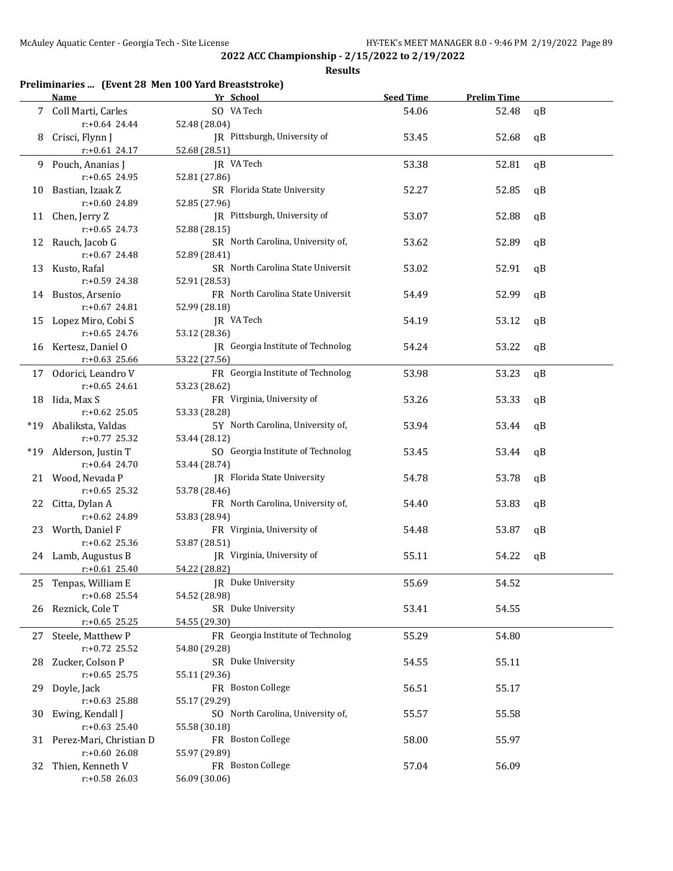**Results**

## **Preliminaries ... (Event 28 Men 100 Yard Breaststroke)**

|       | Name                    | Yr School                         | <b>Seed Time</b> | <b>Prelim Time</b> |    |
|-------|-------------------------|-----------------------------------|------------------|--------------------|----|
|       | 7 Coll Marti, Carles    | SO VA Tech                        | 54.06            | 52.48              | qB |
|       | $r: +0.64$ 24.44        | 52.48 (28.04)                     |                  |                    |    |
| 8     | Crisci, Flynn J         | JR Pittsburgh, University of      | 53.45            | 52.68              | qB |
|       | $r: +0.61$ 24.17        | 52.68 (28.51)                     |                  |                    |    |
|       |                         | JR VA Tech                        |                  |                    |    |
| 9.    | Pouch, Ananias J        |                                   | 53.38            | 52.81              | qB |
|       | $r: +0.65$ 24.95        | 52.81 (27.86)                     |                  |                    |    |
| 10    | Bastian, Izaak Z        | SR Florida State University       | 52.27            | 52.85              | qB |
|       | r:+0.60 24.89           | 52.85 (27.96)                     |                  |                    |    |
|       | 11 Chen, Jerry Z        | JR Pittsburgh, University of      | 53.07            | 52.88              | qB |
|       | $r: +0.65$ 24.73        | 52.88 (28.15)                     |                  |                    |    |
| 12    | Rauch, Jacob G          | SR North Carolina, University of, | 53.62            | 52.89              | qB |
|       | r:+0.67 24.48           | 52.89 (28.41)                     |                  |                    |    |
| 13    | Kusto, Rafal            | SR North Carolina State Universit | 53.02            | 52.91              | qB |
|       | r:+0.59 24.38           | 52.91 (28.53)                     |                  |                    |    |
| 14    | Bustos, Arsenio         | FR North Carolina State Universit | 54.49            | 52.99              | qB |
|       | r:+0.67 24.81           | 52.99 (28.18)                     |                  |                    |    |
| 15    | Lopez Miro, Cobi S      | JR VA Tech                        | 54.19            | 53.12              | qB |
|       | $r: +0.65$ 24.76        | 53.12 (28.36)                     |                  |                    |    |
|       | 16 Kertesz, Daniel O    | JR Georgia Institute of Technolog | 54.24            | 53.22              | qB |
|       | $r: +0.63$ 25.66        | 53.22 (27.56)                     |                  |                    |    |
|       | 17 Odorici, Leandro V   | FR Georgia Institute of Technolog | 53.98            | 53.23              | qB |
|       | $r: +0.65$ 24.61        | 53.23 (28.62)                     |                  |                    |    |
|       |                         | FR Virginia, University of        | 53.26            |                    |    |
| 18    | Iida, Max S             |                                   |                  | 53.33              | qB |
|       | $r: +0.62$ 25.05        | 53.33 (28.28)                     |                  |                    |    |
| $*19$ | Abaliksta, Valdas       | 5Y North Carolina, University of, | 53.94            | 53.44              | qB |
|       | r:+0.77 25.32           | 53.44 (28.12)                     |                  |                    |    |
| $*19$ | Alderson, Justin T      | SO Georgia Institute of Technolog | 53.45            | 53.44              | qB |
|       | $r: +0.64$ 24.70        | 53.44 (28.74)                     |                  |                    |    |
|       | 21 Wood, Nevada P       | JR Florida State University       | 54.78            | 53.78              | qB |
|       | $r: +0.65$ 25.32        | 53.78 (28.46)                     |                  |                    |    |
| 22    | Citta, Dylan A          | FR North Carolina, University of, | 54.40            | 53.83              | qB |
|       | r:+0.62 24.89           | 53.83 (28.94)                     |                  |                    |    |
|       | 23 Worth, Daniel F      | FR Virginia, University of        | 54.48            | 53.87              | qB |
|       | r:+0.62 25.36           | 53.87 (28.51)                     |                  |                    |    |
|       | 24 Lamb, Augustus B     | JR Virginia, University of        | 55.11            | 54.22              | qB |
|       | $r: +0.61$ 25.40        | 54.22 (28.82)                     |                  |                    |    |
|       | 25 Tenpas, William E    | JR Duke University                | 55.69            | 54.52              |    |
|       | $r: +0.68$ 25.54        | 54.52 (28.98)                     |                  |                    |    |
|       | 26 Reznick, Cole T      | SR Duke University                | 53.41            | 54.55              |    |
|       | $r: +0.65$ 25.25        | 54.55 (29.30)                     |                  |                    |    |
| 27    | Steele, Matthew P       | FR Georgia Institute of Technolog | 55.29            | 54.80              |    |
|       | $r: +0.72$ 25.52        | 54.80 (29.28)                     |                  |                    |    |
| 28    | Zucker, Colson P        | SR Duke University                | 54.55            | 55.11              |    |
|       | $r: +0.65$ 25.75        | 55.11 (29.36)                     |                  |                    |    |
|       | Doyle, Jack             | FR Boston College                 | 56.51            | 55.17              |    |
| 29    | $r: +0.63$ 25.88        |                                   |                  |                    |    |
|       |                         | 55.17 (29.29)                     |                  |                    |    |
| 30    | Ewing, Kendall J        | SO North Carolina, University of, | 55.57            | 55.58              |    |
|       | $r: +0.63$ 25.40        | 55.58 (30.18)                     |                  |                    |    |
| 31    | Perez-Mari, Christian D | FR Boston College                 | 58.00            | 55.97              |    |
|       | $r: +0.6026.08$         | 55.97 (29.89)                     |                  |                    |    |
| 32    | Thien, Kenneth V        | FR Boston College                 | 57.04            | 56.09              |    |
|       | r:+0.58 26.03           | 56.09 (30.06)                     |                  |                    |    |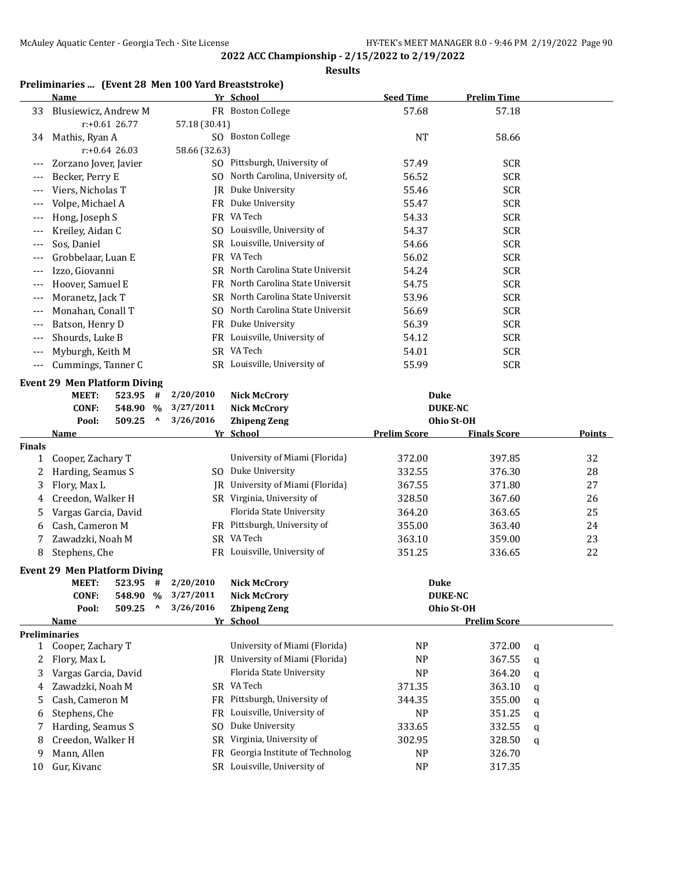#### **Results**

## **Preliminaries ... (Event 28 Men 100 Yard Breaststroke)**

|        | <b>Name</b>                         |            |                                 |                | Yr School                         | <b>Seed Time</b>    | <b>Prelim Time</b>  |   |        |
|--------|-------------------------------------|------------|---------------------------------|----------------|-----------------------------------|---------------------|---------------------|---|--------|
| 33     | Blusiewicz, Andrew M                |            |                                 |                | FR Boston College                 | 57.68               | 57.18               |   |        |
|        | $r: +0.61$ 26.77                    |            |                                 | 57.18 (30.41)  |                                   |                     |                     |   |        |
| 34     | Mathis, Ryan A                      |            |                                 |                | SO Boston College                 | <b>NT</b>           | 58.66               |   |        |
|        | $r: +0.64$ 26.03                    |            |                                 | 58.66 (32.63)  |                                   |                     |                     |   |        |
|        | Zorzano Jover, Javier               |            |                                 |                | SO Pittsburgh, University of      | 57.49               | <b>SCR</b>          |   |        |
| ---    | Becker, Perry E                     |            |                                 |                | SO North Carolina, University of, | 56.52               | <b>SCR</b>          |   |        |
| $---$  | Viers, Nicholas T                   |            |                                 |                | JR Duke University                | 55.46               | <b>SCR</b>          |   |        |
| $---$  | Volpe, Michael A                    |            |                                 |                | FR Duke University                | 55.47               | <b>SCR</b>          |   |        |
| $---$  | Hong, Joseph S                      |            |                                 |                | FR VA Tech                        | 54.33               | <b>SCR</b>          |   |        |
| ---    | Kreiley, Aidan C                    |            |                                 |                | SO Louisville, University of      | 54.37               | <b>SCR</b>          |   |        |
| ---    | Sos, Daniel                         |            |                                 |                | SR Louisville, University of      | 54.66               | <b>SCR</b>          |   |        |
|        | Grobbelaar, Luan E                  |            |                                 |                | FR VA Tech                        | 56.02               | <b>SCR</b>          |   |        |
| ---    | Izzo, Giovanni                      |            |                                 |                | SR North Carolina State Universit | 54.24               | <b>SCR</b>          |   |        |
| $---$  | Hoover, Samuel E                    |            |                                 |                | FR North Carolina State Universit | 54.75               | <b>SCR</b>          |   |        |
| ---    | Moranetz, Jack T                    |            |                                 |                | SR North Carolina State Universit | 53.96               | <b>SCR</b>          |   |        |
| $---$  | Monahan, Conall T                   |            |                                 | SO.            | North Carolina State Universit    | 56.69               | <b>SCR</b>          |   |        |
| ---    | Batson, Henry D                     |            |                                 |                | FR Duke University                | 56.39               | <b>SCR</b>          |   |        |
|        | Shourds, Luke B                     |            |                                 |                | FR Louisville, University of      | 54.12               | <b>SCR</b>          |   |        |
| ---    | Myburgh, Keith M                    |            |                                 |                | SR VA Tech                        | 54.01               | <b>SCR</b>          |   |        |
| ---    |                                     |            |                                 |                | SR Louisville, University of      |                     |                     |   |        |
|        | Cummings, Tanner C                  |            |                                 |                |                                   | 55.99               | <b>SCR</b>          |   |        |
|        | <b>Event 29 Men Platform Diving</b> |            |                                 |                |                                   |                     |                     |   |        |
|        | <b>MEET:</b>                        | 523.95     | #                               | 2/20/2010      | <b>Nick McCrory</b>               | Duke                |                     |   |        |
|        | <b>CONF:</b>                        | 548.90 %   |                                 | 3/27/2011      | <b>Nick McCrory</b>               | <b>DUKE-NC</b>      |                     |   |        |
|        | Pool:                               | 509.25     | $\boldsymbol{\mathsf{\Lambda}}$ | 3/26/2016      | <b>Zhipeng Zeng</b>               |                     | Ohio St-OH          |   |        |
|        | <u>Name</u>                         |            |                                 |                | Yr School                         | <b>Prelim Score</b> | <b>Finals Score</b> |   | Points |
| Finals |                                     |            |                                 |                |                                   |                     |                     |   |        |
| 1      | Cooper, Zachary T                   |            |                                 |                | University of Miami (Florida)     | 372.00              | 397.85              |   | 32     |
| 2      | Harding, Seamus S                   |            |                                 |                | SO Duke University                | 332.55              | 376.30              |   | 28     |
| 3      | Flory, Max L                        |            |                                 |                | JR University of Miami (Florida)  | 367.55              | 371.80              |   | 27     |
| 4      | Creedon, Walker H                   |            |                                 |                | SR Virginia, University of        | 328.50              | 367.60              |   | 26     |
| 5      | Vargas Garcia, David                |            |                                 |                | Florida State University          | 364.20              | 363.65              |   | 25     |
| 6      | Cash, Cameron M                     |            |                                 |                | FR Pittsburgh, University of      | 355.00              | 363.40              |   | 24     |
| 7      | Zawadzki, Noah M                    |            |                                 |                | SR VA Tech                        | 363.10              | 359.00              |   | 23     |
| 8      | Stephens, Che                       |            |                                 |                | FR Louisville, University of      | 351.25              | 336.65              |   | 22     |
|        | <b>Event 29 Men Platform Diving</b> |            |                                 |                |                                   |                     |                     |   |        |
|        | MEET:                               | $523.95$ # |                                 | 2/20/2010      | Nick McCrorv                      | Duke                |                     |   |        |
|        | <b>CONF:</b>                        | 548.90 %   |                                 | 3/27/2011      | <b>Nick McCrory</b>               | <b>DUKE-NC</b>      |                     |   |        |
|        | Pool:                               | 509.25     | ٨                               | 3/26/2016      | <b>Zhipeng Zeng</b>               |                     | Ohio St-OH          |   |        |
|        | <u>Name</u>                         |            |                                 |                | Yr School                         |                     | <b>Prelim Score</b> |   |        |
|        | Preliminaries                       |            |                                 |                |                                   |                     |                     |   |        |
|        | 1 Cooper, Zachary T                 |            |                                 |                | University of Miami (Florida)     | <b>NP</b>           | 372.00              | q |        |
| 2      | Flory, Max L                        |            |                                 |                | JR University of Miami (Florida)  | <b>NP</b>           | 367.55              | q |        |
| 3      | Vargas Garcia, David                |            |                                 |                | Florida State University          | <b>NP</b>           | 364.20              | q |        |
| 4      | Zawadzki, Noah M                    |            |                                 |                | SR VA Tech                        | 371.35              | 363.10              | q |        |
| 5      | Cash, Cameron M                     |            |                                 |                | FR Pittsburgh, University of      | 344.35              | 355.00              | q |        |
| 6      | Stephens, Che                       |            |                                 | FR             | Louisville, University of         | <b>NP</b>           | 351.25              | q |        |
| 7      | Harding, Seamus S                   |            |                                 | S <sub>0</sub> | Duke University                   | 333.65              | 332.55              | q |        |
| 8      | Creedon, Walker H                   |            |                                 | <b>SR</b>      | Virginia, University of           | 302.95              | 328.50              | q |        |
| 9      | Mann, Allen                         |            |                                 | FR             | Georgia Institute of Technolog    | NP                  | 326.70              |   |        |
| 10     | Gur, Kivanc                         |            |                                 |                | SR Louisville, University of      | <b>NP</b>           | 317.35              |   |        |
|        |                                     |            |                                 |                |                                   |                     |                     |   |        |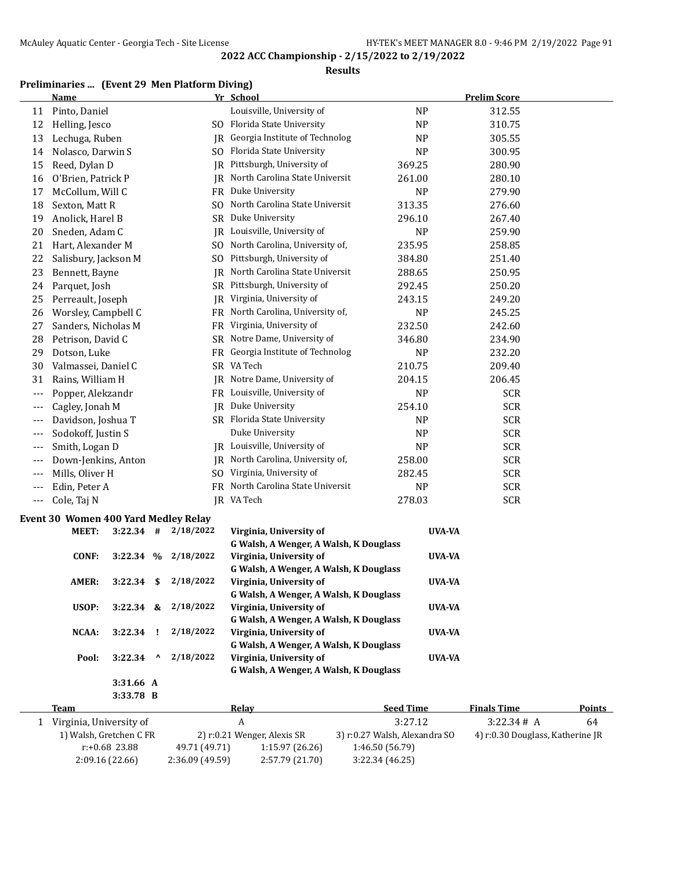#### **Results**

## **Preliminaries ... (Event 29 Men Platform Diving)**

|       | <b>Name</b>                                 |                        |    |                | Yr School                              |                | <b>Prelim Score</b> |  |
|-------|---------------------------------------------|------------------------|----|----------------|----------------------------------------|----------------|---------------------|--|
| 11    | Pinto, Daniel                               |                        |    |                | Louisville, University of              | <b>NP</b>      | 312.55              |  |
| 12    | Helling, Jesco                              |                        |    |                | SO Florida State University            | NP             | 310.75              |  |
| 13    | Lechuga, Ruben                              |                        |    |                | JR Georgia Institute of Technolog      | <b>NP</b>      | 305.55              |  |
| 14    | Nolasco, Darwin S                           |                        |    |                | SO Florida State University            | <b>NP</b>      | 300.95              |  |
| 15    | Reed, Dylan D                               |                        |    |                | JR Pittsburgh, University of           | 369.25         | 280.90              |  |
| 16    | O'Brien, Patrick P                          |                        |    |                | JR North Carolina State Universit      | 261.00         | 280.10              |  |
| 17    | McCollum, Will C                            |                        |    |                | FR Duke University                     | <b>NP</b>      | 279.90              |  |
| 18    | Sexton, Matt R                              |                        |    | SO.            | North Carolina State Universit         | 313.35         | 276.60              |  |
| 19    | Anolick, Harel B                            |                        |    | <b>SR</b>      | Duke University                        | 296.10         | 267.40              |  |
| 20    | Sneden, Adam C                              |                        |    | JR             | Louisville, University of              | <b>NP</b>      | 259.90              |  |
| 21    | Hart, Alexander M                           |                        |    | S <sub>0</sub> | North Carolina, University of,         | 235.95         | 258.85              |  |
| 22    | Salisbury, Jackson M                        |                        |    |                | SO Pittsburgh, University of           | 384.80         | 251.40              |  |
| 23    | Bennett, Bayne                              |                        |    | IR             | North Carolina State Universit         | 288.65         | 250.95              |  |
| 24    | Parquet, Josh                               |                        |    |                | SR Pittsburgh, University of           | 292.45         | 250.20              |  |
| 25    | Perreault, Joseph                           |                        |    | IR             | Virginia, University of                | 243.15         | 249.20              |  |
| 26    | Worsley, Campbell C                         |                        |    |                | FR North Carolina, University of,      | <b>NP</b>      | 245.25              |  |
| 27    | Sanders, Nicholas M                         |                        |    |                | FR Virginia, University of             | 232.50         | 242.60              |  |
| 28    | Petrison, David C                           |                        |    |                | SR Notre Dame, University of           | 346.80         | 234.90              |  |
| 29    | Dotson, Luke                                |                        |    |                | FR Georgia Institute of Technolog      | <b>NP</b>      | 232.20              |  |
| 30    | Valmassei, Daniel C                         |                        |    |                | SR VA Tech                             | 210.75         | 209.40              |  |
| 31    | Rains, William H                            |                        |    |                | JR Notre Dame, University of           | 204.15         | 206.45              |  |
| $---$ | Popper, Alekzandr                           |                        |    |                | FR Louisville, University of           | N <sub>P</sub> | <b>SCR</b>          |  |
| ---   | Cagley, Jonah M                             |                        |    |                | JR Duke University                     | 254.10         | <b>SCR</b>          |  |
| ---   | Davidson, Joshua T                          |                        |    |                | SR Florida State University            | N <sub>P</sub> | <b>SCR</b>          |  |
| ---   | Sodokoff, Justin S                          |                        |    |                | Duke University                        | N <sub>P</sub> | <b>SCR</b>          |  |
| ---   | Smith, Logan D                              |                        |    | IR             | Louisville, University of              | <b>NP</b>      | <b>SCR</b>          |  |
| ---   | Down-Jenkins, Anton                         |                        |    |                | JR North Carolina, University of,      | 258.00         | <b>SCR</b>          |  |
| ---   | Mills, Oliver H                             |                        |    | SO.            | Virginia, University of                | 282.45         | <b>SCR</b>          |  |
| ---   | Edin, Peter A                               |                        |    |                | FR North Carolina State Universit      | <b>NP</b>      | <b>SCR</b>          |  |
| ---   | Cole, Taj N                                 |                        |    |                | JR VA Tech                             | 278.03         | <b>SCR</b>          |  |
|       | <b>Event 30 Women 400 Yard Medley Relay</b> |                        |    |                |                                        |                |                     |  |
|       | MEET:                                       | $3:22.34$ #            |    | 2/18/2022      | Virginia, University of                | UVA-VA         |                     |  |
|       |                                             |                        |    |                | G Walsh, A Wenger, A Walsh, K Douglass |                |                     |  |
|       | <b>CONF:</b>                                | 3:22.34%               |    | 2/18/2022      | Virginia, University of                | UVA-VA         |                     |  |
|       |                                             |                        |    |                | G Walsh, A Wenger, A Walsh, K Douglass |                |                     |  |
|       | AMER:                                       | 3:22.34                | \$ | 2/18/2022      | Virginia, University of                | <b>UVA-VA</b>  |                     |  |
|       |                                             |                        |    |                | G Walsh, A Wenger, A Walsh, K Douglass |                |                     |  |
|       | USOP:                                       | $3:22.34$ &            |    | 2/18/2022      | Virginia, University of                | UVA-VA         |                     |  |
|       |                                             |                        |    |                | G Walsh, A Wenger, A Walsh, K Douglass |                |                     |  |
|       | NCAA:                                       | $3:22.34$ !            |    | 2/18/2022      | Virginia, University of                | UVA-VA         |                     |  |
|       |                                             |                        |    |                | G Walsh, A Wenger, A Walsh, K Douglass |                |                     |  |
|       | Pool:                                       | 3:22.34                | Λ  | 2/18/2022      | Virginia, University of                | <b>UVA-VA</b>  |                     |  |
|       |                                             |                        |    |                | G Walsh, A Wenger, A Walsh, K Douglass |                |                     |  |
|       |                                             | 3:31.66 A<br>3:33.78 B |    |                |                                        |                |                     |  |
|       |                                             |                        |    |                |                                        |                |                     |  |

| Team                    | Relay          |                             | <b>Seed Time</b>              | <b>Finals Time</b>               | Points |
|-------------------------|----------------|-----------------------------|-------------------------------|----------------------------------|--------|
| Virginia, University of |                |                             | 3:27.12                       | 3:22.34# A                       | 64     |
| 1) Walsh, Gretchen C FR |                | 2) r:0.21 Wenger, Alexis SR | 3) r:0.27 Walsh, Alexandra SO | 4) r:0.30 Douglass, Katherine JR |        |
| r:+0.68 23.88           | 49.71 (49.71)  | 1:15.97(26.26)              | 1:46.50 (56.79)               |                                  |        |
| 2:09.16(22.66)          | 2:36.09(49.59) | 2:57.79 (21.70)             | 3:22.34(46.25)                |                                  |        |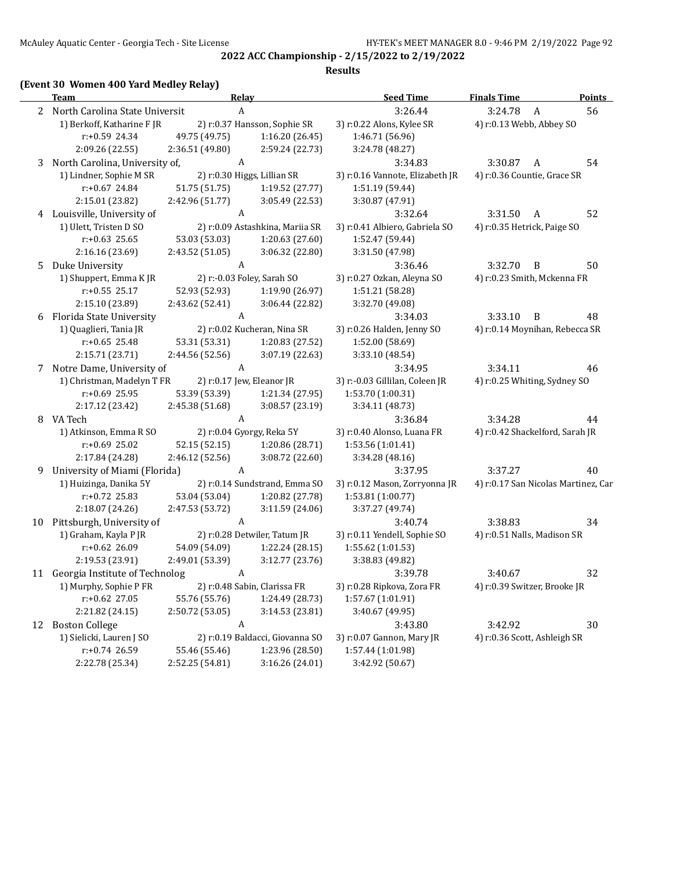#### **Results**

## **(Event 30 Women 400 Yard Medley Relay)**

|   | <b>Team</b>                       | Relay           |                                 | <b>Seed Time</b>                | <b>Finals Time</b>                  |                | <b>Points</b> |
|---|-----------------------------------|-----------------|---------------------------------|---------------------------------|-------------------------------------|----------------|---------------|
|   | 2 North Carolina State Universit  | A               |                                 | 3:26.44                         | 3:24.78                             | A              | 56            |
|   | 1) Berkoff, Katharine F JR        |                 | 2) r:0.37 Hansson, Sophie SR    | 3) r:0.22 Alons, Kylee SR       | 4) r:0.13 Webb, Abbey SO            |                |               |
|   | $r: +0.59$ 24.34                  | 49.75 (49.75)   | 1:16.20 (26.45)                 | 1:46.71 (56.96)                 |                                     |                |               |
|   | 2:09.26 (22.55)                   | 2:36.51 (49.80) | 2:59.24 (22.73)                 | 3:24.78 (48.27)                 |                                     |                |               |
|   | 3 North Carolina, University of,  | A               |                                 | 3:34.83                         | 3:30.87                             | A              | 54            |
|   | 1) Lindner, Sophie M SR           |                 | 2) r:0.30 Higgs, Lillian SR     | 3) r:0.16 Vannote, Elizabeth JR | 4) r:0.36 Countie, Grace SR         |                |               |
|   | $r: +0.67$ 24.84                  | 51.75 (51.75)   | 1:19.52(27.77)                  | 1:51.19(59.44)                  |                                     |                |               |
|   | 2:15.01 (23.82)                   | 2:42.96 (51.77) | 3:05.49 (22.53)                 | 3:30.87 (47.91)                 |                                     |                |               |
|   | 4 Louisville, University of       | A               |                                 | 3:32.64                         | 3:31.50                             | A              | 52            |
|   | 1) Ulett, Tristen D SO            |                 | 2) r:0.09 Astashkina, Mariia SR | 3) r:0.41 Albiero, Gabriela SO  | 4) r:0.35 Hetrick, Paige SO         |                |               |
|   | $r: +0.63$ 25.65                  | 53.03 (53.03)   | 1:20.63 (27.60)                 | 1:52.47 (59.44)                 |                                     |                |               |
|   | 2:16.16 (23.69)                   | 2:43.52 (51.05) | 3:06.32 (22.80)                 | 3:31.50 (47.98)                 |                                     |                |               |
|   | 5 Duke University                 | A               |                                 | 3:36.46                         | 3:32.70                             | $\overline{B}$ | 50            |
|   | 1) Shuppert, Emma K JR            |                 | 2) r:-0.03 Foley, Sarah SO      | 3) r:0.27 Ozkan, Aleyna SO      | 4) r:0.23 Smith, Mckenna FR         |                |               |
|   | $r: +0.55$ 25.17                  | 52.93 (52.93)   | 1:19.90 (26.97)                 | 1:51.21 (58.28)                 |                                     |                |               |
|   | 2:15.10 (23.89)                   | 2:43.62 (52.41) | 3:06.44 (22.82)                 | 3:32.70 (49.08)                 |                                     |                |               |
|   | 6 Florida State University        | A               |                                 | 3:34.03                         | 3:33.10                             | $\overline{B}$ | 48            |
|   | 1) Quaglieri, Tania JR            |                 | 2) r:0.02 Kucheran, Nina SR     | 3) r:0.26 Halden, Jenny SO      | 4) r:0.14 Moynihan, Rebecca SR      |                |               |
|   | $r: +0.65$ 25.48                  | 53.31 (53.31)   | 1:20.83 (27.52)                 | 1:52.00 (58.69)                 |                                     |                |               |
|   | 2:15.71 (23.71)                   | 2:44.56 (52.56) | 3:07.19 (22.63)                 | 3:33.10 (48.54)                 |                                     |                |               |
| 7 | Notre Dame, University of         | A               |                                 | 3:34.95                         | 3:34.11                             |                | 46            |
|   | 1) Christman, Madelyn T FR        |                 | 2) r:0.17 Jew, Eleanor JR       | 3) r:-0.03 Gillilan, Coleen JR  | 4) r:0.25 Whiting, Sydney SO        |                |               |
|   | $r: +0.69$ 25.95                  | 53.39 (53.39)   | 1:21.34 (27.95)                 | 1:53.70 (1:00.31)               |                                     |                |               |
|   | 2:17.12 (23.42)                   | 2:45.38 (51.68) | 3:08.57 (23.19)                 | 3:34.11 (48.73)                 |                                     |                |               |
|   | 8 VA Tech                         | A               |                                 | 3:36.84                         | 3:34.28                             |                | 44            |
|   | 1) Atkinson, Emma R SO            |                 | 2) r:0.04 Gyorgy, Reka 5Y       | 3) r:0.40 Alonso, Luana FR      | 4) r:0.42 Shackelford, Sarah JR     |                |               |
|   | r:+0.69 25.02                     | 52.15 (52.15)   | 1:20.86 (28.71)                 | 1:53.56 (1:01.41)               |                                     |                |               |
|   | 2:17.84 (24.28)                   | 2:46.12 (52.56) | 3:08.72 (22.60)                 | 3:34.28 (48.16)                 |                                     |                |               |
| 9 | University of Miami (Florida)     | A               |                                 | 3:37.95                         | 3:37.27                             |                | 40            |
|   | 1) Huizinga, Danika 5Y            |                 | 2) r:0.14 Sundstrand, Emma SO   | 3) r:0.12 Mason, Zorryonna JR   | 4) r:0.17 San Nicolas Martinez, Car |                |               |
|   | $r: +0.72$ 25.83                  | 53.04 (53.04)   | 1:20.82 (27.78)                 | 1:53.81 (1:00.77)               |                                     |                |               |
|   | 2:18.07 (24.26)                   | 2:47.53 (53.72) | 3:11.59(24.06)                  | 3:37.27 (49.74)                 |                                     |                |               |
|   | 10 Pittsburgh, University of      | A               |                                 | 3:40.74                         | 3:38.83                             |                | 34            |
|   | 1) Graham, Kayla P JR             |                 | 2) r:0.28 Detwiler, Tatum JR    | 3) r:0.11 Yendell, Sophie SO    | 4) r:0.51 Nalls, Madison SR         |                |               |
|   | r:+0.62 26.09                     | 54.09 (54.09)   | 1:22.24 (28.15)                 | 1:55.62 (1:01.53)               |                                     |                |               |
|   | 2:19.53 (23.91)                   | 2:49.01 (53.39) | 3:12.77 (23.76)                 | 3:38.83 (49.82)                 |                                     |                |               |
|   | 11 Georgia Institute of Technolog | A               |                                 | 3:39.78                         | 3:40.67                             |                | 32            |
|   | 1) Murphy, Sophie P FR            |                 | 2) r:0.48 Sabin, Clarissa FR    | 3) r:0.28 Ripkova, Zora FR      | 4) r:0.39 Switzer, Brooke JR        |                |               |
|   | $r: +0.62$ 27.05                  | 55.76 (55.76)   | 1:24.49 (28.73)                 | 1:57.67 (1:01.91)               |                                     |                |               |
|   | 2:21.82 (24.15)                   | 2:50.72 (53.05) | 3:14.53(23.81)                  | 3:40.67 (49.95)                 |                                     |                |               |
|   | 12 Boston College                 | A               |                                 | 3:43.80                         | 3:42.92                             |                | 30            |
|   | 1) Sielicki, Lauren J SO          |                 | 2) r:0.19 Baldacci, Giovanna SO | 3) r:0.07 Gannon, Mary JR       | 4) r:0.36 Scott, Ashleigh SR        |                |               |
|   | r:+0.74 26.59                     | 55.46 (55.46)   | 1:23.96 (28.50)                 | 1:57.44 (1:01.98)               |                                     |                |               |
|   | 2:22.78 (25.34)                   | 2:52.25 (54.81) | 3:16.26 (24.01)                 | 3:42.92 (50.67)                 |                                     |                |               |
|   |                                   |                 |                                 |                                 |                                     |                |               |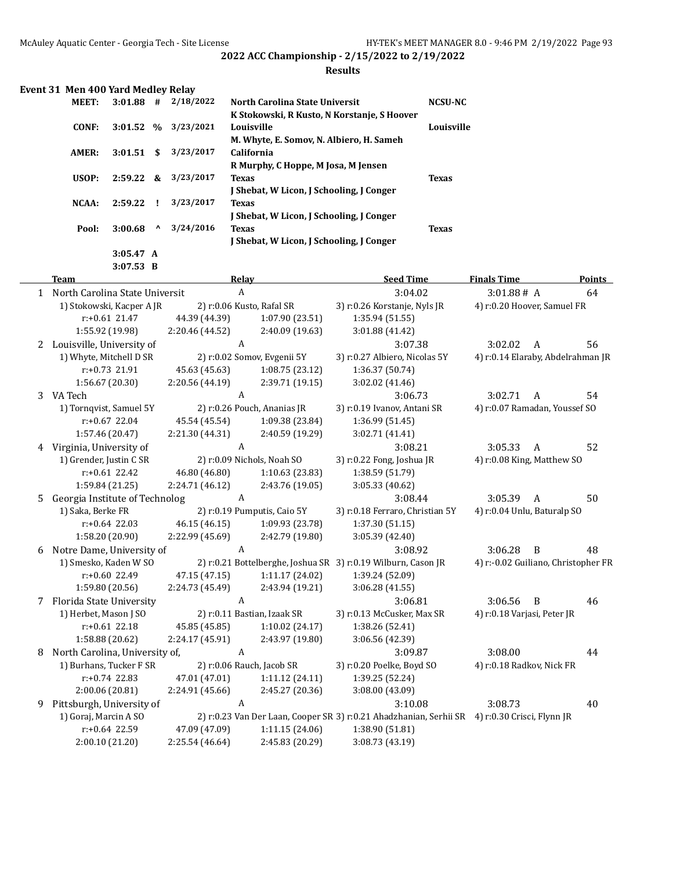|   | Event 31 Men 400 Yard Medley Relay |                  |                                 |                 |                                                                                                  |                               |                |                                   |               |
|---|------------------------------------|------------------|---------------------------------|-----------------|--------------------------------------------------------------------------------------------------|-------------------------------|----------------|-----------------------------------|---------------|
|   | MEET:                              | $3:01.88$ #      |                                 | 2/18/2022       | North Carolina State Universit                                                                   |                               | <b>NCSU-NC</b> |                                   |               |
|   |                                    |                  |                                 |                 | K Stokowski, R Kusto, N Korstanje, S Hoover                                                      |                               |                |                                   |               |
|   | <b>CONF:</b>                       | 3:01.52          | $\frac{0}{0}$                   | 3/23/2021       | Louisville                                                                                       |                               | Louisville     |                                   |               |
|   |                                    |                  |                                 |                 | M. Whyte, E. Somov, N. Albiero, H. Sameh                                                         |                               |                |                                   |               |
|   | AMER:                              | 3:01.51          | \$                              | 3/23/2017       | <b>California</b>                                                                                |                               |                |                                   |               |
|   |                                    |                  |                                 |                 | R Murphy, C Hoppe, M Josa, M Jensen                                                              |                               |                |                                   |               |
|   | USOP:                              | 2:59.22          | &                               | 3/23/2017       | <b>Texas</b>                                                                                     |                               | <b>Texas</b>   |                                   |               |
|   |                                    |                  |                                 |                 | J Shebat, W Licon, J Schooling, J Conger                                                         |                               |                |                                   |               |
|   | NCAA:                              | 2:59.22          | Ţ                               | 3/23/2017       | <b>Texas</b>                                                                                     |                               |                |                                   |               |
|   |                                    |                  |                                 |                 | J Shebat, W Licon, J Schooling, J Conger                                                         |                               |                |                                   |               |
|   | Pool:                              | 3:00.68          | $\boldsymbol{\mathsf{\Lambda}}$ | 3/24/2016       | Texas                                                                                            |                               | <b>Texas</b>   |                                   |               |
|   |                                    |                  |                                 |                 | J Shebat, W Licon, J Schooling, J Conger                                                         |                               |                |                                   |               |
|   |                                    | 3:05.47 A        |                                 |                 |                                                                                                  |                               |                |                                   |               |
|   |                                    | $3:07.53$ B      |                                 |                 |                                                                                                  |                               |                |                                   |               |
|   | Team                               |                  |                                 |                 | Relav                                                                                            | <b>Seed Time</b>              |                | <b>Finals Time</b>                | <b>Points</b> |
| 1 | North Carolina State Universit     |                  |                                 |                 | A                                                                                                | 3:04.02                       |                | 3:01.88# A                        | 64            |
|   | 1) Stokowski, Kacper A JR          |                  |                                 |                 | 2) r:0.06 Kusto, Rafal SR                                                                        | 3) r:0.26 Korstanje, Nyls JR  |                | 4) r:0.20 Hoover, Samuel FR       |               |
|   |                                    | $r: +0.61$ 21.47 |                                 | 44.39 (44.39)   | 1:07.90(23.51)                                                                                   | 1:35.94(51.55)                |                |                                   |               |
|   |                                    | 1:55.92 (19.98)  |                                 | 2:20.46 (44.52) | 2:40.09(19.63)                                                                                   | 3:01.88(41.42)                |                |                                   |               |
| 2 | Louisville, University of          |                  |                                 |                 | A                                                                                                | 3:07.38                       |                | 3:02.02<br>A                      | 56            |
|   | 1) Whyte, Mitchell D SR            |                  |                                 |                 | 2) r:0.02 Somov, Evgenii 5Y                                                                      | 3) r:0.27 Albiero, Nicolas 5Y |                | 4) r:0.14 Elaraby, Abdelrahman JI |               |
|   |                                    | 0.72.24.04       |                                 |                 | $\overline{AB}$ (3 $\overline{AB}$ (3) $\overline{AB}$ (30 $\overline{BE}$ (30 $\overline{AD}$ ) | $1.2627$ $(0.71)$             |                |                                   |               |

|    | 1) Whyte, Mitchell D SR        |                 | 2) r:0.02 Somov, Evgenii 5Y | 3) r:0.27 Albiero, Nicolas 5Y                                                                 | 4) r:0.14 Elaraby, Abdelrahman JR   |              |    |
|----|--------------------------------|-----------------|-----------------------------|-----------------------------------------------------------------------------------------------|-------------------------------------|--------------|----|
|    | $r: +0.73$ 21.91               | 45.63 (45.63)   | 1:08.75(23.12)              | 1:36.37 (50.74)                                                                               |                                     |              |    |
|    | 1:56.67 (20.30)                | 2:20.56 (44.19) | 2:39.71 (19.15)             | 3:02.02(41.46)                                                                                |                                     |              |    |
|    | 3 VA Tech                      | A               |                             | 3:06.73                                                                                       | 3:02.71                             | A            | 54 |
|    | 1) Tornqvist, Samuel 5Y        |                 | 2) r:0.26 Pouch, Ananias JR | 3) r:0.19 Ivanov, Antani SR                                                                   | 4) r:0.07 Ramadan, Youssef SO       |              |    |
|    | $r: +0.67$ 22.04               | 45.54 (45.54)   | 1:09.38 (23.84)             | 1:36.99 (51.45)                                                                               |                                     |              |    |
|    | 1:57.46 (20.47)                | 2:21.30 (44.31) | 2:40.59 (19.29)             | 3:02.71 (41.41)                                                                               |                                     |              |    |
| 4  | Virginia, University of        |                 |                             | 3:08.21                                                                                       | 3:05.33                             | A            | 52 |
|    | 1) Grender, Justin C SR        |                 | 2) r:0.09 Nichols, Noah SO  | 3) r:0.22 Fong, Joshua JR                                                                     | 4) r:0.08 King, Matthew SO          |              |    |
|    | $r: +0.61$ 22.42               | 46.80 (46.80)   | 1:10.63(23.83)              | 1:38.59 (51.79)                                                                               |                                     |              |    |
|    | 1:59.84 (21.25)                | 2:24.71 (46.12) | 2:43.76 (19.05)             | 3:05.33 (40.62)                                                                               |                                     |              |    |
| 5. | Georgia Institute of Technolog | A               |                             | 3:08.44                                                                                       | 3:05.39                             | A            | 50 |
|    | 1) Saka, Berke FR              |                 | 2) r:0.19 Pumputis, Caio 5Y | 3) r:0.18 Ferraro, Christian 5Y                                                               | 4) r:0.04 Unlu, Baturalp SO         |              |    |
|    | $r: +0.64$ 22.03               | 46.15 (46.15)   | 1:09.93 (23.78)             | 1:37.30(51.15)                                                                                |                                     |              |    |
|    | 1:58.20 (20.90)                | 2:22.99 (45.69) | 2:42.79 (19.80)             | 3:05.39 (42.40)                                                                               |                                     |              |    |
| 6  | Notre Dame, University of      | A               |                             | 3:08.92                                                                                       | 3:06.28                             | <sup>B</sup> | 48 |
|    | 1) Smesko, Kaden W SO          |                 |                             | 2) r:0.21 Bottelberghe, Joshua SR 3) r:0.19 Wilburn, Cason JR                                 | 4) r:-0.02 Guiliano, Christopher FR |              |    |
|    | $r: +0.60$ 22.49               | 47.15 (47.15)   | 1:11.17(24.02)              | 1:39.24 (52.09)                                                                               |                                     |              |    |
|    | 1:59.80 (20.56)                | 2:24.73 (45.49) | 2:43.94 (19.21)             | 3:06.28(41.55)                                                                                |                                     |              |    |
| 7  | Florida State University       | A               |                             | 3:06.81                                                                                       | 3:06.56                             | B            | 46 |
|    | 1) Herbet, Mason J SO          |                 | 2) r:0.11 Bastian, Izaak SR | 3) r:0.13 McCusker, Max SR                                                                    | 4) r:0.18 Varjasi, Peter JR         |              |    |
|    | $r: +0.61$ 22.18               | 45.85 (45.85)   | 1:10.02(24.17)              | 1:38.26 (52.41)                                                                               |                                     |              |    |
|    | 1:58.88 (20.62)                | 2:24.17(45.91)  | 2:43.97 (19.80)             | 3:06.56 (42.39)                                                                               |                                     |              |    |
| 8  | North Carolina, University of, | A               |                             | 3:09.87                                                                                       | 3:08.00                             |              | 44 |
|    | 1) Burhans, Tucker F SR        |                 | 2) r:0.06 Rauch, Jacob SR   | 3) r:0.20 Poelke, Boyd SO                                                                     | 4) r:0.18 Radkov, Nick FR           |              |    |
|    | $r: +0.74$ 22.83               | 47.01 (47.01)   | 1:11.12(24.11)              | 1:39.25 (52.24)                                                                               |                                     |              |    |
|    | 2:00.06 (20.81)                | 2:24.91 (45.66) | 2:45.27 (20.36)             | 3:08.00 (43.09)                                                                               |                                     |              |    |
| 9  | Pittsburgh, University of      | A               |                             | 3:10.08                                                                                       | 3:08.73                             |              | 40 |
|    | 1) Goraj, Marcin A SO          |                 |                             | 2) r:0.23 Van Der Laan, Cooper SR 3) r:0.21 Ahadzhanian, Serhii SR 4) r:0.30 Crisci, Flynn JR |                                     |              |    |
|    | $r: +0.64$ 22.59               | 47.09 (47.09)   | 1:11.15(24.06)              | 1:38.90 (51.81)                                                                               |                                     |              |    |
|    | 2:00.10(21.20)                 | 2:25.54 (46.64) | 2:45.83 (20.29)             | 3:08.73 (43.19)                                                                               |                                     |              |    |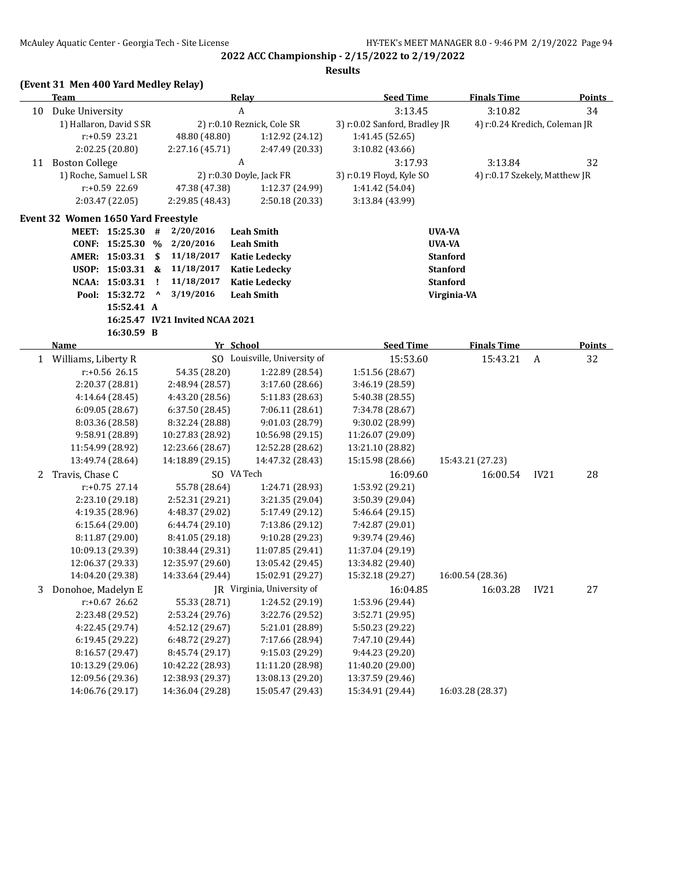**2022 ACC Championship - 2/15/2022 to 2/19/2022 Results**

#### **(Event 31 Men 400 Yard Medley Relay)**

**Team Relay Seed Time Finals Time Points** 10 Duke University A 3:13.45 3:10.82 34 1) Hallaron, David S SR 2) r:0.10 Reznick, Cole SR 3) r:0.02 Sanford, Bradley JR 4) r:0.24 Kredich, Coleman JR r:+0.59 23.21 48.80 (48.80) 1:12.92 (24.12) 1:41.45 (52.65) 2:02.25 (20.80) 2:27.16 (45.71) 2:47.49 (20.33) 3:10.82 (43.66) 11 Boston College 23:17.93 3:13.84 3:17.93 3:13.84 3:17.93 3:13.84 32 1) Roche, Samuel L SR 2) r:0.30 Doyle, Jack FR 3) r:0.19 Floyd, Kyle SO 4) r:0.17 Szekely, Matthew JR r:+0.59 22.69 47.38 (47.38) 1:12.37 (24.99) 1:41.42 (54.04) 2:03.47 (22.05) 2:29.85 (48.43) 2:50.18 (20.33) 3:13.84 (43.99) **Event 32 Women 1650 Yard Freestyle MEET: 15:25.30 # 2/20/2016 Leah Smith UVA-VA CONF: 15:25.30 % 2/20/2016 Leah Smith UVA-VA AMER: 15:03.31 \$ 11/18/2017 Katie Ledecky Stanford USOP: 15:03.31 & 11/18/2017 Katie Ledecky Stanford NCAA: 15:03.31 ! 11/18/2017 Katie Ledecky Stanford Pool: 15:32.72 ^ 3/19/2016 Leah Smith Virginia-VA 15:52.41 A 16:25.47 IV21 Invited NCAA 2021 16:30.59 B Name Yr School Seed Time Finals Time Points** 1 Williams, Liberty R SO Louisville, University of 15:53.60 15:43.21 A 32 r:+0.56 26.15 54.35 (28.20) 1:22.89 (28.54) 1:51.56 (28.67) 2:20.37 (28.81) 2:48.94 (28.57) 3:17.60 (28.66) 3:46.19 (28.59) 4:14.64 (28.45) 4:43.20 (28.56) 5:11.83 (28.63) 5:40.38 (28.55) 6:09.05 (28.67) 6:37.50 (28.45) 7:06.11 (28.61) 7:34.78 (28.67) 8:03.36 (28.58) 8:32.24 (28.88) 9:01.03 (28.79) 9:30.02 (28.99) 9:58.91 (28.89) 10:27.83 (28.92) 10:56.98 (29.15) 11:26.07 (29.09) 11:54.99 (28.92) 12:23.66 (28.67) 12:52.28 (28.62) 13:21.10 (28.82) 13:49.74 (28.64) 14:18.89 (29.15) 14:47.32 (28.43) 15:15.98 (28.66) 15:43.21 (27.23) 2 Travis, Chase C SO VA Tech 16:09.60 16:00.54 IV21 28 r:+0.75 27.14 55.78 (28.64) 1:24.71 (28.93) 1:53.92 (29.21) 2:23.10 (29.18) 2:52.31 (29.21) 3:21.35 (29.04) 3:50.39 (29.04) 4:19.35 (28.96) 4:48.37 (29.02) 5:17.49 (29.12) 5:46.64 (29.15) 6:15.64 (29.00) 6:44.74 (29.10) 7:13.86 (29.12) 7:42.87 (29.01) 8:11.87 (29.00) 8:41.05 (29.18) 9:10.28 (29.23) 9:39.74 (29.46) 10:09.13 (29.39) 10:38.44 (29.31) 11:07.85 (29.41) 11:37.04 (29.19) 12:06.37 (29.33) 12:35.97 (29.60) 13:05.42 (29.45) 13:34.82 (29.40) 14:04.20 (29.38) 14:33.64 (29.44) 15:02.91 (29.27) 15:32.18 (29.27) 16:00.54 (28.36) 3 Donohoe, Madelyn E JR Virginia, University of 16:04.85 16:03.28 IV21 27 r:+0.67 26.62 55.33 (28.71) 1:24.52 (29.19) 1:53.96 (29.44) 2:23.48 (29.52) 2:53.24 (29.76) 3:22.76 (29.52) 3:52.71 (29.95) 4:22.45 (29.74) 4:52.12 (29.67) 5:21.01 (28.89) 5:50.23 (29.22) 6:19.45 (29.22) 6:48.72 (29.27) 7:17.66 (28.94) 7:47.10 (29.44) 8:16.57 (29.47) 8:45.74 (29.17) 9:15.03 (29.29) 9:44.23 (29.20) 10:13.29 (29.06) 10:42.22 (28.93) 11:11.20 (28.98) 11:40.20 (29.00) 12:09.56 (29.36) 12:38.93 (29.37) 13:08.13 (29.20) 13:37.59 (29.46) 14:06.76 (29.17) 14:36.04 (29.28) 15:05.47 (29.43) 15:34.91 (29.44) 16:03.28 (28.37)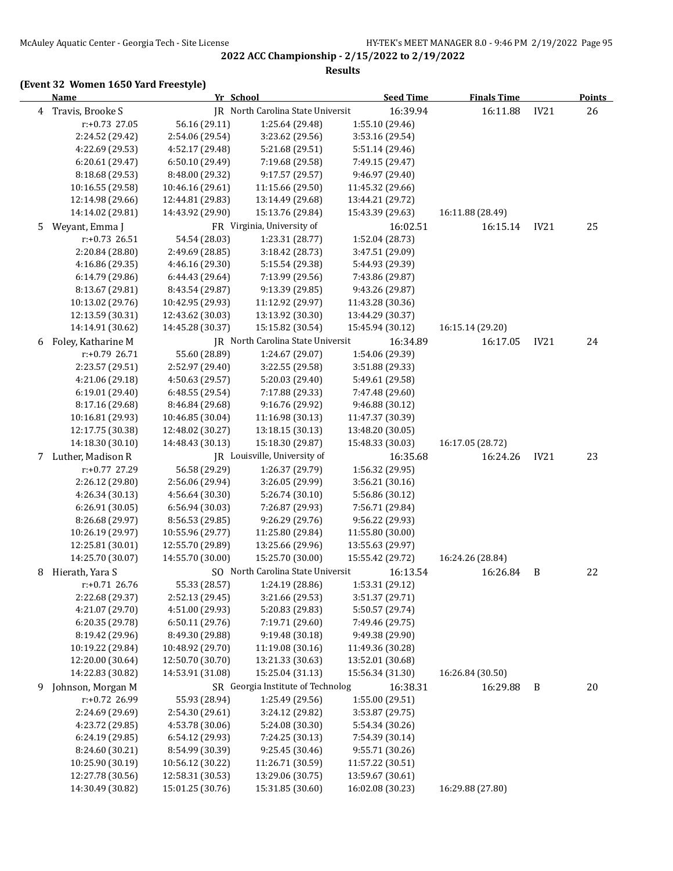# **(Event 32 Women 1650 Yard Freestyle)**

|   | <u>Name</u>                        |                                    | Yr School                                            | <b>Seed Time</b>                   | <b>Finals Time</b> |                  | <b>Points</b> |
|---|------------------------------------|------------------------------------|------------------------------------------------------|------------------------------------|--------------------|------------------|---------------|
| 4 | Travis, Brooke S                   |                                    | JR North Carolina State Universit                    | 16:39.94                           | 16:11.88           | IV21             | 26            |
|   | $r: +0.73$ 27.05                   | 56.16 (29.11)                      | 1:25.64 (29.48)                                      | 1:55.10 (29.46)                    |                    |                  |               |
|   | 2:24.52 (29.42)                    | 2:54.06 (29.54)                    | 3:23.62 (29.56)                                      | 3:53.16 (29.54)                    |                    |                  |               |
|   | 4:22.69 (29.53)                    | 4:52.17 (29.48)                    | 5:21.68 (29.51)                                      | 5:51.14 (29.46)                    |                    |                  |               |
|   | 6:20.61 (29.47)                    | 6:50.10 (29.49)                    | 7:19.68 (29.58)                                      | 7:49.15 (29.47)                    |                    |                  |               |
|   | 8:18.68 (29.53)                    | 8:48.00 (29.32)                    | 9:17.57 (29.57)                                      | 9:46.97 (29.40)                    |                    |                  |               |
|   | 10:16.55 (29.58)                   | 10:46.16 (29.61)                   | 11:15.66 (29.50)                                     | 11:45.32 (29.66)                   |                    |                  |               |
|   | 12:14.98 (29.66)                   | 12:44.81 (29.83)                   | 13:14.49 (29.68)                                     | 13:44.21 (29.72)                   |                    |                  |               |
|   | 14:14.02 (29.81)                   | 14:43.92 (29.90)                   | 15:13.76 (29.84)                                     | 15:43.39 (29.63)                   | 16:11.88 (28.49)   |                  |               |
| 5 | Weyant, Emma J                     |                                    | FR Virginia, University of                           | 16:02.51                           | 16:15.14           | IV21             | 25            |
|   | $r: +0.73$ 26.51                   | 54.54 (28.03)                      | 1:23.31 (28.77)                                      | 1:52.04 (28.73)                    |                    |                  |               |
|   | 2:20.84 (28.80)                    | 2:49.69 (28.85)                    | 3:18.42 (28.73)                                      | 3:47.51 (29.09)                    |                    |                  |               |
|   | 4:16.86 (29.35)                    | 4:46.16 (29.30)                    | 5:15.54 (29.38)                                      | 5:44.93 (29.39)                    |                    |                  |               |
|   | 6:14.79 (29.86)                    | 6:44.43 (29.64)                    | 7:13.99 (29.56)                                      | 7:43.86 (29.87)                    |                    |                  |               |
|   | 8:13.67 (29.81)                    | 8:43.54 (29.87)                    | 9:13.39 (29.85)                                      | 9:43.26 (29.87)                    |                    |                  |               |
|   | 10:13.02 (29.76)                   | 10:42.95 (29.93)                   | 11:12.92 (29.97)                                     | 11:43.28 (30.36)                   |                    |                  |               |
|   | 12:13.59 (30.31)                   | 12:43.62 (30.03)                   | 13:13.92 (30.30)                                     | 13:44.29 (30.37)                   |                    |                  |               |
|   | 14:14.91 (30.62)                   | 14:45.28 (30.37)                   | 15:15.82 (30.54)                                     | 15:45.94 (30.12)                   | 16:15.14 (29.20)   |                  |               |
| 6 | Foley, Katharine M                 |                                    | IR North Carolina State Universit                    | 16:34.89                           | 16:17.05           | IV <sub>21</sub> | 24            |
|   | r:+0.79 26.71                      | 55.60 (28.89)                      | 1:24.67 (29.07)                                      | 1:54.06 (29.39)                    |                    |                  |               |
|   | 2:23.57 (29.51)                    | 2:52.97 (29.40)                    | 3:22.55 (29.58)                                      | 3:51.88 (29.33)                    |                    |                  |               |
|   | 4:21.06 (29.18)                    | 4:50.63 (29.57)                    | 5:20.03 (29.40)                                      | 5:49.61 (29.58)                    |                    |                  |               |
|   | 6:19.01 (29.40)                    | 6:48.55 (29.54)                    | 7:17.88 (29.33)                                      | 7:47.48 (29.60)                    |                    |                  |               |
|   | 8:17.16 (29.68)                    | 8:46.84 (29.68)                    | 9:16.76 (29.92)                                      | 9:46.88 (30.12)                    |                    |                  |               |
|   | 10:16.81 (29.93)                   | 10:46.85 (30.04)                   | 11:16.98 (30.13)                                     | 11:47.37 (30.39)                   |                    |                  |               |
|   | 12:17.75 (30.38)                   | 12:48.02 (30.27)                   | 13:18.15 (30.13)                                     | 13:48.20 (30.05)                   |                    |                  |               |
|   | 14:18.30 (30.10)                   | 14:48.43 (30.13)                   | 15:18.30 (29.87)                                     | 15:48.33 (30.03)                   | 16:17.05 (28.72)   |                  |               |
|   | 7 Luther, Madison R                |                                    | JR Louisville, University of                         | 16:35.68                           | 16:24.26           | IV21             | 23            |
|   | r:+0.77 27.29                      | 56.58 (29.29)                      | 1:26.37 (29.79)                                      | 1:56.32 (29.95)                    |                    |                  |               |
|   | 2:26.12 (29.80)                    | 2:56.06 (29.94)                    | 3:26.05 (29.99)                                      | 3:56.21 (30.16)                    |                    |                  |               |
|   | 4:26.34 (30.13)                    | 4:56.64 (30.30)                    | 5:26.74 (30.10)                                      | 5:56.86 (30.12)                    |                    |                  |               |
|   | 6:26.91(30.05)                     | 6:56.94(30.03)                     | 7:26.87 (29.93)                                      | 7:56.71 (29.84)                    |                    |                  |               |
|   | 8:26.68 (29.97)                    | 8:56.53 (29.85)                    | 9:26.29 (29.76)                                      | 9:56.22 (29.93)                    |                    |                  |               |
|   | 10:26.19 (29.97)                   | 10:55.96 (29.77)                   | 11:25.80 (29.84)                                     | 11:55.80 (30.00)                   |                    |                  |               |
|   | 12:25.81 (30.01)                   | 12:55.70 (29.89)                   | 13:25.66 (29.96)                                     | 13:55.63 (29.97)                   |                    |                  |               |
|   | 14:25.70 (30.07)                   | 14:55.70 (30.00)                   | 15:25.70 (30.00)                                     | 15:55.42 (29.72)                   | 16:24.26 (28.84)   |                  |               |
| 8 | Hierath, Yara S                    |                                    | SO North Carolina State Universit<br>1:24.19 (28.86) | 16:13.54                           | 16:26.84           | B                | 22            |
|   | r:+0.71 26.76                      | 55.33 (28.57)<br>2:52.13 (29.45)   |                                                      | 1:53.31 (29.12)                    |                    |                  |               |
|   | 2:22.68 (29.37)<br>4:21.07 (29.70) |                                    | 3:21.66 (29.53)                                      | 3:51.37 (29.71)                    |                    |                  |               |
|   | 6:20.35 (29.78)                    | 4:51.00 (29.93)<br>6:50.11 (29.76) | 5:20.83 (29.83)<br>7:19.71 (29.60)                   | 5:50.57 (29.74)<br>7:49.46 (29.75) |                    |                  |               |
|   | 8:19.42 (29.96)                    | 8:49.30 (29.88)                    | 9:19.48 (30.18)                                      | 9:49.38 (29.90)                    |                    |                  |               |
|   | 10:19.22 (29.84)                   | 10:48.92 (29.70)                   | 11:19.08 (30.16)                                     | 11:49.36 (30.28)                   |                    |                  |               |
|   | 12:20.00 (30.64)                   | 12:50.70 (30.70)                   | 13:21.33 (30.63)                                     | 13:52.01 (30.68)                   |                    |                  |               |
|   | 14:22.83 (30.82)                   | 14:53.91 (31.08)                   | 15:25.04 (31.13)                                     | 15:56.34 (31.30)                   | 16:26.84 (30.50)   |                  |               |
| 9 | Johnson, Morgan M                  |                                    | SR Georgia Institute of Technolog                    | 16:38.31                           | 16:29.88           | B                | 20            |
|   | r:+0.72 26.99                      | 55.93 (28.94)                      | 1:25.49 (29.56)                                      | 1:55.00 (29.51)                    |                    |                  |               |
|   | 2:24.69 (29.69)                    | 2:54.30 (29.61)                    | 3:24.12 (29.82)                                      | 3:53.87 (29.75)                    |                    |                  |               |
|   | 4:23.72 (29.85)                    | 4:53.78 (30.06)                    | 5:24.08 (30.30)                                      | 5:54.34 (30.26)                    |                    |                  |               |
|   | 6:24.19 (29.85)                    | 6:54.12 (29.93)                    | 7:24.25 (30.13)                                      | 7:54.39 (30.14)                    |                    |                  |               |
|   | 8:24.60 (30.21)                    | 8:54.99 (30.39)                    | 9:25.45 (30.46)                                      | 9:55.71 (30.26)                    |                    |                  |               |
|   | 10:25.90 (30.19)                   | 10:56.12 (30.22)                   | 11:26.71 (30.59)                                     | 11:57.22 (30.51)                   |                    |                  |               |
|   | 12:27.78 (30.56)                   | 12:58.31 (30.53)                   | 13:29.06 (30.75)                                     | 13:59.67 (30.61)                   |                    |                  |               |
|   | 14:30.49 (30.82)                   | 15:01.25 (30.76)                   | 15:31.85 (30.60)                                     | 16:02.08 (30.23)                   | 16:29.88 (27.80)   |                  |               |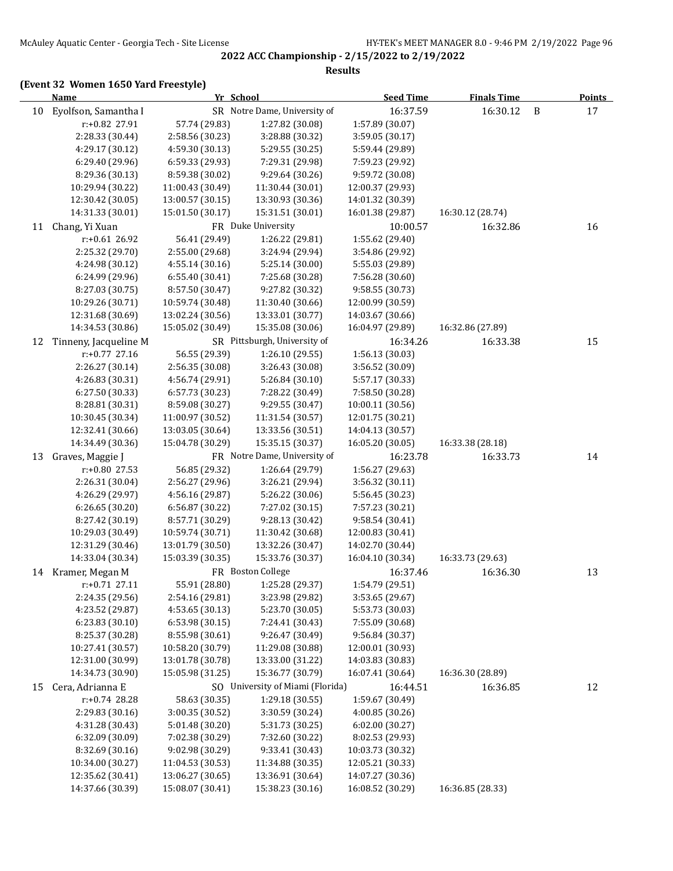#### **Results**

|    | <b>Name</b>                        | Yr School                          |                                                      | <b>Seed Time</b>                   | <b>Finals Time</b> |              | <b>Points</b> |  |
|----|------------------------------------|------------------------------------|------------------------------------------------------|------------------------------------|--------------------|--------------|---------------|--|
| 10 | Eyolfson, Samantha I               |                                    | SR Notre Dame, University of                         | 16:37.59                           | 16:30.12           | $\, {\bf B}$ | 17            |  |
|    | r:+0.82 27.91                      | 57.74 (29.83)                      | 1:27.82 (30.08)                                      | 1:57.89 (30.07)                    |                    |              |               |  |
|    | 2:28.33 (30.44)                    | 2:58.56 (30.23)                    | 3:28.88 (30.32)                                      | 3:59.05 (30.17)                    |                    |              |               |  |
|    | 4:29.17 (30.12)                    | 4:59.30 (30.13)                    | 5:29.55 (30.25)                                      | 5:59.44 (29.89)                    |                    |              |               |  |
|    | 6:29.40 (29.96)                    | 6:59.33 (29.93)                    | 7:29.31 (29.98)                                      | 7:59.23 (29.92)                    |                    |              |               |  |
|    | 8:29.36 (30.13)                    | 8:59.38 (30.02)                    | 9:29.64 (30.26)                                      | 9:59.72 (30.08)                    |                    |              |               |  |
|    | 10:29.94 (30.22)                   | 11:00.43 (30.49)                   | 11:30.44 (30.01)                                     | 12:00.37 (29.93)                   |                    |              |               |  |
|    | 12:30.42 (30.05)                   | 13:00.57 (30.15)                   | 13:30.93 (30.36)                                     | 14:01.32 (30.39)                   |                    |              |               |  |
|    | 14:31.33 (30.01)                   | 15:01.50 (30.17)                   | 15:31.51 (30.01)                                     | 16:01.38 (29.87)                   | 16:30.12 (28.74)   |              |               |  |
| 11 | Chang, Yi Xuan                     |                                    | FR Duke University                                   | 10:00.57                           | 16:32.86           |              | 16            |  |
|    | $r: +0.61$ 26.92                   | 56.41 (29.49)                      | 1:26.22 (29.81)                                      | 1:55.62 (29.40)                    |                    |              |               |  |
|    | 2:25.32 (29.70)                    | 2:55.00 (29.68)                    | 3:24.94 (29.94)                                      | 3:54.86 (29.92)                    |                    |              |               |  |
|    | 4:24.98 (30.12)                    | 4:55.14 (30.16)                    | 5:25.14 (30.00)                                      | 5:55.03 (29.89)                    |                    |              |               |  |
|    | 6:24.99 (29.96)                    | 6:55.40 (30.41)                    | 7:25.68 (30.28)                                      | 7:56.28 (30.60)                    |                    |              |               |  |
|    | 8:27.03 (30.75)                    | 8:57.50 (30.47)                    | 9:27.82 (30.32)                                      | 9:58.55 (30.73)                    |                    |              |               |  |
|    | 10:29.26 (30.71)                   | 10:59.74 (30.48)                   | 11:30.40 (30.66)                                     | 12:00.99 (30.59)                   |                    |              |               |  |
|    | 12:31.68 (30.69)                   | 13:02.24 (30.56)                   | 13:33.01 (30.77)                                     | 14:03.67 (30.66)                   |                    |              |               |  |
|    | 14:34.53 (30.86)                   | 15:05.02 (30.49)                   | 15:35.08 (30.06)                                     | 16:04.97 (29.89)                   | 16:32.86 (27.89)   |              |               |  |
| 12 | Tinneny, Jacqueline M              |                                    | SR Pittsburgh, University of                         | 16:34.26                           | 16:33.38           |              | 15            |  |
|    | r:+0.77 27.16                      | 56.55 (29.39)                      | 1:26.10 (29.55)                                      | 1:56.13 (30.03)                    |                    |              |               |  |
|    | 2:26.27 (30.14)                    | 2:56.35 (30.08)                    | 3:26.43 (30.08)                                      | 3:56.52 (30.09)                    |                    |              |               |  |
|    | 4:26.83 (30.31)                    | 4:56.74 (29.91)                    | 5:26.84(30.10)                                       | 5:57.17 (30.33)                    |                    |              |               |  |
|    | 6:27.50 (30.33)                    | 6:57.73 (30.23)                    | 7:28.22 (30.49)                                      | 7:58.50 (30.28)                    |                    |              |               |  |
|    | 8:28.81 (30.31)                    | 8:59.08 (30.27)                    | 9:29.55 (30.47)                                      | 10:00.11 (30.56)                   |                    |              |               |  |
|    | 10:30.45 (30.34)                   | 11:00.97 (30.52)                   | 11:31.54 (30.57)                                     | 12:01.75 (30.21)                   |                    |              |               |  |
|    | 12:32.41 (30.66)                   | 13:03.05 (30.64)                   | 13:33.56 (30.51)                                     | 14:04.13 (30.57)                   |                    |              |               |  |
|    | 14:34.49 (30.36)                   | 15:04.78 (30.29)                   | 15:35.15 (30.37)                                     | 16:05.20 (30.05)                   | 16:33.38 (28.18)   |              |               |  |
| 13 | Graves, Maggie J                   |                                    | FR Notre Dame, University of                         | 16:23.78                           | 16:33.73           |              | 14            |  |
|    | $r: +0.80$ 27.53                   | 56.85 (29.32)                      | 1:26.64 (29.79)                                      | 1:56.27 (29.63)                    |                    |              |               |  |
|    | 2:26.31 (30.04)                    | 2:56.27 (29.96)                    | 3:26.21 (29.94)                                      | 3:56.32 (30.11)                    |                    |              |               |  |
|    | 4:26.29 (29.97)                    | 4:56.16 (29.87)                    | 5:26.22 (30.06)                                      | 5:56.45 (30.23)                    |                    |              |               |  |
|    | 6:26.65 (30.20)                    | 6:56.87 (30.22)                    | 7:27.02 (30.15)                                      | 7:57.23 (30.21)                    |                    |              |               |  |
|    | 8:27.42 (30.19)                    | 8:57.71 (30.29)                    | 9:28.13 (30.42)                                      | 9:58.54 (30.41)                    |                    |              |               |  |
|    | 10:29.03 (30.49)                   | 10:59.74 (30.71)                   | 11:30.42 (30.68)                                     | 12:00.83 (30.41)                   |                    |              |               |  |
|    | 12:31.29 (30.46)                   | 13:01.79 (30.50)                   | 13:32.26 (30.47)                                     | 14:02.70 (30.44)                   |                    |              |               |  |
|    | 14:33.04 (30.34)                   | 15:03.39 (30.35)                   | 15:33.76 (30.37)                                     | 16:04.10 (30.34)                   | 16:33.73 (29.63)   |              |               |  |
|    | 14 Kramer, Megan M                 |                                    | FR Boston College                                    | 16:37.46                           | 16:36.30           |              | 13            |  |
|    | $r: +0.71$ 27.11                   | 55.91 (28.80)                      | 1:25.28 (29.37)                                      | 1:54.79 (29.51)                    |                    |              |               |  |
|    | 2:24.35 (29.56)                    | 2:54.16 (29.81)                    | 3:23.98 (29.82)                                      | 3:53.65 (29.67)                    |                    |              |               |  |
|    | 4:23.52 (29.87)                    | 4:53.65 (30.13)                    | 5:23.70 (30.05)                                      | 5:53.73 (30.03)                    |                    |              |               |  |
|    | 6:23.83 (30.10)                    | 6:53.98 (30.15)                    | 7:24.41 (30.43)                                      | 7:55.09 (30.68)                    |                    |              |               |  |
|    | 8:25.37 (30.28)                    | 8:55.98 (30.61)                    | 9:26.47 (30.49)                                      | 9:56.84 (30.37)                    |                    |              |               |  |
|    | 10:27.41 (30.57)                   | 10:58.20 (30.79)                   | 11:29.08 (30.88)                                     | 12:00.01 (30.93)                   |                    |              |               |  |
|    | 12:31.00 (30.99)                   | 13:01.78 (30.78)                   | 13:33.00 (31.22)                                     | 14:03.83 (30.83)                   |                    |              |               |  |
|    | 14:34.73 (30.90)                   | 15:05.98 (31.25)                   | 15:36.77 (30.79)<br>SO University of Miami (Florida) | 16:07.41 (30.64)                   | 16:36.30 (28.89)   |              |               |  |
| 15 | Cera, Adrianna E                   |                                    |                                                      | 16:44.51                           | 16:36.85           |              | 12            |  |
|    | r:+0.74 28.28                      | 58.63 (30.35)                      | 1:29.18(30.55)                                       | 1:59.67 (30.49)                    |                    |              |               |  |
|    | 2:29.83 (30.16)                    | 3:00.35 (30.52)                    | 3:30.59 (30.24)<br>5:31.73 (30.25)                   | 4:00.85 (30.26)                    |                    |              |               |  |
|    | 4:31.28 (30.43)<br>6:32.09 (30.09) | 5:01.48 (30.20)<br>7:02.38 (30.29) | 7:32.60 (30.22)                                      | 6:02.00 (30.27)<br>8:02.53 (29.93) |                    |              |               |  |
|    | 8:32.69 (30.16)                    | 9:02.98 (30.29)                    | 9:33.41 (30.43)                                      | 10:03.73 (30.32)                   |                    |              |               |  |
|    | 10:34.00 (30.27)                   | 11:04.53 (30.53)                   | 11:34.88 (30.35)                                     | 12:05.21 (30.33)                   |                    |              |               |  |
|    | 12:35.62 (30.41)                   | 13:06.27 (30.65)                   | 13:36.91 (30.64)                                     | 14:07.27 (30.36)                   |                    |              |               |  |
|    | 14:37.66 (30.39)                   | 15:08.07 (30.41)                   | 15:38.23 (30.16)                                     | 16:08.52 (30.29)                   | 16:36.85 (28.33)   |              |               |  |
|    |                                    |                                    |                                                      |                                    |                    |              |               |  |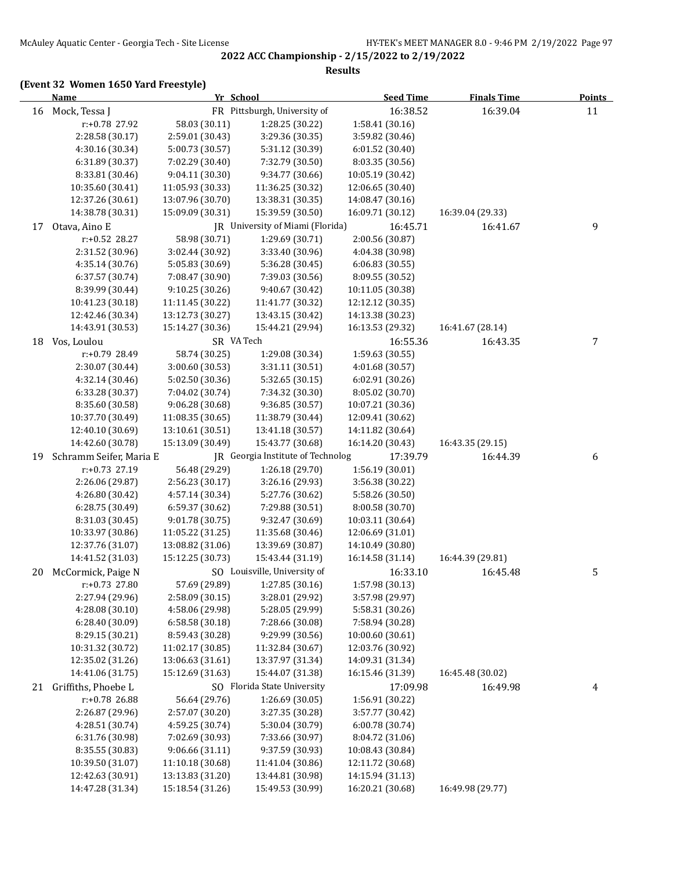#### **Results**

|    | Yr School<br><b>Name</b>             |                                      | <b>Seed Time</b>                                      | <b>Finals Time</b>           | <b>Points</b>                |    |
|----|--------------------------------------|--------------------------------------|-------------------------------------------------------|------------------------------|------------------------------|----|
| 16 | Mock, Tessa J                        |                                      | FR Pittsburgh, University of                          | 16:38.52                     | 16:39.04                     | 11 |
|    | r:+0.78 27.92                        | 58.03 (30.11)                        | 1:28.25 (30.22)                                       | 1:58.41 (30.16)              |                              |    |
|    | 2:28.58 (30.17)                      | 2:59.01 (30.43)                      | 3:29.36 (30.35)                                       | 3:59.82 (30.46)              |                              |    |
|    | 4:30.16 (30.34)                      | 5:00.73 (30.57)                      | 5:31.12 (30.39)                                       | 6:01.52 (30.40)              |                              |    |
|    | 6:31.89 (30.37)                      | 7:02.29 (30.40)                      | 7:32.79 (30.50)                                       | 8:03.35 (30.56)              |                              |    |
|    | 8:33.81 (30.46)                      | 9:04.11 (30.30)                      | 9:34.77 (30.66)                                       | 10:05.19 (30.42)             |                              |    |
|    | 10:35.60 (30.41)                     | 11:05.93 (30.33)                     | 11:36.25 (30.32)                                      | 12:06.65 (30.40)             |                              |    |
|    | 12:37.26 (30.61)                     | 13:07.96 (30.70)                     | 13:38.31 (30.35)                                      | 14:08.47 (30.16)             |                              |    |
|    | 14:38.78 (30.31)                     | 15:09.09 (30.31)                     | 15:39.59 (30.50)                                      | 16:09.71 (30.12)             | 16:39.04 (29.33)             |    |
| 17 | Otava, Aino E                        |                                      | JR University of Miami (Florida)                      | 16:45.71                     | 16:41.67                     | 9  |
|    | r:+0.52 28.27                        | 58.98 (30.71)                        | 1:29.69 (30.71)                                       | 2:00.56 (30.87)              |                              |    |
|    | 2:31.52 (30.96)                      | 3:02.44 (30.92)                      | 3:33.40 (30.96)                                       | 4:04.38 (30.98)              |                              |    |
|    | 4:35.14 (30.76)                      | 5:05.83 (30.69)                      | 5:36.28 (30.45)                                       | 6:06.83(30.55)               |                              |    |
|    | 6:37.57 (30.74)                      | 7:08.47 (30.90)                      | 7:39.03 (30.56)                                       | 8:09.55 (30.52)              |                              |    |
|    | 8:39.99 (30.44)                      | 9:10.25 (30.26)                      | 9:40.67 (30.42)                                       | 10:11.05 (30.38)             |                              |    |
|    | 10:41.23 (30.18)                     | 11:11.45 (30.22)                     | 11:41.77 (30.32)                                      | 12:12.12 (30.35)             |                              |    |
|    | 12:42.46 (30.34)                     | 13:12.73 (30.27)                     | 13:43.15 (30.42)                                      | 14:13.38 (30.23)             |                              |    |
|    | 14:43.91 (30.53)                     | 15:14.27 (30.36)                     | 15:44.21 (29.94)                                      | 16:13.53 (29.32)             | 16:41.67 (28.14)             |    |
| 18 | Vos, Loulou                          | SR VA Tech                           |                                                       | 16:55.36                     | 16:43.35                     | 7  |
|    | r:+0.79 28.49                        | 58.74 (30.25)                        | 1:29.08 (30.34)                                       | 1:59.63 (30.55)              |                              |    |
|    | 2:30.07 (30.44)                      | 3:00.60 (30.53)                      | 3:31.11 (30.51)                                       | 4:01.68 (30.57)              |                              |    |
|    | 4:32.14 (30.46)                      | 5:02.50 (30.36)                      | 5:32.65 (30.15)                                       | 6:02.91(30.26)               |                              |    |
|    | 6:33.28 (30.37)                      | 7:04.02 (30.74)                      | 7:34.32 (30.30)                                       | 8:05.02 (30.70)              |                              |    |
|    | 8:35.60 (30.58)                      | 9:06.28 (30.68)                      | 9:36.85 (30.57)                                       | 10:07.21 (30.36)             |                              |    |
|    | 10:37.70 (30.49)                     | 11:08.35 (30.65)                     | 11:38.79 (30.44)                                      | 12:09.41 (30.62)             |                              |    |
|    | 12:40.10 (30.69)<br>14:42.60 (30.78) | 13:10.61 (30.51)<br>15:13.09 (30.49) | 13:41.18 (30.57)                                      | 14:11.82 (30.64)             |                              |    |
| 19 | Schramm Seifer, Maria E              |                                      | 15:43.77 (30.68)<br>JR Georgia Institute of Technolog | 16:14.20 (30.43)<br>17:39.79 | 16:43.35 (29.15)<br>16:44.39 |    |
|    | r:+0.73 27.19                        | 56.48 (29.29)                        | 1:26.18 (29.70)                                       | 1:56.19 (30.01)              |                              | 6  |
|    | 2:26.06 (29.87)                      | 2:56.23 (30.17)                      | 3:26.16 (29.93)                                       | 3:56.38 (30.22)              |                              |    |
|    | 4:26.80 (30.42)                      | 4:57.14 (30.34)                      | 5:27.76 (30.62)                                       | 5:58.26 (30.50)              |                              |    |
|    | 6:28.75 (30.49)                      | 6:59.37 (30.62)                      | 7:29.88 (30.51)                                       | 8:00.58 (30.70)              |                              |    |
|    | 8:31.03 (30.45)                      | 9:01.78 (30.75)                      | 9:32.47 (30.69)                                       | 10:03.11 (30.64)             |                              |    |
|    | 10:33.97 (30.86)                     | 11:05.22 (31.25)                     | 11:35.68 (30.46)                                      | 12:06.69 (31.01)             |                              |    |
|    | 12:37.76 (31.07)                     | 13:08.82 (31.06)                     | 13:39.69 (30.87)                                      | 14:10.49 (30.80)             |                              |    |
|    | 14:41.52 (31.03)                     | 15:12.25 (30.73)                     | 15:43.44 (31.19)                                      | 16:14.58 (31.14)             | 16:44.39 (29.81)             |    |
| 20 | McCormick, Paige N                   |                                      | SO Louisville, University of                          | 16:33.10                     | 16:45.48                     | 5  |
|    | r:+0.73 27.80                        | 57.69 (29.89)                        | 1:27.85 (30.16)                                       | 1:57.98 (30.13)              |                              |    |
|    | 2:27.94 (29.96)                      | 2:58.09 (30.15)                      | 3:28.01 (29.92)                                       | 3:57.98 (29.97)              |                              |    |
|    | 4:28.08 (30.10)                      | 4:58.06 (29.98)                      | 5:28.05 (29.99)                                       | 5:58.31 (30.26)              |                              |    |
|    | 6:28.40 (30.09)                      | 6:58.58 (30.18)                      | 7:28.66 (30.08)                                       | 7:58.94 (30.28)              |                              |    |
|    | 8:29.15 (30.21)                      | 8:59.43 (30.28)                      | 9:29.99 (30.56)                                       | 10:00.60 (30.61)             |                              |    |
|    | 10:31.32 (30.72)                     | 11:02.17 (30.85)                     | 11:32.84 (30.67)                                      | 12:03.76 (30.92)             |                              |    |
|    | 12:35.02 (31.26)                     | 13:06.63 (31.61)                     | 13:37.97 (31.34)                                      | 14:09.31 (31.34)             |                              |    |
|    | 14:41.06 (31.75)                     | 15:12.69 (31.63)                     | 15:44.07 (31.38)                                      | 16:15.46 (31.39)             | 16:45.48 (30.02)             |    |
| 21 | Griffiths, Phoebe L                  |                                      | SO Florida State University                           | 17:09.98                     | 16:49.98                     | 4  |
|    | r:+0.78 26.88                        | 56.64 (29.76)                        | 1:26.69 (30.05)                                       | 1:56.91 (30.22)              |                              |    |
|    | 2:26.87 (29.96)                      | 2:57.07 (30.20)                      | 3:27.35 (30.28)                                       | 3:57.77 (30.42)              |                              |    |
|    | 4:28.51 (30.74)                      | 4:59.25 (30.74)                      | 5:30.04 (30.79)                                       | 6:00.78 (30.74)              |                              |    |
|    | 6:31.76 (30.98)                      | 7:02.69 (30.93)                      | 7:33.66 (30.97)                                       | 8:04.72 (31.06)              |                              |    |
|    | 8:35.55 (30.83)                      | 9:06.66 (31.11)                      | 9:37.59 (30.93)                                       | 10:08.43 (30.84)             |                              |    |
|    | 10:39.50 (31.07)                     | 11:10.18 (30.68)                     | 11:41.04 (30.86)                                      | 12:11.72 (30.68)             |                              |    |
|    | 12:42.63 (30.91)                     | 13:13.83 (31.20)                     | 13:44.81 (30.98)                                      | 14:15.94 (31.13)             |                              |    |
|    | 14:47.28 (31.34)                     | 15:18.54 (31.26)                     | 15:49.53 (30.99)                                      | 16:20.21 (30.68)             | 16:49.98 (29.77)             |    |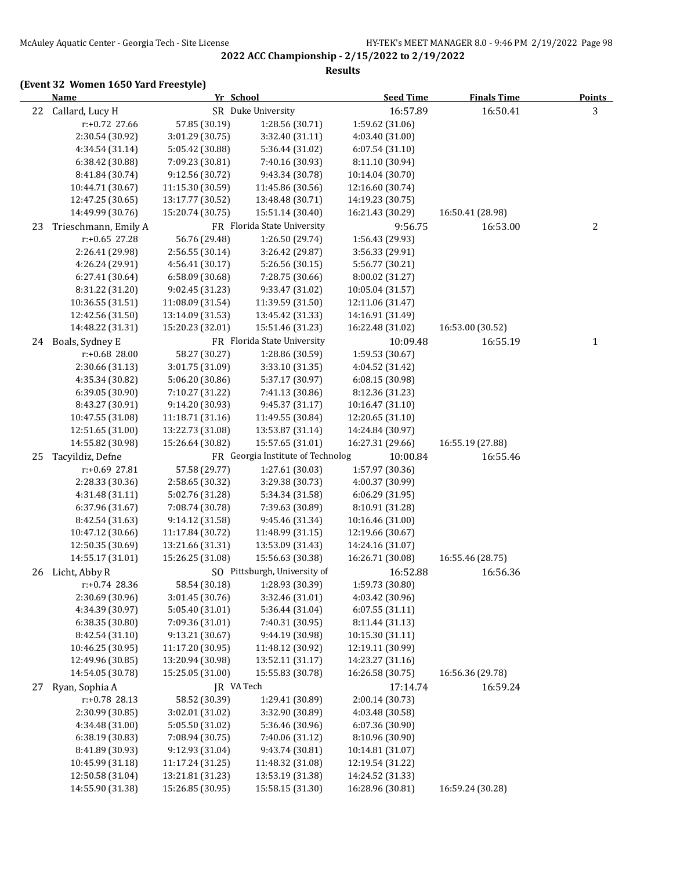#### **Results**

|    | <b>Name</b>                          | Yr School                            |                                      | <b>Seed Time</b>                     | <b>Finals Time</b> | <b>Points</b> |
|----|--------------------------------------|--------------------------------------|--------------------------------------|--------------------------------------|--------------------|---------------|
| 22 | Callard, Lucy H                      |                                      | SR Duke University                   | 16:57.89                             | 16:50.41           | 3             |
|    | r:+0.72 27.66                        | 57.85 (30.19)                        | 1:28.56 (30.71)                      | 1:59.62 (31.06)                      |                    |               |
|    | 2:30.54 (30.92)                      | 3:01.29 (30.75)                      | 3:32.40 (31.11)                      | 4:03.40 (31.00)                      |                    |               |
|    | 4:34.54 (31.14)                      | 5:05.42 (30.88)                      | 5:36.44 (31.02)                      | 6:07.54(31.10)                       |                    |               |
|    | 6:38.42 (30.88)                      | 7:09.23 (30.81)                      | 7:40.16 (30.93)                      | 8:11.10 (30.94)                      |                    |               |
|    | 8:41.84 (30.74)                      | 9:12.56 (30.72)                      | 9:43.34 (30.78)                      | 10:14.04 (30.70)                     |                    |               |
|    | 10:44.71 (30.67)                     | 11:15.30 (30.59)                     | 11:45.86 (30.56)                     | 12:16.60 (30.74)                     |                    |               |
|    | 12:47.25 (30.65)                     | 13:17.77 (30.52)                     | 13:48.48 (30.71)                     | 14:19.23 (30.75)                     |                    |               |
|    | 14:49.99 (30.76)                     | 15:20.74 (30.75)                     | 15:51.14 (30.40)                     | 16:21.43 (30.29)                     | 16:50.41 (28.98)   |               |
| 23 | Trieschmann, Emily A                 |                                      | FR Florida State University          | 9:56.75                              | 16:53.00           | 2             |
|    | $r: +0.65$ 27.28                     | 56.76 (29.48)                        | 1:26.50 (29.74)                      | 1:56.43 (29.93)                      |                    |               |
|    | 2:26.41 (29.98)                      | 2:56.55 (30.14)                      | 3:26.42 (29.87)                      | 3:56.33 (29.91)                      |                    |               |
|    | 4:26.24 (29.91)                      | 4:56.41 (30.17)                      | 5:26.56 (30.15)                      | 5:56.77 (30.21)                      |                    |               |
|    | 6:27.41 (30.64)                      | 6:58.09 (30.68)                      | 7:28.75 (30.66)                      | 8:00.02 (31.27)                      |                    |               |
|    | 8:31.22 (31.20)                      | 9:02.45 (31.23)                      | 9:33.47 (31.02)                      | 10:05.04 (31.57)                     |                    |               |
|    | 10:36.55 (31.51)                     | 11:08.09 (31.54)                     | 11:39.59 (31.50)                     | 12:11.06 (31.47)                     |                    |               |
|    | 12:42.56 (31.50)                     | 13:14.09 (31.53)                     | 13:45.42 (31.33)                     | 14:16.91 (31.49)                     |                    |               |
|    | 14:48.22 (31.31)                     | 15:20.23 (32.01)                     | 15:51.46 (31.23)                     | 16:22.48 (31.02)                     | 16:53.00 (30.52)   |               |
| 24 | Boals, Sydney E                      |                                      | FR Florida State University          | 10:09.48                             | 16:55.19           | $\mathbf{1}$  |
|    | r:+0.68 28.00                        | 58.27 (30.27)                        | 1:28.86 (30.59)                      | 1:59.53 (30.67)                      |                    |               |
|    | 2:30.66 (31.13)                      | 3:01.75 (31.09)                      | 3:33.10 (31.35)                      | 4:04.52 (31.42)                      |                    |               |
|    | 4:35.34 (30.82)                      | 5:06.20 (30.86)                      | 5:37.17 (30.97)                      | 6:08.15 (30.98)                      |                    |               |
|    | 6:39.05 (30.90)                      | 7:10.27 (31.22)                      | 7:41.13 (30.86)                      | 8:12.36 (31.23)                      |                    |               |
|    | 8:43.27 (30.91)                      | 9:14.20 (30.93)                      | 9:45.37 (31.17)                      | 10:16.47 (31.10)                     |                    |               |
|    | 10:47.55 (31.08)                     | 11:18.71 (31.16)                     | 11:49.55 (30.84)                     | 12:20.65 (31.10)                     |                    |               |
|    | 12:51.65 (31.00)                     | 13:22.73 (31.08)                     | 13:53.87 (31.14)                     | 14:24.84 (30.97)                     |                    |               |
|    | 14:55.82 (30.98)                     | 15:26.64 (30.82)                     | 15:57.65 (31.01)                     | 16:27.31 (29.66)                     | 16:55.19 (27.88)   |               |
| 25 | Tacyildiz, Defne                     |                                      | FR Georgia Institute of Technolog    | 10:00.84                             | 16:55.46           |               |
|    | r:+0.69 27.81                        | 57.58 (29.77)                        | 1:27.61 (30.03)                      | 1:57.97 (30.36)                      |                    |               |
|    | 2:28.33 (30.36)                      | 2:58.65 (30.32)                      | 3:29.38 (30.73)                      | 4:00.37 (30.99)                      |                    |               |
|    | 4:31.48 (31.11)                      | 5:02.76 (31.28)                      | 5:34.34 (31.58)                      | 6:06.29 (31.95)                      |                    |               |
|    | 6:37.96 (31.67)                      | 7:08.74 (30.78)                      | 7:39.63 (30.89)                      | 8:10.91 (31.28)                      |                    |               |
|    | 8:42.54 (31.63)                      | 9:14.12 (31.58)                      | 9:45.46 (31.34)                      | 10:16.46 (31.00)<br>12:19.66 (30.67) |                    |               |
|    | 10:47.12 (30.66)<br>12:50.35 (30.69) | 11:17.84 (30.72)<br>13:21.66 (31.31) | 11:48.99 (31.15)<br>13:53.09 (31.43) | 14:24.16 (31.07)                     |                    |               |
|    | 14:55.17 (31.01)                     | 15:26.25 (31.08)                     | 15:56.63 (30.38)                     | 16:26.71 (30.08)                     | 16:55.46 (28.75)   |               |
|    | 26 Licht, Abby R                     |                                      | SO Pittsburgh, University of         | 16:52.88                             | 16:56.36           |               |
|    | r:+0.74 28.36                        | 58.54 (30.18)                        | 1:28.93 (30.39)                      | 1:59.73 (30.80)                      |                    |               |
|    | 2:30.69 (30.96)                      | 3:01.45 (30.76)                      | 3:32.46 (31.01)                      | 4:03.42 (30.96)                      |                    |               |
|    | 4:34.39 (30.97)                      | 5:05.40 (31.01)                      | 5:36.44 (31.04)                      | 6:07.55 (31.11)                      |                    |               |
|    | 6:38.35 (30.80)                      | 7:09.36 (31.01)                      | 7:40.31 (30.95)                      | 8:11.44 (31.13)                      |                    |               |
|    | 8:42.54 (31.10)                      | 9:13.21 (30.67)                      | 9:44.19 (30.98)                      | 10:15.30 (31.11)                     |                    |               |
|    | 10:46.25 (30.95)                     | 11:17.20 (30.95)                     | 11:48.12 (30.92)                     | 12:19.11 (30.99)                     |                    |               |
|    | 12:49.96 (30.85)                     | 13:20.94 (30.98)                     | 13:52.11 (31.17)                     | 14:23.27 (31.16)                     |                    |               |
|    | 14:54.05 (30.78)                     | 15:25.05 (31.00)                     | 15:55.83 (30.78)                     | 16:26.58 (30.75)                     | 16:56.36 (29.78)   |               |
| 27 | Ryan, Sophia A                       | JR VA Tech                           |                                      | 17:14.74                             | 16:59.24           |               |
|    | r:+0.78 28.13                        | 58.52 (30.39)                        | 1:29.41 (30.89)                      | 2:00.14 (30.73)                      |                    |               |
|    | 2:30.99 (30.85)                      | 3:02.01 (31.02)                      | 3:32.90 (30.89)                      | 4:03.48 (30.58)                      |                    |               |
|    | 4:34.48 (31.00)                      | 5:05.50 (31.02)                      | 5:36.46 (30.96)                      | 6:07.36 (30.90)                      |                    |               |
|    | 6:38.19 (30.83)                      | 7:08.94 (30.75)                      | 7:40.06 (31.12)                      | 8:10.96 (30.90)                      |                    |               |
|    | 8:41.89 (30.93)                      | 9:12.93 (31.04)                      | 9:43.74 (30.81)                      | 10:14.81 (31.07)                     |                    |               |
|    | 10:45.99 (31.18)                     | 11:17.24 (31.25)                     | 11:48.32 (31.08)                     | 12:19.54 (31.22)                     |                    |               |
|    | 12:50.58 (31.04)                     | 13:21.81 (31.23)                     | 13:53.19 (31.38)                     | 14:24.52 (31.33)                     |                    |               |
|    | 14:55.90 (31.38)                     | 15:26.85 (30.95)                     | 15:58.15 (31.30)                     | 16:28.96 (30.81)                     | 16:59.24 (30.28)   |               |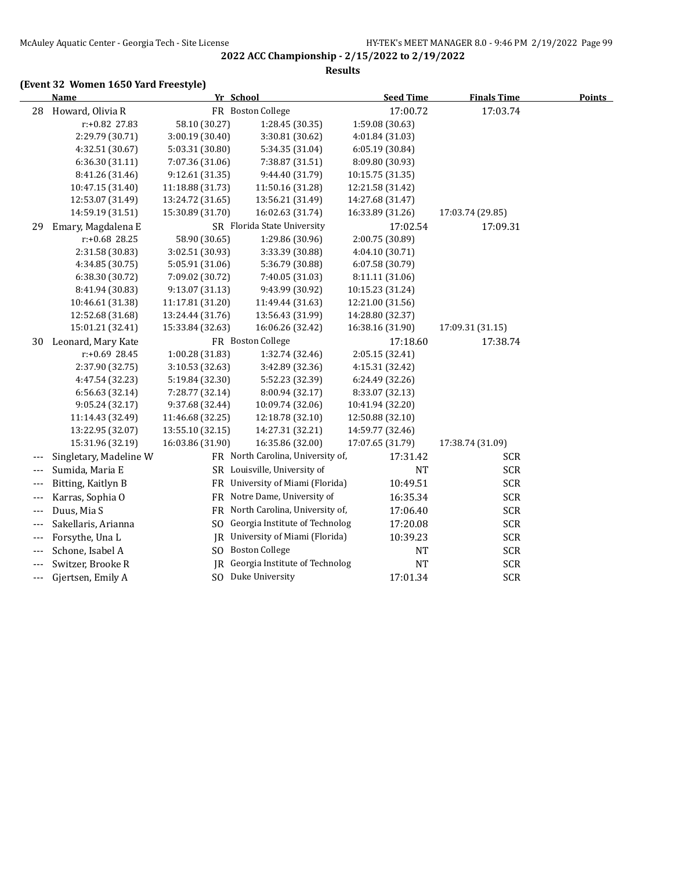#### **Results**

|       | Name                   |                  | Yr School                         | <b>Seed Time</b> | <b>Finals Time</b> | <b>Points</b> |
|-------|------------------------|------------------|-----------------------------------|------------------|--------------------|---------------|
| 28    | Howard, Olivia R       |                  | FR Boston College                 | 17:00.72         | 17:03.74           |               |
|       | r:+0.82 27.83          | 58.10 (30.27)    | 1:28.45 (30.35)                   | 1:59.08 (30.63)  |                    |               |
|       | 2:29.79 (30.71)        | 3:00.19 (30.40)  | 3:30.81 (30.62)                   | 4:01.84 (31.03)  |                    |               |
|       | 4:32.51 (30.67)        | 5:03.31 (30.80)  | 5:34.35 (31.04)                   | 6:05.19 (30.84)  |                    |               |
|       | 6:36.30 (31.11)        | 7:07.36 (31.06)  | 7:38.87 (31.51)                   | 8:09.80 (30.93)  |                    |               |
|       | 8:41.26 (31.46)        | 9:12.61(31.35)   | 9:44.40 (31.79)                   | 10:15.75 (31.35) |                    |               |
|       | 10:47.15 (31.40)       | 11:18.88 (31.73) | 11:50.16 (31.28)                  | 12:21.58 (31.42) |                    |               |
|       | 12:53.07 (31.49)       | 13:24.72 (31.65) | 13:56.21 (31.49)                  | 14:27.68 (31.47) |                    |               |
|       | 14:59.19 (31.51)       | 15:30.89 (31.70) | 16:02.63 (31.74)                  | 16:33.89 (31.26) | 17:03.74 (29.85)   |               |
| 29    | Emary, Magdalena E     |                  | SR Florida State University       | 17:02.54         | 17:09.31           |               |
|       | $r: +0.68$ 28.25       | 58.90 (30.65)    | 1:29.86 (30.96)                   | 2:00.75 (30.89)  |                    |               |
|       | 2:31.58 (30.83)        | 3:02.51 (30.93)  | 3:33.39 (30.88)                   | 4:04.10 (30.71)  |                    |               |
|       | 4:34.85 (30.75)        | 5:05.91 (31.06)  | 5:36.79 (30.88)                   | 6:07.58 (30.79)  |                    |               |
|       | 6:38.30 (30.72)        | 7:09.02 (30.72)  | 7:40.05 (31.03)                   | 8:11.11 (31.06)  |                    |               |
|       | 8:41.94 (30.83)        | 9:13.07 (31.13)  | 9:43.99 (30.92)                   | 10:15.23 (31.24) |                    |               |
|       | 10:46.61 (31.38)       | 11:17.81 (31.20) | 11:49.44 (31.63)                  | 12:21.00 (31.56) |                    |               |
|       | 12:52.68 (31.68)       | 13:24.44 (31.76) | 13:56.43 (31.99)                  | 14:28.80 (32.37) |                    |               |
|       | 15:01.21 (32.41)       | 15:33.84 (32.63) | 16:06.26 (32.42)                  | 16:38.16 (31.90) | 17:09.31 (31.15)   |               |
| 30    | Leonard, Mary Kate     |                  | FR Boston College                 | 17:18.60         | 17:38.74           |               |
|       | r:+0.69 28.45          | 1:00.28 (31.83)  | 1:32.74 (32.46)                   | 2:05.15 (32.41)  |                    |               |
|       | 2:37.90 (32.75)        | 3:10.53 (32.63)  | 3:42.89 (32.36)                   | 4:15.31 (32.42)  |                    |               |
|       | 4:47.54 (32.23)        | 5:19.84 (32.30)  | 5:52.23 (32.39)                   | 6:24.49 (32.26)  |                    |               |
|       | 6:56.63 (32.14)        | 7:28.77 (32.14)  | 8:00.94 (32.17)                   | 8:33.07 (32.13)  |                    |               |
|       | 9:05.24(32.17)         | 9:37.68 (32.44)  | 10:09.74 (32.06)                  | 10:41.94 (32.20) |                    |               |
|       | 11:14.43 (32.49)       | 11:46.68 (32.25) | 12:18.78 (32.10)                  | 12:50.88 (32.10) |                    |               |
|       | 13:22.95 (32.07)       | 13:55.10 (32.15) | 14:27.31 (32.21)                  | 14:59.77 (32.46) |                    |               |
|       | 15:31.96 (32.19)       | 16:03.86 (31.90) | 16:35.86 (32.00)                  | 17:07.65 (31.79) | 17:38.74 (31.09)   |               |
| ---   | Singletary, Madeline W |                  | FR North Carolina, University of, | 17:31.42         | <b>SCR</b>         |               |
| $---$ | Sumida, Maria E        |                  | SR Louisville, University of      | <b>NT</b>        | <b>SCR</b>         |               |
| ---   | Bitting, Kaitlyn B     |                  | FR University of Miami (Florida)  | 10:49.51         | <b>SCR</b>         |               |
| $---$ | Karras, Sophia O       |                  | FR Notre Dame, University of      | 16:35.34         | <b>SCR</b>         |               |
| $---$ | Duus, Mia S            |                  | FR North Carolina, University of, | 17:06.40         | <b>SCR</b>         |               |
| $---$ | Sakellaris, Arianna    |                  | SO Georgia Institute of Technolog | 17:20.08         | <b>SCR</b>         |               |
| $---$ | Forsythe, Una L        | IR               | University of Miami (Florida)     | 10:39.23         | <b>SCR</b>         |               |
| $---$ | Schone, Isabel A       |                  | SO Boston College                 | <b>NT</b>        | <b>SCR</b>         |               |
| $---$ | Switzer, Brooke R      |                  | JR Georgia Institute of Technolog | <b>NT</b>        | <b>SCR</b>         |               |
| ---   | Gjertsen, Emily A      |                  | SO Duke University                | 17:01.34         | <b>SCR</b>         |               |
|       |                        |                  |                                   |                  |                    |               |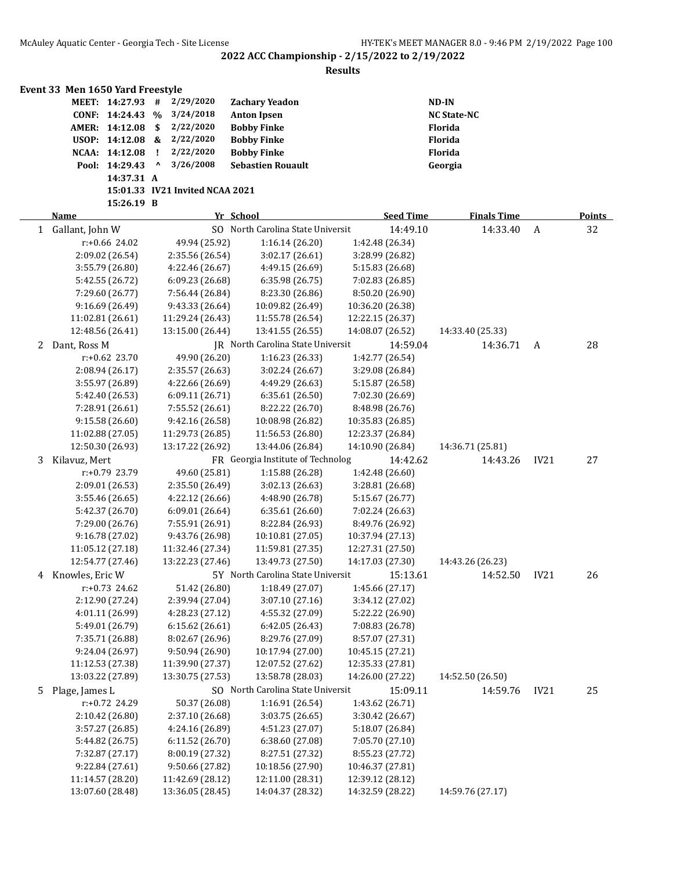|              | Event 33 Men 1650 Yard Freestyle   |            |                                 |                                      |                                      |                  |                                    |                    |                  |        |
|--------------|------------------------------------|------------|---------------------------------|--------------------------------------|--------------------------------------|------------------|------------------------------------|--------------------|------------------|--------|
|              | MEET: 14:27.93                     |            | #                               | 2/29/2020                            | <b>Zachary Yeadon</b>                |                  |                                    | $ND-IN$            |                  |        |
|              | CONF: 14:24.43                     |            | $\%$                            | 3/24/2018                            | <b>Anton Ipsen</b>                   |                  |                                    | <b>NC State-NC</b> |                  |        |
|              | AMER: 14:12.08                     |            | \$                              | 2/22/2020                            | <b>Bobby Finke</b>                   |                  |                                    | Florida            |                  |        |
|              | USOP: 14:12.08 &                   |            |                                 | 2/22/2020                            | <b>Bobby Finke</b>                   |                  |                                    | Florida            |                  |        |
|              | NCAA: 14:12.08                     |            | -1                              | 2/22/2020                            | <b>Bobby Finke</b>                   |                  |                                    | Florida            |                  |        |
|              | Pool: 14:29.43                     |            | $\boldsymbol{\mathsf{\lambda}}$ | 3/26/2008                            | <b>Sebastien Rouault</b>             |                  |                                    | Georgia            |                  |        |
|              |                                    | 14:37.31 A |                                 |                                      |                                      |                  |                                    |                    |                  |        |
|              |                                    |            |                                 | 15:01.33 IV21 Invited NCAA 2021      |                                      |                  |                                    |                    |                  |        |
|              |                                    | 15:26.19 B |                                 |                                      |                                      |                  |                                    |                    |                  |        |
|              | <b>Name</b>                        |            |                                 |                                      | Yr School                            |                  | <b>Seed Time</b>                   | <b>Finals Time</b> |                  | Points |
| $\mathbf{1}$ | Gallant, John W                    |            |                                 |                                      | SO North Carolina State Universit    |                  | 14:49.10                           | 14:33.40           | A                | 32     |
|              | $r: +0.66$ 24.02                   |            |                                 | 49.94 (25.92)                        | 1:16.14(26.20)                       |                  | 1:42.48 (26.34)                    |                    |                  |        |
|              | 2:09.02 (26.54)                    |            |                                 | 2:35.56 (26.54)                      | 3:02.17 (26.61)                      |                  | 3:28.99 (26.82)                    |                    |                  |        |
|              | 3:55.79 (26.80)                    |            |                                 | 4:22.46 (26.67)                      | 4:49.15 (26.69)                      |                  | 5:15.83 (26.68)                    |                    |                  |        |
|              | 5:42.55 (26.72)                    |            |                                 | 6:09.23(26.68)                       | 6:35.98(26.75)                       |                  | 7:02.83 (26.85)                    |                    |                  |        |
|              | 7:29.60 (26.77)                    |            |                                 | 7:56.44 (26.84)                      | 8:23.30 (26.86)                      |                  | 8:50.20 (26.90)                    |                    |                  |        |
|              | 9:16.69 (26.49)                    |            |                                 | 9:43.33 (26.64)                      | 10:09.82 (26.49)                     | 10:36.20 (26.38) |                                    |                    |                  |        |
|              | 11:02.81 (26.61)                   |            |                                 | 11:29.24 (26.43)<br>13:15.00 (26.44) | 11:55.78 (26.54)<br>13:41.55 (26.55) | 12:22.15 (26.37) |                                    | 14:33.40 (25.33)   |                  |        |
|              | 12:48.56 (26.41)<br>Dant, Ross M   |            |                                 |                                      | JR North Carolina State Universit    | 14:08.07 (26.52) | 14:59.04                           | 14:36.71           |                  |        |
| 2            | $r: +0.62$ 23.70                   |            |                                 |                                      | 1:16.23(26.33)                       |                  |                                    |                    | A                | 28     |
|              |                                    |            |                                 | 49.90 (26.20)                        |                                      |                  | 1:42.77 (26.54)                    |                    |                  |        |
|              | 2:08.94 (26.17)                    |            |                                 | 2:35.57 (26.63)                      | 3:02.24 (26.67)<br>4:49.29 (26.63)   |                  | 3:29.08 (26.84)<br>5:15.87 (26.58) |                    |                  |        |
|              | 3:55.97 (26.89)<br>5:42.40 (26.53) |            |                                 | 4:22.66 (26.69)<br>6:09.11 (26.71)   | 6:35.61 (26.50)                      |                  | 7:02.30 (26.69)                    |                    |                  |        |
|              | 7:28.91 (26.61)                    |            |                                 | 7:55.52 (26.61)                      | 8:22.22 (26.70)                      |                  | 8:48.98 (26.76)                    |                    |                  |        |
|              | 9:15.58 (26.60)                    |            |                                 | 9:42.16 (26.58)                      | 10:08.98 (26.82)                     | 10:35.83 (26.85) |                                    |                    |                  |        |
|              | 11:02.88 (27.05)                   |            |                                 | 11:29.73 (26.85)                     | 11:56.53 (26.80)                     | 12:23.37 (26.84) |                                    |                    |                  |        |
|              | 12:50.30 (26.93)                   |            |                                 | 13:17.22 (26.92)                     | 13:44.06 (26.84)                     | 14:10.90 (26.84) |                                    | 14:36.71 (25.81)   |                  |        |
| 3            | Kilavuz, Mert                      |            |                                 |                                      | FR Georgia Institute of Technolog    |                  | 14:42.62                           | 14:43.26           | IV21             | 27     |
|              | r:+0.79 23.79                      |            |                                 | 49.60 (25.81)                        | 1:15.88 (26.28)                      |                  | 1:42.48 (26.60)                    |                    |                  |        |
|              | 2:09.01 (26.53)                    |            |                                 | 2:35.50 (26.49)                      | 3:02.13 (26.63)                      |                  | 3:28.81 (26.68)                    |                    |                  |        |
|              | 3:55.46 (26.65)                    |            |                                 | 4:22.12 (26.66)                      | 4:48.90 (26.78)                      |                  | 5:15.67 (26.77)                    |                    |                  |        |
|              | 5:42.37 (26.70)                    |            |                                 | 6:09.01 (26.64)                      | 6:35.61 (26.60)                      |                  | 7:02.24 (26.63)                    |                    |                  |        |
|              | 7:29.00 (26.76)                    |            |                                 | 7:55.91 (26.91)                      | 8:22.84 (26.93)                      |                  | 8:49.76 (26.92)                    |                    |                  |        |
|              | 9:16.78 (27.02)                    |            |                                 | 9:43.76 (26.98)                      | 10:10.81 (27.05)                     | 10:37.94 (27.13) |                                    |                    |                  |        |
|              | 11:05.12 (27.18)                   |            |                                 | 11:32.46 (27.34)                     | 11:59.81 (27.35)                     | 12:27.31 (27.50) |                                    |                    |                  |        |
|              | 12:54.77 (27.46)                   |            |                                 | 13:22.23 (27.46)                     | 13:49.73 (27.50)                     | 14:17.03 (27.30) |                                    | 14:43.26 (26.23)   |                  |        |
|              | 4 Knowles, Eric W                  |            |                                 |                                      | 5Y North Carolina State Universit    |                  | 15:13.61                           | 14:52.50           | IV21             | 26     |
|              | r:+0.73 24.62                      |            |                                 | 51.42 (26.80)                        | 1:18.49 (27.07)                      |                  | 1:45.66 (27.17)                    |                    |                  |        |
|              | 2:12.90 (27.24)                    |            |                                 | 2:39.94 (27.04)                      | 3:07.10 (27.16)                      |                  | 3:34.12 (27.02)                    |                    |                  |        |
|              | 4:01.11 (26.99)                    |            |                                 | 4:28.23 (27.12)                      | 4:55.32 (27.09)                      |                  | 5:22.22 (26.90)                    |                    |                  |        |
|              | 5:49.01 (26.79)                    |            |                                 | 6:15.62(26.61)                       | 6:42.05 (26.43)                      |                  | 7:08.83 (26.78)                    |                    |                  |        |
|              | 7:35.71 (26.88)                    |            |                                 | 8:02.67 (26.96)                      | 8:29.76 (27.09)                      |                  | 8:57.07 (27.31)                    |                    |                  |        |
|              | 9:24.04 (26.97)                    |            |                                 | 9:50.94 (26.90)                      | 10:17.94 (27.00)                     | 10:45.15 (27.21) |                                    |                    |                  |        |
|              | 11:12.53 (27.38)                   |            |                                 | 11:39.90 (27.37)                     | 12:07.52 (27.62)                     | 12:35.33 (27.81) |                                    |                    |                  |        |
|              | 13:03.22 (27.89)                   |            |                                 | 13:30.75 (27.53)                     | 13:58.78 (28.03)                     | 14:26.00 (27.22) |                                    | 14:52.50 (26.50)   |                  |        |
| 5            | Plage, James L                     |            |                                 |                                      | SO North Carolina State Universit    |                  | 15:09.11                           | 14:59.76           | IV <sub>21</sub> | 25     |
|              | r:+0.72 24.29                      |            |                                 | 50.37 (26.08)                        | 1:16.91 (26.54)                      |                  | 1:43.62 (26.71)                    |                    |                  |        |
|              | 2:10.42 (26.80)                    |            |                                 | 2:37.10 (26.68)                      | 3:03.75 (26.65)                      |                  | 3:30.42 (26.67)                    |                    |                  |        |
|              | 3:57.27 (26.85)                    |            |                                 | 4:24.16 (26.89)                      | 4:51.23 (27.07)                      |                  | 5:18.07 (26.84)                    |                    |                  |        |
|              | 5:44.82 (26.75)                    |            |                                 | 6:11.52 (26.70)                      | 6:38.60 (27.08)                      |                  | 7:05.70 (27.10)                    |                    |                  |        |
|              | 7:32.87 (27.17)                    |            |                                 | 8:00.19 (27.32)                      | 8:27.51 (27.32)                      |                  | 8:55.23 (27.72)                    |                    |                  |        |
|              | 9:22.84 (27.61)                    |            |                                 | 9:50.66 (27.82)                      | 10:18.56 (27.90)                     | 10:46.37 (27.81) |                                    |                    |                  |        |
|              | 11:14.57 (28.20)                   |            |                                 | 11:42.69 (28.12)                     | 12:11.00 (28.31)                     | 12:39.12 (28.12) |                                    |                    |                  |        |
|              | 13:07.60 (28.48)                   |            |                                 | 13:36.05 (28.45)                     | 14:04.37 (28.32)                     | 14:32.59 (28.22) |                                    | 14:59.76 (27.17)   |                  |        |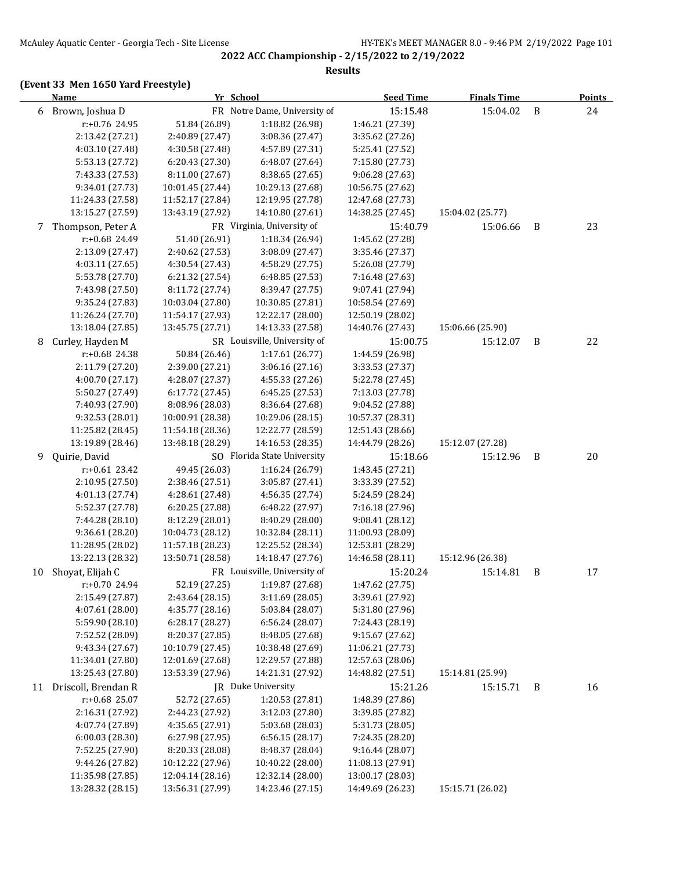## **(Event 33 Men 1650 Yard Freestyle)**

|    | <b>Name</b>                          |                  | Yr School                                        | <b>Seed Time</b>            | <b>Finals Time</b> |   | Points |  |
|----|--------------------------------------|------------------|--------------------------------------------------|-----------------------------|--------------------|---|--------|--|
| 6  | Brown, Joshua D                      |                  | FR Notre Dame, University of                     | 15:15.48                    | 15:04.02           | B | 24     |  |
|    | r:+0.76 24.95                        | 51.84 (26.89)    | 1:18.82 (26.98)                                  | 1:46.21 (27.39)             |                    |   |        |  |
|    | 2:13.42 (27.21)                      | 2:40.89 (27.47)  | 3:08.36 (27.47)                                  | 3:35.62 (27.26)             |                    |   |        |  |
|    | 4:03.10 (27.48)                      | 4:30.58 (27.48)  | 4:57.89 (27.31)                                  | 5:25.41 (27.52)             |                    |   |        |  |
|    | 5:53.13 (27.72)                      | 6:20.43 (27.30)  | 6:48.07 (27.64)                                  | 7:15.80 (27.73)             |                    |   |        |  |
|    | 7:43.33 (27.53)                      | 8:11.00 (27.67)  | 8:38.65 (27.65)                                  | 9:06.28 (27.63)             |                    |   |        |  |
|    | 9:34.01 (27.73)                      | 10:01.45 (27.44) | 10:29.13 (27.68)                                 | 10:56.75 (27.62)            |                    |   |        |  |
|    | 11:24.33 (27.58)                     | 11:52.17 (27.84) | 12:19.95 (27.78)                                 | 12:47.68 (27.73)            |                    |   |        |  |
|    | 13:15.27 (27.59)                     | 13:43.19 (27.92) | 14:10.80 (27.61)                                 | 14:38.25 (27.45)            | 15:04.02 (25.77)   |   |        |  |
| 7  | Thompson, Peter A                    |                  | FR Virginia, University of                       | 15:40.79                    | 15:06.66           | B | 23     |  |
|    | r:+0.68 24.49                        | 51.40 (26.91)    | 1:18.34 (26.94)                                  | 1:45.62 (27.28)             |                    |   |        |  |
|    | 2:13.09 (27.47)                      | 2:40.62 (27.53)  | 3:08.09 (27.47)                                  | 3:35.46 (27.37)             |                    |   |        |  |
|    | 4:03.11 (27.65)                      | 4:30.54 (27.43)  | 4:58.29 (27.75)                                  | 5:26.08 (27.79)             |                    |   |        |  |
|    | 5:53.78 (27.70)                      | 6:21.32 (27.54)  | 6:48.85 (27.53)                                  | 7:16.48 (27.63)             |                    |   |        |  |
|    | 7:43.98 (27.50)                      | 8:11.72 (27.74)  | 8:39.47 (27.75)                                  | 9:07.41 (27.94)             |                    |   |        |  |
|    | 9:35.24 (27.83)                      | 10:03.04 (27.80) | 10:30.85 (27.81)                                 | 10:58.54 (27.69)            |                    |   |        |  |
|    | 11:26.24 (27.70)                     | 11:54.17 (27.93) | 12:22.17 (28.00)                                 | 12:50.19 (28.02)            |                    |   |        |  |
|    | 13:18.04 (27.85)                     | 13:45.75 (27.71) | 14:13.33 (27.58)                                 | 14:40.76 (27.43)            | 15:06.66 (25.90)   |   |        |  |
| 8  | Curley, Hayden M                     |                  | SR Louisville, University of                     | 15:00.75                    | 15:12.07           | B | 22     |  |
|    | r:+0.68 24.38                        | 50.84 (26.46)    | 1:17.61(26.77)                                   | 1:44.59 (26.98)             |                    |   |        |  |
|    | 2:11.79 (27.20)                      | 2:39.00 (27.21)  | 3:06.16 (27.16)                                  | 3:33.53 (27.37)             |                    |   |        |  |
|    | 4:00.70 (27.17)                      | 4:28.07 (27.37)  | 4:55.33 (27.26)                                  | 5:22.78 (27.45)             |                    |   |        |  |
|    | 5:50.27 (27.49)                      | 6:17.72 (27.45)  | 6:45.25 (27.53)                                  | 7:13.03 (27.78)             |                    |   |        |  |
|    | 7:40.93 (27.90)                      | 8:08.96 (28.03)  | 8:36.64 (27.68)                                  | 9:04.52 (27.88)             |                    |   |        |  |
|    | 9:32.53 (28.01)                      | 10:00.91 (28.38) | 10:29.06 (28.15)                                 | 10:57.37 (28.31)            |                    |   |        |  |
|    | 11:25.82 (28.45)                     | 11:54.18 (28.36) | 12:22.77 (28.59)                                 | 12:51.43 (28.66)            |                    |   |        |  |
|    | 13:19.89 (28.46)                     | 13:48.18 (28.29) | 14:16.53 (28.35)                                 | 14:44.79 (28.26)            | 15:12.07 (27.28)   |   |        |  |
| 9  | Quirie, David                        |                  | SO Florida State University                      | 15:18.66                    | 15:12.96           | B | 20     |  |
|    | $r+0.61$ 23.42                       | 49.45 (26.03)    | 1:16.24 (26.79)                                  | 1:43.45 (27.21)             |                    |   |        |  |
|    | 2:10.95 (27.50)                      | 2:38.46 (27.51)  | 3:05.87 (27.41)                                  | 3:33.39 (27.52)             |                    |   |        |  |
|    | 4:01.13 (27.74)                      | 4:28.61 (27.48)  | 4:56.35 (27.74)                                  | 5:24.59 (28.24)             |                    |   |        |  |
|    | 5:52.37 (27.78)                      | 6:20.25 (27.88)  | 6:48.22 (27.97)                                  | 7:16.18 (27.96)             |                    |   |        |  |
|    | 7:44.28 (28.10)                      | 8:12.29 (28.01)  | 8:40.29 (28.00)                                  | 9:08.41 (28.12)             |                    |   |        |  |
|    | 9:36.61 (28.20)                      | 10:04.73 (28.12) | 10:32.84 (28.11)                                 | 11:00.93 (28.09)            |                    |   |        |  |
|    | 11:28.95 (28.02)<br>13:22.13 (28.32) | 11:57.18 (28.23) | 12:25.52 (28.34)                                 | 12:53.81 (28.29)            |                    |   |        |  |
|    |                                      | 13:50.71 (28.58) | 14:18.47 (27.76)<br>FR Louisville, University of | 14:46.58 (28.11)            | 15:12.96 (26.38)   |   |        |  |
| 10 | Shoyat, Elijah C<br>r:+0.70 24.94    | 52.19 (27.25)    | 1:19.87 (27.68)                                  | 15:20.24<br>1:47.62 (27.75) | 15:14.81           | B | 17     |  |
|    | 2:15.49 (27.87)                      | 2:43.64 (28.15)  | 3:11.69 (28.05)                                  | 3:39.61 (27.92)             |                    |   |        |  |
|    | 4:07.61 (28.00)                      | 4:35.77 (28.16)  | 5:03.84 (28.07)                                  | 5:31.80 (27.96)             |                    |   |        |  |
|    | 5:59.90 (28.10)                      | 6:28.17 (28.27)  | 6:56.24 (28.07)                                  | 7:24.43 (28.19)             |                    |   |        |  |
|    | 7:52.52 (28.09)                      | 8:20.37 (27.85)  | 8:48.05 (27.68)                                  | 9:15.67 (27.62)             |                    |   |        |  |
|    | 9:43.34 (27.67)                      | 10:10.79 (27.45) | 10:38.48 (27.69)                                 | 11:06.21 (27.73)            |                    |   |        |  |
|    | 11:34.01 (27.80)                     | 12:01.69 (27.68) | 12:29.57 (27.88)                                 | 12:57.63 (28.06)            |                    |   |        |  |
|    | 13:25.43 (27.80)                     | 13:53.39 (27.96) | 14:21.31 (27.92)                                 | 14:48.82 (27.51)            | 15:14.81 (25.99)   |   |        |  |
| 11 | Driscoll, Brendan R                  |                  | JR Duke University                               | 15:21.26                    | 15:15.71           | B | 16     |  |
|    | r:+0.68 25.07                        | 52.72 (27.65)    | 1:20.53 (27.81)                                  | 1:48.39 (27.86)             |                    |   |        |  |
|    | 2:16.31 (27.92)                      | 2:44.23 (27.92)  | 3:12.03 (27.80)                                  | 3:39.85 (27.82)             |                    |   |        |  |
|    | 4:07.74 (27.89)                      | 4:35.65 (27.91)  | 5:03.68 (28.03)                                  | 5:31.73 (28.05)             |                    |   |        |  |
|    | 6:00.03 (28.30)                      | 6:27.98 (27.95)  | 6:56.15 (28.17)                                  | 7:24.35 (28.20)             |                    |   |        |  |
|    | 7:52.25 (27.90)                      | 8:20.33 (28.08)  | 8:48.37 (28.04)                                  | 9:16.44 (28.07)             |                    |   |        |  |
|    | 9:44.26 (27.82)                      | 10:12.22 (27.96) | 10:40.22 (28.00)                                 | 11:08.13 (27.91)            |                    |   |        |  |
|    | 11:35.98 (27.85)                     | 12:04.14 (28.16) | 12:32.14 (28.00)                                 | 13:00.17 (28.03)            |                    |   |        |  |
|    | 13:28.32 (28.15)                     | 13:56.31 (27.99) | 14:23.46 (27.15)                                 | 14:49.69 (26.23)            | 15:15.71 (26.02)   |   |        |  |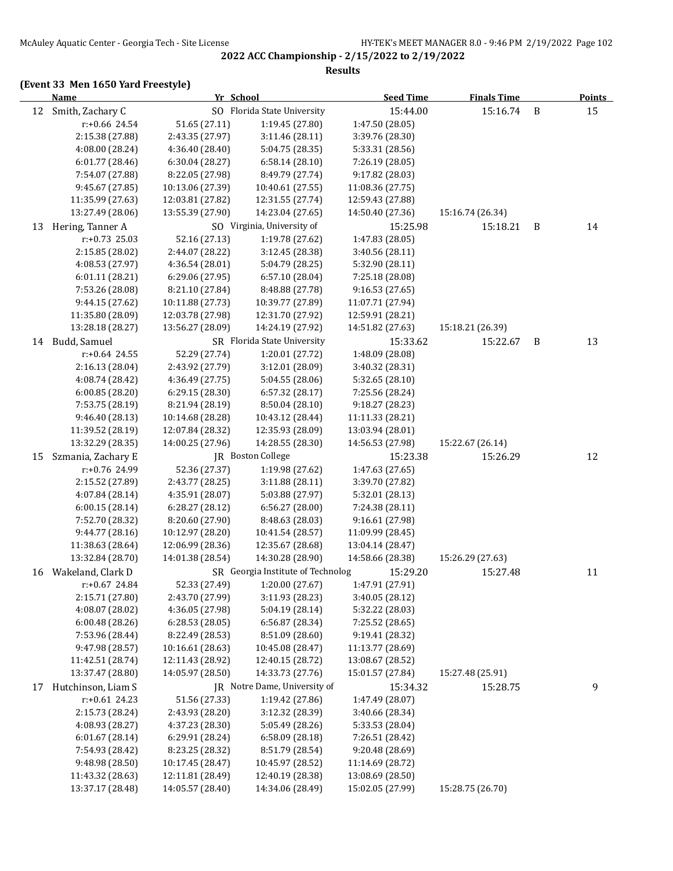**2022 ACC Championship - 2/15/2022 to 2/19/2022 Results**

|    | <b>Name</b>        | Yr School        |                                   | <b>Seed Time</b> | <b>Finals Time</b> |   | <b>Points</b> |  |
|----|--------------------|------------------|-----------------------------------|------------------|--------------------|---|---------------|--|
| 12 | Smith, Zachary C   |                  | SO Florida State University       | 15:44.00         | 15:16.74           | B | 15            |  |
|    | r:+0.66 24.54      | 51.65 (27.11)    | 1:19.45 (27.80)                   | 1:47.50 (28.05)  |                    |   |               |  |
|    | 2:15.38 (27.88)    | 2:43.35 (27.97)  | 3:11.46 (28.11)                   | 3:39.76 (28.30)  |                    |   |               |  |
|    | 4:08.00 (28.24)    | 4:36.40 (28.40)  | 5:04.75 (28.35)                   | 5:33.31 (28.56)  |                    |   |               |  |
|    | 6:01.77 (28.46)    | 6:30.04 (28.27)  | 6:58.14(28.10)                    | 7:26.19 (28.05)  |                    |   |               |  |
|    | 7:54.07 (27.88)    | 8:22.05 (27.98)  | 8:49.79 (27.74)                   | 9:17.82 (28.03)  |                    |   |               |  |
|    | 9:45.67 (27.85)    | 10:13.06 (27.39) | 10:40.61 (27.55)                  | 11:08.36 (27.75) |                    |   |               |  |
|    | 11:35.99 (27.63)   | 12:03.81 (27.82) | 12:31.55 (27.74)                  | 12:59.43 (27.88) |                    |   |               |  |
|    | 13:27.49 (28.06)   | 13:55.39 (27.90) | 14:23.04 (27.65)                  | 14:50.40 (27.36) | 15:16.74 (26.34)   |   |               |  |
| 13 | Hering, Tanner A   |                  | SO Virginia, University of        | 15:25.98         | 15:18.21           | B | 14            |  |
|    | $r: +0.73$ 25.03   | 52.16 (27.13)    | 1:19.78 (27.62)                   | 1:47.83 (28.05)  |                    |   |               |  |
|    | 2:15.85 (28.02)    | 2:44.07 (28.22)  | 3:12.45 (28.38)                   | 3:40.56 (28.11)  |                    |   |               |  |
|    | 4:08.53 (27.97)    | 4:36.54 (28.01)  | 5:04.79 (28.25)                   | 5:32.90 (28.11)  |                    |   |               |  |
|    | 6:01.11 (28.21)    | 6:29.06 (27.95)  | 6:57.10 (28.04)                   | 7:25.18 (28.08)  |                    |   |               |  |
|    | 7:53.26 (28.08)    | 8:21.10 (27.84)  | 8:48.88 (27.78)                   | 9:16.53 (27.65)  |                    |   |               |  |
|    | 9:44.15 (27.62)    | 10:11.88 (27.73) | 10:39.77 (27.89)                  | 11:07.71 (27.94) |                    |   |               |  |
|    | 11:35.80 (28.09)   | 12:03.78 (27.98) | 12:31.70 (27.92)                  | 12:59.91 (28.21) |                    |   |               |  |
|    | 13:28.18 (28.27)   | 13:56.27 (28.09) | 14:24.19 (27.92)                  | 14:51.82 (27.63) | 15:18.21 (26.39)   |   |               |  |
| 14 | Budd, Samuel       |                  | SR Florida State University       | 15:33.62         | 15:22.67           | B | 13            |  |
|    | $r: +0.64$ 24.55   | 52.29 (27.74)    | 1:20.01 (27.72)                   | 1:48.09 (28.08)  |                    |   |               |  |
|    | 2:16.13 (28.04)    | 2:43.92 (27.79)  | 3:12.01 (28.09)                   | 3:40.32 (28.31)  |                    |   |               |  |
|    | 4:08.74 (28.42)    | 4:36.49 (27.75)  | 5:04.55 (28.06)                   | 5:32.65 (28.10)  |                    |   |               |  |
|    | 6:00.85(28.20)     | 6:29.15 (28.30)  | 6:57.32(28.17)                    | 7:25.56 (28.24)  |                    |   |               |  |
|    | 7:53.75 (28.19)    | 8:21.94 (28.19)  | 8:50.04(28.10)                    | 9:18.27 (28.23)  |                    |   |               |  |
|    | 9:46.40 (28.13)    | 10:14.68 (28.28) | 10:43.12 (28.44)                  | 11:11.33 (28.21) |                    |   |               |  |
|    | 11:39.52 (28.19)   | 12:07.84 (28.32) | 12:35.93 (28.09)                  | 13:03.94 (28.01) |                    |   |               |  |
|    | 13:32.29 (28.35)   | 14:00.25 (27.96) | 14:28.55 (28.30)                  | 14:56.53 (27.98) | 15:22.67 (26.14)   |   |               |  |
| 15 | Szmania, Zachary E |                  | JR Boston College                 | 15:23.38         | 15:26.29           |   | 12            |  |
|    | r:+0.76 24.99      | 52.36 (27.37)    | 1:19.98 (27.62)                   | 1:47.63 (27.65)  |                    |   |               |  |
|    | 2:15.52 (27.89)    | 2:43.77 (28.25)  | 3:11.88 (28.11)                   | 3:39.70 (27.82)  |                    |   |               |  |
|    | 4:07.84 (28.14)    | 4:35.91 (28.07)  | 5:03.88 (27.97)                   | 5:32.01 (28.13)  |                    |   |               |  |
|    | 6:00.15(28.14)     | 6:28.27 (28.12)  | 6:56.27 (28.00)                   | 7:24.38 (28.11)  |                    |   |               |  |
|    | 7:52.70 (28.32)    | 8:20.60 (27.90)  | 8:48.63 (28.03)                   | 9:16.61 (27.98)  |                    |   |               |  |
|    | 9:44.77 (28.16)    | 10:12.97 (28.20) | 10:41.54 (28.57)                  | 11:09.99 (28.45) |                    |   |               |  |
|    | 11:38.63 (28.64)   | 12:06.99 (28.36) | 12:35.67 (28.68)                  | 13:04.14 (28.47) |                    |   |               |  |
|    | 13:32.84 (28.70)   | 14:01.38 (28.54) | 14:30.28 (28.90)                  | 14:58.66 (28.38) | 15:26.29 (27.63)   |   |               |  |
| 16 | Wakeland, Clark D  |                  | SR Georgia Institute of Technolog | 15:29.20         | 15:27.48           |   | 11            |  |
|    | r:+0.67 24.84      | 52.33 (27.49)    | 1:20.00 (27.67)                   | 1:47.91 (27.91)  |                    |   |               |  |
|    | 2:15.71 (27.80)    | 2:43.70 (27.99)  | 3:11.93 (28.23)                   | 3:40.05 (28.12)  |                    |   |               |  |
|    | 4:08.07 (28.02)    | 4:36.05 (27.98)  | 5:04.19 (28.14)                   | 5:32.22 (28.03)  |                    |   |               |  |
|    | 6:00.48(28.26)     | 6:28.53 (28.05)  | 6:56.87 (28.34)                   | 7:25.52 (28.65)  |                    |   |               |  |
|    | 7:53.96 (28.44)    | 8:22.49 (28.53)  | 8:51.09 (28.60)                   | 9:19.41 (28.32)  |                    |   |               |  |
|    | 9:47.98 (28.57)    | 10:16.61 (28.63) | 10:45.08 (28.47)                  | 11:13.77 (28.69) |                    |   |               |  |
|    | 11:42.51 (28.74)   | 12:11.43 (28.92) | 12:40.15 (28.72)                  | 13:08.67 (28.52) |                    |   |               |  |
|    | 13:37.47 (28.80)   | 14:05.97 (28.50) | 14:33.73 (27.76)                  | 15:01.57 (27.84) | 15:27.48 (25.91)   |   |               |  |
| 17 | Hutchinson, Liam S |                  | JR Notre Dame, University of      | 15:34.32         | 15:28.75           |   | 9             |  |
|    | $r: +0.61$ 24.23   | 51.56 (27.33)    | 1:19.42 (27.86)                   | 1:47.49 (28.07)  |                    |   |               |  |
|    | 2:15.73 (28.24)    | 2:43.93 (28.20)  | 3:12.32 (28.39)                   | 3:40.66 (28.34)  |                    |   |               |  |
|    | 4:08.93 (28.27)    | 4:37.23 (28.30)  | 5:05.49 (28.26)                   | 5:33.53 (28.04)  |                    |   |               |  |
|    | 6:01.67 (28.14)    | 6:29.91 (28.24)  | 6:58.09 (28.18)                   | 7:26.51 (28.42)  |                    |   |               |  |
|    | 7:54.93 (28.42)    | 8:23.25 (28.32)  | 8:51.79 (28.54)                   | 9:20.48 (28.69)  |                    |   |               |  |
|    | 9:48.98 (28.50)    | 10:17.45 (28.47) | 10:45.97 (28.52)                  | 11:14.69 (28.72) |                    |   |               |  |
|    | 11:43.32 (28.63)   | 12:11.81 (28.49) | 12:40.19 (28.38)                  | 13:08.69 (28.50) |                    |   |               |  |
|    | 13:37.17 (28.48)   | 14:05.57 (28.40) | 14:34.06 (28.49)                  | 15:02.05 (27.99) | 15:28.75 (26.70)   |   |               |  |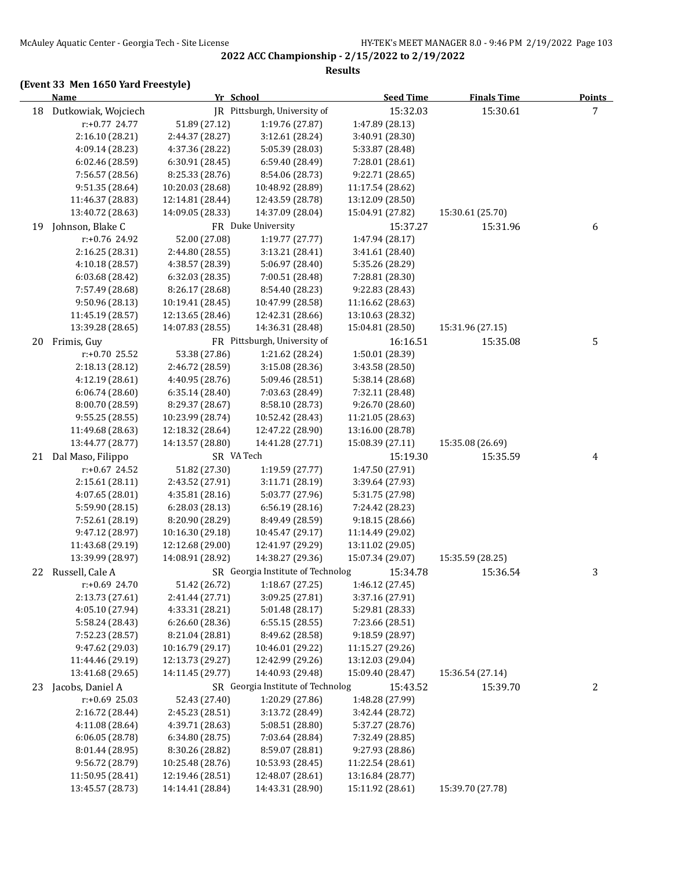#### **(Event 33 Men 1650 Yard Freestyle)**

|    | <b>Name</b>            | Yr School        |                                   | <b>Seed Time</b> | <b>Finals Time</b> | <b>Points</b>   |  |
|----|------------------------|------------------|-----------------------------------|------------------|--------------------|-----------------|--|
|    | 18 Dutkowiak, Wojciech |                  | JR Pittsburgh, University of      | 15:32.03         | 15:30.61           | $7\overline{ }$ |  |
|    | r:+0.77 24.77          | 51.89 (27.12)    | 1:19.76 (27.87)                   | 1:47.89 (28.13)  |                    |                 |  |
|    | 2:16.10 (28.21)        | 2:44.37 (28.27)  | 3:12.61 (28.24)                   | 3:40.91 (28.30)  |                    |                 |  |
|    | 4:09.14 (28.23)        | 4:37.36 (28.22)  | 5:05.39 (28.03)                   | 5:33.87 (28.48)  |                    |                 |  |
|    | 6:02.46 (28.59)        | 6:30.91 (28.45)  | 6:59.40 (28.49)                   | 7:28.01 (28.61)  |                    |                 |  |
|    | 7:56.57 (28.56)        | 8:25.33 (28.76)  | 8:54.06 (28.73)                   | 9:22.71 (28.65)  |                    |                 |  |
|    | 9:51.35 (28.64)        | 10:20.03 (28.68) | 10:48.92 (28.89)                  | 11:17.54 (28.62) |                    |                 |  |
|    | 11:46.37 (28.83)       | 12:14.81 (28.44) | 12:43.59 (28.78)                  | 13:12.09 (28.50) |                    |                 |  |
|    | 13:40.72 (28.63)       | 14:09.05 (28.33) | 14:37.09 (28.04)                  | 15:04.91 (27.82) | 15:30.61 (25.70)   |                 |  |
| 19 | Johnson, Blake C       |                  | FR Duke University                | 15:37.27         | 15:31.96           | 6               |  |
|    | r:+0.76 24.92          | 52.00 (27.08)    | 1:19.77 (27.77)                   | 1:47.94 (28.17)  |                    |                 |  |
|    | 2:16.25 (28.31)        | 2:44.80 (28.55)  | 3:13.21 (28.41)                   | 3:41.61 (28.40)  |                    |                 |  |
|    | 4:10.18 (28.57)        | 4:38.57 (28.39)  | 5:06.97 (28.40)                   | 5:35.26 (28.29)  |                    |                 |  |
|    | 6:03.68 (28.42)        | 6:32.03 (28.35)  | 7:00.51 (28.48)                   | 7:28.81 (28.30)  |                    |                 |  |
|    | 7:57.49 (28.68)        | 8:26.17 (28.68)  | 8:54.40 (28.23)                   | 9:22.83 (28.43)  |                    |                 |  |
|    | 9:50.96 (28.13)        | 10:19.41 (28.45) | 10:47.99 (28.58)                  | 11:16.62 (28.63) |                    |                 |  |
|    | 11:45.19 (28.57)       | 12:13.65 (28.46) | 12:42.31 (28.66)                  | 13:10.63 (28.32) |                    |                 |  |
|    | 13:39.28 (28.65)       | 14:07.83 (28.55) | 14:36.31 (28.48)                  | 15:04.81 (28.50) | 15:31.96 (27.15)   |                 |  |
| 20 | Frimis, Guy            |                  | FR Pittsburgh, University of      | 16:16.51         | 15:35.08           | 5               |  |
|    | r:+0.70 25.52          | 53.38 (27.86)    | 1:21.62 (28.24)                   | 1:50.01 (28.39)  |                    |                 |  |
|    | 2:18.13 (28.12)        | 2:46.72 (28.59)  | 3:15.08 (28.36)                   | 3:43.58 (28.50)  |                    |                 |  |
|    | 4:12.19 (28.61)        | 4:40.95 (28.76)  | 5:09.46 (28.51)                   | 5:38.14 (28.68)  |                    |                 |  |
|    | 6:06.74(28.60)         | 6:35.14 (28.40)  | 7:03.63 (28.49)                   | 7:32.11 (28.48)  |                    |                 |  |
|    | 8:00.70 (28.59)        | 8:29.37 (28.67)  | 8:58.10 (28.73)                   | 9:26.70 (28.60)  |                    |                 |  |
|    | 9:55.25(28.55)         | 10:23.99 (28.74) | 10:52.42 (28.43)                  | 11:21.05 (28.63) |                    |                 |  |
|    | 11:49.68 (28.63)       | 12:18.32 (28.64) | 12:47.22 (28.90)                  | 13:16.00 (28.78) |                    |                 |  |
|    | 13:44.77 (28.77)       | 14:13.57 (28.80) | 14:41.28 (27.71)                  | 15:08.39 (27.11) | 15:35.08 (26.69)   |                 |  |
| 21 | Dal Maso, Filippo      | SR VA Tech       |                                   | 15:19.30         | 15:35.59           | 4               |  |
|    | r:+0.67 24.52          | 51.82 (27.30)    | 1:19.59 (27.77)                   | 1:47.50 (27.91)  |                    |                 |  |
|    | 2:15.61 (28.11)        | 2:43.52 (27.91)  | 3:11.71 (28.19)                   | 3:39.64 (27.93)  |                    |                 |  |
|    | 4:07.65 (28.01)        | 4:35.81 (28.16)  | 5:03.77 (27.96)                   | 5:31.75 (27.98)  |                    |                 |  |
|    | 5:59.90 (28.15)        | 6:28.03(28.13)   | 6:56.19(28.16)                    | 7:24.42 (28.23)  |                    |                 |  |
|    | 7:52.61 (28.19)        | 8:20.90 (28.29)  | 8:49.49 (28.59)                   | 9:18.15 (28.66)  |                    |                 |  |
|    | 9:47.12 (28.97)        | 10:16.30 (29.18) | 10:45.47 (29.17)                  | 11:14.49 (29.02) |                    |                 |  |
|    | 11:43.68 (29.19)       | 12:12.68 (29.00) | 12:41.97 (29.29)                  | 13:11.02 (29.05) |                    |                 |  |
|    | 13:39.99 (28.97)       | 14:08.91 (28.92) | 14:38.27 (29.36)                  | 15:07.34 (29.07) | 15:35.59 (28.25)   |                 |  |
|    | 22 Russell, Cale A     |                  | SR Georgia Institute of Technolog | 15:34.78         | 15:36.54           | 3               |  |
|    | r:+0.69 24.70          |                  | 51.42 (26.72) 1:18.67 (27.25)     | 1:46.12 (27.45)  |                    |                 |  |
|    | 2:13.73 (27.61)        | 2:41.44 (27.71)  | 3:09.25 (27.81)                   | 3:37.16 (27.91)  |                    |                 |  |
|    | 4:05.10 (27.94)        | 4:33.31 (28.21)  | 5:01.48 (28.17)                   | 5:29.81 (28.33)  |                    |                 |  |
|    | 5:58.24 (28.43)        | 6:26.60 (28.36)  | 6:55.15(28.55)                    | 7:23.66 (28.51)  |                    |                 |  |
|    | 7:52.23 (28.57)        | 8:21.04 (28.81)  | 8:49.62 (28.58)                   | 9:18.59 (28.97)  |                    |                 |  |
|    | 9:47.62 (29.03)        | 10:16.79 (29.17) | 10:46.01 (29.22)                  | 11:15.27 (29.26) |                    |                 |  |
|    | 11:44.46 (29.19)       | 12:13.73 (29.27) | 12:42.99 (29.26)                  | 13:12.03 (29.04) |                    |                 |  |
|    | 13:41.68 (29.65)       | 14:11.45 (29.77) | 14:40.93 (29.48)                  | 15:09.40 (28.47) | 15:36.54 (27.14)   |                 |  |
| 23 | Jacobs, Daniel A       |                  | SR Georgia Institute of Technolog | 15:43.52         | 15:39.70           | 2               |  |
|    | $r: +0.69$ 25.03       | 52.43 (27.40)    | 1:20.29 (27.86)                   | 1:48.28 (27.99)  |                    |                 |  |
|    | 2:16.72 (28.44)        | 2:45.23 (28.51)  | 3:13.72 (28.49)                   | 3:42.44 (28.72)  |                    |                 |  |
|    | 4:11.08 (28.64)        | 4:39.71 (28.63)  | 5:08.51 (28.80)                   | 5:37.27 (28.76)  |                    |                 |  |
|    | 6:06.05 (28.78)        | 6:34.80 (28.75)  | 7:03.64 (28.84)                   | 7:32.49 (28.85)  |                    |                 |  |
|    | 8:01.44 (28.95)        | 8:30.26 (28.82)  | 8:59.07 (28.81)                   | 9:27.93 (28.86)  |                    |                 |  |
|    | 9:56.72 (28.79)        | 10:25.48 (28.76) | 10:53.93 (28.45)                  | 11:22.54 (28.61) |                    |                 |  |
|    | 11:50.95 (28.41)       | 12:19.46 (28.51) | 12:48.07 (28.61)                  | 13:16.84 (28.77) |                    |                 |  |
|    | 13:45.57 (28.73)       | 14:14.41 (28.84) | 14:43.31 (28.90)                  | 15:11.92 (28.61) | 15:39.70 (27.78)   |                 |  |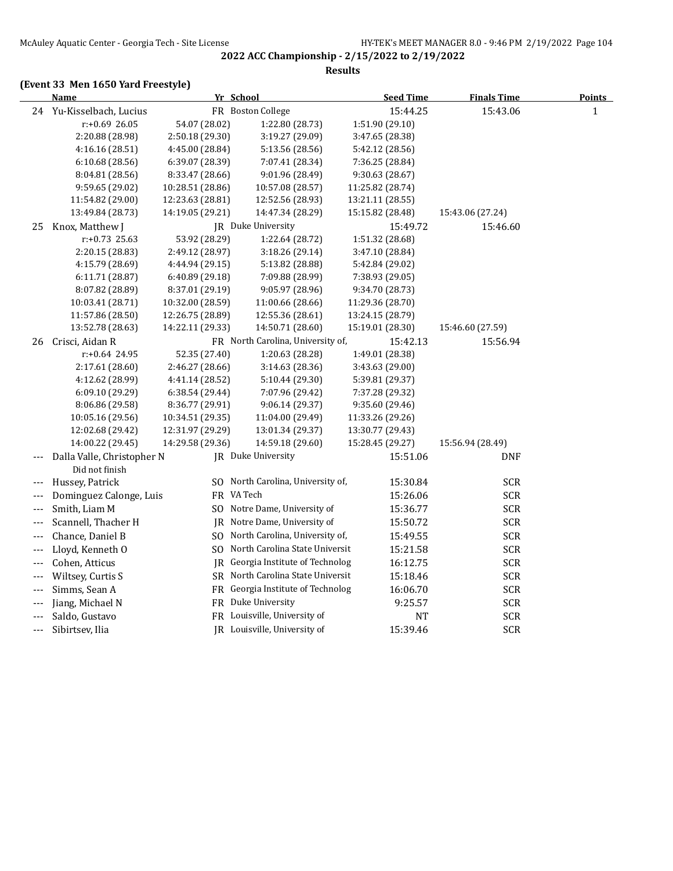**2022 ACC Championship - 2/15/2022 to 2/19/2022 Results**

|                            | <b>Name</b>                |                  | Yr School                         | <b>Seed Time</b> | <b>Finals Time</b> | Points       |
|----------------------------|----------------------------|------------------|-----------------------------------|------------------|--------------------|--------------|
|                            | 24 Yu-Kisselbach, Lucius   |                  | FR Boston College                 | 15:44.25         | 15:43.06           | $\mathbf{1}$ |
|                            | r:+0.69 26.05              | 54.07 (28.02)    | 1:22.80 (28.73)                   | 1:51.90 (29.10)  |                    |              |
|                            | 2:20.88 (28.98)            | 2:50.18 (29.30)  | 3:19.27 (29.09)                   | 3:47.65 (28.38)  |                    |              |
|                            | 4:16.16(28.51)             | 4:45.00 (28.84)  | 5:13.56 (28.56)                   | 5:42.12 (28.56)  |                    |              |
|                            | 6:10.68(28.56)             | 6:39.07 (28.39)  | 7:07.41 (28.34)                   | 7:36.25 (28.84)  |                    |              |
|                            | 8:04.81 (28.56)            | 8:33.47 (28.66)  | 9:01.96 (28.49)                   | 9:30.63 (28.67)  |                    |              |
|                            | 9:59.65 (29.02)            | 10:28.51 (28.86) | 10:57.08 (28.57)                  | 11:25.82 (28.74) |                    |              |
|                            | 11:54.82 (29.00)           | 12:23.63 (28.81) | 12:52.56 (28.93)                  | 13:21.11 (28.55) |                    |              |
|                            | 13:49.84 (28.73)           | 14:19.05 (29.21) | 14:47.34 (28.29)                  | 15:15.82 (28.48) | 15:43.06 (27.24)   |              |
| 25                         | Knox, Matthew J            |                  | JR Duke University                | 15:49.72         | 15:46.60           |              |
|                            | $r: +0.73$ 25.63           | 53.92 (28.29)    | 1:22.64 (28.72)                   | 1:51.32 (28.68)  |                    |              |
|                            | 2:20.15 (28.83)            | 2:49.12 (28.97)  | 3:18.26 (29.14)                   | 3:47.10 (28.84)  |                    |              |
|                            | 4:15.79 (28.69)            | 4:44.94 (29.15)  | 5:13.82 (28.88)                   | 5:42.84 (29.02)  |                    |              |
|                            | 6:11.71(28.87)             | 6:40.89 (29.18)  | 7:09.88 (28.99)                   | 7:38.93 (29.05)  |                    |              |
|                            | 8:07.82 (28.89)            | 8:37.01 (29.19)  | 9:05.97 (28.96)                   | 9:34.70 (28.73)  |                    |              |
|                            | 10:03.41 (28.71)           | 10:32.00 (28.59) | 11:00.66 (28.66)                  | 11:29.36 (28.70) |                    |              |
|                            | 11:57.86 (28.50)           | 12:26.75 (28.89) | 12:55.36 (28.61)                  | 13:24.15 (28.79) |                    |              |
|                            | 13:52.78 (28.63)           | 14:22.11 (29.33) | 14:50.71 (28.60)                  | 15:19.01 (28.30) | 15:46.60 (27.59)   |              |
| 26                         | Crisci, Aidan R            |                  | FR North Carolina, University of, | 15:42.13         | 15:56.94           |              |
|                            | r:+0.64 24.95              | 52.35 (27.40)    | 1:20.63 (28.28)                   | 1:49.01 (28.38)  |                    |              |
|                            | 2:17.61 (28.60)            | 2:46.27 (28.66)  | 3:14.63 (28.36)                   | 3:43.63 (29.00)  |                    |              |
|                            | 4:12.62 (28.99)            | 4:41.14 (28.52)  | 5:10.44 (29.30)                   | 5:39.81 (29.37)  |                    |              |
|                            | 6:09.10 (29.29)            | 6:38.54 (29.44)  | 7:07.96 (29.42)                   | 7:37.28 (29.32)  |                    |              |
|                            | 8:06.86 (29.58)            | 8:36.77 (29.91)  | 9:06.14(29.37)                    | 9:35.60 (29.46)  |                    |              |
|                            | 10:05.16 (29.56)           | 10:34.51 (29.35) | 11:04.00 (29.49)                  | 11:33.26 (29.26) |                    |              |
|                            | 12:02.68 (29.42)           | 12:31.97 (29.29) | 13:01.34 (29.37)                  | 13:30.77 (29.43) |                    |              |
|                            | 14:00.22 (29.45)           | 14:29.58 (29.36) | 14:59.18 (29.60)                  | 15:28.45 (29.27) | 15:56.94 (28.49)   |              |
|                            | Dalla Valle, Christopher N |                  | JR Duke University                | 15:51.06         | <b>DNF</b>         |              |
|                            | Did not finish             |                  |                                   |                  |                    |              |
| ---                        | Hussey, Patrick            |                  | SO North Carolina, University of, | 15:30.84         | <b>SCR</b>         |              |
| $\qquad \qquad - \qquad -$ | Dominguez Calonge, Luis    |                  | FR VA Tech                        | 15:26.06         | <b>SCR</b>         |              |
| $\qquad \qquad - \qquad -$ | Smith, Liam M              |                  | SO Notre Dame, University of      | 15:36.77         | <b>SCR</b>         |              |
| $---$                      | Scannell, Thacher H        |                  | JR Notre Dame, University of      | 15:50.72         | <b>SCR</b>         |              |
| ---                        | Chance, Daniel B           |                  | SO North Carolina, University of, | 15:49.55         | <b>SCR</b>         |              |
| ---                        | Lloyd, Kenneth O           |                  | SO North Carolina State Universit | 15:21.58         | <b>SCR</b>         |              |
| $---$                      | Cohen, Atticus             |                  | JR Georgia Institute of Technolog | 16:12.75         | <b>SCR</b>         |              |
| $---$                      | Wiltsey, Curtis S          |                  | SR North Carolina State Universit | 15:18.46         | <b>SCR</b>         |              |
| ---                        | Simms, Sean A              |                  | FR Georgia Institute of Technolog | 16:06.70         | <b>SCR</b>         |              |
| $---$                      | Jiang, Michael N           |                  | FR Duke University                | 9:25.57          | <b>SCR</b>         |              |
| ---                        | Saldo, Gustavo             |                  | FR Louisville, University of      | NT               | <b>SCR</b>         |              |
| $\qquad \qquad - -$        | Sibirtsev, Ilia            |                  | JR Louisville, University of      | 15:39.46         | <b>SCR</b>         |              |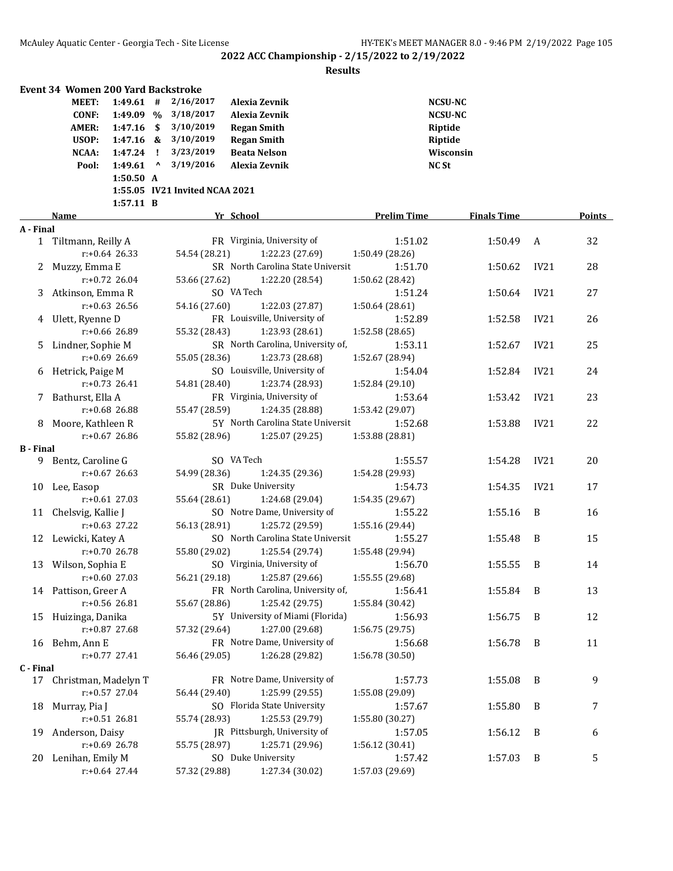|                  | Event 34 Women 200 Yard Backstroke |                  |      |                                |                                       |                            |                    |                |        |
|------------------|------------------------------------|------------------|------|--------------------------------|---------------------------------------|----------------------------|--------------------|----------------|--------|
|                  | <b>MEET:</b>                       | $1:49.61$ #      |      | 2/16/2017                      | Alexia Zevnik                         |                            | <b>NCSU-NC</b>     |                |        |
|                  | <b>CONF:</b>                       | 1:49.09 %        |      | 3/18/2017                      | Alexia Zevnik                         |                            | <b>NCSU-NC</b>     |                |        |
|                  | AMER:                              | 1:47.16          | - \$ | 3/10/2019                      | <b>Regan Smith</b>                    |                            | Riptide            |                |        |
|                  | USOP:                              | $1:47.16$ &      |      | 3/10/2019                      | <b>Regan Smith</b>                    |                            | Riptide            |                |        |
|                  | NCAA:                              | 1:47.24          | -1   | 3/23/2019                      | <b>Beata Nelson</b>                   |                            | Wisconsin          |                |        |
|                  | Pool:                              | 1:49.61          | Λ    | 3/19/2016                      | Alexia Zevnik                         |                            | <b>NC St</b>       |                |        |
|                  |                                    | 1:50.50 A        |      |                                |                                       |                            |                    |                |        |
|                  |                                    |                  |      | 1:55.05 IV21 Invited NCAA 2021 |                                       |                            |                    |                |        |
|                  |                                    | 1:57.11 B        |      |                                |                                       |                            |                    |                |        |
|                  | Name                               |                  |      |                                | Yr School                             | <b>Prelim Time</b>         | <b>Finals Time</b> |                | Points |
| A - Final        |                                    |                  |      |                                |                                       |                            |                    |                |        |
|                  | 1 Tiltmann, Reilly A               |                  |      |                                | FR Virginia, University of            | 1:51.02                    | 1:50.49            | A              | 32     |
|                  |                                    | $r: +0.64$ 26.33 |      | 54.54 (28.21)                  | 1:22.23 (27.69)                       | 1:50.49 (28.26)            |                    |                |        |
| 2                | Muzzy, Emma E                      |                  |      |                                | SR North Carolina State Universit     | 1:51.70                    | 1:50.62            | IV21           | 28     |
|                  |                                    | $r: +0.72$ 26.04 |      | 53.66 (27.62)                  | 1:22.20 (28.54)                       | 1:50.62 (28.42)            |                    |                |        |
| 3                | Atkinson, Emma R                   |                  |      |                                | SO VA Tech                            | 1:51.24                    | 1:50.64            | IV21           | 27     |
|                  |                                    | $r: +0.63$ 26.56 |      | 54.16 (27.60)                  | 1:22.03 (27.87)                       | 1:50.64 (28.61)            |                    |                |        |
|                  | 4 Ulett, Ryenne D                  |                  |      |                                | FR Louisville, University of          | 1:52.89                    | 1:52.58            | IV21           | 26     |
|                  |                                    | $r: +0.66$ 26.89 |      | 55.32 (28.43)                  | 1:23.93 (28.61)                       | 1:52.58 (28.65)            |                    |                |        |
| 5                | Lindner, Sophie M                  |                  |      |                                | SR North Carolina, University of,     | 1:53.11                    | 1:52.67            | IV21           | 25     |
|                  |                                    | $r: +0.69$ 26.69 |      | 55.05 (28.36)                  | 1:23.73 (28.68)                       | 1:52.67 (28.94)            |                    |                |        |
| 6                | Hetrick, Paige M                   |                  |      |                                | SO Louisville, University of          | 1:54.04                    | 1:52.84            | IV21           | 24     |
|                  |                                    | $r: +0.73$ 26.41 |      | 54.81 (28.40)                  | 1:23.74 (28.93)                       | 1:52.84 (29.10)            |                    |                |        |
| 7                | Bathurst, Ella A                   |                  |      |                                | FR Virginia, University of            | 1:53.64                    | 1:53.42            | IV21           | 23     |
|                  |                                    | $r: +0.68$ 26.88 |      | 55.47 (28.59)                  | 1:24.35 (28.88)                       | 1:53.42 (29.07)            |                    |                |        |
| 8                | Moore, Kathleen R                  |                  |      |                                | 5Y North Carolina State Universit     | 1:52.68                    | 1:53.88            | IV21           | 22     |
|                  |                                    | $r: +0.67$ 26.86 |      | 55.82 (28.96)                  | 1:25.07 (29.25)                       | 1:53.88 (28.81)            |                    |                |        |
| <b>B</b> - Final |                                    |                  |      |                                | SO VA Tech                            |                            |                    |                |        |
|                  | 9 Bentz, Caroline G                |                  |      |                                |                                       | 1:55.57                    | 1:54.28            | IV21           | 20     |
|                  |                                    | $r: +0.67$ 26.63 |      | 54.99 (28.36)                  | 1:24.35 (29.36)<br>SR Duke University | 1:54.28 (29.93)<br>1:54.73 | 1:54.35            | IV21           | 17     |
|                  | 10 Lee, Easop                      | $r: +0.61$ 27.03 |      |                                | 1:24.68 (29.04)                       |                            |                    |                |        |
|                  |                                    |                  |      | 55.64 (28.61)                  | SO Notre Dame, University of          | 1:54.35 (29.67)            |                    | B              |        |
|                  | 11 Chelsvig, Kallie J              | r:+0.63 27.22    |      | 56.13 (28.91)                  | 1:25.72 (29.59)                       | 1:55.22                    | 1:55.16            |                | 16     |
|                  |                                    |                  |      |                                | SO North Carolina State Universit     | 1:55.16 (29.44)<br>1:55.27 | 1:55.48            | B              | 15     |
| 12               | Lewicki, Katey A                   | r:+0.70 26.78    |      | 55.80 (29.02)                  | 1:25.54 (29.74)                       | 1:55.48 (29.94)            |                    |                |        |
|                  | 13 Wilson, Sophia E                |                  |      |                                | SO Virginia, University of            | 1:56.70                    | 1:55.55            | B              | 14     |
|                  |                                    | r:+0.60 27.03    |      |                                | 56.21 (29.18) 1:25.87 (29.66)         | 1:55.55 (29.68)            |                    |                |        |
|                  | 14 Pattison, Greer A               |                  |      |                                | FR North Carolina, University of,     | 1:56.41                    | 1:55.84            | B              | 13     |
|                  |                                    | r:+0.56 26.81    |      | 55.67 (28.86)                  | 1:25.42 (29.75)                       | 1:55.84 (30.42)            |                    |                |        |
|                  | 15 Huizinga, Danika                |                  |      |                                | 5Y University of Miami (Florida)      | 1:56.93                    | 1:56.75            | B              | 12     |
|                  |                                    | r:+0.87 27.68    |      | 57.32 (29.64)                  | 1:27.00 (29.68)                       | 1:56.75 (29.75)            |                    |                |        |
|                  | 16 Behm, Ann E                     |                  |      |                                | FR Notre Dame, University of          | 1:56.68                    | 1:56.78            | B              | 11     |
|                  |                                    | $r: +0.77$ 27.41 |      | 56.46 (29.05)                  | 1:26.28 (29.82)                       | 1:56.78 (30.50)            |                    |                |        |
| C - Final        |                                    |                  |      |                                |                                       |                            |                    |                |        |
|                  | 17 Christman, Madelyn T            |                  |      |                                | FR Notre Dame, University of          | 1:57.73                    | 1:55.08            | B              | 9      |
|                  |                                    | r:+0.57 27.04    |      | 56.44 (29.40)                  | 1:25.99 (29.55)                       | 1:55.08 (29.09)            |                    |                |        |
| 18               | Murray, Pia J                      |                  |      |                                | SO Florida State University           | 1:57.67                    | 1:55.80            | B              | 7      |
|                  |                                    | r:+0.51 26.81    |      | 55.74 (28.93)                  | 1:25.53 (29.79)                       | 1:55.80 (30.27)            |                    |                |        |
| 19               | Anderson, Daisy                    |                  |      |                                | JR Pittsburgh, University of          | 1:57.05                    | 1:56.12            | B              | 6      |
|                  |                                    | r:+0.69 26.78    |      | 55.75 (28.97)                  | 1:25.71 (29.96)                       | 1:56.12 (30.41)            |                    |                |        |
|                  | 20 Lenihan, Emily M                |                  |      |                                | SO Duke University                    | 1:57.42                    | 1:57.03            | $\overline{B}$ | 5      |
|                  |                                    | $r: +0.64$ 27.44 |      | 57.32 (29.88)                  | 1:27.34 (30.02)                       | 1:57.03 (29.69)            |                    |                |        |
|                  |                                    |                  |      |                                |                                       |                            |                    |                |        |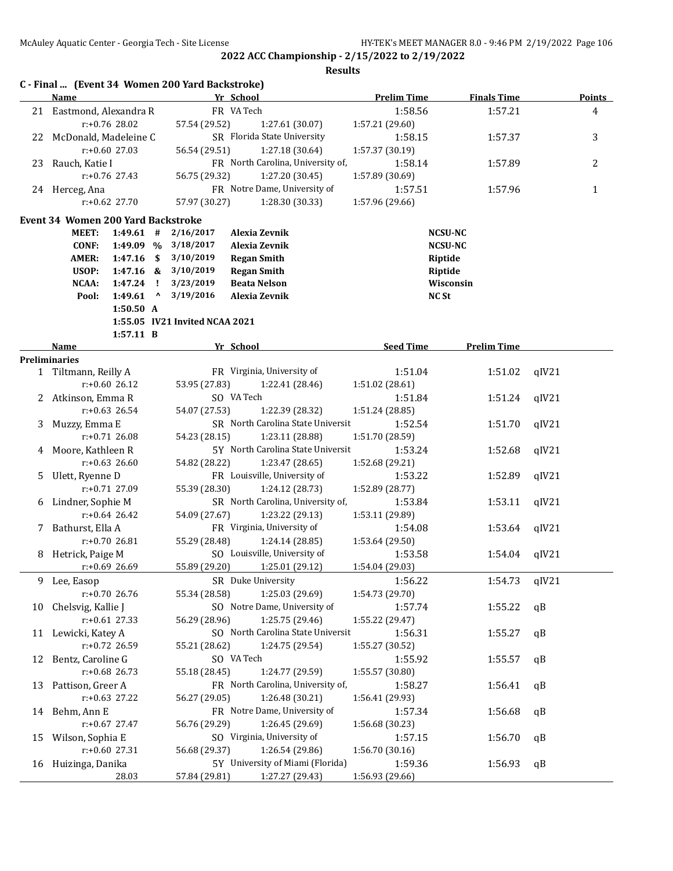| FR VA Tech<br>21 Eastmond, Alexandra R<br>1:57.21<br>1:58.56<br>4<br>r:+0.76 28.02<br>57.54 (29.52)<br>1:27.61 (30.07)<br>1:57.21 (29.60)<br>SR Florida State University<br>3<br>22 McDonald, Madeleine C<br>1:58.15<br>1:57.37<br>$r: +0.60$ 27.03<br>56.54 (29.51)<br>1:27.18 (30.64)<br>1:57.37 (30.19)<br>FR North Carolina, University of,<br>Rauch, Katie I<br>1:58.14<br>1:57.89<br>2<br>23<br>$r: +0.76$ 27.43<br>56.75 (29.32)<br>1:27.20 (30.45)<br>1:57.89 (30.69)<br>FR Notre Dame, University of<br>1:57.51<br>1:57.96<br>24 Herceg, Ana<br>1<br>$r: +0.62$ 27.70<br>57.97 (30.27)<br>1:28.30 (30.33)<br>1:57.96 (29.66)<br><b>Event 34 Women 200 Yard Backstroke</b><br>2/16/2017<br>MEET:<br>$1:49.61$ #<br>Alexia Zevnik<br><b>NCSU-NC</b><br><b>CONF:</b><br>1:49.09 %<br>3/18/2017<br>Alexia Zevnik<br><b>NCSU-NC</b><br><b>AMER:</b><br>1:47.16<br>\$<br>3/10/2019<br><b>Regan Smith</b><br>Riptide<br>USOP:<br>3/10/2019<br>1:47.16<br><b>Regan Smith</b><br>Riptide<br>&<br>NCAA:<br>1:47.24<br>3/23/2019<br><b>Beata Nelson</b><br>Wisconsin<br>Τ.<br>1:49.61<br>$\mathbf v$<br>3/19/2016<br>Alexia Zevnik<br><b>NC St</b><br>Pool:<br>1:50.50 A<br>1:55.05 IV21 Invited NCAA 2021<br>$1:57.11$ B<br>Yr School<br><b>Seed Time</b><br><b>Prelim Time</b><br>Name<br><b>Preliminaries</b><br>FR Virginia, University of<br>1 Tiltmann, Reilly A<br>1:51.04<br>1:51.02<br>qIV21<br>$r: +0.6026.12$<br>53.95 (27.83)<br>1:22.41 (28.46)<br>1:51.02 (28.61)<br>SO VA Tech<br>2 Atkinson, Emma R<br>1:51.24<br>qIV21<br>1:51.84<br>$r: +0.63$ 26.54<br>54.07 (27.53)<br>1:22.39 (28.32)<br>1:51.24 (28.85)<br>SR North Carolina State Universit<br>Muzzy, Emma E<br>1:52.54<br>1:51.70<br>qIV21<br>3<br>$r: +0.71$ 26.08<br>54.23 (28.15)<br>1:23.11 (28.88)<br>1:51.70 (28.59)<br>5Y North Carolina State Universit<br>Moore, Kathleen R<br>1:53.24<br>qIV21<br>1:52.68<br>4<br>$r: +0.63$ 26.60<br>54.82 (28.22)<br>1:23.47 (28.65)<br>1:52.68 (29.21)<br>FR Louisville, University of<br>1:53.22<br>qIV21<br>Ulett, Ryenne D<br>1:52.89<br>5.<br>$r: +0.71$ 27.09<br>55.39 (28.30)<br>1:24.12 (28.73)<br>1:52.89 (28.77)<br>SR North Carolina, University of,<br>6 Lindner, Sophie M<br>1:53.84<br>1:53.11<br>qIV21<br>$r: +0.64$ 26.42<br>54.09 (27.67)<br>1:23.22 (29.13)<br>1:53.11 (29.89)<br>FR Virginia, University of<br>7 Bathurst, Ella A<br>1:54.08<br>1:53.64<br>qIV21<br>$r: +0.7026.81$<br>55.29 (28.48)<br>1:24.14 (28.85)<br>1:53.64 (29.50)<br>SO Louisville, University of<br>Hetrick, Paige M<br>1:53.58<br>1:54.04<br>qIV21<br>8<br>55.89 (29.20)<br>1:25.01 (29.12)<br>1:54.04 (29.03)<br>$r: +0.69$ 26.69<br>SR Duke University<br>1:56.22<br>9<br>1:54.73<br>qIV21<br>Lee, Easop<br>55.34 (28.58)<br>1:25.03 (29.69)<br>1:54.73 (29.70)<br>$r: +0.70$ 26.76<br>SO Notre Dame, University of<br>1:57.74<br>1:55.22<br>Chelsvig, Kallie J<br>qB<br>10<br>r:+0.61 27.33<br>56.29 (28.96)<br>1:25.75 (29.46)<br>1:55.22 (29.47)<br>SO North Carolina State Universit<br>1:56.31<br>11 Lewicki, Katey A<br>1:55.27<br>qB<br>r:+0.72 26.59<br>55.21 (28.62)<br>1:24.75 (29.54)<br>1:55.27 (30.52)<br>SO VA Tech<br>Bentz, Caroline G<br>1:55.92<br>1:55.57<br>qB<br>12<br>r:+0.68 26.73<br>55.18 (28.45)<br>1:24.77 (29.59)<br>1:55.57 (30.80)<br>FR North Carolina, University of,<br>13 Pattison, Greer A<br>1:58.27<br>1:56.41<br>qB<br>r:+0.63 27.22<br>1:26.48 (30.21)<br>56.27 (29.05)<br>1:56.41 (29.93)<br>FR Notre Dame, University of<br>1:56.68<br>14 Behm, Ann E<br>1:57.34<br>qB<br>56.76 (29.29)<br>1:26.45 (29.69)<br>$r: +0.67$ 27.47<br>1:56.68 (30.23)<br>SO Virginia, University of<br>Wilson, Sophia E<br>1:56.70<br>1:57.15<br>15<br>qB<br>r:+0.60 27.31<br>56.68 (29.37)<br>1:26.54 (29.86)<br>1:56.70 (30.16)<br>5Y University of Miami (Florida)<br>Huizinga, Danika<br>1:59.36<br>1:56.93<br>qB<br>16 | <b>Name</b> |       |  | C - Final  (Event 34 Women 200 Yard Backstroke) | Yr School       | <b>Prelim Time</b> | <b>Finals Time</b> |  | <b>Points</b> |
|--------------------------------------------------------------------------------------------------------------------------------------------------------------------------------------------------------------------------------------------------------------------------------------------------------------------------------------------------------------------------------------------------------------------------------------------------------------------------------------------------------------------------------------------------------------------------------------------------------------------------------------------------------------------------------------------------------------------------------------------------------------------------------------------------------------------------------------------------------------------------------------------------------------------------------------------------------------------------------------------------------------------------------------------------------------------------------------------------------------------------------------------------------------------------------------------------------------------------------------------------------------------------------------------------------------------------------------------------------------------------------------------------------------------------------------------------------------------------------------------------------------------------------------------------------------------------------------------------------------------------------------------------------------------------------------------------------------------------------------------------------------------------------------------------------------------------------------------------------------------------------------------------------------------------------------------------------------------------------------------------------------------------------------------------------------------------------------------------------------------------------------------------------------------------------------------------------------------------------------------------------------------------------------------------------------------------------------------------------------------------------------------------------------------------------------------------------------------------------------------------------------------------------------------------------------------------------------------------------------------------------------------------------------------------------------------------------------------------------------------------------------------------------------------------------------------------------------------------------------------------------------------------------------------------------------------------------------------------------------------------------------------------------------------------------------------------------------------------------------------------------------------------------------------------------------------------------------------------------------------------------------------------------------------------------------------------------------------------------------------------------------------------------------------------------------------------------------------------------------------------------------------------------------------------------------------------------------------------------------------------------------------------------------------------------------------------------------------------------------------------------------------------------------------------------------------------------------------------------------------|-------------|-------|--|-------------------------------------------------|-----------------|--------------------|--------------------|--|---------------|
|                                                                                                                                                                                                                                                                                                                                                                                                                                                                                                                                                                                                                                                                                                                                                                                                                                                                                                                                                                                                                                                                                                                                                                                                                                                                                                                                                                                                                                                                                                                                                                                                                                                                                                                                                                                                                                                                                                                                                                                                                                                                                                                                                                                                                                                                                                                                                                                                                                                                                                                                                                                                                                                                                                                                                                                                                                                                                                                                                                                                                                                                                                                                                                                                                                                                                                                                                                                                                                                                                                                                                                                                                                                                                                                                                                                                                                                                    |             |       |  |                                                 |                 |                    |                    |  |               |
|                                                                                                                                                                                                                                                                                                                                                                                                                                                                                                                                                                                                                                                                                                                                                                                                                                                                                                                                                                                                                                                                                                                                                                                                                                                                                                                                                                                                                                                                                                                                                                                                                                                                                                                                                                                                                                                                                                                                                                                                                                                                                                                                                                                                                                                                                                                                                                                                                                                                                                                                                                                                                                                                                                                                                                                                                                                                                                                                                                                                                                                                                                                                                                                                                                                                                                                                                                                                                                                                                                                                                                                                                                                                                                                                                                                                                                                                    |             |       |  |                                                 |                 |                    |                    |  |               |
|                                                                                                                                                                                                                                                                                                                                                                                                                                                                                                                                                                                                                                                                                                                                                                                                                                                                                                                                                                                                                                                                                                                                                                                                                                                                                                                                                                                                                                                                                                                                                                                                                                                                                                                                                                                                                                                                                                                                                                                                                                                                                                                                                                                                                                                                                                                                                                                                                                                                                                                                                                                                                                                                                                                                                                                                                                                                                                                                                                                                                                                                                                                                                                                                                                                                                                                                                                                                                                                                                                                                                                                                                                                                                                                                                                                                                                                                    |             |       |  |                                                 |                 |                    |                    |  |               |
|                                                                                                                                                                                                                                                                                                                                                                                                                                                                                                                                                                                                                                                                                                                                                                                                                                                                                                                                                                                                                                                                                                                                                                                                                                                                                                                                                                                                                                                                                                                                                                                                                                                                                                                                                                                                                                                                                                                                                                                                                                                                                                                                                                                                                                                                                                                                                                                                                                                                                                                                                                                                                                                                                                                                                                                                                                                                                                                                                                                                                                                                                                                                                                                                                                                                                                                                                                                                                                                                                                                                                                                                                                                                                                                                                                                                                                                                    |             |       |  |                                                 |                 |                    |                    |  |               |
|                                                                                                                                                                                                                                                                                                                                                                                                                                                                                                                                                                                                                                                                                                                                                                                                                                                                                                                                                                                                                                                                                                                                                                                                                                                                                                                                                                                                                                                                                                                                                                                                                                                                                                                                                                                                                                                                                                                                                                                                                                                                                                                                                                                                                                                                                                                                                                                                                                                                                                                                                                                                                                                                                                                                                                                                                                                                                                                                                                                                                                                                                                                                                                                                                                                                                                                                                                                                                                                                                                                                                                                                                                                                                                                                                                                                                                                                    |             |       |  |                                                 |                 |                    |                    |  |               |
|                                                                                                                                                                                                                                                                                                                                                                                                                                                                                                                                                                                                                                                                                                                                                                                                                                                                                                                                                                                                                                                                                                                                                                                                                                                                                                                                                                                                                                                                                                                                                                                                                                                                                                                                                                                                                                                                                                                                                                                                                                                                                                                                                                                                                                                                                                                                                                                                                                                                                                                                                                                                                                                                                                                                                                                                                                                                                                                                                                                                                                                                                                                                                                                                                                                                                                                                                                                                                                                                                                                                                                                                                                                                                                                                                                                                                                                                    |             |       |  |                                                 |                 |                    |                    |  |               |
|                                                                                                                                                                                                                                                                                                                                                                                                                                                                                                                                                                                                                                                                                                                                                                                                                                                                                                                                                                                                                                                                                                                                                                                                                                                                                                                                                                                                                                                                                                                                                                                                                                                                                                                                                                                                                                                                                                                                                                                                                                                                                                                                                                                                                                                                                                                                                                                                                                                                                                                                                                                                                                                                                                                                                                                                                                                                                                                                                                                                                                                                                                                                                                                                                                                                                                                                                                                                                                                                                                                                                                                                                                                                                                                                                                                                                                                                    |             |       |  |                                                 |                 |                    |                    |  |               |
|                                                                                                                                                                                                                                                                                                                                                                                                                                                                                                                                                                                                                                                                                                                                                                                                                                                                                                                                                                                                                                                                                                                                                                                                                                                                                                                                                                                                                                                                                                                                                                                                                                                                                                                                                                                                                                                                                                                                                                                                                                                                                                                                                                                                                                                                                                                                                                                                                                                                                                                                                                                                                                                                                                                                                                                                                                                                                                                                                                                                                                                                                                                                                                                                                                                                                                                                                                                                                                                                                                                                                                                                                                                                                                                                                                                                                                                                    |             |       |  |                                                 |                 |                    |                    |  |               |
|                                                                                                                                                                                                                                                                                                                                                                                                                                                                                                                                                                                                                                                                                                                                                                                                                                                                                                                                                                                                                                                                                                                                                                                                                                                                                                                                                                                                                                                                                                                                                                                                                                                                                                                                                                                                                                                                                                                                                                                                                                                                                                                                                                                                                                                                                                                                                                                                                                                                                                                                                                                                                                                                                                                                                                                                                                                                                                                                                                                                                                                                                                                                                                                                                                                                                                                                                                                                                                                                                                                                                                                                                                                                                                                                                                                                                                                                    |             |       |  |                                                 |                 |                    |                    |  |               |
|                                                                                                                                                                                                                                                                                                                                                                                                                                                                                                                                                                                                                                                                                                                                                                                                                                                                                                                                                                                                                                                                                                                                                                                                                                                                                                                                                                                                                                                                                                                                                                                                                                                                                                                                                                                                                                                                                                                                                                                                                                                                                                                                                                                                                                                                                                                                                                                                                                                                                                                                                                                                                                                                                                                                                                                                                                                                                                                                                                                                                                                                                                                                                                                                                                                                                                                                                                                                                                                                                                                                                                                                                                                                                                                                                                                                                                                                    |             |       |  |                                                 |                 |                    |                    |  |               |
|                                                                                                                                                                                                                                                                                                                                                                                                                                                                                                                                                                                                                                                                                                                                                                                                                                                                                                                                                                                                                                                                                                                                                                                                                                                                                                                                                                                                                                                                                                                                                                                                                                                                                                                                                                                                                                                                                                                                                                                                                                                                                                                                                                                                                                                                                                                                                                                                                                                                                                                                                                                                                                                                                                                                                                                                                                                                                                                                                                                                                                                                                                                                                                                                                                                                                                                                                                                                                                                                                                                                                                                                                                                                                                                                                                                                                                                                    |             |       |  |                                                 |                 |                    |                    |  |               |
|                                                                                                                                                                                                                                                                                                                                                                                                                                                                                                                                                                                                                                                                                                                                                                                                                                                                                                                                                                                                                                                                                                                                                                                                                                                                                                                                                                                                                                                                                                                                                                                                                                                                                                                                                                                                                                                                                                                                                                                                                                                                                                                                                                                                                                                                                                                                                                                                                                                                                                                                                                                                                                                                                                                                                                                                                                                                                                                                                                                                                                                                                                                                                                                                                                                                                                                                                                                                                                                                                                                                                                                                                                                                                                                                                                                                                                                                    |             |       |  |                                                 |                 |                    |                    |  |               |
|                                                                                                                                                                                                                                                                                                                                                                                                                                                                                                                                                                                                                                                                                                                                                                                                                                                                                                                                                                                                                                                                                                                                                                                                                                                                                                                                                                                                                                                                                                                                                                                                                                                                                                                                                                                                                                                                                                                                                                                                                                                                                                                                                                                                                                                                                                                                                                                                                                                                                                                                                                                                                                                                                                                                                                                                                                                                                                                                                                                                                                                                                                                                                                                                                                                                                                                                                                                                                                                                                                                                                                                                                                                                                                                                                                                                                                                                    |             |       |  |                                                 |                 |                    |                    |  |               |
|                                                                                                                                                                                                                                                                                                                                                                                                                                                                                                                                                                                                                                                                                                                                                                                                                                                                                                                                                                                                                                                                                                                                                                                                                                                                                                                                                                                                                                                                                                                                                                                                                                                                                                                                                                                                                                                                                                                                                                                                                                                                                                                                                                                                                                                                                                                                                                                                                                                                                                                                                                                                                                                                                                                                                                                                                                                                                                                                                                                                                                                                                                                                                                                                                                                                                                                                                                                                                                                                                                                                                                                                                                                                                                                                                                                                                                                                    |             |       |  |                                                 |                 |                    |                    |  |               |
|                                                                                                                                                                                                                                                                                                                                                                                                                                                                                                                                                                                                                                                                                                                                                                                                                                                                                                                                                                                                                                                                                                                                                                                                                                                                                                                                                                                                                                                                                                                                                                                                                                                                                                                                                                                                                                                                                                                                                                                                                                                                                                                                                                                                                                                                                                                                                                                                                                                                                                                                                                                                                                                                                                                                                                                                                                                                                                                                                                                                                                                                                                                                                                                                                                                                                                                                                                                                                                                                                                                                                                                                                                                                                                                                                                                                                                                                    |             |       |  |                                                 |                 |                    |                    |  |               |
|                                                                                                                                                                                                                                                                                                                                                                                                                                                                                                                                                                                                                                                                                                                                                                                                                                                                                                                                                                                                                                                                                                                                                                                                                                                                                                                                                                                                                                                                                                                                                                                                                                                                                                                                                                                                                                                                                                                                                                                                                                                                                                                                                                                                                                                                                                                                                                                                                                                                                                                                                                                                                                                                                                                                                                                                                                                                                                                                                                                                                                                                                                                                                                                                                                                                                                                                                                                                                                                                                                                                                                                                                                                                                                                                                                                                                                                                    |             |       |  |                                                 |                 |                    |                    |  |               |
|                                                                                                                                                                                                                                                                                                                                                                                                                                                                                                                                                                                                                                                                                                                                                                                                                                                                                                                                                                                                                                                                                                                                                                                                                                                                                                                                                                                                                                                                                                                                                                                                                                                                                                                                                                                                                                                                                                                                                                                                                                                                                                                                                                                                                                                                                                                                                                                                                                                                                                                                                                                                                                                                                                                                                                                                                                                                                                                                                                                                                                                                                                                                                                                                                                                                                                                                                                                                                                                                                                                                                                                                                                                                                                                                                                                                                                                                    |             |       |  |                                                 |                 |                    |                    |  |               |
|                                                                                                                                                                                                                                                                                                                                                                                                                                                                                                                                                                                                                                                                                                                                                                                                                                                                                                                                                                                                                                                                                                                                                                                                                                                                                                                                                                                                                                                                                                                                                                                                                                                                                                                                                                                                                                                                                                                                                                                                                                                                                                                                                                                                                                                                                                                                                                                                                                                                                                                                                                                                                                                                                                                                                                                                                                                                                                                                                                                                                                                                                                                                                                                                                                                                                                                                                                                                                                                                                                                                                                                                                                                                                                                                                                                                                                                                    |             |       |  |                                                 |                 |                    |                    |  |               |
|                                                                                                                                                                                                                                                                                                                                                                                                                                                                                                                                                                                                                                                                                                                                                                                                                                                                                                                                                                                                                                                                                                                                                                                                                                                                                                                                                                                                                                                                                                                                                                                                                                                                                                                                                                                                                                                                                                                                                                                                                                                                                                                                                                                                                                                                                                                                                                                                                                                                                                                                                                                                                                                                                                                                                                                                                                                                                                                                                                                                                                                                                                                                                                                                                                                                                                                                                                                                                                                                                                                                                                                                                                                                                                                                                                                                                                                                    |             |       |  |                                                 |                 |                    |                    |  |               |
|                                                                                                                                                                                                                                                                                                                                                                                                                                                                                                                                                                                                                                                                                                                                                                                                                                                                                                                                                                                                                                                                                                                                                                                                                                                                                                                                                                                                                                                                                                                                                                                                                                                                                                                                                                                                                                                                                                                                                                                                                                                                                                                                                                                                                                                                                                                                                                                                                                                                                                                                                                                                                                                                                                                                                                                                                                                                                                                                                                                                                                                                                                                                                                                                                                                                                                                                                                                                                                                                                                                                                                                                                                                                                                                                                                                                                                                                    |             |       |  |                                                 |                 |                    |                    |  |               |
|                                                                                                                                                                                                                                                                                                                                                                                                                                                                                                                                                                                                                                                                                                                                                                                                                                                                                                                                                                                                                                                                                                                                                                                                                                                                                                                                                                                                                                                                                                                                                                                                                                                                                                                                                                                                                                                                                                                                                                                                                                                                                                                                                                                                                                                                                                                                                                                                                                                                                                                                                                                                                                                                                                                                                                                                                                                                                                                                                                                                                                                                                                                                                                                                                                                                                                                                                                                                                                                                                                                                                                                                                                                                                                                                                                                                                                                                    |             |       |  |                                                 |                 |                    |                    |  |               |
|                                                                                                                                                                                                                                                                                                                                                                                                                                                                                                                                                                                                                                                                                                                                                                                                                                                                                                                                                                                                                                                                                                                                                                                                                                                                                                                                                                                                                                                                                                                                                                                                                                                                                                                                                                                                                                                                                                                                                                                                                                                                                                                                                                                                                                                                                                                                                                                                                                                                                                                                                                                                                                                                                                                                                                                                                                                                                                                                                                                                                                                                                                                                                                                                                                                                                                                                                                                                                                                                                                                                                                                                                                                                                                                                                                                                                                                                    |             |       |  |                                                 |                 |                    |                    |  |               |
|                                                                                                                                                                                                                                                                                                                                                                                                                                                                                                                                                                                                                                                                                                                                                                                                                                                                                                                                                                                                                                                                                                                                                                                                                                                                                                                                                                                                                                                                                                                                                                                                                                                                                                                                                                                                                                                                                                                                                                                                                                                                                                                                                                                                                                                                                                                                                                                                                                                                                                                                                                                                                                                                                                                                                                                                                                                                                                                                                                                                                                                                                                                                                                                                                                                                                                                                                                                                                                                                                                                                                                                                                                                                                                                                                                                                                                                                    |             |       |  |                                                 |                 |                    |                    |  |               |
|                                                                                                                                                                                                                                                                                                                                                                                                                                                                                                                                                                                                                                                                                                                                                                                                                                                                                                                                                                                                                                                                                                                                                                                                                                                                                                                                                                                                                                                                                                                                                                                                                                                                                                                                                                                                                                                                                                                                                                                                                                                                                                                                                                                                                                                                                                                                                                                                                                                                                                                                                                                                                                                                                                                                                                                                                                                                                                                                                                                                                                                                                                                                                                                                                                                                                                                                                                                                                                                                                                                                                                                                                                                                                                                                                                                                                                                                    |             |       |  |                                                 |                 |                    |                    |  |               |
|                                                                                                                                                                                                                                                                                                                                                                                                                                                                                                                                                                                                                                                                                                                                                                                                                                                                                                                                                                                                                                                                                                                                                                                                                                                                                                                                                                                                                                                                                                                                                                                                                                                                                                                                                                                                                                                                                                                                                                                                                                                                                                                                                                                                                                                                                                                                                                                                                                                                                                                                                                                                                                                                                                                                                                                                                                                                                                                                                                                                                                                                                                                                                                                                                                                                                                                                                                                                                                                                                                                                                                                                                                                                                                                                                                                                                                                                    |             |       |  |                                                 |                 |                    |                    |  |               |
|                                                                                                                                                                                                                                                                                                                                                                                                                                                                                                                                                                                                                                                                                                                                                                                                                                                                                                                                                                                                                                                                                                                                                                                                                                                                                                                                                                                                                                                                                                                                                                                                                                                                                                                                                                                                                                                                                                                                                                                                                                                                                                                                                                                                                                                                                                                                                                                                                                                                                                                                                                                                                                                                                                                                                                                                                                                                                                                                                                                                                                                                                                                                                                                                                                                                                                                                                                                                                                                                                                                                                                                                                                                                                                                                                                                                                                                                    |             |       |  |                                                 |                 |                    |                    |  |               |
|                                                                                                                                                                                                                                                                                                                                                                                                                                                                                                                                                                                                                                                                                                                                                                                                                                                                                                                                                                                                                                                                                                                                                                                                                                                                                                                                                                                                                                                                                                                                                                                                                                                                                                                                                                                                                                                                                                                                                                                                                                                                                                                                                                                                                                                                                                                                                                                                                                                                                                                                                                                                                                                                                                                                                                                                                                                                                                                                                                                                                                                                                                                                                                                                                                                                                                                                                                                                                                                                                                                                                                                                                                                                                                                                                                                                                                                                    |             |       |  |                                                 |                 |                    |                    |  |               |
|                                                                                                                                                                                                                                                                                                                                                                                                                                                                                                                                                                                                                                                                                                                                                                                                                                                                                                                                                                                                                                                                                                                                                                                                                                                                                                                                                                                                                                                                                                                                                                                                                                                                                                                                                                                                                                                                                                                                                                                                                                                                                                                                                                                                                                                                                                                                                                                                                                                                                                                                                                                                                                                                                                                                                                                                                                                                                                                                                                                                                                                                                                                                                                                                                                                                                                                                                                                                                                                                                                                                                                                                                                                                                                                                                                                                                                                                    |             |       |  |                                                 |                 |                    |                    |  |               |
|                                                                                                                                                                                                                                                                                                                                                                                                                                                                                                                                                                                                                                                                                                                                                                                                                                                                                                                                                                                                                                                                                                                                                                                                                                                                                                                                                                                                                                                                                                                                                                                                                                                                                                                                                                                                                                                                                                                                                                                                                                                                                                                                                                                                                                                                                                                                                                                                                                                                                                                                                                                                                                                                                                                                                                                                                                                                                                                                                                                                                                                                                                                                                                                                                                                                                                                                                                                                                                                                                                                                                                                                                                                                                                                                                                                                                                                                    |             |       |  |                                                 |                 |                    |                    |  |               |
|                                                                                                                                                                                                                                                                                                                                                                                                                                                                                                                                                                                                                                                                                                                                                                                                                                                                                                                                                                                                                                                                                                                                                                                                                                                                                                                                                                                                                                                                                                                                                                                                                                                                                                                                                                                                                                                                                                                                                                                                                                                                                                                                                                                                                                                                                                                                                                                                                                                                                                                                                                                                                                                                                                                                                                                                                                                                                                                                                                                                                                                                                                                                                                                                                                                                                                                                                                                                                                                                                                                                                                                                                                                                                                                                                                                                                                                                    |             |       |  |                                                 |                 |                    |                    |  |               |
|                                                                                                                                                                                                                                                                                                                                                                                                                                                                                                                                                                                                                                                                                                                                                                                                                                                                                                                                                                                                                                                                                                                                                                                                                                                                                                                                                                                                                                                                                                                                                                                                                                                                                                                                                                                                                                                                                                                                                                                                                                                                                                                                                                                                                                                                                                                                                                                                                                                                                                                                                                                                                                                                                                                                                                                                                                                                                                                                                                                                                                                                                                                                                                                                                                                                                                                                                                                                                                                                                                                                                                                                                                                                                                                                                                                                                                                                    |             |       |  |                                                 |                 |                    |                    |  |               |
|                                                                                                                                                                                                                                                                                                                                                                                                                                                                                                                                                                                                                                                                                                                                                                                                                                                                                                                                                                                                                                                                                                                                                                                                                                                                                                                                                                                                                                                                                                                                                                                                                                                                                                                                                                                                                                                                                                                                                                                                                                                                                                                                                                                                                                                                                                                                                                                                                                                                                                                                                                                                                                                                                                                                                                                                                                                                                                                                                                                                                                                                                                                                                                                                                                                                                                                                                                                                                                                                                                                                                                                                                                                                                                                                                                                                                                                                    |             |       |  |                                                 |                 |                    |                    |  |               |
|                                                                                                                                                                                                                                                                                                                                                                                                                                                                                                                                                                                                                                                                                                                                                                                                                                                                                                                                                                                                                                                                                                                                                                                                                                                                                                                                                                                                                                                                                                                                                                                                                                                                                                                                                                                                                                                                                                                                                                                                                                                                                                                                                                                                                                                                                                                                                                                                                                                                                                                                                                                                                                                                                                                                                                                                                                                                                                                                                                                                                                                                                                                                                                                                                                                                                                                                                                                                                                                                                                                                                                                                                                                                                                                                                                                                                                                                    |             |       |  |                                                 |                 |                    |                    |  |               |
|                                                                                                                                                                                                                                                                                                                                                                                                                                                                                                                                                                                                                                                                                                                                                                                                                                                                                                                                                                                                                                                                                                                                                                                                                                                                                                                                                                                                                                                                                                                                                                                                                                                                                                                                                                                                                                                                                                                                                                                                                                                                                                                                                                                                                                                                                                                                                                                                                                                                                                                                                                                                                                                                                                                                                                                                                                                                                                                                                                                                                                                                                                                                                                                                                                                                                                                                                                                                                                                                                                                                                                                                                                                                                                                                                                                                                                                                    |             |       |  |                                                 |                 |                    |                    |  |               |
|                                                                                                                                                                                                                                                                                                                                                                                                                                                                                                                                                                                                                                                                                                                                                                                                                                                                                                                                                                                                                                                                                                                                                                                                                                                                                                                                                                                                                                                                                                                                                                                                                                                                                                                                                                                                                                                                                                                                                                                                                                                                                                                                                                                                                                                                                                                                                                                                                                                                                                                                                                                                                                                                                                                                                                                                                                                                                                                                                                                                                                                                                                                                                                                                                                                                                                                                                                                                                                                                                                                                                                                                                                                                                                                                                                                                                                                                    |             |       |  |                                                 |                 |                    |                    |  |               |
|                                                                                                                                                                                                                                                                                                                                                                                                                                                                                                                                                                                                                                                                                                                                                                                                                                                                                                                                                                                                                                                                                                                                                                                                                                                                                                                                                                                                                                                                                                                                                                                                                                                                                                                                                                                                                                                                                                                                                                                                                                                                                                                                                                                                                                                                                                                                                                                                                                                                                                                                                                                                                                                                                                                                                                                                                                                                                                                                                                                                                                                                                                                                                                                                                                                                                                                                                                                                                                                                                                                                                                                                                                                                                                                                                                                                                                                                    |             |       |  |                                                 |                 |                    |                    |  |               |
|                                                                                                                                                                                                                                                                                                                                                                                                                                                                                                                                                                                                                                                                                                                                                                                                                                                                                                                                                                                                                                                                                                                                                                                                                                                                                                                                                                                                                                                                                                                                                                                                                                                                                                                                                                                                                                                                                                                                                                                                                                                                                                                                                                                                                                                                                                                                                                                                                                                                                                                                                                                                                                                                                                                                                                                                                                                                                                                                                                                                                                                                                                                                                                                                                                                                                                                                                                                                                                                                                                                                                                                                                                                                                                                                                                                                                                                                    |             |       |  |                                                 |                 |                    |                    |  |               |
|                                                                                                                                                                                                                                                                                                                                                                                                                                                                                                                                                                                                                                                                                                                                                                                                                                                                                                                                                                                                                                                                                                                                                                                                                                                                                                                                                                                                                                                                                                                                                                                                                                                                                                                                                                                                                                                                                                                                                                                                                                                                                                                                                                                                                                                                                                                                                                                                                                                                                                                                                                                                                                                                                                                                                                                                                                                                                                                                                                                                                                                                                                                                                                                                                                                                                                                                                                                                                                                                                                                                                                                                                                                                                                                                                                                                                                                                    |             |       |  |                                                 |                 |                    |                    |  |               |
|                                                                                                                                                                                                                                                                                                                                                                                                                                                                                                                                                                                                                                                                                                                                                                                                                                                                                                                                                                                                                                                                                                                                                                                                                                                                                                                                                                                                                                                                                                                                                                                                                                                                                                                                                                                                                                                                                                                                                                                                                                                                                                                                                                                                                                                                                                                                                                                                                                                                                                                                                                                                                                                                                                                                                                                                                                                                                                                                                                                                                                                                                                                                                                                                                                                                                                                                                                                                                                                                                                                                                                                                                                                                                                                                                                                                                                                                    |             |       |  |                                                 |                 |                    |                    |  |               |
|                                                                                                                                                                                                                                                                                                                                                                                                                                                                                                                                                                                                                                                                                                                                                                                                                                                                                                                                                                                                                                                                                                                                                                                                                                                                                                                                                                                                                                                                                                                                                                                                                                                                                                                                                                                                                                                                                                                                                                                                                                                                                                                                                                                                                                                                                                                                                                                                                                                                                                                                                                                                                                                                                                                                                                                                                                                                                                                                                                                                                                                                                                                                                                                                                                                                                                                                                                                                                                                                                                                                                                                                                                                                                                                                                                                                                                                                    |             |       |  |                                                 |                 |                    |                    |  |               |
|                                                                                                                                                                                                                                                                                                                                                                                                                                                                                                                                                                                                                                                                                                                                                                                                                                                                                                                                                                                                                                                                                                                                                                                                                                                                                                                                                                                                                                                                                                                                                                                                                                                                                                                                                                                                                                                                                                                                                                                                                                                                                                                                                                                                                                                                                                                                                                                                                                                                                                                                                                                                                                                                                                                                                                                                                                                                                                                                                                                                                                                                                                                                                                                                                                                                                                                                                                                                                                                                                                                                                                                                                                                                                                                                                                                                                                                                    |             |       |  |                                                 |                 |                    |                    |  |               |
|                                                                                                                                                                                                                                                                                                                                                                                                                                                                                                                                                                                                                                                                                                                                                                                                                                                                                                                                                                                                                                                                                                                                                                                                                                                                                                                                                                                                                                                                                                                                                                                                                                                                                                                                                                                                                                                                                                                                                                                                                                                                                                                                                                                                                                                                                                                                                                                                                                                                                                                                                                                                                                                                                                                                                                                                                                                                                                                                                                                                                                                                                                                                                                                                                                                                                                                                                                                                                                                                                                                                                                                                                                                                                                                                                                                                                                                                    |             |       |  |                                                 |                 |                    |                    |  |               |
|                                                                                                                                                                                                                                                                                                                                                                                                                                                                                                                                                                                                                                                                                                                                                                                                                                                                                                                                                                                                                                                                                                                                                                                                                                                                                                                                                                                                                                                                                                                                                                                                                                                                                                                                                                                                                                                                                                                                                                                                                                                                                                                                                                                                                                                                                                                                                                                                                                                                                                                                                                                                                                                                                                                                                                                                                                                                                                                                                                                                                                                                                                                                                                                                                                                                                                                                                                                                                                                                                                                                                                                                                                                                                                                                                                                                                                                                    |             |       |  |                                                 |                 |                    |                    |  |               |
|                                                                                                                                                                                                                                                                                                                                                                                                                                                                                                                                                                                                                                                                                                                                                                                                                                                                                                                                                                                                                                                                                                                                                                                                                                                                                                                                                                                                                                                                                                                                                                                                                                                                                                                                                                                                                                                                                                                                                                                                                                                                                                                                                                                                                                                                                                                                                                                                                                                                                                                                                                                                                                                                                                                                                                                                                                                                                                                                                                                                                                                                                                                                                                                                                                                                                                                                                                                                                                                                                                                                                                                                                                                                                                                                                                                                                                                                    |             |       |  |                                                 |                 |                    |                    |  |               |
|                                                                                                                                                                                                                                                                                                                                                                                                                                                                                                                                                                                                                                                                                                                                                                                                                                                                                                                                                                                                                                                                                                                                                                                                                                                                                                                                                                                                                                                                                                                                                                                                                                                                                                                                                                                                                                                                                                                                                                                                                                                                                                                                                                                                                                                                                                                                                                                                                                                                                                                                                                                                                                                                                                                                                                                                                                                                                                                                                                                                                                                                                                                                                                                                                                                                                                                                                                                                                                                                                                                                                                                                                                                                                                                                                                                                                                                                    |             |       |  |                                                 |                 |                    |                    |  |               |
|                                                                                                                                                                                                                                                                                                                                                                                                                                                                                                                                                                                                                                                                                                                                                                                                                                                                                                                                                                                                                                                                                                                                                                                                                                                                                                                                                                                                                                                                                                                                                                                                                                                                                                                                                                                                                                                                                                                                                                                                                                                                                                                                                                                                                                                                                                                                                                                                                                                                                                                                                                                                                                                                                                                                                                                                                                                                                                                                                                                                                                                                                                                                                                                                                                                                                                                                                                                                                                                                                                                                                                                                                                                                                                                                                                                                                                                                    |             |       |  |                                                 |                 |                    |                    |  |               |
|                                                                                                                                                                                                                                                                                                                                                                                                                                                                                                                                                                                                                                                                                                                                                                                                                                                                                                                                                                                                                                                                                                                                                                                                                                                                                                                                                                                                                                                                                                                                                                                                                                                                                                                                                                                                                                                                                                                                                                                                                                                                                                                                                                                                                                                                                                                                                                                                                                                                                                                                                                                                                                                                                                                                                                                                                                                                                                                                                                                                                                                                                                                                                                                                                                                                                                                                                                                                                                                                                                                                                                                                                                                                                                                                                                                                                                                                    |             |       |  |                                                 |                 |                    |                    |  |               |
|                                                                                                                                                                                                                                                                                                                                                                                                                                                                                                                                                                                                                                                                                                                                                                                                                                                                                                                                                                                                                                                                                                                                                                                                                                                                                                                                                                                                                                                                                                                                                                                                                                                                                                                                                                                                                                                                                                                                                                                                                                                                                                                                                                                                                                                                                                                                                                                                                                                                                                                                                                                                                                                                                                                                                                                                                                                                                                                                                                                                                                                                                                                                                                                                                                                                                                                                                                                                                                                                                                                                                                                                                                                                                                                                                                                                                                                                    |             |       |  |                                                 |                 |                    |                    |  |               |
|                                                                                                                                                                                                                                                                                                                                                                                                                                                                                                                                                                                                                                                                                                                                                                                                                                                                                                                                                                                                                                                                                                                                                                                                                                                                                                                                                                                                                                                                                                                                                                                                                                                                                                                                                                                                                                                                                                                                                                                                                                                                                                                                                                                                                                                                                                                                                                                                                                                                                                                                                                                                                                                                                                                                                                                                                                                                                                                                                                                                                                                                                                                                                                                                                                                                                                                                                                                                                                                                                                                                                                                                                                                                                                                                                                                                                                                                    |             |       |  |                                                 |                 |                    |                    |  |               |
|                                                                                                                                                                                                                                                                                                                                                                                                                                                                                                                                                                                                                                                                                                                                                                                                                                                                                                                                                                                                                                                                                                                                                                                                                                                                                                                                                                                                                                                                                                                                                                                                                                                                                                                                                                                                                                                                                                                                                                                                                                                                                                                                                                                                                                                                                                                                                                                                                                                                                                                                                                                                                                                                                                                                                                                                                                                                                                                                                                                                                                                                                                                                                                                                                                                                                                                                                                                                                                                                                                                                                                                                                                                                                                                                                                                                                                                                    |             |       |  |                                                 |                 |                    |                    |  |               |
|                                                                                                                                                                                                                                                                                                                                                                                                                                                                                                                                                                                                                                                                                                                                                                                                                                                                                                                                                                                                                                                                                                                                                                                                                                                                                                                                                                                                                                                                                                                                                                                                                                                                                                                                                                                                                                                                                                                                                                                                                                                                                                                                                                                                                                                                                                                                                                                                                                                                                                                                                                                                                                                                                                                                                                                                                                                                                                                                                                                                                                                                                                                                                                                                                                                                                                                                                                                                                                                                                                                                                                                                                                                                                                                                                                                                                                                                    |             | 28.03 |  | 57.84 (29.81)                                   | 1:27.27 (29.43) | 1:56.93 (29.66)    |                    |  |               |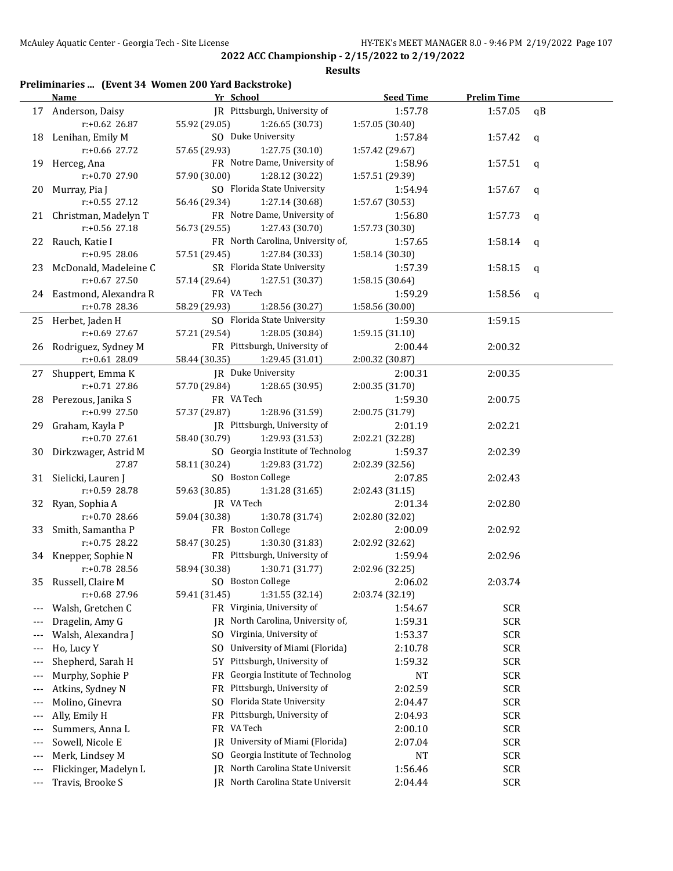#### **Results**

## **Preliminaries ... (Event 34 Women 200 Yard Backstroke)**

|       | <b>Name</b>              | Yr School                                       | <b>Seed Time</b> | <b>Prelim Time</b> |    |
|-------|--------------------------|-------------------------------------------------|------------------|--------------------|----|
|       | 17 Anderson, Daisy       | JR Pittsburgh, University of                    | 1:57.78          | 1:57.05            | qB |
|       | $r: +0.62$ 26.87         | 55.92 (29.05)<br>1:26.65 (30.73)                | 1:57.05 (30.40)  |                    |    |
|       | 18 Lenihan, Emily M      | SO Duke University                              | 1:57.84          | 1:57.42            | q  |
|       | r:+0.66 27.72            | 57.65 (29.93)<br>1:27.75 (30.10)                | 1:57.42 (29.67)  |                    |    |
|       | 19 Herceg, Ana           | FR Notre Dame, University of                    | 1:58.96          | 1:57.51            | q  |
|       | r:+0.70 27.90            | 57.90 (30.00)<br>1:28.12 (30.22)                | 1:57.51 (29.39)  |                    |    |
|       | 20 Murray, Pia J         | SO Florida State University                     | 1:54.94          | 1:57.67            | q  |
|       | r:+0.55 27.12            | 56.46 (29.34)<br>1:27.14 (30.68)                | 1:57.67 (30.53)  |                    |    |
|       | 21 Christman, Madelyn T  | FR Notre Dame, University of                    | 1:56.80          | 1:57.73            | q  |
|       | r:+0.56 27.18            | 56.73 (29.55)<br>1:27.43 (30.70)                | 1:57.73 (30.30)  |                    |    |
|       | 22 Rauch, Katie I        | FR North Carolina, University of,               | 1:57.65          | 1:58.14            | q  |
|       | r:+0.95 28.06            | 57.51 (29.45)<br>1:27.84 (30.33)                | 1:58.14 (30.30)  |                    |    |
|       | 23 McDonald, Madeleine C | SR Florida State University                     | 1:57.39          | 1:58.15            | q  |
|       | $r: +0.67$ 27.50         | 57.14 (29.64)<br>1:27.51 (30.37)                | 1:58.15 (30.64)  |                    |    |
|       | 24 Eastmond, Alexandra R | FR VA Tech                                      | 1:59.29          | 1:58.56            | q  |
|       | r:+0.78 28.36            | 58.29 (29.93)<br>1:28.56 (30.27)                | 1:58.56 (30.00)  |                    |    |
|       | 25 Herbet, Jaden H       | SO Florida State University                     | 1:59.30          | 1:59.15            |    |
|       | r:+0.69 27.67            | 57.21 (29.54)<br>1:28.05 (30.84)                | 1:59.15 (31.10)  |                    |    |
|       | 26 Rodriguez, Sydney M   | FR Pittsburgh, University of                    | 2:00.44          | 2:00.32            |    |
|       | r:+0.61 28.09            | 58.44 (30.35)<br>1:29.45 (31.01)                | 2:00.32 (30.87)  |                    |    |
|       | 27 Shuppert, Emma K      | JR Duke University                              | 2:00.31          | 2:00.35            |    |
|       | r:+0.71 27.86            | 57.70 (29.84)<br>1:28.65 (30.95)                | 2:00.35 (31.70)  |                    |    |
|       | 28 Perezous, Janika S    | FR VA Tech                                      | 1:59.30          | 2:00.75            |    |
|       | r:+0.99 27.50            | 57.37 (29.87)<br>1:28.96 (31.59)                | 2:00.75 (31.79)  |                    |    |
|       | 29 Graham, Kayla P       | JR Pittsburgh, University of                    | 2:01.19          | 2:02.21            |    |
|       | r:+0.70 27.61            | 58.40 (30.79)<br>1:29.93 (31.53)                | 2:02.21 (32.28)  |                    |    |
|       | 30 Dirkzwager, Astrid M  | SO Georgia Institute of Technolog               | 1:59.37          | 2:02.39            |    |
|       | 27.87                    | 58.11 (30.24)<br>1:29.83 (31.72)                | 2:02.39 (32.56)  |                    |    |
|       | 31 Sielicki, Lauren J    | SO Boston College                               | 2:07.85          | 2:02.43            |    |
|       | r:+0.59 28.78            | 59.63 (30.85)<br>1:31.28 (31.65)                | 2:02.43 (31.15)  |                    |    |
|       | 32 Ryan, Sophia A        | JR VA Tech                                      | 2:01.34          | 2:02.80            |    |
|       | r:+0.70 28.66            | 59.04 (30.38)<br>1:30.78 (31.74)                | 2:02.80 (32.02)  |                    |    |
| 33    | Smith, Samantha P        | FR Boston College                               | 2:00.09          | 2:02.92            |    |
|       | $r: +0.75$ 28.22         | 58.47 (30.25)<br>1:30.30 (31.83)                | 2:02.92 (32.62)  |                    |    |
|       | 34 Knepper, Sophie N     | FR Pittsburgh, University of                    | 1:59.94          | 2:02.96            |    |
|       | r:+0.78 28.56            | 58.94 (30.38)<br>1:30.71 (31.77)                | 2:02.96 (32.25)  |                    |    |
|       | 35 Russell, Claire M     | SO Boston College                               | 2:06.02          | 2:03.74            |    |
|       | r:+0.68 27.96            | 1:31.55 (32.14)<br>59.41 (31.45)                | 2:03.74 (32.19)  |                    |    |
| $---$ | Walsh, Gretchen C        | FR Virginia, University of                      | 1:54.67          | <b>SCR</b>         |    |
| $---$ | Dragelin, Amy G          | North Carolina, University of,<br>IR            | 1:59.31          | <b>SCR</b>         |    |
| $---$ | Walsh, Alexandra J       | SO Virginia, University of                      | 1:53.37          | <b>SCR</b>         |    |
| ---   | Ho, Lucy Y               | University of Miami (Florida)<br>S <sub>0</sub> | 2:10.78          | <b>SCR</b>         |    |
| ---   | Shepherd, Sarah H        | Pittsburgh, University of<br>5Y                 | 1:59.32          | <b>SCR</b>         |    |
| ---   | Murphy, Sophie P         | Georgia Institute of Technolog<br>FR            | NT               | <b>SCR</b>         |    |
| $---$ | Atkins, Sydney N         | Pittsburgh, University of<br>FR                 | 2:02.59          | <b>SCR</b>         |    |
| $---$ | Molino, Ginevra          | Florida State University<br>S <sub>0</sub>      | 2:04.47          | <b>SCR</b>         |    |
| ---   | Ally, Emily H            | Pittsburgh, University of<br>FR                 | 2:04.93          | <b>SCR</b>         |    |
| ---   | Summers, Anna L          | VA Tech<br>FR                                   | 2:00.10          | <b>SCR</b>         |    |
| ---   | Sowell, Nicole E         | University of Miami (Florida)<br>IR             | 2:07.04          | <b>SCR</b>         |    |
| ---   | Merk, Lindsey M          | Georgia Institute of Technolog<br>SO.           | NT               | <b>SCR</b>         |    |
|       | Flickinger, Madelyn L    | North Carolina State Universit<br>IR            | 1:56.46          | <b>SCR</b>         |    |
| $---$ | Travis, Brooke S         | JR North Carolina State Universit               | 2:04.44          | <b>SCR</b>         |    |
| ---   |                          |                                                 |                  |                    |    |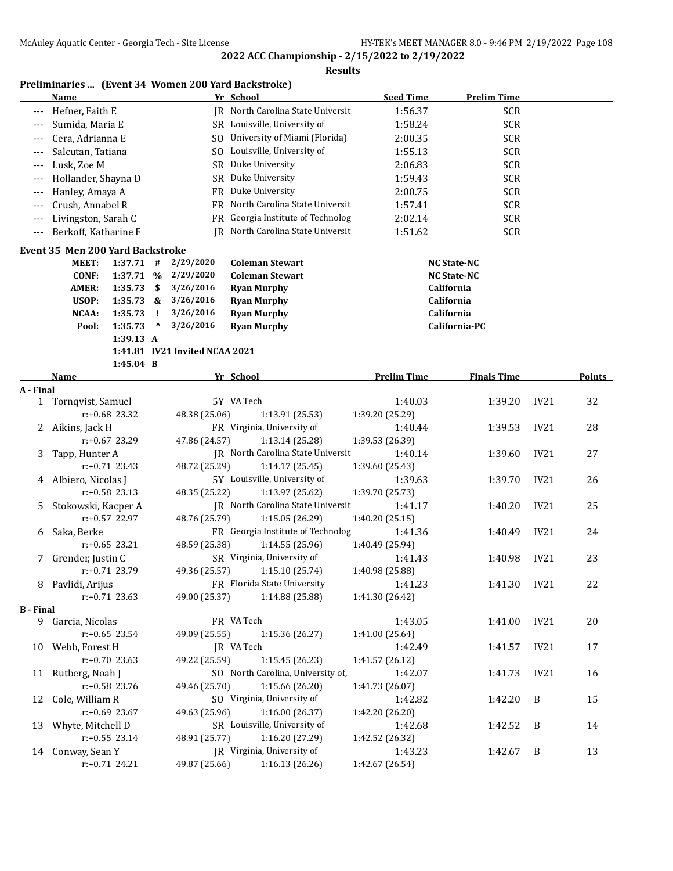| Preliminaries  (Event 34 Women 200 Yard Backstroke) |  |  |  |  |
|-----------------------------------------------------|--|--|--|--|
|-----------------------------------------------------|--|--|--|--|

|                       | <b>Name</b>                             |                    |                                       |                                | Yr School                         | <b>Seed Time</b>   | <b>Prelim Time</b>       |      |        |
|-----------------------|-----------------------------------------|--------------------|---------------------------------------|--------------------------------|-----------------------------------|--------------------|--------------------------|------|--------|
| ---                   | Hefner, Faith E                         |                    |                                       |                                | JR North Carolina State Universit | 1:56.37            | <b>SCR</b>               |      |        |
|                       | Sumida, Maria E                         |                    |                                       |                                | SR Louisville, University of      | 1:58.24            | <b>SCR</b>               |      |        |
|                       | Cera, Adrianna E                        |                    |                                       |                                | SO University of Miami (Florida)  | 2:00.35            | <b>SCR</b>               |      |        |
|                       | Salcutan, Tatiana                       |                    |                                       |                                | SO Louisville, University of      | 1:55.13            | <b>SCR</b>               |      |        |
| $---$                 | Lusk, Zoe M                             |                    |                                       | SR Duke University             | 2:06.83                           | <b>SCR</b>         |                          |      |        |
| $---$                 | Hollander, Shayna D                     |                    |                                       | SR Duke University             | 1:59.43                           | <b>SCR</b>         |                          |      |        |
| ---                   | Hanley, Amaya A                         |                    |                                       |                                | FR Duke University                | 2:00.75            | <b>SCR</b>               |      |        |
| $---$                 | Crush, Annabel R                        |                    |                                       |                                | FR North Carolina State Universit | 1:57.41            | <b>SCR</b>               |      |        |
| $---$                 | Livingston, Sarah C                     |                    |                                       |                                | FR Georgia Institute of Technolog | 2:02.14            | <b>SCR</b>               |      |        |
| ---                   | Berkoff, Katharine F                    |                    |                                       |                                | IR North Carolina State Universit | 1:51.62            | <b>SCR</b>               |      |        |
|                       |                                         |                    |                                       |                                |                                   |                    |                          |      |        |
|                       | <b>Event 35 Men 200 Yard Backstroke</b> |                    |                                       |                                |                                   |                    |                          |      |        |
|                       | <b>MEET:</b>                            | $1:37.71$ #        |                                       | 2/29/2020                      | <b>Coleman Stewart</b>            |                    | <b>NC State-NC</b>       |      |        |
|                       | <b>CONF:</b>                            | 1:37.71 %          |                                       | 2/29/2020                      | <b>Coleman Stewart</b>            |                    | <b>NC State-NC</b>       |      |        |
|                       | AMER:                                   | 1:35.73            | -\$                                   | 3/26/2016                      | <b>Ryan Murphy</b>                |                    | California               |      |        |
|                       | USOP:<br><b>NCAA:</b>                   | 1:35.73            | &                                     | 3/26/2016<br>3/26/2016         | <b>Ryan Murphy</b>                |                    | California<br>California |      |        |
|                       |                                         | 1:35.73<br>1:35.73 | Ţ.<br>$\boldsymbol{\mathsf{\Lambda}}$ | 3/26/2016                      | <b>Ryan Murphy</b>                |                    | California-PC            |      |        |
|                       | Pool:                                   | 1:39.13 A          |                                       |                                | <b>Ryan Murphy</b>                |                    |                          |      |        |
|                       |                                         |                    |                                       | 1:41.81 IV21 Invited NCAA 2021 |                                   |                    |                          |      |        |
|                       |                                         | 1:45.04 B          |                                       |                                |                                   |                    |                          |      |        |
|                       | Name                                    |                    |                                       |                                | Yr School                         | <b>Prelim Time</b> | <b>Finals Time</b>       |      | Points |
| A - Final             |                                         |                    |                                       |                                |                                   |                    |                          |      |        |
|                       | 1 Tornqvist, Samuel                     |                    |                                       |                                | 5Y VA Tech                        | 1:40.03            | 1:39.20                  | IV21 | 32     |
|                       |                                         | r:+0.68 23.32      |                                       | 48.38 (25.06)                  | 1:13.91 (25.53)                   | 1:39.20 (25.29)    |                          |      |        |
| 2                     | Aikins, Jack H                          |                    |                                       |                                | FR Virginia, University of        | 1:40.44            | 1:39.53                  | IV21 | 28     |
|                       |                                         | r:+0.67 23.29      |                                       | 47.86 (24.57)                  | 1:13.14 (25.28)                   | 1:39.53 (26.39)    |                          |      |        |
| 3                     | Tapp, Hunter A                          |                    |                                       |                                | JR North Carolina State Universit | 1:40.14            | 1:39.60                  | IV21 | 27     |
|                       |                                         | $r: +0.71$ 23.43   |                                       | 48.72 (25.29)                  | 1:14.17 (25.45)                   | 1:39.60 (25.43)    |                          |      |        |
| 4                     | Albiero, Nicolas J                      |                    |                                       |                                | 5Y Louisville, University of      | 1:39.63            | 1:39.70                  | IV21 | 26     |
|                       |                                         | $r: +0.58$ 23.13   |                                       | 48.35 (25.22)                  | 1:13.97 (25.62)                   | 1:39.70 (25.73)    |                          |      |        |
| 5                     | Stokowski, Kacper A                     |                    |                                       |                                | JR North Carolina State Universit | 1:41.17            | 1:40.20                  | IV21 | 25     |
|                       |                                         | r:+0.57 22.97      |                                       | 48.76 (25.79)                  | 1:15.05 (26.29)                   | 1:40.20 (25.15)    |                          |      |        |
| 6                     | Saka, Berke                             |                    |                                       |                                | FR Georgia Institute of Technolog | 1:41.36            | 1:40.49                  | IV21 | 24     |
|                       |                                         | $r: +0.65$ 23.21   |                                       | 48.59 (25.38)                  | 1:14.55 (25.96)                   | 1:40.49 (25.94)    |                          |      |        |
| 7                     | Grender, Justin C                       |                    |                                       |                                | SR Virginia, University of        | 1:41.43            | 1:40.98                  | IV21 | 23     |
|                       |                                         | $r: +0.71$ 23.79   |                                       | 49.36 (25.57)                  | 1:15.10 (25.74)                   | 1:40.98 (25.88)    |                          |      |        |
|                       | 8 Pavlidi, Arijus                       |                    |                                       |                                | FR Florida State University       | 1:41.23            | 1:41.30                  | IV21 | 22     |
|                       |                                         | $r: +0.71$ 23.63   |                                       | 49.00 (25.37)                  | 1:14.88 (25.88)                   | 1:41.30 (26.42)    |                          |      |        |
| <b>B</b> - Final      |                                         |                    |                                       |                                |                                   |                    |                          |      |        |
|                       | 9 Garcia, Nicolas                       |                    |                                       |                                | FR VA Tech                        | 1:43.05            | 1:41.00                  | IV21 | 20     |
|                       |                                         | $r: +0.65$ 23.54   |                                       | 49.09 (25.55)                  | 1:15.36 (26.27)                   | 1:41.00 (25.64)    |                          |      |        |
|                       | 10 Webb, Forest H                       |                    |                                       |                                | JR VA Tech                        | 1:42.49            | 1:41.57                  | IV21 | 17     |
|                       |                                         | r:+0.70 23.63      |                                       | 49.22 (25.59)                  | 1:15.45 (26.23)                   | 1:41.57 (26.12)    |                          |      |        |
| 11                    | Rutberg, Noah J                         |                    |                                       |                                | SO North Carolina, University of, | 1:42.07            | 1:41.73                  | IV21 | 16     |
|                       |                                         | r:+0.58 23.76      |                                       | 49.46 (25.70)                  | 1:15.66 (26.20)                   | 1:41.73 (26.07)    |                          |      |        |
| Cole, William R<br>12 |                                         |                    |                                       |                                | SO Virginia, University of        | 1:42.82            | 1:42.20                  | B    | 15     |
|                       | $r: +0.69$ 23.67                        |                    |                                       | 49.63 (25.96)                  | 1:16.00 (26.37)                   | 1:42.20 (26.20)    |                          |      |        |
| 13                    | Whyte, Mitchell D                       |                    |                                       |                                | SR Louisville, University of      | 1:42.68            | 1:42.52                  | B    | 14     |
|                       |                                         | $r: +0.55$ 23.14   |                                       | 48.91 (25.77)                  | 1:16.20 (27.29)                   | 1:42.52 (26.32)    |                          |      |        |
|                       | 14 Conway, Sean Y                       |                    |                                       |                                | JR Virginia, University of        | 1:43.23            | 1:42.67                  | B    | 13     |
|                       |                                         | r:+0.71 24.21      |                                       | 49.87 (25.66)                  | 1:16.13 (26.26)                   | 1:42.67 (26.54)    |                          |      |        |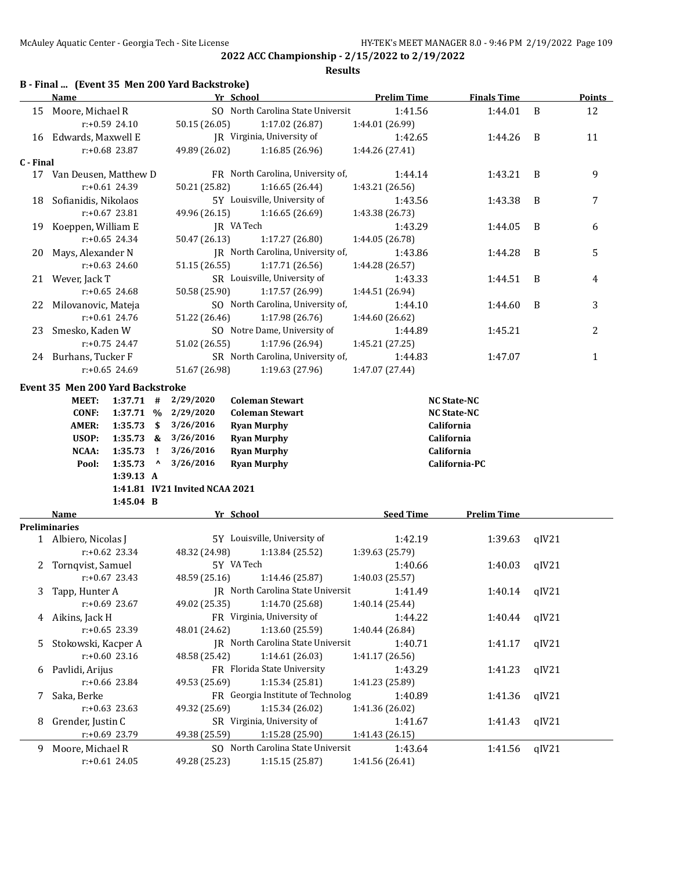|           |                                  |                  |           |                                               | <b>Results</b>                    |                    |                    |       |               |
|-----------|----------------------------------|------------------|-----------|-----------------------------------------------|-----------------------------------|--------------------|--------------------|-------|---------------|
|           | <b>Name</b>                      |                  |           | B - Final  (Event 35 Men 200 Yard Backstroke) | Yr School                         | <b>Prelim Time</b> | <b>Finals Time</b> |       | <b>Points</b> |
| 15        | Moore, Michael R                 |                  |           |                                               | SO North Carolina State Universit | 1:41.56            | 1:44.01            | B     | 12            |
|           |                                  | $r: +0.59$ 24.10 |           | 50.15 (26.05)                                 | 1:17.02 (26.87)                   | 1:44.01 (26.99)    |                    |       |               |
|           | 16 Edwards, Maxwell E            |                  |           |                                               | JR Virginia, University of        | 1:42.65            | 1:44.26            | B     | 11            |
|           |                                  | $r: +0.68$ 23.87 |           | 49.89 (26.02)                                 | 1:16.85(26.96)                    | 1:44.26 (27.41)    |                    |       |               |
| C - Final |                                  |                  |           |                                               |                                   |                    |                    |       |               |
|           | 17 Van Deusen, Matthew D         |                  |           |                                               | FR North Carolina, University of, | 1:44.14            | 1:43.21            | B     | 9             |
|           |                                  | $r: +0.61$ 24.39 |           | 50.21 (25.82)                                 | 1:16.65(26.44)                    | 1:43.21 (26.56)    |                    |       |               |
| 18        | Sofianidis, Nikolaos             |                  |           |                                               | 5Y Louisville, University of      | 1:43.56            | 1:43.38            | B     | 7             |
|           |                                  | r:+0.67 23.81    |           | 49.96 (26.15)                                 | 1:16.65(26.69)                    | 1:43.38 (26.73)    |                    |       |               |
| 19        | Koeppen, William E               |                  |           |                                               | JR VA Tech                        | 1:43.29            | 1:44.05            | B     | 6             |
|           |                                  | $r: +0.65$ 24.34 |           | 50.47 (26.13)                                 | 1:17.27 (26.80)                   | 1:44.05 (26.78)    |                    |       |               |
| 20        | Mays, Alexander N                |                  |           |                                               | JR North Carolina, University of, | 1:43.86            | 1:44.28            | B     | 5             |
|           |                                  | $r: +0.63$ 24.60 |           | 51.15 (26.55)                                 | 1:17.71 (26.56)                   | 1:44.28 (26.57)    |                    |       |               |
| 21        | Wever, Jack T                    |                  |           |                                               | SR Louisville, University of      | 1:43.33            | 1:44.51            | B     | 4             |
|           |                                  | $r: +0.65$ 24.68 |           | 50.58 (25.90)                                 | 1:17.57 (26.99)                   | 1:44.51 (26.94)    |                    |       |               |
| 22        | Milovanovic, Mateja              |                  |           |                                               | SO North Carolina, University of, | 1:44.10            | 1:44.60            | B     | 3             |
|           |                                  | $r: +0.61$ 24.76 |           | 51.22 (26.46)                                 | 1:17.98 (26.76)                   | 1:44.60 (26.62)    |                    |       |               |
| 23        | Smesko, Kaden W                  |                  |           |                                               | SO Notre Dame, University of      | 1:44.89            | 1:45.21            |       | 2             |
|           |                                  | $r: +0.75$ 24.47 |           | 51.02 (26.55)                                 | 1:17.96 (26.94)                   | 1:45.21 (27.25)    |                    |       |               |
|           | 24 Burhans, Tucker F             |                  |           |                                               | SR North Carolina, University of, | 1:44.83            | 1:47.07            |       | 1             |
|           |                                  | $r: +0.65$ 24.69 |           | 51.67 (26.98)                                 | 1:19.63 (27.96)                   | 1:47.07 (27.44)    |                    |       |               |
|           |                                  |                  |           |                                               |                                   |                    |                    |       |               |
|           | Event 35 Men 200 Yard Backstroke |                  |           |                                               |                                   |                    |                    |       |               |
|           | <b>MEET:</b>                     | $1:37.71$ #      |           | 2/29/2020                                     | <b>Coleman Stewart</b>            |                    | <b>NC State-NC</b> |       |               |
|           | <b>CONF:</b>                     | 1:37.71 %        |           | 2/29/2020                                     | <b>Coleman Stewart</b>            |                    | <b>NC State-NC</b> |       |               |
|           | AMER:                            | 1:35.73          | - \$      | 3/26/2016                                     | <b>Ryan Murphy</b>                |                    | California         |       |               |
|           | USOP:                            | $1:35.73$ &      |           | 3/26/2016                                     | <b>Ryan Murphy</b>                |                    | California         |       |               |
|           | NCAA:                            | 1:35.73          | - 1       | 3/26/2016                                     | <b>Ryan Murphy</b>                |                    | California         |       |               |
|           | Pool:                            | 1:35.73          | $\lambda$ | 3/26/2016                                     | <b>Ryan Murphy</b>                |                    | California-PC      |       |               |
|           |                                  | 1:39.13 A        |           |                                               |                                   |                    |                    |       |               |
|           |                                  |                  |           | 1:41.81 IV21 Invited NCAA 2021                |                                   |                    |                    |       |               |
|           |                                  | $1:45.04$ B      |           |                                               |                                   |                    |                    |       |               |
|           | Name                             |                  |           |                                               | Yr School                         | <b>Seed Time</b>   | <b>Prelim Time</b> |       |               |
|           | <b>Preliminaries</b>             |                  |           |                                               |                                   |                    |                    |       |               |
|           | 1 Albiero, Nicolas J             |                  |           |                                               | 5Y Louisville, University of      | 1:42.19            | 1:39.63            | qIV21 |               |
|           |                                  | $r: +0.62$ 23.34 |           | 48.32 (24.98)                                 | 1:13.84 (25.52)                   | 1:39.63 (25.79)    |                    |       |               |
|           | 2 Tornqvist, Samuel              |                  |           |                                               | 5Y VA Tech                        | 1:40.66            | 1:40.03            | qIV21 |               |
|           |                                  | $r: +0.67$ 23.43 |           | 48.59 (25.16)                                 | 1:14.46 (25.87)                   | 1:40.03 (25.57)    |                    |       |               |
| 3         | Tapp, Hunter A                   |                  |           |                                               | IR North Carolina State Universit | 1:41.49            | 1:40.14            | qIV21 |               |
|           |                                  | r:+0.69 23.67    |           | 49.02 (25.35)                                 | 1:14.70 (25.68)                   | 1:40.14 (25.44)    |                    |       |               |
| 4         | Aikins, Jack H                   |                  |           |                                               | FR Virginia, University of        | 1:44.22            | 1:40.44            | qIV21 |               |
|           |                                  | r:+0.65 23.39    |           | 48.01 (24.62)                                 | 1:13.60 (25.59)                   | 1:40.44 (26.84)    |                    |       |               |
| 5         | Stokowski, Kacper A              |                  |           |                                               | IR North Carolina State Universit | 1:40.71            | 1:41.17            | qIV21 |               |
|           |                                  | $r: +0.60$ 23.16 |           | 48.58 (25.42)                                 | 1:14.61 (26.03)                   | 1:41.17 (26.56)    |                    |       |               |
| 6         | Pavlidi, Arijus                  |                  |           |                                               | FR Florida State University       | 1:43.29            | 1:41.23            | qIV21 |               |
|           |                                  | r:+0.66 23.84    |           | 49.53 (25.69)                                 | 1:15.34 (25.81)                   | 1:41.23 (25.89)    |                    |       |               |
| 7         | Saka, Berke                      |                  |           |                                               | FR Georgia Institute of Technolog | 1:40.89            | 1:41.36            | qIV21 |               |
|           |                                  | $r: +0.63$ 23.63 |           | 49.32 (25.69)                                 | 1:15.34 (26.02)                   | 1:41.36 (26.02)    |                    |       |               |
| 8         | Grender, Justin C                |                  |           |                                               | SR Virginia, University of        | 1:41.67            | 1:41.43            | qIV21 |               |
|           |                                  | r:+0.69 23.79    |           | 49.38 (25.59)                                 | 1:15.28 (25.90)                   | 1:41.43 (26.15)    |                    |       |               |
|           | 9 Moore, Michael R               |                  |           |                                               | SO North Carolina State Universit | 1:43.64            | 1:41.56            | qIV21 |               |

r:+0.61 24.05 49.28 (25.23) 1:15.15 (25.87) 1:41.56 (26.41)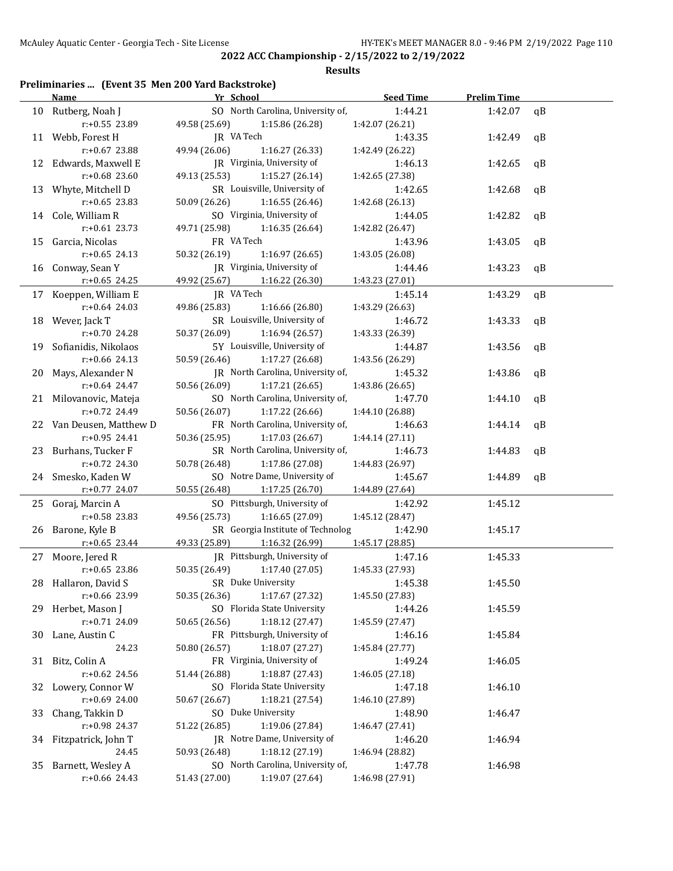**Results**

## **Preliminaries ... (Event 35 Men 200 Yard Backstroke)**

|    | <b>Name</b>              | Yr School                         | Seed Time       | <b>Prelim Time</b> |              |
|----|--------------------------|-----------------------------------|-----------------|--------------------|--------------|
|    | 10 Rutberg, Noah J       | SO North Carolina, University of, | 1:44.21         | 1:42.07            | qB           |
|    | r:+0.55 23.89            | 49.58 (25.69) 1:15.86 (26.28)     | 1:42.07 (26.21) |                    |              |
|    | 11 Webb, Forest H        | JR VA Tech                        | 1:43.35         | 1:42.49            | qB           |
|    | $r: +0.67$ 23.88         | 49.94 (26.06)<br>1:16.27(26.33)   | 1:42.49 (26.22) |                    |              |
|    | 12 Edwards, Maxwell E    | JR Virginia, University of        | 1:46.13         | 1:42.65            | $\mathsf{q}$ |
|    | r:+0.68 23.60            | 49.13 (25.53)<br>1:15.27(26.14)   | 1:42.65 (27.38) |                    |              |
|    | 13 Whyte, Mitchell D     | SR Louisville, University of      | 1:42.65         | 1:42.68            | qB           |
|    | $r: +0.65$ 23.83         | 50.09 (26.26)<br>1:16.55(26.46)   | 1:42.68 (26.13) |                    |              |
|    | 14 Cole, William R       | SO Virginia, University of        | 1:44.05         | 1:42.82            | qB           |
|    | $r: +0.61$ 23.73         | 49.71 (25.98)                     | 1:42.82 (26.47) |                    |              |
|    |                          | 1:16.35 (26.64)                   |                 |                    |              |
|    | 15 Garcia, Nicolas       | FR VA Tech                        | 1:43.96         | 1:43.05            | qB           |
|    | $r: +0.65$ 24.13         | 50.32 (26.19)<br>1:16.97 (26.65)  | 1:43.05 (26.08) |                    |              |
|    | 16 Conway, Sean Y        | JR Virginia, University of        | 1:44.46         | 1:43.23            | qB           |
|    | $r: +0.65$ 24.25         | 49.92 (25.67) 1:16.22 (26.30)     | 1:43.23 (27.01) |                    |              |
|    | 17 Koeppen, William E    | JR VA Tech                        | 1:45.14         | 1:43.29            | qB           |
|    | $r: +0.64$ 24.03         | 49.86 (25.83)<br>1:16.66 (26.80)  | 1:43.29 (26.63) |                    |              |
|    | 18 Wever, Jack T         | SR Louisville, University of      | 1:46.72         | 1:43.33            | qB           |
|    | r:+0.70 24.28            | 50.37 (26.09)<br>1:16.94 (26.57)  | 1:43.33 (26.39) |                    |              |
|    | 19 Sofianidis, Nikolaos  | 5Y Louisville, University of      | 1:44.87         | 1:43.56            | qB           |
|    | $r: +0.66$ 24.13         | 50.59 (26.46)<br>1:17.27(26.68)   | 1:43.56 (26.29) |                    |              |
|    | 20 Mays, Alexander N     | JR North Carolina, University of, | 1:45.32         | 1:43.86            | qB           |
|    | $r: +0.64$ 24.47         | 50.56 (26.09)<br>1:17.21(26.65)   | 1:43.86(26.65)  |                    |              |
|    | 21 Milovanovic, Mateja   | SO North Carolina, University of, | 1:47.70         | 1:44.10            | qB           |
|    | r:+0.72 24.49            | 50.56 (26.07)<br>1:17.22 (26.66)  | 1:44.10 (26.88) |                    |              |
|    | 22 Van Deusen, Matthew D | FR North Carolina, University of, | 1:46.63         | 1:44.14            | qB           |
|    | r:+0.95 24.41            | 50.36 (25.95)<br>1:17.03 (26.67)  | 1:44.14 (27.11) |                    |              |
|    | 23 Burhans, Tucker F     | SR North Carolina, University of, | 1:46.73         | 1:44.83            | qB           |
|    | $r: +0.72$ 24.30         | 50.78 (26.48)<br>1:17.86 (27.08)  | 1:44.83 (26.97) |                    |              |
|    | 24 Smesko, Kaden W       | SO Notre Dame, University of      | 1:45.67         | 1:44.89            | qB           |
|    | r:+0.77 24.07            | 50.55 (26.48)<br>1:17.25 (26.70)  | 1:44.89 (27.64) |                    |              |
|    | 25 Goraj, Marcin A       | SO Pittsburgh, University of      | 1:42.92         | 1:45.12            |              |
|    | $r: +0.58$ 23.83         | 49.56 (25.73)<br>1:16.65 (27.09)  | 1:45.12 (28.47) |                    |              |
|    | 26 Barone, Kyle B        | SR Georgia Institute of Technolog | 1:42.90         | 1:45.17            |              |
|    |                          | 49.33 (25.89)                     |                 |                    |              |
|    | $r: +0.65$ 23.44         | 1:16.32(26.99)                    | 1:45.17 (28.85) |                    |              |
|    | 27 Moore, Jered R        | IR Pittsburgh, University of      | 1:47.16         | 1:45.33            |              |
|    | $r: +0.65$ 23.86         | 1:17.40 (27.05)<br>50.35 (26.49)  | 1:45.33 (27.93) |                    |              |
|    | 28 Hallaron, David S     | SR Duke University                | 1:45.38         | 1:45.50            |              |
|    | r:+0.66 23.99            | 1:17.67 (27.32)<br>50.35 (26.36)  | 1:45.50 (27.83) |                    |              |
|    | 29 Herbet, Mason J       | SO Florida State University       | 1:44.26         | 1:45.59            |              |
|    | r:+0.71 24.09            | 1:18.12 (27.47)<br>50.65 (26.56)  | 1:45.59 (27.47) |                    |              |
|    | 30 Lane, Austin C        | FR Pittsburgh, University of      | 1:46.16         | 1:45.84            |              |
|    | 24.23                    | 50.80 (26.57)<br>1:18.07 (27.27)  | 1:45.84 (27.77) |                    |              |
|    | 31 Bitz, Colin A         | FR Virginia, University of        | 1:49.24         | 1:46.05            |              |
|    | r:+0.62 24.56            | 51.44 (26.88)<br>1:18.87 (27.43)  | 1:46.05 (27.18) |                    |              |
| 32 | Lowery, Connor W         | SO Florida State University       | 1:47.18         | 1:46.10            |              |
|    | r:+0.69 24.00            | 50.67 (26.67)<br>1:18.21(27.54)   | 1:46.10 (27.89) |                    |              |
| 33 | Chang, Takkin D          | SO Duke University                | 1:48.90         | 1:46.47            |              |
|    | r:+0.98 24.37            | 51.22 (26.85)<br>1:19.06 (27.84)  | 1:46.47 (27.41) |                    |              |
| 34 | Fitzpatrick, John T      | JR Notre Dame, University of      | 1:46.20         | 1:46.94            |              |
|    | 24.45                    | 50.93 (26.48)<br>1:18.12 (27.19)  | 1:46.94 (28.82) |                    |              |
| 35 | Barnett, Wesley A        | SO North Carolina, University of, | 1:47.78         | 1:46.98            |              |
|    | r:+0.66 24.43            | 1:19.07 (27.64)<br>51.43 (27.00)  | 1:46.98 (27.91) |                    |              |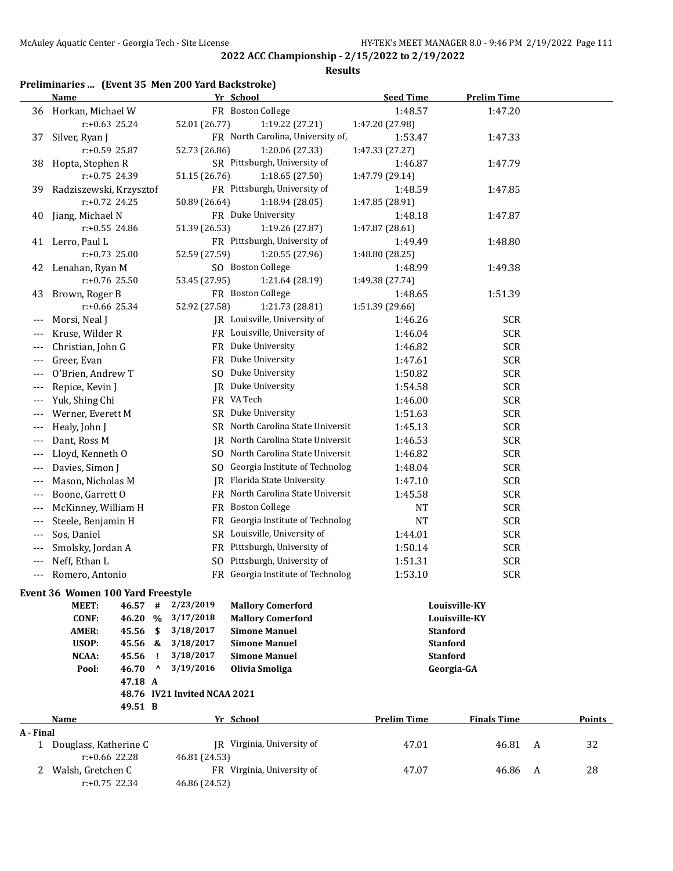**Results**

## **Preliminaries ... (Event 35 Men 200 Yard Backstroke)**

| FR Boston College<br>1:48.57<br>1:47.20<br>36 Horkan, Michael W<br>$r: +0.63$ 25.24<br>52.01 (26.77)<br>1:47.20 (27.98)<br>1:19.22 (27.21)<br>FR North Carolina, University of,<br>1:53.47<br>Silver, Ryan J<br>1:47.33<br>37<br>r:+0.59 25.87<br>52.73 (26.86)<br>1:20.06 (27.33)<br>1:47.33 (27.27)<br>SR Pittsburgh, University of<br>Hopta, Stephen R<br>1:46.87<br>1:47.79<br>38<br>r:+0.75 24.39<br>51.15 (26.76)<br>1:18.65 (27.50)<br>1:47.79 (29.14)<br>FR Pittsburgh, University of<br>Radziszewski, Krzysztof<br>1:48.59<br>1:47.85<br>39<br>$r: +0.72$ 24.25<br>50.89 (26.64)<br>1:18.94 (28.05)<br>1:47.85 (28.91)<br>FR Duke University<br>Jiang, Michael N<br>1:48.18<br>1:47.87<br>40<br>$r: +0.55$ 24.86<br>51.39 (26.53)<br>1:19.26 (27.87)<br>1:47.87 (28.61)<br>FR Pittsburgh, University of<br>1:49.49<br>1:48.80<br>41 Lerro, Paul L<br>$r: +0.73$ 25.00<br>52.59 (27.59)<br>1:20.55 (27.96)<br>1:48.80 (28.25)<br>SO Boston College<br>1:49.38<br>Lenahan, Ryan M<br>1:48.99<br>42<br>1:21.64 (28.19)<br>$r: +0.76$ 25.50<br>53.45 (27.95)<br>1:49.38 (27.74)<br>FR Boston College<br>1:51.39<br>Brown, Roger B<br>1:48.65<br>43<br>1:51.39 (29.66)<br>$r: +0.66$ 25.34<br>52.92 (27.58)<br>1:21.73 (28.81)<br>JR Louisville, University of<br><b>SCR</b><br>Morsi, Neal J<br>1:46.26<br>$---$<br>FR Louisville, University of<br><b>SCR</b><br>1:46.04<br>Kruse, Wilder R<br>$---$<br><b>SCR</b><br>FR Duke University<br>1:46.82<br>Christian, John G<br>$---$<br>FR Duke University<br><b>SCR</b><br>Greer, Evan<br>1:47.61<br>---<br>SO Duke University<br><b>SCR</b><br>O'Brien, Andrew T<br>1:50.82<br>---<br>JR Duke University<br><b>SCR</b><br>1:54.58<br>Repice, Kevin J<br>$---$<br>FR VA Tech<br><b>SCR</b><br>Yuk, Shing Chi<br>1:46.00<br>$---$<br>SR Duke University<br><b>SCR</b><br>Werner, Everett M<br>1:51.63<br>$---$<br>SR North Carolina State Universit<br><b>SCR</b><br>Healy, John J<br>1:45.13<br>$---$<br>JR North Carolina State Universit<br><b>SCR</b><br>Dant, Ross M<br>1:46.53<br>$---$<br>SO North Carolina State Universit<br><b>SCR</b><br>Lloyd, Kenneth O<br>1:46.82<br>$---$<br>SO Georgia Institute of Technolog<br><b>SCR</b><br>Davies, Simon J<br>1:48.04<br>$---$<br>JR Florida State University<br><b>SCR</b><br>Mason, Nicholas M<br>1:47.10<br>$---$<br>FR North Carolina State Universit<br><b>SCR</b><br>Boone, Garrett O<br>1:45.58<br>$---$<br><b>Boston College</b><br><b>SCR</b><br>McKinney, William H<br>FR<br>NT<br>$---$<br>Georgia Institute of Technolog<br><b>SCR</b><br>Steele, Benjamin H<br><b>NT</b><br>FR<br>$---$<br>SR Louisville, University of<br><b>SCR</b><br>Sos, Daniel<br>1:44.01<br>$---$<br>FR Pittsburgh, University of<br>Smolsky, Jordan A<br>1:50.14<br><b>SCR</b><br>$---$<br>SO Pittsburgh, University of<br><b>SCR</b><br>Neff, Ethan L<br>1:51.31<br>---<br>FR Georgia Institute of Technolog<br>1:53.10<br><b>SCR</b><br>Romero, Antonio<br>---<br>Event 36 Women 100 Yard Freestyle<br>MEET:<br>46.57<br>#<br>2/23/2019<br><b>Mallory Comerford</b><br>Louisville-KY<br>3/17/2018<br><b>CONF:</b><br>46.20<br>$\%$<br><b>Mallory Comerford</b><br>Louisville-KY<br>\$<br>3/18/2017<br>45.56<br><b>Simone Manuel</b><br><b>AMER:</b><br><b>Stanford</b><br>USOP:<br>45.56 &<br>3/18/2017<br><b>Simone Manuel</b><br><b>Stanford</b><br>3/18/2017<br>NCAA:<br>45.56<br>$\mathbf{I}$<br><b>Simone Manuel</b><br><b>Stanford</b><br>46.70<br>3/19/2016<br>$\boldsymbol{\mathsf{\Lambda}}$<br>Olivia Smoliga<br>Pool:<br>Georgia-GA<br>47.18 A<br>48.76 IV21 Invited NCAA 2021<br>49.51 B<br>Yr School<br><b>Prelim Time</b><br><b>Finals Time</b><br>Points<br>Name<br>A - Final<br>JR Virginia, University of<br>46.81<br>32<br>1 Douglass, Katherine C<br>47.01<br>A<br>r:+0.66 22.28<br>46.81 (24.53)<br>FR Virginia, University of<br>2 Walsh, Gretchen C<br>28<br>47.07<br>46.86<br>A<br>$r: +0.75$ 22.34<br>46.86 (24.52) | <b>Name</b> |  | Yr School | <b>Seed Time</b> | <b>Prelim Time</b> |  |
|-------------------------------------------------------------------------------------------------------------------------------------------------------------------------------------------------------------------------------------------------------------------------------------------------------------------------------------------------------------------------------------------------------------------------------------------------------------------------------------------------------------------------------------------------------------------------------------------------------------------------------------------------------------------------------------------------------------------------------------------------------------------------------------------------------------------------------------------------------------------------------------------------------------------------------------------------------------------------------------------------------------------------------------------------------------------------------------------------------------------------------------------------------------------------------------------------------------------------------------------------------------------------------------------------------------------------------------------------------------------------------------------------------------------------------------------------------------------------------------------------------------------------------------------------------------------------------------------------------------------------------------------------------------------------------------------------------------------------------------------------------------------------------------------------------------------------------------------------------------------------------------------------------------------------------------------------------------------------------------------------------------------------------------------------------------------------------------------------------------------------------------------------------------------------------------------------------------------------------------------------------------------------------------------------------------------------------------------------------------------------------------------------------------------------------------------------------------------------------------------------------------------------------------------------------------------------------------------------------------------------------------------------------------------------------------------------------------------------------------------------------------------------------------------------------------------------------------------------------------------------------------------------------------------------------------------------------------------------------------------------------------------------------------------------------------------------------------------------------------------------------------------------------------------------------------------------------------------------------------------------------------------------------------------------------------------------------------------------------------------------------------------------------------------------------------------------------------------------------------------------------------------------------------------------------------------------------------------------------------------------------------------------------------------------------------------------------------------------------------------------------------------------------------------------------------------------------------------------------------------------------------------------------------------------------------------|-------------|--|-----------|------------------|--------------------|--|
|                                                                                                                                                                                                                                                                                                                                                                                                                                                                                                                                                                                                                                                                                                                                                                                                                                                                                                                                                                                                                                                                                                                                                                                                                                                                                                                                                                                                                                                                                                                                                                                                                                                                                                                                                                                                                                                                                                                                                                                                                                                                                                                                                                                                                                                                                                                                                                                                                                                                                                                                                                                                                                                                                                                                                                                                                                                                                                                                                                                                                                                                                                                                                                                                                                                                                                                                                                                                                                                                                                                                                                                                                                                                                                                                                                                                                                                                                                                                           |             |  |           |                  |                    |  |
|                                                                                                                                                                                                                                                                                                                                                                                                                                                                                                                                                                                                                                                                                                                                                                                                                                                                                                                                                                                                                                                                                                                                                                                                                                                                                                                                                                                                                                                                                                                                                                                                                                                                                                                                                                                                                                                                                                                                                                                                                                                                                                                                                                                                                                                                                                                                                                                                                                                                                                                                                                                                                                                                                                                                                                                                                                                                                                                                                                                                                                                                                                                                                                                                                                                                                                                                                                                                                                                                                                                                                                                                                                                                                                                                                                                                                                                                                                                                           |             |  |           |                  |                    |  |
|                                                                                                                                                                                                                                                                                                                                                                                                                                                                                                                                                                                                                                                                                                                                                                                                                                                                                                                                                                                                                                                                                                                                                                                                                                                                                                                                                                                                                                                                                                                                                                                                                                                                                                                                                                                                                                                                                                                                                                                                                                                                                                                                                                                                                                                                                                                                                                                                                                                                                                                                                                                                                                                                                                                                                                                                                                                                                                                                                                                                                                                                                                                                                                                                                                                                                                                                                                                                                                                                                                                                                                                                                                                                                                                                                                                                                                                                                                                                           |             |  |           |                  |                    |  |
|                                                                                                                                                                                                                                                                                                                                                                                                                                                                                                                                                                                                                                                                                                                                                                                                                                                                                                                                                                                                                                                                                                                                                                                                                                                                                                                                                                                                                                                                                                                                                                                                                                                                                                                                                                                                                                                                                                                                                                                                                                                                                                                                                                                                                                                                                                                                                                                                                                                                                                                                                                                                                                                                                                                                                                                                                                                                                                                                                                                                                                                                                                                                                                                                                                                                                                                                                                                                                                                                                                                                                                                                                                                                                                                                                                                                                                                                                                                                           |             |  |           |                  |                    |  |
|                                                                                                                                                                                                                                                                                                                                                                                                                                                                                                                                                                                                                                                                                                                                                                                                                                                                                                                                                                                                                                                                                                                                                                                                                                                                                                                                                                                                                                                                                                                                                                                                                                                                                                                                                                                                                                                                                                                                                                                                                                                                                                                                                                                                                                                                                                                                                                                                                                                                                                                                                                                                                                                                                                                                                                                                                                                                                                                                                                                                                                                                                                                                                                                                                                                                                                                                                                                                                                                                                                                                                                                                                                                                                                                                                                                                                                                                                                                                           |             |  |           |                  |                    |  |
|                                                                                                                                                                                                                                                                                                                                                                                                                                                                                                                                                                                                                                                                                                                                                                                                                                                                                                                                                                                                                                                                                                                                                                                                                                                                                                                                                                                                                                                                                                                                                                                                                                                                                                                                                                                                                                                                                                                                                                                                                                                                                                                                                                                                                                                                                                                                                                                                                                                                                                                                                                                                                                                                                                                                                                                                                                                                                                                                                                                                                                                                                                                                                                                                                                                                                                                                                                                                                                                                                                                                                                                                                                                                                                                                                                                                                                                                                                                                           |             |  |           |                  |                    |  |
|                                                                                                                                                                                                                                                                                                                                                                                                                                                                                                                                                                                                                                                                                                                                                                                                                                                                                                                                                                                                                                                                                                                                                                                                                                                                                                                                                                                                                                                                                                                                                                                                                                                                                                                                                                                                                                                                                                                                                                                                                                                                                                                                                                                                                                                                                                                                                                                                                                                                                                                                                                                                                                                                                                                                                                                                                                                                                                                                                                                                                                                                                                                                                                                                                                                                                                                                                                                                                                                                                                                                                                                                                                                                                                                                                                                                                                                                                                                                           |             |  |           |                  |                    |  |
|                                                                                                                                                                                                                                                                                                                                                                                                                                                                                                                                                                                                                                                                                                                                                                                                                                                                                                                                                                                                                                                                                                                                                                                                                                                                                                                                                                                                                                                                                                                                                                                                                                                                                                                                                                                                                                                                                                                                                                                                                                                                                                                                                                                                                                                                                                                                                                                                                                                                                                                                                                                                                                                                                                                                                                                                                                                                                                                                                                                                                                                                                                                                                                                                                                                                                                                                                                                                                                                                                                                                                                                                                                                                                                                                                                                                                                                                                                                                           |             |  |           |                  |                    |  |
|                                                                                                                                                                                                                                                                                                                                                                                                                                                                                                                                                                                                                                                                                                                                                                                                                                                                                                                                                                                                                                                                                                                                                                                                                                                                                                                                                                                                                                                                                                                                                                                                                                                                                                                                                                                                                                                                                                                                                                                                                                                                                                                                                                                                                                                                                                                                                                                                                                                                                                                                                                                                                                                                                                                                                                                                                                                                                                                                                                                                                                                                                                                                                                                                                                                                                                                                                                                                                                                                                                                                                                                                                                                                                                                                                                                                                                                                                                                                           |             |  |           |                  |                    |  |
|                                                                                                                                                                                                                                                                                                                                                                                                                                                                                                                                                                                                                                                                                                                                                                                                                                                                                                                                                                                                                                                                                                                                                                                                                                                                                                                                                                                                                                                                                                                                                                                                                                                                                                                                                                                                                                                                                                                                                                                                                                                                                                                                                                                                                                                                                                                                                                                                                                                                                                                                                                                                                                                                                                                                                                                                                                                                                                                                                                                                                                                                                                                                                                                                                                                                                                                                                                                                                                                                                                                                                                                                                                                                                                                                                                                                                                                                                                                                           |             |  |           |                  |                    |  |
|                                                                                                                                                                                                                                                                                                                                                                                                                                                                                                                                                                                                                                                                                                                                                                                                                                                                                                                                                                                                                                                                                                                                                                                                                                                                                                                                                                                                                                                                                                                                                                                                                                                                                                                                                                                                                                                                                                                                                                                                                                                                                                                                                                                                                                                                                                                                                                                                                                                                                                                                                                                                                                                                                                                                                                                                                                                                                                                                                                                                                                                                                                                                                                                                                                                                                                                                                                                                                                                                                                                                                                                                                                                                                                                                                                                                                                                                                                                                           |             |  |           |                  |                    |  |
|                                                                                                                                                                                                                                                                                                                                                                                                                                                                                                                                                                                                                                                                                                                                                                                                                                                                                                                                                                                                                                                                                                                                                                                                                                                                                                                                                                                                                                                                                                                                                                                                                                                                                                                                                                                                                                                                                                                                                                                                                                                                                                                                                                                                                                                                                                                                                                                                                                                                                                                                                                                                                                                                                                                                                                                                                                                                                                                                                                                                                                                                                                                                                                                                                                                                                                                                                                                                                                                                                                                                                                                                                                                                                                                                                                                                                                                                                                                                           |             |  |           |                  |                    |  |
|                                                                                                                                                                                                                                                                                                                                                                                                                                                                                                                                                                                                                                                                                                                                                                                                                                                                                                                                                                                                                                                                                                                                                                                                                                                                                                                                                                                                                                                                                                                                                                                                                                                                                                                                                                                                                                                                                                                                                                                                                                                                                                                                                                                                                                                                                                                                                                                                                                                                                                                                                                                                                                                                                                                                                                                                                                                                                                                                                                                                                                                                                                                                                                                                                                                                                                                                                                                                                                                                                                                                                                                                                                                                                                                                                                                                                                                                                                                                           |             |  |           |                  |                    |  |
|                                                                                                                                                                                                                                                                                                                                                                                                                                                                                                                                                                                                                                                                                                                                                                                                                                                                                                                                                                                                                                                                                                                                                                                                                                                                                                                                                                                                                                                                                                                                                                                                                                                                                                                                                                                                                                                                                                                                                                                                                                                                                                                                                                                                                                                                                                                                                                                                                                                                                                                                                                                                                                                                                                                                                                                                                                                                                                                                                                                                                                                                                                                                                                                                                                                                                                                                                                                                                                                                                                                                                                                                                                                                                                                                                                                                                                                                                                                                           |             |  |           |                  |                    |  |
|                                                                                                                                                                                                                                                                                                                                                                                                                                                                                                                                                                                                                                                                                                                                                                                                                                                                                                                                                                                                                                                                                                                                                                                                                                                                                                                                                                                                                                                                                                                                                                                                                                                                                                                                                                                                                                                                                                                                                                                                                                                                                                                                                                                                                                                                                                                                                                                                                                                                                                                                                                                                                                                                                                                                                                                                                                                                                                                                                                                                                                                                                                                                                                                                                                                                                                                                                                                                                                                                                                                                                                                                                                                                                                                                                                                                                                                                                                                                           |             |  |           |                  |                    |  |
|                                                                                                                                                                                                                                                                                                                                                                                                                                                                                                                                                                                                                                                                                                                                                                                                                                                                                                                                                                                                                                                                                                                                                                                                                                                                                                                                                                                                                                                                                                                                                                                                                                                                                                                                                                                                                                                                                                                                                                                                                                                                                                                                                                                                                                                                                                                                                                                                                                                                                                                                                                                                                                                                                                                                                                                                                                                                                                                                                                                                                                                                                                                                                                                                                                                                                                                                                                                                                                                                                                                                                                                                                                                                                                                                                                                                                                                                                                                                           |             |  |           |                  |                    |  |
|                                                                                                                                                                                                                                                                                                                                                                                                                                                                                                                                                                                                                                                                                                                                                                                                                                                                                                                                                                                                                                                                                                                                                                                                                                                                                                                                                                                                                                                                                                                                                                                                                                                                                                                                                                                                                                                                                                                                                                                                                                                                                                                                                                                                                                                                                                                                                                                                                                                                                                                                                                                                                                                                                                                                                                                                                                                                                                                                                                                                                                                                                                                                                                                                                                                                                                                                                                                                                                                                                                                                                                                                                                                                                                                                                                                                                                                                                                                                           |             |  |           |                  |                    |  |
|                                                                                                                                                                                                                                                                                                                                                                                                                                                                                                                                                                                                                                                                                                                                                                                                                                                                                                                                                                                                                                                                                                                                                                                                                                                                                                                                                                                                                                                                                                                                                                                                                                                                                                                                                                                                                                                                                                                                                                                                                                                                                                                                                                                                                                                                                                                                                                                                                                                                                                                                                                                                                                                                                                                                                                                                                                                                                                                                                                                                                                                                                                                                                                                                                                                                                                                                                                                                                                                                                                                                                                                                                                                                                                                                                                                                                                                                                                                                           |             |  |           |                  |                    |  |
|                                                                                                                                                                                                                                                                                                                                                                                                                                                                                                                                                                                                                                                                                                                                                                                                                                                                                                                                                                                                                                                                                                                                                                                                                                                                                                                                                                                                                                                                                                                                                                                                                                                                                                                                                                                                                                                                                                                                                                                                                                                                                                                                                                                                                                                                                                                                                                                                                                                                                                                                                                                                                                                                                                                                                                                                                                                                                                                                                                                                                                                                                                                                                                                                                                                                                                                                                                                                                                                                                                                                                                                                                                                                                                                                                                                                                                                                                                                                           |             |  |           |                  |                    |  |
|                                                                                                                                                                                                                                                                                                                                                                                                                                                                                                                                                                                                                                                                                                                                                                                                                                                                                                                                                                                                                                                                                                                                                                                                                                                                                                                                                                                                                                                                                                                                                                                                                                                                                                                                                                                                                                                                                                                                                                                                                                                                                                                                                                                                                                                                                                                                                                                                                                                                                                                                                                                                                                                                                                                                                                                                                                                                                                                                                                                                                                                                                                                                                                                                                                                                                                                                                                                                                                                                                                                                                                                                                                                                                                                                                                                                                                                                                                                                           |             |  |           |                  |                    |  |
|                                                                                                                                                                                                                                                                                                                                                                                                                                                                                                                                                                                                                                                                                                                                                                                                                                                                                                                                                                                                                                                                                                                                                                                                                                                                                                                                                                                                                                                                                                                                                                                                                                                                                                                                                                                                                                                                                                                                                                                                                                                                                                                                                                                                                                                                                                                                                                                                                                                                                                                                                                                                                                                                                                                                                                                                                                                                                                                                                                                                                                                                                                                                                                                                                                                                                                                                                                                                                                                                                                                                                                                                                                                                                                                                                                                                                                                                                                                                           |             |  |           |                  |                    |  |
|                                                                                                                                                                                                                                                                                                                                                                                                                                                                                                                                                                                                                                                                                                                                                                                                                                                                                                                                                                                                                                                                                                                                                                                                                                                                                                                                                                                                                                                                                                                                                                                                                                                                                                                                                                                                                                                                                                                                                                                                                                                                                                                                                                                                                                                                                                                                                                                                                                                                                                                                                                                                                                                                                                                                                                                                                                                                                                                                                                                                                                                                                                                                                                                                                                                                                                                                                                                                                                                                                                                                                                                                                                                                                                                                                                                                                                                                                                                                           |             |  |           |                  |                    |  |
|                                                                                                                                                                                                                                                                                                                                                                                                                                                                                                                                                                                                                                                                                                                                                                                                                                                                                                                                                                                                                                                                                                                                                                                                                                                                                                                                                                                                                                                                                                                                                                                                                                                                                                                                                                                                                                                                                                                                                                                                                                                                                                                                                                                                                                                                                                                                                                                                                                                                                                                                                                                                                                                                                                                                                                                                                                                                                                                                                                                                                                                                                                                                                                                                                                                                                                                                                                                                                                                                                                                                                                                                                                                                                                                                                                                                                                                                                                                                           |             |  |           |                  |                    |  |
|                                                                                                                                                                                                                                                                                                                                                                                                                                                                                                                                                                                                                                                                                                                                                                                                                                                                                                                                                                                                                                                                                                                                                                                                                                                                                                                                                                                                                                                                                                                                                                                                                                                                                                                                                                                                                                                                                                                                                                                                                                                                                                                                                                                                                                                                                                                                                                                                                                                                                                                                                                                                                                                                                                                                                                                                                                                                                                                                                                                                                                                                                                                                                                                                                                                                                                                                                                                                                                                                                                                                                                                                                                                                                                                                                                                                                                                                                                                                           |             |  |           |                  |                    |  |
|                                                                                                                                                                                                                                                                                                                                                                                                                                                                                                                                                                                                                                                                                                                                                                                                                                                                                                                                                                                                                                                                                                                                                                                                                                                                                                                                                                                                                                                                                                                                                                                                                                                                                                                                                                                                                                                                                                                                                                                                                                                                                                                                                                                                                                                                                                                                                                                                                                                                                                                                                                                                                                                                                                                                                                                                                                                                                                                                                                                                                                                                                                                                                                                                                                                                                                                                                                                                                                                                                                                                                                                                                                                                                                                                                                                                                                                                                                                                           |             |  |           |                  |                    |  |
|                                                                                                                                                                                                                                                                                                                                                                                                                                                                                                                                                                                                                                                                                                                                                                                                                                                                                                                                                                                                                                                                                                                                                                                                                                                                                                                                                                                                                                                                                                                                                                                                                                                                                                                                                                                                                                                                                                                                                                                                                                                                                                                                                                                                                                                                                                                                                                                                                                                                                                                                                                                                                                                                                                                                                                                                                                                                                                                                                                                                                                                                                                                                                                                                                                                                                                                                                                                                                                                                                                                                                                                                                                                                                                                                                                                                                                                                                                                                           |             |  |           |                  |                    |  |
|                                                                                                                                                                                                                                                                                                                                                                                                                                                                                                                                                                                                                                                                                                                                                                                                                                                                                                                                                                                                                                                                                                                                                                                                                                                                                                                                                                                                                                                                                                                                                                                                                                                                                                                                                                                                                                                                                                                                                                                                                                                                                                                                                                                                                                                                                                                                                                                                                                                                                                                                                                                                                                                                                                                                                                                                                                                                                                                                                                                                                                                                                                                                                                                                                                                                                                                                                                                                                                                                                                                                                                                                                                                                                                                                                                                                                                                                                                                                           |             |  |           |                  |                    |  |
|                                                                                                                                                                                                                                                                                                                                                                                                                                                                                                                                                                                                                                                                                                                                                                                                                                                                                                                                                                                                                                                                                                                                                                                                                                                                                                                                                                                                                                                                                                                                                                                                                                                                                                                                                                                                                                                                                                                                                                                                                                                                                                                                                                                                                                                                                                                                                                                                                                                                                                                                                                                                                                                                                                                                                                                                                                                                                                                                                                                                                                                                                                                                                                                                                                                                                                                                                                                                                                                                                                                                                                                                                                                                                                                                                                                                                                                                                                                                           |             |  |           |                  |                    |  |
|                                                                                                                                                                                                                                                                                                                                                                                                                                                                                                                                                                                                                                                                                                                                                                                                                                                                                                                                                                                                                                                                                                                                                                                                                                                                                                                                                                                                                                                                                                                                                                                                                                                                                                                                                                                                                                                                                                                                                                                                                                                                                                                                                                                                                                                                                                                                                                                                                                                                                                                                                                                                                                                                                                                                                                                                                                                                                                                                                                                                                                                                                                                                                                                                                                                                                                                                                                                                                                                                                                                                                                                                                                                                                                                                                                                                                                                                                                                                           |             |  |           |                  |                    |  |
|                                                                                                                                                                                                                                                                                                                                                                                                                                                                                                                                                                                                                                                                                                                                                                                                                                                                                                                                                                                                                                                                                                                                                                                                                                                                                                                                                                                                                                                                                                                                                                                                                                                                                                                                                                                                                                                                                                                                                                                                                                                                                                                                                                                                                                                                                                                                                                                                                                                                                                                                                                                                                                                                                                                                                                                                                                                                                                                                                                                                                                                                                                                                                                                                                                                                                                                                                                                                                                                                                                                                                                                                                                                                                                                                                                                                                                                                                                                                           |             |  |           |                  |                    |  |
|                                                                                                                                                                                                                                                                                                                                                                                                                                                                                                                                                                                                                                                                                                                                                                                                                                                                                                                                                                                                                                                                                                                                                                                                                                                                                                                                                                                                                                                                                                                                                                                                                                                                                                                                                                                                                                                                                                                                                                                                                                                                                                                                                                                                                                                                                                                                                                                                                                                                                                                                                                                                                                                                                                                                                                                                                                                                                                                                                                                                                                                                                                                                                                                                                                                                                                                                                                                                                                                                                                                                                                                                                                                                                                                                                                                                                                                                                                                                           |             |  |           |                  |                    |  |
|                                                                                                                                                                                                                                                                                                                                                                                                                                                                                                                                                                                                                                                                                                                                                                                                                                                                                                                                                                                                                                                                                                                                                                                                                                                                                                                                                                                                                                                                                                                                                                                                                                                                                                                                                                                                                                                                                                                                                                                                                                                                                                                                                                                                                                                                                                                                                                                                                                                                                                                                                                                                                                                                                                                                                                                                                                                                                                                                                                                                                                                                                                                                                                                                                                                                                                                                                                                                                                                                                                                                                                                                                                                                                                                                                                                                                                                                                                                                           |             |  |           |                  |                    |  |
|                                                                                                                                                                                                                                                                                                                                                                                                                                                                                                                                                                                                                                                                                                                                                                                                                                                                                                                                                                                                                                                                                                                                                                                                                                                                                                                                                                                                                                                                                                                                                                                                                                                                                                                                                                                                                                                                                                                                                                                                                                                                                                                                                                                                                                                                                                                                                                                                                                                                                                                                                                                                                                                                                                                                                                                                                                                                                                                                                                                                                                                                                                                                                                                                                                                                                                                                                                                                                                                                                                                                                                                                                                                                                                                                                                                                                                                                                                                                           |             |  |           |                  |                    |  |
|                                                                                                                                                                                                                                                                                                                                                                                                                                                                                                                                                                                                                                                                                                                                                                                                                                                                                                                                                                                                                                                                                                                                                                                                                                                                                                                                                                                                                                                                                                                                                                                                                                                                                                                                                                                                                                                                                                                                                                                                                                                                                                                                                                                                                                                                                                                                                                                                                                                                                                                                                                                                                                                                                                                                                                                                                                                                                                                                                                                                                                                                                                                                                                                                                                                                                                                                                                                                                                                                                                                                                                                                                                                                                                                                                                                                                                                                                                                                           |             |  |           |                  |                    |  |
|                                                                                                                                                                                                                                                                                                                                                                                                                                                                                                                                                                                                                                                                                                                                                                                                                                                                                                                                                                                                                                                                                                                                                                                                                                                                                                                                                                                                                                                                                                                                                                                                                                                                                                                                                                                                                                                                                                                                                                                                                                                                                                                                                                                                                                                                                                                                                                                                                                                                                                                                                                                                                                                                                                                                                                                                                                                                                                                                                                                                                                                                                                                                                                                                                                                                                                                                                                                                                                                                                                                                                                                                                                                                                                                                                                                                                                                                                                                                           |             |  |           |                  |                    |  |
|                                                                                                                                                                                                                                                                                                                                                                                                                                                                                                                                                                                                                                                                                                                                                                                                                                                                                                                                                                                                                                                                                                                                                                                                                                                                                                                                                                                                                                                                                                                                                                                                                                                                                                                                                                                                                                                                                                                                                                                                                                                                                                                                                                                                                                                                                                                                                                                                                                                                                                                                                                                                                                                                                                                                                                                                                                                                                                                                                                                                                                                                                                                                                                                                                                                                                                                                                                                                                                                                                                                                                                                                                                                                                                                                                                                                                                                                                                                                           |             |  |           |                  |                    |  |
|                                                                                                                                                                                                                                                                                                                                                                                                                                                                                                                                                                                                                                                                                                                                                                                                                                                                                                                                                                                                                                                                                                                                                                                                                                                                                                                                                                                                                                                                                                                                                                                                                                                                                                                                                                                                                                                                                                                                                                                                                                                                                                                                                                                                                                                                                                                                                                                                                                                                                                                                                                                                                                                                                                                                                                                                                                                                                                                                                                                                                                                                                                                                                                                                                                                                                                                                                                                                                                                                                                                                                                                                                                                                                                                                                                                                                                                                                                                                           |             |  |           |                  |                    |  |
|                                                                                                                                                                                                                                                                                                                                                                                                                                                                                                                                                                                                                                                                                                                                                                                                                                                                                                                                                                                                                                                                                                                                                                                                                                                                                                                                                                                                                                                                                                                                                                                                                                                                                                                                                                                                                                                                                                                                                                                                                                                                                                                                                                                                                                                                                                                                                                                                                                                                                                                                                                                                                                                                                                                                                                                                                                                                                                                                                                                                                                                                                                                                                                                                                                                                                                                                                                                                                                                                                                                                                                                                                                                                                                                                                                                                                                                                                                                                           |             |  |           |                  |                    |  |
|                                                                                                                                                                                                                                                                                                                                                                                                                                                                                                                                                                                                                                                                                                                                                                                                                                                                                                                                                                                                                                                                                                                                                                                                                                                                                                                                                                                                                                                                                                                                                                                                                                                                                                                                                                                                                                                                                                                                                                                                                                                                                                                                                                                                                                                                                                                                                                                                                                                                                                                                                                                                                                                                                                                                                                                                                                                                                                                                                                                                                                                                                                                                                                                                                                                                                                                                                                                                                                                                                                                                                                                                                                                                                                                                                                                                                                                                                                                                           |             |  |           |                  |                    |  |
|                                                                                                                                                                                                                                                                                                                                                                                                                                                                                                                                                                                                                                                                                                                                                                                                                                                                                                                                                                                                                                                                                                                                                                                                                                                                                                                                                                                                                                                                                                                                                                                                                                                                                                                                                                                                                                                                                                                                                                                                                                                                                                                                                                                                                                                                                                                                                                                                                                                                                                                                                                                                                                                                                                                                                                                                                                                                                                                                                                                                                                                                                                                                                                                                                                                                                                                                                                                                                                                                                                                                                                                                                                                                                                                                                                                                                                                                                                                                           |             |  |           |                  |                    |  |
|                                                                                                                                                                                                                                                                                                                                                                                                                                                                                                                                                                                                                                                                                                                                                                                                                                                                                                                                                                                                                                                                                                                                                                                                                                                                                                                                                                                                                                                                                                                                                                                                                                                                                                                                                                                                                                                                                                                                                                                                                                                                                                                                                                                                                                                                                                                                                                                                                                                                                                                                                                                                                                                                                                                                                                                                                                                                                                                                                                                                                                                                                                                                                                                                                                                                                                                                                                                                                                                                                                                                                                                                                                                                                                                                                                                                                                                                                                                                           |             |  |           |                  |                    |  |
|                                                                                                                                                                                                                                                                                                                                                                                                                                                                                                                                                                                                                                                                                                                                                                                                                                                                                                                                                                                                                                                                                                                                                                                                                                                                                                                                                                                                                                                                                                                                                                                                                                                                                                                                                                                                                                                                                                                                                                                                                                                                                                                                                                                                                                                                                                                                                                                                                                                                                                                                                                                                                                                                                                                                                                                                                                                                                                                                                                                                                                                                                                                                                                                                                                                                                                                                                                                                                                                                                                                                                                                                                                                                                                                                                                                                                                                                                                                                           |             |  |           |                  |                    |  |
|                                                                                                                                                                                                                                                                                                                                                                                                                                                                                                                                                                                                                                                                                                                                                                                                                                                                                                                                                                                                                                                                                                                                                                                                                                                                                                                                                                                                                                                                                                                                                                                                                                                                                                                                                                                                                                                                                                                                                                                                                                                                                                                                                                                                                                                                                                                                                                                                                                                                                                                                                                                                                                                                                                                                                                                                                                                                                                                                                                                                                                                                                                                                                                                                                                                                                                                                                                                                                                                                                                                                                                                                                                                                                                                                                                                                                                                                                                                                           |             |  |           |                  |                    |  |
|                                                                                                                                                                                                                                                                                                                                                                                                                                                                                                                                                                                                                                                                                                                                                                                                                                                                                                                                                                                                                                                                                                                                                                                                                                                                                                                                                                                                                                                                                                                                                                                                                                                                                                                                                                                                                                                                                                                                                                                                                                                                                                                                                                                                                                                                                                                                                                                                                                                                                                                                                                                                                                                                                                                                                                                                                                                                                                                                                                                                                                                                                                                                                                                                                                                                                                                                                                                                                                                                                                                                                                                                                                                                                                                                                                                                                                                                                                                                           |             |  |           |                  |                    |  |
|                                                                                                                                                                                                                                                                                                                                                                                                                                                                                                                                                                                                                                                                                                                                                                                                                                                                                                                                                                                                                                                                                                                                                                                                                                                                                                                                                                                                                                                                                                                                                                                                                                                                                                                                                                                                                                                                                                                                                                                                                                                                                                                                                                                                                                                                                                                                                                                                                                                                                                                                                                                                                                                                                                                                                                                                                                                                                                                                                                                                                                                                                                                                                                                                                                                                                                                                                                                                                                                                                                                                                                                                                                                                                                                                                                                                                                                                                                                                           |             |  |           |                  |                    |  |
|                                                                                                                                                                                                                                                                                                                                                                                                                                                                                                                                                                                                                                                                                                                                                                                                                                                                                                                                                                                                                                                                                                                                                                                                                                                                                                                                                                                                                                                                                                                                                                                                                                                                                                                                                                                                                                                                                                                                                                                                                                                                                                                                                                                                                                                                                                                                                                                                                                                                                                                                                                                                                                                                                                                                                                                                                                                                                                                                                                                                                                                                                                                                                                                                                                                                                                                                                                                                                                                                                                                                                                                                                                                                                                                                                                                                                                                                                                                                           |             |  |           |                  |                    |  |
|                                                                                                                                                                                                                                                                                                                                                                                                                                                                                                                                                                                                                                                                                                                                                                                                                                                                                                                                                                                                                                                                                                                                                                                                                                                                                                                                                                                                                                                                                                                                                                                                                                                                                                                                                                                                                                                                                                                                                                                                                                                                                                                                                                                                                                                                                                                                                                                                                                                                                                                                                                                                                                                                                                                                                                                                                                                                                                                                                                                                                                                                                                                                                                                                                                                                                                                                                                                                                                                                                                                                                                                                                                                                                                                                                                                                                                                                                                                                           |             |  |           |                  |                    |  |
|                                                                                                                                                                                                                                                                                                                                                                                                                                                                                                                                                                                                                                                                                                                                                                                                                                                                                                                                                                                                                                                                                                                                                                                                                                                                                                                                                                                                                                                                                                                                                                                                                                                                                                                                                                                                                                                                                                                                                                                                                                                                                                                                                                                                                                                                                                                                                                                                                                                                                                                                                                                                                                                                                                                                                                                                                                                                                                                                                                                                                                                                                                                                                                                                                                                                                                                                                                                                                                                                                                                                                                                                                                                                                                                                                                                                                                                                                                                                           |             |  |           |                  |                    |  |
|                                                                                                                                                                                                                                                                                                                                                                                                                                                                                                                                                                                                                                                                                                                                                                                                                                                                                                                                                                                                                                                                                                                                                                                                                                                                                                                                                                                                                                                                                                                                                                                                                                                                                                                                                                                                                                                                                                                                                                                                                                                                                                                                                                                                                                                                                                                                                                                                                                                                                                                                                                                                                                                                                                                                                                                                                                                                                                                                                                                                                                                                                                                                                                                                                                                                                                                                                                                                                                                                                                                                                                                                                                                                                                                                                                                                                                                                                                                                           |             |  |           |                  |                    |  |
|                                                                                                                                                                                                                                                                                                                                                                                                                                                                                                                                                                                                                                                                                                                                                                                                                                                                                                                                                                                                                                                                                                                                                                                                                                                                                                                                                                                                                                                                                                                                                                                                                                                                                                                                                                                                                                                                                                                                                                                                                                                                                                                                                                                                                                                                                                                                                                                                                                                                                                                                                                                                                                                                                                                                                                                                                                                                                                                                                                                                                                                                                                                                                                                                                                                                                                                                                                                                                                                                                                                                                                                                                                                                                                                                                                                                                                                                                                                                           |             |  |           |                  |                    |  |
|                                                                                                                                                                                                                                                                                                                                                                                                                                                                                                                                                                                                                                                                                                                                                                                                                                                                                                                                                                                                                                                                                                                                                                                                                                                                                                                                                                                                                                                                                                                                                                                                                                                                                                                                                                                                                                                                                                                                                                                                                                                                                                                                                                                                                                                                                                                                                                                                                                                                                                                                                                                                                                                                                                                                                                                                                                                                                                                                                                                                                                                                                                                                                                                                                                                                                                                                                                                                                                                                                                                                                                                                                                                                                                                                                                                                                                                                                                                                           |             |  |           |                  |                    |  |
|                                                                                                                                                                                                                                                                                                                                                                                                                                                                                                                                                                                                                                                                                                                                                                                                                                                                                                                                                                                                                                                                                                                                                                                                                                                                                                                                                                                                                                                                                                                                                                                                                                                                                                                                                                                                                                                                                                                                                                                                                                                                                                                                                                                                                                                                                                                                                                                                                                                                                                                                                                                                                                                                                                                                                                                                                                                                                                                                                                                                                                                                                                                                                                                                                                                                                                                                                                                                                                                                                                                                                                                                                                                                                                                                                                                                                                                                                                                                           |             |  |           |                  |                    |  |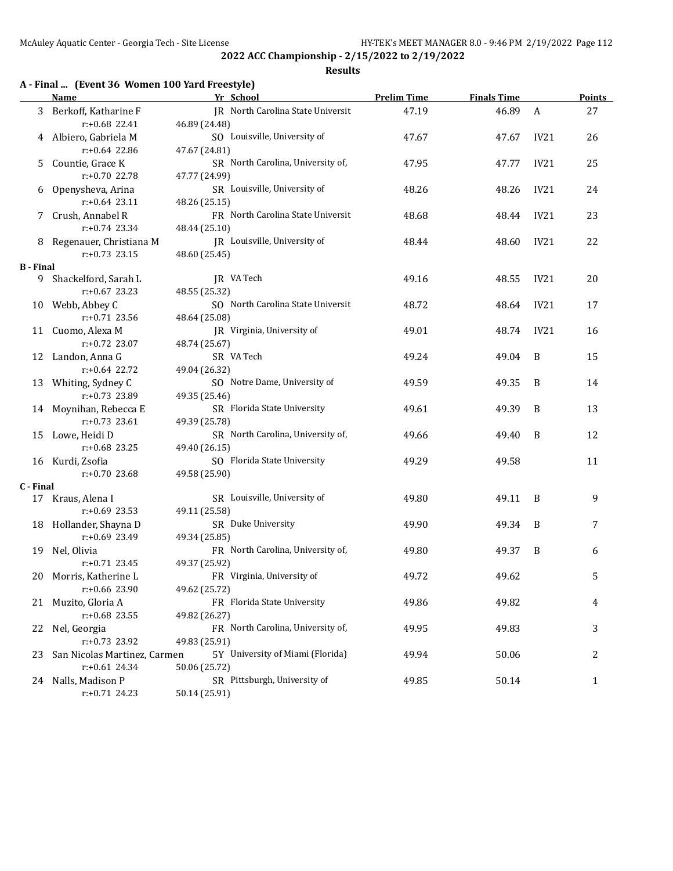#### **Results**

## **A - Final ... (Event 36 Women 100 Yard Freestyle)**

|                  | Name                         | Yr School                         | <b>Prelim Time</b> | <b>Finals Time</b> |              | <b>Points</b> |
|------------------|------------------------------|-----------------------------------|--------------------|--------------------|--------------|---------------|
| 3                | Berkoff, Katharine F         | JR North Carolina State Universit | 47.19              | 46.89              | $\mathbf{A}$ | 27            |
|                  | r:+0.68 22.41                | 46.89 (24.48)                     |                    |                    |              |               |
| 4                | Albiero, Gabriela M          | SO Louisville, University of      | 47.67              | 47.67              | IV21         | 26            |
|                  | $r: +0.64$ 22.86             | 47.67 (24.81)                     |                    |                    |              |               |
| 5                | Countie, Grace K             | SR North Carolina, University of, | 47.95              | 47.77              | <b>IV21</b>  | 25            |
|                  | r:+0.70 22.78                | 47.77 (24.99)                     |                    |                    |              |               |
| 6                | Openysheva, Arina            | SR Louisville, University of      | 48.26              | 48.26              | IV21         | 24            |
|                  | $r: +0.64$ 23.11             | 48.26 (25.15)                     |                    |                    |              |               |
| 7                | Crush, Annabel R             | FR North Carolina State Universit | 48.68              | 48.44              | IV21         | 23            |
|                  | $r: +0.74$ 23.34             | 48.44 (25.10)                     |                    |                    |              |               |
| 8                | Regenauer, Christiana M      | JR Louisville, University of      | 48.44              | 48.60              | IV21         | 22            |
|                  | $r: +0.73$ 23.15             | 48.60 (25.45)                     |                    |                    |              |               |
| <b>B</b> - Final |                              |                                   |                    |                    |              |               |
| 9.               | Shackelford, Sarah L         | JR VA Tech                        | 49.16              | 48.55              | IV21         | 20            |
|                  | $r: +0.67$ 23.23             | 48.55 (25.32)                     |                    |                    |              |               |
|                  | 10 Webb, Abbey C             | SO North Carolina State Universit | 48.72              | 48.64              | IV21         | 17            |
|                  | $r: +0.71$ 23.56             | 48.64 (25.08)                     |                    |                    |              |               |
|                  | 11 Cuomo, Alexa M            | JR Virginia, University of        | 49.01              | 48.74              | IV21         | 16            |
|                  | $r: +0.72$ 23.07             | 48.74 (25.67)                     |                    |                    |              |               |
|                  | 12 Landon, Anna G            | SR VA Tech                        | 49.24              | 49.04              | B            | 15            |
|                  | $r: +0.64$ 22.72             | 49.04 (26.32)                     |                    |                    |              |               |
| 13               | Whiting, Sydney C            | SO Notre Dame, University of      | 49.59              | 49.35              | B            | 14            |
|                  | r:+0.73 23.89                | 49.35 (25.46)                     |                    |                    |              |               |
|                  | 14 Moynihan, Rebecca E       | SR Florida State University       | 49.61              | 49.39              | B            | 13            |
|                  | $r: +0.73$ 23.61             | 49.39 (25.78)                     |                    |                    |              |               |
| 15               | Lowe, Heidi D                | SR North Carolina, University of, | 49.66              | 49.40              | B            | 12            |
|                  | $r: +0.68$ 23.25             | 49.40 (26.15)                     |                    |                    |              |               |
| 16               | Kurdi, Zsofia                | SO Florida State University       | 49.29              | 49.58              |              | 11            |
|                  | $r: +0.70$ 23.68             | 49.58 (25.90)                     |                    |                    |              |               |
| C - Final        |                              |                                   |                    |                    |              |               |
|                  | 17 Kraus, Alena I            | SR Louisville, University of      | 49.80              | 49.11              | B            | 9             |
|                  | $r: +0.69$ 23.53             | 49.11 (25.58)                     |                    |                    |              |               |
|                  | 18 Hollander, Shayna D       | SR Duke University                | 49.90              | 49.34              | B            | 7             |
|                  | $r: +0.69$ 23.49             | 49.34 (25.85)                     |                    |                    |              |               |
| 19               | Nel, Olivia                  | FR North Carolina, University of, | 49.80              | 49.37              | B            | 6             |
|                  | $r: +0.71$ 23.45             | 49.37 (25.92)                     |                    |                    |              |               |
|                  | 20 Morris, Katherine L       | FR Virginia, University of        | 49.72              | 49.62              |              | 5             |
|                  | r:+0.66 23.90                | 49.62 (25.72)                     |                    |                    |              |               |
|                  | 21 Muzito, Gloria A          | FR Florida State University       | 49.86              | 49.82              |              | 4             |
|                  | $r: +0.68$ 23.55             | 49.82 (26.27)                     |                    |                    |              |               |
| 22               | Nel, Georgia                 | FR North Carolina, University of, | 49.95              | 49.83              |              | 3             |
|                  | r:+0.73 23.92                | 49.83 (25.91)                     |                    |                    |              |               |
| 23               | San Nicolas Martinez, Carmen | 5Y University of Miami (Florida)  | 49.94              | 50.06              |              | 2             |
|                  | $r: +0.61$ 24.34             | 50.06 (25.72)                     |                    |                    |              |               |
|                  | 24 Nalls, Madison P          | SR Pittsburgh, University of      | 49.85              | 50.14              |              | $\mathbf{1}$  |
|                  | r:+0.71 24.23                | 50.14 (25.91)                     |                    |                    |              |               |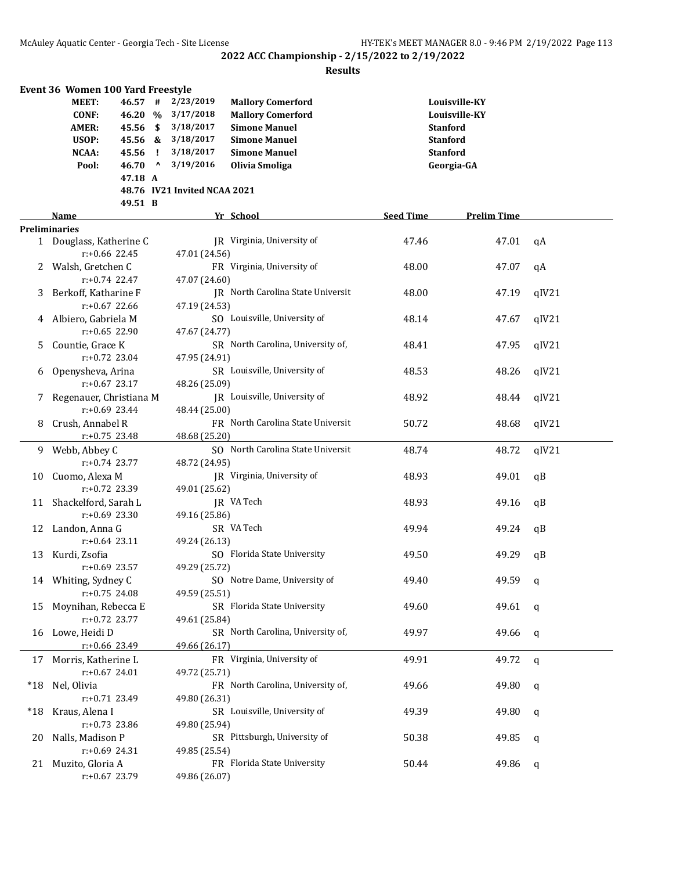|        | Event 36 Women 100 Yard Freestyle |                  |              |                              |                                   |                  |                    |       |
|--------|-----------------------------------|------------------|--------------|------------------------------|-----------------------------------|------------------|--------------------|-------|
|        | MEET:                             | 46.57#           |              | 2/23/2019                    | <b>Mallory Comerford</b>          |                  | Louisville-KY      |       |
|        | <b>CONF:</b>                      | 46.20 %          |              | 3/17/2018                    | <b>Mallory Comerford</b>          |                  | Louisville-KY      |       |
|        | <b>AMER:</b>                      | $45.56$ \$       |              | 3/18/2017                    | <b>Simone Manuel</b>              |                  | <b>Stanford</b>    |       |
|        | USOP:                             | 45.56 &          |              | 3/18/2017                    | <b>Simone Manuel</b>              |                  | <b>Stanford</b>    |       |
|        | NCAA:                             | 45.56            | Ч.           | 3/18/2017                    | <b>Simone Manuel</b>              |                  | <b>Stanford</b>    |       |
|        | Pool:                             | 46.70            | $\mathbf{v}$ | 3/19/2016                    | Olivia Smoliga                    |                  | Georgia-GA         |       |
|        |                                   | 47.18 A          |              |                              |                                   |                  |                    |       |
|        |                                   |                  |              | 48.76 IV21 Invited NCAA 2021 |                                   |                  |                    |       |
|        |                                   | 49.51 B          |              |                              |                                   |                  |                    |       |
|        | Name                              |                  |              |                              | Yr School                         | <b>Seed Time</b> | <b>Prelim Time</b> |       |
|        | <b>Preliminaries</b>              |                  |              |                              |                                   |                  |                    |       |
|        | 1 Douglass, Katherine C           |                  |              |                              | JR Virginia, University of        | 47.46            | 47.01              | qA    |
|        |                                   | $r: +0.66$ 22.45 |              | 47.01 (24.56)                |                                   |                  |                    |       |
| 2      | Walsh, Gretchen C                 |                  |              |                              | FR Virginia, University of        | 48.00            | 47.07              | qA    |
|        |                                   | $r: +0.74$ 22.47 |              | 47.07 (24.60)                |                                   |                  |                    |       |
|        |                                   |                  |              |                              |                                   |                  |                    |       |
| 3      | Berkoff, Katharine F              |                  |              |                              | JR North Carolina State Universit | 48.00            | 47.19              | qIV21 |
|        | $r: +0.67$ 22.66                  |                  |              | 47.19 (24.53)                |                                   |                  |                    |       |
|        | Albiero, Gabriela M               |                  |              |                              | SO Louisville, University of      | 48.14            | 47.67              | qIV21 |
|        |                                   | $r: +0.65$ 22.90 |              | 47.67 (24.77)                |                                   |                  |                    |       |
| 5      | Countie, Grace K                  |                  |              |                              | SR North Carolina, University of, | 48.41            | 47.95              | qIV21 |
|        |                                   | r:+0.72 23.04    |              | 47.95 (24.91)                |                                   |                  |                    |       |
| 6      | Openysheva, Arina                 |                  |              |                              | SR Louisville, University of      | 48.53            | 48.26              | qIV21 |
|        | $r: +0.67$ 23.17                  |                  |              | 48.26 (25.09)                |                                   |                  |                    |       |
| 7      | Regenauer, Christiana M           |                  |              |                              | JR Louisville, University of      | 48.92            | 48.44              | qIV21 |
|        |                                   | $r+0.69$ 23.44   |              | 48.44 (25.00)                |                                   |                  |                    |       |
| 8      | Crush, Annabel R                  |                  |              |                              | FR North Carolina State Universit | 50.72            | 48.68              | qIV21 |
|        | $r: +0.75$ 23.48                  |                  |              | 48.68 (25.20)                |                                   |                  |                    |       |
|        | 9 Webb, Abbey C                   |                  |              |                              | SO North Carolina State Universit | 48.74            | 48.72              | qIV21 |
|        | $r: +0.74$ 23.77                  |                  |              | 48.72 (24.95)                |                                   |                  |                    |       |
| 10     | Cuomo, Alexa M                    |                  |              |                              | JR Virginia, University of        | 48.93            | 49.01              | qB    |
|        | r:+0.72 23.39                     |                  |              | 49.01 (25.62)                |                                   |                  |                    |       |
| 11     | Shackelford, Sarah L              |                  |              |                              | JR VA Tech                        | 48.93            | 49.16              | qB    |
|        | $r: +0.69$ 23.30                  |                  |              | 49.16 (25.86)                |                                   |                  |                    |       |
|        | 12 Landon, Anna G                 |                  |              |                              | SR VA Tech                        | 49.94            | 49.24              | qB    |
|        | $r: +0.64$ 23.11                  |                  |              | 49.24 (26.13)                |                                   |                  |                    |       |
|        | 13 Kurdi, Zsofia                  |                  |              |                              | SO Florida State University       | 49.50            | 49.29              | qВ    |
|        | r:+0.69 23.57                     |                  |              |                              |                                   |                  |                    |       |
|        |                                   |                  |              | 49.29 (25.72)                |                                   |                  |                    |       |
|        | 14 Whiting, Sydney C              |                  |              |                              | SO Notre Dame, University of      | 49.40            | 49.59              | - q   |
|        | r:+0.75 24.08                     |                  |              | 49.59 (25.51)                |                                   |                  |                    |       |
| 15     | Moynihan, Rebecca E               |                  |              |                              | SR Florida State University       | 49.60            | 49.61              | q     |
|        | r:+0.72 23.77                     |                  |              | 49.61 (25.84)                |                                   |                  |                    |       |
|        | 16 Lowe, Heidi D                  |                  |              |                              | SR North Carolina, University of, | 49.97            | 49.66              | q     |
|        | r:+0.66 23.49                     |                  |              | 49.66 (26.17)                |                                   |                  |                    |       |
|        | 17 Morris, Katherine L            |                  |              |                              | FR Virginia, University of        | 49.91            | 49.72              | q     |
|        | $r: +0.67$ 24.01                  |                  |              | 49.72 (25.71)                |                                   |                  |                    |       |
| $^*18$ | Nel, Olivia                       |                  |              |                              | FR North Carolina, University of, | 49.66            | 49.80              | q     |
|        | r:+0.71 23.49                     |                  |              | 49.80 (26.31)                |                                   |                  |                    |       |
| *18    | Kraus, Alena I                    |                  |              |                              | SR Louisville, University of      | 49.39            | 49.80              | q     |
|        | $r: +0.73$ 23.86                  |                  |              | 49.80 (25.94)                |                                   |                  |                    |       |
| 20     | Nalls, Madison P                  |                  |              |                              | SR Pittsburgh, University of      | 50.38            | 49.85              | q     |
|        | $r: +0.69$ 24.31                  |                  |              | 49.85 (25.54)                |                                   |                  |                    |       |
|        | 21 Muzito, Gloria A               |                  |              |                              | FR Florida State University       | 50.44            | 49.86              | q     |
|        | r:+0.67 23.79                     |                  |              | 49.86 (26.07)                |                                   |                  |                    |       |
|        |                                   |                  |              |                              |                                   |                  |                    |       |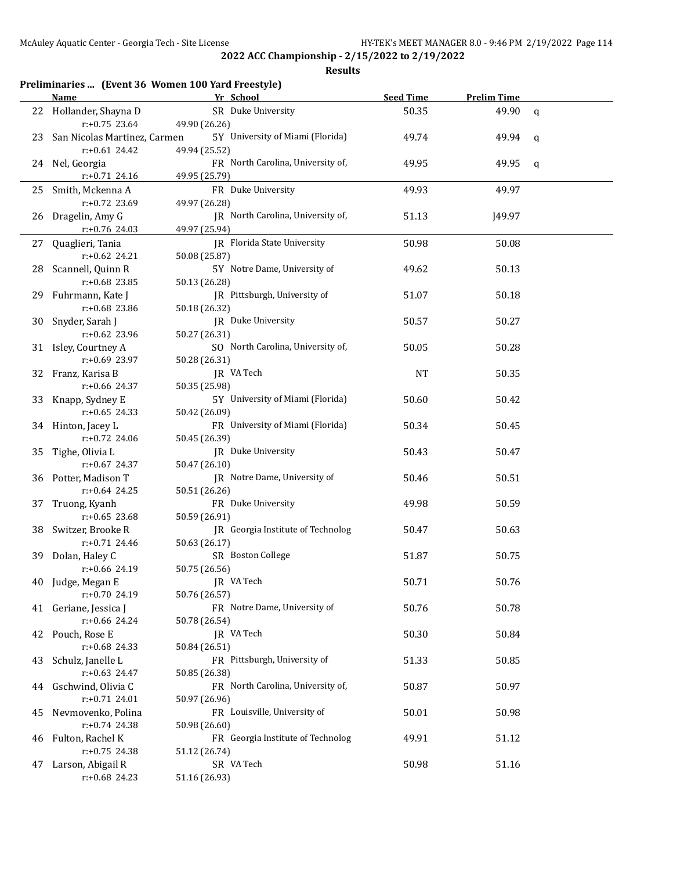|    |                                                     | Preliminaries  (Event 36 Women 100 Yard Freestyle) |                  |                    |             |
|----|-----------------------------------------------------|----------------------------------------------------|------------------|--------------------|-------------|
|    | Name                                                | Yr School                                          | <b>Seed Time</b> | <b>Prelim Time</b> |             |
|    | 22 Hollander, Shayna D<br>$r: +0.75$ 23.64          | SR Duke University<br>49.90 (26.26)                | 50.35            | 49.90              | $\mathbf q$ |
|    | 23 San Nicolas Martinez, Carmen<br>$r: +0.61$ 24.42 | 5Y University of Miami (Florida)<br>49.94 (25.52)  | 49.74            | 49.94              | q           |
|    | 24 Nel, Georgia<br>r:+0.71 24.16                    | FR North Carolina, University of,<br>49.95 (25.79) | 49.95            | 49.95              | q           |
|    | 25 Smith, Mckenna A<br>$r: +0.72$ 23.69             | FR Duke University<br>49.97 (26.28)                | 49.93            | 49.97              |             |
|    | 26 Dragelin, Amy G<br>r:+0.76 24.03                 | JR North Carolina, University of,<br>49.97 (25.94) | 51.13            | J49.97             |             |
| 27 | Quaglieri, Tania<br>$r: +0.62$ 24.21                | JR Florida State University<br>50.08 (25.87)       | 50.98            | 50.08              |             |
|    | 28 Scannell, Quinn R<br>$r: +0.68$ 23.85            | 5Y Notre Dame, University of<br>50.13 (26.28)      | 49.62            | 50.13              |             |
|    | 29 Fuhrmann, Kate J<br>r:+0.68 23.86                | JR Pittsburgh, University of<br>50.18 (26.32)      | 51.07            | 50.18              |             |
|    | 30 Snyder, Sarah J<br>$r: +0.62$ 23.96              | JR Duke University<br>50.27 (26.31)                | 50.57            | 50.27              |             |
|    | 31 Isley, Courtney A<br>r:+0.69 23.97               | SO North Carolina, University of,<br>50.28 (26.31) | 50.05            | 50.28              |             |
|    | 32 Franz, Karisa B<br>r:+0.66 24.37                 | JR VA Tech<br>50.35 (25.98)                        | NT               | 50.35              |             |
| 33 | Knapp, Sydney E<br>$r: +0.65$ 24.33                 | 5Y University of Miami (Florida)<br>50.42 (26.09)  | 50.60            | 50.42              |             |
|    | 34 Hinton, Jacey L<br>$r: +0.72$ 24.06              | FR University of Miami (Florida)<br>50.45 (26.39)  | 50.34            | 50.45              |             |
| 35 | Tighe, Olivia L<br>$r: +0.67$ 24.37                 | JR Duke University<br>50.47 (26.10)                | 50.43            | 50.47              |             |
|    | 36 Potter, Madison T<br>$r: +0.64$ 24.25            | JR Notre Dame, University of<br>50.51 (26.26)      | 50.46            | 50.51              |             |
| 37 | Truong, Kyanh<br>$r: +0.65$ 23.68                   | FR Duke University<br>50.59 (26.91)                | 49.98            | 50.59              |             |
|    | 38 Switzer, Brooke R<br>$r: +0.71$ 24.46            | JR Georgia Institute of Technolog<br>50.63 (26.17) | 50.47            | 50.63              |             |
|    | 39 Dolan, Haley C<br>$r: +0.66$ 24.19               | SR Boston College<br>50.75 (26.56)                 | 51.87            | 50.75              |             |
| 40 | Judge, Megan E<br>r:+0.70 24.19                     | JR VA Tech<br>50.76 (26.57)                        | 50.71            | 50.76              |             |
|    | 41 Geriane, Jessica J<br>$r: +0.66$ 24.24           | FR Notre Dame, University of<br>50.78 (26.54)      | 50.76            | 50.78              |             |
|    | 42 Pouch, Rose E<br>$r: +0.68$ 24.33                | JR VA Tech<br>50.84 (26.51)                        | 50.30            | 50.84              |             |
| 43 | Schulz, Janelle L<br>$r: +0.63$ 24.47               | FR Pittsburgh, University of<br>50.85 (26.38)      | 51.33            | 50.85              |             |
| 44 | Gschwind, Olivia C<br>$r: +0.71$ 24.01              | FR North Carolina, University of,<br>50.97 (26.96) | 50.87            | 50.97              |             |
| 45 | Nevmovenko, Polina<br>$r: +0.74$ 24.38              | FR Louisville, University of<br>50.98 (26.60)      | 50.01            | 50.98              |             |
| 46 | Fulton, Rachel K<br>$r: +0.75$ 24.38                | FR Georgia Institute of Technolog<br>51.12 (26.74) | 49.91            | 51.12              |             |
| 47 | Larson, Abigail R<br>r:+0.68 24.23                  | SR VA Tech<br>51.16 (26.93)                        | 50.98            | 51.16              |             |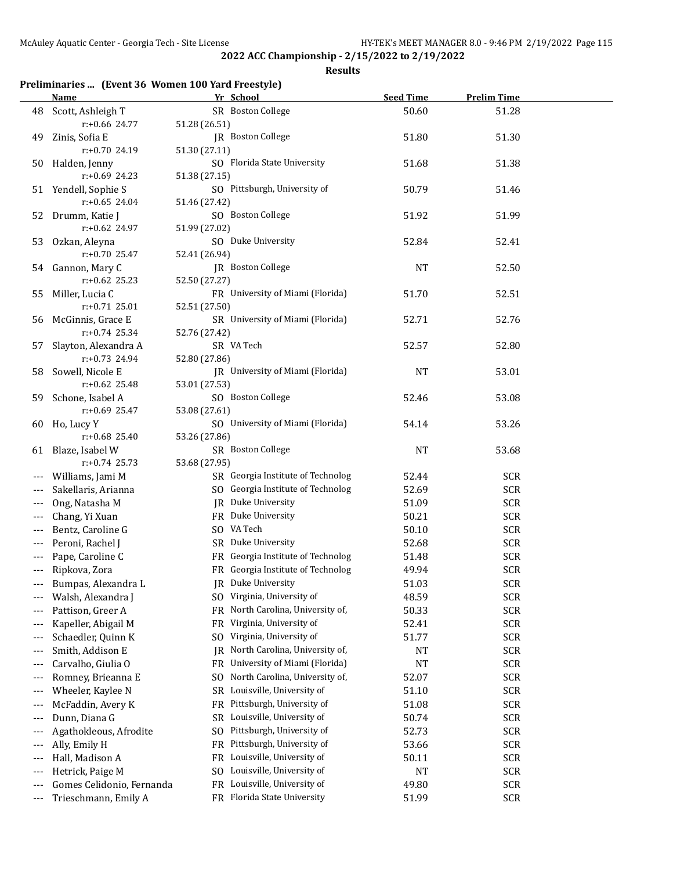**Results**

## **Preliminaries ... (Event 36 Women 100 Yard Freestyle)**

|                     | <b>Name</b>               | Yr School                                        | <b>Seed Time</b> | <b>Prelim Time</b> |  |
|---------------------|---------------------------|--------------------------------------------------|------------------|--------------------|--|
|                     | 48 Scott, Ashleigh T      | SR Boston College                                | 50.60            | 51.28              |  |
|                     | r:+0.66 24.77             | 51.28 (26.51)                                    |                  |                    |  |
| 49                  | Zinis, Sofia E            | JR Boston College                                | 51.80            | 51.30              |  |
|                     | r:+0.70 24.19             | 51.30 (27.11)                                    |                  |                    |  |
| 50                  | Halden, Jenny             | SO Florida State University                      | 51.68            | 51.38              |  |
|                     | $r: +0.69$ 24.23          | 51.38 (27.15)                                    |                  |                    |  |
|                     | 51 Yendell, Sophie S      | SO Pittsburgh, University of                     | 50.79            | 51.46              |  |
|                     | $r: +0.65$ 24.04          | 51.46 (27.42)                                    |                  |                    |  |
| 52                  | Drumm, Katie J            | SO Boston College                                | 51.92            | 51.99              |  |
|                     | r:+0.62 24.97             | 51.99 (27.02)                                    |                  |                    |  |
| 53                  | Ozkan, Aleyna             | SO Duke University                               | 52.84            | 52.41              |  |
|                     | r:+0.70 25.47             | 52.41 (26.94)                                    |                  |                    |  |
|                     | 54 Gannon, Mary C         | JR Boston College                                | <b>NT</b>        | 52.50              |  |
|                     | $r: +0.62$ 25.23          | 52.50 (27.27)                                    |                  |                    |  |
| 55                  | Miller, Lucia C           | FR University of Miami (Florida)                 | 51.70            | 52.51              |  |
|                     | $r: +0.71$ 25.01          | 52.51 (27.50)                                    |                  |                    |  |
| 56                  | McGinnis, Grace E         | SR University of Miami (Florida)                 | 52.71            | 52.76              |  |
|                     | $r: +0.74$ 25.34          | 52.76 (27.42)                                    |                  |                    |  |
| 57                  | Slayton, Alexandra A      | SR VA Tech                                       | 52.57            | 52.80              |  |
|                     | r:+0.73 24.94             | 52.80 (27.86)                                    |                  |                    |  |
| 58                  | Sowell, Nicole E          | JR University of Miami (Florida)                 | <b>NT</b>        | 53.01              |  |
|                     | $r: +0.62$ 25.48          | 53.01 (27.53)                                    |                  |                    |  |
| 59                  | Schone, Isabel A          | SO Boston College                                | 52.46            | 53.08              |  |
|                     | $r: +0.69$ 25.47          | 53.08 (27.61)                                    |                  |                    |  |
| 60                  | Ho, Lucy Y                | SO University of Miami (Florida)                 | 54.14            | 53.26              |  |
|                     | $r: +0.68$ 25.40          | 53.26 (27.86)                                    |                  |                    |  |
|                     | 61 Blaze, Isabel W        | SR Boston College                                | <b>NT</b>        | 53.68              |  |
|                     | $r: +0.74$ 25.73          | 53.68 (27.95)                                    |                  |                    |  |
| $---$               | Williams, Jami M          | SR Georgia Institute of Technolog                | 52.44            | <b>SCR</b>         |  |
|                     | Sakellaris, Arianna       | SO Georgia Institute of Technolog                | 52.69            | <b>SCR</b>         |  |
|                     | Ong, Natasha M            | JR Duke University                               | 51.09            | <b>SCR</b>         |  |
| $---$               | Chang, Yi Xuan            | FR Duke University                               | 50.21            | <b>SCR</b>         |  |
| $---$               | Bentz, Caroline G         | SO VA Tech                                       | 50.10            | <b>SCR</b>         |  |
| $---$               | Peroni, Rachel J          | SR Duke University                               | 52.68            | <b>SCR</b>         |  |
| $---$               | Pape, Caroline C          | FR Georgia Institute of Technolog                | 51.48            | <b>SCR</b>         |  |
| $\qquad \qquad - -$ | Ripkova, Zora             | FR Georgia Institute of Technolog                | 49.94            | <b>SCR</b>         |  |
|                     | Bumpas, Alexandra L       | JR Duke University                               | 51.03            | <b>SCR</b>         |  |
|                     | Walsh, Alexandra J        | SO Virginia, University of                       | 48.59            | <b>SCR</b>         |  |
|                     | Pattison, Greer A         | FR North Carolina, University of,                | 50.33            | <b>SCR</b>         |  |
| $---$               | Kapeller, Abigail M       | FR Virginia, University of                       | 52.41            | <b>SCR</b>         |  |
| $---$               | Schaedler, Quinn K        | Virginia, University of<br>S <sub>0</sub>        | 51.77            | <b>SCR</b>         |  |
| $---$               | Smith, Addison E          | North Carolina, University of,<br>JR             | NT               | <b>SCR</b>         |  |
| $---$               | Carvalho, Giulia O        | University of Miami (Florida)<br>FR              | <b>NT</b>        | <b>SCR</b>         |  |
| $---$               | Romney, Brieanna E        | North Carolina, University of,<br>S <sub>0</sub> | 52.07            | <b>SCR</b>         |  |
|                     | Wheeler, Kaylee N         | SR Louisville, University of                     | 51.10            | <b>SCR</b>         |  |
|                     | McFaddin, Avery K         | Pittsburgh, University of<br>FR                  | 51.08            | <b>SCR</b>         |  |
|                     | Dunn, Diana G             | Louisville, University of<br>SR                  | 50.74            | <b>SCR</b>         |  |
|                     | Agathokleous, Afrodite    | Pittsburgh, University of<br>S <sub>0</sub>      | 52.73            | <b>SCR</b>         |  |
| $---$               | Ally, Emily H             | Pittsburgh, University of<br>FR                  | 53.66            | <b>SCR</b>         |  |
| $---$               | Hall, Madison A           | Louisville, University of<br>FR                  | 50.11            | <b>SCR</b>         |  |
| $---$               | Hetrick, Paige M          | Louisville, University of<br>SO.                 | <b>NT</b>        | <b>SCR</b>         |  |
|                     | Gomes Celidonio, Fernanda | Louisville, University of<br><b>FR</b>           | 49.80            | <b>SCR</b>         |  |
| $---$               | Trieschmann, Emily A      | FR Florida State University                      | 51.99            | <b>SCR</b>         |  |
|                     |                           |                                                  |                  |                    |  |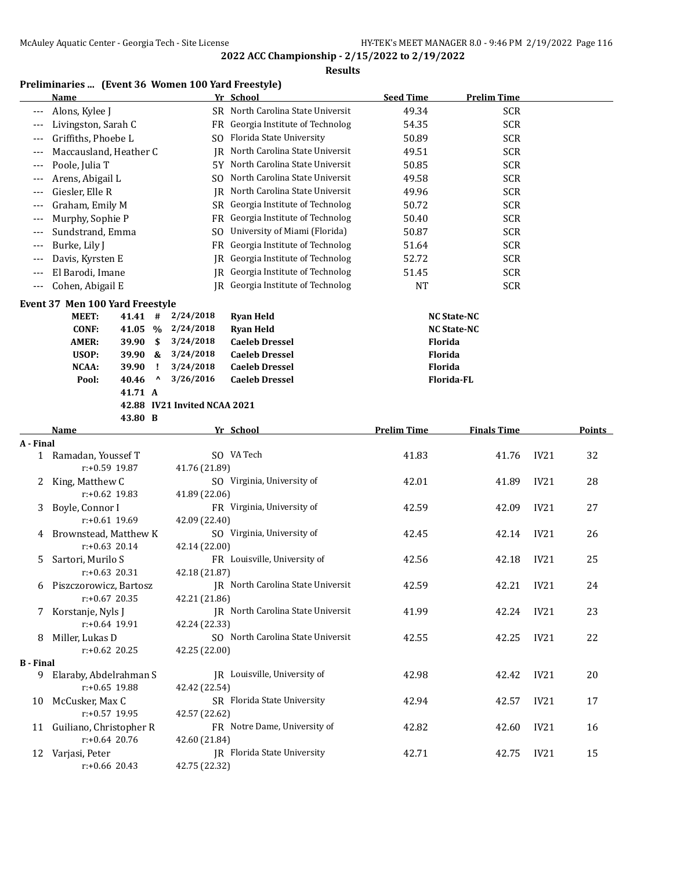### **Results**

## **Preliminaries ... (Event 36 Women 100 Yard Freestyle)**

|                  | <b>Name</b>                                       |                              | Yr School                         | <b>Seed Time</b>   | <b>Prelim Time</b> |                  |        |
|------------------|---------------------------------------------------|------------------------------|-----------------------------------|--------------------|--------------------|------------------|--------|
|                  | Alons, Kylee J                                    |                              | SR North Carolina State Universit | 49.34              | <b>SCR</b>         |                  |        |
| ---              | Livingston, Sarah C                               |                              | FR Georgia Institute of Technolog | 54.35              | <b>SCR</b>         |                  |        |
| ---              | Griffiths, Phoebe L                               |                              | SO Florida State University       | 50.89              | <b>SCR</b>         |                  |        |
| $---$            | Maccausland, Heather C                            |                              | JR North Carolina State Universit | 49.51              | <b>SCR</b>         |                  |        |
| ---              | Poole, Julia T                                    |                              | 5Y North Carolina State Universit | 50.85              | <b>SCR</b>         |                  |        |
| ---              | Arens, Abigail L                                  |                              | SO North Carolina State Universit | 49.58              | <b>SCR</b>         |                  |        |
| ---              | Giesler, Elle R                                   | IR                           | North Carolina State Universit    | 49.96              | <b>SCR</b>         |                  |        |
| ---              | Graham, Emily M                                   |                              | SR Georgia Institute of Technolog | 50.72              | <b>SCR</b>         |                  |        |
| $---$            | Murphy, Sophie P                                  |                              | FR Georgia Institute of Technolog | 50.40              | <b>SCR</b>         |                  |        |
| $---$            | Sundstrand, Emma                                  | SO.                          | University of Miami (Florida)     | 50.87              | <b>SCR</b>         |                  |        |
| ---              | Burke, Lily J                                     | FR                           | Georgia Institute of Technolog    | 51.64              | <b>SCR</b>         |                  |        |
| $---$            | Davis, Kyrsten E                                  |                              | JR Georgia Institute of Technolog | 52.72              | <b>SCR</b>         |                  |        |
| ---              | El Barodi, Imane                                  |                              | JR Georgia Institute of Technolog | 51.45              | <b>SCR</b>         |                  |        |
| $---$            | Cohen, Abigail E                                  |                              | JR Georgia Institute of Technolog | <b>NT</b>          | <b>SCR</b>         |                  |        |
|                  | Event 37 Men 100 Yard Freestyle                   |                              |                                   |                    |                    |                  |        |
|                  | <b>MEET:</b><br>41.41 #                           | 2/24/2018                    | <b>Ryan Held</b>                  |                    | <b>NC State-NC</b> |                  |        |
|                  | <b>CONF:</b><br>41.05 %                           | 2/24/2018                    | <b>Ryan Held</b>                  |                    | <b>NC State-NC</b> |                  |        |
|                  | <b>AMER:</b><br>\$<br>39.90                       | 3/24/2018                    | <b>Caeleb Dressel</b>             | Florida            |                    |                  |        |
|                  | USOP:<br>39.90 &                                  | 3/24/2018                    | <b>Caeleb Dressel</b>             | Florida            |                    |                  |        |
|                  | <b>NCAA:</b><br>39.90<br>Ч.                       | 3/24/2018                    | <b>Caeleb Dressel</b>             | Florida            |                    |                  |        |
|                  | 40.46<br>$\boldsymbol{\mathsf{\Lambda}}$<br>Pool: | 3/26/2016                    | <b>Caeleb Dressel</b>             | Florida-FL         |                    |                  |        |
|                  | 41.71 A                                           |                              |                                   |                    |                    |                  |        |
|                  |                                                   | 42.88 IV21 Invited NCAA 2021 |                                   |                    |                    |                  |        |
|                  | 43.80 B                                           |                              |                                   |                    |                    |                  |        |
|                  | Name                                              |                              | Yr School                         | <b>Prelim Time</b> | <b>Finals Time</b> |                  | Points |
| A - Final        |                                                   |                              |                                   |                    |                    |                  |        |
|                  | 1 Ramadan, Youssef T                              |                              | SO VA Tech                        | 41.83              | 41.76              | IV21             | 32     |
|                  | r:+0.59 19.87                                     | 41.76 (21.89)                |                                   |                    |                    |                  |        |
| 2                | King, Matthew C<br>r:+0.62 19.83                  | 41.89 (22.06)                | SO Virginia, University of        | 42.01              | 41.89              | <b>IV21</b>      | 28     |
| 3                | Boyle, Connor I                                   |                              | FR Virginia, University of        | 42.59              | 42.09              | IV21             | 27     |
|                  | r:+0.61 19.69                                     | 42.09 (22.40)                |                                   |                    |                    |                  |        |
| 4                | Brownstead, Matthew K                             |                              | SO Virginia, University of        | 42.45              | 42.14              | IV <sub>21</sub> | 26     |
|                  | $r: +0.63$ 20.14                                  | 42.14 (22.00)                |                                   |                    |                    |                  |        |
| 5                | Sartori, Murilo S                                 |                              | FR Louisville, University of      | 42.56              | 42.18              | IV <sub>21</sub> | 25     |
|                  | $r: +0.63$ 20.31                                  | 42.18 (21.87)                |                                   |                    |                    |                  |        |
|                  | 6 Piszczorowicz, Bartosz                          |                              | JR North Carolina State Universit | 42.59              | 42.21              | IV21             | 24     |
|                  | $r: +0.67$ 20.35                                  | 42.21 (21.86)                |                                   |                    |                    |                  |        |
| 7.               | Korstanje, Nyls J                                 |                              | IR North Carolina State Universit | 41.99              | 42.24              | IV21             | 23     |
|                  | r:+0.64 19.91                                     | 42.24 (22.33)                |                                   |                    |                    |                  |        |
| 8                | Miller, Lukas D                                   |                              | SO North Carolina State Universit | 42.55              | 42.25              | IV21             | 22     |
|                  | $r: +0.62$ 20.25                                  | 42.25 (22.00)                |                                   |                    |                    |                  |        |
| <b>B</b> - Final |                                                   |                              |                                   |                    |                    |                  |        |
|                  | 9 Elaraby, Abdelrahman S                          |                              | JR Louisville, University of      | 42.98              | 42.42              | IV21             | 20     |
|                  | r:+0.65 19.88                                     | 42.42 (22.54)                |                                   |                    |                    |                  |        |
| 10               | McCusker, Max C                                   |                              | SR Florida State University       | 42.94              | 42.57              | IV21             | 17     |
|                  | r:+0.57 19.95                                     | 42.57 (22.62)                |                                   |                    |                    |                  |        |
| 11               | Guiliano, Christopher R                           |                              | FR Notre Dame, University of      | 42.82              | 42.60              | IV21             | 16     |
|                  | $r: +0.64$ 20.76                                  | 42.60 (21.84)                |                                   |                    |                    |                  |        |
|                  | 12 Varjasi, Peter                                 |                              | JR Florida State University       | 42.71              | 42.75              | IV21             | 15     |
|                  | r:+0.66 20.43                                     | 42.75 (22.32)                |                                   |                    |                    |                  |        |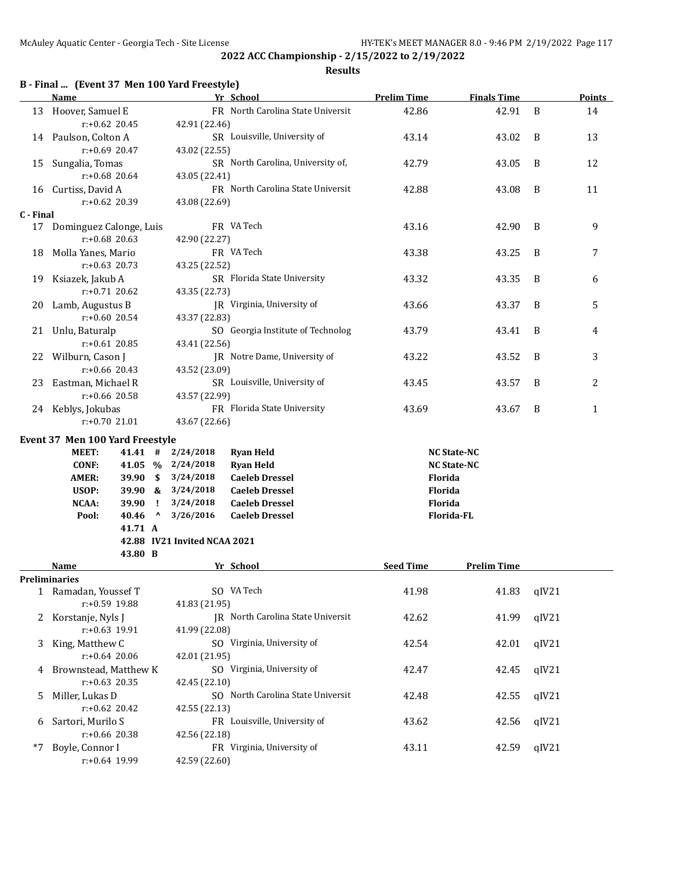**2022 ACC Championship - 2/15/2022 to 2/19/2022 Results**

### **B - Final ... (Event 37 Men 100 Yard Freestyle)**

|           | $\cdot$ rinar (Events) men 100 faru ricestyle)<br><u>Name</u> |                                 |                              | Yr School                         | <b>Prelim Time</b> | <b>Finals Time</b> |       | <b>Points</b> |
|-----------|---------------------------------------------------------------|---------------------------------|------------------------------|-----------------------------------|--------------------|--------------------|-------|---------------|
|           | 13 Hoover, Samuel E                                           |                                 |                              | FR North Carolina State Universit | 42.86              | 42.91              | B     | 14            |
|           | $r: +0.62$ 20.45                                              |                                 | 42.91 (22.46)                |                                   |                    |                    |       |               |
|           | 14 Paulson, Colton A                                          |                                 |                              | SR Louisville, University of      | 43.14              | 43.02              | B     | 13            |
|           | $r: +0.69$ 20.47                                              |                                 | 43.02 (22.55)                |                                   |                    |                    |       |               |
| 15        | Sungalia, Tomas                                               |                                 |                              | SR North Carolina, University of, | 42.79              | 43.05              | B     | 12            |
|           | $r: +0.68$ 20.64                                              |                                 | 43.05 (22.41)                |                                   |                    |                    |       |               |
|           | 16 Curtiss, David A<br>$r: +0.62$ 20.39                       |                                 |                              | FR North Carolina State Universit | 42.88              | 43.08              | B     | 11            |
| C - Final |                                                               |                                 | 43.08 (22.69)                |                                   |                    |                    |       |               |
|           | 17 Dominguez Calonge, Luis                                    |                                 |                              | FR VA Tech                        | 43.16              | 42.90              | B     | 9             |
|           | $r: +0.68$ 20.63                                              |                                 | 42.90 (22.27)                |                                   |                    |                    |       |               |
| 18        | Molla Yanes, Mario                                            |                                 |                              | FR VA Tech                        | 43.38              | 43.25              | B     | 7             |
|           | $r: +0.63$ 20.73                                              |                                 | 43.25 (22.52)                |                                   |                    |                    |       |               |
| 19        | Ksiazek, Jakub A                                              |                                 |                              | SR Florida State University       | 43.32              | 43.35              | B     | 6             |
|           | r:+0.71 20.62                                                 |                                 | 43.35 (22.73)                |                                   |                    |                    |       |               |
| 20        | Lamb, Augustus B                                              |                                 |                              | JR Virginia, University of        | 43.66              | 43.37              | B     | 5             |
|           | r:+0.60 20.54                                                 |                                 | 43.37 (22.83)                |                                   |                    |                    |       |               |
| 21        | Unlu, Baturalp                                                |                                 |                              | SO Georgia Institute of Technolog | 43.79              | 43.41              | B     | 4             |
|           | $r: +0.61$ 20.85                                              |                                 | 43.41 (22.56)                |                                   |                    |                    |       |               |
| 22        | Wilburn, Cason J<br>JR Notre Dame, University of              |                                 | 43.22                        | 43.52                             | B                  | 3                  |       |               |
|           | $r: +0.66$ 20.43<br>Eastman, Michael R                        |                                 | 43.52 (23.09)                |                                   |                    |                    |       |               |
| 23        | $r: +0.66$ 20.58<br>43.57 (22.99)                             |                                 | SR Louisville, University of | 43.45                             | 43.57              | B                  | 2     |               |
|           | 24 Keblys, Jokubas                                            |                                 |                              | FR Florida State University       | 43.69              | 43.67              | B     | 1             |
|           | r:+0.70 21.01                                                 |                                 | 43.67 (22.66)                |                                   |                    |                    |       |               |
|           |                                                               |                                 |                              |                                   |                    |                    |       |               |
|           | Event 37 Men 100 Yard Freestyle<br><b>MEET:</b><br>41.41#     |                                 | 2/24/2018                    | <b>Ryan Held</b>                  |                    | <b>NC State-NC</b> |       |               |
|           | <b>CONF:</b><br>41.05 %                                       |                                 | 2/24/2018                    | <b>Ryan Held</b>                  |                    | <b>NC State-NC</b> |       |               |
|           | <b>AMER:</b><br>39.90 S                                       |                                 | 3/24/2018                    | <b>Caeleb Dressel</b>             | Florida            |                    |       |               |
|           | USOP:<br>$39.90 \&$                                           |                                 | 3/24/2018                    | <b>Caeleb Dressel</b>             | Florida            |                    |       |               |
|           | <b>NCAA:</b><br>39.90                                         | Ч.                              | 3/24/2018                    | <b>Caeleb Dressel</b>             | Florida            |                    |       |               |
|           | Pool:<br>40.46                                                | $\boldsymbol{\mathsf{\Lambda}}$ | 3/26/2016                    | <b>Caeleb Dressel</b>             |                    | Florida-FL         |       |               |
|           | 41.71 A                                                       |                                 |                              |                                   |                    |                    |       |               |
|           |                                                               |                                 | 42.88 IV21 Invited NCAA 2021 |                                   |                    |                    |       |               |
|           | 43.80 B                                                       |                                 |                              |                                   |                    |                    |       |               |
|           | Name                                                          |                                 |                              | Yr School                         | <b>Seed Time</b>   | <b>Prelim Time</b> |       |               |
|           | <b>Preliminaries</b>                                          |                                 |                              |                                   |                    |                    |       |               |
|           | 1 Ramadan, Youssef T                                          |                                 |                              | SO VA Tech                        | 41.98              | 41.83              | qIV21 |               |
|           | r:+0.59 19.88                                                 |                                 | 41.83 (21.95)                | JR North Carolina State Universit |                    |                    |       |               |
| 2         | Korstanje, Nyls J                                             |                                 | 41.99 (22.08)                |                                   | 42.62              | 41.99              | qIV21 |               |
| 3         | r:+0.63 19.91<br>King, Matthew C                              |                                 |                              | SO Virginia, University of        | 42.54              | 42.01              | qIV21 |               |
|           | $r: +0.64$ 20.06                                              |                                 | 42.01 (21.95)                |                                   |                    |                    |       |               |
| 4         | Brownstead, Matthew K                                         |                                 |                              | SO Virginia, University of        | 42.47              | 42.45              | qIV21 |               |
|           | $r: +0.63$ 20.35                                              |                                 | 42.45 (22.10)                |                                   |                    |                    |       |               |
| 5         | Miller, Lukas D                                               |                                 |                              | SO North Carolina State Universit | 42.48              | 42.55              | qIV21 |               |
|           | $r: +0.62$ 20.42                                              |                                 | 42.55 (22.13)                |                                   |                    |                    |       |               |
|           | 6 Sartori, Murilo S                                           |                                 |                              | FR Louisville, University of      | 43.62              | 42.56              | qIV21 |               |

r:+0.66 20.38 42.56 (22.18) \*7 Boyle, Connor I FR Virginia, University of 43.11 42.59 qIV21 r:+0.64 19.99 42.59 (22.60)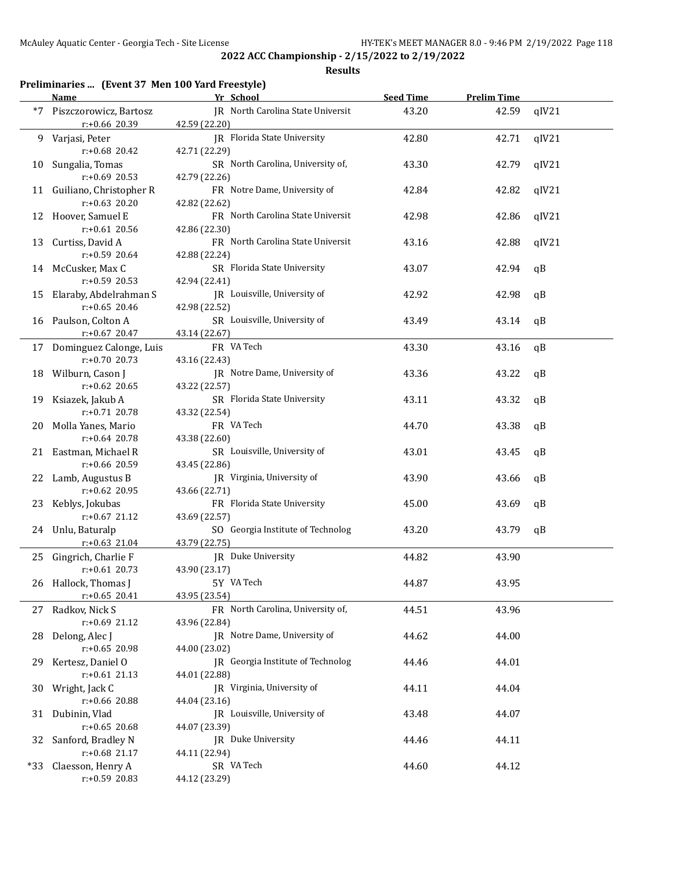### **Results**

## **Preliminaries ... (Event 37 Men 100 Yard Freestyle)**

|      | <b>Name</b>                                    | Yr School                                           | <b>Seed Time</b> | <b>Prelim Time</b> |       |
|------|------------------------------------------------|-----------------------------------------------------|------------------|--------------------|-------|
| $*7$ | Piszczorowicz, Bartosz<br>r:+0.66 20.39        | JR North Carolina State Universit<br>42.59 (22.20)  | 43.20            | 42.59              | qIV21 |
| 9    | Varjasi, Peter<br>r:+0.68 20.42                | <b>IR</b> Florida State University<br>42.71 (22.29) | 42.80            | 42.71              | qIV21 |
| 10   | Sungalia, Tomas<br>r:+0.69 20.53               | SR North Carolina, University of,<br>42.79 (22.26)  | 43.30            | 42.79              | qIV21 |
|      | 11 Guiliano, Christopher R<br>$r: +0.63$ 20.20 | FR Notre Dame, University of<br>42.82 (22.62)       | 42.84            | 42.82              | qIV21 |
|      | 12 Hoover, Samuel E<br>$r: +0.61$ 20.56        | FR North Carolina State Universit<br>42.86 (22.30)  | 42.98            | 42.86              | qIV21 |
| 13   | Curtiss, David A<br>r:+0.59 20.64              | FR North Carolina State Universit<br>42.88 (22.24)  | 43.16            | 42.88              | qIV21 |
| 14   | McCusker, Max C<br>r:+0.59 20.53               | SR Florida State University<br>42.94 (22.41)        | 43.07            | 42.94              | qB    |
| 15   | Elaraby, Abdelrahman S<br>$r: +0.65$ 20.46     | JR Louisville, University of<br>42.98 (22.52)       | 42.92            | 42.98              | qB    |
| 16   | Paulson, Colton A<br>$r: +0.67$ 20.47          | SR Louisville, University of<br>43.14 (22.67)       | 43.49            | 43.14              | qB    |
|      | 17 Dominguez Calonge, Luis<br>$r: +0.70$ 20.73 | FR VA Tech<br>43.16 (22.43)                         | 43.30            | 43.16              | qB    |
| 18   | Wilburn, Cason J<br>$r: +0.62$ 20.65           | JR Notre Dame, University of<br>43.22 (22.57)       | 43.36            | 43.22              | qB    |
| 19   | Ksiazek, Jakub A<br>$r: +0.71$ 20.78           | SR Florida State University<br>43.32 (22.54)        | 43.11            | 43.32              | qB    |
| 20   | Molla Yanes, Mario<br>r:+0.64 20.78            | FR VA Tech<br>43.38 (22.60)                         | 44.70            | 43.38              | qB    |
| 21   | Eastman, Michael R<br>r:+0.66 20.59            | SR Louisville, University of<br>43.45 (22.86)       | 43.01            | 43.45              | qB    |
| 22   | Lamb, Augustus B<br>r:+0.62 20.95              | JR Virginia, University of<br>43.66 (22.71)         | 43.90            | 43.66              | qB    |
|      | 23 Keblys, Jokubas<br>$r: +0.67$ 21.12         | FR Florida State University<br>43.69 (22.57)        | 45.00            | 43.69              | qB    |
|      | 24 Unlu, Baturalp<br>$r.+0.63$ 21.04           | SO Georgia Institute of Technolog<br>43.79 (22.75)  | 43.20            | 43.79              | qB    |
|      | 25 Gingrich, Charlie F<br>$r: +0.61$ 20.73     | JR Duke University<br>43.90 (23.17)                 | 44.82            | 43.90              |       |
|      | 26 Hallock, Thomas J<br>$r: +0.65$ 20.41       | 5Y VA Tech<br>43.95 (23.54)                         | 44.87            | 43.95              |       |
|      | 27 Radkov, Nick S<br>r:+0.69 21.12             | FR North Carolina, University of,<br>43.96 (22.84)  | 44.51            | 43.96              |       |
| 28   | Delong, Alec J<br>r:+0.65 20.98                | JR Notre Dame, University of<br>44.00 (23.02)       | 44.62            | 44.00              |       |
| 29.  | Kertesz, Daniel O<br>$r: +0.61$ 21.13          | JR Georgia Institute of Technolog<br>44.01 (22.88)  | 44.46            | 44.01              |       |
| 30   | Wright, Jack C<br>r:+0.66 20.88                | JR Virginia, University of<br>44.04 (23.16)         | 44.11            | 44.04              |       |
|      | 31 Dubinin, Vlad<br>$r: +0.65$ 20.68           | JR Louisville, University of<br>44.07 (23.39)       | 43.48            | 44.07              |       |
| 32   | Sanford, Bradley N<br>r:+0.68 21.17            | JR Duke University<br>44.11 (22.94)                 | 44.46            | 44.11              |       |
|      | *33 Claesson, Henry A<br>r:+0.59 20.83         | SR VA Tech<br>44.12 (23.29)                         | 44.60            | 44.12              |       |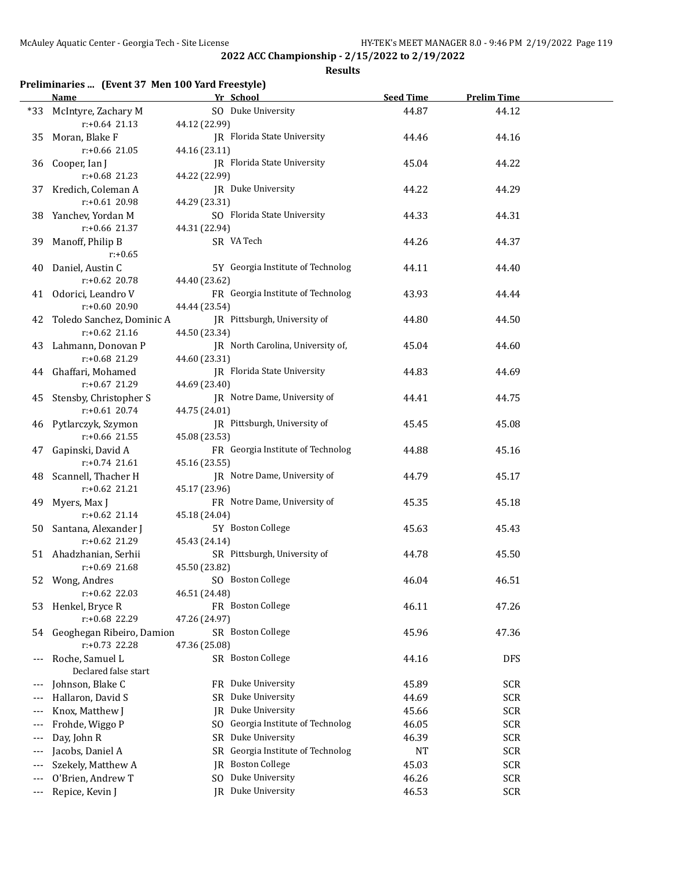### **Results**

## **Preliminaries ... (Event 37 Men 100 Yard Freestyle)**

|       | <b>Name</b>               | Yr School                            | <b>Seed Time</b> | <b>Prelim Time</b> |  |
|-------|---------------------------|--------------------------------------|------------------|--------------------|--|
| *33   | McIntyre, Zachary M       | SO Duke University                   | 44.87            | 44.12              |  |
|       | $r: +0.64$ 21.13          | 44.12 (22.99)                        |                  |                    |  |
| 35    | Moran, Blake F            | JR Florida State University          | 44.46            | 44.16              |  |
|       | $r: +0.66$ 21.05          | 44.16 (23.11)                        |                  |                    |  |
| 36    | Cooper, Ian J             | JR Florida State University          | 45.04            | 44.22              |  |
|       | $r: +0.68$ 21.23          | 44.22 (22.99)                        |                  |                    |  |
| 37    | Kredich, Coleman A        | JR Duke University                   | 44.22            | 44.29              |  |
|       | $r: +0.61$ 20.98          | 44.29 (23.31)                        |                  |                    |  |
|       | 38 Yanchev, Yordan M      | SO Florida State University          | 44.33            | 44.31              |  |
|       | r:+0.66 21.37             | 44.31 (22.94)                        |                  |                    |  |
| 39    | Manoff, Philip B          | SR VA Tech                           | 44.26            | 44.37              |  |
|       | $r: +0.65$                |                                      |                  |                    |  |
| 40    | Daniel, Austin C          | 5Y Georgia Institute of Technolog    | 44.11            | 44.40              |  |
|       | $r: +0.62$ 20.78          | 44.40 (23.62)                        |                  |                    |  |
|       | 41 Odorici, Leandro V     | FR Georgia Institute of Technolog    | 43.93            | 44.44              |  |
|       | r:+0.60 20.90             | 44.44 (23.54)                        |                  |                    |  |
| 42    | Toledo Sanchez, Dominic A | JR Pittsburgh, University of         | 44.80            | 44.50              |  |
|       | $r: +0.62$ 21.16          | 44.50 (23.34)                        |                  |                    |  |
|       | 43 Lahmann, Donovan P     | JR North Carolina, University of,    | 45.04            | 44.60              |  |
|       | r:+0.68 21.29             | 44.60 (23.31)                        |                  |                    |  |
|       | 44 Ghaffari, Mohamed      | <b>IR</b> Florida State University   | 44.83            | 44.69              |  |
|       | r:+0.67 21.29             | 44.69 (23.40)                        |                  |                    |  |
| 45    | Stensby, Christopher S    | JR Notre Dame, University of         | 44.41            | 44.75              |  |
|       | $r: +0.61$ 20.74          | 44.75 (24.01)                        |                  |                    |  |
|       | 46 Pytlarczyk, Szymon     | JR Pittsburgh, University of         | 45.45            | 45.08              |  |
|       | $r: +0.66$ 21.55          | 45.08 (23.53)                        |                  |                    |  |
| 47    | Gapinski, David A         | FR Georgia Institute of Technolog    | 44.88            | 45.16              |  |
|       | $r: +0.74$ 21.61          | 45.16 (23.55)                        |                  |                    |  |
| 48    | Scannell, Thacher H       | JR Notre Dame, University of         | 44.79            | 45.17              |  |
|       | $r: +0.62$ 21.21          | 45.17 (23.96)                        |                  |                    |  |
| 49    | Myers, Max J              | FR Notre Dame, University of         | 45.35            | 45.18              |  |
|       | $r: +0.62$ 21.14          | 45.18 (24.04)                        |                  |                    |  |
|       | 50 Santana, Alexander J   | 5Y Boston College                    | 45.63            | 45.43              |  |
|       | $r: +0.62$ 21.29          | 45.43 (24.14)                        |                  |                    |  |
|       | 51 Ahadzhanian, Serhii    | SR Pittsburgh, University of         | 44.78            | 45.50              |  |
|       | $r: +0.69$ 21.68          | 45.50 (23.82)                        |                  |                    |  |
|       | 52 Wong, Andres           | SO Boston College                    | 46.04            | 46.51              |  |
|       | $r: +0.62$ 22.03          | 46.51 (24.48)                        |                  |                    |  |
| 53    | Henkel, Bryce R           | FR Boston College                    | 46.11            | 47.26              |  |
|       | r:+0.68 22.29             | 47.26 (24.97)                        |                  |                    |  |
| 54    | Geoghegan Ribeiro, Damion | SR Boston College                    | 45.96            | 47.36              |  |
|       | $r: +0.73$ 22.28          | 47.36 (25.08)                        |                  |                    |  |
|       | Roche, Samuel L           | SR Boston College                    | 44.16            | DFS                |  |
|       | Declared false start      | FR Duke University                   |                  |                    |  |
|       | Johnson, Blake C          | Duke University                      | 45.89            | <b>SCR</b>         |  |
|       | Hallaron, David S         | SR<br>Duke University                | 44.69            | <b>SCR</b>         |  |
|       | Knox, Matthew J           | JR                                   | 45.66            | <b>SCR</b>         |  |
|       | Frohde, Wiggo P           | Georgia Institute of Technolog<br>SO | 46.05            | <b>SCR</b>         |  |
|       | Day, John R               | Duke University<br>SR                | 46.39            | <b>SCR</b>         |  |
|       | Jacobs, Daniel A          | Georgia Institute of Technolog<br>SR | NT               | <b>SCR</b>         |  |
|       | Szekely, Matthew A        | <b>Boston College</b><br>JR          | 45.03            | <b>SCR</b>         |  |
|       | O'Brien, Andrew T         | Duke University<br>SO                | 46.26            | <b>SCR</b>         |  |
| $---$ | Repice, Kevin J           | Duke University<br>IR                | 46.53            | <b>SCR</b>         |  |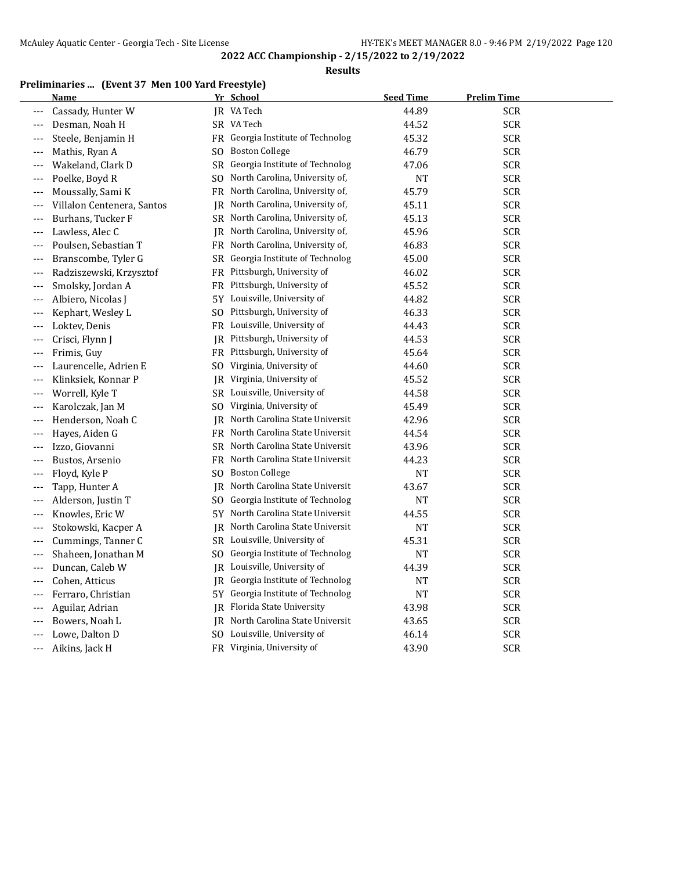#### **Results**

## **Preliminaries ... (Event 37 Men 100 Yard Freestyle)**

|       | Name                       |     | Yr School                         | <b>Seed Time</b> | <b>Prelim Time</b> |
|-------|----------------------------|-----|-----------------------------------|------------------|--------------------|
| $---$ | Cassady, Hunter W          |     | IR VA Tech                        | 44.89            | <b>SCR</b>         |
| $---$ | Desman, Noah H             |     | SR VA Tech                        | 44.52            | <b>SCR</b>         |
|       | Steele, Benjamin H         |     | FR Georgia Institute of Technolog | 45.32            | <b>SCR</b>         |
| $---$ | Mathis, Ryan A             |     | SO Boston College                 | 46.79            | <b>SCR</b>         |
| $---$ | Wakeland, Clark D          |     | SR Georgia Institute of Technolog | 47.06            | <b>SCR</b>         |
| $---$ | Poelke, Boyd R             |     | SO North Carolina, University of, | NT               | <b>SCR</b>         |
| $---$ | Moussally, Sami K          | FR  | North Carolina, University of,    | 45.79            | <b>SCR</b>         |
| $---$ | Villalon Centenera, Santos | JR  | North Carolina, University of,    | 45.11            | <b>SCR</b>         |
|       | Burhans, Tucker F          |     | SR North Carolina, University of, | 45.13            | <b>SCR</b>         |
|       | Lawless, Alec C            |     | JR North Carolina, University of, | 45.96            | <b>SCR</b>         |
| $---$ | Poulsen, Sebastian T       |     | FR North Carolina, University of, | 46.83            | <b>SCR</b>         |
| $---$ | Branscombe, Tyler G        |     | SR Georgia Institute of Technolog | 45.00            | <b>SCR</b>         |
| $---$ | Radziszewski, Krzysztof    |     | FR Pittsburgh, University of      | 46.02            | <b>SCR</b>         |
| $---$ | Smolsky, Jordan A          |     | FR Pittsburgh, University of      | 45.52            | <b>SCR</b>         |
|       | Albiero, Nicolas J         |     | 5Y Louisville, University of      | 44.82            | <b>SCR</b>         |
| $---$ | Kephart, Wesley L          |     | SO Pittsburgh, University of      | 46.33            | <b>SCR</b>         |
| $---$ | Loktev, Denis              |     | FR Louisville, University of      | 44.43            | <b>SCR</b>         |
| $---$ | Crisci, Flynn J            | IR  | Pittsburgh, University of         | 44.53            | <b>SCR</b>         |
| $---$ | Frimis, Guy                |     | FR Pittsburgh, University of      | 45.64            | <b>SCR</b>         |
|       | Laurencelle, Adrien E      |     | SO Virginia, University of        | 44.60            | <b>SCR</b>         |
|       | Klinksiek, Konnar P        |     | JR Virginia, University of        | 45.52            | <b>SCR</b>         |
| $---$ | Worrell, Kyle T            |     | SR Louisville, University of      | 44.58            | <b>SCR</b>         |
| $---$ | Karolczak, Jan M           | SO. | Virginia, University of           | 45.49            | <b>SCR</b>         |
| $---$ | Henderson, Noah C          | IR  | North Carolina State Universit    | 42.96            | <b>SCR</b>         |
| $---$ | Hayes, Aiden G             |     | FR North Carolina State Universit | 44.54            | <b>SCR</b>         |
|       | Izzo, Giovanni             |     | SR North Carolina State Universit | 43.96            | <b>SCR</b>         |
|       | Bustos, Arsenio            |     | FR North Carolina State Universit | 44.23            | <b>SCR</b>         |
| $---$ | Floyd, Kyle P              | SO. | <b>Boston College</b>             | NT               | <b>SCR</b>         |
| $---$ | Tapp, Hunter A             |     | JR North Carolina State Universit | 43.67            | <b>SCR</b>         |
| $---$ | Alderson, Justin T         |     | SO Georgia Institute of Technolog | <b>NT</b>        | <b>SCR</b>         |
| ---   | Knowles, Eric W            |     | 5Y North Carolina State Universit | 44.55            | <b>SCR</b>         |
|       | Stokowski, Kacper A        |     | JR North Carolina State Universit | NT               | <b>SCR</b>         |
| $---$ | Cummings, Tanner C         |     | SR Louisville, University of      | 45.31            | <b>SCR</b>         |
| $---$ | Shaheen, Jonathan M        |     | SO Georgia Institute of Technolog | NT               | <b>SCR</b>         |
| $---$ | Duncan, Caleb W            |     | JR Louisville, University of      | 44.39            | <b>SCR</b>         |
| $---$ | Cohen, Atticus             | JR. | Georgia Institute of Technolog    | NT               | <b>SCR</b>         |
| $---$ | Ferraro, Christian         |     | 5Y Georgia Institute of Technolog | <b>NT</b>        | <b>SCR</b>         |
| $---$ | Aguilar, Adrian            |     | JR Florida State University       | 43.98            | <b>SCR</b>         |
|       | Bowers, Noah L             |     | JR North Carolina State Universit | 43.65            | <b>SCR</b>         |
| ---   | Lowe, Dalton D             |     | SO Louisville, University of      | 46.14            | <b>SCR</b>         |
| ---   | Aikins, Jack H             |     | FR Virginia, University of        | 43.90            | <b>SCR</b>         |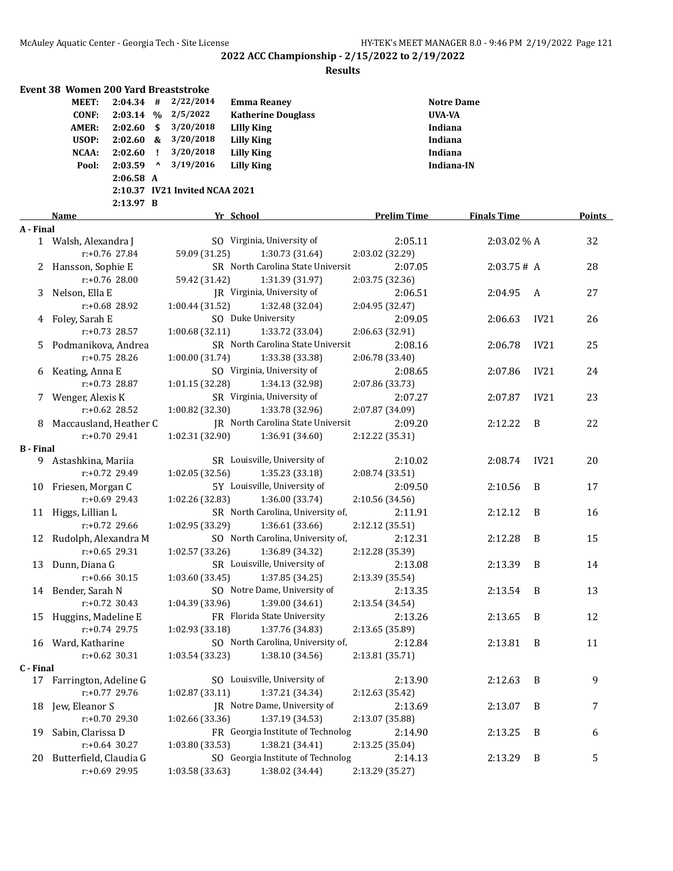| <b>MEET:</b><br>2/22/2014<br><b>Notre Dame</b><br>$2:04.34$ #<br><b>Emma Reaney</b><br>2/5/2022<br>UVA-VA<br><b>CONF:</b><br>$2:03.14$ %<br><b>Katherine Douglass</b><br>3/20/2018<br><b>AMER:</b><br>2:02.60<br>\$<br><b>LIlly King</b><br>Indiana<br>USOP:<br>2:02.60<br>3/20/2018<br>Indiana<br><b>Lilly King</b><br>&<br>2:02.60<br>3/20/2018<br><b>Lilly King</b><br>Indiana<br>NCAA:<br>Ţ.<br>$\pmb{\wedge}$<br>3/19/2016<br>2:03.59<br><b>Lilly King</b><br>Indiana-IN<br>Pool:<br>$2:06.58$ A<br>2:10.37 IV21 Invited NCAA 2021<br>2:13.97 B<br>Yr School<br><b>Prelim Time</b><br><b>Finals Time</b><br>Points<br>Name<br>A - Final<br>SO Virginia, University of<br>2:05.11<br>2:03.02% A<br>32<br>1 Walsh, Alexandra J<br>$r: +0.76$ 27.84<br>59.09 (31.25)<br>1:30.73 (31.64)<br>2:03.02 (32.29)<br>SR North Carolina State Universit<br>2 Hansson, Sophie E<br>2:03.75# A<br>28<br>2:07.05<br>$r: +0.76$ 28.00<br>59.42 (31.42)<br>1:31.39 (31.97)<br>2:03.75 (32.36)<br>Nelson, Ella E<br>JR Virginia, University of<br>27<br>2:06.51<br>2:04.95<br>A<br>3<br>r:+0.68 28.92<br>1:00.44 (31.52)<br>1:32.48 (32.04)<br>2:04.95 (32.47)<br>SO Duke University<br>2:06.63<br>IV21<br>4 Foley, Sarah E<br>2:09.05<br>26<br>r:+0.73 28.57<br>1:33.72 (33.04)<br>1:00.68(32.11)<br>2:06.63 (32.91)<br>SR North Carolina State Universit<br>Podmanikova, Andrea<br>2:06.78<br>IV21<br>25<br>2:08.16<br>5.<br>$r: +0.75$ 28.26<br>1:00.00(31.74)<br>1:33.38 (33.38)<br>2:06.78 (33.40)<br>SO Virginia, University of<br>IV21<br>Keating, Anna E<br>2:08.65<br>2:07.86<br>24<br>6<br>1:01.15 (32.28)<br>$r: +0.73$ 28.87<br>1:34.13 (32.98)<br>2:07.86 (33.73)<br>SR Virginia, University of<br>IV21<br>23<br>Wenger, Alexis K<br>2:07.27<br>2:07.87<br>7<br>$r: +0.62$ 28.52<br>1:00.82 (32.30)<br>1:33.78 (32.96)<br>2:07.87 (34.09)<br>Maccausland, Heather C<br>JR North Carolina State Universit<br>22<br>2:09.20<br>2:12.22<br>B<br>8<br>$r: +0.70$ 29.41<br>1:02.31 (32.90)<br>1:36.91 (34.60)<br>2:12.22 (35.31)<br><b>B</b> - Final<br>SR Louisville, University of<br>2:10.02<br>IV21<br>20<br>Astashkina, Mariia<br>2:08.74<br>9.<br>$r: +0.72$ 29.49<br>1:35.23 (33.18)<br>1:02.05 (32.56)<br>2:08.74 (33.51)<br>5Y Louisville, University of<br>Friesen, Morgan C<br>2:09.50<br>2:10.56<br>B<br>17<br>10<br>$r: +0.69$ 29.43<br>1:02.26 (32.83)<br>1:36.00 (33.74)<br>2:10.56 (34.56)<br>SR North Carolina, University of,<br>Higgs, Lillian L<br>2:11.91<br>2:12.12<br>B<br>16<br>11<br>$r: +0.72$ 29.66<br>1:02.95 (33.29)<br>1:36.61 (33.66)<br>2:12.12 (35.51)<br>SO North Carolina, University of,<br>12 Rudolph, Alexandra M<br>2:12.31<br>2:12.28<br>B<br>15<br>$r: +0.65$ 29.31<br>1:02.57 (33.26)<br>1:36.89 (34.32)<br>2:12.28 (35.39)<br>SR Louisville, University of<br>13 Dunn, Diana G<br>2:13.08<br>2:13.39<br>B<br>14<br>r:+0.66 30.15<br>1:03.60(33.45)<br>1:37.85 (34.25)<br>2:13.39 (35.54)<br>SO Notre Dame, University of<br>14 Bender, Sarah N<br>2:13.35<br>2:13.54<br>B<br>13<br>$r: +0.72$ 30.43<br>1:04.39 (33.96)<br>1:39.00 (34.61)<br>2:13.54 (34.54)<br>FR Florida State University<br>Huggins, Madeline E<br>2:13.26<br>2:13.65<br>B<br>12<br>15<br>$r: +0.74$ 29.75<br>1:02.93 (33.18)<br>1:37.76 (34.83)<br>2:13.65 (35.89)<br>SO North Carolina, University of,<br>16 Ward, Katharine<br>B<br>2:12.84<br>2:13.81<br>11<br>$r: +0.62$ 30.31<br>1:03.54 (33.23)<br>1:38.10 (34.56)<br>2:13.81 (35.71)<br>C - Final<br>SO Louisville, University of<br>17 Farrington, Adeline G<br>9<br>2:13.90<br>2:12.63<br>B<br>r:+0.77 29.76<br>1:37.21 (34.34)<br>1:02.87 (33.11)<br>2:12.63 (35.42)<br>JR Notre Dame, University of<br>Jew, Eleanor S<br>2:13.69<br>2:13.07<br>B<br>7<br>18<br>r:+0.70 29.30<br>1:02.66 (33.36)<br>1:37.19 (34.53)<br>2:13.07 (35.88)<br>FR Georgia Institute of Technolog<br>Sabin, Clarissa D<br>2:14.90<br>2:13.25<br>B<br>6<br>19<br>$r: +0.64$ 30.27<br>1:03.80 (33.53)<br>1:38.21 (34.41)<br>2:13.25 (35.04)<br>SO Georgia Institute of Technolog<br>5<br>Butterfield, Claudia G<br>2:14.13<br>2:13.29<br>B<br>20<br>r:+0.69 29.95<br>1:03.58 (33.63)<br>1:38.02 (34.44)<br>2:13.29 (35.27) | <b>Event 38 Women 200 Yard Breaststroke</b> |  |  |  |  |  |
|-------------------------------------------------------------------------------------------------------------------------------------------------------------------------------------------------------------------------------------------------------------------------------------------------------------------------------------------------------------------------------------------------------------------------------------------------------------------------------------------------------------------------------------------------------------------------------------------------------------------------------------------------------------------------------------------------------------------------------------------------------------------------------------------------------------------------------------------------------------------------------------------------------------------------------------------------------------------------------------------------------------------------------------------------------------------------------------------------------------------------------------------------------------------------------------------------------------------------------------------------------------------------------------------------------------------------------------------------------------------------------------------------------------------------------------------------------------------------------------------------------------------------------------------------------------------------------------------------------------------------------------------------------------------------------------------------------------------------------------------------------------------------------------------------------------------------------------------------------------------------------------------------------------------------------------------------------------------------------------------------------------------------------------------------------------------------------------------------------------------------------------------------------------------------------------------------------------------------------------------------------------------------------------------------------------------------------------------------------------------------------------------------------------------------------------------------------------------------------------------------------------------------------------------------------------------------------------------------------------------------------------------------------------------------------------------------------------------------------------------------------------------------------------------------------------------------------------------------------------------------------------------------------------------------------------------------------------------------------------------------------------------------------------------------------------------------------------------------------------------------------------------------------------------------------------------------------------------------------------------------------------------------------------------------------------------------------------------------------------------------------------------------------------------------------------------------------------------------------------------------------------------------------------------------------------------------------------------------------------------------------------------------------------------------------------------------------------------------------------------------------------------------------------------------------------------------------------------------------------------------------------------------------------------------------------------------------------------------------------------------------------------------------------------------------------------------------------------------------------------------------------------------------------------------|---------------------------------------------|--|--|--|--|--|
|                                                                                                                                                                                                                                                                                                                                                                                                                                                                                                                                                                                                                                                                                                                                                                                                                                                                                                                                                                                                                                                                                                                                                                                                                                                                                                                                                                                                                                                                                                                                                                                                                                                                                                                                                                                                                                                                                                                                                                                                                                                                                                                                                                                                                                                                                                                                                                                                                                                                                                                                                                                                                                                                                                                                                                                                                                                                                                                                                                                                                                                                                                                                                                                                                                                                                                                                                                                                                                                                                                                                                                                                                                                                                                                                                                                                                                                                                                                                                                                                                                                                                                                                                                         |                                             |  |  |  |  |  |
|                                                                                                                                                                                                                                                                                                                                                                                                                                                                                                                                                                                                                                                                                                                                                                                                                                                                                                                                                                                                                                                                                                                                                                                                                                                                                                                                                                                                                                                                                                                                                                                                                                                                                                                                                                                                                                                                                                                                                                                                                                                                                                                                                                                                                                                                                                                                                                                                                                                                                                                                                                                                                                                                                                                                                                                                                                                                                                                                                                                                                                                                                                                                                                                                                                                                                                                                                                                                                                                                                                                                                                                                                                                                                                                                                                                                                                                                                                                                                                                                                                                                                                                                                                         |                                             |  |  |  |  |  |
|                                                                                                                                                                                                                                                                                                                                                                                                                                                                                                                                                                                                                                                                                                                                                                                                                                                                                                                                                                                                                                                                                                                                                                                                                                                                                                                                                                                                                                                                                                                                                                                                                                                                                                                                                                                                                                                                                                                                                                                                                                                                                                                                                                                                                                                                                                                                                                                                                                                                                                                                                                                                                                                                                                                                                                                                                                                                                                                                                                                                                                                                                                                                                                                                                                                                                                                                                                                                                                                                                                                                                                                                                                                                                                                                                                                                                                                                                                                                                                                                                                                                                                                                                                         |                                             |  |  |  |  |  |
|                                                                                                                                                                                                                                                                                                                                                                                                                                                                                                                                                                                                                                                                                                                                                                                                                                                                                                                                                                                                                                                                                                                                                                                                                                                                                                                                                                                                                                                                                                                                                                                                                                                                                                                                                                                                                                                                                                                                                                                                                                                                                                                                                                                                                                                                                                                                                                                                                                                                                                                                                                                                                                                                                                                                                                                                                                                                                                                                                                                                                                                                                                                                                                                                                                                                                                                                                                                                                                                                                                                                                                                                                                                                                                                                                                                                                                                                                                                                                                                                                                                                                                                                                                         |                                             |  |  |  |  |  |
|                                                                                                                                                                                                                                                                                                                                                                                                                                                                                                                                                                                                                                                                                                                                                                                                                                                                                                                                                                                                                                                                                                                                                                                                                                                                                                                                                                                                                                                                                                                                                                                                                                                                                                                                                                                                                                                                                                                                                                                                                                                                                                                                                                                                                                                                                                                                                                                                                                                                                                                                                                                                                                                                                                                                                                                                                                                                                                                                                                                                                                                                                                                                                                                                                                                                                                                                                                                                                                                                                                                                                                                                                                                                                                                                                                                                                                                                                                                                                                                                                                                                                                                                                                         |                                             |  |  |  |  |  |
|                                                                                                                                                                                                                                                                                                                                                                                                                                                                                                                                                                                                                                                                                                                                                                                                                                                                                                                                                                                                                                                                                                                                                                                                                                                                                                                                                                                                                                                                                                                                                                                                                                                                                                                                                                                                                                                                                                                                                                                                                                                                                                                                                                                                                                                                                                                                                                                                                                                                                                                                                                                                                                                                                                                                                                                                                                                                                                                                                                                                                                                                                                                                                                                                                                                                                                                                                                                                                                                                                                                                                                                                                                                                                                                                                                                                                                                                                                                                                                                                                                                                                                                                                                         |                                             |  |  |  |  |  |
|                                                                                                                                                                                                                                                                                                                                                                                                                                                                                                                                                                                                                                                                                                                                                                                                                                                                                                                                                                                                                                                                                                                                                                                                                                                                                                                                                                                                                                                                                                                                                                                                                                                                                                                                                                                                                                                                                                                                                                                                                                                                                                                                                                                                                                                                                                                                                                                                                                                                                                                                                                                                                                                                                                                                                                                                                                                                                                                                                                                                                                                                                                                                                                                                                                                                                                                                                                                                                                                                                                                                                                                                                                                                                                                                                                                                                                                                                                                                                                                                                                                                                                                                                                         |                                             |  |  |  |  |  |
|                                                                                                                                                                                                                                                                                                                                                                                                                                                                                                                                                                                                                                                                                                                                                                                                                                                                                                                                                                                                                                                                                                                                                                                                                                                                                                                                                                                                                                                                                                                                                                                                                                                                                                                                                                                                                                                                                                                                                                                                                                                                                                                                                                                                                                                                                                                                                                                                                                                                                                                                                                                                                                                                                                                                                                                                                                                                                                                                                                                                                                                                                                                                                                                                                                                                                                                                                                                                                                                                                                                                                                                                                                                                                                                                                                                                                                                                                                                                                                                                                                                                                                                                                                         |                                             |  |  |  |  |  |
|                                                                                                                                                                                                                                                                                                                                                                                                                                                                                                                                                                                                                                                                                                                                                                                                                                                                                                                                                                                                                                                                                                                                                                                                                                                                                                                                                                                                                                                                                                                                                                                                                                                                                                                                                                                                                                                                                                                                                                                                                                                                                                                                                                                                                                                                                                                                                                                                                                                                                                                                                                                                                                                                                                                                                                                                                                                                                                                                                                                                                                                                                                                                                                                                                                                                                                                                                                                                                                                                                                                                                                                                                                                                                                                                                                                                                                                                                                                                                                                                                                                                                                                                                                         |                                             |  |  |  |  |  |
|                                                                                                                                                                                                                                                                                                                                                                                                                                                                                                                                                                                                                                                                                                                                                                                                                                                                                                                                                                                                                                                                                                                                                                                                                                                                                                                                                                                                                                                                                                                                                                                                                                                                                                                                                                                                                                                                                                                                                                                                                                                                                                                                                                                                                                                                                                                                                                                                                                                                                                                                                                                                                                                                                                                                                                                                                                                                                                                                                                                                                                                                                                                                                                                                                                                                                                                                                                                                                                                                                                                                                                                                                                                                                                                                                                                                                                                                                                                                                                                                                                                                                                                                                                         |                                             |  |  |  |  |  |
|                                                                                                                                                                                                                                                                                                                                                                                                                                                                                                                                                                                                                                                                                                                                                                                                                                                                                                                                                                                                                                                                                                                                                                                                                                                                                                                                                                                                                                                                                                                                                                                                                                                                                                                                                                                                                                                                                                                                                                                                                                                                                                                                                                                                                                                                                                                                                                                                                                                                                                                                                                                                                                                                                                                                                                                                                                                                                                                                                                                                                                                                                                                                                                                                                                                                                                                                                                                                                                                                                                                                                                                                                                                                                                                                                                                                                                                                                                                                                                                                                                                                                                                                                                         |                                             |  |  |  |  |  |
|                                                                                                                                                                                                                                                                                                                                                                                                                                                                                                                                                                                                                                                                                                                                                                                                                                                                                                                                                                                                                                                                                                                                                                                                                                                                                                                                                                                                                                                                                                                                                                                                                                                                                                                                                                                                                                                                                                                                                                                                                                                                                                                                                                                                                                                                                                                                                                                                                                                                                                                                                                                                                                                                                                                                                                                                                                                                                                                                                                                                                                                                                                                                                                                                                                                                                                                                                                                                                                                                                                                                                                                                                                                                                                                                                                                                                                                                                                                                                                                                                                                                                                                                                                         |                                             |  |  |  |  |  |
|                                                                                                                                                                                                                                                                                                                                                                                                                                                                                                                                                                                                                                                                                                                                                                                                                                                                                                                                                                                                                                                                                                                                                                                                                                                                                                                                                                                                                                                                                                                                                                                                                                                                                                                                                                                                                                                                                                                                                                                                                                                                                                                                                                                                                                                                                                                                                                                                                                                                                                                                                                                                                                                                                                                                                                                                                                                                                                                                                                                                                                                                                                                                                                                                                                                                                                                                                                                                                                                                                                                                                                                                                                                                                                                                                                                                                                                                                                                                                                                                                                                                                                                                                                         |                                             |  |  |  |  |  |
|                                                                                                                                                                                                                                                                                                                                                                                                                                                                                                                                                                                                                                                                                                                                                                                                                                                                                                                                                                                                                                                                                                                                                                                                                                                                                                                                                                                                                                                                                                                                                                                                                                                                                                                                                                                                                                                                                                                                                                                                                                                                                                                                                                                                                                                                                                                                                                                                                                                                                                                                                                                                                                                                                                                                                                                                                                                                                                                                                                                                                                                                                                                                                                                                                                                                                                                                                                                                                                                                                                                                                                                                                                                                                                                                                                                                                                                                                                                                                                                                                                                                                                                                                                         |                                             |  |  |  |  |  |
|                                                                                                                                                                                                                                                                                                                                                                                                                                                                                                                                                                                                                                                                                                                                                                                                                                                                                                                                                                                                                                                                                                                                                                                                                                                                                                                                                                                                                                                                                                                                                                                                                                                                                                                                                                                                                                                                                                                                                                                                                                                                                                                                                                                                                                                                                                                                                                                                                                                                                                                                                                                                                                                                                                                                                                                                                                                                                                                                                                                                                                                                                                                                                                                                                                                                                                                                                                                                                                                                                                                                                                                                                                                                                                                                                                                                                                                                                                                                                                                                                                                                                                                                                                         |                                             |  |  |  |  |  |
|                                                                                                                                                                                                                                                                                                                                                                                                                                                                                                                                                                                                                                                                                                                                                                                                                                                                                                                                                                                                                                                                                                                                                                                                                                                                                                                                                                                                                                                                                                                                                                                                                                                                                                                                                                                                                                                                                                                                                                                                                                                                                                                                                                                                                                                                                                                                                                                                                                                                                                                                                                                                                                                                                                                                                                                                                                                                                                                                                                                                                                                                                                                                                                                                                                                                                                                                                                                                                                                                                                                                                                                                                                                                                                                                                                                                                                                                                                                                                                                                                                                                                                                                                                         |                                             |  |  |  |  |  |
|                                                                                                                                                                                                                                                                                                                                                                                                                                                                                                                                                                                                                                                                                                                                                                                                                                                                                                                                                                                                                                                                                                                                                                                                                                                                                                                                                                                                                                                                                                                                                                                                                                                                                                                                                                                                                                                                                                                                                                                                                                                                                                                                                                                                                                                                                                                                                                                                                                                                                                                                                                                                                                                                                                                                                                                                                                                                                                                                                                                                                                                                                                                                                                                                                                                                                                                                                                                                                                                                                                                                                                                                                                                                                                                                                                                                                                                                                                                                                                                                                                                                                                                                                                         |                                             |  |  |  |  |  |
|                                                                                                                                                                                                                                                                                                                                                                                                                                                                                                                                                                                                                                                                                                                                                                                                                                                                                                                                                                                                                                                                                                                                                                                                                                                                                                                                                                                                                                                                                                                                                                                                                                                                                                                                                                                                                                                                                                                                                                                                                                                                                                                                                                                                                                                                                                                                                                                                                                                                                                                                                                                                                                                                                                                                                                                                                                                                                                                                                                                                                                                                                                                                                                                                                                                                                                                                                                                                                                                                                                                                                                                                                                                                                                                                                                                                                                                                                                                                                                                                                                                                                                                                                                         |                                             |  |  |  |  |  |
|                                                                                                                                                                                                                                                                                                                                                                                                                                                                                                                                                                                                                                                                                                                                                                                                                                                                                                                                                                                                                                                                                                                                                                                                                                                                                                                                                                                                                                                                                                                                                                                                                                                                                                                                                                                                                                                                                                                                                                                                                                                                                                                                                                                                                                                                                                                                                                                                                                                                                                                                                                                                                                                                                                                                                                                                                                                                                                                                                                                                                                                                                                                                                                                                                                                                                                                                                                                                                                                                                                                                                                                                                                                                                                                                                                                                                                                                                                                                                                                                                                                                                                                                                                         |                                             |  |  |  |  |  |
|                                                                                                                                                                                                                                                                                                                                                                                                                                                                                                                                                                                                                                                                                                                                                                                                                                                                                                                                                                                                                                                                                                                                                                                                                                                                                                                                                                                                                                                                                                                                                                                                                                                                                                                                                                                                                                                                                                                                                                                                                                                                                                                                                                                                                                                                                                                                                                                                                                                                                                                                                                                                                                                                                                                                                                                                                                                                                                                                                                                                                                                                                                                                                                                                                                                                                                                                                                                                                                                                                                                                                                                                                                                                                                                                                                                                                                                                                                                                                                                                                                                                                                                                                                         |                                             |  |  |  |  |  |
|                                                                                                                                                                                                                                                                                                                                                                                                                                                                                                                                                                                                                                                                                                                                                                                                                                                                                                                                                                                                                                                                                                                                                                                                                                                                                                                                                                                                                                                                                                                                                                                                                                                                                                                                                                                                                                                                                                                                                                                                                                                                                                                                                                                                                                                                                                                                                                                                                                                                                                                                                                                                                                                                                                                                                                                                                                                                                                                                                                                                                                                                                                                                                                                                                                                                                                                                                                                                                                                                                                                                                                                                                                                                                                                                                                                                                                                                                                                                                                                                                                                                                                                                                                         |                                             |  |  |  |  |  |
|                                                                                                                                                                                                                                                                                                                                                                                                                                                                                                                                                                                                                                                                                                                                                                                                                                                                                                                                                                                                                                                                                                                                                                                                                                                                                                                                                                                                                                                                                                                                                                                                                                                                                                                                                                                                                                                                                                                                                                                                                                                                                                                                                                                                                                                                                                                                                                                                                                                                                                                                                                                                                                                                                                                                                                                                                                                                                                                                                                                                                                                                                                                                                                                                                                                                                                                                                                                                                                                                                                                                                                                                                                                                                                                                                                                                                                                                                                                                                                                                                                                                                                                                                                         |                                             |  |  |  |  |  |
|                                                                                                                                                                                                                                                                                                                                                                                                                                                                                                                                                                                                                                                                                                                                                                                                                                                                                                                                                                                                                                                                                                                                                                                                                                                                                                                                                                                                                                                                                                                                                                                                                                                                                                                                                                                                                                                                                                                                                                                                                                                                                                                                                                                                                                                                                                                                                                                                                                                                                                                                                                                                                                                                                                                                                                                                                                                                                                                                                                                                                                                                                                                                                                                                                                                                                                                                                                                                                                                                                                                                                                                                                                                                                                                                                                                                                                                                                                                                                                                                                                                                                                                                                                         |                                             |  |  |  |  |  |
|                                                                                                                                                                                                                                                                                                                                                                                                                                                                                                                                                                                                                                                                                                                                                                                                                                                                                                                                                                                                                                                                                                                                                                                                                                                                                                                                                                                                                                                                                                                                                                                                                                                                                                                                                                                                                                                                                                                                                                                                                                                                                                                                                                                                                                                                                                                                                                                                                                                                                                                                                                                                                                                                                                                                                                                                                                                                                                                                                                                                                                                                                                                                                                                                                                                                                                                                                                                                                                                                                                                                                                                                                                                                                                                                                                                                                                                                                                                                                                                                                                                                                                                                                                         |                                             |  |  |  |  |  |
|                                                                                                                                                                                                                                                                                                                                                                                                                                                                                                                                                                                                                                                                                                                                                                                                                                                                                                                                                                                                                                                                                                                                                                                                                                                                                                                                                                                                                                                                                                                                                                                                                                                                                                                                                                                                                                                                                                                                                                                                                                                                                                                                                                                                                                                                                                                                                                                                                                                                                                                                                                                                                                                                                                                                                                                                                                                                                                                                                                                                                                                                                                                                                                                                                                                                                                                                                                                                                                                                                                                                                                                                                                                                                                                                                                                                                                                                                                                                                                                                                                                                                                                                                                         |                                             |  |  |  |  |  |
|                                                                                                                                                                                                                                                                                                                                                                                                                                                                                                                                                                                                                                                                                                                                                                                                                                                                                                                                                                                                                                                                                                                                                                                                                                                                                                                                                                                                                                                                                                                                                                                                                                                                                                                                                                                                                                                                                                                                                                                                                                                                                                                                                                                                                                                                                                                                                                                                                                                                                                                                                                                                                                                                                                                                                                                                                                                                                                                                                                                                                                                                                                                                                                                                                                                                                                                                                                                                                                                                                                                                                                                                                                                                                                                                                                                                                                                                                                                                                                                                                                                                                                                                                                         |                                             |  |  |  |  |  |
|                                                                                                                                                                                                                                                                                                                                                                                                                                                                                                                                                                                                                                                                                                                                                                                                                                                                                                                                                                                                                                                                                                                                                                                                                                                                                                                                                                                                                                                                                                                                                                                                                                                                                                                                                                                                                                                                                                                                                                                                                                                                                                                                                                                                                                                                                                                                                                                                                                                                                                                                                                                                                                                                                                                                                                                                                                                                                                                                                                                                                                                                                                                                                                                                                                                                                                                                                                                                                                                                                                                                                                                                                                                                                                                                                                                                                                                                                                                                                                                                                                                                                                                                                                         |                                             |  |  |  |  |  |
|                                                                                                                                                                                                                                                                                                                                                                                                                                                                                                                                                                                                                                                                                                                                                                                                                                                                                                                                                                                                                                                                                                                                                                                                                                                                                                                                                                                                                                                                                                                                                                                                                                                                                                                                                                                                                                                                                                                                                                                                                                                                                                                                                                                                                                                                                                                                                                                                                                                                                                                                                                                                                                                                                                                                                                                                                                                                                                                                                                                                                                                                                                                                                                                                                                                                                                                                                                                                                                                                                                                                                                                                                                                                                                                                                                                                                                                                                                                                                                                                                                                                                                                                                                         |                                             |  |  |  |  |  |
|                                                                                                                                                                                                                                                                                                                                                                                                                                                                                                                                                                                                                                                                                                                                                                                                                                                                                                                                                                                                                                                                                                                                                                                                                                                                                                                                                                                                                                                                                                                                                                                                                                                                                                                                                                                                                                                                                                                                                                                                                                                                                                                                                                                                                                                                                                                                                                                                                                                                                                                                                                                                                                                                                                                                                                                                                                                                                                                                                                                                                                                                                                                                                                                                                                                                                                                                                                                                                                                                                                                                                                                                                                                                                                                                                                                                                                                                                                                                                                                                                                                                                                                                                                         |                                             |  |  |  |  |  |
|                                                                                                                                                                                                                                                                                                                                                                                                                                                                                                                                                                                                                                                                                                                                                                                                                                                                                                                                                                                                                                                                                                                                                                                                                                                                                                                                                                                                                                                                                                                                                                                                                                                                                                                                                                                                                                                                                                                                                                                                                                                                                                                                                                                                                                                                                                                                                                                                                                                                                                                                                                                                                                                                                                                                                                                                                                                                                                                                                                                                                                                                                                                                                                                                                                                                                                                                                                                                                                                                                                                                                                                                                                                                                                                                                                                                                                                                                                                                                                                                                                                                                                                                                                         |                                             |  |  |  |  |  |
|                                                                                                                                                                                                                                                                                                                                                                                                                                                                                                                                                                                                                                                                                                                                                                                                                                                                                                                                                                                                                                                                                                                                                                                                                                                                                                                                                                                                                                                                                                                                                                                                                                                                                                                                                                                                                                                                                                                                                                                                                                                                                                                                                                                                                                                                                                                                                                                                                                                                                                                                                                                                                                                                                                                                                                                                                                                                                                                                                                                                                                                                                                                                                                                                                                                                                                                                                                                                                                                                                                                                                                                                                                                                                                                                                                                                                                                                                                                                                                                                                                                                                                                                                                         |                                             |  |  |  |  |  |
|                                                                                                                                                                                                                                                                                                                                                                                                                                                                                                                                                                                                                                                                                                                                                                                                                                                                                                                                                                                                                                                                                                                                                                                                                                                                                                                                                                                                                                                                                                                                                                                                                                                                                                                                                                                                                                                                                                                                                                                                                                                                                                                                                                                                                                                                                                                                                                                                                                                                                                                                                                                                                                                                                                                                                                                                                                                                                                                                                                                                                                                                                                                                                                                                                                                                                                                                                                                                                                                                                                                                                                                                                                                                                                                                                                                                                                                                                                                                                                                                                                                                                                                                                                         |                                             |  |  |  |  |  |
|                                                                                                                                                                                                                                                                                                                                                                                                                                                                                                                                                                                                                                                                                                                                                                                                                                                                                                                                                                                                                                                                                                                                                                                                                                                                                                                                                                                                                                                                                                                                                                                                                                                                                                                                                                                                                                                                                                                                                                                                                                                                                                                                                                                                                                                                                                                                                                                                                                                                                                                                                                                                                                                                                                                                                                                                                                                                                                                                                                                                                                                                                                                                                                                                                                                                                                                                                                                                                                                                                                                                                                                                                                                                                                                                                                                                                                                                                                                                                                                                                                                                                                                                                                         |                                             |  |  |  |  |  |
|                                                                                                                                                                                                                                                                                                                                                                                                                                                                                                                                                                                                                                                                                                                                                                                                                                                                                                                                                                                                                                                                                                                                                                                                                                                                                                                                                                                                                                                                                                                                                                                                                                                                                                                                                                                                                                                                                                                                                                                                                                                                                                                                                                                                                                                                                                                                                                                                                                                                                                                                                                                                                                                                                                                                                                                                                                                                                                                                                                                                                                                                                                                                                                                                                                                                                                                                                                                                                                                                                                                                                                                                                                                                                                                                                                                                                                                                                                                                                                                                                                                                                                                                                                         |                                             |  |  |  |  |  |
|                                                                                                                                                                                                                                                                                                                                                                                                                                                                                                                                                                                                                                                                                                                                                                                                                                                                                                                                                                                                                                                                                                                                                                                                                                                                                                                                                                                                                                                                                                                                                                                                                                                                                                                                                                                                                                                                                                                                                                                                                                                                                                                                                                                                                                                                                                                                                                                                                                                                                                                                                                                                                                                                                                                                                                                                                                                                                                                                                                                                                                                                                                                                                                                                                                                                                                                                                                                                                                                                                                                                                                                                                                                                                                                                                                                                                                                                                                                                                                                                                                                                                                                                                                         |                                             |  |  |  |  |  |
|                                                                                                                                                                                                                                                                                                                                                                                                                                                                                                                                                                                                                                                                                                                                                                                                                                                                                                                                                                                                                                                                                                                                                                                                                                                                                                                                                                                                                                                                                                                                                                                                                                                                                                                                                                                                                                                                                                                                                                                                                                                                                                                                                                                                                                                                                                                                                                                                                                                                                                                                                                                                                                                                                                                                                                                                                                                                                                                                                                                                                                                                                                                                                                                                                                                                                                                                                                                                                                                                                                                                                                                                                                                                                                                                                                                                                                                                                                                                                                                                                                                                                                                                                                         |                                             |  |  |  |  |  |
|                                                                                                                                                                                                                                                                                                                                                                                                                                                                                                                                                                                                                                                                                                                                                                                                                                                                                                                                                                                                                                                                                                                                                                                                                                                                                                                                                                                                                                                                                                                                                                                                                                                                                                                                                                                                                                                                                                                                                                                                                                                                                                                                                                                                                                                                                                                                                                                                                                                                                                                                                                                                                                                                                                                                                                                                                                                                                                                                                                                                                                                                                                                                                                                                                                                                                                                                                                                                                                                                                                                                                                                                                                                                                                                                                                                                                                                                                                                                                                                                                                                                                                                                                                         |                                             |  |  |  |  |  |
|                                                                                                                                                                                                                                                                                                                                                                                                                                                                                                                                                                                                                                                                                                                                                                                                                                                                                                                                                                                                                                                                                                                                                                                                                                                                                                                                                                                                                                                                                                                                                                                                                                                                                                                                                                                                                                                                                                                                                                                                                                                                                                                                                                                                                                                                                                                                                                                                                                                                                                                                                                                                                                                                                                                                                                                                                                                                                                                                                                                                                                                                                                                                                                                                                                                                                                                                                                                                                                                                                                                                                                                                                                                                                                                                                                                                                                                                                                                                                                                                                                                                                                                                                                         |                                             |  |  |  |  |  |
|                                                                                                                                                                                                                                                                                                                                                                                                                                                                                                                                                                                                                                                                                                                                                                                                                                                                                                                                                                                                                                                                                                                                                                                                                                                                                                                                                                                                                                                                                                                                                                                                                                                                                                                                                                                                                                                                                                                                                                                                                                                                                                                                                                                                                                                                                                                                                                                                                                                                                                                                                                                                                                                                                                                                                                                                                                                                                                                                                                                                                                                                                                                                                                                                                                                                                                                                                                                                                                                                                                                                                                                                                                                                                                                                                                                                                                                                                                                                                                                                                                                                                                                                                                         |                                             |  |  |  |  |  |
|                                                                                                                                                                                                                                                                                                                                                                                                                                                                                                                                                                                                                                                                                                                                                                                                                                                                                                                                                                                                                                                                                                                                                                                                                                                                                                                                                                                                                                                                                                                                                                                                                                                                                                                                                                                                                                                                                                                                                                                                                                                                                                                                                                                                                                                                                                                                                                                                                                                                                                                                                                                                                                                                                                                                                                                                                                                                                                                                                                                                                                                                                                                                                                                                                                                                                                                                                                                                                                                                                                                                                                                                                                                                                                                                                                                                                                                                                                                                                                                                                                                                                                                                                                         |                                             |  |  |  |  |  |
|                                                                                                                                                                                                                                                                                                                                                                                                                                                                                                                                                                                                                                                                                                                                                                                                                                                                                                                                                                                                                                                                                                                                                                                                                                                                                                                                                                                                                                                                                                                                                                                                                                                                                                                                                                                                                                                                                                                                                                                                                                                                                                                                                                                                                                                                                                                                                                                                                                                                                                                                                                                                                                                                                                                                                                                                                                                                                                                                                                                                                                                                                                                                                                                                                                                                                                                                                                                                                                                                                                                                                                                                                                                                                                                                                                                                                                                                                                                                                                                                                                                                                                                                                                         |                                             |  |  |  |  |  |
|                                                                                                                                                                                                                                                                                                                                                                                                                                                                                                                                                                                                                                                                                                                                                                                                                                                                                                                                                                                                                                                                                                                                                                                                                                                                                                                                                                                                                                                                                                                                                                                                                                                                                                                                                                                                                                                                                                                                                                                                                                                                                                                                                                                                                                                                                                                                                                                                                                                                                                                                                                                                                                                                                                                                                                                                                                                                                                                                                                                                                                                                                                                                                                                                                                                                                                                                                                                                                                                                                                                                                                                                                                                                                                                                                                                                                                                                                                                                                                                                                                                                                                                                                                         |                                             |  |  |  |  |  |
|                                                                                                                                                                                                                                                                                                                                                                                                                                                                                                                                                                                                                                                                                                                                                                                                                                                                                                                                                                                                                                                                                                                                                                                                                                                                                                                                                                                                                                                                                                                                                                                                                                                                                                                                                                                                                                                                                                                                                                                                                                                                                                                                                                                                                                                                                                                                                                                                                                                                                                                                                                                                                                                                                                                                                                                                                                                                                                                                                                                                                                                                                                                                                                                                                                                                                                                                                                                                                                                                                                                                                                                                                                                                                                                                                                                                                                                                                                                                                                                                                                                                                                                                                                         |                                             |  |  |  |  |  |
|                                                                                                                                                                                                                                                                                                                                                                                                                                                                                                                                                                                                                                                                                                                                                                                                                                                                                                                                                                                                                                                                                                                                                                                                                                                                                                                                                                                                                                                                                                                                                                                                                                                                                                                                                                                                                                                                                                                                                                                                                                                                                                                                                                                                                                                                                                                                                                                                                                                                                                                                                                                                                                                                                                                                                                                                                                                                                                                                                                                                                                                                                                                                                                                                                                                                                                                                                                                                                                                                                                                                                                                                                                                                                                                                                                                                                                                                                                                                                                                                                                                                                                                                                                         |                                             |  |  |  |  |  |
|                                                                                                                                                                                                                                                                                                                                                                                                                                                                                                                                                                                                                                                                                                                                                                                                                                                                                                                                                                                                                                                                                                                                                                                                                                                                                                                                                                                                                                                                                                                                                                                                                                                                                                                                                                                                                                                                                                                                                                                                                                                                                                                                                                                                                                                                                                                                                                                                                                                                                                                                                                                                                                                                                                                                                                                                                                                                                                                                                                                                                                                                                                                                                                                                                                                                                                                                                                                                                                                                                                                                                                                                                                                                                                                                                                                                                                                                                                                                                                                                                                                                                                                                                                         |                                             |  |  |  |  |  |
|                                                                                                                                                                                                                                                                                                                                                                                                                                                                                                                                                                                                                                                                                                                                                                                                                                                                                                                                                                                                                                                                                                                                                                                                                                                                                                                                                                                                                                                                                                                                                                                                                                                                                                                                                                                                                                                                                                                                                                                                                                                                                                                                                                                                                                                                                                                                                                                                                                                                                                                                                                                                                                                                                                                                                                                                                                                                                                                                                                                                                                                                                                                                                                                                                                                                                                                                                                                                                                                                                                                                                                                                                                                                                                                                                                                                                                                                                                                                                                                                                                                                                                                                                                         |                                             |  |  |  |  |  |
|                                                                                                                                                                                                                                                                                                                                                                                                                                                                                                                                                                                                                                                                                                                                                                                                                                                                                                                                                                                                                                                                                                                                                                                                                                                                                                                                                                                                                                                                                                                                                                                                                                                                                                                                                                                                                                                                                                                                                                                                                                                                                                                                                                                                                                                                                                                                                                                                                                                                                                                                                                                                                                                                                                                                                                                                                                                                                                                                                                                                                                                                                                                                                                                                                                                                                                                                                                                                                                                                                                                                                                                                                                                                                                                                                                                                                                                                                                                                                                                                                                                                                                                                                                         |                                             |  |  |  |  |  |
|                                                                                                                                                                                                                                                                                                                                                                                                                                                                                                                                                                                                                                                                                                                                                                                                                                                                                                                                                                                                                                                                                                                                                                                                                                                                                                                                                                                                                                                                                                                                                                                                                                                                                                                                                                                                                                                                                                                                                                                                                                                                                                                                                                                                                                                                                                                                                                                                                                                                                                                                                                                                                                                                                                                                                                                                                                                                                                                                                                                                                                                                                                                                                                                                                                                                                                                                                                                                                                                                                                                                                                                                                                                                                                                                                                                                                                                                                                                                                                                                                                                                                                                                                                         |                                             |  |  |  |  |  |
|                                                                                                                                                                                                                                                                                                                                                                                                                                                                                                                                                                                                                                                                                                                                                                                                                                                                                                                                                                                                                                                                                                                                                                                                                                                                                                                                                                                                                                                                                                                                                                                                                                                                                                                                                                                                                                                                                                                                                                                                                                                                                                                                                                                                                                                                                                                                                                                                                                                                                                                                                                                                                                                                                                                                                                                                                                                                                                                                                                                                                                                                                                                                                                                                                                                                                                                                                                                                                                                                                                                                                                                                                                                                                                                                                                                                                                                                                                                                                                                                                                                                                                                                                                         |                                             |  |  |  |  |  |
|                                                                                                                                                                                                                                                                                                                                                                                                                                                                                                                                                                                                                                                                                                                                                                                                                                                                                                                                                                                                                                                                                                                                                                                                                                                                                                                                                                                                                                                                                                                                                                                                                                                                                                                                                                                                                                                                                                                                                                                                                                                                                                                                                                                                                                                                                                                                                                                                                                                                                                                                                                                                                                                                                                                                                                                                                                                                                                                                                                                                                                                                                                                                                                                                                                                                                                                                                                                                                                                                                                                                                                                                                                                                                                                                                                                                                                                                                                                                                                                                                                                                                                                                                                         |                                             |  |  |  |  |  |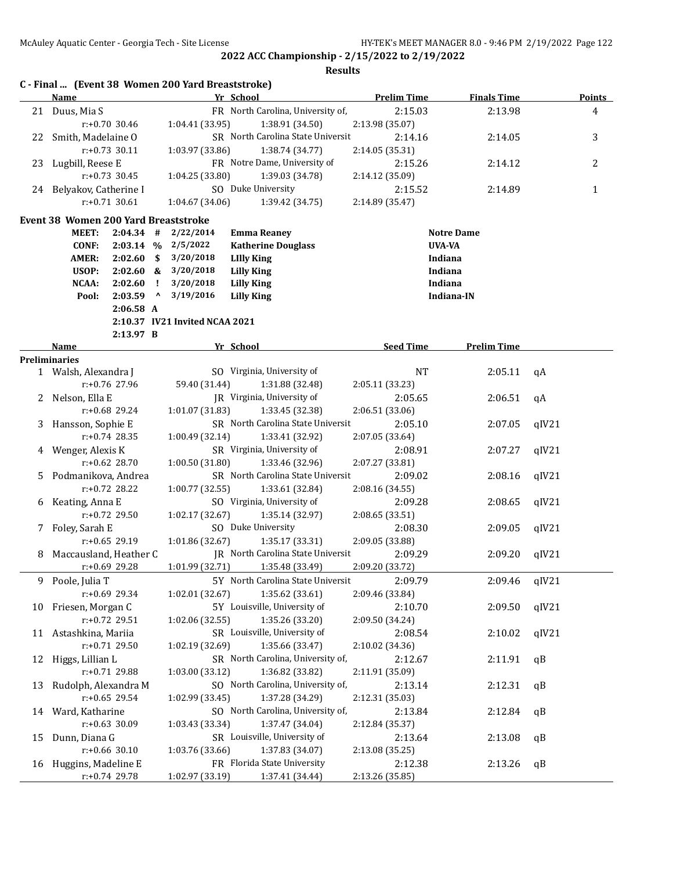|    | Name                                        |                  |           |                                | Yr School                                |                 | <b>Prelim Time</b> | <b>Finals Time</b> |       | <b>Points</b>  |
|----|---------------------------------------------|------------------|-----------|--------------------------------|------------------------------------------|-----------------|--------------------|--------------------|-------|----------------|
|    | 21 Duus, Mia S                              |                  |           |                                | FR North Carolina, University of,        |                 | 2:15.03            | 2:13.98            |       | $\overline{4}$ |
|    |                                             | r:+0.70 30.46    |           | 1:04.41 (33.95)                |                                          | 1:38.91 (34.50) | 2:13.98 (35.07)    |                    |       |                |
|    | 22 Smith, Madelaine O                       |                  |           |                                | SR North Carolina State Universit        |                 | 2:14.16            | 2:14.05            |       | 3              |
|    |                                             | $r: +0.73$ 30.11 |           | 1:03.97 (33.86)                |                                          | 1:38.74 (34.77) | 2:14.05 (35.31)    |                    |       |                |
|    | 23 Lugbill, Reese E                         |                  |           |                                | FR Notre Dame, University of             |                 | 2:15.26            | 2:14.12            |       | 2              |
|    |                                             | $r: +0.73$ 30.45 |           | 1:04.25 (33.80)                |                                          | 1:39.03 (34.78) | 2:14.12 (35.09)    |                    |       |                |
|    | 24 Belyakov, Catherine I                    |                  |           |                                | SO Duke University                       |                 | 2:15.52            | 2:14.89            |       | $\mathbf{1}$   |
|    |                                             | $r: +0.71$ 30.61 |           | 1:04.67(34.06)                 |                                          | 1:39.42 (34.75) | 2:14.89 (35.47)    |                    |       |                |
|    |                                             |                  |           |                                |                                          |                 |                    |                    |       |                |
|    | <b>Event 38 Women 200 Yard Breaststroke</b> |                  |           |                                |                                          |                 |                    |                    |       |                |
|    | <b>MEET:</b>                                | 2:04.34          | #         | 2/22/2014                      | <b>Emma Reaney</b>                       |                 |                    | <b>Notre Dame</b>  |       |                |
|    | CONF:                                       |                  |           | $2:03.14$ % $2/5/2022$         | <b>Katherine Douglass</b>                |                 |                    | <b>UVA-VA</b>      |       |                |
|    | <b>AMER:</b>                                | $2:02.60$ \$     |           | 3/20/2018                      | <b>LIlly King</b>                        |                 |                    | Indiana            |       |                |
|    | USOP:                                       |                  |           | 2:02.60 & 3/20/2018            | <b>Lilly King</b>                        |                 |                    | Indiana            |       |                |
|    | NCAA:                                       | 2:02.60          | - 1       | 3/20/2018                      | <b>Lilly King</b>                        |                 |                    | Indiana            |       |                |
|    | Pool:                                       | 2:03.59          | $\lambda$ | 3/19/2016                      | <b>Lilly King</b>                        |                 |                    | Indiana-IN         |       |                |
|    |                                             | $2:06.58$ A      |           |                                |                                          |                 |                    |                    |       |                |
|    |                                             |                  |           | 2:10.37 IV21 Invited NCAA 2021 |                                          |                 |                    |                    |       |                |
|    |                                             | 2:13.97 B        |           |                                |                                          |                 |                    |                    |       |                |
|    | Name<br><b>Preliminaries</b>                |                  |           |                                | Yr School                                |                 | <b>Seed Time</b>   | <b>Prelim Time</b> |       |                |
|    | 1 Walsh, Alexandra J                        |                  |           |                                | SO Virginia, University of               |                 | <b>NT</b>          | 2:05.11            | qA    |                |
|    |                                             | $r: +0.76$ 27.96 |           | 59.40 (31.44)                  |                                          | 1:31.88 (32.48) | 2:05.11 (33.23)    |                    |       |                |
|    | 2 Nelson, Ella E                            |                  |           |                                | JR Virginia, University of               |                 | 2:05.65            | 2:06.51            | qA    |                |
|    |                                             | $r: +0.68$ 29.24 |           | 1:01.07(31.83)                 |                                          | 1:33.45 (32.38) | 2:06.51 (33.06)    |                    |       |                |
|    | 3 Hansson, Sophie E                         |                  |           |                                | SR North Carolina State Universit        |                 | 2:05.10            | 2:07.05            | qIV21 |                |
|    |                                             | $r: +0.74$ 28.35 |           | 1:00.49(32.14)                 |                                          |                 |                    |                    |       |                |
|    |                                             |                  |           |                                | SR Virginia, University of               | 1:33.41 (32.92) | 2:07.05 (33.64)    |                    |       |                |
|    | 4 Wenger, Alexis K                          | $r: +0.62$ 28.70 |           |                                |                                          |                 | 2:08.91            | 2:07.27            | qIV21 |                |
|    |                                             |                  |           | 1:00.50(31.80)                 |                                          | 1:33.46 (32.96) | 2:07.27 (33.81)    |                    |       |                |
| 5  | Podmanikova, Andrea                         |                  |           |                                | SR North Carolina State Universit        |                 | 2:09.02            | 2:08.16            | qIV21 |                |
|    |                                             | $r: +0.72$ 28.22 |           | 1:00.77(32.55)                 |                                          | 1:33.61 (32.84) | 2:08.16 (34.55)    |                    |       |                |
| 6  | Keating, Anna E                             |                  |           |                                | SO Virginia, University of               |                 | 2:09.28            | 2:08.65            | qIV21 |                |
|    |                                             | $r: +0.72$ 29.50 |           | 1:02.17 (32.67)                |                                          | 1:35.14 (32.97) | 2:08.65 (33.51)    |                    |       |                |
| 7  | Foley, Sarah E                              |                  |           |                                | SO Duke University                       |                 | 2:08.30            | 2:09.05            | qIV21 |                |
|    |                                             | $r: +0.65$ 29.19 |           | 1:01.86 (32.67)                |                                          | 1:35.17 (33.31) | 2:09.05 (33.88)    |                    |       |                |
| 8  | Maccausland, Heather C                      |                  |           |                                | <b>IR</b> North Carolina State Universit |                 | 2:09.29            | 2:09.20            | qIV21 |                |
|    |                                             | r:+0.69 29.28    |           | 1:01.99 (32.71)                |                                          | 1:35.48 (33.49) | 2:09.20 (33.72)    |                    |       |                |
|    | 9 Poole, Julia T                            |                  |           |                                | 5Y North Carolina State Universit        |                 | 2:09.79            | 2:09.46            | qIV21 |                |
|    |                                             | r:+0.69 29.34    |           | 1:02.01 (32.67)                |                                          | 1:35.62 (33.61) | 2:09.46 (33.84)    |                    |       |                |
| 10 | Friesen, Morgan C                           |                  |           |                                | 5Y Louisville, University of             |                 | 2:10.70            | 2:09.50            | qIV21 |                |
|    |                                             | r:+0.72 29.51    |           | 1:02.06 (32.55)                |                                          | 1:35.26 (33.20) | 2:09.50 (34.24)    |                    |       |                |
|    | 11 Astashkina, Mariia                       |                  |           |                                | SR Louisville, University of             |                 | 2:08.54            | 2:10.02            | qIV21 |                |
|    |                                             | $r: +0.71$ 29.50 |           | 1:02.19 (32.69)                |                                          | 1:35.66 (33.47) | 2:10.02 (34.36)    |                    |       |                |
| 12 | Higgs, Lillian L                            |                  |           |                                | SR North Carolina, University of,        |                 | 2:12.67            | 2:11.91            | qB    |                |
|    |                                             | r:+0.71 29.88    |           | 1:03.00 (33.12)                |                                          | 1:36.82 (33.82) | 2:11.91 (35.09)    |                    |       |                |
| 13 | Rudolph, Alexandra M                        |                  |           |                                | SO North Carolina, University of,        |                 | 2:13.14            | 2:12.31            | qB    |                |
|    |                                             | r:+0.65 29.54    |           | 1:02.99 (33.45)                |                                          | 1:37.28 (34.29) | 2:12.31 (35.03)    |                    |       |                |
| 14 | Ward, Katharine                             |                  |           |                                | SO North Carolina, University of,        |                 | 2:13.84            | 2:12.84            | qB    |                |
|    |                                             | $r: +0.63$ 30.09 |           | 1:03.43 (33.34)                |                                          | 1:37.47 (34.04) | 2:12.84 (35.37)    |                    |       |                |
| 15 | Dunn, Diana G                               |                  |           |                                | SR Louisville, University of             |                 | 2:13.64            | 2:13.08            | qB    |                |
|    |                                             | $r: +0.66$ 30.10 |           | 1:03.76 (33.66)                |                                          | 1:37.83 (34.07) | 2:13.08 (35.25)    |                    |       |                |
| 16 | Huggins, Madeline E                         |                  |           |                                | FR Florida State University              |                 | 2:12.38            | 2:13.26            | qB    |                |
|    |                                             | r:+0.74 29.78    |           | 1:02.97 (33.19)                |                                          | 1:37.41 (34.44) | 2:13.26 (35.85)    |                    |       |                |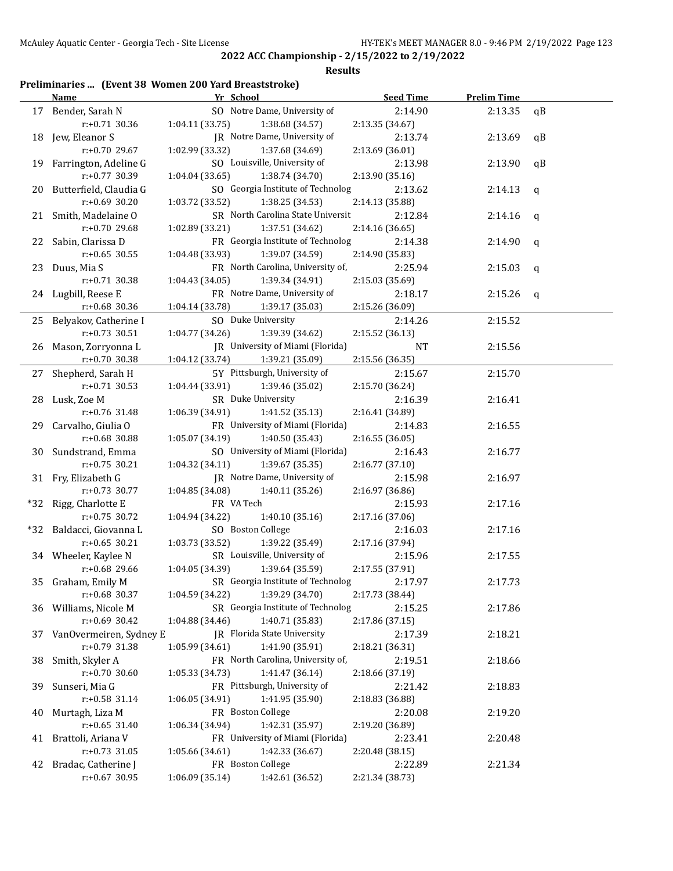#### **Results**

## **Preliminaries ... (Event 38 Women 200 Yard Breaststroke)**

|    | <b>Name</b>               | Yr School         |                                           | <b>Seed Time</b> | <b>Prelim Time</b> |              |
|----|---------------------------|-------------------|-------------------------------------------|------------------|--------------------|--------------|
|    | 17 Bender, Sarah N        |                   | SO Notre Dame, University of              | 2:14.90          | 2:13.35            | qB           |
|    | r:+0.71 30.36             | 1:04.11 (33.75)   | 1:38.68 (34.57)                           | 2:13.35 (34.67)  |                    |              |
|    | 18 Jew, Eleanor S         |                   | JR Notre Dame, University of              | 2:13.74          | 2:13.69            | qB           |
|    | r:+0.70 29.67             | 1:02.99 (33.32)   | 1:37.68 (34.69)                           | 2:13.69 (36.01)  |                    |              |
|    | 19 Farrington, Adeline G  |                   | SO Louisville, University of              | 2:13.98          | 2:13.90            | qB           |
|    | r:+0.77 30.39             | 1:04.04(33.65)    | 1:38.74 (34.70)                           | 2:13.90 (35.16)  |                    |              |
|    | 20 Butterfield, Claudia G |                   | SO Georgia Institute of Technolog         | 2:13.62          | 2:14.13            | $\mathsf{q}$ |
|    | $r: +0.69$ 30.20          | 1:03.72 (33.52)   | 1:38.25(34.53)                            | 2:14.13 (35.88)  |                    |              |
|    | 21 Smith, Madelaine O     |                   | SR North Carolina State Universit         | 2:12.84          | 2:14.16            | $\mathsf{q}$ |
|    | r:+0.70 29.68             | 1:02.89 (33.21)   | 1:37.51 (34.62)                           | 2:14.16 (36.65)  |                    |              |
|    | 22 Sabin, Clarissa D      |                   | FR Georgia Institute of Technolog         | 2:14.38          | 2:14.90            | q            |
|    | $r: +0.65$ 30.55          | 1:04.48 (33.93)   | 1:39.07 (34.59)                           | 2:14.90 (35.83)  |                    |              |
|    | 23 Duus, Mia S            |                   | FR North Carolina, University of,         | 2:25.94          | 2:15.03            | q            |
|    | $r: +0.71$ 30.38          | 1:04.43 (34.05)   | 1:39.34 (34.91)                           | 2:15.03 (35.69)  |                    |              |
|    | 24 Lugbill, Reese E       |                   | FR Notre Dame, University of              | 2:18.17          | 2:15.26            | q            |
|    | $r: +0.68$ 30.36          | 1:04.14 (33.78)   | 1:39.17 (35.03)                           | 2:15.26 (36.09)  |                    |              |
|    | 25 Belyakov, Catherine I  |                   | SO Duke University                        | 2:14.26          | 2:15.52            |              |
|    | r:+0.73 30.51             | 1:04.77 (34.26)   | 1:39.39 (34.62)                           | 2:15.52 (36.13)  |                    |              |
|    | 26 Mason, Zorryonna L     |                   | JR University of Miami (Florida)          | NT               | 2:15.56            |              |
|    | $r: +0.70$ 30.38          | 1:04.12 (33.74)   | 1:39.21 (35.09)                           | 2:15.56 (36.35)  |                    |              |
|    | 27 Shepherd, Sarah H      |                   | 5Y Pittsburgh, University of              | 2:15.67          | 2:15.70            |              |
|    | $r: +0.71$ 30.53          | 1:04.44 (33.91)   | 1:39.46 (35.02)                           | 2:15.70 (36.24)  |                    |              |
|    | 28 Lusk, Zoe M            |                   | SR Duke University                        | 2:16.39          | 2:16.41            |              |
|    | r:+0.76 31.48             | 1:06.39 (34.91)   | 1:41.52 (35.13)                           | 2:16.41 (34.89)  |                    |              |
|    | 29 Carvalho, Giulia O     |                   | FR University of Miami (Florida)          | 2:14.83          | 2:16.55            |              |
|    | r:+0.68 30.88             | 1:05.07(34.19)    | 1:40.50 (35.43)                           | 2:16.55 (36.05)  |                    |              |
|    | 30 Sundstrand, Emma       |                   | SO University of Miami (Florida)          | 2:16.43          | 2:16.77            |              |
|    | $r: +0.75$ 30.21          | 1:04.32(34.11)    | 1:39.67 (35.35)                           | 2:16.77 (37.10)  |                    |              |
|    | 31 Fry, Elizabeth G       |                   | JR Notre Dame, University of              | 2:15.98          | 2:16.97            |              |
|    | $r: +0.73$ 30.77          | 1:04.85 (34.08)   | 1:40.11 (35.26)                           | 2:16.97 (36.86)  |                    |              |
|    | *32 Rigg, Charlotte E     | FR VA Tech        |                                           | 2:15.93          | 2:17.16            |              |
|    | $r: +0.75$ 30.72          | 1:04.94 (34.22)   | 1:40.10 (35.16)                           | 2:17.16 (37.06)  |                    |              |
|    | *32 Baldacci, Giovanna L  | SO Boston College |                                           | 2:16.03          | 2:17.16            |              |
|    | $r: +0.65$ 30.21          | 1:03.73 (33.52)   | 1:39.22 (35.49)                           | 2:17.16 (37.94)  |                    |              |
|    | 34 Wheeler, Kaylee N      |                   | SR Louisville, University of              | 2:15.96          | 2:17.55            |              |
|    | r:+0.68 29.66             | 1:04.05(34.39)    | 1:39.64 (35.59)                           | 2:17.55 (37.91)  |                    |              |
|    | 35 Graham, Emily M        |                   | SR Georgia Institute of Technolog 2:17.97 |                  | 2:17.73            |              |
|    | $r: +0.68$ 30.37          | 1:04.59(34.22)    | 1:39.29 (34.70)                           | 2:17.73 (38.44)  |                    |              |
|    | 36 Williams, Nicole M     |                   | SR Georgia Institute of Technolog         | 2:15.25          | 2:17.86            |              |
|    | $r: +0.69$ 30.42          | 1:04.88 (34.46)   | 1:40.71 (35.83)                           | 2:17.86 (37.15)  |                    |              |
| 37 | VanOvermeiren, Sydney E   |                   | JR Florida State University               | 2:17.39          | 2:18.21            |              |
|    | r:+0.79 31.38             | 1:05.99 (34.61)   | 1:41.90 (35.91)                           | 2:18.21 (36.31)  |                    |              |
| 38 | Smith, Skyler A           |                   | FR North Carolina, University of,         | 2:19.51          | 2:18.66            |              |
|    | r:+0.70 30.60             | 1:05.33 (34.73)   | 1:41.47 (36.14)                           | 2:18.66 (37.19)  |                    |              |
| 39 | Sunseri, Mia G            |                   | FR Pittsburgh, University of              | 2:21.42          | 2:18.83            |              |
|    | r:+0.58 31.14             | 1:06.05 (34.91)   | 1:41.95 (35.90)                           | 2:18.83 (36.88)  |                    |              |
| 40 | Murtagh, Liza M           | FR Boston College |                                           | 2:20.08          | 2:19.20            |              |
|    | $r: +0.65$ 31.40          | 1:06.34 (34.94)   | 1:42.31 (35.97)                           | 2:19.20 (36.89)  |                    |              |
| 41 | Brattoli, Ariana V        |                   | FR University of Miami (Florida)          | 2:23.41          | 2:20.48            |              |
|    | r:+0.73 31.05             | 1:05.66 (34.61)   | 1:42.33 (36.67)                           | 2:20.48 (38.15)  |                    |              |
| 42 | Bradac, Catherine J       | FR Boston College |                                           | 2:22.89          | 2:21.34            |              |
|    | r:+0.67 30.95             | 1:06.09 (35.14)   | 1:42.61 (36.52)                           | 2:21.34 (38.73)  |                    |              |
|    |                           |                   |                                           |                  |                    |              |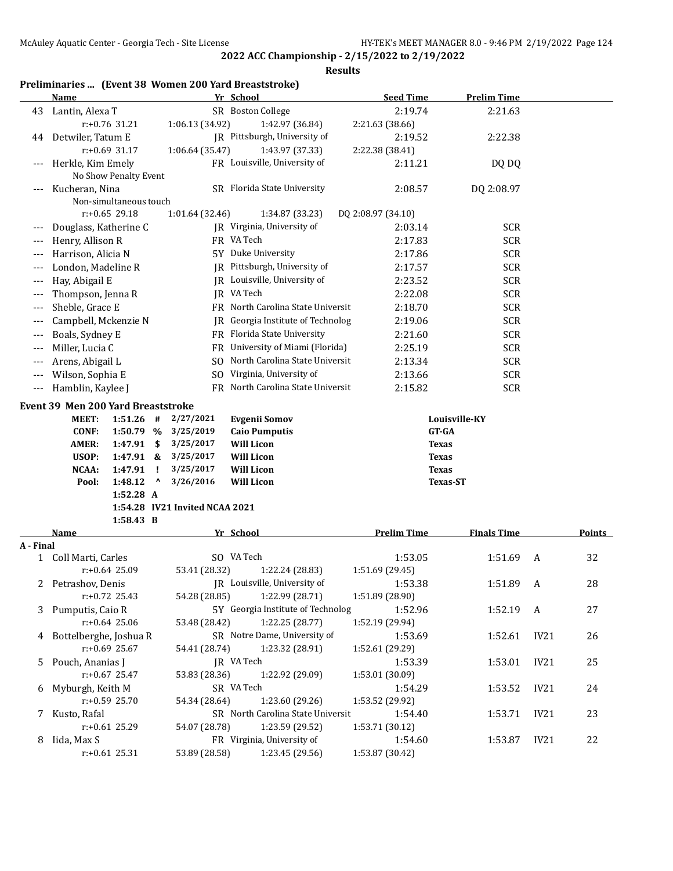|                      | Preliminaries  (Event 38 Women 200 Yard Breaststroke) |                                |                                   |                    |                    |      |               |
|----------------------|-------------------------------------------------------|--------------------------------|-----------------------------------|--------------------|--------------------|------|---------------|
|                      | <b>Name</b>                                           |                                | Yr School                         | <b>Seed Time</b>   | <b>Prelim Time</b> |      |               |
| 43                   | Lantin, Alexa T                                       |                                | SR Boston College                 | 2:19.74            | 2:21.63            |      |               |
|                      | r:+0.76 31.21                                         | 1:06.13 (34.92)                | 1:42.97 (36.84)                   | 2:21.63 (38.66)    |                    |      |               |
| 44                   | Detwiler, Tatum E                                     |                                | JR Pittsburgh, University of      | 2:19.52            | 2:22.38            |      |               |
|                      | $r: +0.69$ 31.17                                      | 1:06.64 (35.47)                | 1:43.97 (37.33)                   | 2:22.38 (38.41)    |                    |      |               |
| $---$                | Herkle, Kim Emely                                     |                                | FR Louisville, University of      | 2:11.21            | DQ DQ              |      |               |
|                      | No Show Penalty Event                                 |                                |                                   |                    |                    |      |               |
|                      | Kucheran, Nina                                        |                                | SR Florida State University       | 2:08.57            | DQ 2:08.97         |      |               |
|                      | Non-simultaneous touch                                |                                |                                   |                    |                    |      |               |
|                      | $r: +0.65$ 29.18                                      | 1:01.64 (32.46)                | 1:34.87 (33.23)                   | DQ 2:08.97 (34.10) |                    |      |               |
| ---                  | Douglass, Katherine C                                 |                                | JR Virginia, University of        | 2:03.14            | <b>SCR</b>         |      |               |
| ---                  | Henry, Allison R                                      |                                | FR VA Tech                        | 2:17.83            | <b>SCR</b>         |      |               |
| ---                  | Harrison, Alicia N                                    |                                | 5Y Duke University                | 2:17.86            | <b>SCR</b>         |      |               |
| ---                  | London, Madeline R                                    |                                | JR Pittsburgh, University of      | 2:17.57            | <b>SCR</b>         |      |               |
| ---                  | Hay, Abigail E                                        |                                | JR Louisville, University of      | 2:23.52            | <b>SCR</b>         |      |               |
| ---                  | Thompson, Jenna R                                     |                                | JR VA Tech                        | 2:22.08            | <b>SCR</b>         |      |               |
| ---                  | Sheble, Grace E                                       |                                | FR North Carolina State Universit | 2:18.70            | <b>SCR</b>         |      |               |
| ---                  | Campbell, Mckenzie N                                  |                                | JR Georgia Institute of Technolog | 2:19.06            | <b>SCR</b>         |      |               |
|                      |                                                       |                                | FR Florida State University       |                    |                    |      |               |
| $---$                | Boals, Sydney E                                       |                                |                                   | 2:21.60            | <b>SCR</b>         |      |               |
| $---$                | Miller, Lucia C                                       |                                | FR University of Miami (Florida)  | 2:25.19            | <b>SCR</b>         |      |               |
| ---                  | Arens, Abigail L                                      | SO.                            | North Carolina State Universit    | 2:13.34            | <b>SCR</b>         |      |               |
| ---                  | Wilson, Sophia E                                      | SO.                            | Virginia, University of           | 2:13.66            | <b>SCR</b>         |      |               |
| $\scriptstyle\cdots$ | Hamblin, Kaylee J                                     |                                | FR North Carolina State Universit | 2:15.82            | <b>SCR</b>         |      |               |
|                      | Event 39 Men 200 Yard Breaststroke                    |                                |                                   |                    |                    |      |               |
|                      | MEET:<br>1:51.26<br>#                                 | 2/27/2021                      | <b>Evgenii Somov</b>              |                    | Louisville-KY      |      |               |
|                      | <b>CONF:</b><br>1:50.79 %                             | 3/25/2019                      | <b>Caio Pumputis</b>              | <b>GT-GA</b>       |                    |      |               |
|                      | <b>AMER:</b><br>1:47.91<br>\$                         | 3/25/2017                      | <b>Will Licon</b>                 | <b>Texas</b>       |                    |      |               |
|                      | USOP:<br>1:47.91 &                                    | 3/25/2017                      | <b>Will Licon</b>                 | <b>Texas</b>       |                    |      |               |
|                      | NCAA:<br>1:47.91<br>-1                                | 3/25/2017                      | <b>Will Licon</b>                 | <b>Texas</b>       |                    |      |               |
|                      | ^<br>Pool:<br>1:48.12                                 | 3/26/2016                      | <b>Will Licon</b>                 |                    | <b>Texas-ST</b>    |      |               |
|                      | 1:52.28 A                                             |                                |                                   |                    |                    |      |               |
|                      |                                                       | 1:54.28 IV21 Invited NCAA 2021 |                                   |                    |                    |      |               |
|                      | 1:58.43 B                                             |                                |                                   |                    |                    |      |               |
|                      | <b>Name</b>                                           |                                | Yr School                         | <b>Prelim Time</b> | <b>Finals Time</b> |      | <b>Points</b> |
| A - Final            |                                                       |                                |                                   |                    |                    |      |               |
|                      | 1 Coll Marti, Carles                                  |                                | SO VA Tech                        | 1:53.05            | 1:51.69            | A    | 32            |
|                      | r:+0.64 25.09                                         | 53.41 (28.32)                  | 1:22.24 (28.83)                   | 1:51.69 (29.45)    |                    |      |               |
| 2                    | Petrashov, Denis                                      |                                | JR Louisville, University of      | 1:53.38            | 1:51.89            | A    | 28            |
|                      | $r.+0.72$ 25.43                                       | 54.28 (28.85)                  | 1:22.99 (28.71)                   | 1:51.89 (28.90)    |                    |      |               |
|                      | 3 Pumputis, Caio R                                    |                                | 5Y Georgia Institute of Technolog | 1:52.96            | 1:52.19            | A    | 27            |
|                      | $r: +0.64$ 25.06                                      | 53.48 (28.42)                  | 1:22.25 (28.77)                   | 1:52.19 (29.94)    |                    |      |               |
|                      | 4 Bottelberghe, Joshua R                              |                                | SR Notre Dame, University of      | 1:53.69            | 1:52.61            | IV21 | 26            |
|                      | $r: +0.69$ 25.67                                      | 54.41 (28.74)                  | 1:23.32 (28.91)                   | 1:52.61 (29.29)    |                    |      |               |
| 5.                   | Pouch, Ananias J                                      |                                | JR VA Tech                        | 1:53.39            | 1:53.01            | IV21 | 25            |
|                      | $r: +0.67$ 25.47                                      | 53.83 (28.36)                  | 1:22.92 (29.09)                   | 1:53.01 (30.09)    |                    |      |               |
| 6                    | Myburgh, Keith M                                      |                                | SR VA Tech                        | 1:54.29            | 1:53.52            | IV21 | 24            |
|                      | $r: +0.59$ 25.70                                      | 54.34 (28.64)                  | 1:23.60 (29.26)                   | 1:53.52 (29.92)    |                    |      |               |
| 7.                   | Kusto, Rafal                                          |                                | SR North Carolina State Universit | 1:54.40            | 1:53.71            | IV21 | 23            |
|                      | r:+0.61 25.29                                         | 54.07 (28.78)                  | 1:23.59 (29.52)                   | 1:53.71 (30.12)    |                    |      |               |
| 8                    | Iida, Max S                                           |                                | FR Virginia, University of        | 1:54.60            | 1:53.87            | IV21 | 22            |
|                      | $r+0.61$ 25.31                                        | 53.89 (28.58)                  | 1:23.45 (29.56)                   | 1:53.87 (30.42)    |                    |      |               |
|                      |                                                       |                                |                                   |                    |                    |      |               |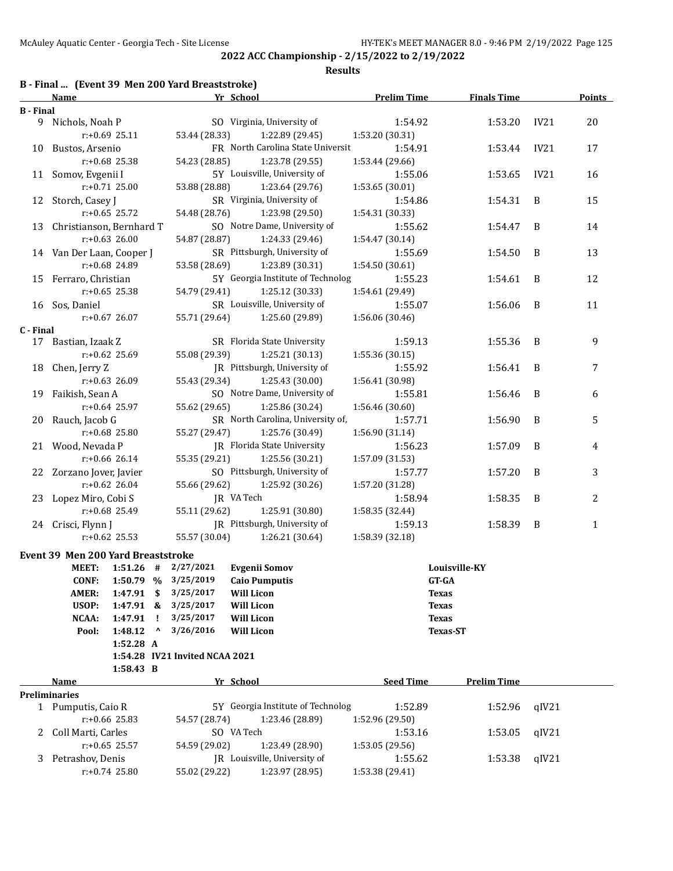|  | B - Final  (Event 39 Men 200 Yard Breaststroke) |
|--|-------------------------------------------------|
|--|-------------------------------------------------|

|                  | <b>Name</b>                               |                  |                                 |                                | Yr School                         | <b>Prelim Time</b> | <b>Finals Time</b> |       | <b>Points</b> |
|------------------|-------------------------------------------|------------------|---------------------------------|--------------------------------|-----------------------------------|--------------------|--------------------|-------|---------------|
| <b>B</b> - Final |                                           |                  |                                 |                                |                                   |                    |                    |       |               |
|                  | 9 Nichols, Noah P                         |                  |                                 |                                | SO Virginia, University of        | 1:54.92            | 1:53.20            | IV21  | 20            |
|                  |                                           | $r: +0.69$ 25.11 |                                 | 53.44 (28.33)                  | 1:22.89 (29.45)                   | 1:53.20 (30.31)    |                    |       |               |
|                  | 10 Bustos, Arsenio                        |                  |                                 |                                | FR North Carolina State Universit | 1:54.91            | 1:53.44            | IV21  | 17            |
|                  |                                           | $r: +0.68$ 25.38 |                                 | 54.23 (28.85)                  | 1:23.78 (29.55)                   | 1:53.44 (29.66)    |                    |       |               |
|                  | 11 Somov, Evgenii I                       |                  |                                 |                                | 5Y Louisville, University of      | 1:55.06            | 1:53.65            | IV21  | 16            |
|                  |                                           | $r: +0.71$ 25.00 |                                 | 53.88 (28.88)                  | 1:23.64 (29.76)                   | 1:53.65 (30.01)    |                    |       |               |
|                  | 12 Storch, Casey J                        |                  |                                 |                                | SR Virginia, University of        | 1:54.86            | 1:54.31            | B     | 15            |
|                  |                                           | $r: +0.65$ 25.72 |                                 | 54.48 (28.76)                  | 1:23.98 (29.50)                   | 1:54.31 (30.33)    |                    |       |               |
|                  | 13 Christianson, Bernhard T               |                  |                                 |                                | SO Notre Dame, University of      | 1:55.62            | 1:54.47            | B     | 14            |
|                  |                                           | $r: +0.63$ 26.00 |                                 |                                |                                   |                    |                    |       |               |
|                  |                                           |                  |                                 | 54.87 (28.87)                  | 1:24.33 (29.46)                   | 1:54.47 (30.14)    |                    |       |               |
|                  | 14 Van Der Laan, Cooper J                 |                  |                                 |                                | SR Pittsburgh, University of      | 1:55.69            | 1:54.50            | B     | 13            |
|                  |                                           | r:+0.68 24.89    |                                 | 53.58 (28.69)                  | 1:23.89 (30.31)                   | 1:54.50 (30.61)    |                    |       |               |
|                  | 15 Ferraro, Christian                     |                  |                                 |                                | 5Y Georgia Institute of Technolog | 1:55.23            | 1:54.61            | B     | 12            |
|                  |                                           | $r: +0.65$ 25.38 |                                 | 54.79 (29.41)                  | 1:25.12 (30.33)                   | 1:54.61 (29.49)    |                    |       |               |
|                  | 16 Sos, Daniel                            |                  |                                 |                                | SR Louisville, University of      | 1:55.07            | 1:56.06            | B     | 11            |
|                  |                                           | $r: +0.67$ 26.07 |                                 | 55.71 (29.64)                  | 1:25.60 (29.89)                   | 1:56.06 (30.46)    |                    |       |               |
| C - Final        |                                           |                  |                                 |                                |                                   |                    |                    |       |               |
|                  | 17 Bastian, Izaak Z                       |                  |                                 |                                | SR Florida State University       | 1:59.13            | 1:55.36            | B     | 9             |
|                  |                                           | $r: +0.62$ 25.69 |                                 | 55.08 (29.39)                  | 1:25.21(30.13)                    | 1:55.36 (30.15)    |                    |       |               |
|                  | 18 Chen, Jerry Z                          |                  |                                 |                                | JR Pittsburgh, University of      | 1:55.92            | 1:56.41            | B     | 7             |
|                  |                                           | r:+0.63 26.09    |                                 | 55.43 (29.34)                  | 1:25.43 (30.00)                   | 1:56.41 (30.98)    |                    |       |               |
|                  | 19 Faikish, Sean A                        |                  |                                 |                                | SO Notre Dame, University of      | 1:55.81            | 1:56.46            | B     | 6             |
|                  |                                           | $r: +0.64$ 25.97 |                                 | 55.62 (29.65)                  | 1:25.86 (30.24)                   | 1:56.46 (30.60)    |                    |       |               |
|                  | 20 Rauch, Jacob G                         |                  |                                 |                                | SR North Carolina, University of, | 1:57.71            | 1:56.90            | B     | 5             |
|                  |                                           | $r: +0.68$ 25.80 |                                 | 55.27 (29.47)                  | 1:25.76 (30.49)                   | 1:56.90 (31.14)    |                    |       |               |
|                  | 21 Wood, Nevada P                         |                  |                                 |                                | JR Florida State University       | 1:56.23            | 1:57.09            | B     | 4             |
|                  |                                           | $r$ :+0.66 26.14 |                                 | 55.35 (29.21)                  | 1:25.56 (30.21)                   | 1:57.09 (31.53)    |                    |       |               |
|                  | 22 Zorzano Jover, Javier                  |                  |                                 |                                | SO Pittsburgh, University of      | 1:57.77            | 1:57.20            | B     | 3             |
|                  |                                           | $r: +0.62$ 26.04 |                                 | 55.66 (29.62)                  | 1:25.92 (30.26)                   | 1:57.20 (31.28)    |                    |       |               |
|                  | 23 Lopez Miro, Cobi S                     |                  |                                 |                                | JR VA Tech                        | 1:58.94            | 1:58.35            | B     | 2             |
|                  |                                           | $r: +0.68$ 25.49 |                                 | 55.11 (29.62)                  | 1:25.91 (30.80)                   | 1:58.35 (32.44)    |                    |       |               |
|                  | 24 Crisci, Flynn J                        |                  |                                 |                                | JR Pittsburgh, University of      | 1:59.13            | 1:58.39            | B     | $\mathbf{1}$  |
|                  |                                           | $r: +0.62$ 25.53 |                                 | 55.57 (30.04)                  | 1:26.21(30.64)                    | 1:58.39 (32.18)    |                    |       |               |
|                  |                                           |                  |                                 |                                |                                   |                    |                    |       |               |
|                  | <b>Event 39 Men 200 Yard Breaststroke</b> |                  |                                 |                                |                                   |                    |                    |       |               |
|                  | MEET:                                     |                  |                                 | $1:51.26$ # $2/27/2021$        | <b>Evgenii Somov</b>              |                    | Louisville-KY      |       |               |
|                  | <b>CONF:</b>                              |                  |                                 | 1:50.79 % 3/25/2019            | <b>Caio Pumputis</b>              |                    | GT-GA              |       |               |
|                  | <b>AMER:</b>                              | 1:47.91 \$       |                                 | 3/25/2017                      | <b>Will Licon</b>                 |                    | <b>Texas</b>       |       |               |
|                  | USOP:                                     | 1:47.91 &        |                                 | 3/25/2017                      | <b>Will Licon</b>                 |                    | <b>Texas</b>       |       |               |
|                  | NCAA:                                     | 1:47.91          | ÷.                              | 3/25/2017                      | <b>Will Licon</b>                 |                    | <b>Texas</b>       |       |               |
|                  | Pool:                                     | 1:48.12          | $\boldsymbol{\mathsf{\Lambda}}$ | 3/26/2016                      | <b>Will Licon</b>                 |                    | <b>Texas-ST</b>    |       |               |
|                  |                                           | 1:52.28 A        |                                 |                                |                                   |                    |                    |       |               |
|                  |                                           |                  |                                 | 1:54.28 IV21 Invited NCAA 2021 |                                   |                    |                    |       |               |
|                  |                                           | 1:58.43 B        |                                 |                                |                                   |                    |                    |       |               |
|                  | Name                                      |                  |                                 |                                | Yr School                         | <b>Seed Time</b>   | <b>Prelim Time</b> |       |               |
|                  | <b>Preliminaries</b>                      |                  |                                 |                                |                                   |                    |                    |       |               |
|                  | 1 Pumputis, Caio R                        |                  |                                 |                                | 5Y Georgia Institute of Technolog | 1:52.89            | 1:52.96            | qIV21 |               |
|                  |                                           | $r: +0.66$ 25.83 |                                 | 54.57 (28.74)                  | 1:23.46 (28.89)                   | 1:52.96 (29.50)    |                    |       |               |
|                  | 2 Coll Marti, Carles                      |                  |                                 |                                | SO VA Tech                        | 1:53.16            | 1:53.05            | qIV21 |               |
|                  |                                           | $r: +0.65$ 25.57 |                                 | 54.59 (29.02)                  | 1:23.49 (28.90)                   | 1:53.05 (29.56)    |                    |       |               |
|                  | 3 Petrashov, Denis                        |                  |                                 |                                | JR Louisville, University of      | 1:55.62            | 1:53.38            | qIV21 |               |
|                  |                                           | $r: +0.74$ 25.80 |                                 | 55.02 (29.22)                  | 1:23.97 (28.95)                   | 1:53.38 (29.41)    |                    |       |               |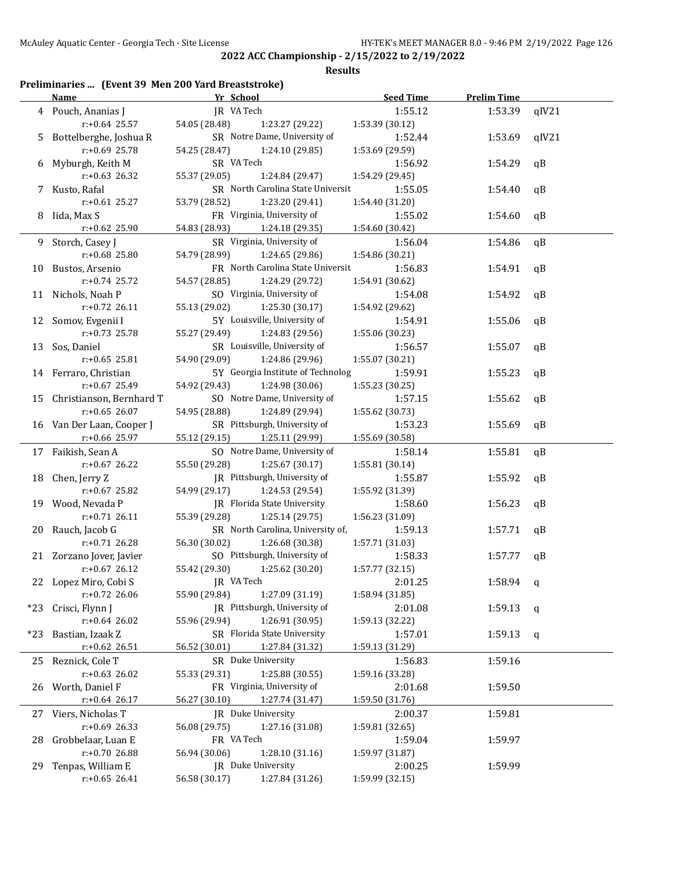### **Results**

## **Preliminaries ... (Event 39 Men 200 Yard Breaststroke)**

|       | <b>Name</b>                             | Yr School                    |                                                 | <b>Seed Time</b>           | <b>Prelim Time</b> |                        |
|-------|-----------------------------------------|------------------------------|-------------------------------------------------|----------------------------|--------------------|------------------------|
|       | 4 Pouch, Ananias J                      | JR VA Tech                   |                                                 | 1:55.12                    | 1:53.39            | qIV21                  |
|       | $r: +0.64$ 25.57                        | 54.05 (28.48)                | 1:23.27 (29.22)<br>SR Notre Dame, University of | 1:53.39 (30.12)            |                    |                        |
| 5.    | Bottelberghe, Joshua R<br>r:+0.69 25.78 | 54.25 (28.47)                |                                                 | 1:52.44                    | 1:53.69            | qIV21                  |
|       | Myburgh, Keith M                        | SR VA Tech                   | 1:24.10 (29.85)                                 | 1:53.69 (29.59)<br>1:56.92 | 1:54.29            | qB                     |
| 6     | $r: +0.63$ 26.32                        | 55.37 (29.05)                | 1:24.84 (29.47)                                 | 1:54.29 (29.45)            |                    |                        |
|       | 7 Kusto, Rafal                          |                              | SR North Carolina State Universit               | 1:55.05                    | 1:54.40            | qB                     |
|       | $r: +0.61$ 25.27                        | 53.79 (28.52)                | 1:23.20 (29.41)                                 | 1:54.40 (31.20)            |                    |                        |
|       | 8 Iida, Max S                           | FR Virginia, University of   |                                                 | 1:55.02                    | 1:54.60            | qB                     |
|       | r:+0.62 25.90                           | 54.83 (28.93)                | 1:24.18 (29.35)                                 | 1:54.60 (30.42)            |                    |                        |
|       | 9 Storch, Casey J                       | SR Virginia, University of   |                                                 | 1:56.04                    | 1:54.86            | qB                     |
|       | r:+0.68 25.80                           | 54.79 (28.99)                | 1:24.65 (29.86)                                 | 1:54.86 (30.21)            |                    |                        |
|       | 10 Bustos, Arsenio                      |                              | FR North Carolina State Universit               | 1:56.83                    | 1:54.91            | qB                     |
|       | r:+0.74 25.72                           | 54.57 (28.85)                | 1:24.29 (29.72)                                 | 1:54.91 (30.62)            |                    |                        |
|       | 11 Nichols, Noah P                      | SO Virginia, University of   |                                                 | 1:54.08                    | 1:54.92            | qB                     |
|       | $r: +0.72$ 26.11                        | 55.13 (29.02)                | 1:25.30 (30.17)                                 | 1:54.92 (29.62)            |                    |                        |
|       | 12 Somov, Evgenii I                     | 5Y Louisville, University of |                                                 | 1:54.91                    | 1:55.06            | qB                     |
|       | $r: +0.73$ 25.78                        | 55.27 (29.49)                | 1:24.83 (29.56)                                 | 1:55.06 (30.23)            |                    |                        |
|       | 13 Sos, Daniel                          | SR Louisville, University of |                                                 | 1:56.57                    | 1:55.07            | qB                     |
|       | $r: +0.65$ 25.81                        | 54.90 (29.09)                | 1:24.86 (29.96)                                 | 1:55.07 (30.21)            |                    |                        |
|       | 14 Ferraro, Christian                   |                              | 5Y Georgia Institute of Technolog               | 1:59.91                    | 1:55.23            | qB                     |
|       | $r: +0.67$ 25.49                        | 54.92 (29.43)                | 1:24.98 (30.06)                                 | 1:55.23(30.25)             |                    |                        |
|       | 15 Christianson, Bernhard T             |                              | SO Notre Dame, University of                    | 1:57.15                    | 1:55.62            | qB                     |
|       | $r: +0.65$ 26.07                        | 54.95 (28.88)                | 1:24.89 (29.94)                                 | 1:55.62 (30.73)            |                    |                        |
|       | 16 Van Der Laan, Cooper J               | SR Pittsburgh, University of |                                                 | 1:53.23                    | 1:55.69            | $\mathsf{a}\mathsf{B}$ |
|       | $r: +0.66$ 25.97                        | 55.12 (29.15)                | 1:25.11 (29.99)                                 | 1:55.69 (30.58)            |                    |                        |
|       | 17 Faikish, Sean A                      |                              | SO Notre Dame, University of                    | 1:58.14                    | 1:55.81            | qB                     |
|       | $r: +0.67$ 26.22                        | 55.50 (29.28)                | 1:25.67 (30.17)                                 | 1:55.81 (30.14)            |                    |                        |
|       | 18 Chen, Jerry Z                        |                              | JR Pittsburgh, University of                    | 1:55.87                    | 1:55.92            | qB                     |
|       | $r: +0.67$ 25.82                        | 54.99 (29.17)                | 1:24.53 (29.54)                                 | 1:55.92 (31.39)            |                    |                        |
|       | 19 Wood, Nevada P                       | JR Florida State University  |                                                 | 1:58.60                    | 1:56.23            | qB                     |
|       | $r: +0.71$ 26.11                        | 55.39 (29.28)                | 1:25.14 (29.75)                                 | 1:56.23 (31.09)            |                    |                        |
|       | 20 Rauch, Jacob G                       |                              | SR North Carolina, University of,               | 1:59.13                    | 1:57.71            | qB                     |
|       | $r: +0.71$ 26.28                        | 56.30 (30.02)                | 1:26.68 (30.38)                                 | 1:57.71 (31.03)            |                    |                        |
|       | 21 Zorzano Jover, Javier                | SO Pittsburgh, University of |                                                 | 1:58.33                    | 1:57.77            | qB                     |
|       | $r: +0.67$ 26.12                        | 55.42 (29.30)                | 1:25.62 (30.20)                                 | 1:57.77 (32.15)            |                    |                        |
|       | 22 Lopez Miro, Cobi S                   | JR VA Tech                   |                                                 | 2:01.25                    | 1:58.94            | q                      |
|       | $r: +0.72$ 26.06                        | 55.90 (29.84)                | 1:27.09 (31.19)                                 | 1:58.94 (31.85)            |                    |                        |
| $*23$ | Crisci, Flynn J                         | JR Pittsburgh, University of |                                                 | 2:01.08                    | 1:59.13            | q                      |
|       | $r: +0.64$ 26.02                        | 55.96 (29.94)                | 1:26.91 (30.95)                                 | 1:59.13 (32.22)            |                    |                        |
| $*23$ | Bastian, Izaak Z                        | SR Florida State University  |                                                 | 1:57.01                    | 1:59.13            | q                      |
|       | r:+0.62 26.51                           | 56.52 (30.01)                | 1:27.84 (31.32)                                 | 1:59.13 (31.29)            |                    |                        |
| 25    | Reznick, Cole T                         | SR Duke University           |                                                 | 1:56.83                    | 1:59.16            |                        |
|       | $r: +0.63$ 26.02                        | 55.33 (29.31)                | 1:25.88 (30.55)                                 | 1:59.16 (33.28)            |                    |                        |
| 26    | Worth, Daniel F                         | FR Virginia, University of   |                                                 | 2:01.68                    | 1:59.50            |                        |
|       | $r: +0.64$ 26.17                        | 56.27 (30.10)                | 1:27.74 (31.47)                                 | 1:59.50 (31.76)            |                    |                        |
| 27    | Viers, Nicholas T                       | JR Duke University           |                                                 | 2:00.37                    | 1:59.81            |                        |
|       | r:+0.69 26.33                           | 56.08 (29.75)                | 1:27.16 (31.08)                                 | 1:59.81 (32.65)            |                    |                        |
| 28    | Grobbelaar, Luan E                      | FR VA Tech                   |                                                 | 1:59.04                    | 1:59.97            |                        |
|       | r:+0.70 26.88                           | 56.94 (30.06)                | 1:28.10 (31.16)                                 | 1:59.97 (31.87)            |                    |                        |
| 29    | Tenpas, William E                       | JR Duke University           |                                                 | 2:00.25                    | 1:59.99            |                        |
|       | $r: +0.65$ 26.41                        | 56.58 (30.17)                | 1:27.84 (31.26)                                 | 1:59.99 (32.15)            |                    |                        |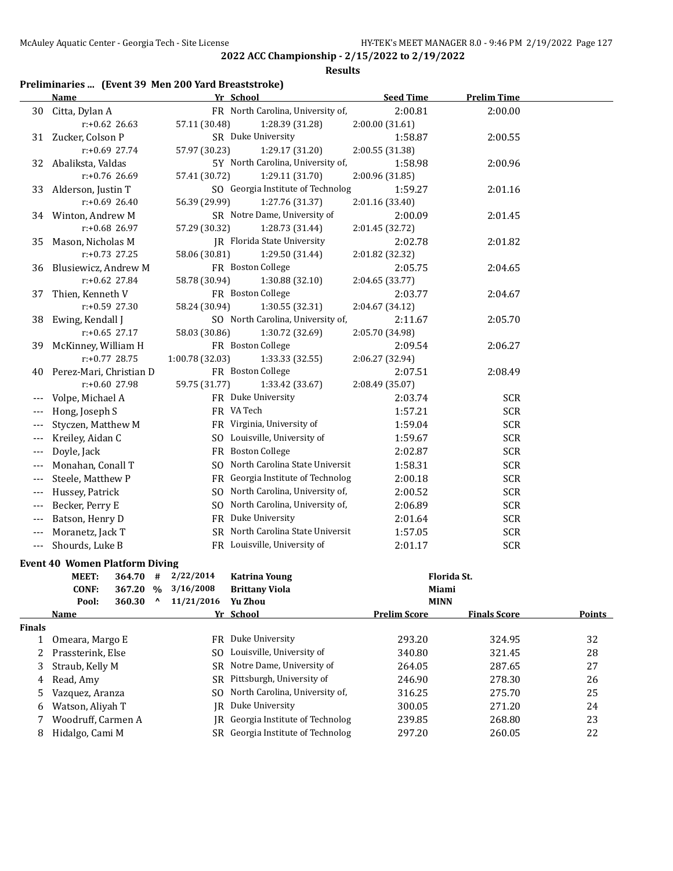#### **Results**

## **Preliminaries ... (Event 39 Men 200 Yard Breaststroke)**

|       | Name                    | Yr School          |                                    | <b>Seed Time</b> | <b>Prelim Time</b> |  |
|-------|-------------------------|--------------------|------------------------------------|------------------|--------------------|--|
|       | 30 Citta, Dylan A       |                    | FR North Carolina, University of,  | 2:00.81          | 2:00.00            |  |
|       | $r: +0.62$ 26.63        | 57.11 (30.48)      | 1:28.39 (31.28)                    | 2:00.00 (31.61)  |                    |  |
| 31    | Zucker, Colson P        | SR Duke University |                                    | 1:58.87          | 2:00.55            |  |
|       | $r: +0.69$ 27.74        | 57.97 (30.23)      | 1:29.17 (31.20)                    | 2:00.55 (31.38)  |                    |  |
| 32    | Abaliksta, Valdas       |                    | 5Y North Carolina, University of,  | 1:58.98          | 2:00.96            |  |
|       | $r: +0.76$ 26.69        | 57.41 (30.72)      | 1:29.11 (31.70)                    | 2:00.96 (31.85)  |                    |  |
| 33    | Alderson, Justin T      |                    | SO Georgia Institute of Technolog  | 1:59.27          | 2:01.16            |  |
|       | $r: +0.69$ 26.40        | 56.39 (29.99)      | 1:27.76 (31.37)                    | 2:01.16 (33.40)  |                    |  |
|       | 34 Winton, Andrew M     |                    | SR Notre Dame, University of       | 2:00.09          | 2:01.45            |  |
|       | r:+0.68 26.97           | 57.29 (30.32)      | 1:28.73 (31.44)                    | 2:01.45 (32.72)  |                    |  |
| 35    | Mason, Nicholas M       |                    | <b>IR</b> Florida State University | 2:02.78          | 2:01.82            |  |
|       | $r: +0.73$ 27.25        | 58.06 (30.81)      | 1:29.50 (31.44)                    | 2:01.82 (32.32)  |                    |  |
| 36    | Blusiewicz, Andrew M    | FR Boston College  |                                    | 2:05.75          | 2:04.65            |  |
|       | $r: +0.62$ 27.84        | 58.78 (30.94)      | 1:30.88 (32.10)                    | 2:04.65 (33.77)  |                    |  |
| 37    | Thien, Kenneth V        | FR Boston College  |                                    | 2:03.77          | 2:04.67            |  |
|       | $r: +0.59$ 27.30        | 58.24 (30.94)      | 1:30.55 (32.31)                    | 2:04.67 (34.12)  |                    |  |
| 38    | Ewing, Kendall J        |                    | SO North Carolina, University of,  | 2:11.67          | 2:05.70            |  |
|       | $r: +0.65$ 27.17        | 58.03 (30.86)      | 1:30.72 (32.69)                    | 2:05.70 (34.98)  |                    |  |
| 39    | McKinney, William H     | FR Boston College  |                                    | 2:09.54          | 2:06.27            |  |
|       | $r: +0.77$ 28.75        | 1:00.78 (32.03)    | 1:33.33 (32.55)                    | 2:06.27 (32.94)  |                    |  |
| 40    | Perez-Mari, Christian D | FR Boston College  |                                    | 2:07.51          | 2:08.49            |  |
|       | $r: +0.60$ 27.98        | 59.75 (31.77)      | 1:33.42 (33.67)                    | 2:08.49 (35.07)  |                    |  |
|       | Volpe, Michael A        | FR Duke University |                                    | 2:03.74          | <b>SCR</b>         |  |
| ---   | Hong, Joseph S          | FR VA Tech         |                                    | 1:57.21          | <b>SCR</b>         |  |
| $---$ | Styczen, Matthew M      |                    | FR Virginia, University of         | 1:59.04          | <b>SCR</b>         |  |
|       | Kreiley, Aidan C        |                    | SO Louisville, University of       | 1:59.67          | <b>SCR</b>         |  |
|       | Doyle, Jack             | FR Boston College  |                                    | 2:02.87          | <b>SCR</b>         |  |
|       | Monahan, Conall T       |                    | SO North Carolina State Universit  | 1:58.31          | <b>SCR</b>         |  |
| ---   | Steele, Matthew P       |                    | FR Georgia Institute of Technolog  | 2:00.18          | <b>SCR</b>         |  |
|       | Hussey, Patrick         |                    | SO North Carolina, University of,  | 2:00.52          | <b>SCR</b>         |  |
| $---$ | Becker, Perry E         |                    | SO North Carolina, University of,  | 2:06.89          | <b>SCR</b>         |  |
| ---   | Batson, Henry D         | FR Duke University |                                    | 2:01.64          | <b>SCR</b>         |  |
|       | Moranetz, Jack T        |                    | SR North Carolina State Universit  | 1:57.05          | <b>SCR</b>         |  |
|       | Shourds, Luke B         |                    | FR Louisville, University of       | 2:01.17          | <b>SCR</b>         |  |
|       |                         |                    |                                    |                  |                    |  |

## **Event 40 Women Platform Diving**

|               | MEET:              | 364.70 | #             | 2/22/2014  | <b>Katrina Young</b>              | Florida St.         |                     |        |
|---------------|--------------------|--------|---------------|------------|-----------------------------------|---------------------|---------------------|--------|
|               | <b>CONF:</b>       | 367.20 | $\frac{0}{0}$ | 3/16/2008  | <b>Brittany Viola</b>             | Miami               |                     |        |
|               | Pool:              | 360.30 | ^             | 11/21/2016 | Yu Zhou                           | <b>MINN</b>         |                     |        |
|               | <b>Name</b>        |        |               |            | Yr School                         | <b>Prelim Score</b> | <b>Finals Score</b> | Points |
| <b>Finals</b> |                    |        |               |            |                                   |                     |                     |        |
|               | Omeara, Margo E    |        |               | FR.        | Duke University                   | 293.20              | 324.95              | 32     |
|               | Prassterink, Else  |        |               | SO.        | Louisville, University of         | 340.80              | 321.45              | 28     |
| 3             | Straub, Kelly M    |        |               |            | SR Notre Dame, University of      | 264.05              | 287.65              | 27     |
| 4             | Read, Amy          |        |               |            | SR Pittsburgh, University of      | 246.90              | 278.30              | 26     |
| 5.            | Vazquez, Aranza    |        |               |            | SO North Carolina, University of, | 316.25              | 275.70              | 25     |
| 6             | Watson, Aliyah T   |        |               | IR-        | Duke University                   | 300.05              | 271.20              | 24     |
|               | Woodruff, Carmen A |        |               | IR-        | Georgia Institute of Technolog    | 239.85              | 268.80              | 23     |
| 8             | Hidalgo, Cami M    |        |               | SR.        | Georgia Institute of Technolog    | 297.20              | 260.05              | 22     |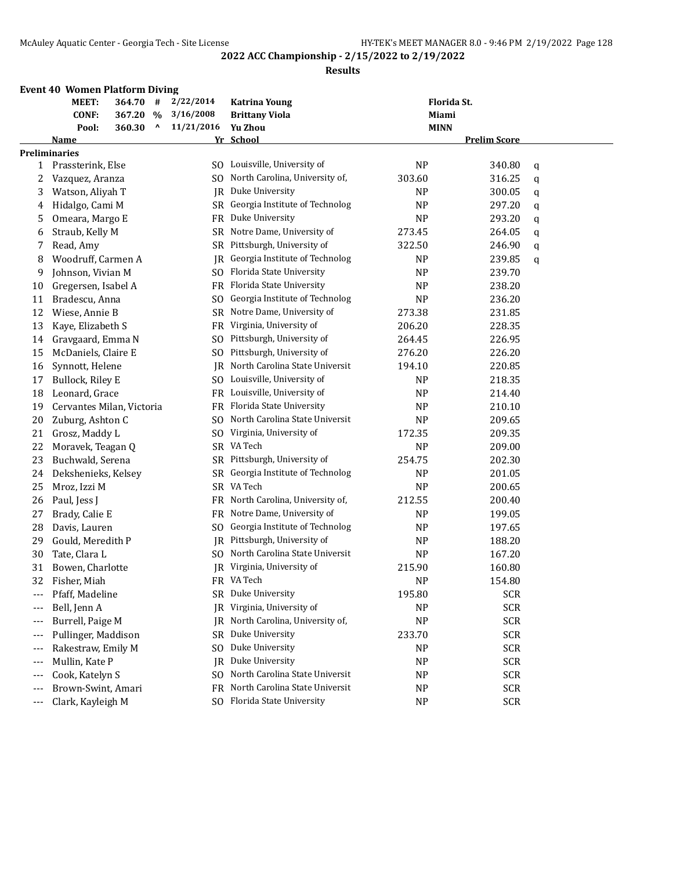#### **Results**

### **Event 40 Women Platform Diving**

|     | MEET:<br>364.70<br>#           | 2/22/2014      | <b>Katrina Young</b>           | Florida St.    |                     |   |
|-----|--------------------------------|----------------|--------------------------------|----------------|---------------------|---|
|     | <b>CONF:</b><br>367.20<br>$\%$ | 3/16/2008      | <b>Brittany Viola</b>          | Miami          |                     |   |
|     | ٨<br>Pool:<br>360.30           | 11/21/2016     | Yu Zhou                        | <b>MINN</b>    |                     |   |
|     | Name                           |                | Yr School                      |                | <b>Prelim Score</b> |   |
|     | Preliminaries                  |                |                                |                |                     |   |
| 1   | Prassterink, Else              |                | SO Louisville, University of   | <b>NP</b>      | 340.80              | q |
| 2   | Vazquez, Aranza                | SO.            | North Carolina, University of, | 303.60         | 316.25              | q |
| 3   | Watson, Aliyah T               | IR             | Duke University                | <b>NP</b>      | 300.05              | q |
| 4   | Hidalgo, Cami M                | SR             | Georgia Institute of Technolog | <b>NP</b>      | 297.20              | q |
| 5   | Omeara, Margo E                | FR             | Duke University                | <b>NP</b>      | 293.20              | q |
| 6   | Straub, Kelly M                | SR             | Notre Dame, University of      | 273.45         | 264.05              | q |
| 7   | Read, Amy                      | SR             | Pittsburgh, University of      | 322.50         | 246.90              | q |
| 8   | Woodruff, Carmen A             | IR             | Georgia Institute of Technolog | <b>NP</b>      | 239.85              | q |
| 9   | Johnson, Vivian M              | SO.            | Florida State University       | <b>NP</b>      | 239.70              |   |
| 10  | Gregersen, Isabel A            | FR             | Florida State University       | <b>NP</b>      | 238.20              |   |
| 11  | Bradescu, Anna                 | S <sub>O</sub> | Georgia Institute of Technolog | <b>NP</b>      | 236.20              |   |
| 12  | Wiese, Annie B                 | <b>SR</b>      | Notre Dame, University of      | 273.38         | 231.85              |   |
| 13  | Kaye, Elizabeth S              | FR             | Virginia, University of        | 206.20         | 228.35              |   |
| 14  | Gravgaard, Emma N              | S <sub>0</sub> | Pittsburgh, University of      | 264.45         | 226.95              |   |
| 15  | McDaniels, Claire E            | S <sub>O</sub> | Pittsburgh, University of      | 276.20         | 226.20              |   |
| 16  | Synnott, Helene                | <b>IR</b>      | North Carolina State Universit | 194.10         | 220.85              |   |
| 17  | Bullock, Riley E               | SO.            | Louisville, University of      | NP             | 218.35              |   |
| 18  | Leonard, Grace                 | FR             | Louisville, University of      | <b>NP</b>      | 214.40              |   |
| 19  | Cervantes Milan, Victoria      | FR             | Florida State University       | <b>NP</b>      | 210.10              |   |
| 20  | Zuburg, Ashton C               | SO.            | North Carolina State Universit | <b>NP</b>      | 209.65              |   |
| 21  | Grosz, Maddy L                 | S <sub>O</sub> | Virginia, University of        | 172.35         | 209.35              |   |
| 22  | Moravek, Teagan Q              | SR             | VA Tech                        | N <sub>P</sub> | 209.00              |   |
| 23  | Buchwald, Serena               | SR             | Pittsburgh, University of      | 254.75         | 202.30              |   |
| 24  | Dekshenieks, Kelsey            | SR             | Georgia Institute of Technolog | N <sub>P</sub> | 201.05              |   |
| 25  | Mroz, Izzi M                   |                | SR VA Tech                     | <b>NP</b>      | 200.65              |   |
| 26  | Paul, Jess J                   | FR             | North Carolina, University of, | 212.55         | 200.40              |   |
| 27  | Brady, Calie E                 | FR             | Notre Dame, University of      | <b>NP</b>      | 199.05              |   |
| 28  | Davis, Lauren                  | S <sub>O</sub> | Georgia Institute of Technolog | <b>NP</b>      | 197.65              |   |
| 29  | Gould, Meredith P              | IR             | Pittsburgh, University of      | <b>NP</b>      | 188.20              |   |
| 30  | Tate, Clara L                  | SO.            | North Carolina State Universit | <b>NP</b>      | 167.20              |   |
| 31  | Bowen, Charlotte               | IR             | Virginia, University of        | 215.90         | 160.80              |   |
| 32  | Fisher, Miah                   |                | FR VA Tech                     | <b>NP</b>      | 154.80              |   |
| --- | Pfaff, Madeline                | SR             | Duke University                | 195.80         | <b>SCR</b>          |   |
|     | Bell, Jenn A                   | IR             | Virginia, University of        | N <sub>P</sub> | <b>SCR</b>          |   |
| --- | Burrell, Paige M               | IR             | North Carolina, University of, | <b>NP</b>      | <b>SCR</b>          |   |
| --- | Pullinger, Maddison            | SR.            | Duke University                | 233.70         | <b>SCR</b>          |   |
| --- | Rakestraw, Emily M             | SO.            | Duke University                | N <sub>P</sub> | <b>SCR</b>          |   |
| --- | Mullin, Kate P                 | IR             | Duke University                | <b>NP</b>      | <b>SCR</b>          |   |
| --- | Cook, Katelyn S                | SO.            | North Carolina State Universit | <b>NP</b>      | <b>SCR</b>          |   |
| --- | Brown-Swint, Amari             | FR.            | North Carolina State Universit | <b>NP</b>      | <b>SCR</b>          |   |
| --- | Clark, Kayleigh M              | SO.            | Florida State University       | <b>NP</b>      | <b>SCR</b>          |   |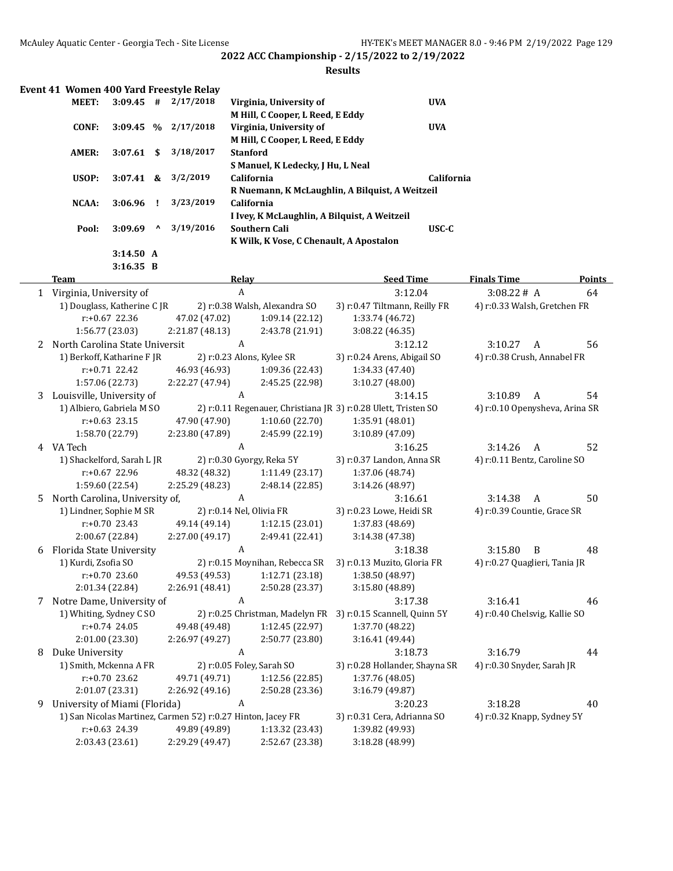### **Results**

| Event 41 Women 400 Yard Freestyle Relay |              |              |           |                                                 |            |
|-----------------------------------------|--------------|--------------|-----------|-------------------------------------------------|------------|
| <b>MEET:</b>                            | $3:09.45$ #  |              | 2/17/2018 | Virginia, University of                         | <b>UVA</b> |
|                                         |              |              |           | M Hill, C Cooper, L Reed, E Eddy                |            |
| CONF:                                   | $3:09.45$ %  |              | 2/17/2018 | Virginia, University of                         | <b>UVA</b> |
|                                         |              |              |           | M Hill, C Cooper, L Reed, E Eddy                |            |
| AMER:                                   | 3:07.61      | -SS          | 3/18/2017 | <b>Stanford</b>                                 |            |
|                                         |              |              |           | S Manuel, K Ledecky, J Hu, L Neal               |            |
| USOP:                                   | $3:07.41 \&$ |              | 3/2/2019  | California                                      | California |
|                                         |              |              |           | R Nuemann, K McLaughlin, A Bilguist, A Weitzeil |            |
| NCAA:                                   | $3:06.96$ !  |              | 3/23/2019 | <b>California</b>                               |            |
|                                         |              |              |           | I Ivey, K McLaughlin, A Bilguist, A Weitzeil    |            |
| Pool:                                   | 3:09.69      | $\mathbf{v}$ | 3/19/2016 | Southern Cali                                   | $USC-C$    |
|                                         |              |              |           | K Wilk, K Vose, C Chenault, A Apostalon         |            |
|                                         | 3:14.50A     |              |           |                                                 |            |

**3:16.35 B**

|    | <b>Team</b>                                                  |                 | Relay                          | <b>Seed Time</b>                                               | <b>Finals Time</b>             |   |    |
|----|--------------------------------------------------------------|-----------------|--------------------------------|----------------------------------------------------------------|--------------------------------|---|----|
|    | 1 Virginia, University of                                    |                 | A                              | 3:12.04                                                        | 3:08.22# A                     |   | 64 |
|    | 1) Douglass, Katherine C JR                                  |                 | 2) r:0.38 Walsh, Alexandra SO  | 3) r:0.47 Tiltmann, Reilly FR                                  | 4) r:0.33 Walsh, Gretchen FR   |   |    |
|    | r:+0.67 22.36                                                | 47.02 (47.02)   | 1:09.14(22.12)                 | 1:33.74 (46.72)                                                |                                |   |    |
|    | 1:56.77 (23.03)                                              | 2:21.87 (48.13) | 2:43.78 (21.91)                | 3:08.22 (46.35)                                                |                                |   |    |
| 2  | North Carolina State Universit                               |                 | A                              | 3:12.12                                                        | 3:10.27                        | A | 56 |
|    | 1) Berkoff, Katharine F JR                                   |                 | 2) r:0.23 Alons, Kylee SR      | 3) r:0.24 Arens, Abigail SO                                    | 4) r:0.38 Crush, Annabel FR    |   |    |
|    | $r: +0.71$ 22.42                                             | 46.93 (46.93)   | 1:09.36 (22.43)                | 1:34.33 (47.40)                                                |                                |   |    |
|    | 1:57.06 (22.73)                                              | 2:22.27 (47.94) | 2:45.25 (22.98)                | 3:10.27(48.00)                                                 |                                |   |    |
| 3. | Louisville, University of                                    |                 | A                              | 3:14.15                                                        | 3:10.89                        | A | 54 |
|    | 1) Albiero, Gabriela M SO                                    |                 |                                | 2) r:0.11 Regenauer, Christiana JR 3) r:0.28 Ulett, Tristen SO | 4) r:0.10 Openysheva, Arina SR |   |    |
|    | $r: +0.63$ 23.15                                             | 47.90 (47.90)   | 1:10.60(22.70)                 | 1:35.91 (48.01)                                                |                                |   |    |
|    | 1:58.70 (22.79)                                              | 2:23.80 (47.89) | 2:45.99 (22.19)                | 3:10.89 (47.09)                                                |                                |   |    |
|    | 4 VA Tech                                                    |                 | A                              | 3:16.25                                                        | 3:14.26                        | A | 52 |
|    | 1) Shackelford, Sarah L JR                                   |                 | 2) r:0.30 Gyorgy, Reka 5Y      | 3) r:0.37 Landon, Anna SR                                      | 4) r:0.11 Bentz, Caroline SO   |   |    |
|    | $r: +0.67$ 22.96                                             | 48.32 (48.32)   | 1:11.49 (23.17)                | 1:37.06 (48.74)                                                |                                |   |    |
|    | 1:59.60 (22.54)                                              | 2:25.29 (48.23) | 2:48.14 (22.85)                | 3:14.26 (48.97)                                                |                                |   |    |
| 5. | North Carolina, University of,                               |                 | A                              | 3:16.61                                                        | 3:14.38                        | A | 50 |
|    | 1) Lindner, Sophie M SR                                      |                 | 2) r:0.14 Nel, Olivia FR       | 3) r:0.23 Lowe, Heidi SR                                       | 4) r:0.39 Countie, Grace SR    |   |    |
|    | $r: +0.70$ 23.43                                             | 49.14 (49.14)   | 1:12.15 (23.01)                | 1:37.83 (48.69)                                                |                                |   |    |
|    | 2:00.67 (22.84)                                              | 2:27.00 (49.17) | 2:49.41 (22.41)                | 3:14.38 (47.38)                                                |                                |   |    |
| 6  | Florida State University                                     |                 | A                              | 3:18.38                                                        | 3:15.80                        | B | 48 |
|    | 1) Kurdi, Zsofia SO                                          |                 | 2) r:0.15 Moynihan, Rebecca SR | 3) r:0.13 Muzito, Gloria FR                                    | 4) r:0.27 Quaglieri, Tania JR  |   |    |
|    | $r: +0.70$ 23.60                                             | 49.53 (49.53)   | 1:12.71(23.18)                 | 1:38.50 (48.97)                                                |                                |   |    |
|    | 2:01.34 (22.84)                                              | 2:26.91 (48.41) | 2:50.28 (23.37)                | 3:15.80 (48.89)                                                |                                |   |    |
|    | 7 Notre Dame, University of                                  |                 | A                              | 3:17.38                                                        | 3:16.41                        |   | 46 |
|    | 1) Whiting, Sydney C SO                                      |                 |                                | 2) r:0.25 Christman, Madelyn FR 3) r:0.15 Scannell, Quinn 5Y   | 4) r:0.40 Chelsvig, Kallie SO  |   |    |
|    | $r: +0.74$ 24.05                                             | 49.48 (49.48)   | 1:12.45(22.97)                 | 1:37.70 (48.22)                                                |                                |   |    |
|    | 2:01.00 (23.30)                                              | 2:26.97 (49.27) | 2:50.77 (23.80)                | 3:16.41 (49.44)                                                |                                |   |    |
| 8  | Duke University                                              |                 | A                              | 3:18.73                                                        | 3:16.79                        |   | 44 |
|    | 1) Smith, Mckenna A FR                                       |                 | 2) r:0.05 Foley, Sarah SO      | 3) r:0.28 Hollander, Shayna SR                                 | 4) r:0.30 Snyder, Sarah JR     |   |    |
|    | $r: +0.70$ 23.62                                             | 49.71 (49.71)   | 1:12.56(22.85)                 | 1:37.76 (48.05)                                                |                                |   |    |
|    | 2:01.07 (23.31)                                              | 2:26.92 (49.16) | 2:50.28 (23.36)                | 3:16.79 (49.87)                                                |                                |   |    |
| 9  | University of Miami (Florida)                                |                 | A                              | 3:20.23                                                        | 3:18.28                        |   | 40 |
|    | 1) San Nicolas Martinez, Carmen 5'2) r:0.27 Hinton, Jacey FR |                 |                                | 3) r:0.31 Cera, Adrianna SO                                    | 4) r:0.32 Knapp, Sydney 5Y     |   |    |
|    | r:+0.63 24.39                                                | 49.89 (49.89)   | 1:13.32 (23.43)                | 1:39.82 (49.93)                                                |                                |   |    |
|    | 2:03.43 (23.61)                                              | 2:29.29 (49.47) | 2:52.67 (23.38)                | 3:18.28 (48.99)                                                |                                |   |    |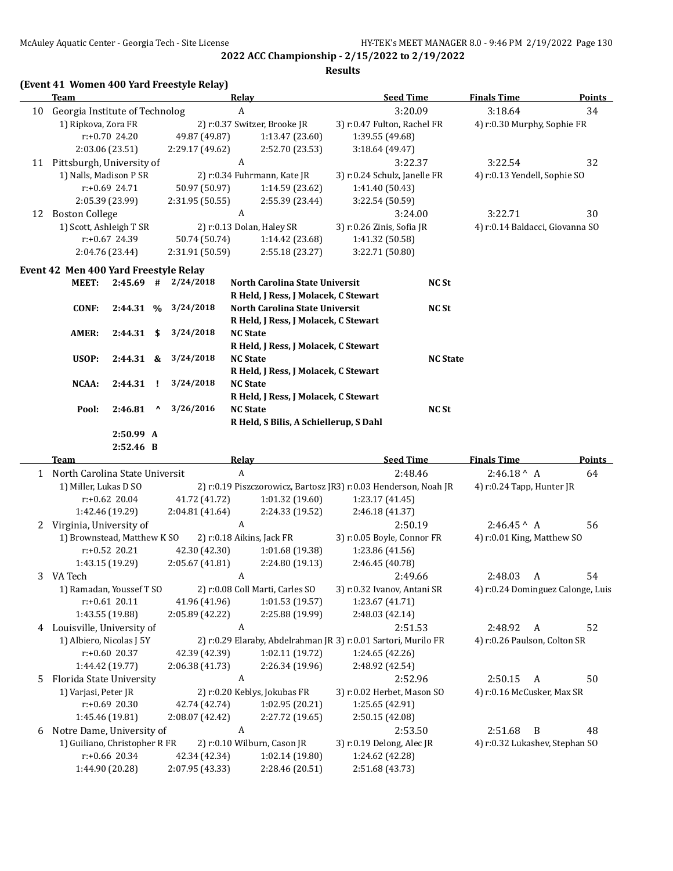|    |                                                        |                  |                                 | McAuley Aquatic Center - Georgia Tech - Site License |                  | 2022 ACC Championship - 2/15/2022 to 2/19/2022                         |                              |                  | HY-TEK's MEET MANAGER 8.0 - 9:46 PM 2/19/2022 Page 130 |               |
|----|--------------------------------------------------------|------------------|---------------------------------|------------------------------------------------------|------------------|------------------------------------------------------------------------|------------------------------|------------------|--------------------------------------------------------|---------------|
|    |                                                        |                  |                                 |                                                      |                  |                                                                        | <b>Results</b>               |                  |                                                        |               |
|    |                                                        |                  |                                 | (Event 41 Women 400 Yard Freestyle Relay)            |                  |                                                                        |                              |                  |                                                        |               |
|    | <b>Team</b>                                            |                  |                                 |                                                      | <b>Relay</b>     |                                                                        |                              | <b>Seed Time</b> | <b>Finals Time</b>                                     | <b>Points</b> |
| 10 | Georgia Institute of Technolog                         |                  |                                 |                                                      | A                |                                                                        |                              | 3:20.09          | 3:18.64                                                | 34            |
|    | 1) Ripkova, Zora FR                                    |                  |                                 |                                                      |                  | 2) r:0.37 Switzer, Brooke JR                                           | 3) r:0.47 Fulton, Rachel FR  |                  | 4) r:0.30 Murphy, Sophie FR                            |               |
|    |                                                        | r:+0.70 24.20    |                                 | 49.87 (49.87)                                        |                  | 1:13.47 (23.60)                                                        | 1:39.55 (49.68)              |                  |                                                        |               |
|    |                                                        | 2:03.06 (23.51)  |                                 | 2:29.17 (49.62)                                      | A                | 2:52.70 (23.53)                                                        | 3:18.64 (49.47)              |                  |                                                        |               |
|    | 11 Pittsburgh, University of<br>1) Nalls, Madison P SR |                  |                                 |                                                      |                  | 2) r:0.34 Fuhrmann, Kate JR                                            | 3) r:0.24 Schulz, Janelle FR | 3:22.37          | 3:22.54<br>4) r:0.13 Yendell, Sophie SO                | 32            |
|    |                                                        | r:+0.69 24.71    |                                 | 50.97 (50.97)                                        |                  | 1:14.59 (23.62)                                                        | 1:41.40 (50.43)              |                  |                                                        |               |
|    |                                                        | 2:05.39 (23.99)  |                                 | 2:31.95 (50.55)                                      |                  | 2:55.39 (23.44)                                                        | 3:22.54 (50.59)              |                  |                                                        |               |
|    | 12 Boston College                                      |                  |                                 |                                                      | A                |                                                                        |                              | 3:24.00          | 3:22.71                                                | 30            |
|    | 1) Scott, Ashleigh T SR                                |                  |                                 |                                                      |                  | 2) r:0.13 Dolan, Haley SR                                              | 3) r:0.26 Zinis, Sofia JR    |                  | 4) r:0.14 Baldacci, Giovanna SO                        |               |
|    |                                                        | r:+0.67 24.39    |                                 | 50.74 (50.74)                                        |                  | 1:14.42 (23.68)                                                        | 1:41.32 (50.58)              |                  |                                                        |               |
|    |                                                        | 2:04.76 (23.44)  |                                 | 2:31.91 (50.59)                                      |                  | 2:55.18 (23.27)                                                        | 3:22.71 (50.80)              |                  |                                                        |               |
|    |                                                        |                  |                                 |                                                      |                  |                                                                        |                              |                  |                                                        |               |
|    | Event 42 Men 400 Yard Freestyle Relay                  |                  |                                 |                                                      |                  |                                                                        |                              |                  |                                                        |               |
|    | <b>MEET:</b>                                           |                  |                                 | $2:45.69$ # $2/24/2018$                              |                  | North Carolina State Universit<br>R Held, J Ress, J Molacek, C Stewart |                              | NC St            |                                                        |               |
|    | <b>CONF:</b>                                           | 2:44.31 %        |                                 | 3/24/2018                                            |                  | North Carolina State Universit                                         |                              | <b>NC St</b>     |                                                        |               |
|    |                                                        |                  |                                 |                                                      |                  | R Held, J Ress, J Molacek, C Stewart                                   |                              |                  |                                                        |               |
|    | AMER:                                                  | $2:44.31$ \$     |                                 | 3/24/2018                                            | <b>NC State</b>  |                                                                        |                              |                  |                                                        |               |
|    |                                                        |                  |                                 |                                                      |                  | R Held, J Ress, J Molacek, C Stewart                                   |                              |                  |                                                        |               |
|    | USOP:                                                  | $2:44.31$ &      |                                 | 3/24/2018                                            | <b>NC State</b>  |                                                                        |                              | <b>NC State</b>  |                                                        |               |
|    |                                                        |                  |                                 |                                                      |                  | R Held, J Ress, J Molacek, C Stewart                                   |                              |                  |                                                        |               |
|    | NCAA:                                                  | 2:44.31          | -1                              | 3/24/2018                                            | <b>NC State</b>  |                                                                        |                              |                  |                                                        |               |
|    |                                                        |                  |                                 |                                                      |                  | R Held, J Ress, J Molacek, C Stewart                                   |                              |                  |                                                        |               |
|    | Pool:                                                  | 2:46.81          | $\boldsymbol{\mathsf{\Lambda}}$ | 3/26/2016                                            | <b>NC State</b>  |                                                                        |                              | <b>NC St</b>     |                                                        |               |
|    |                                                        |                  |                                 |                                                      |                  | R Held, S Bilis, A Schiellerup, S Dahl                                 |                              |                  |                                                        |               |
|    |                                                        | 2:50.99 A        |                                 |                                                      |                  |                                                                        |                              |                  |                                                        |               |
|    |                                                        | 2:52.46 B        |                                 |                                                      |                  |                                                                        |                              |                  |                                                        |               |
|    | Team                                                   |                  |                                 |                                                      | Relay            |                                                                        |                              | <b>Seed Time</b> | <b>Finals Time</b>                                     | <b>Points</b> |
|    | 1 North Carolina State Universit                       |                  |                                 |                                                      | $\boldsymbol{A}$ |                                                                        |                              | 2:48.46          | $2:46.18^{\wedge}$ A                                   | 64            |
|    | 1) Miller, Lukas D SO                                  |                  |                                 |                                                      |                  | 2) r:0.19 Piszczorowicz, Bartosz JR3) r:0.03 Henderson, Noah JR        |                              |                  | 4) r:0.24 Tapp, Hunter JR                              |               |
|    |                                                        | $r: +0.62$ 20.04 |                                 | 41.72 (41.72)                                        |                  | 1:01.32(19.60)                                                         | 1:23.17 (41.45)              |                  |                                                        |               |
|    |                                                        | 1:42.46 (19.29)  |                                 | 2:04.81 (41.64)                                      |                  | 2:24.33 (19.52)                                                        | 2:46.18 (41.37)              |                  |                                                        |               |
|    | 2 Virginia, University of                              |                  |                                 |                                                      | A                |                                                                        |                              | 2:50.19          | $2:46.45^{\circ}$ A                                    | 56            |
|    | 1) Brownstead, Matthew K SO                            |                  |                                 |                                                      |                  | 2) r:0.18 Aikins, Jack FR                                              | 3) r:0.05 Boyle, Connor FR   |                  | 4) r:0.01 King, Matthew SO                             |               |
|    |                                                        | $r: +0.52$ 20.21 |                                 | 42.30 (42.30)                                        |                  | 1:01.68 (19.38)                                                        | 1:23.86 (41.56)              |                  |                                                        |               |
|    |                                                        | 1:43.15 (19.29)  |                                 | 2:05.67 (41.81)                                      |                  | 2:24.80 (19.13)                                                        | 2:46.45 (40.78)              |                  |                                                        |               |
| 3  | VA Tech<br>1) Ramadan, Youssef T SO                    |                  |                                 |                                                      | A                |                                                                        |                              | 2:49.66          | 2:48.03<br>$\boldsymbol{A}$                            | 54            |
|    |                                                        | $r: +0.61$ 20.11 |                                 | 41.96 (41.96)                                        |                  | 2) r:0.08 Coll Marti, Carles SO<br>1:01.53 (19.57)                     | 3) r:0.32 Ivanov, Antani SR  |                  | 4) r:0.24 Dominguez Calonge, Luis                      |               |
|    |                                                        | 1:43.55 (19.88)  |                                 | 2:05.89 (42.22)                                      |                  | 2:25.88 (19.99)                                                        | 1:23.67 (41.71)              |                  |                                                        |               |
|    | Louisville, University of                              |                  |                                 |                                                      | A                |                                                                        | 2:48.03 (42.14)              |                  | 2:48.92<br>$\mathbf{A}$                                | 52            |
| 4  | 1) Albiero, Nicolas J 5Y                               |                  |                                 |                                                      |                  | 2) r:0.29 Elaraby, Abdelrahman JR 3) r:0.01 Sartori, Murilo FR         |                              | 2:51.53          | 4) r:0.26 Paulson, Colton SR                           |               |
|    |                                                        | r:+0.60 20.37    |                                 | 42.39 (42.39)                                        |                  | 1:02.11 (19.72)                                                        | 1:24.65 (42.26)              |                  |                                                        |               |
|    |                                                        | 1:44.42 (19.77)  |                                 | 2:06.38 (41.73)                                      |                  | 2:26.34 (19.96)                                                        | 2:48.92 (42.54)              |                  |                                                        |               |
| 5  | Florida State University                               |                  |                                 |                                                      | A                |                                                                        |                              | 2:52.96          | 2:50.15<br>A                                           | 50            |
|    | 1) Varjasi, Peter JR                                   |                  |                                 |                                                      |                  | 2) r:0.20 Keblys, Jokubas FR                                           | 3) r:0.02 Herbet, Mason SO   |                  | 4) r:0.16 McCusker, Max SR                             |               |
|    |                                                        | r:+0.69 20.30    |                                 | 42.74 (42.74)                                        |                  | 1:02.95 (20.21)                                                        | 1:25.65 (42.91)              |                  |                                                        |               |
|    |                                                        | 1:45.46 (19.81)  |                                 | 2:08.07 (42.42)                                      |                  | 2:27.72 (19.65)                                                        | 2:50.15 (42.08)              |                  |                                                        |               |
| 6  | Notre Dame, University of                              |                  |                                 |                                                      | A                |                                                                        |                              | 2:53.50          | 2:51.68<br>$\overline{B}$                              | 48            |
|    | 1) Guiliano, Christopher R FR                          |                  |                                 |                                                      |                  | 2) r:0.10 Wilburn, Cason JR                                            | 3) r:0.19 Delong, Alec JR    |                  | 4) r:0.32 Lukashev, Stephan SO                         |               |
|    |                                                        | r:+0.66 20.34    |                                 | 42.34 (42.34)                                        |                  | 1:02.14 (19.80)                                                        | 1:24.62 (42.28)              |                  |                                                        |               |

r:+0.66 20.34 42.34 (42.34) 1:02.14 (19.80) 1:24.62 (42.28) 1:44.90 (20.28) 2:07.95 (43.33) 2:28.46 (20.51) 2:51.68 (43.73)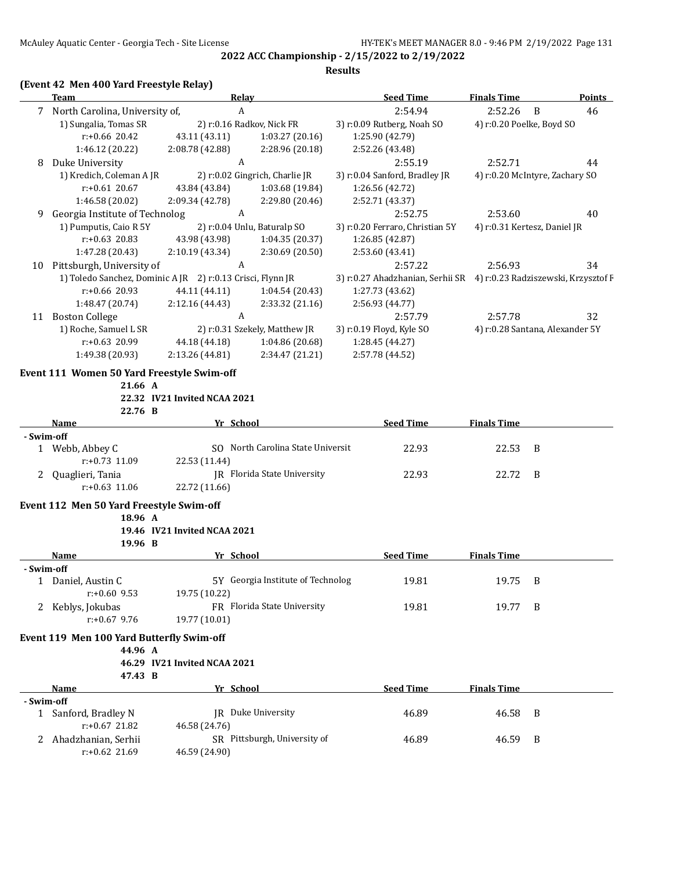#### **Results**

### **(Event 42 Men 400 Yard Freestyle Relay)**

|            | Team                                                | <u>Relav</u>                                               |                                   | <b>Seed Time</b>                                                     | <b>Finals Time</b>        | <b>Points</b>                   |
|------------|-----------------------------------------------------|------------------------------------------------------------|-----------------------------------|----------------------------------------------------------------------|---------------------------|---------------------------------|
|            | 7 North Carolina, University of,                    | A                                                          |                                   | 2:54.94                                                              | 2:52.26                   | 46<br>B                         |
|            | 1) Sungalia, Tomas SR                               |                                                            | 2) r:0.16 Radkov, Nick FR         | 3) r:0.09 Rutberg, Noah SO                                           | 4) r:0.20 Poelke, Boyd SO |                                 |
|            | $r: +0.66$ 20.42                                    | 43.11 (43.11)                                              | 1:03.27(20.16)                    | 1:25.90 (42.79)                                                      |                           |                                 |
|            | 1:46.12 (20.22)                                     | 2:08.78 (42.88)                                            | 2:28.96 (20.18)                   | 2:52.26 (43.48)                                                      |                           |                                 |
| 8          | Duke University                                     | A                                                          |                                   | 2:55.19                                                              | 2:52.71                   | 44                              |
|            | 1) Kredich, Coleman A JR                            |                                                            | 2) r:0.02 Gingrich, Charlie JR    | 3) r:0.04 Sanford, Bradley JR                                        |                           | 4) r:0.20 McIntyre, Zachary SO  |
|            | $r: +0.61$ 20.67                                    | 43.84 (43.84)                                              | 1:03.68 (19.84)                   | 1:26.56 (42.72)                                                      |                           |                                 |
|            | 1:46.58 (20.02)                                     | 2:09.34 (42.78)                                            | 2:29.80 (20.46)                   | 2:52.71 (43.37)                                                      |                           |                                 |
| 9          | Georgia Institute of Technolog                      | A                                                          |                                   | 2:52.75                                                              | 2:53.60                   | 40                              |
|            | 1) Pumputis, Caio R 5Y                              |                                                            | 2) r:0.04 Unlu, Baturalp SO       | 3) r:0.20 Ferraro, Christian 5Y                                      |                           | 4) r:0.31 Kertesz, Daniel JR    |
|            | $r: +0.63$ 20.83                                    | 43.98 (43.98)                                              | 1:04.35(20.37)                    | 1:26.85 (42.87)                                                      |                           |                                 |
|            | 1:47.28 (20.43)                                     | 2:10.19 (43.34)                                            | 2:30.69 (20.50)                   | 2:53.60 (43.41)                                                      |                           |                                 |
|            | 10 Pittsburgh, University of                        | $\boldsymbol{A}$                                           |                                   | 2:57.22                                                              | 2:56.93                   | 34                              |
|            |                                                     | 1) Toledo Sanchez, Dominic A JR 2) r:0.13 Crisci, Flynn JR |                                   | 3) r:0.27 Ahadzhanian, Serhii SR 4) r:0.23 Radziszewski, Krzysztof F |                           |                                 |
|            | r:+0.66 20.93                                       | 44.11 (44.11)                                              | 1:04.54(20.43)                    | 1:27.73 (43.62)                                                      |                           |                                 |
|            | 1:48.47 (20.74)                                     | 2:12.16 (44.43)                                            | 2:33.32 (21.16)                   | 2:56.93 (44.77)                                                      |                           |                                 |
|            | 11 Boston College                                   | A                                                          |                                   | 2:57.79                                                              | 2:57.78                   | 32                              |
|            | 1) Roche, Samuel L SR                               |                                                            | 2) r:0.31 Szekely, Matthew JR     | 3) r:0.19 Floyd, Kyle SO                                             |                           | 4) r:0.28 Santana, Alexander 5Y |
|            | $r: +0.63$ 20.99                                    | 44.18 (44.18)                                              | 1:04.86 (20.68)                   | 1:28.45 (44.27)                                                      |                           |                                 |
|            | 1:49.38 (20.93)                                     | 2:13.26 (44.81)                                            | 2:34.47 (21.21)                   | 2:57.78 (44.52)                                                      |                           |                                 |
|            | Event 111 Women 50 Yard Freestyle Swim-off          |                                                            |                                   |                                                                      |                           |                                 |
|            | 21.66 A                                             |                                                            |                                   |                                                                      |                           |                                 |
|            |                                                     | 22.32 IV21 Invited NCAA 2021                               |                                   |                                                                      |                           |                                 |
|            | 22.76 B                                             |                                                            |                                   |                                                                      |                           |                                 |
|            | Name                                                | Yr School                                                  |                                   | <b>Seed Time</b>                                                     | <b>Finals Time</b>        |                                 |
| - Swim-off | 1 Webb, Abbey C                                     |                                                            | SO North Carolina State Universit | 22.93                                                                | 22.53                     | B                               |
|            | r:+0.73 11.09                                       | 22.53 (11.44)                                              |                                   |                                                                      |                           |                                 |
|            | 2 Quaglieri, Tania                                  |                                                            | JR Florida State University       | 22.93                                                                | 22.72                     | B                               |
|            | $r: +0.63$ 11.06                                    | 22.72 (11.66)                                              |                                   |                                                                      |                           |                                 |
|            |                                                     |                                                            |                                   |                                                                      |                           |                                 |
|            | Event 112 Men 50 Yard Freestyle Swim-off<br>18.96 A |                                                            |                                   |                                                                      |                           |                                 |
|            |                                                     | 19.46 IV21 Invited NCAA 2021                               |                                   |                                                                      |                           |                                 |
|            | 19.96 B                                             |                                                            |                                   |                                                                      |                           |                                 |
|            | Name                                                | Yr School                                                  |                                   | <b>Seed Time</b>                                                     | <b>Finals Time</b>        |                                 |
| - Swim-off |                                                     |                                                            |                                   |                                                                      |                           |                                 |
|            | 1 Daniel, Austin C                                  |                                                            | 5Y Georgia Institute of Technolog | 19.81                                                                | 19.75 B                   |                                 |
|            | $r: +0.60$ 9.53                                     | 19.75 (10.22)                                              |                                   |                                                                      |                           |                                 |
|            | 2 Keblys, Jokubas                                   |                                                            | FR Florida State University       | 19.81                                                                | 19.77                     | B                               |
|            | $r: +0.67$ 9.76                                     | 19.77 (10.01)                                              |                                   |                                                                      |                           |                                 |
|            | Event 119 Men 100 Yard Butterfly Swim-off           |                                                            |                                   |                                                                      |                           |                                 |
|            | 44.96 A                                             |                                                            |                                   |                                                                      |                           |                                 |
|            |                                                     | 46.29 IV21 Invited NCAA 2021                               |                                   |                                                                      |                           |                                 |
|            | 47.43 B                                             |                                                            |                                   |                                                                      |                           |                                 |
|            | Name                                                | Yr School                                                  |                                   | Seed Time                                                            | <b>Finals Time</b>        |                                 |
| - Swim-off |                                                     |                                                            |                                   |                                                                      |                           |                                 |
|            | 1 Sanford, Bradley N                                |                                                            | JR Duke University                | 46.89                                                                | 46.58                     | B                               |
|            | $r: +0.67$ 21.82                                    | 46.58 (24.76)                                              |                                   |                                                                      |                           |                                 |
|            | 2 Ahadzhanian, Serhii<br>$r: +0.62$ 21.69           |                                                            | SR Pittsburgh, University of      | 46.89                                                                | 46.59                     | B                               |
|            |                                                     | 46.59 (24.90)                                              |                                   |                                                                      |                           |                                 |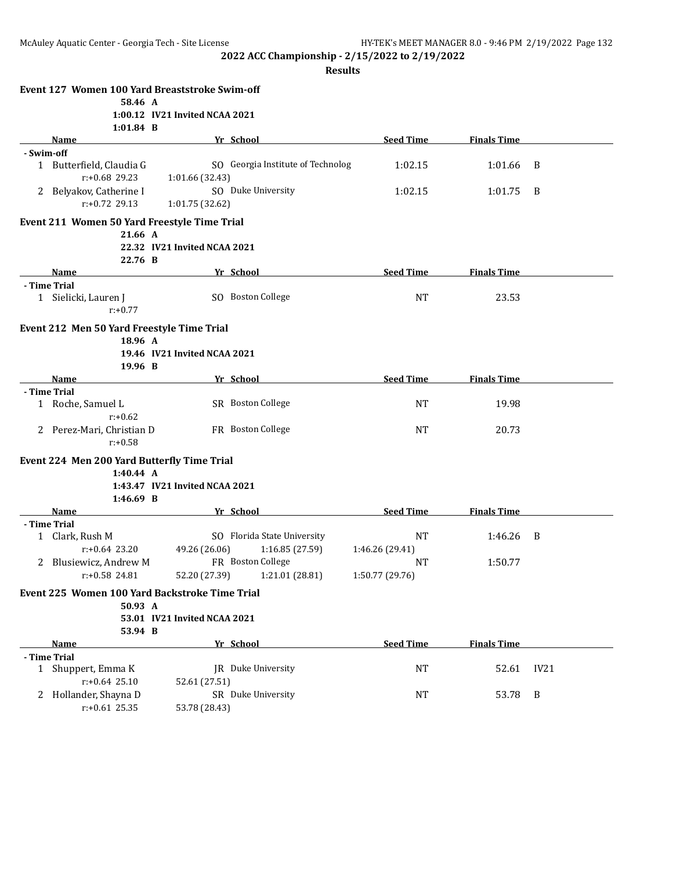|            | Event 127 Women 100 Yard Breaststroke Swim-off           |                                |                                   |                  |                    |      |
|------------|----------------------------------------------------------|--------------------------------|-----------------------------------|------------------|--------------------|------|
|            | 58.46 A                                                  |                                |                                   |                  |                    |      |
|            |                                                          | 1:00.12 IV21 Invited NCAA 2021 |                                   |                  |                    |      |
|            | $1:01.84$ B<br>Name                                      |                                | Yr School                         | <b>Seed Time</b> | <b>Finals Time</b> |      |
| - Swim-off |                                                          |                                |                                   |                  |                    |      |
|            | 1 Butterfield, Claudia G                                 |                                | SO Georgia Institute of Technolog | 1:02.15          | 1:01.66            | B    |
|            | r:+0.68 29.23                                            | 1:01.66 (32.43)                |                                   |                  |                    |      |
|            | 2 Belyakov, Catherine I                                  |                                | SO Duke University                | 1:02.15          | 1:01.75            | B    |
|            | $r: +0.72$ 29.13                                         | 1:01.75 (32.62)                |                                   |                  |                    |      |
|            | Event 211 Women 50 Yard Freestyle Time Trial             |                                |                                   |                  |                    |      |
|            | 21.66 A                                                  |                                |                                   |                  |                    |      |
|            |                                                          | 22.32 IV21 Invited NCAA 2021   |                                   |                  |                    |      |
|            | 22.76 B                                                  |                                |                                   |                  |                    |      |
|            | <b>Name</b>                                              |                                | Yr School                         | <b>Seed Time</b> | <b>Finals Time</b> |      |
|            | - Time Trial                                             |                                | SO Boston College                 | NT               | 23.53              |      |
|            | 1 Sielicki, Lauren J<br>$r: +0.77$                       |                                |                                   |                  |                    |      |
|            | Event 212 Men 50 Yard Freestyle Time Trial               |                                |                                   |                  |                    |      |
|            | 18.96 A                                                  |                                |                                   |                  |                    |      |
|            |                                                          | 19.46 IV21 Invited NCAA 2021   |                                   |                  |                    |      |
|            | 19.96 B                                                  |                                |                                   |                  |                    |      |
|            | Name<br>- Time Trial                                     |                                | Yr School                         | <b>Seed Time</b> | <b>Finals Time</b> |      |
|            | 1 Roche, Samuel L                                        |                                | SR Boston College                 | NT               | 19.98              |      |
|            | $r: +0.62$                                               |                                |                                   |                  |                    |      |
|            | 2 Perez-Mari, Christian D                                |                                | FR Boston College                 | NT               | 20.73              |      |
|            | $r: +0.58$                                               |                                |                                   |                  |                    |      |
|            | Event 224 Men 200 Yard Butterfly Time Trial<br>1:40.44 A |                                |                                   |                  |                    |      |
|            |                                                          | 1:43.47 IV21 Invited NCAA 2021 |                                   |                  |                    |      |
|            | $1:46.69$ B                                              |                                |                                   |                  |                    |      |
|            | Name                                                     |                                | Yr School                         | <b>Seed Time</b> | <b>Finals Time</b> |      |
|            | - Time Trial                                             |                                |                                   |                  |                    |      |
|            | 1 Clark, Rush M                                          |                                | SO Florida State University       | <b>NT</b>        | 1:46.26            | B    |
|            | $r: +0.64$ 23.20                                         | 49.26 (26.06)                  | 1:16.85(27.59)                    | 1:46.26 (29.41)  |                    |      |
|            | 2 Blusiewicz, Andrew M                                   |                                | FR Boston College                 | NT               | 1:50.77            |      |
|            | r:+0.58 24.81                                            |                                | 52.20 (27.39) 1:21.01 (28.81)     | 1:50.77 (29.76)  |                    |      |
|            | Event 225 Women 100 Yard Backstroke Time Trial           |                                |                                   |                  |                    |      |
|            | 50.93 A                                                  |                                |                                   |                  |                    |      |
|            |                                                          | 53.01 IV21 Invited NCAA 2021   |                                   |                  |                    |      |
|            | 53.94 B                                                  |                                |                                   |                  |                    |      |
|            | Name                                                     |                                | Yr School                         | <b>Seed Time</b> | <b>Finals Time</b> |      |
|            | - Time Trial                                             |                                |                                   |                  |                    |      |
|            | 1 Shuppert, Emma K                                       |                                | JR Duke University                | NT               | 52.61              | IV21 |
|            | $r: +0.64$ 25.10                                         | 52.61 (27.51)                  |                                   |                  |                    |      |
| 2          | Hollander, Shayna D                                      |                                | SR Duke University                | <b>NT</b>        | 53.78              | B    |
|            | $r: +0.61$ 25.35                                         | 53.78 (28.43)                  |                                   |                  |                    |      |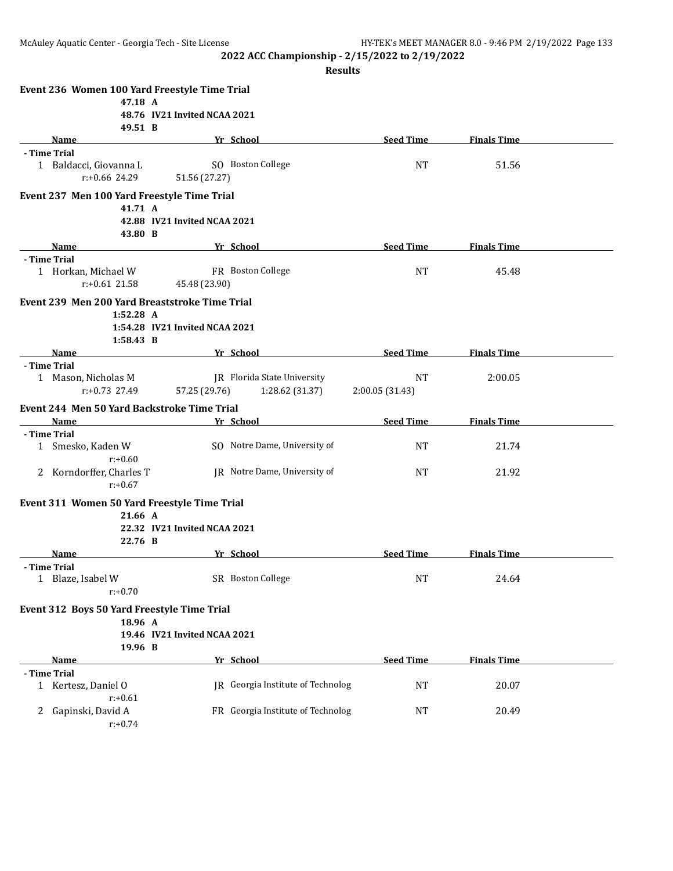|                   | Event 236 Women 100 Yard Freestyle Time Trial  |                                |                                   |                  |                    |  |
|-------------------|------------------------------------------------|--------------------------------|-----------------------------------|------------------|--------------------|--|
|                   | 47.18 A                                        |                                |                                   |                  |                    |  |
|                   |                                                | 48.76 IV21 Invited NCAA 2021   |                                   |                  |                    |  |
|                   | 49.51 B                                        |                                |                                   |                  |                    |  |
|                   | Name                                           |                                | Yr School                         | <b>Seed Time</b> | <b>Finals Time</b> |  |
| - Time Trial      |                                                |                                |                                   |                  |                    |  |
|                   | 1 Baldacci, Giovanna L                         |                                | SO Boston College                 | <b>NT</b>        | 51.56              |  |
|                   | $r: +0.66$ 24.29                               | 51.56 (27.27)                  |                                   |                  |                    |  |
|                   | Event 237 Men 100 Yard Freestyle Time Trial    |                                |                                   |                  |                    |  |
|                   | 41.71 A                                        |                                |                                   |                  |                    |  |
|                   |                                                | 42.88 IV21 Invited NCAA 2021   |                                   |                  |                    |  |
|                   | 43.80 B                                        |                                |                                   |                  |                    |  |
|                   | Name                                           |                                | Yr School                         | <b>Seed Time</b> | <b>Finals Time</b> |  |
| - Time Trial      |                                                |                                |                                   |                  |                    |  |
|                   | 1 Horkan, Michael W                            |                                | FR Boston College                 | <b>NT</b>        | 45.48              |  |
|                   | $r: +0.61$ 21.58                               | 45.48 (23.90)                  |                                   |                  |                    |  |
|                   | Event 239 Men 200 Yard Breaststroke Time Trial |                                |                                   |                  |                    |  |
|                   | $1:52.28$ A                                    |                                |                                   |                  |                    |  |
|                   |                                                | 1:54.28 IV21 Invited NCAA 2021 |                                   |                  |                    |  |
|                   | 1:58.43 B                                      |                                |                                   |                  |                    |  |
|                   | <b>Name</b>                                    |                                | Yr School                         | <b>Seed Time</b> | <b>Finals Time</b> |  |
| - Time Trial      |                                                |                                |                                   |                  |                    |  |
|                   | 1 Mason, Nicholas M                            |                                | IR Florida State University       | <b>NT</b>        | 2:00.05            |  |
|                   | $r: +0.73$ 27.49                               | 57.25 (29.76)                  | 1:28.62(31.37)                    | 2:00.05 (31.43)  |                    |  |
|                   | Event 244 Men 50 Yard Backstroke Time Trial    |                                |                                   |                  |                    |  |
|                   | Name                                           |                                | Yr School                         | <b>Seed Time</b> | <b>Finals Time</b> |  |
| - Time Trial      |                                                |                                |                                   |                  |                    |  |
|                   | 1 Smesko, Kaden W                              |                                | SO Notre Dame, University of      | <b>NT</b>        | 21.74              |  |
|                   | $r: +0.60$                                     |                                |                                   |                  |                    |  |
|                   | 2 Korndorffer, Charles T                       |                                | JR Notre Dame, University of      | NT               | 21.92              |  |
|                   | $r: +0.67$                                     |                                |                                   |                  |                    |  |
|                   |                                                |                                |                                   |                  |                    |  |
|                   | Event 311 Women 50 Yard Freestyle Time Trial   |                                |                                   |                  |                    |  |
|                   | 21.66 A                                        |                                |                                   |                  |                    |  |
|                   |                                                | 22.32 IV21 Invited NCAA 2021   |                                   |                  |                    |  |
|                   | 22.76 B                                        |                                |                                   | <b>Seed Time</b> | <b>Finals Time</b> |  |
|                   | Name                                           |                                | Yr School                         |                  |                    |  |
| - Time Trial<br>1 | Blaze, Isabel W                                |                                | SR Boston College                 | <b>NT</b>        | 24.64              |  |
|                   | $r: +0.70$                                     |                                |                                   |                  |                    |  |
|                   |                                                |                                |                                   |                  |                    |  |
|                   | Event 312 Boys 50 Yard Freestyle Time Trial    |                                |                                   |                  |                    |  |
|                   | 18.96 A                                        |                                |                                   |                  |                    |  |
|                   |                                                | 19.46 IV21 Invited NCAA 2021   |                                   |                  |                    |  |
|                   | 19.96 B                                        |                                |                                   |                  |                    |  |
|                   | Name                                           |                                | Yr School                         | <b>Seed Time</b> | <b>Finals Time</b> |  |
| - Time Trial      |                                                |                                |                                   |                  |                    |  |
|                   | 1 Kertesz, Daniel O                            |                                | JR Georgia Institute of Technolog | NT               | 20.07              |  |
|                   | $r: +0.61$                                     |                                |                                   |                  |                    |  |
| 2                 | Gapinski, David A                              |                                | FR Georgia Institute of Technolog | NT               | 20.49              |  |
|                   | $r: +0.74$                                     |                                |                                   |                  |                    |  |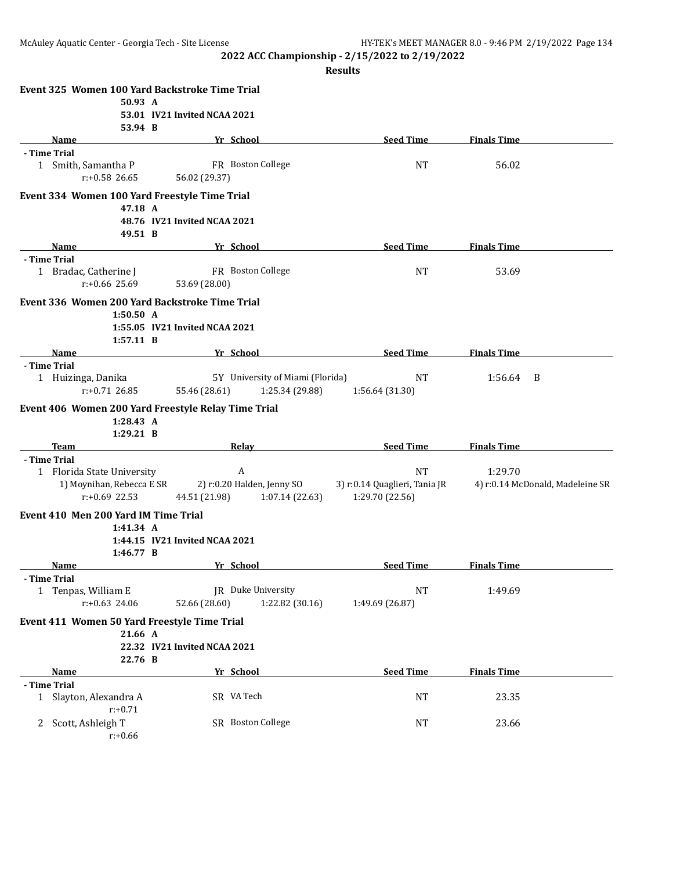|   |                                              | Event 325 Women 100 Yard Backstroke Time Trial      |                                  |                               |                    |                                  |
|---|----------------------------------------------|-----------------------------------------------------|----------------------------------|-------------------------------|--------------------|----------------------------------|
|   | 50.93 A                                      |                                                     |                                  |                               |                    |                                  |
|   |                                              | 53.01 IV21 Invited NCAA 2021                        |                                  |                               |                    |                                  |
|   | 53.94 B                                      |                                                     |                                  |                               |                    |                                  |
|   | Name                                         | Yr School                                           |                                  | <b>Seed Time</b>              | <b>Finals Time</b> |                                  |
|   | - Time Trial                                 | FR Boston College                                   |                                  |                               |                    |                                  |
|   | 1 Smith, Samantha P<br>$r: +0.58$ 26.65      | 56.02 (29.37)                                       |                                  | <b>NT</b>                     | 56.02              |                                  |
|   |                                              |                                                     |                                  |                               |                    |                                  |
|   |                                              | Event 334 Women 100 Yard Freestyle Time Trial       |                                  |                               |                    |                                  |
|   | 47.18 A                                      |                                                     |                                  |                               |                    |                                  |
|   |                                              | 48.76 IV21 Invited NCAA 2021                        |                                  |                               |                    |                                  |
|   | 49.51 B<br>Name                              | Yr School                                           |                                  | <b>Seed Time</b>              | <b>Finals Time</b> |                                  |
|   | - Time Trial                                 |                                                     |                                  |                               |                    |                                  |
|   | 1 Bradac, Catherine J                        | FR Boston College                                   |                                  | <b>NT</b>                     | 53.69              |                                  |
|   | $r: +0.66$ 25.69                             | 53.69 (28.00)                                       |                                  |                               |                    |                                  |
|   |                                              |                                                     |                                  |                               |                    |                                  |
|   | 1:50.50 A                                    | Event 336 Women 200 Yard Backstroke Time Trial      |                                  |                               |                    |                                  |
|   |                                              | 1:55.05 IV21 Invited NCAA 2021                      |                                  |                               |                    |                                  |
|   | 1:57.11 B                                    |                                                     |                                  |                               |                    |                                  |
|   | Name                                         | Yr School                                           |                                  | <b>Seed Time</b>              | <b>Finals Time</b> |                                  |
|   | - Time Trial                                 |                                                     |                                  |                               |                    |                                  |
|   | 1 Huizinga, Danika                           |                                                     | 5Y University of Miami (Florida) | <b>NT</b>                     | 1:56.64            | B                                |
|   | $r: +0.71$ 26.85                             | 55.46 (28.61)                                       | 1:25.34 (29.88)                  | 1:56.64 (31.30)               |                    |                                  |
|   |                                              | Event 406 Women 200 Yard Freestyle Relay Time Trial |                                  |                               |                    |                                  |
|   | 1:28.43 A                                    |                                                     |                                  |                               |                    |                                  |
|   | $1:29.21$ B                                  |                                                     |                                  |                               |                    |                                  |
|   | <b>Team</b>                                  | Relav                                               |                                  | <b>Seed Time</b>              | <b>Finals Time</b> |                                  |
|   | - Time Trial                                 |                                                     |                                  |                               |                    |                                  |
|   | 1 Florida State University                   | $\mathbf{A}$                                        |                                  | <b>NT</b>                     | 1:29.70            |                                  |
|   | 1) Moynihan, Rebecca E SR                    | 2) r:0.20 Halden, Jenny SO                          |                                  | 3) r:0.14 Quaglieri, Tania JR |                    | 4) r:0.14 McDonald, Madeleine SR |
|   | $r: +0.69$ 22.53                             | 44.51 (21.98)                                       | 1:07.14(22.63)                   | 1:29.70 (22.56)               |                    |                                  |
|   | Event 410 Men 200 Yard IM Time Trial         |                                                     |                                  |                               |                    |                                  |
|   | 1:41.34 A                                    |                                                     |                                  |                               |                    |                                  |
|   |                                              | 1:44.15 IV21 Invited NCAA 2021                      |                                  |                               |                    |                                  |
|   | 1:46.77 B                                    |                                                     |                                  |                               |                    |                                  |
|   | Name                                         | Yr School                                           |                                  | <b>Seed Time</b>              | <b>Finals Time</b> |                                  |
|   | - Time Trial<br>1 Tenpas, William E          | JR Duke University                                  |                                  | <b>NT</b>                     | 1:49.69            |                                  |
|   | r:+0.63 24.06                                | 52.66 (28.60)                                       | 1:22.82 (30.16)                  | 1:49.69 (26.87)               |                    |                                  |
|   |                                              |                                                     |                                  |                               |                    |                                  |
|   | Event 411 Women 50 Yard Freestyle Time Trial |                                                     |                                  |                               |                    |                                  |
|   | 21.66 A                                      | 22.32 IV21 Invited NCAA 2021                        |                                  |                               |                    |                                  |
|   | 22.76 B                                      |                                                     |                                  |                               |                    |                                  |
|   | Name                                         | Yr School                                           |                                  | <b>Seed Time</b>              | <b>Finals Time</b> |                                  |
|   | - Time Trial                                 |                                                     |                                  |                               |                    |                                  |
| 1 | Slayton, Alexandra A                         | SR VA Tech                                          |                                  | NT                            | 23.35              |                                  |
|   | $r: +0.71$                                   |                                                     |                                  |                               |                    |                                  |
| 2 | Scott, Ashleigh T                            | SR Boston College                                   |                                  | NT                            | 23.66              |                                  |
|   | $r: +0.66$                                   |                                                     |                                  |                               |                    |                                  |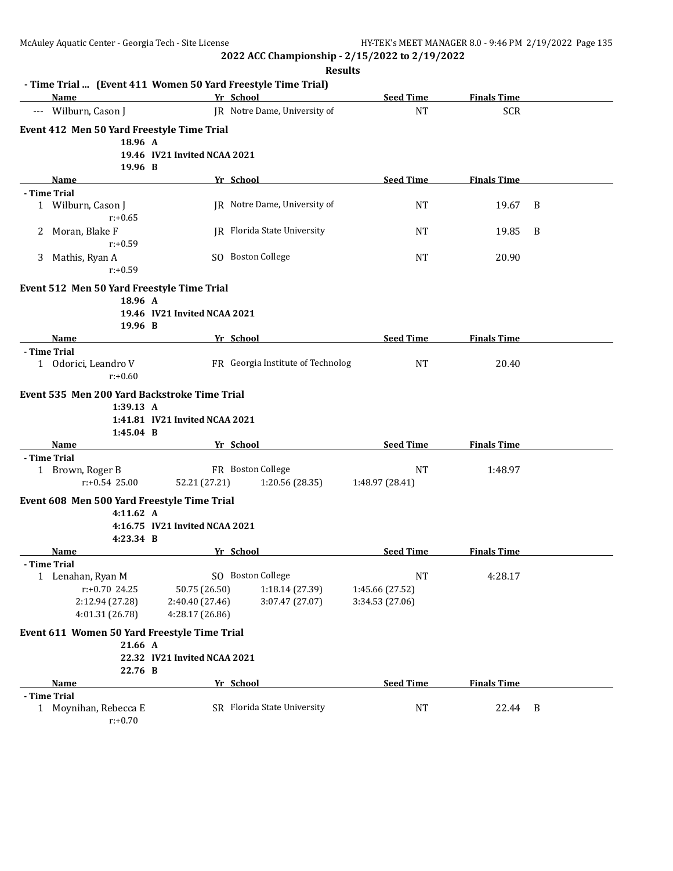|   | - Time Trial  (Event 411 Women 50 Yard Freestyle Time Trial)<br>Name |                                    | Yr School                           | <b>Seed Time</b>             | <b>Finals Time</b> |   |
|---|----------------------------------------------------------------------|------------------------------------|-------------------------------------|------------------------------|--------------------|---|
|   | --- Wilburn, Cason J                                                 |                                    | JR Notre Dame, University of        | <b>NT</b>                    | <b>SCR</b>         |   |
|   | Event 412 Men 50 Yard Freestyle Time Trial                           |                                    |                                     |                              |                    |   |
|   | 18.96 A                                                              |                                    |                                     |                              |                    |   |
|   |                                                                      | 19.46 IV21 Invited NCAA 2021       |                                     |                              |                    |   |
|   | 19.96 B                                                              |                                    |                                     |                              |                    |   |
|   | <b>Name</b>                                                          |                                    | Yr School                           | <b>Seed Time</b>             | <b>Finals Time</b> |   |
|   | - Time Trial                                                         |                                    |                                     |                              |                    |   |
|   | 1 Wilburn, Cason J<br>$r: +0.65$                                     |                                    | JR Notre Dame, University of        | <b>NT</b>                    | 19.67              | B |
| 2 | Moran, Blake F<br>$r: +0.59$                                         |                                    | JR Florida State University         | <b>NT</b>                    | 19.85              | B |
| 3 | Mathis, Ryan A                                                       |                                    | SO Boston College                   | <b>NT</b>                    | 20.90              |   |
|   | $r: +0.59$                                                           |                                    |                                     |                              |                    |   |
|   | Event 512 Men 50 Yard Freestyle Time Trial                           |                                    |                                     |                              |                    |   |
|   | 18.96 A                                                              |                                    |                                     |                              |                    |   |
|   | 19.96 B                                                              | 19.46 IV21 Invited NCAA 2021       |                                     |                              |                    |   |
|   | Name                                                                 |                                    | Yr School                           | <b>Seed Time</b>             | <b>Finals Time</b> |   |
|   | - Time Trial                                                         |                                    |                                     |                              |                    |   |
|   | 1 Odorici, Leandro V<br>$r: +0.60$                                   |                                    | FR Georgia Institute of Technolog   | <b>NT</b>                    | 20.40              |   |
|   | Event 535 Men 200 Yard Backstroke Time Trial                         |                                    |                                     |                              |                    |   |
|   | 1:39.13 A                                                            |                                    |                                     |                              |                    |   |
|   |                                                                      | 1:41.81 IV21 Invited NCAA 2021     |                                     |                              |                    |   |
|   | $1:45.04$ B                                                          |                                    |                                     |                              |                    |   |
|   | Name                                                                 |                                    | Yr School                           | <b>Seed Time</b>             | <b>Finals Time</b> |   |
|   | - Time Trial                                                         |                                    |                                     |                              |                    |   |
|   | 1 Brown, Roger B<br>$r: +0.54$ 25.00                                 | 52.21 (27.21)                      | FR Boston College<br>1:20.56(28.35) | <b>NT</b><br>1:48.97 (28.41) | 1:48.97            |   |
|   | Event 608 Men 500 Yard Freestyle Time Trial                          |                                    |                                     |                              |                    |   |
|   | 4:11.62 A                                                            |                                    |                                     |                              |                    |   |
|   |                                                                      | 4:16.75 IV21 Invited NCAA 2021     |                                     |                              |                    |   |
|   | 4:23.34 B                                                            |                                    |                                     |                              |                    |   |
|   | Name                                                                 |                                    | Yr School                           | <b>Seed Time</b>             | <b>Finals Time</b> |   |
|   | - Time Trial                                                         |                                    |                                     |                              |                    |   |
|   | Lenahan, Ryan M                                                      |                                    | SO Boston College                   | $\rm{NT}$                    | 4:28.17            |   |
|   | r:+0.70 24.25                                                        | 50.75 (26.50)                      | 1:18.14 (27.39)                     | 1:45.66 (27.52)              |                    |   |
|   | 2:12.94 (27.28)<br>4:01.31 (26.78)                                   | 2:40.40 (27.46)<br>4:28.17 (26.86) | 3:07.47 (27.07)                     | 3:34.53 (27.06)              |                    |   |
|   |                                                                      |                                    |                                     |                              |                    |   |
|   | Event 611 Women 50 Yard Freestyle Time Trial<br>21.66 A              |                                    |                                     |                              |                    |   |
|   |                                                                      | 22.32 IV21 Invited NCAA 2021       |                                     |                              |                    |   |
|   | 22.76 B                                                              |                                    |                                     |                              |                    |   |
|   | Name                                                                 |                                    | Yr School                           | <b>Seed Time</b>             | <b>Finals Time</b> |   |
|   | - Time Trial                                                         |                                    |                                     |                              |                    |   |
|   | 1 Moynihan, Rebecca E<br>$r: +0.70$                                  |                                    | SR Florida State University         | <b>NT</b>                    | 22.44              | B |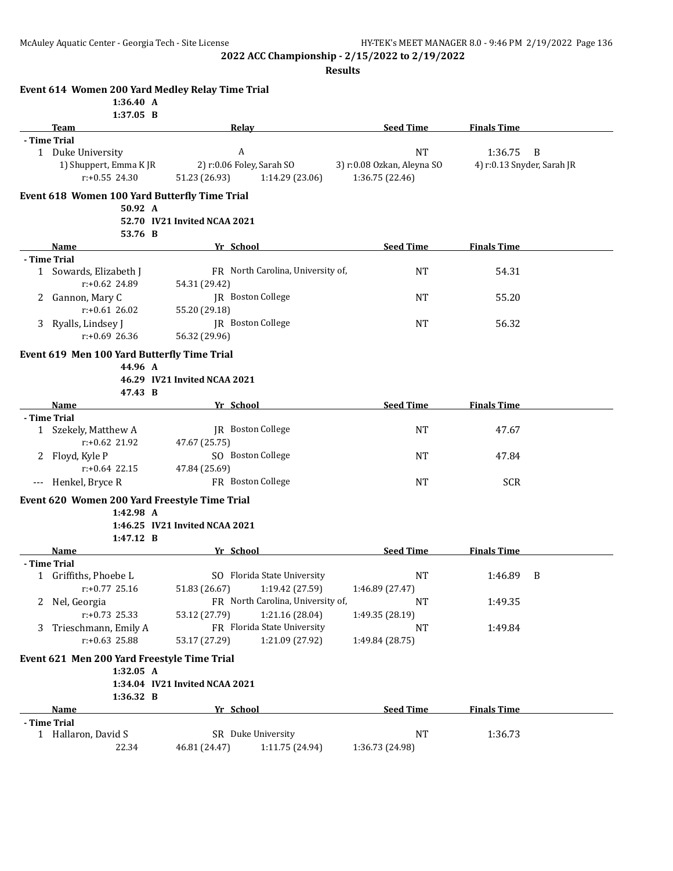|       | Event 614 Women 200 Yard Medley Relay Time Trial<br>1:36.40 A |                                |                                   |                            |                            |                |
|-------|---------------------------------------------------------------|--------------------------------|-----------------------------------|----------------------------|----------------------------|----------------|
|       | $1:37.05$ B                                                   |                                |                                   |                            |                            |                |
|       | Team                                                          | Relay                          |                                   | <b>Seed Time</b>           | <b>Finals Time</b>         |                |
|       | - Time Trial                                                  |                                |                                   |                            |                            |                |
|       | 1 Duke University                                             | A                              |                                   | <b>NT</b>                  | 1:36.75                    | $\overline{B}$ |
|       | 1) Shuppert, Emma KJR                                         | 2) r:0.06 Foley, Sarah SO      |                                   | 3) r:0.08 Ozkan, Aleyna SO | 4) r:0.13 Snyder, Sarah JR |                |
|       | $r: +0.55$ 24.30                                              |                                |                                   | 1:36.75 (22.46)            |                            |                |
|       |                                                               | 51.23 (26.93)                  | 1:14.29 (23.06)                   |                            |                            |                |
|       | Event 618 Women 100 Yard Butterfly Time Trial                 |                                |                                   |                            |                            |                |
|       | 50.92 A                                                       | 52.70 IV21 Invited NCAA 2021   |                                   |                            |                            |                |
|       |                                                               |                                |                                   |                            |                            |                |
|       | 53.76 B                                                       | Yr School                      |                                   | <b>Seed Time</b>           |                            |                |
|       | Name                                                          |                                |                                   |                            | <b>Finals Time</b>         |                |
|       | - Time Trial                                                  |                                |                                   |                            |                            |                |
|       | 1 Sowards, Elizabeth J                                        |                                | FR North Carolina, University of, | <b>NT</b>                  | 54.31                      |                |
|       | $r: +0.62$ 24.89                                              | 54.31 (29.42)                  |                                   |                            |                            |                |
| 2     | Gannon, Mary C                                                |                                | JR Boston College                 | <b>NT</b>                  | 55.20                      |                |
|       | $r: +0.61$ 26.02                                              | 55.20 (29.18)                  |                                   |                            |                            |                |
| 3     | Ryalls, Lindsey J                                             |                                | JR Boston College                 | NT                         | 56.32                      |                |
|       | $r: +0.69$ 26.36                                              | 56.32 (29.96)                  |                                   |                            |                            |                |
|       | Event 619 Men 100 Yard Butterfly Time Trial                   |                                |                                   |                            |                            |                |
|       | 44.96 A                                                       |                                |                                   |                            |                            |                |
|       |                                                               | 46.29 IV21 Invited NCAA 2021   |                                   |                            |                            |                |
|       | 47.43 B                                                       |                                |                                   |                            |                            |                |
|       | Name                                                          | Yr School                      |                                   | <b>Seed Time</b>           | <b>Finals Time</b>         |                |
|       | - Time Trial                                                  |                                |                                   |                            |                            |                |
|       | 1 Szekely, Matthew A                                          |                                | JR Boston College                 | <b>NT</b>                  | 47.67                      |                |
|       | $r: +0.62$ 21.92                                              | 47.67 (25.75)                  |                                   |                            |                            |                |
|       | 2 Floyd, Kyle P                                               |                                | SO Boston College                 | <b>NT</b>                  | 47.84                      |                |
|       | $r: +0.64$ 22.15                                              | 47.84 (25.69)                  |                                   |                            |                            |                |
|       | Henkel, Bryce R                                               |                                | FR Boston College                 | <b>NT</b>                  | <b>SCR</b>                 |                |
| $---$ |                                                               |                                |                                   |                            |                            |                |
|       | Event 620 Women 200 Yard Freestyle Time Trial                 |                                |                                   |                            |                            |                |
|       | 1:42.98 A                                                     |                                |                                   |                            |                            |                |
|       |                                                               | 1:46.25 IV21 Invited NCAA 2021 |                                   |                            |                            |                |
|       | 1:47.12 B                                                     |                                |                                   |                            |                            |                |
|       | <b>Name</b>                                                   | Yr School                      |                                   | <b>Seed Time</b>           | <b>Finals Time</b>         |                |
|       | - Time Trial                                                  |                                |                                   |                            |                            |                |
|       | 1 Griffiths, Phoebe L                                         |                                | SO Florida State University       | NT                         | 1:46.89 B                  |                |
|       | $r: +0.77$ 25.16                                              | 51.83 (26.67)                  | 1:19.42 (27.59)                   | 1:46.89 (27.47)            |                            |                |
| 2     | Nel, Georgia                                                  |                                | FR North Carolina, University of, | NT                         | 1:49.35                    |                |
|       | r:+0.73 25.33                                                 | 53.12 (27.79)                  | 1:21.16 (28.04)                   | 1:49.35 (28.19)            |                            |                |
| 3     | Trieschmann, Emily A                                          |                                | FR Florida State University       | NT                         | 1:49.84                    |                |
|       | r:+0.63 25.88                                                 | 53.17 (27.29)                  | 1:21.09 (27.92)                   | 1:49.84 (28.75)            |                            |                |
|       |                                                               |                                |                                   |                            |                            |                |
|       | Event 621 Men 200 Yard Freestyle Time Trial                   |                                |                                   |                            |                            |                |
|       | 1:32.05 A                                                     |                                |                                   |                            |                            |                |
|       |                                                               | 1:34.04 IV21 Invited NCAA 2021 |                                   |                            |                            |                |
|       | 1:36.32 B                                                     |                                |                                   |                            |                            |                |
|       | Name                                                          | Yr School                      |                                   | <b>Seed Time</b>           | <b>Finals Time</b>         |                |
|       | - Time Trial                                                  |                                |                                   |                            |                            |                |
|       | 1 Hallaron, David S                                           |                                | SR Duke University                | NT                         | 1:36.73                    |                |
|       | 22.34                                                         | 46.81 (24.47)                  | 1:11.75 (24.94)                   | 1:36.73 (24.98)            |                            |                |
|       |                                                               |                                |                                   |                            |                            |                |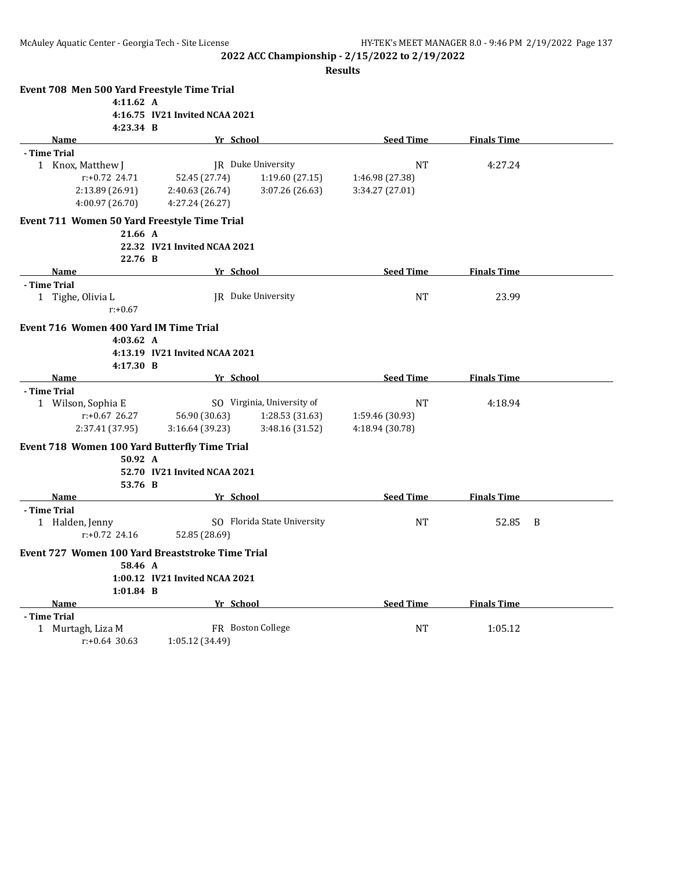| Event 708 Men 500 Yard Freestyle Time Trial      |                                |                             |                  |                    |   |
|--------------------------------------------------|--------------------------------|-----------------------------|------------------|--------------------|---|
| 4:11.62 A                                        |                                |                             |                  |                    |   |
|                                                  | 4:16.75 IV21 Invited NCAA 2021 |                             |                  |                    |   |
| 4:23.34 B                                        |                                |                             |                  |                    |   |
| <b>Name</b>                                      | Yr School                      |                             | <b>Seed Time</b> | <b>Finals Time</b> |   |
| - Time Trial                                     |                                |                             |                  |                    |   |
| 1 Knox, Matthew J                                |                                | IR Duke University          | <b>NT</b>        | 4:27.24            |   |
| $r: +0.72$ 24.71                                 | 52.45 (27.74)                  | 1:19.60(27.15)              | 1:46.98 (27.38)  |                    |   |
| 2:13.89 (26.91)                                  | 2:40.63 (26.74)                | 3:07.26 (26.63)             | 3:34.27 (27.01)  |                    |   |
| 4:00.97 (26.70)                                  | 4:27.24 (26.27)                |                             |                  |                    |   |
| Event 711 Women 50 Yard Freestyle Time Trial     |                                |                             |                  |                    |   |
| 21.66 A                                          |                                |                             |                  |                    |   |
|                                                  | 22.32 IV21 Invited NCAA 2021   |                             |                  |                    |   |
| 22.76 B                                          |                                |                             |                  |                    |   |
| <b>Name</b>                                      | Yr School                      |                             | <b>Seed Time</b> | <b>Finals Time</b> |   |
| - Time Trial                                     |                                |                             |                  |                    |   |
| 1 Tighe, Olivia L                                |                                | IR Duke University          | NT               | 23.99              |   |
| $r: +0.67$                                       |                                |                             |                  |                    |   |
| Event 716 Women 400 Yard IM Time Trial           |                                |                             |                  |                    |   |
| 4:03.62 A                                        |                                |                             |                  |                    |   |
|                                                  | 4:13.19 IV21 Invited NCAA 2021 |                             |                  |                    |   |
| 4:17.30 B                                        |                                |                             |                  |                    |   |
| Name                                             | Yr School                      |                             | <b>Seed Time</b> | <b>Finals Time</b> |   |
| - Time Trial                                     |                                |                             |                  |                    |   |
| 1 Wilson, Sophia E                               |                                | SO Virginia, University of  | <b>NT</b>        | 4:18.94            |   |
| $r: +0.67$ 26.27                                 | 56.90 (30.63)                  | 1:28.53(31.63)              | 1:59.46 (30.93)  |                    |   |
| 2:37.41 (37.95)                                  | 3:16.64(39.23)                 | 3:48.16 (31.52)             | 4:18.94 (30.78)  |                    |   |
| Event 718 Women 100 Yard Butterfly Time Trial    |                                |                             |                  |                    |   |
| 50.92 A                                          |                                |                             |                  |                    |   |
|                                                  | 52.70 IV21 Invited NCAA 2021   |                             |                  |                    |   |
| 53.76 B                                          |                                |                             |                  |                    |   |
| Name                                             | Yr School                      |                             | <b>Seed Time</b> | <b>Finals Time</b> |   |
| - Time Trial                                     |                                |                             |                  |                    |   |
| 1 Halden, Jenny                                  |                                | SO Florida State University | <b>NT</b>        | 52.85              | B |
| $r: +0.72$ 24.16                                 | 52.85 (28.69)                  |                             |                  |                    |   |
| Event 727 Women 100 Yard Breaststroke Time Trial |                                |                             |                  |                    |   |
| 58.46 A                                          |                                |                             |                  |                    |   |
|                                                  | 1:00.12 IV21 Invited NCAA 2021 |                             |                  |                    |   |
| $1:01.84$ B                                      |                                |                             |                  |                    |   |
| <b>Name</b>                                      | Yr School                      |                             | <b>Seed Time</b> | <b>Finals Time</b> |   |
| - Time Trial                                     |                                |                             |                  |                    |   |
| 1 Murtagh, Liza M                                |                                | FR Boston College           | <b>NT</b>        | 1:05.12            |   |
| $r: +0.64$ 30.63                                 | 1:05.12 (34.49)                |                             |                  |                    |   |
|                                                  |                                |                             |                  |                    |   |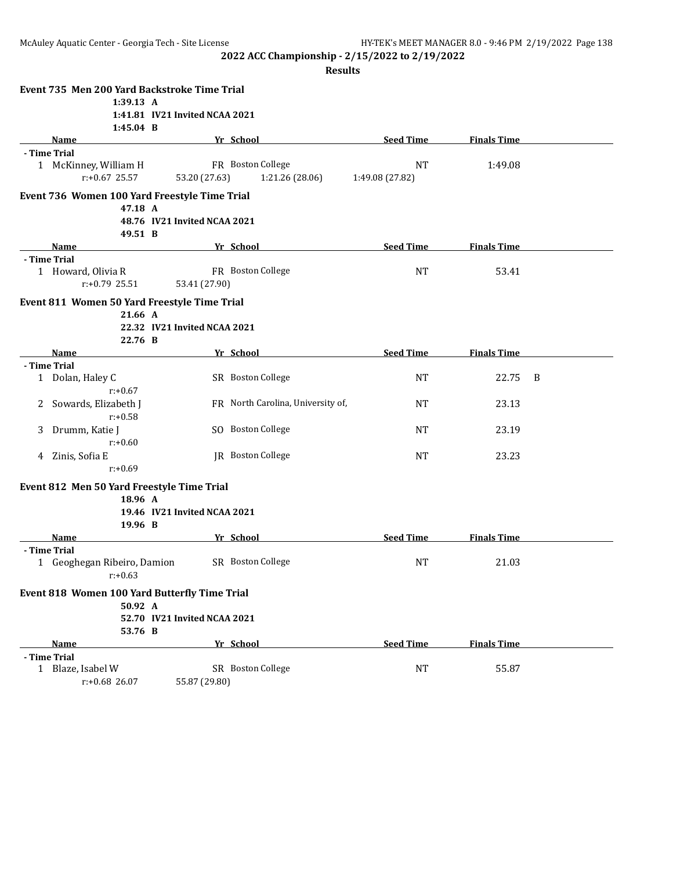|   | Event 735 Men 200 Yard Backstroke Time Trial  |                                |                                   |                  |                    |   |
|---|-----------------------------------------------|--------------------------------|-----------------------------------|------------------|--------------------|---|
|   | 1:39.13 A                                     |                                |                                   |                  |                    |   |
|   |                                               | 1:41.81 IV21 Invited NCAA 2021 |                                   |                  |                    |   |
|   | $1:45.04$ B                                   |                                |                                   |                  |                    |   |
|   | Name                                          |                                | Yr School                         | <b>Seed Time</b> | <b>Finals Time</b> |   |
|   | - Time Trial                                  |                                |                                   |                  |                    |   |
|   | 1 McKinney, William H                         |                                | FR Boston College                 | <b>NT</b>        | 1:49.08            |   |
|   | $r: +0.67$ 25.57                              | 53.20 (27.63)                  | 1:21.26 (28.06)                   | 1:49.08 (27.82)  |                    |   |
|   |                                               |                                |                                   |                  |                    |   |
|   | Event 736 Women 100 Yard Freestyle Time Trial |                                |                                   |                  |                    |   |
|   | 47.18 A                                       |                                |                                   |                  |                    |   |
|   |                                               | 48.76 IV21 Invited NCAA 2021   |                                   |                  |                    |   |
|   | 49.51 B                                       |                                |                                   |                  |                    |   |
|   | Name                                          |                                | Yr School                         | <b>Seed Time</b> | <b>Finals Time</b> |   |
|   | - Time Trial                                  |                                | FR Boston College                 |                  |                    |   |
|   | 1 Howard, Olivia R                            |                                |                                   | <b>NT</b>        | 53.41              |   |
|   | $r: +0.79$ 25.51                              | 53.41 (27.90)                  |                                   |                  |                    |   |
|   | Event 811 Women 50 Yard Freestyle Time Trial  |                                |                                   |                  |                    |   |
|   | 21.66 A                                       |                                |                                   |                  |                    |   |
|   |                                               | 22.32 IV21 Invited NCAA 2021   |                                   |                  |                    |   |
|   | 22.76 B                                       |                                |                                   |                  |                    |   |
|   | Name                                          |                                | Yr School                         | <b>Seed Time</b> | <b>Finals Time</b> |   |
|   | - Time Trial                                  |                                |                                   |                  |                    |   |
|   | 1 Dolan, Haley C                              |                                | SR Boston College                 | <b>NT</b>        | 22.75              | B |
|   | $r: +0.67$                                    |                                |                                   |                  |                    |   |
| 2 | Sowards, Elizabeth J                          |                                | FR North Carolina, University of, | <b>NT</b>        | 23.13              |   |
|   | $r: +0.58$                                    |                                |                                   |                  |                    |   |
| 3 | Drumm, Katie J                                |                                | SO Boston College                 | <b>NT</b>        | 23.19              |   |
|   | $r: +0.60$                                    |                                |                                   |                  |                    |   |
|   | 4 Zinis, Sofia E                              |                                | JR Boston College                 | <b>NT</b>        | 23.23              |   |
|   | $r: +0.69$                                    |                                |                                   |                  |                    |   |
|   | Event 812 Men 50 Yard Freestyle Time Trial    |                                |                                   |                  |                    |   |
|   | 18.96 A                                       |                                |                                   |                  |                    |   |
|   |                                               | 19.46 IV21 Invited NCAA 2021   |                                   |                  |                    |   |
|   | 19.96 B                                       |                                |                                   |                  |                    |   |
|   | Name                                          |                                | Yr School                         | <b>Seed Time</b> | <b>Finals Time</b> |   |
|   | - Time Trial                                  |                                |                                   |                  |                    |   |
|   | 1 Geoghegan Ribeiro, Damion                   |                                | SR Boston College                 | <b>NT</b>        | 21.03              |   |
|   | $r: +0.63$                                    |                                |                                   |                  |                    |   |
|   |                                               |                                |                                   |                  |                    |   |
|   | Event 818 Women 100 Yard Butterfly Time Trial |                                |                                   |                  |                    |   |
|   | 50.92 A                                       |                                |                                   |                  |                    |   |
|   |                                               | 52.70 IV21 Invited NCAA 2021   |                                   |                  |                    |   |
|   | 53.76 B                                       |                                |                                   |                  |                    |   |
|   | Name                                          |                                | Yr School                         | <b>Seed Time</b> | <b>Finals Time</b> |   |
|   | - Time Trial                                  |                                |                                   |                  |                    |   |
|   | 1 Blaze, Isabel W                             |                                | SR Boston College                 | <b>NT</b>        | 55.87              |   |
|   | r:+0.68 26.07                                 | 55.87 (29.80)                  |                                   |                  |                    |   |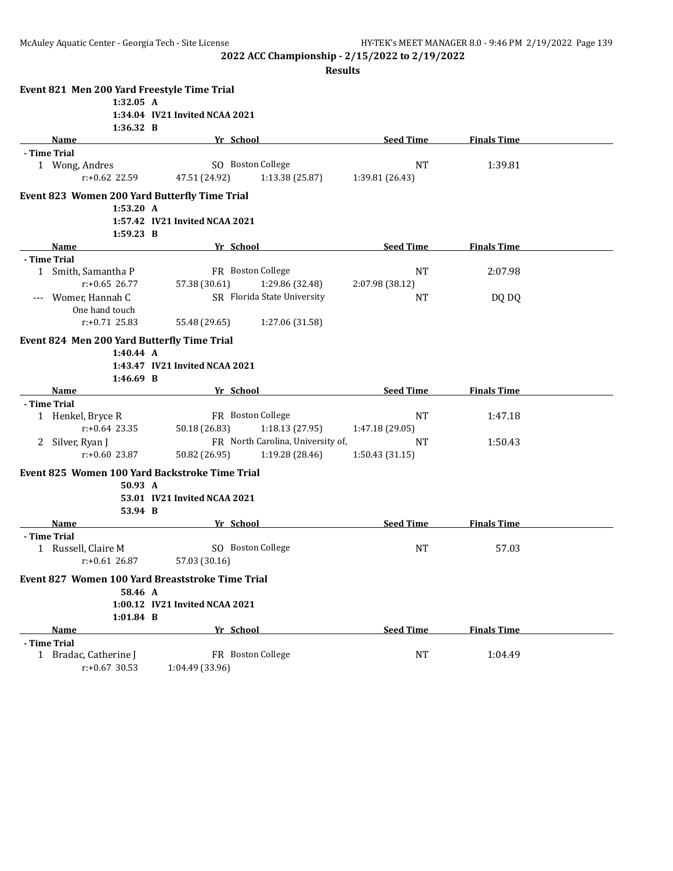|   | Event 821 Men 200 Yard Freestyle Time Trial      |                                |                                   |                  |                    |  |
|---|--------------------------------------------------|--------------------------------|-----------------------------------|------------------|--------------------|--|
|   | 1:32.05 A                                        |                                |                                   |                  |                    |  |
|   |                                                  | 1:34.04 IV21 Invited NCAA 2021 |                                   |                  |                    |  |
|   | 1:36.32 B                                        |                                |                                   |                  |                    |  |
|   | Name                                             | Yr School                      |                                   | <b>Seed Time</b> | <b>Finals Time</b> |  |
|   | - Time Trial                                     |                                |                                   |                  |                    |  |
|   | 1 Wong, Andres                                   |                                | SO Boston College                 | <b>NT</b>        | 1:39.81            |  |
|   | $r: +0.62$ 22.59                                 | 47.51 (24.92)                  | 1:13.38 (25.87)                   | 1:39.81 (26.43)  |                    |  |
|   | Event 823 Women 200 Yard Butterfly Time Trial    |                                |                                   |                  |                    |  |
|   | 1:53.20A                                         |                                |                                   |                  |                    |  |
|   |                                                  | 1:57.42 IV21 Invited NCAA 2021 |                                   |                  |                    |  |
|   | 1:59.23 B                                        |                                |                                   |                  |                    |  |
|   | Name                                             | Yr School                      |                                   | <b>Seed Time</b> | <b>Finals Time</b> |  |
|   | - Time Trial                                     |                                |                                   |                  |                    |  |
|   | 1 Smith, Samantha P                              |                                | FR Boston College                 | <b>NT</b>        | 2:07.98            |  |
|   | $r: +0.65$ 26.77                                 | 57.38 (30.61)                  | 1:29.86 (32.48)                   | 2:07.98 (38.12)  |                    |  |
|   | Womer, Hannah C                                  |                                | SR Florida State University       | <b>NT</b>        | DQ DQ              |  |
|   | One hand touch                                   |                                |                                   |                  |                    |  |
|   | $r: +0.71$ 25.83                                 | 55.48 (29.65)                  | 1:27.06 (31.58)                   |                  |                    |  |
|   | Event 824 Men 200 Yard Butterfly Time Trial      |                                |                                   |                  |                    |  |
|   | 1:40.44 A                                        |                                |                                   |                  |                    |  |
|   |                                                  | 1:43.47 IV21 Invited NCAA 2021 |                                   |                  |                    |  |
|   | 1:46.69 B                                        |                                |                                   |                  |                    |  |
|   | Name                                             | Yr School                      |                                   | <b>Seed Time</b> | <b>Finals Time</b> |  |
|   | - Time Trial                                     |                                |                                   |                  |                    |  |
|   | 1 Henkel, Bryce R                                |                                | FR Boston College                 | <b>NT</b>        | 1:47.18            |  |
|   | $r: +0.64$ 23.35                                 | 50.18 (26.83)                  | 1:18.13 (27.95)                   | 1:47.18 (29.05)  |                    |  |
| 2 | Silver, Ryan J                                   |                                | FR North Carolina, University of, | <b>NT</b>        | 1:50.43            |  |
|   | $r: +0.60$ 23.87                                 | 50.82 (26.95)                  | 1:19.28 (28.46)                   | 1:50.43 (31.15)  |                    |  |
|   | Event 825 Women 100 Yard Backstroke Time Trial   |                                |                                   |                  |                    |  |
|   | 50.93 A                                          |                                |                                   |                  |                    |  |
|   |                                                  | 53.01 IV21 Invited NCAA 2021   |                                   |                  |                    |  |
|   | 53.94 B                                          |                                |                                   |                  |                    |  |
|   | Name                                             | Yr School                      |                                   | <b>Seed Time</b> | <b>Finals Time</b> |  |
|   | - Time Trial                                     |                                |                                   |                  |                    |  |
|   | 1 Russell, Claire M                              |                                | SO Boston College                 | <b>NT</b>        | 57.03              |  |
|   | $r: +0.61$ 26.87                                 | 57.03 (30.16)                  |                                   |                  |                    |  |
|   | Event 827 Women 100 Yard Breaststroke Time Trial |                                | .                                 |                  |                    |  |
|   | 58.46 A                                          |                                |                                   |                  |                    |  |
|   |                                                  | 1:00.12 IV21 Invited NCAA 2021 |                                   |                  |                    |  |
|   | $1:01.84$ B                                      |                                |                                   |                  |                    |  |
|   | Name                                             | Yr School                      |                                   | <b>Seed Time</b> | <b>Finals Time</b> |  |
|   | - Time Trial                                     |                                |                                   |                  |                    |  |
|   | 1 Bradac, Catherine J                            |                                | FR Boston College                 | $\rm{NT}$        | 1:04.49            |  |
|   | $r: +0.67$ 30.53                                 | 1:04.49 (33.96)                |                                   |                  |                    |  |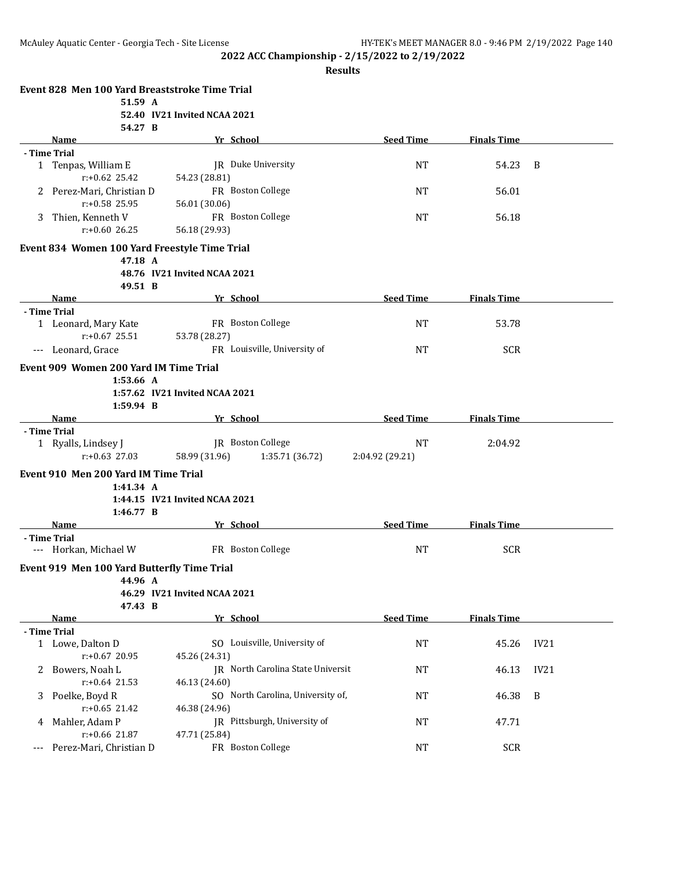|   | Event 828 Men 100 Yard Breaststroke Time Trial |                                |                                          |                  |                    |                  |
|---|------------------------------------------------|--------------------------------|------------------------------------------|------------------|--------------------|------------------|
|   | 51.59 A                                        |                                |                                          |                  |                    |                  |
|   |                                                | 52.40 IV21 Invited NCAA 2021   |                                          |                  |                    |                  |
|   | 54.27 B                                        |                                | Yr School                                | <b>Seed Time</b> | <b>Finals Time</b> |                  |
|   | Name<br>- Time Trial                           |                                |                                          |                  |                    |                  |
|   | 1 Tenpas, William E                            |                                | JR Duke University                       | NT               | 54.23              | B                |
|   | $r: +0.62$ 25.42                               | 54.23 (28.81)                  |                                          |                  |                    |                  |
|   | 2 Perez-Mari, Christian D                      |                                | FR Boston College                        | NT               | 56.01              |                  |
|   | $r: +0.58$ 25.95                               | 56.01 (30.06)                  |                                          |                  |                    |                  |
| 3 | Thien, Kenneth V                               |                                | FR Boston College                        | NT               | 56.18              |                  |
|   | $r: +0.60$ 26.25                               | 56.18 (29.93)                  |                                          |                  |                    |                  |
|   |                                                |                                |                                          |                  |                    |                  |
|   | Event 834 Women 100 Yard Freestyle Time Trial  |                                |                                          |                  |                    |                  |
|   | 47.18 A                                        |                                |                                          |                  |                    |                  |
|   |                                                | 48.76 IV21 Invited NCAA 2021   |                                          |                  |                    |                  |
|   | 49.51 B                                        |                                | Yr School                                | <b>Seed Time</b> | <b>Finals Time</b> |                  |
|   | Name<br>- Time Trial                           |                                |                                          |                  |                    |                  |
|   | 1 Leonard, Mary Kate                           |                                | FR Boston College                        | NT               | 53.78              |                  |
|   | $r: +0.67$ 25.51                               | 53.78 (28.27)                  |                                          |                  |                    |                  |
|   | --- Leonard, Grace                             |                                | FR Louisville, University of             | NT               | <b>SCR</b>         |                  |
|   |                                                |                                |                                          |                  |                    |                  |
|   | Event 909 Women 200 Yard IM Time Trial         |                                |                                          |                  |                    |                  |
|   | 1:53.66 A                                      |                                |                                          |                  |                    |                  |
|   |                                                | 1:57.62 IV21 Invited NCAA 2021 |                                          |                  |                    |                  |
|   | $1:59.94$ B<br>Name                            |                                | Yr School                                | <b>Seed Time</b> | <b>Finals Time</b> |                  |
|   | - Time Trial                                   |                                |                                          |                  |                    |                  |
|   | 1 Ryalls, Lindsey J                            |                                | JR Boston College                        | <b>NT</b>        | 2:04.92            |                  |
|   | $r: +0.63$ 27.03                               | 58.99 (31.96)                  | 1:35.71 (36.72)                          | 2:04.92 (29.21)  |                    |                  |
|   |                                                |                                |                                          |                  |                    |                  |
|   | Event 910 Men 200 Yard IM Time Trial           |                                |                                          |                  |                    |                  |
|   | 1:41.34 A                                      |                                |                                          |                  |                    |                  |
|   | 1:46.77 B                                      | 1:44.15 IV21 Invited NCAA 2021 |                                          |                  |                    |                  |
|   | Name                                           |                                | Yr School                                | <b>Seed Time</b> | <b>Finals Time</b> |                  |
|   | - Time Trial                                   |                                |                                          |                  |                    |                  |
|   | --- Horkan, Michael W                          |                                | FR Boston College                        | <b>NT</b>        | <b>SCR</b>         |                  |
|   |                                                |                                |                                          |                  |                    |                  |
|   | Event 919 Men 100 Yard Butterfly Time Trial    |                                |                                          |                  |                    |                  |
|   | 44.96 A                                        | 46.29 IV21 Invited NCAA 2021   |                                          |                  |                    |                  |
|   | 47.43 B                                        |                                |                                          |                  |                    |                  |
|   | <b>Name</b>                                    |                                | Yr School                                | <b>Seed Time</b> | <b>Finals Time</b> |                  |
|   | - Time Trial                                   |                                |                                          |                  |                    |                  |
|   | 1 Lowe, Dalton D                               |                                | SO Louisville, University of             | NT               | 45.26              | IV21             |
|   | r:+0.67 20.95                                  | 45.26 (24.31)                  |                                          |                  |                    |                  |
| 2 | Bowers, Noah L                                 |                                | <b>IR</b> North Carolina State Universit | NT               | 46.13              | IV21             |
|   | $r: +0.64$ 21.53                               | 46.13 (24.60)                  |                                          |                  |                    |                  |
| 3 | Poelke, Boyd R                                 |                                | SO North Carolina, University of,        | NT               | 46.38              | $\boldsymbol{B}$ |
|   | $r: +0.65$ 21.42                               | 46.38 (24.96)                  |                                          |                  |                    |                  |
| 4 | Mahler, Adam P                                 |                                | JR Pittsburgh, University of             | NT               | 47.71              |                  |
|   | $r: +0.66$ 21.87                               | 47.71 (25.84)                  |                                          |                  |                    |                  |
|   | Perez-Mari, Christian D                        |                                | FR Boston College                        | NT               | <b>SCR</b>         |                  |
|   |                                                |                                |                                          |                  |                    |                  |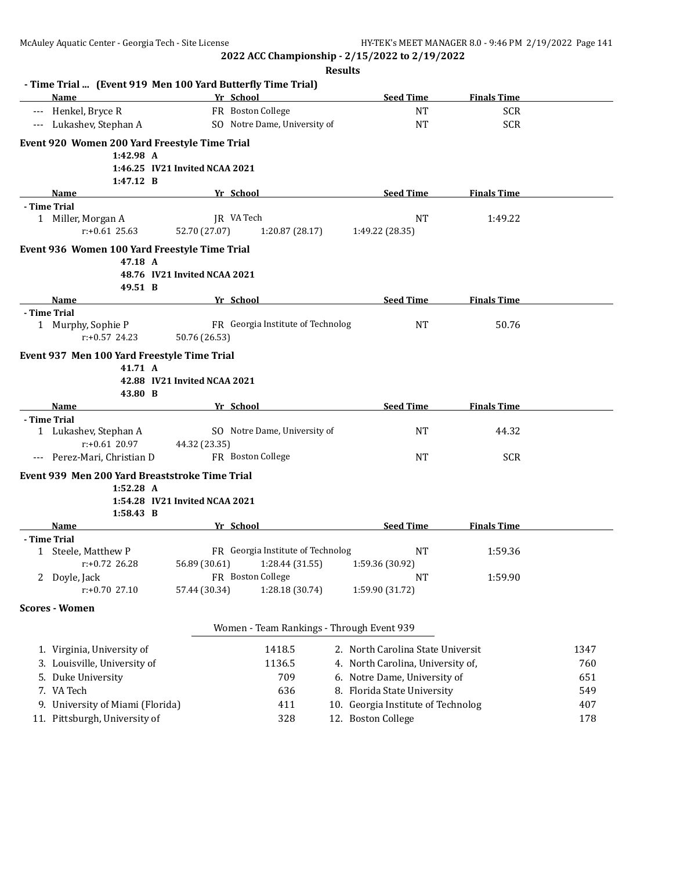|       |                                                             |                                |                                           | <b>Results</b>                     |                    |                          |
|-------|-------------------------------------------------------------|--------------------------------|-------------------------------------------|------------------------------------|--------------------|--------------------------|
|       | - Time Trial  (Event 919 Men 100 Yard Butterfly Time Trial) |                                |                                           | <b>Seed Time</b>                   | <b>Finals Time</b> |                          |
| $---$ | Name<br>Henkel, Bryce R                                     |                                | Yr School<br>FR Boston College            | <b>NT</b>                          | <b>SCR</b>         |                          |
| $---$ | Lukashev, Stephan A                                         |                                | SO Notre Dame, University of              | <b>NT</b>                          | <b>SCR</b>         |                          |
|       |                                                             |                                |                                           |                                    |                    |                          |
|       | Event 920 Women 200 Yard Freestyle Time Trial<br>1:42.98 A  |                                |                                           |                                    |                    |                          |
|       |                                                             | 1:46.25 IV21 Invited NCAA 2021 |                                           |                                    |                    |                          |
|       | $1:47.12 \quad B$                                           |                                |                                           |                                    |                    |                          |
|       | Name                                                        |                                | Yr School                                 | <b>Seed Time</b>                   | <b>Finals Time</b> |                          |
|       | - Time Trial                                                |                                |                                           |                                    |                    |                          |
|       | 1 Miller, Morgan A<br>$r: +0.61$ 25.63                      | 52.70 (27.07)                  | JR VA Tech<br>1:20.87 (28.17)             | NT<br>1:49.22 (28.35)              | 1:49.22            |                          |
|       | Event 936 Women 100 Yard Freestyle Time Trial               |                                |                                           |                                    |                    |                          |
|       | 47.18 A                                                     | 48.76 IV21 Invited NCAA 2021   |                                           |                                    |                    |                          |
|       | 49.51 B                                                     |                                |                                           |                                    |                    |                          |
|       | Name                                                        |                                | Yr School                                 | <b>Seed Time</b>                   | <b>Finals Time</b> |                          |
|       | - Time Trial                                                |                                |                                           |                                    |                    |                          |
|       | 1 Murphy, Sophie P                                          |                                | FR Georgia Institute of Technolog         | <b>NT</b>                          | 50.76              |                          |
|       | $r: +0.57$ 24.23                                            | 50.76 (26.53)                  |                                           |                                    |                    |                          |
|       | Event 937 Men 100 Yard Freestyle Time Trial                 |                                |                                           |                                    |                    |                          |
|       | 41.71 A                                                     |                                |                                           |                                    |                    |                          |
|       |                                                             | 42.88 IV21 Invited NCAA 2021   |                                           |                                    |                    |                          |
|       | 43.80 B<br><b>Name</b>                                      |                                | Yr School                                 | <b>Seed Time</b>                   | <b>Finals Time</b> |                          |
|       | - Time Trial                                                |                                |                                           |                                    |                    |                          |
|       | 1 Lukashev, Stephan A                                       |                                | SO Notre Dame, University of              | NT                                 | 44.32              |                          |
|       | $r: +0.61$ 20.97                                            | 44.32 (23.35)                  |                                           |                                    |                    |                          |
|       | --- Perez-Mari, Christian D                                 |                                | FR Boston College                         | NT                                 | <b>SCR</b>         |                          |
|       | Event 939 Men 200 Yard Breaststroke Time Trial              |                                |                                           |                                    |                    |                          |
|       | $1:52.28$ A                                                 |                                |                                           |                                    |                    |                          |
|       |                                                             |                                |                                           |                                    |                    |                          |
|       |                                                             | 1:54.28 IV21 Invited NCAA 2021 |                                           |                                    |                    |                          |
|       | 1:58.43 B                                                   |                                |                                           |                                    |                    |                          |
|       | Name<br>- Time Trial                                        |                                | Yr School                                 | <b>Seed Time</b>                   | <b>Finals Time</b> |                          |
|       | 1 Steele, Matthew P                                         |                                | FR Georgia Institute of Technolog         | NT                                 | 1:59.36            |                          |
|       | $r: +0.72$ 26.28                                            | 56.89 (30.61)                  | 1:28.44 (31.55)                           | 1:59.36 (30.92)                    |                    |                          |
|       | 2 Doyle, Jack                                               |                                | FR Boston College                         | NT                                 | 1:59.90            |                          |
|       | $r: +0.70$ 27.10                                            | 57.44 (30.34)                  | 1:28.18 (30.74)                           | 1:59.90 (31.72)                    |                    |                          |
|       | <b>Scores - Women</b>                                       |                                |                                           |                                    |                    |                          |
|       |                                                             |                                | Women - Team Rankings - Through Event 939 |                                    |                    |                          |
|       | 1. Virginia, University of                                  |                                | 1418.5                                    | 2. North Carolina State Universit  |                    | 1347                     |
|       | 3. Louisville, University of                                |                                | 1136.5                                    | 4. North Carolina, University of,  |                    |                          |
|       | 5. Duke University                                          |                                | 709                                       | 6. Notre Dame, University of       |                    |                          |
|       | 7. VA Tech                                                  |                                | 636                                       | 8. Florida State University        |                    |                          |
|       | 9. University of Miami (Florida)                            |                                | 411                                       | 10. Georgia Institute of Technolog |                    | 760<br>651<br>549<br>407 |